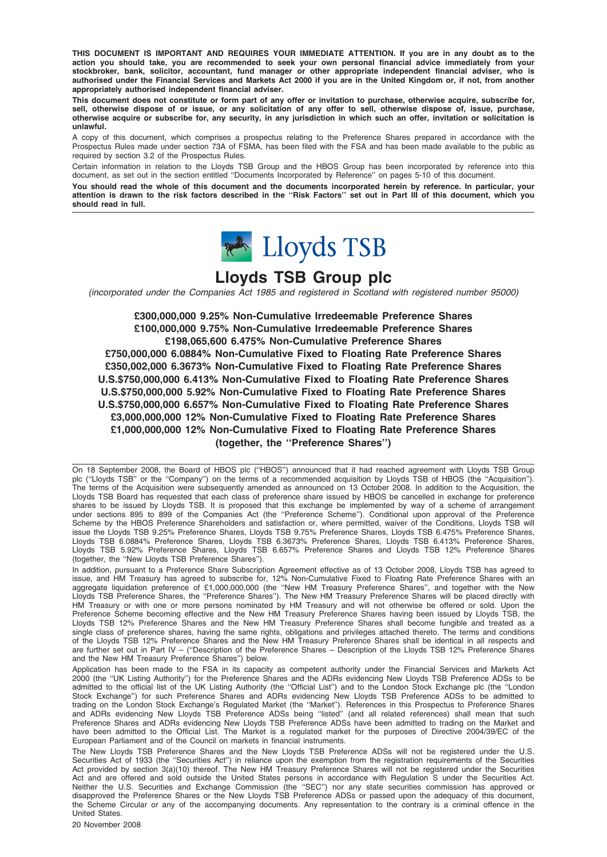THIS DOCUMENT IS IMPORTANT AND REQUIRES YOUR IMMEDIATE ATTENTION. If you are in any doubt as to the action you should take, you are recommended to seek your own personal financial advice immediately from your stockbroker, bank, solicitor, accountant, fund manager or other appropriate independent financial adviser, who is authorised under the Financial Services and Markets Act 2000 if you are in the United Kingdom or, if not, from another appropriately authorised independent financial adviser.

This document does not constitute or form part of any offer or invitation to purchase, otherwise acquire, subscribe for, sell, otherwise dispose of or issue, or any solicitation of any offer to sell, otherwise dispose of, issue, purchase, otherwise acquire or subscribe for, any security, in any jurisdiction in which such an offer, invitation or solicitation is unlawful.

A copy of this document, which comprises a prospectus relating to the Preference Shares prepared in accordance with the Prospectus Rules made under section 73A of FSMA, has been filed with the FSA and has been made available to the public as required by section 3.2 of the Prospectus Rules.

Certain information in relation to the Lloyds TSB Group and the HBOS Group has been incorporated by reference into this document, as set out in the section entitled ''Documents Incorporated by Reference'' on pages 5-10 of this document.

You should read the whole of this document and the documents incorporated herein by reference. In particular, your attention is drawn to the risk factors described in the ''Risk Factors'' set out in Part III of this document, which you should read in full.



# Lloyds TSB Group plc

(incorporated under the Companies Act 1985 and registered in Scotland with registered number 95000)

£300,000,000 9.25% Non-Cumulative Irredeemable Preference Shares £100,000,000 9.75% Non-Cumulative Irredeemable Preference Shares £198,065,600 6.475% Non-Cumulative Preference Shares £750,000,000 6.0884% Non-Cumulative Fixed to Floating Rate Preference Shares £350,002,000 6.3673% Non-Cumulative Fixed to Floating Rate Preference Shares U.S.\$750,000,000 6.413% Non-Cumulative Fixed to Floating Rate Preference Shares U.S.\$750,000,000 5.92% Non-Cumulative Fixed to Floating Rate Preference Shares U.S.\$750,000,000 6.657% Non-Cumulative Fixed to Floating Rate Preference Shares £3,000,000,000 12% Non-Cumulative Fixed to Floating Rate Preference Shares £1,000,000,000 12% Non-Cumulative Fixed to Floating Rate Preference Shares (together, the ''Preference Shares'')

On 18 September 2008, the Board of HBOS plc (''HBOS'') announced that it had reached agreement with Lloyds TSB Group plc (''Lloyds TSB'' or the ''Company'') on the terms of a recommended acquisition by Lloyds TSB of HBOS (the ''Acquisition''). The terms of the Acquisition were subsequently amended as announced on 13 October 2008. In addition to the Acquisition, the Lloyds TSB Board has requested that each class of preference share issued by HBOS be cancelled in exchange for preference shares to be issued by Lloyds TSB. It is proposed that this exchange be implemented by way of a scheme of arrangement under sections 895 to 899 of the Companies Act (the ''Preference Scheme''). Conditional upon approval of the Preference Scheme by the HBOS Preference Shareholders and satisfaction or, where permitted, waiver of the Conditions, Lloyds TSB will issue the Lloyds TSB 9.25% Preference Shares, Lloyds TSB 9.75% Preference Shares, Lloyds TSB 6.475% Preference Shares, Lloyds TSB 6.0884% Preference Shares, Lloyds TSB 6.3673% Preference Shares, Lloyds TSB 6.413% Preference Shares, Lloyds TSB 5.92% Preference Shares, Lloyds TSB 6.657% Preference Shares and Lloyds TSB 12% Preference Shares (together, the ''New Lloyds TSB Preference Shares'').

In addition, pursuant to a Preference Share Subscription Agreement effective as of 13 October 2008, Lloyds TSB has agreed to issue, and HM Treasury has agreed to subscribe for, 12% Non-Cumulative Fixed to Floating Rate Preference Shares with an aggregate liquidation preference of £1,000,000,000 (the ''New HM Treasury Preference Shares'', and together with the New Lloyds TSB Preference Shares, the ''Preference Shares''). The New HM Treasury Preference Shares will be placed directly with HM Treasury or with one or more persons nominated by HM Treasury and will not otherwise be offered or sold. Upon the Preference Scheme becoming effective and the New HM Treasury Preference Shares having been issued by Lloyds TSB, the Lloyds TSB 12% Preference Shares and the New HM Treasury Preference Shares shall become fungible and treated as a single class of preference shares, having the same rights, obligations and privileges attached thereto. The terms and conditions of the Lloyds TSB 12% Preference Shares and the New HM Treasury Preference Shares shall be identical in all respects and are further set out in Part IV – (''Description of the Preference Shares – Description of the Lloyds TSB 12% Preference Shares and the New HM Treasury Preference Shares'') below.

Application has been made to the FSA in its capacity as competent authority under the Financial Services and Markets Act 2000 (the ''UK Listing Authority'') for the Preference Shares and the ADRs evidencing New Lloyds TSB Preference ADSs to be admitted to the official list of the UK Listing Authority (the ''Official List'') and to the London Stock Exchange plc (the ''London Stock Exchange'') for such Preference Shares and ADRs evidencing New Lloyds TSB Preference ADSs to be admitted to trading on the London Stock Exchange's Regulated Market (the ''Market''). References in this Prospectus to Preference Shares and ADRs evidencing New Lloyds TSB Preference ADSs being ''listed'' (and all related references) shall mean that such Preference Shares and ADRs evidencing New Lloyds TSB Preference ADSs have been admitted to trading on the Market and have been admitted to the Official List. The Market is a regulated market for the purposes of Directive 2004/39/EC of the European Parliament and of the Council on markets in financial instruments.

The New Lloyds TSB Preference Shares and the New Lloyds TSB Preference ADSs will not be registered under the U.S. Securities Act of 1933 (the "Securities Act") in reliance upon the exemption from the registration requirements of the Securities Act provided by section 3(a)(10) thereof. The New HM Treasury Preference Shares will not be registered under the Securities Act and are offered and sold outside the United States persons in accordance with Regulation S under the Securities Act. Neither the U.S. Securities and Exchange Commission (the ''SEC'') nor any state securities commission has approved or disapproved the Preference Shares or the New Lloyds TSB Preference ADSs or passed upon the adequacy of this document, the Scheme Circular or any of the accompanying documents. Any representation to the contrary is a criminal offence in the United States.

20 November 2008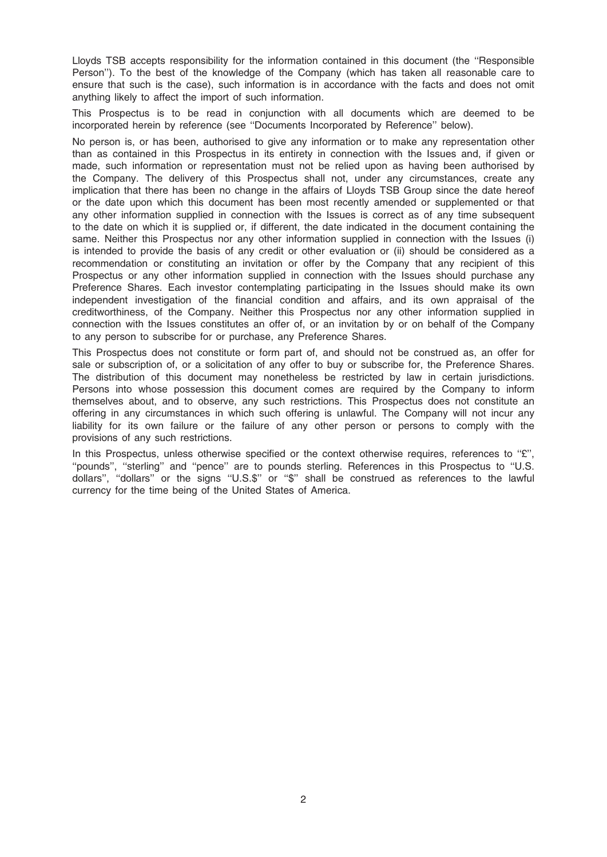Lloyds TSB accepts responsibility for the information contained in this document (the ''Responsible Person''). To the best of the knowledge of the Company (which has taken all reasonable care to ensure that such is the case), such information is in accordance with the facts and does not omit anything likely to affect the import of such information.

This Prospectus is to be read in conjunction with all documents which are deemed to be incorporated herein by reference (see ''Documents Incorporated by Reference'' below).

No person is, or has been, authorised to give any information or to make any representation other than as contained in this Prospectus in its entirety in connection with the Issues and, if given or made, such information or representation must not be relied upon as having been authorised by the Company. The delivery of this Prospectus shall not, under any circumstances, create any implication that there has been no change in the affairs of Lloyds TSB Group since the date hereof or the date upon which this document has been most recently amended or supplemented or that any other information supplied in connection with the Issues is correct as of any time subsequent to the date on which it is supplied or, if different, the date indicated in the document containing the same. Neither this Prospectus nor any other information supplied in connection with the Issues (i) is intended to provide the basis of any credit or other evaluation or (ii) should be considered as a recommendation or constituting an invitation or offer by the Company that any recipient of this Prospectus or any other information supplied in connection with the Issues should purchase any Preference Shares. Each investor contemplating participating in the Issues should make its own independent investigation of the financial condition and affairs, and its own appraisal of the creditworthiness, of the Company. Neither this Prospectus nor any other information supplied in connection with the Issues constitutes an offer of, or an invitation by or on behalf of the Company to any person to subscribe for or purchase, any Preference Shares.

This Prospectus does not constitute or form part of, and should not be construed as, an offer for sale or subscription of, or a solicitation of any offer to buy or subscribe for, the Preference Shares. The distribution of this document may nonetheless be restricted by law in certain jurisdictions. Persons into whose possession this document comes are required by the Company to inform themselves about, and to observe, any such restrictions. This Prospectus does not constitute an offering in any circumstances in which such offering is unlawful. The Company will not incur any liability for its own failure or the failure of any other person or persons to comply with the provisions of any such restrictions.

In this Prospectus, unless otherwise specified or the context otherwise requires, references to " $E$ ". ''pounds'', ''sterling'' and ''pence'' are to pounds sterling. References in this Prospectus to ''U.S. dollars'', ''dollars'' or the signs ''U.S.\$'' or ''\$'' shall be construed as references to the lawful currency for the time being of the United States of America.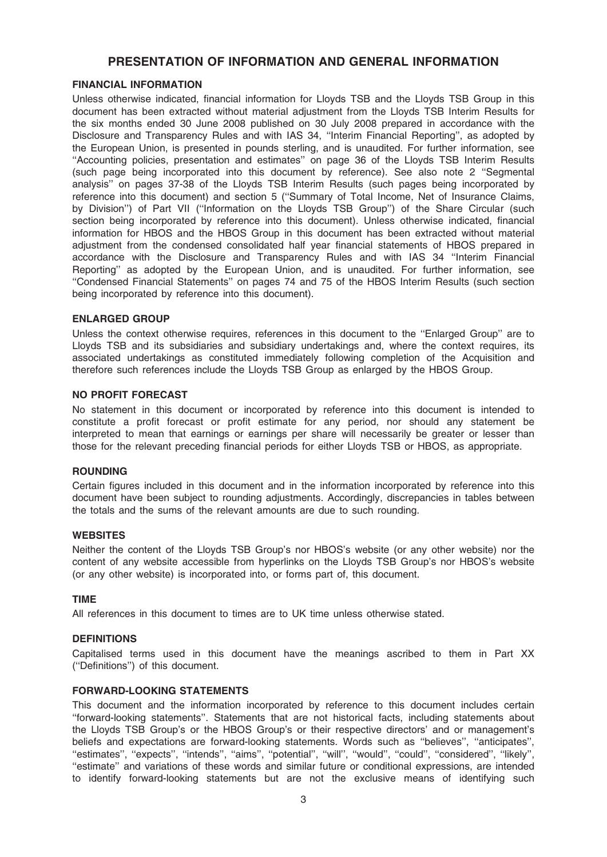# PRESENTATION OF INFORMATION AND GENERAL INFORMATION

### FINANCIAL INFORMATION

Unless otherwise indicated, financial information for Lloyds TSB and the Lloyds TSB Group in this document has been extracted without material adjustment from the Lloyds TSB Interim Results for the six months ended 30 June 2008 published on 30 July 2008 prepared in accordance with the Disclosure and Transparency Rules and with IAS 34, ''Interim Financial Reporting'', as adopted by the European Union, is presented in pounds sterling, and is unaudited. For further information, see ''Accounting policies, presentation and estimates'' on page 36 of the Lloyds TSB Interim Results (such page being incorporated into this document by reference). See also note 2 ''Segmental analysis'' on pages 37-38 of the Lloyds TSB Interim Results (such pages being incorporated by reference into this document) and section 5 (''Summary of Total Income, Net of Insurance Claims, by Division'') of Part VII (''Information on the Lloyds TSB Group'') of the Share Circular (such section being incorporated by reference into this document). Unless otherwise indicated, financial information for HBOS and the HBOS Group in this document has been extracted without material adjustment from the condensed consolidated half year financial statements of HBOS prepared in accordance with the Disclosure and Transparency Rules and with IAS 34 ''Interim Financial Reporting'' as adopted by the European Union, and is unaudited. For further information, see ''Condensed Financial Statements'' on pages 74 and 75 of the HBOS Interim Results (such section being incorporated by reference into this document).

#### ENLARGED GROUP

Unless the context otherwise requires, references in this document to the ''Enlarged Group'' are to Lloyds TSB and its subsidiaries and subsidiary undertakings and, where the context requires, its associated undertakings as constituted immediately following completion of the Acquisition and therefore such references include the Lloyds TSB Group as enlarged by the HBOS Group.

#### NO PROFIT FORECAST

No statement in this document or incorporated by reference into this document is intended to constitute a profit forecast or profit estimate for any period, nor should any statement be interpreted to mean that earnings or earnings per share will necessarily be greater or lesser than those for the relevant preceding financial periods for either Lloyds TSB or HBOS, as appropriate.

#### **ROUNDING**

Certain figures included in this document and in the information incorporated by reference into this document have been subject to rounding adjustments. Accordingly, discrepancies in tables between the totals and the sums of the relevant amounts are due to such rounding.

### WEBSITES

Neither the content of the Lloyds TSB Group's nor HBOS's website (or any other website) nor the content of any website accessible from hyperlinks on the Lloyds TSB Group's nor HBOS's website (or any other website) is incorporated into, or forms part of, this document.

#### TIME

All references in this document to times are to UK time unless otherwise stated.

#### **DEFINITIONS**

Capitalised terms used in this document have the meanings ascribed to them in Part XX (''Definitions'') of this document.

#### FORWARD-LOOKING STATEMENTS

This document and the information incorporated by reference to this document includes certain ''forward-looking statements''. Statements that are not historical facts, including statements about the Lloyds TSB Group's or the HBOS Group's or their respective directors' and or management's beliefs and expectations are forward-looking statements. Words such as ''believes'', ''anticipates'', ''estimates'', ''expects'', ''intends'', ''aims'', ''potential'', ''will'', ''would'', ''could'', ''considered'', ''likely'', ''estimate'' and variations of these words and similar future or conditional expressions, are intended to identify forward-looking statements but are not the exclusive means of identifying such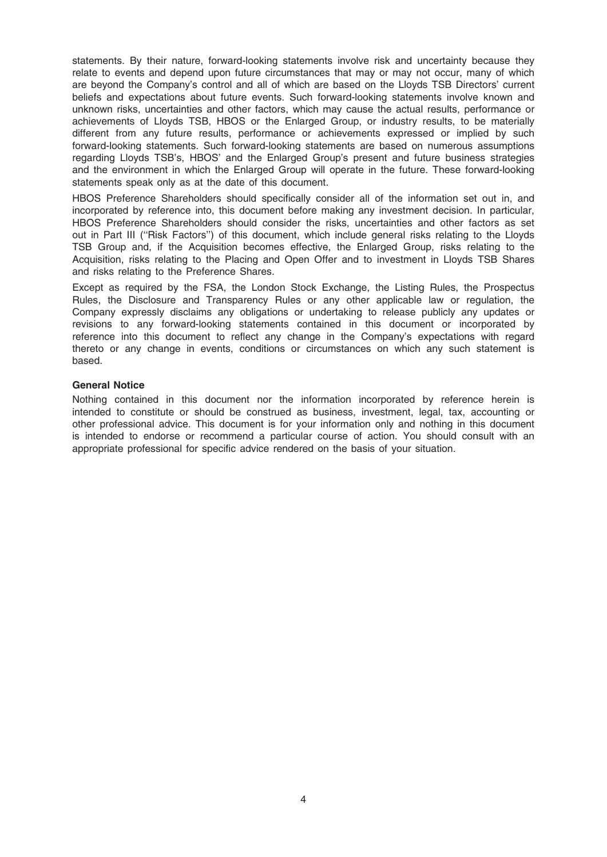statements. By their nature, forward-looking statements involve risk and uncertainty because they relate to events and depend upon future circumstances that may or may not occur, many of which are beyond the Company's control and all of which are based on the Lloyds TSB Directors' current beliefs and expectations about future events. Such forward-looking statements involve known and unknown risks, uncertainties and other factors, which may cause the actual results, performance or achievements of Lloyds TSB, HBOS or the Enlarged Group, or industry results, to be materially different from any future results, performance or achievements expressed or implied by such forward-looking statements. Such forward-looking statements are based on numerous assumptions regarding Lloyds TSB's, HBOS' and the Enlarged Group's present and future business strategies and the environment in which the Enlarged Group will operate in the future. These forward-looking statements speak only as at the date of this document.

HBOS Preference Shareholders should specifically consider all of the information set out in, and incorporated by reference into, this document before making any investment decision. In particular, HBOS Preference Shareholders should consider the risks, uncertainties and other factors as set out in Part III ("Risk Factors") of this document, which include general risks relating to the Lloyds TSB Group and, if the Acquisition becomes effective, the Enlarged Group, risks relating to the Acquisition, risks relating to the Placing and Open Offer and to investment in Lloyds TSB Shares and risks relating to the Preference Shares.

Except as required by the FSA, the London Stock Exchange, the Listing Rules, the Prospectus Rules, the Disclosure and Transparency Rules or any other applicable law or regulation, the Company expressly disclaims any obligations or undertaking to release publicly any updates or revisions to any forward-looking statements contained in this document or incorporated by reference into this document to reflect any change in the Company's expectations with regard thereto or any change in events, conditions or circumstances on which any such statement is based.

### General Notice

Nothing contained in this document nor the information incorporated by reference herein is intended to constitute or should be construed as business, investment, legal, tax, accounting or other professional advice. This document is for your information only and nothing in this document is intended to endorse or recommend a particular course of action. You should consult with an appropriate professional for specific advice rendered on the basis of your situation.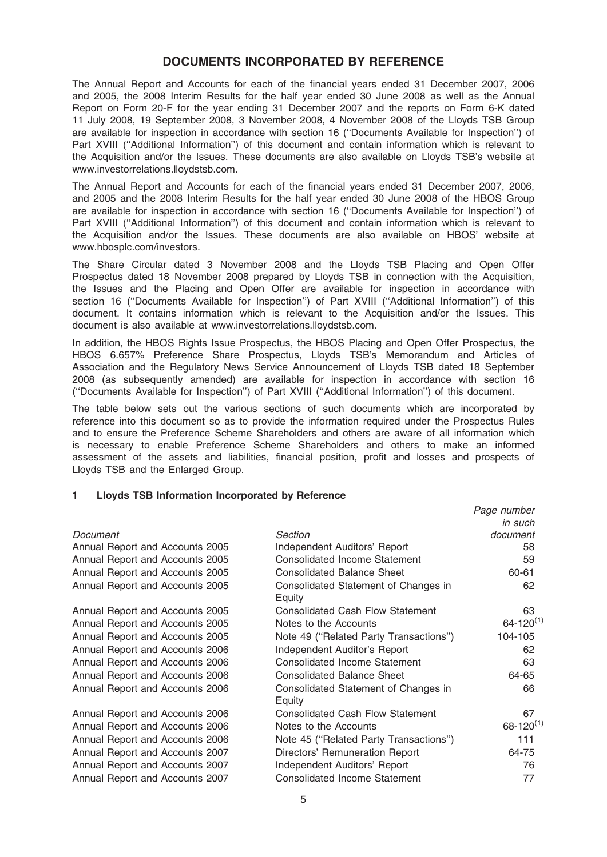# DOCUMENTS INCORPORATED BY REFERENCE

The Annual Report and Accounts for each of the financial years ended 31 December 2007, 2006 and 2005, the 2008 Interim Results for the half year ended 30 June 2008 as well as the Annual Report on Form 20-F for the year ending 31 December 2007 and the reports on Form 6-K dated 11 July 2008, 19 September 2008, 3 November 2008, 4 November 2008 of the Lloyds TSB Group are available for inspection in accordance with section 16 (''Documents Available for Inspection'') of Part XVIII ("Additional Information") of this document and contain information which is relevant to the Acquisition and/or the Issues. These documents are also available on Lloyds TSB's website at www.investorrelations.lloydstsb.com.

The Annual Report and Accounts for each of the financial years ended 31 December 2007, 2006, and 2005 and the 2008 Interim Results for the half year ended 30 June 2008 of the HBOS Group are available for inspection in accordance with section 16 (''Documents Available for Inspection'') of Part XVIII (''Additional Information'') of this document and contain information which is relevant to the Acquisition and/or the Issues. These documents are also available on HBOS' website at www.hbosplc.com/investors.

The Share Circular dated 3 November 2008 and the Lloyds TSB Placing and Open Offer Prospectus dated 18 November 2008 prepared by Lloyds TSB in connection with the Acquisition, the Issues and the Placing and Open Offer are available for inspection in accordance with section 16 ("Documents Available for Inspection") of Part XVIII ("Additional Information") of this document. It contains information which is relevant to the Acquisition and/or the Issues. This document is also available at www.investorrelations.lloydstsb.com.

In addition, the HBOS Rights Issue Prospectus, the HBOS Placing and Open Offer Prospectus, the HBOS 6.657% Preference Share Prospectus, Lloyds TSB's Memorandum and Articles of Association and the Regulatory News Service Announcement of Lloyds TSB dated 18 September 2008 (as subsequently amended) are available for inspection in accordance with section 16 (''Documents Available for Inspection'') of Part XVIII (''Additional Information'') of this document.

The table below sets out the various sections of such documents which are incorporated by reference into this document so as to provide the information required under the Prospectus Rules and to ensure the Preference Scheme Shareholders and others are aware of all information which is necessary to enable Preference Scheme Shareholders and others to make an informed assessment of the assets and liabilities, financial position, profit and losses and prospects of Lloyds TSB and the Enlarged Group.

Page number

# 1 Lloyds TSB Information Incorporated by Reference

|                                 |                                                | in such          |
|---------------------------------|------------------------------------------------|------------------|
| Document                        | Section                                        | document         |
| Annual Report and Accounts 2005 | Independent Auditors' Report                   | 58               |
| Annual Report and Accounts 2005 | <b>Consolidated Income Statement</b>           | 59               |
| Annual Report and Accounts 2005 | <b>Consolidated Balance Sheet</b>              | 60-61            |
| Annual Report and Accounts 2005 | Consolidated Statement of Changes in<br>Equity | 62               |
| Annual Report and Accounts 2005 | <b>Consolidated Cash Flow Statement</b>        | 63               |
| Annual Report and Accounts 2005 | Notes to the Accounts                          | $64 - 120^{(1)}$ |
| Annual Report and Accounts 2005 | Note 49 ("Related Party Transactions")         | 104-105          |
| Annual Report and Accounts 2006 | Independent Auditor's Report                   | 62               |
| Annual Report and Accounts 2006 | <b>Consolidated Income Statement</b>           | 63               |
| Annual Report and Accounts 2006 | <b>Consolidated Balance Sheet</b>              | 64-65            |
| Annual Report and Accounts 2006 | Consolidated Statement of Changes in<br>Equity | 66               |
| Annual Report and Accounts 2006 | <b>Consolidated Cash Flow Statement</b>        | 67               |
| Annual Report and Accounts 2006 | Notes to the Accounts                          | $68 - 120^{(1)}$ |
| Annual Report and Accounts 2006 | Note 45 ("Related Party Transactions")         | 111              |
| Annual Report and Accounts 2007 | Directors' Remuneration Report                 | 64-75            |
| Annual Report and Accounts 2007 | Independent Auditors' Report                   | 76               |
| Annual Report and Accounts 2007 | <b>Consolidated Income Statement</b>           | 77               |
|                                 |                                                |                  |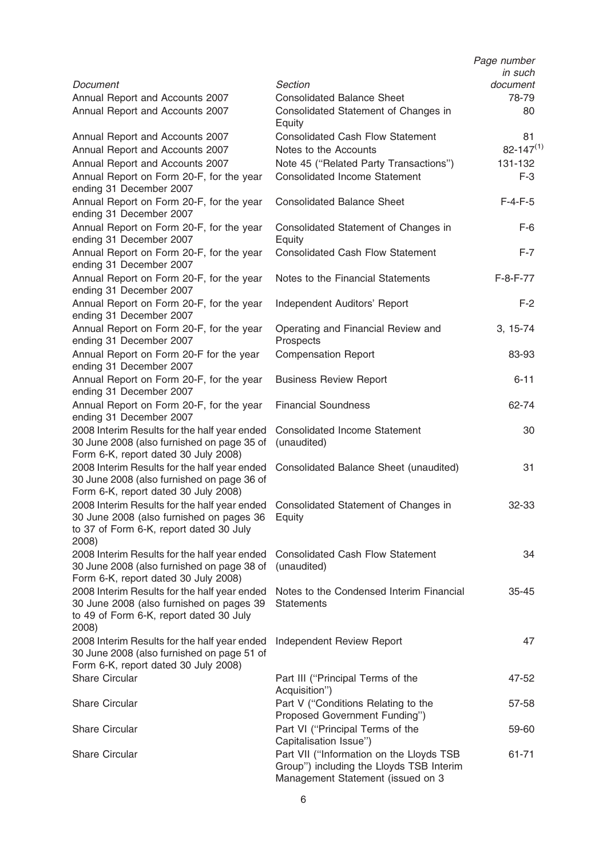|                                                                                                                                              |                                                                                                                           | Page number<br>in such |
|----------------------------------------------------------------------------------------------------------------------------------------------|---------------------------------------------------------------------------------------------------------------------------|------------------------|
| Document                                                                                                                                     | Section                                                                                                                   | document               |
| Annual Report and Accounts 2007<br>Annual Report and Accounts 2007                                                                           | <b>Consolidated Balance Sheet</b><br>Consolidated Statement of Changes in<br>Equity                                       | 78-79<br>80            |
| Annual Report and Accounts 2007                                                                                                              | <b>Consolidated Cash Flow Statement</b>                                                                                   | 81                     |
| Annual Report and Accounts 2007                                                                                                              | Notes to the Accounts                                                                                                     | $82 - 147^{(1)}$       |
| Annual Report and Accounts 2007                                                                                                              | Note 45 ("Related Party Transactions")                                                                                    | 131-132                |
| Annual Report on Form 20-F, for the year<br>ending 31 December 2007                                                                          | <b>Consolidated Income Statement</b>                                                                                      | $F-3$                  |
| Annual Report on Form 20-F, for the year<br>ending 31 December 2007                                                                          | <b>Consolidated Balance Sheet</b>                                                                                         | $F-4-F-5$              |
| Annual Report on Form 20-F, for the year<br>ending 31 December 2007                                                                          | Consolidated Statement of Changes in<br>Equity                                                                            | $F-6$                  |
| Annual Report on Form 20-F, for the year<br>ending 31 December 2007                                                                          | <b>Consolidated Cash Flow Statement</b>                                                                                   | $F-7$                  |
| Annual Report on Form 20-F, for the year<br>ending 31 December 2007                                                                          | Notes to the Financial Statements                                                                                         | $F-8-F-77$             |
| Annual Report on Form 20-F, for the year<br>ending 31 December 2007                                                                          | Independent Auditors' Report                                                                                              | $F-2$                  |
| Annual Report on Form 20-F, for the year<br>ending 31 December 2007                                                                          | Operating and Financial Review and<br>Prospects                                                                           | $3, 15-74$             |
| Annual Report on Form 20-F for the year<br>ending 31 December 2007                                                                           | <b>Compensation Report</b>                                                                                                | 83-93                  |
| Annual Report on Form 20-F, for the year<br>ending 31 December 2007                                                                          | <b>Business Review Report</b>                                                                                             | $6 - 11$               |
| Annual Report on Form 20-F, for the year<br>ending 31 December 2007                                                                          | <b>Financial Soundness</b>                                                                                                | 62-74                  |
| 2008 Interim Results for the half year ended<br>30 June 2008 (also furnished on page 35 of<br>Form 6-K, report dated 30 July 2008)           | <b>Consolidated Income Statement</b><br>(unaudited)                                                                       | 30                     |
| 2008 Interim Results for the half year ended<br>30 June 2008 (also furnished on page 36 of<br>Form 6-K, report dated 30 July 2008)           | Consolidated Balance Sheet (unaudited)                                                                                    | 31                     |
| 2008 Interim Results for the half year ended<br>30 June 2008 (also furnished on pages 36<br>to 37 of Form 6-K, report dated 30 July<br>2008) | Consolidated Statement of Changes in<br>Equity                                                                            | 32-33                  |
| 2008 Interim Results for the half year ended<br>30 June 2008 (also furnished on page 38 of<br>Form 6-K, report dated 30 July 2008)           | <b>Consolidated Cash Flow Statement</b><br>(unaudited)                                                                    | 34                     |
| 2008 Interim Results for the half year ended<br>30 June 2008 (also furnished on pages 39<br>to 49 of Form 6-K, report dated 30 July<br>2008) | Notes to the Condensed Interim Financial<br><b>Statements</b>                                                             | $35 - 45$              |
| 2008 Interim Results for the half year ended<br>30 June 2008 (also furnished on page 51 of<br>Form 6-K, report dated 30 July 2008)           | Independent Review Report                                                                                                 | 47                     |
| <b>Share Circular</b>                                                                                                                        | Part III ("Principal Terms of the<br>Acquisition")                                                                        | 47-52                  |
| <b>Share Circular</b>                                                                                                                        | Part V ("Conditions Relating to the<br>Proposed Government Funding")                                                      | 57-58                  |
| <b>Share Circular</b>                                                                                                                        | Part VI ("Principal Terms of the<br>Capitalisation Issue")                                                                | 59-60                  |
| <b>Share Circular</b>                                                                                                                        | Part VII ("Information on the Lloyds TSB<br>Group") including the Lloyds TSB Interim<br>Management Statement (issued on 3 | 61-71                  |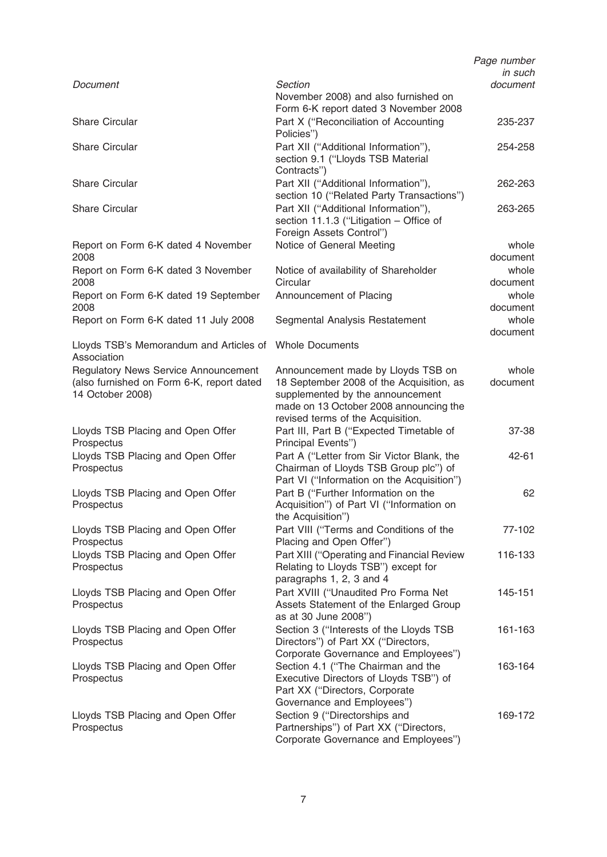|                                                                                                              |                                                                                                                                                                                                   | Page number<br>in such |
|--------------------------------------------------------------------------------------------------------------|---------------------------------------------------------------------------------------------------------------------------------------------------------------------------------------------------|------------------------|
| Document                                                                                                     | <b>Section</b><br>November 2008) and also furnished on<br>Form 6-K report dated 3 November 2008                                                                                                   | document               |
| <b>Share Circular</b>                                                                                        | Part X ("Reconciliation of Accounting<br>Policies")                                                                                                                                               | 235-237                |
| <b>Share Circular</b>                                                                                        | Part XII ("Additional Information"),<br>section 9.1 ("Lloyds TSB Material<br>Contracts")                                                                                                          | 254-258                |
| <b>Share Circular</b>                                                                                        | Part XII ("Additional Information"),<br>section 10 ("Related Party Transactions")                                                                                                                 | 262-263                |
| <b>Share Circular</b>                                                                                        | Part XII ("Additional Information"),<br>section 11.1.3 ("Litigation - Office of<br>Foreign Assets Control")                                                                                       | 263-265                |
| Report on Form 6-K dated 4 November<br>2008                                                                  | Notice of General Meeting                                                                                                                                                                         | whole<br>document      |
| Report on Form 6-K dated 3 November<br>2008                                                                  | Notice of availability of Shareholder<br>Circular                                                                                                                                                 | whole<br>document      |
| Report on Form 6-K dated 19 September<br>2008                                                                | Announcement of Placing                                                                                                                                                                           | whole<br>document      |
| Report on Form 6-K dated 11 July 2008                                                                        | Segmental Analysis Restatement                                                                                                                                                                    | whole<br>document      |
| Lloyds TSB's Memorandum and Articles of Whole Documents<br>Association                                       |                                                                                                                                                                                                   |                        |
| <b>Regulatory News Service Announcement</b><br>(also furnished on Form 6-K, report dated<br>14 October 2008) | Announcement made by Lloyds TSB on<br>18 September 2008 of the Acquisition, as<br>supplemented by the announcement<br>made on 13 October 2008 announcing the<br>revised terms of the Acquisition. | whole<br>document      |
| Lloyds TSB Placing and Open Offer<br>Prospectus                                                              | Part III, Part B ("Expected Timetable of<br>Principal Events")                                                                                                                                    | 37-38                  |
| Lloyds TSB Placing and Open Offer<br>Prospectus                                                              | Part A ("Letter from Sir Victor Blank, the<br>Chairman of Lloyds TSB Group plc") of<br>Part VI ("Information on the Acquisition")                                                                 | 42-61                  |
| Lloyds TSB Placing and Open Offer<br>Prospectus                                                              | Part B ("Further Information on the<br>Acquisition") of Part VI ("Information on<br>the Acquisition")                                                                                             | 62                     |
| Lloyds TSB Placing and Open Offer<br>Prospectus                                                              | Part VIII ("Terms and Conditions of the<br>Placing and Open Offer")                                                                                                                               | 77-102                 |
| Lloyds TSB Placing and Open Offer<br>Prospectus                                                              | Part XIII ("Operating and Financial Review<br>Relating to Lloyds TSB") except for<br>paragraphs 1, 2, 3 and 4                                                                                     | 116-133                |
| Lloyds TSB Placing and Open Offer<br>Prospectus                                                              | Part XVIII ("Unaudited Pro Forma Net<br>Assets Statement of the Enlarged Group<br>as at 30 June 2008")                                                                                            | 145-151                |
| Lloyds TSB Placing and Open Offer<br>Prospectus                                                              | Section 3 ("Interests of the Lloyds TSB<br>Directors") of Part XX ("Directors,<br>Corporate Governance and Employees")                                                                            | 161-163                |
| Lloyds TSB Placing and Open Offer<br>Prospectus                                                              | Section 4.1 ("The Chairman and the<br>Executive Directors of Lloyds TSB") of<br>Part XX ("Directors, Corporate<br>Governance and Employees")                                                      | 163-164                |
| Lloyds TSB Placing and Open Offer<br>Prospectus                                                              | Section 9 ("Directorships and<br>Partnerships") of Part XX ("Directors,<br>Corporate Governance and Employees")                                                                                   | 169-172                |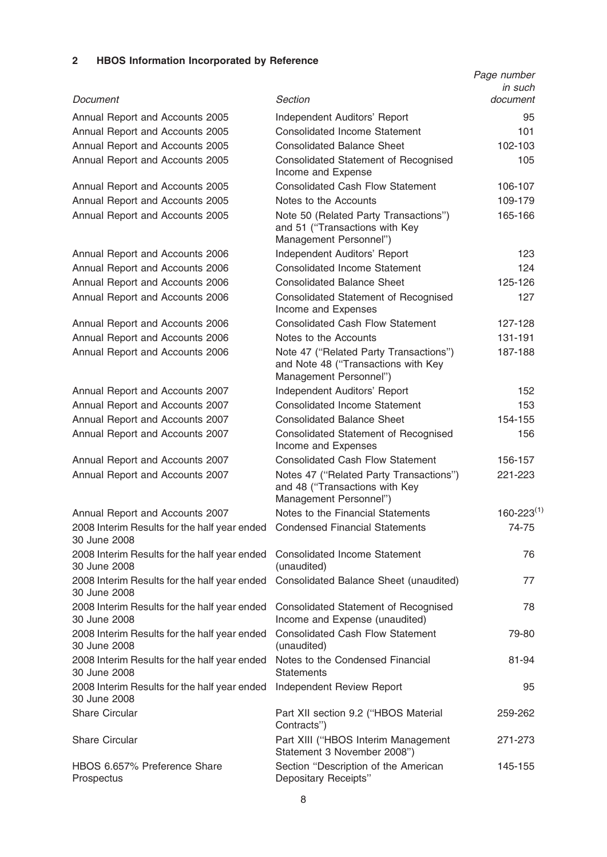# 2 HBOS Information Incorporated by Reference

|                                                                                             | Section                                                                                                 | Page number<br>in such |
|---------------------------------------------------------------------------------------------|---------------------------------------------------------------------------------------------------------|------------------------|
| Document                                                                                    |                                                                                                         | document               |
| Annual Report and Accounts 2005                                                             | Independent Auditors' Report                                                                            | 95                     |
| Annual Report and Accounts 2005                                                             | <b>Consolidated Income Statement</b>                                                                    | 101                    |
| Annual Report and Accounts 2005                                                             | <b>Consolidated Balance Sheet</b>                                                                       | 102-103                |
| Annual Report and Accounts 2005                                                             | <b>Consolidated Statement of Recognised</b><br>Income and Expense                                       | 105                    |
| Annual Report and Accounts 2005                                                             | <b>Consolidated Cash Flow Statement</b>                                                                 | 106-107                |
| Annual Report and Accounts 2005                                                             | Notes to the Accounts                                                                                   | 109-179                |
| Annual Report and Accounts 2005                                                             | Note 50 (Related Party Transactions")<br>and 51 ("Transactions with Key<br>Management Personnel")       | 165-166                |
| Annual Report and Accounts 2006                                                             | Independent Auditors' Report                                                                            | 123                    |
| Annual Report and Accounts 2006                                                             | <b>Consolidated Income Statement</b>                                                                    | 124                    |
| Annual Report and Accounts 2006                                                             | <b>Consolidated Balance Sheet</b>                                                                       | 125-126                |
| Annual Report and Accounts 2006                                                             | Consolidated Statement of Recognised<br>Income and Expenses                                             | 127                    |
| Annual Report and Accounts 2006                                                             | <b>Consolidated Cash Flow Statement</b>                                                                 | 127-128                |
| Annual Report and Accounts 2006                                                             | Notes to the Accounts                                                                                   | 131-191                |
| Annual Report and Accounts 2006                                                             | Note 47 ("Related Party Transactions")<br>and Note 48 ("Transactions with Key<br>Management Personnel") | 187-188                |
| Annual Report and Accounts 2007                                                             | Independent Auditors' Report                                                                            | 152                    |
| Annual Report and Accounts 2007                                                             | <b>Consolidated Income Statement</b>                                                                    | 153                    |
| Annual Report and Accounts 2007                                                             | <b>Consolidated Balance Sheet</b>                                                                       | 154-155                |
| Annual Report and Accounts 2007                                                             | <b>Consolidated Statement of Recognised</b><br>Income and Expenses                                      | 156                    |
| Annual Report and Accounts 2007                                                             | <b>Consolidated Cash Flow Statement</b>                                                                 | 156-157                |
| Annual Report and Accounts 2007                                                             | Notes 47 ("Related Party Transactions")<br>and 48 ("Transactions with Key<br>Management Personnel")     | 221-223                |
| Annual Report and Accounts 2007                                                             | Notes to the Financial Statements                                                                       | $160 - 223^{(1)}$      |
| 2008 Interim Results for the half year ended Condensed Financial Statements<br>30 June 2008 |                                                                                                         | 74-75                  |
| 2008 Interim Results for the half year ended<br>30 June 2008                                | <b>Consolidated Income Statement</b><br>(unaudited)                                                     | 76                     |
| 2008 Interim Results for the half year ended<br>30 June 2008                                | Consolidated Balance Sheet (unaudited)                                                                  | 77                     |
| 2008 Interim Results for the half year ended<br>30 June 2008                                | <b>Consolidated Statement of Recognised</b><br>Income and Expense (unaudited)                           | 78                     |
| 2008 Interim Results for the half year ended<br>30 June 2008                                | <b>Consolidated Cash Flow Statement</b><br>(unaudited)                                                  | 79-80                  |
| 2008 Interim Results for the half year ended<br>30 June 2008                                | Notes to the Condensed Financial<br><b>Statements</b>                                                   | 81-94                  |
| 2008 Interim Results for the half year ended<br>30 June 2008                                | Independent Review Report                                                                               | 95                     |
| <b>Share Circular</b>                                                                       | Part XII section 9.2 ("HBOS Material<br>Contracts")                                                     | 259-262                |
| <b>Share Circular</b>                                                                       | Part XIII ("HBOS Interim Management<br>Statement 3 November 2008")                                      | 271-273                |
| HBOS 6.657% Preference Share<br>Prospectus                                                  | Section "Description of the American<br>Depositary Receipts"                                            | 145-155                |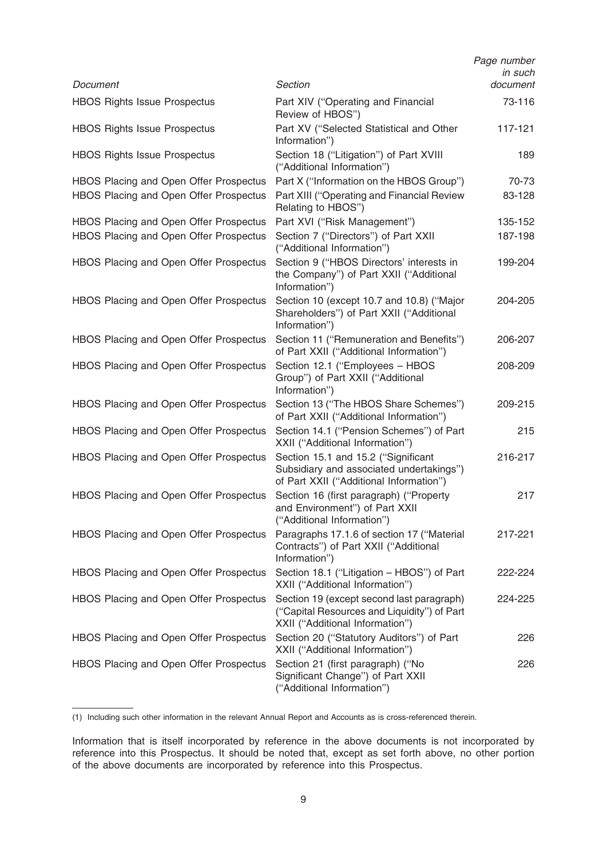|                                        |                                                                                                                             | Page number<br>in such |
|----------------------------------------|-----------------------------------------------------------------------------------------------------------------------------|------------------------|
| Document                               | Section                                                                                                                     | document               |
| <b>HBOS Rights Issue Prospectus</b>    | Part XIV ("Operating and Financial<br>Review of HBOS")                                                                      | 73-116                 |
| <b>HBOS Rights Issue Prospectus</b>    | Part XV ("Selected Statistical and Other<br>Information")                                                                   | 117-121                |
| <b>HBOS Rights Issue Prospectus</b>    | Section 18 ("Litigation") of Part XVIII<br>("Additional Information")                                                       | 189                    |
| HBOS Placing and Open Offer Prospectus | Part X ("Information on the HBOS Group")                                                                                    | 70-73                  |
| HBOS Placing and Open Offer Prospectus | Part XIII ("Operating and Financial Review<br>Relating to HBOS")                                                            | 83-128                 |
| HBOS Placing and Open Offer Prospectus | Part XVI ("Risk Management")                                                                                                | 135-152                |
| HBOS Placing and Open Offer Prospectus | Section 7 ("Directors") of Part XXII<br>("Additional Information")                                                          | 187-198                |
| HBOS Placing and Open Offer Prospectus | Section 9 ("HBOS Directors' interests in<br>the Company") of Part XXII ("Additional<br>Information")                        | 199-204                |
| HBOS Placing and Open Offer Prospectus | Section 10 (except 10.7 and 10.8) ("Major<br>Shareholders") of Part XXII ("Additional<br>Information")                      | 204-205                |
| HBOS Placing and Open Offer Prospectus | Section 11 ("Remuneration and Benefits")<br>of Part XXII ("Additional Information")                                         | 206-207                |
| HBOS Placing and Open Offer Prospectus | Section 12.1 ("Employees - HBOS<br>Group") of Part XXII ("Additional<br>Information")                                       | 208-209                |
| HBOS Placing and Open Offer Prospectus | Section 13 ("The HBOS Share Schemes")<br>of Part XXII ("Additional Information")                                            | 209-215                |
| HBOS Placing and Open Offer Prospectus | Section 14.1 ("Pension Schemes") of Part<br>XXII ("Additional Information")                                                 | 215                    |
| HBOS Placing and Open Offer Prospectus | Section 15.1 and 15.2 ("Significant<br>Subsidiary and associated undertakings")<br>of Part XXII ("Additional Information")  | 216-217                |
| HBOS Placing and Open Offer Prospectus | Section 16 (first paragraph) ("Property<br>and Environment") of Part XXII<br>("Additional Information")                     | 217                    |
| HBOS Placing and Open Offer Prospectus | Paragraphs 17.1.6 of section 17 ("Material<br>Contracts") of Part XXII ("Additional<br>Information")                        | 217-221                |
| HBOS Placing and Open Offer Prospectus | Section 18.1 ("Litigation - HBOS") of Part<br>XXII ("Additional Information")                                               | 222-224                |
| HBOS Placing and Open Offer Prospectus | Section 19 (except second last paragraph)<br>("Capital Resources and Liquidity") of Part<br>XXII ("Additional Information") | 224-225                |
| HBOS Placing and Open Offer Prospectus | Section 20 ("Statutory Auditors") of Part<br>XXII ("Additional Information")                                                | 226                    |
| HBOS Placing and Open Offer Prospectus | Section 21 (first paragraph) ("No<br>Significant Change") of Part XXII<br>("Additional Information")                        | 226                    |

<sup>(1)</sup> Including such other information in the relevant Annual Report and Accounts as is cross-referenced therein.

Information that is itself incorporated by reference in the above documents is not incorporated by reference into this Prospectus. It should be noted that, except as set forth above, no other portion of the above documents are incorporated by reference into this Prospectus.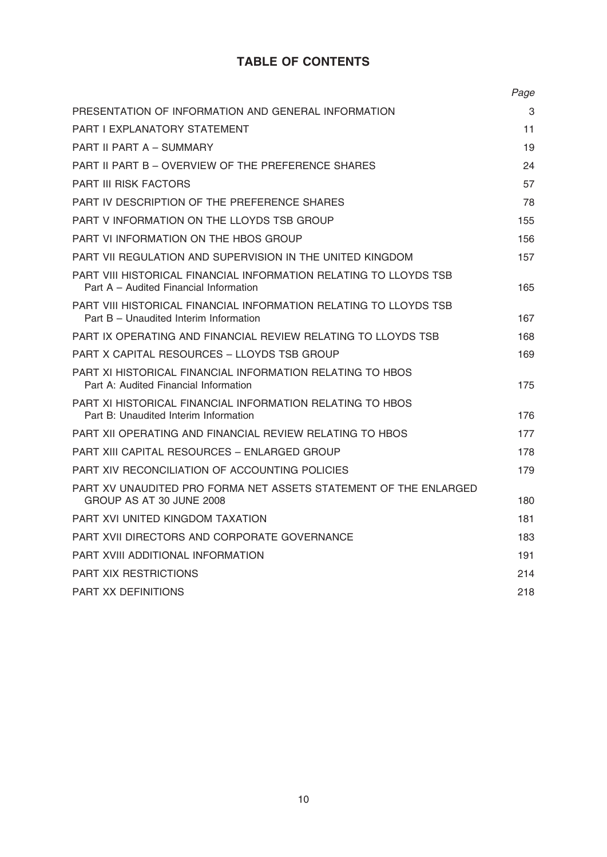# TABLE OF CONTENTS

|                                                                                                             | Page |
|-------------------------------------------------------------------------------------------------------------|------|
| PRESENTATION OF INFORMATION AND GENERAL INFORMATION                                                         | 3    |
| <b>PART I EXPLANATORY STATEMENT</b>                                                                         | 11   |
| PART II PART A - SUMMARY                                                                                    | 19   |
| PART II PART B – OVERVIEW OF THE PREFERENCE SHARES                                                          | 24   |
| <b>PART III RISK FACTORS</b>                                                                                | 57   |
| PART IV DESCRIPTION OF THE PREFERENCE SHARES                                                                | 78   |
| PART V INFORMATION ON THE LLOYDS TSB GROUP                                                                  | 155  |
| PART VI INFORMATION ON THE HBOS GROUP                                                                       | 156  |
| PART VII REGULATION AND SUPERVISION IN THE UNITED KINGDOM                                                   | 157  |
| PART VIII HISTORICAL FINANCIAL INFORMATION RELATING TO LLOYDS TSB<br>Part A – Audited Financial Information | 165  |
| PART VIII HISTORICAL FINANCIAL INFORMATION RELATING TO LLOYDS TSB<br>Part B - Unaudited Interim Information | 167  |
| PART IX OPERATING AND FINANCIAL REVIEW RELATING TO LLOYDS TSB                                               | 168  |
| PART X CAPITAL RESOURCES - LLOYDS TSB GROUP                                                                 | 169  |
| PART XI HISTORICAL FINANCIAL INFORMATION RELATING TO HBOS<br>Part A: Audited Financial Information          | 175  |
| PART XI HISTORICAL FINANCIAL INFORMATION RELATING TO HBOS<br>Part B: Unaudited Interim Information          | 176  |
| PART XII OPERATING AND FINANCIAL REVIEW RELATING TO HBOS                                                    | 177  |
| PART XIII CAPITAL RESOURCES - ENLARGED GROUP                                                                | 178  |
| PART XIV RECONCILIATION OF ACCOUNTING POLICIES                                                              | 179  |
| PART XV UNAUDITED PRO FORMA NET ASSETS STATEMENT OF THE ENLARGED<br>GROUP AS AT 30 JUNE 2008                | 180  |
| PART XVI UNITED KINGDOM TAXATION                                                                            | 181  |
| PART XVII DIRECTORS AND CORPORATE GOVERNANCE                                                                | 183  |
| PART XVIII ADDITIONAL INFORMATION                                                                           | 191  |
| <b>PART XIX RESTRICTIONS</b>                                                                                | 214  |
| <b>PART XX DEFINITIONS</b>                                                                                  | 218  |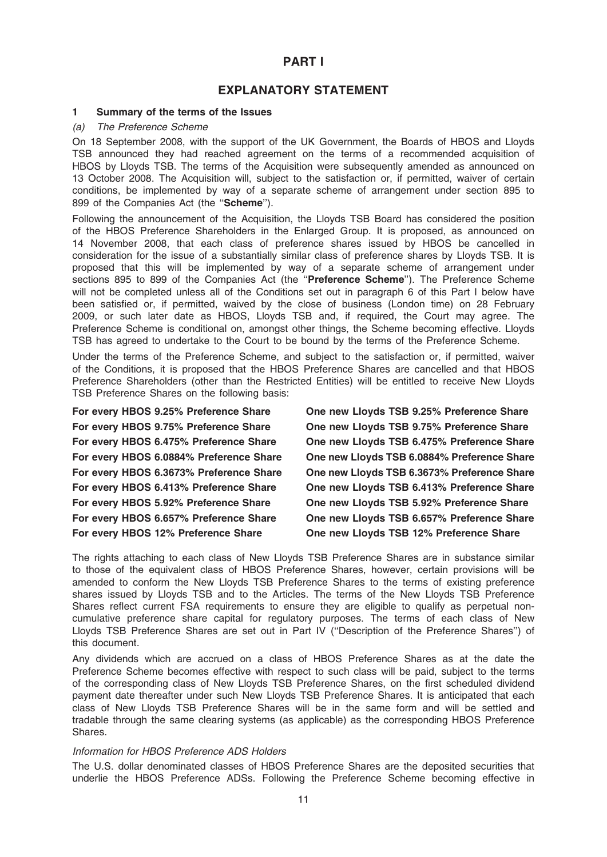# PART I

# EXPLANATORY STATEMENT

#### 1 Summary of the terms of the Issues

#### (a) The Preference Scheme

On 18 September 2008, with the support of the UK Government, the Boards of HBOS and Lloyds TSB announced they had reached agreement on the terms of a recommended acquisition of HBOS by Lloyds TSB. The terms of the Acquisition were subsequently amended as announced on 13 October 2008. The Acquisition will, subject to the satisfaction or, if permitted, waiver of certain conditions, be implemented by way of a separate scheme of arrangement under section 895 to 899 of the Companies Act (the "Scheme").

Following the announcement of the Acquisition, the Lloyds TSB Board has considered the position of the HBOS Preference Shareholders in the Enlarged Group. It is proposed, as announced on 14 November 2008, that each class of preference shares issued by HBOS be cancelled in consideration for the issue of a substantially similar class of preference shares by Lloyds TSB. It is proposed that this will be implemented by way of a separate scheme of arrangement under sections 895 to 899 of the Companies Act (the "Preference Scheme"). The Preference Scheme will not be completed unless all of the Conditions set out in paragraph 6 of this Part I below have been satisfied or, if permitted, waived by the close of business (London time) on 28 February 2009, or such later date as HBOS, Lloyds TSB and, if required, the Court may agree. The Preference Scheme is conditional on, amongst other things, the Scheme becoming effective. Lloyds TSB has agreed to undertake to the Court to be bound by the terms of the Preference Scheme.

Under the terms of the Preference Scheme, and subject to the satisfaction or, if permitted, waiver of the Conditions, it is proposed that the HBOS Preference Shares are cancelled and that HBOS Preference Shareholders (other than the Restricted Entities) will be entitled to receive New Lloyds TSB Preference Shares on the following basis:

For every HBOS 9.25% Preference Share One new Lloyds TSB 9.25% Preference Share For every HBOS 9.75% Preference Share One new Lloyds TSB 9.75% Preference Share For every HBOS 6.475% Preference Share One new Lloyds TSB 6.475% Preference Share For every HBOS 6.0884% Preference Share One new Lloyds TSB 6.0884% Preference Share For every HBOS 6.3673% Preference Share One new Lloyds TSB 6.3673% Preference Share For every HBOS 6.413% Preference Share One new Lloyds TSB 6.413% Preference Share For every HBOS 5.92% Preference Share One new Lloyds TSB 5.92% Preference Share For every HBOS 6.657% Preference Share One new Lloyds TSB 6.657% Preference Share For every HBOS 12% Preference Share One new Lloyds TSB 12% Preference Share

The rights attaching to each class of New Lloyds TSB Preference Shares are in substance similar to those of the equivalent class of HBOS Preference Shares, however, certain provisions will be amended to conform the New Lloyds TSB Preference Shares to the terms of existing preference shares issued by Lloyds TSB and to the Articles. The terms of the New Lloyds TSB Preference Shares reflect current FSA requirements to ensure they are eligible to qualify as perpetual noncumulative preference share capital for regulatory purposes. The terms of each class of New Lloyds TSB Preference Shares are set out in Part IV (''Description of the Preference Shares'') of this document.

Any dividends which are accrued on a class of HBOS Preference Shares as at the date the Preference Scheme becomes effective with respect to such class will be paid, subject to the terms of the corresponding class of New Lloyds TSB Preference Shares, on the first scheduled dividend payment date thereafter under such New Lloyds TSB Preference Shares. It is anticipated that each class of New Lloyds TSB Preference Shares will be in the same form and will be settled and tradable through the same clearing systems (as applicable) as the corresponding HBOS Preference Shares.

#### Information for HBOS Preference ADS Holders

The U.S. dollar denominated classes of HBOS Preference Shares are the deposited securities that underlie the HBOS Preference ADSs. Following the Preference Scheme becoming effective in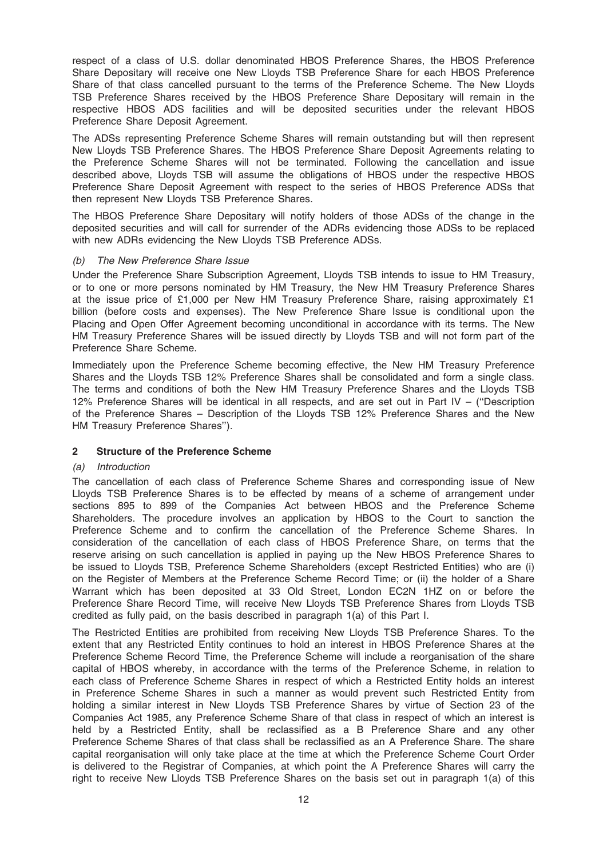respect of a class of U.S. dollar denominated HBOS Preference Shares, the HBOS Preference Share Depositary will receive one New Lloyds TSB Preference Share for each HBOS Preference Share of that class cancelled pursuant to the terms of the Preference Scheme. The New Lloyds TSB Preference Shares received by the HBOS Preference Share Depositary will remain in the respective HBOS ADS facilities and will be deposited securities under the relevant HBOS Preference Share Deposit Agreement.

The ADSs representing Preference Scheme Shares will remain outstanding but will then represent New Lloyds TSB Preference Shares. The HBOS Preference Share Deposit Agreements relating to the Preference Scheme Shares will not be terminated. Following the cancellation and issue described above, Lloyds TSB will assume the obligations of HBOS under the respective HBOS Preference Share Deposit Agreement with respect to the series of HBOS Preference ADSs that then represent New Lloyds TSB Preference Shares.

The HBOS Preference Share Depositary will notify holders of those ADSs of the change in the deposited securities and will call for surrender of the ADRs evidencing those ADSs to be replaced with new ADRs evidencing the New Lloyds TSB Preference ADSs.

### (b) The New Preference Share Issue

Under the Preference Share Subscription Agreement, Lloyds TSB intends to issue to HM Treasury, or to one or more persons nominated by HM Treasury, the New HM Treasury Preference Shares at the issue price of £1,000 per New HM Treasury Preference Share, raising approximately £1 billion (before costs and expenses). The New Preference Share Issue is conditional upon the Placing and Open Offer Agreement becoming unconditional in accordance with its terms. The New HM Treasury Preference Shares will be issued directly by Lloyds TSB and will not form part of the Preference Share Scheme.

Immediately upon the Preference Scheme becoming effective, the New HM Treasury Preference Shares and the Lloyds TSB 12% Preference Shares shall be consolidated and form a single class. The terms and conditions of both the New HM Treasury Preference Shares and the Lloyds TSB 12% Preference Shares will be identical in all respects, and are set out in Part IV – (''Description of the Preference Shares – Description of the Lloyds TSB 12% Preference Shares and the New HM Treasury Preference Shares'').

#### 2 Structure of the Preference Scheme

# (a) Introduction

The cancellation of each class of Preference Scheme Shares and corresponding issue of New Lloyds TSB Preference Shares is to be effected by means of a scheme of arrangement under sections 895 to 899 of the Companies Act between HBOS and the Preference Scheme Shareholders. The procedure involves an application by HBOS to the Court to sanction the Preference Scheme and to confirm the cancellation of the Preference Scheme Shares. In consideration of the cancellation of each class of HBOS Preference Share, on terms that the reserve arising on such cancellation is applied in paying up the New HBOS Preference Shares to be issued to Lloyds TSB, Preference Scheme Shareholders (except Restricted Entities) who are (i) on the Register of Members at the Preference Scheme Record Time; or (ii) the holder of a Share Warrant which has been deposited at 33 Old Street, London EC2N 1HZ on or before the Preference Share Record Time, will receive New Lloyds TSB Preference Shares from Lloyds TSB credited as fully paid, on the basis described in paragraph 1(a) of this Part I.

The Restricted Entities are prohibited from receiving New Lloyds TSB Preference Shares. To the extent that any Restricted Entity continues to hold an interest in HBOS Preference Shares at the Preference Scheme Record Time, the Preference Scheme will include a reorganisation of the share capital of HBOS whereby, in accordance with the terms of the Preference Scheme, in relation to each class of Preference Scheme Shares in respect of which a Restricted Entity holds an interest in Preference Scheme Shares in such a manner as would prevent such Restricted Entity from holding a similar interest in New Lloyds TSB Preference Shares by virtue of Section 23 of the Companies Act 1985, any Preference Scheme Share of that class in respect of which an interest is held by a Restricted Entity, shall be reclassified as a B Preference Share and any other Preference Scheme Shares of that class shall be reclassified as an A Preference Share. The share capital reorganisation will only take place at the time at which the Preference Scheme Court Order is delivered to the Registrar of Companies, at which point the A Preference Shares will carry the right to receive New Lloyds TSB Preference Shares on the basis set out in paragraph 1(a) of this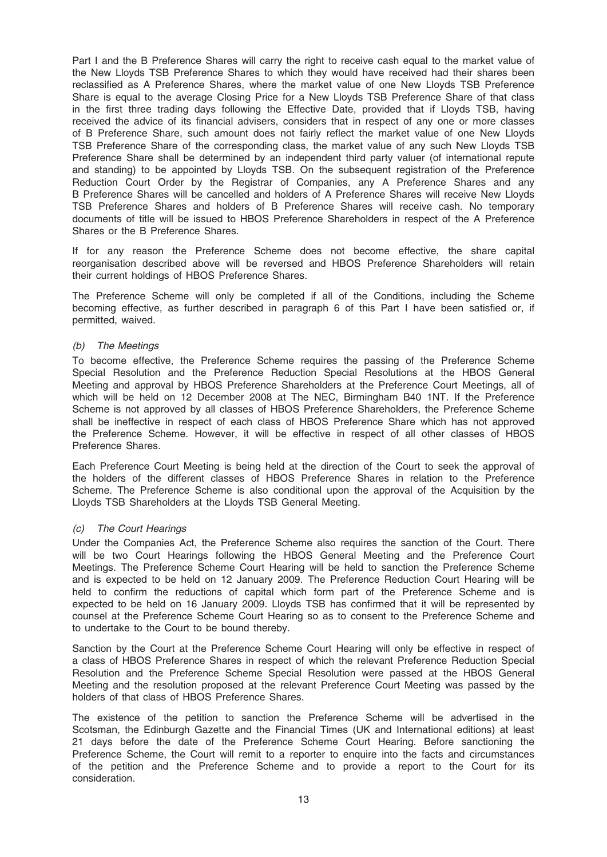Part I and the B Preference Shares will carry the right to receive cash equal to the market value of the New Lloyds TSB Preference Shares to which they would have received had their shares been reclassified as A Preference Shares, where the market value of one New Lloyds TSB Preference Share is equal to the average Closing Price for a New Lloyds TSB Preference Share of that class in the first three trading days following the Effective Date, provided that if Lloyds TSB, having received the advice of its financial advisers, considers that in respect of any one or more classes of B Preference Share, such amount does not fairly reflect the market value of one New Lloyds TSB Preference Share of the corresponding class, the market value of any such New Lloyds TSB Preference Share shall be determined by an independent third party valuer (of international repute and standing) to be appointed by Lloyds TSB. On the subsequent registration of the Preference Reduction Court Order by the Registrar of Companies, any A Preference Shares and any B Preference Shares will be cancelled and holders of A Preference Shares will receive New Lloyds TSB Preference Shares and holders of B Preference Shares will receive cash. No temporary documents of title will be issued to HBOS Preference Shareholders in respect of the A Preference Shares or the B Preference Shares.

If for any reason the Preference Scheme does not become effective, the share capital reorganisation described above will be reversed and HBOS Preference Shareholders will retain their current holdings of HBOS Preference Shares.

The Preference Scheme will only be completed if all of the Conditions, including the Scheme becoming effective, as further described in paragraph 6 of this Part I have been satisfied or, if permitted, waived.

### (b) The Meetings

To become effective, the Preference Scheme requires the passing of the Preference Scheme Special Resolution and the Preference Reduction Special Resolutions at the HBOS General Meeting and approval by HBOS Preference Shareholders at the Preference Court Meetings, all of which will be held on 12 December 2008 at The NEC, Birmingham B40 1NT. If the Preference Scheme is not approved by all classes of HBOS Preference Shareholders, the Preference Scheme shall be ineffective in respect of each class of HBOS Preference Share which has not approved the Preference Scheme. However, it will be effective in respect of all other classes of HBOS Preference Shares.

Each Preference Court Meeting is being held at the direction of the Court to seek the approval of the holders of the different classes of HBOS Preference Shares in relation to the Preference Scheme. The Preference Scheme is also conditional upon the approval of the Acquisition by the Lloyds TSB Shareholders at the Lloyds TSB General Meeting.

# (c) The Court Hearings

Under the Companies Act, the Preference Scheme also requires the sanction of the Court. There will be two Court Hearings following the HBOS General Meeting and the Preference Court Meetings. The Preference Scheme Court Hearing will be held to sanction the Preference Scheme and is expected to be held on 12 January 2009. The Preference Reduction Court Hearing will be held to confirm the reductions of capital which form part of the Preference Scheme and is expected to be held on 16 January 2009. Lloyds TSB has confirmed that it will be represented by counsel at the Preference Scheme Court Hearing so as to consent to the Preference Scheme and to undertake to the Court to be bound thereby.

Sanction by the Court at the Preference Scheme Court Hearing will only be effective in respect of a class of HBOS Preference Shares in respect of which the relevant Preference Reduction Special Resolution and the Preference Scheme Special Resolution were passed at the HBOS General Meeting and the resolution proposed at the relevant Preference Court Meeting was passed by the holders of that class of HBOS Preference Shares.

The existence of the petition to sanction the Preference Scheme will be advertised in the Scotsman, the Edinburgh Gazette and the Financial Times (UK and International editions) at least 21 days before the date of the Preference Scheme Court Hearing. Before sanctioning the Preference Scheme, the Court will remit to a reporter to enquire into the facts and circumstances of the petition and the Preference Scheme and to provide a report to the Court for its consideration.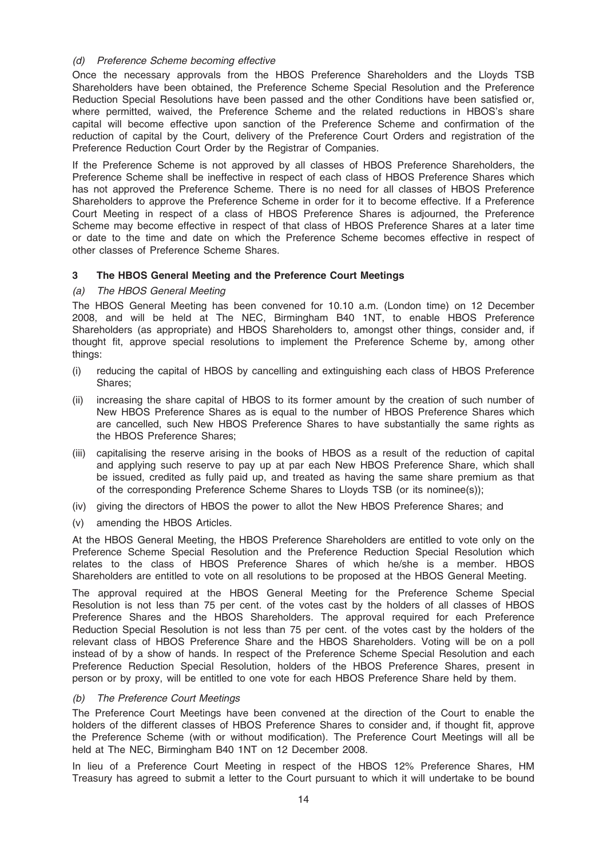### (d) Preference Scheme becoming effective

Once the necessary approvals from the HBOS Preference Shareholders and the Lloyds TSB Shareholders have been obtained, the Preference Scheme Special Resolution and the Preference Reduction Special Resolutions have been passed and the other Conditions have been satisfied or, where permitted, waived, the Preference Scheme and the related reductions in HBOS's share capital will become effective upon sanction of the Preference Scheme and confirmation of the reduction of capital by the Court, delivery of the Preference Court Orders and registration of the Preference Reduction Court Order by the Registrar of Companies.

If the Preference Scheme is not approved by all classes of HBOS Preference Shareholders, the Preference Scheme shall be ineffective in respect of each class of HBOS Preference Shares which has not approved the Preference Scheme. There is no need for all classes of HBOS Preference Shareholders to approve the Preference Scheme in order for it to become effective. If a Preference Court Meeting in respect of a class of HBOS Preference Shares is adjourned, the Preference Scheme may become effective in respect of that class of HBOS Preference Shares at a later time or date to the time and date on which the Preference Scheme becomes effective in respect of other classes of Preference Scheme Shares.

# 3 The HBOS General Meeting and the Preference Court Meetings

### (a) The HBOS General Meeting

The HBOS General Meeting has been convened for 10.10 a.m. (London time) on 12 December 2008, and will be held at The NEC, Birmingham B40 1NT, to enable HBOS Preference Shareholders (as appropriate) and HBOS Shareholders to, amongst other things, consider and, if thought fit, approve special resolutions to implement the Preference Scheme by, among other things:

- (i) reducing the capital of HBOS by cancelling and extinguishing each class of HBOS Preference Shares;
- (ii) increasing the share capital of HBOS to its former amount by the creation of such number of New HBOS Preference Shares as is equal to the number of HBOS Preference Shares which are cancelled, such New HBOS Preference Shares to have substantially the same rights as the HBOS Preference Shares;
- (iii) capitalising the reserve arising in the books of HBOS as a result of the reduction of capital and applying such reserve to pay up at par each New HBOS Preference Share, which shall be issued, credited as fully paid up, and treated as having the same share premium as that of the corresponding Preference Scheme Shares to Lloyds TSB (or its nominee(s));
- (iv) giving the directors of HBOS the power to allot the New HBOS Preference Shares; and
- (v) amending the HBOS Articles.

At the HBOS General Meeting, the HBOS Preference Shareholders are entitled to vote only on the Preference Scheme Special Resolution and the Preference Reduction Special Resolution which relates to the class of HBOS Preference Shares of which he/she is a member. HBOS Shareholders are entitled to vote on all resolutions to be proposed at the HBOS General Meeting.

The approval required at the HBOS General Meeting for the Preference Scheme Special Resolution is not less than 75 per cent. of the votes cast by the holders of all classes of HBOS Preference Shares and the HBOS Shareholders. The approval required for each Preference Reduction Special Resolution is not less than 75 per cent. of the votes cast by the holders of the relevant class of HBOS Preference Share and the HBOS Shareholders. Voting will be on a poll instead of by a show of hands. In respect of the Preference Scheme Special Resolution and each Preference Reduction Special Resolution, holders of the HBOS Preference Shares, present in person or by proxy, will be entitled to one vote for each HBOS Preference Share held by them.

# (b) The Preference Court Meetings

The Preference Court Meetings have been convened at the direction of the Court to enable the holders of the different classes of HBOS Preference Shares to consider and, if thought fit, approve the Preference Scheme (with or without modification). The Preference Court Meetings will all be held at The NEC, Birmingham B40 1NT on 12 December 2008.

In lieu of a Preference Court Meeting in respect of the HBOS 12% Preference Shares, HM Treasury has agreed to submit a letter to the Court pursuant to which it will undertake to be bound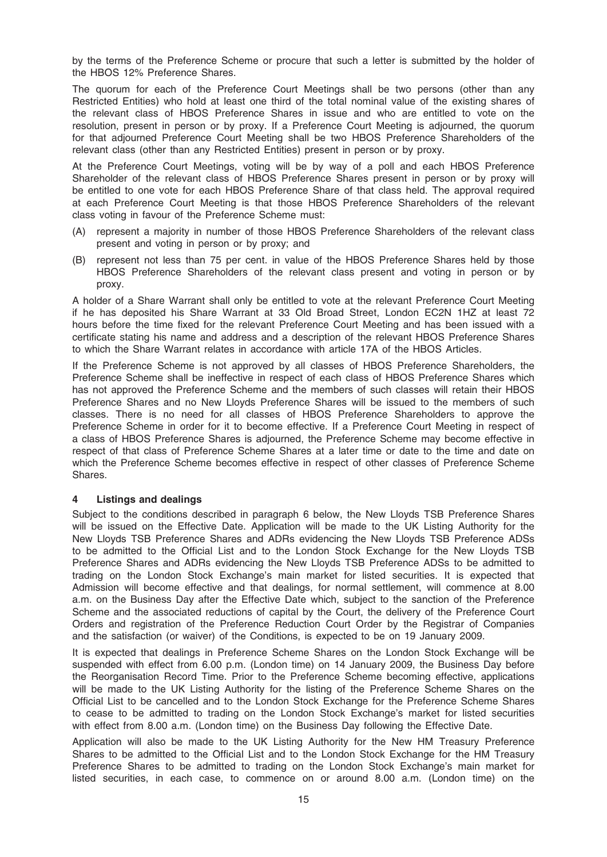by the terms of the Preference Scheme or procure that such a letter is submitted by the holder of the HBOS 12% Preference Shares.

The quorum for each of the Preference Court Meetings shall be two persons (other than any Restricted Entities) who hold at least one third of the total nominal value of the existing shares of the relevant class of HBOS Preference Shares in issue and who are entitled to vote on the resolution, present in person or by proxy. If a Preference Court Meeting is adjourned, the quorum for that adjourned Preference Court Meeting shall be two HBOS Preference Shareholders of the relevant class (other than any Restricted Entities) present in person or by proxy.

At the Preference Court Meetings, voting will be by way of a poll and each HBOS Preference Shareholder of the relevant class of HBOS Preference Shares present in person or by proxy will be entitled to one vote for each HBOS Preference Share of that class held. The approval required at each Preference Court Meeting is that those HBOS Preference Shareholders of the relevant class voting in favour of the Preference Scheme must:

- (A) represent a majority in number of those HBOS Preference Shareholders of the relevant class present and voting in person or by proxy; and
- (B) represent not less than 75 per cent. in value of the HBOS Preference Shares held by those HBOS Preference Shareholders of the relevant class present and voting in person or by proxy.

A holder of a Share Warrant shall only be entitled to vote at the relevant Preference Court Meeting if he has deposited his Share Warrant at 33 Old Broad Street, London EC2N 1HZ at least 72 hours before the time fixed for the relevant Preference Court Meeting and has been issued with a certificate stating his name and address and a description of the relevant HBOS Preference Shares to which the Share Warrant relates in accordance with article 17A of the HBOS Articles.

If the Preference Scheme is not approved by all classes of HBOS Preference Shareholders, the Preference Scheme shall be ineffective in respect of each class of HBOS Preference Shares which has not approved the Preference Scheme and the members of such classes will retain their HBOS Preference Shares and no New Lloyds Preference Shares will be issued to the members of such classes. There is no need for all classes of HBOS Preference Shareholders to approve the Preference Scheme in order for it to become effective. If a Preference Court Meeting in respect of a class of HBOS Preference Shares is adjourned, the Preference Scheme may become effective in respect of that class of Preference Scheme Shares at a later time or date to the time and date on which the Preference Scheme becomes effective in respect of other classes of Preference Scheme Shares.

# 4 Listings and dealings

Subject to the conditions described in paragraph 6 below, the New Lloyds TSB Preference Shares will be issued on the Effective Date. Application will be made to the UK Listing Authority for the New Lloyds TSB Preference Shares and ADRs evidencing the New Lloyds TSB Preference ADSs to be admitted to the Official List and to the London Stock Exchange for the New Lloyds TSB Preference Shares and ADRs evidencing the New Lloyds TSB Preference ADSs to be admitted to trading on the London Stock Exchange's main market for listed securities. It is expected that Admission will become effective and that dealings, for normal settlement, will commence at 8.00 a.m. on the Business Day after the Effective Date which, subject to the sanction of the Preference Scheme and the associated reductions of capital by the Court, the delivery of the Preference Court Orders and registration of the Preference Reduction Court Order by the Registrar of Companies and the satisfaction (or waiver) of the Conditions, is expected to be on 19 January 2009.

It is expected that dealings in Preference Scheme Shares on the London Stock Exchange will be suspended with effect from 6.00 p.m. (London time) on 14 January 2009, the Business Day before the Reorganisation Record Time. Prior to the Preference Scheme becoming effective, applications will be made to the UK Listing Authority for the listing of the Preference Scheme Shares on the Official List to be cancelled and to the London Stock Exchange for the Preference Scheme Shares to cease to be admitted to trading on the London Stock Exchange's market for listed securities with effect from 8.00 a.m. (London time) on the Business Day following the Effective Date.

Application will also be made to the UK Listing Authority for the New HM Treasury Preference Shares to be admitted to the Official List and to the London Stock Exchange for the HM Treasury Preference Shares to be admitted to trading on the London Stock Exchange's main market for listed securities, in each case, to commence on or around 8.00 a.m. (London time) on the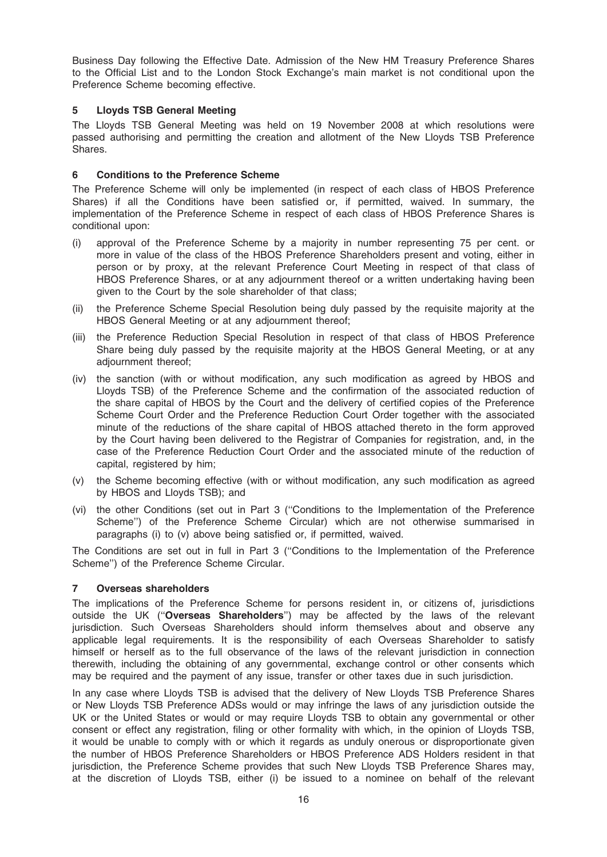Business Day following the Effective Date. Admission of the New HM Treasury Preference Shares to the Official List and to the London Stock Exchange's main market is not conditional upon the Preference Scheme becoming effective.

# 5 Lloyds TSB General Meeting

The Lloyds TSB General Meeting was held on 19 November 2008 at which resolutions were passed authorising and permitting the creation and allotment of the New Lloyds TSB Preference Shares.

### 6 Conditions to the Preference Scheme

The Preference Scheme will only be implemented (in respect of each class of HBOS Preference Shares) if all the Conditions have been satisfied or, if permitted, waived. In summary, the implementation of the Preference Scheme in respect of each class of HBOS Preference Shares is conditional upon:

- (i) approval of the Preference Scheme by a majority in number representing 75 per cent. or more in value of the class of the HBOS Preference Shareholders present and voting, either in person or by proxy, at the relevant Preference Court Meeting in respect of that class of HBOS Preference Shares, or at any adjournment thereof or a written undertaking having been given to the Court by the sole shareholder of that class;
- (ii) the Preference Scheme Special Resolution being duly passed by the requisite majority at the HBOS General Meeting or at any adjournment thereof;
- (iii) the Preference Reduction Special Resolution in respect of that class of HBOS Preference Share being duly passed by the requisite majority at the HBOS General Meeting, or at any adjournment thereof;
- (iv) the sanction (with or without modification, any such modification as agreed by HBOS and Lloyds TSB) of the Preference Scheme and the confirmation of the associated reduction of the share capital of HBOS by the Court and the delivery of certified copies of the Preference Scheme Court Order and the Preference Reduction Court Order together with the associated minute of the reductions of the share capital of HBOS attached thereto in the form approved by the Court having been delivered to the Registrar of Companies for registration, and, in the case of the Preference Reduction Court Order and the associated minute of the reduction of capital, registered by him;
- (v) the Scheme becoming effective (with or without modification, any such modification as agreed by HBOS and Lloyds TSB); and
- (vi) the other Conditions (set out in Part 3 (''Conditions to the Implementation of the Preference Scheme'') of the Preference Scheme Circular) which are not otherwise summarised in paragraphs (i) to (v) above being satisfied or, if permitted, waived.

The Conditions are set out in full in Part 3 (''Conditions to the Implementation of the Preference Scheme'') of the Preference Scheme Circular.

#### 7 Overseas shareholders

The implications of the Preference Scheme for persons resident in, or citizens of, jurisdictions outside the UK ("Overseas Shareholders") may be affected by the laws of the relevant jurisdiction. Such Overseas Shareholders should inform themselves about and observe any applicable legal requirements. It is the responsibility of each Overseas Shareholder to satisfy himself or herself as to the full observance of the laws of the relevant jurisdiction in connection therewith, including the obtaining of any governmental, exchange control or other consents which may be required and the payment of any issue, transfer or other taxes due in such jurisdiction.

In any case where Lloyds TSB is advised that the delivery of New Lloyds TSB Preference Shares or New Lloyds TSB Preference ADSs would or may infringe the laws of any jurisdiction outside the UK or the United States or would or may require Lloyds TSB to obtain any governmental or other consent or effect any registration, filing or other formality with which, in the opinion of Lloyds TSB, it would be unable to comply with or which it regards as unduly onerous or disproportionate given the number of HBOS Preference Shareholders or HBOS Preference ADS Holders resident in that jurisdiction, the Preference Scheme provides that such New Lloyds TSB Preference Shares may, at the discretion of Lloyds TSB, either (i) be issued to a nominee on behalf of the relevant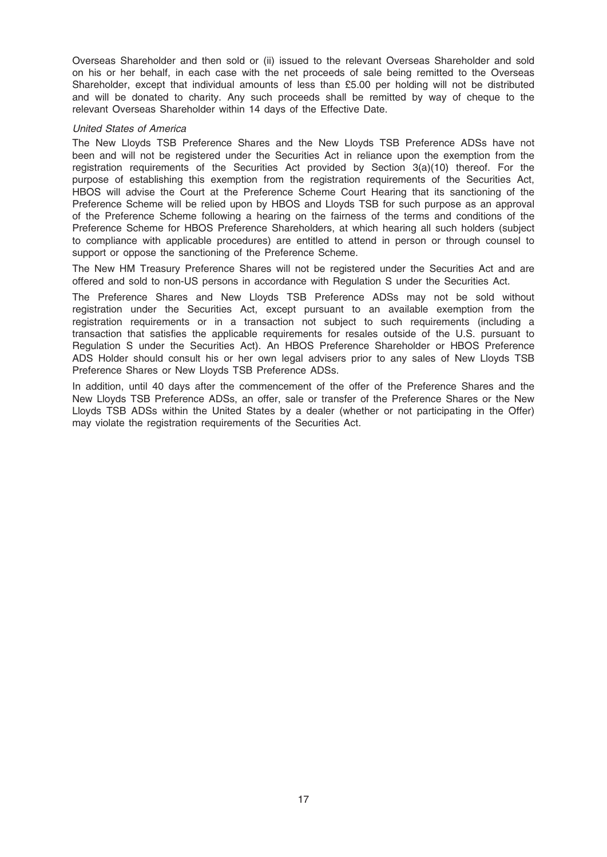Overseas Shareholder and then sold or (ii) issued to the relevant Overseas Shareholder and sold on his or her behalf, in each case with the net proceeds of sale being remitted to the Overseas Shareholder, except that individual amounts of less than £5.00 per holding will not be distributed and will be donated to charity. Any such proceeds shall be remitted by way of cheque to the relevant Overseas Shareholder within 14 days of the Effective Date.

#### United States of America

The New Lloyds TSB Preference Shares and the New Lloyds TSB Preference ADSs have not been and will not be registered under the Securities Act in reliance upon the exemption from the registration requirements of the Securities Act provided by Section 3(a)(10) thereof. For the purpose of establishing this exemption from the registration requirements of the Securities Act, HBOS will advise the Court at the Preference Scheme Court Hearing that its sanctioning of the Preference Scheme will be relied upon by HBOS and Lloyds TSB for such purpose as an approval of the Preference Scheme following a hearing on the fairness of the terms and conditions of the Preference Scheme for HBOS Preference Shareholders, at which hearing all such holders (subject to compliance with applicable procedures) are entitled to attend in person or through counsel to support or oppose the sanctioning of the Preference Scheme.

The New HM Treasury Preference Shares will not be registered under the Securities Act and are offered and sold to non-US persons in accordance with Regulation S under the Securities Act.

The Preference Shares and New Lloyds TSB Preference ADSs may not be sold without registration under the Securities Act, except pursuant to an available exemption from the registration requirements or in a transaction not subject to such requirements (including a transaction that satisfies the applicable requirements for resales outside of the U.S. pursuant to Regulation S under the Securities Act). An HBOS Preference Shareholder or HBOS Preference ADS Holder should consult his or her own legal advisers prior to any sales of New Lloyds TSB Preference Shares or New Lloyds TSB Preference ADSs.

In addition, until 40 days after the commencement of the offer of the Preference Shares and the New Lloyds TSB Preference ADSs, an offer, sale or transfer of the Preference Shares or the New Lloyds TSB ADSs within the United States by a dealer (whether or not participating in the Offer) may violate the registration requirements of the Securities Act.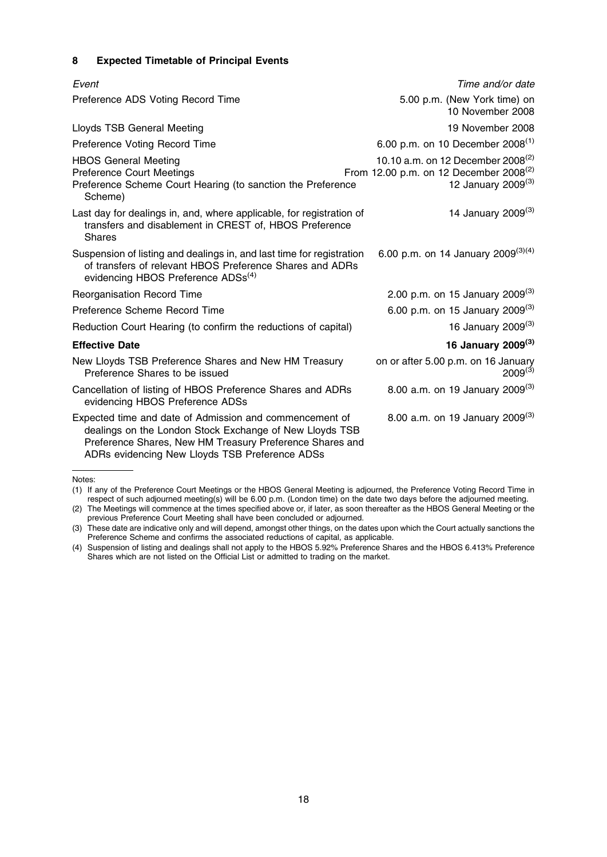# 8 Expected Timetable of Principal Events

| Event                                                                                                                                                                                                                            | Time and/or date                                                                                                             |
|----------------------------------------------------------------------------------------------------------------------------------------------------------------------------------------------------------------------------------|------------------------------------------------------------------------------------------------------------------------------|
| Preference ADS Voting Record Time                                                                                                                                                                                                | 5.00 p.m. (New York time) on<br>10 November 2008                                                                             |
| <b>Lloyds TSB General Meeting</b>                                                                                                                                                                                                | 19 November 2008                                                                                                             |
| Preference Voting Record Time                                                                                                                                                                                                    | 6.00 p.m. on 10 December 2008 <sup>(1)</sup>                                                                                 |
| <b>HBOS General Meeting</b><br><b>Preference Court Meetings</b><br>Preference Scheme Court Hearing (to sanction the Preference<br>Scheme)                                                                                        | 10.10 a.m. on 12 December 2008 <sup>(2)</sup><br>From 12.00 p.m. on 12 December 2008 <sup>(2)</sup><br>12 January 2009 $(3)$ |
| Last day for dealings in, and, where applicable, for registration of<br>transfers and disablement in CREST of, HBOS Preference<br>Shares                                                                                         | 14 January 2009 <sup>(3)</sup>                                                                                               |
| Suspension of listing and dealings in, and last time for registration<br>of transfers of relevant HBOS Preference Shares and ADRs<br>evidencing HBOS Preference ADSs <sup>(4)</sup>                                              | 6.00 p.m. on 14 January 2009 <sup>(3)(4)</sup>                                                                               |
| Reorganisation Record Time                                                                                                                                                                                                       | 2.00 p.m. on 15 January 2009 <sup>(3)</sup>                                                                                  |
| Preference Scheme Record Time                                                                                                                                                                                                    | 6.00 p.m. on 15 January 2009 <sup>(3)</sup>                                                                                  |
| Reduction Court Hearing (to confirm the reductions of capital)                                                                                                                                                                   | 16 January 2009 <sup>(3)</sup>                                                                                               |
| <b>Effective Date</b>                                                                                                                                                                                                            | 16 January 2009 <sup>(3)</sup>                                                                                               |
| New Lloyds TSB Preference Shares and New HM Treasury<br>Preference Shares to be issued                                                                                                                                           | on or after 5.00 p.m. on 16 January<br>$2009^{(3)}$                                                                          |
| Cancellation of listing of HBOS Preference Shares and ADRs<br>evidencing HBOS Preference ADSs                                                                                                                                    | 8.00 a.m. on 19 January 2009 <sup>(3)</sup>                                                                                  |
| Expected time and date of Admission and commencement of<br>dealings on the London Stock Exchange of New Lloyds TSB<br>Preference Shares, New HM Treasury Preference Shares and<br>ADRs evidencing New Lloyds TSB Preference ADSs | 8.00 a.m. on 19 January 2009 <sup>(3)</sup>                                                                                  |

Notes:

<sup>(1)</sup> If any of the Preference Court Meetings or the HBOS General Meeting is adjourned, the Preference Voting Record Time in respect of such adjourned meeting(s) will be 6.00 p.m. (London time) on the date two days before the adjourned meeting.

<sup>(2)</sup> The Meetings will commence at the times specified above or, if later, as soon thereafter as the HBOS General Meeting or the previous Preference Court Meeting shall have been concluded or adjourned.

<sup>(3)</sup> These date are indicative only and will depend, amongst other things, on the dates upon which the Court actually sanctions the Preference Scheme and confirms the associated reductions of capital, as applicable.

<sup>(4)</sup> Suspension of listing and dealings shall not apply to the HBOS 5.92% Preference Shares and the HBOS 6.413% Preference Shares which are not listed on the Official List or admitted to trading on the market.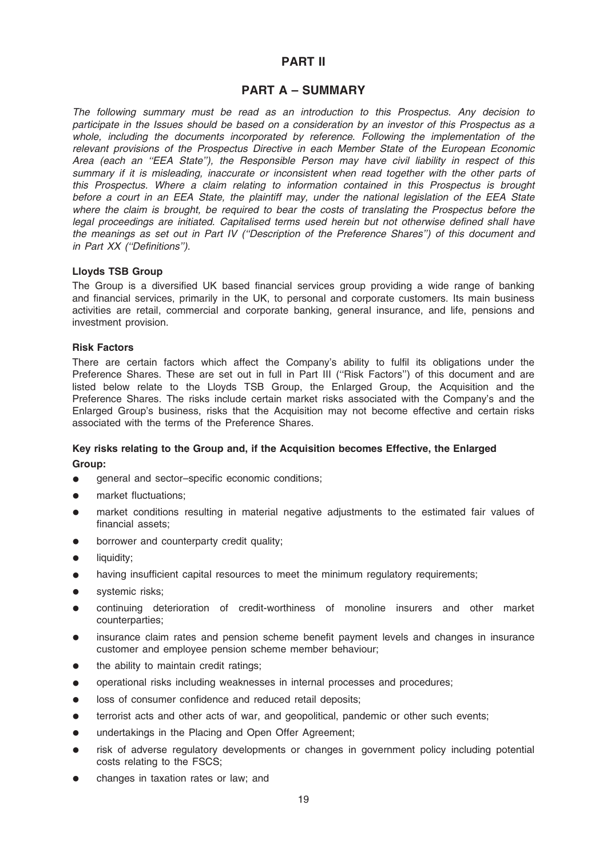# PART II

# PART A – SUMMARY

The following summary must be read as an introduction to this Prospectus. Any decision to participate in the Issues should be based on a consideration by an investor of this Prospectus as a whole, including the documents incorporated by reference. Following the implementation of the relevant provisions of the Prospectus Directive in each Member State of the European Economic Area (each an ''EEA State''), the Responsible Person may have civil liability in respect of this summary if it is misleading, inaccurate or inconsistent when read together with the other parts of this Prospectus. Where a claim relating to information contained in this Prospectus is brought before a court in an EEA State, the plaintiff may, under the national legislation of the EEA State where the claim is brought, be required to bear the costs of translating the Prospectus before the legal proceedings are initiated. Capitalised terms used herein but not otherwise defined shall have the meanings as set out in Part IV (''Description of the Preference Shares'') of this document and in Part XX (''Definitions'').

### Lloyds TSB Group

The Group is a diversified UK based financial services group providing a wide range of banking and financial services, primarily in the UK, to personal and corporate customers. Its main business activities are retail, commercial and corporate banking, general insurance, and life, pensions and investment provision.

#### Risk Factors

There are certain factors which affect the Company's ability to fulfil its obligations under the Preference Shares. These are set out in full in Part III (''Risk Factors'') of this document and are listed below relate to the Lloyds TSB Group, the Enlarged Group, the Acquisition and the Preference Shares. The risks include certain market risks associated with the Company's and the Enlarged Group's business, risks that the Acquisition may not become effective and certain risks associated with the terms of the Preference Shares.

# Key risks relating to the Group and, if the Acquisition becomes Effective, the Enlarged Group:

- general and sector–specific economic conditions;
- market fluctuations;
- market conditions resulting in material negative adjustments to the estimated fair values of financial assets;
- borrower and counterparty credit quality;
- $\bullet$  liquidity;
- having insufficient capital resources to meet the minimum regulatory requirements;
- systemic risks;
- \* continuing deterioration of credit-worthiness of monoline insurers and other market counterparties;
- insurance claim rates and pension scheme benefit payment levels and changes in insurance customer and employee pension scheme member behaviour;
- the ability to maintain credit ratings;
- operational risks including weaknesses in internal processes and procedures;
- loss of consumer confidence and reduced retail deposits;
- terrorist acts and other acts of war, and geopolitical, pandemic or other such events;
- undertakings in the Placing and Open Offer Agreement;
- risk of adverse regulatory developments or changes in government policy including potential costs relating to the FSCS;
- changes in taxation rates or law; and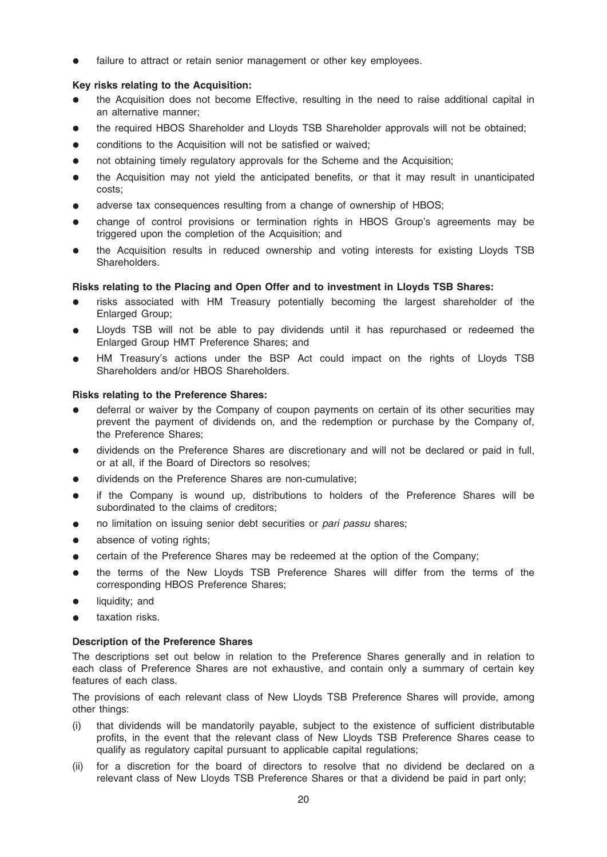failure to attract or retain senior management or other key employees.

# Key risks relating to the Acquisition:

- the Acquisition does not become Effective, resulting in the need to raise additional capital in an alternative manner;
- the required HBOS Shareholder and Lloyds TSB Shareholder approvals will not be obtained;
- conditions to the Acquisition will not be satisfied or waived;
- not obtaining timely regulatory approvals for the Scheme and the Acquisition;
- the Acquisition may not yield the anticipated benefits, or that it may result in unanticipated costs;
- adverse tax consequences resulting from a change of ownership of HBOS;
- change of control provisions or termination rights in HBOS Group's agreements may be triggered upon the completion of the Acquisition; and
- the Acquisition results in reduced ownership and voting interests for existing Lloyds TSB Shareholders.

# Risks relating to the Placing and Open Offer and to investment in Lloyds TSB Shares:

- risks associated with HM Treasury potentially becoming the largest shareholder of the Enlarged Group;
- Lloyds TSB will not be able to pay dividends until it has repurchased or redeemed the Enlarged Group HMT Preference Shares; and
- HM Treasury's actions under the BSP Act could impact on the rights of Lloyds TSB Shareholders and/or HBOS Shareholders.

# Risks relating to the Preference Shares:

- deferral or waiver by the Company of coupon payments on certain of its other securities may prevent the payment of dividends on, and the redemption or purchase by the Company of, the Preference Shares;
- dividends on the Preference Shares are discretionary and will not be declared or paid in full, or at all, if the Board of Directors so resolves;
- dividends on the Preference Shares are non-cumulative;
- if the Company is wound up, distributions to holders of the Preference Shares will be subordinated to the claims of creditors;
- no limitation on issuing senior debt securities or pari passu shares;
- absence of voting rights;
- certain of the Preference Shares may be redeemed at the option of the Company;
- the terms of the New Lloyds TSB Preference Shares will differ from the terms of the corresponding HBOS Preference Shares;
- $\bullet$  liquidity; and
- taxation risks.

# Description of the Preference Shares

The descriptions set out below in relation to the Preference Shares generally and in relation to each class of Preference Shares are not exhaustive, and contain only a summary of certain key features of each class.

The provisions of each relevant class of New Lloyds TSB Preference Shares will provide, among other things:

- (i) that dividends will be mandatorily payable, subject to the existence of sufficient distributable profits, in the event that the relevant class of New Lloyds TSB Preference Shares cease to qualify as regulatory capital pursuant to applicable capital regulations;
- (ii) for a discretion for the board of directors to resolve that no dividend be declared on a relevant class of New Lloyds TSB Preference Shares or that a dividend be paid in part only;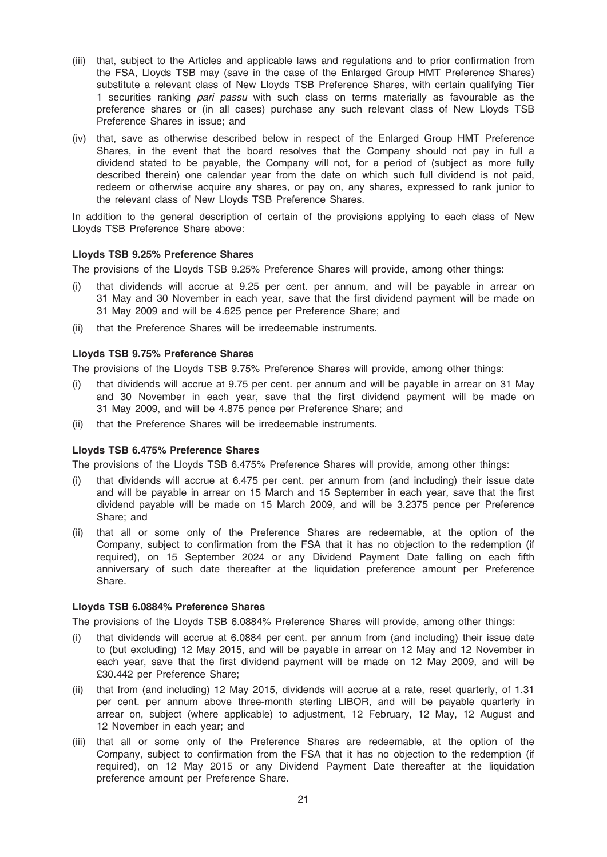- (iii) that, subject to the Articles and applicable laws and regulations and to prior confirmation from the FSA, Lloyds TSB may (save in the case of the Enlarged Group HMT Preference Shares) substitute a relevant class of New Lloyds TSB Preference Shares, with certain qualifying Tier 1 securities ranking *pari passu* with such class on terms materially as favourable as the preference shares or (in all cases) purchase any such relevant class of New Lloyds TSB Preference Shares in issue; and
- (iv) that, save as otherwise described below in respect of the Enlarged Group HMT Preference Shares, in the event that the board resolves that the Company should not pay in full a dividend stated to be payable, the Company will not, for a period of (subject as more fully described therein) one calendar year from the date on which such full dividend is not paid, redeem or otherwise acquire any shares, or pay on, any shares, expressed to rank junior to the relevant class of New Lloyds TSB Preference Shares.

In addition to the general description of certain of the provisions applying to each class of New Lloyds TSB Preference Share above:

#### Lloyds TSB 9.25% Preference Shares

The provisions of the Lloyds TSB 9.25% Preference Shares will provide, among other things:

- (i) that dividends will accrue at 9.25 per cent. per annum, and will be payable in arrear on 31 May and 30 November in each year, save that the first dividend payment will be made on 31 May 2009 and will be 4.625 pence per Preference Share; and
- that the Preference Shares will be irredeemable instruments.

#### Lloyds TSB 9.75% Preference Shares

The provisions of the Lloyds TSB 9.75% Preference Shares will provide, among other things:

- (i) that dividends will accrue at 9.75 per cent. per annum and will be payable in arrear on 31 May and 30 November in each year, save that the first dividend payment will be made on 31 May 2009, and will be 4.875 pence per Preference Share; and
- (ii) that the Preference Shares will be irredeemable instruments.

#### Lloyds TSB 6.475% Preference Shares

The provisions of the Lloyds TSB 6.475% Preference Shares will provide, among other things:

- (i) that dividends will accrue at 6.475 per cent. per annum from (and including) their issue date and will be payable in arrear on 15 March and 15 September in each year, save that the first dividend payable will be made on 15 March 2009, and will be 3.2375 pence per Preference Share; and
- (ii) that all or some only of the Preference Shares are redeemable, at the option of the Company, subject to confirmation from the FSA that it has no objection to the redemption (if required), on 15 September 2024 or any Dividend Payment Date falling on each fifth anniversary of such date thereafter at the liquidation preference amount per Preference Share.

# Lloyds TSB 6.0884% Preference Shares

The provisions of the Lloyds TSB 6.0884% Preference Shares will provide, among other things:

- (i) that dividends will accrue at 6.0884 per cent. per annum from (and including) their issue date to (but excluding) 12 May 2015, and will be payable in arrear on 12 May and 12 November in each year, save that the first dividend payment will be made on 12 May 2009, and will be £30.442 per Preference Share;
- (ii) that from (and including) 12 May 2015, dividends will accrue at a rate, reset quarterly, of 1.31 per cent. per annum above three-month sterling LIBOR, and will be payable quarterly in arrear on, subject (where applicable) to adjustment, 12 February, 12 May, 12 August and 12 November in each year; and
- (iii) that all or some only of the Preference Shares are redeemable, at the option of the Company, subject to confirmation from the FSA that it has no objection to the redemption (if required), on 12 May 2015 or any Dividend Payment Date thereafter at the liquidation preference amount per Preference Share.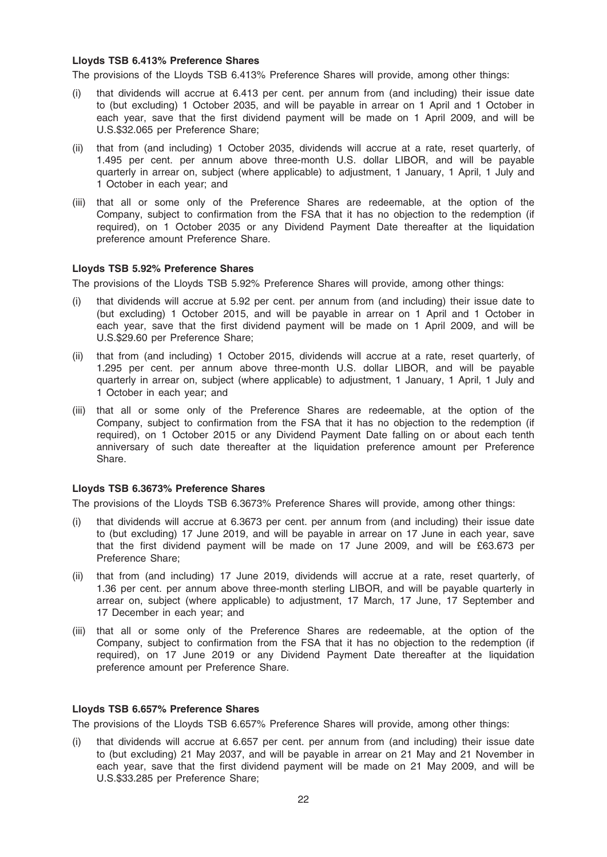#### Lloyds TSB 6.413% Preference Shares

The provisions of the Lloyds TSB 6.413% Preference Shares will provide, among other things:

- (i) that dividends will accrue at 6.413 per cent. per annum from (and including) their issue date to (but excluding) 1 October 2035, and will be payable in arrear on 1 April and 1 October in each year, save that the first dividend payment will be made on 1 April 2009, and will be U.S.\$32.065 per Preference Share;
- (ii) that from (and including) 1 October 2035, dividends will accrue at a rate, reset quarterly, of 1.495 per cent. per annum above three-month U.S. dollar LIBOR, and will be payable quarterly in arrear on, subject (where applicable) to adjustment, 1 January, 1 April, 1 July and 1 October in each year; and
- (iii) that all or some only of the Preference Shares are redeemable, at the option of the Company, subject to confirmation from the FSA that it has no objection to the redemption (if required), on 1 October 2035 or any Dividend Payment Date thereafter at the liquidation preference amount Preference Share.

#### Lloyds TSB 5.92% Preference Shares

The provisions of the Lloyds TSB 5.92% Preference Shares will provide, among other things:

- (i) that dividends will accrue at 5.92 per cent. per annum from (and including) their issue date to (but excluding) 1 October 2015, and will be payable in arrear on 1 April and 1 October in each year, save that the first dividend payment will be made on 1 April 2009, and will be U.S.\$29.60 per Preference Share;
- (ii) that from (and including) 1 October 2015, dividends will accrue at a rate, reset quarterly, of 1.295 per cent. per annum above three-month U.S. dollar LIBOR, and will be payable quarterly in arrear on, subject (where applicable) to adjustment, 1 January, 1 April, 1 July and 1 October in each year; and
- (iii) that all or some only of the Preference Shares are redeemable, at the option of the Company, subject to confirmation from the FSA that it has no objection to the redemption (if required), on 1 October 2015 or any Dividend Payment Date falling on or about each tenth anniversary of such date thereafter at the liquidation preference amount per Preference Share.

#### Lloyds TSB 6.3673% Preference Shares

The provisions of the Lloyds TSB 6.3673% Preference Shares will provide, among other things:

- (i) that dividends will accrue at 6.3673 per cent. per annum from (and including) their issue date to (but excluding) 17 June 2019, and will be payable in arrear on 17 June in each year, save that the first dividend payment will be made on 17 June 2009, and will be £63.673 per Preference Share;
- (ii) that from (and including) 17 June 2019, dividends will accrue at a rate, reset quarterly, of 1.36 per cent. per annum above three-month sterling LIBOR, and will be payable quarterly in arrear on, subject (where applicable) to adjustment, 17 March, 17 June, 17 September and 17 December in each year; and
- (iii) that all or some only of the Preference Shares are redeemable, at the option of the Company, subject to confirmation from the FSA that it has no objection to the redemption (if required), on 17 June 2019 or any Dividend Payment Date thereafter at the liquidation preference amount per Preference Share.

### Lloyds TSB 6.657% Preference Shares

The provisions of the Lloyds TSB 6.657% Preference Shares will provide, among other things:

(i) that dividends will accrue at 6.657 per cent. per annum from (and including) their issue date to (but excluding) 21 May 2037, and will be payable in arrear on 21 May and 21 November in each year, save that the first dividend payment will be made on 21 May 2009, and will be U.S.\$33.285 per Preference Share;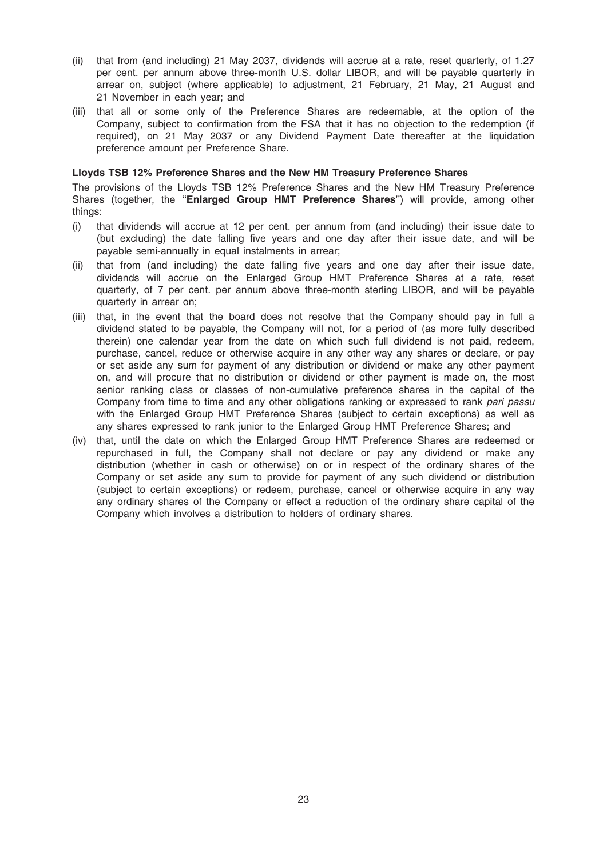- (ii) that from (and including) 21 May 2037, dividends will accrue at a rate, reset quarterly, of 1.27 per cent. per annum above three-month U.S. dollar LIBOR, and will be payable quarterly in arrear on, subject (where applicable) to adjustment, 21 February, 21 May, 21 August and 21 November in each year; and
- (iii) that all or some only of the Preference Shares are redeemable, at the option of the Company, subject to confirmation from the FSA that it has no objection to the redemption (if required), on 21 May 2037 or any Dividend Payment Date thereafter at the liquidation preference amount per Preference Share.

#### Lloyds TSB 12% Preference Shares and the New HM Treasury Preference Shares

The provisions of the Lloyds TSB 12% Preference Shares and the New HM Treasury Preference Shares (together, the "Enlarged Group HMT Preference Shares") will provide, among other things:

- (i) that dividends will accrue at 12 per cent. per annum from (and including) their issue date to (but excluding) the date falling five years and one day after their issue date, and will be payable semi-annually in equal instalments in arrear;
- (ii) that from (and including) the date falling five years and one day after their issue date, dividends will accrue on the Enlarged Group HMT Preference Shares at a rate, reset quarterly, of 7 per cent. per annum above three-month sterling LIBOR, and will be payable quarterly in arrear on;
- (iii) that, in the event that the board does not resolve that the Company should pay in full a dividend stated to be payable, the Company will not, for a period of (as more fully described therein) one calendar year from the date on which such full dividend is not paid, redeem, purchase, cancel, reduce or otherwise acquire in any other way any shares or declare, or pay or set aside any sum for payment of any distribution or dividend or make any other payment on, and will procure that no distribution or dividend or other payment is made on, the most senior ranking class or classes of non-cumulative preference shares in the capital of the Company from time to time and any other obligations ranking or expressed to rank pari passu with the Enlarged Group HMT Preference Shares (subject to certain exceptions) as well as any shares expressed to rank junior to the Enlarged Group HMT Preference Shares; and
- (iv) that, until the date on which the Enlarged Group HMT Preference Shares are redeemed or repurchased in full, the Company shall not declare or pay any dividend or make any distribution (whether in cash or otherwise) on or in respect of the ordinary shares of the Company or set aside any sum to provide for payment of any such dividend or distribution (subject to certain exceptions) or redeem, purchase, cancel or otherwise acquire in any way any ordinary shares of the Company or effect a reduction of the ordinary share capital of the Company which involves a distribution to holders of ordinary shares.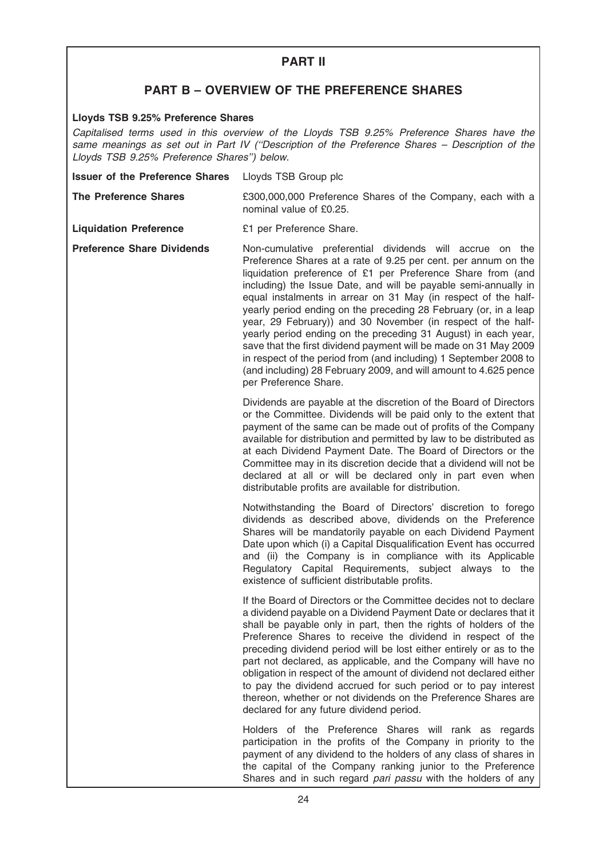# PART II

# PART B – OVERVIEW OF THE PREFERENCE SHARES

# Lloyds TSB 9.25% Preference Shares

Capitalised terms used in this overview of the Lloyds TSB 9.25% Preference Shares have the same meanings as set out in Part IV ("Description of the Preference Shares - Description of the Lloyds TSB 9.25% Preference Shares'') below.

| <b>Issuer of the Preference Shares</b> | Lloyds TSB Group plc |
|----------------------------------------|----------------------|
|----------------------------------------|----------------------|

The Preference Shares **E300,000,000** Preference Shares of the Company, each with a nominal value of £0.25.

Liquidation Preference E1 per Preference Share.

Preference Share Dividends Non-cumulative preferential dividends will accrue on the Preference Shares at a rate of 9.25 per cent. per annum on the liquidation preference of £1 per Preference Share from (and including) the Issue Date, and will be payable semi-annually in equal instalments in arrear on 31 May (in respect of the halfyearly period ending on the preceding 28 February (or, in a leap year, 29 February)) and 30 November (in respect of the halfyearly period ending on the preceding 31 August) in each year, save that the first dividend payment will be made on 31 May 2009 in respect of the period from (and including) 1 September 2008 to (and including) 28 February 2009, and will amount to 4.625 pence per Preference Share.

> Dividends are payable at the discretion of the Board of Directors or the Committee. Dividends will be paid only to the extent that payment of the same can be made out of profits of the Company available for distribution and permitted by law to be distributed as at each Dividend Payment Date. The Board of Directors or the Committee may in its discretion decide that a dividend will not be declared at all or will be declared only in part even when distributable profits are available for distribution.

> Notwithstanding the Board of Directors' discretion to forego dividends as described above, dividends on the Preference Shares will be mandatorily payable on each Dividend Payment Date upon which (i) a Capital Disqualification Event has occurred and (ii) the Company is in compliance with its Applicable Regulatory Capital Requirements, subject always to the existence of sufficient distributable profits.

> If the Board of Directors or the Committee decides not to declare a dividend payable on a Dividend Payment Date or declares that it shall be payable only in part, then the rights of holders of the Preference Shares to receive the dividend in respect of the preceding dividend period will be lost either entirely or as to the part not declared, as applicable, and the Company will have no obligation in respect of the amount of dividend not declared either to pay the dividend accrued for such period or to pay interest thereon, whether or not dividends on the Preference Shares are declared for any future dividend period.

> Holders of the Preference Shares will rank as regards participation in the profits of the Company in priority to the payment of any dividend to the holders of any class of shares in the capital of the Company ranking junior to the Preference Shares and in such regard pari passu with the holders of any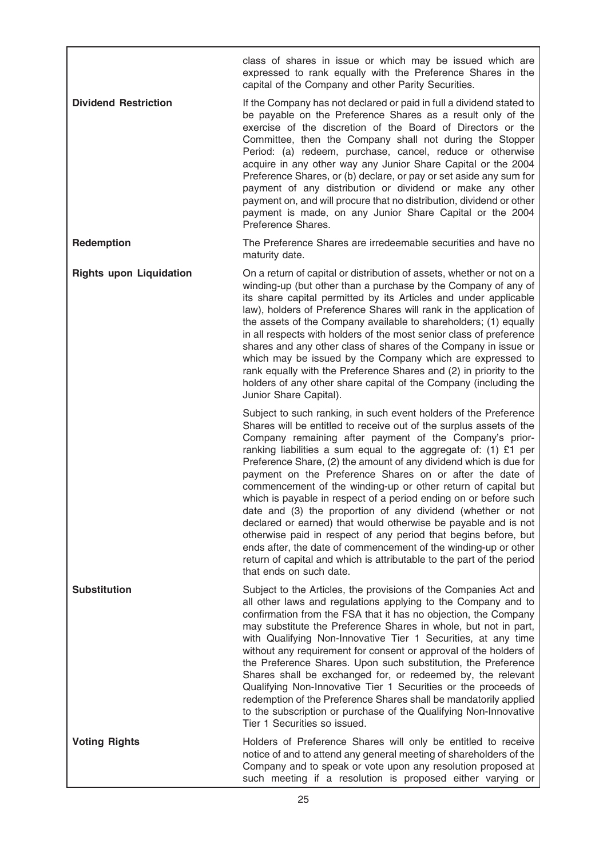class of shares in issue or which may be issued which are expressed to rank equally with the Preference Shares in the capital of the Company and other Parity Securities.

**Dividend Restriction** If the Company has not declared or paid in full a dividend stated to be payable on the Preference Shares as a result only of the exercise of the discretion of the Board of Directors or the Committee, then the Company shall not during the Stopper Period: (a) redeem, purchase, cancel, reduce or otherwise acquire in any other way any Junior Share Capital or the 2004 Preference Shares, or (b) declare, or pay or set aside any sum for payment of any distribution or dividend or make any other payment on, and will procure that no distribution, dividend or other payment is made, on any Junior Share Capital or the 2004 Preference Shares.

Redemption The Preference Shares are irredeemable securities and have no maturity date.

Rights upon Liquidation On a return of capital or distribution of assets, whether or not on a winding-up (but other than a purchase by the Company of any of its share capital permitted by its Articles and under applicable law), holders of Preference Shares will rank in the application of the assets of the Company available to shareholders; (1) equally in all respects with holders of the most senior class of preference shares and any other class of shares of the Company in issue or which may be issued by the Company which are expressed to rank equally with the Preference Shares and (2) in priority to the holders of any other share capital of the Company (including the Junior Share Capital).

> Subject to such ranking, in such event holders of the Preference Shares will be entitled to receive out of the surplus assets of the Company remaining after payment of the Company's priorranking liabilities a sum equal to the aggregate of: (1) £1 per Preference Share, (2) the amount of any dividend which is due for payment on the Preference Shares on or after the date of commencement of the winding-up or other return of capital but which is payable in respect of a period ending on or before such date and (3) the proportion of any dividend (whether or not declared or earned) that would otherwise be payable and is not otherwise paid in respect of any period that begins before, but ends after, the date of commencement of the winding-up or other return of capital and which is attributable to the part of the period that ends on such date.

Substitution Subject to the Articles, the provisions of the Companies Act and all other laws and regulations applying to the Company and to confirmation from the FSA that it has no objection, the Company may substitute the Preference Shares in whole, but not in part, with Qualifying Non-Innovative Tier 1 Securities, at any time without any requirement for consent or approval of the holders of the Preference Shares. Upon such substitution, the Preference Shares shall be exchanged for, or redeemed by, the relevant Qualifying Non-Innovative Tier 1 Securities or the proceeds of redemption of the Preference Shares shall be mandatorily applied to the subscription or purchase of the Qualifying Non-Innovative Tier 1 Securities so issued.

Voting Rights **Holders** of Preference Shares will only be entitled to receive notice of and to attend any general meeting of shareholders of the Company and to speak or vote upon any resolution proposed at such meeting if a resolution is proposed either varying or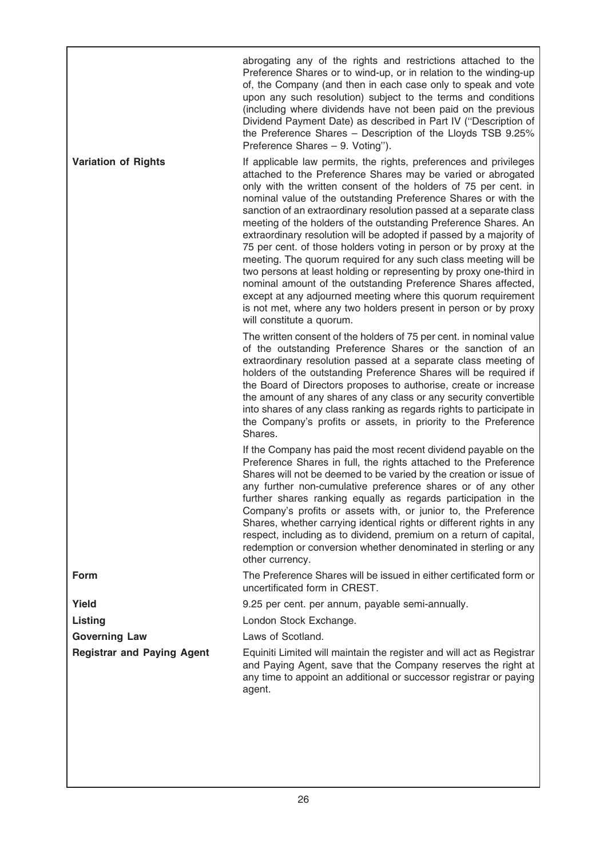|                                   | abrogating any of the rights and restrictions attached to the<br>Preference Shares or to wind-up, or in relation to the winding-up<br>of, the Company (and then in each case only to speak and vote<br>upon any such resolution) subject to the terms and conditions<br>(including where dividends have not been paid on the previous<br>Dividend Payment Date) as described in Part IV ("Description of<br>the Preference Shares - Description of the Lloyds TSB 9.25%<br>Preference Shares - 9. Voting").                                                                                                                                                                                                                                                                                                                                                                                                                            |
|-----------------------------------|----------------------------------------------------------------------------------------------------------------------------------------------------------------------------------------------------------------------------------------------------------------------------------------------------------------------------------------------------------------------------------------------------------------------------------------------------------------------------------------------------------------------------------------------------------------------------------------------------------------------------------------------------------------------------------------------------------------------------------------------------------------------------------------------------------------------------------------------------------------------------------------------------------------------------------------|
| <b>Variation of Rights</b>        | If applicable law permits, the rights, preferences and privileges<br>attached to the Preference Shares may be varied or abrogated<br>only with the written consent of the holders of 75 per cent. in<br>nominal value of the outstanding Preference Shares or with the<br>sanction of an extraordinary resolution passed at a separate class<br>meeting of the holders of the outstanding Preference Shares. An<br>extraordinary resolution will be adopted if passed by a majority of<br>75 per cent. of those holders voting in person or by proxy at the<br>meeting. The quorum required for any such class meeting will be<br>two persons at least holding or representing by proxy one-third in<br>nominal amount of the outstanding Preference Shares affected,<br>except at any adjourned meeting where this quorum requirement<br>is not met, where any two holders present in person or by proxy<br>will constitute a quorum. |
|                                   | The written consent of the holders of 75 per cent. in nominal value<br>of the outstanding Preference Shares or the sanction of an<br>extraordinary resolution passed at a separate class meeting of<br>holders of the outstanding Preference Shares will be required if<br>the Board of Directors proposes to authorise, create or increase<br>the amount of any shares of any class or any security convertible<br>into shares of any class ranking as regards rights to participate in<br>the Company's profits or assets, in priority to the Preference<br>Shares.                                                                                                                                                                                                                                                                                                                                                                  |
|                                   | If the Company has paid the most recent dividend payable on the<br>Preference Shares in full, the rights attached to the Preference<br>Shares will not be deemed to be varied by the creation or issue of<br>any further non-cumulative preference shares or of any other<br>further shares ranking equally as regards participation in the<br>Company's profits or assets with, or junior to, the Preference<br>Shares, whether carrying identical rights or different rights in any<br>respect, including as to dividend, premium on a return of capital,<br>redemption or conversion whether denominated in sterling or any<br>other currency.                                                                                                                                                                                                                                                                                      |
| <b>Form</b>                       | The Preference Shares will be issued in either certificated form or<br>uncertificated form in CREST.                                                                                                                                                                                                                                                                                                                                                                                                                                                                                                                                                                                                                                                                                                                                                                                                                                   |
| Yield                             | 9.25 per cent. per annum, payable semi-annually.                                                                                                                                                                                                                                                                                                                                                                                                                                                                                                                                                                                                                                                                                                                                                                                                                                                                                       |
| Listing                           | London Stock Exchange.                                                                                                                                                                                                                                                                                                                                                                                                                                                                                                                                                                                                                                                                                                                                                                                                                                                                                                                 |
| <b>Governing Law</b>              | Laws of Scotland.                                                                                                                                                                                                                                                                                                                                                                                                                                                                                                                                                                                                                                                                                                                                                                                                                                                                                                                      |
| <b>Registrar and Paying Agent</b> | Equiniti Limited will maintain the register and will act as Registrar<br>and Paying Agent, save that the Company reserves the right at<br>any time to appoint an additional or successor registrar or paying<br>agent.                                                                                                                                                                                                                                                                                                                                                                                                                                                                                                                                                                                                                                                                                                                 |
|                                   |                                                                                                                                                                                                                                                                                                                                                                                                                                                                                                                                                                                                                                                                                                                                                                                                                                                                                                                                        |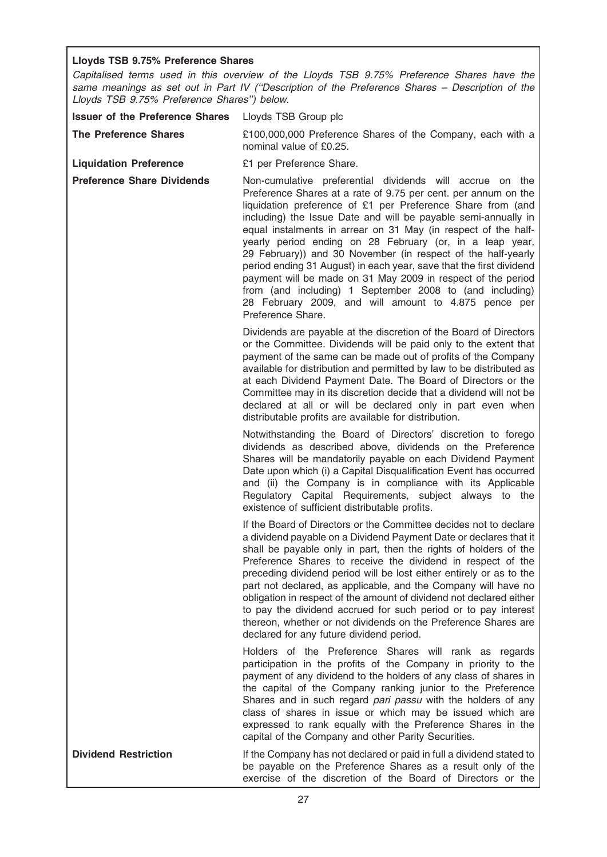# Lloyds TSB 9.75% Preference Shares

Capitalised terms used in this overview of the Lloyds TSB 9.75% Preference Shares have the same meanings as set out in Part IV ("Description of the Preference Shares – Description of the Lloyds TSB 9.75% Preference Shares'') below.

| <b>Issuer of the Preference Shares</b> | Lloyds TSB Group plc                                                                                                                                                                                                                                                                                                                                                                                                                                                                                                                                                                                                                                                                                                                      |
|----------------------------------------|-------------------------------------------------------------------------------------------------------------------------------------------------------------------------------------------------------------------------------------------------------------------------------------------------------------------------------------------------------------------------------------------------------------------------------------------------------------------------------------------------------------------------------------------------------------------------------------------------------------------------------------------------------------------------------------------------------------------------------------------|
| <b>The Preference Shares</b>           | £100,000,000 Preference Shares of the Company, each with a<br>nominal value of £0.25.                                                                                                                                                                                                                                                                                                                                                                                                                                                                                                                                                                                                                                                     |
| <b>Liquidation Preference</b>          | £1 per Preference Share.                                                                                                                                                                                                                                                                                                                                                                                                                                                                                                                                                                                                                                                                                                                  |
| <b>Preference Share Dividends</b>      | Non-cumulative preferential dividends will accrue on the<br>Preference Shares at a rate of 9.75 per cent. per annum on the<br>liquidation preference of £1 per Preference Share from (and<br>including) the Issue Date and will be payable semi-annually in<br>equal instalments in arrear on 31 May (in respect of the half-<br>yearly period ending on 28 February (or, in a leap year,<br>29 February)) and 30 November (in respect of the half-yearly<br>period ending 31 August) in each year, save that the first dividend<br>payment will be made on 31 May 2009 in respect of the period<br>from (and including) 1 September 2008 to (and including)<br>28 February 2009, and will amount to 4.875 pence per<br>Preference Share. |
|                                        | Dividends are payable at the discretion of the Board of Directors<br>or the Committee. Dividends will be paid only to the extent that<br>payment of the same can be made out of profits of the Company<br>available for distribution and permitted by law to be distributed as<br>at each Dividend Payment Date. The Board of Directors or the<br>Committee may in its discretion decide that a dividend will not be<br>declared at all or will be declared only in part even when<br>distributable profits are available for distribution.                                                                                                                                                                                               |
|                                        | Notwithstanding the Board of Directors' discretion to forego<br>dividends as described above, dividends on the Preference<br>Shares will be mandatorily payable on each Dividend Payment<br>Date upon which (i) a Capital Disqualification Event has occurred<br>and (ii) the Company is in compliance with its Applicable<br>Regulatory Capital Requirements, subject always to the<br>existence of sufficient distributable profits.                                                                                                                                                                                                                                                                                                    |
|                                        | If the Board of Directors or the Committee decides not to declare<br>a dividend payable on a Dividend Payment Date or declares that it<br>shall be payable only in part, then the rights of holders of the<br>Preference Shares to receive the dividend in respect of the<br>preceding dividend period will be lost either entirely or as to the<br>part not declared, as applicable, and the Company will have no<br>obligation in respect of the amount of dividend not declared either<br>to pay the dividend accrued for such period or to pay interest<br>thereon, whether or not dividends on the Preference Shares are<br>declared for any future dividend period.                                                                 |
|                                        | Holders of the Preference Shares will rank as regards<br>participation in the profits of the Company in priority to the<br>payment of any dividend to the holders of any class of shares in<br>the capital of the Company ranking junior to the Preference<br>Shares and in such regard pari passu with the holders of any<br>class of shares in issue or which may be issued which are<br>expressed to rank equally with the Preference Shares in the<br>capital of the Company and other Parity Securities.                                                                                                                                                                                                                             |
| <b>Dividend Restriction</b>            | If the Company has not declared or paid in full a dividend stated to<br>be payable on the Preference Shares as a result only of the<br>exercise of the discretion of the Board of Directors or the                                                                                                                                                                                                                                                                                                                                                                                                                                                                                                                                        |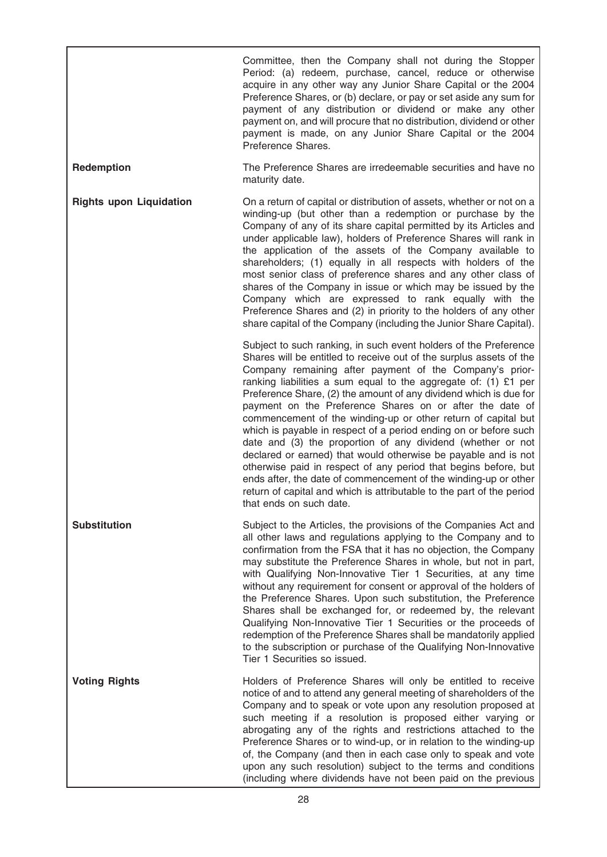|                                | Committee, then the Company shall not during the Stopper<br>Period: (a) redeem, purchase, cancel, reduce or otherwise<br>acquire in any other way any Junior Share Capital or the 2004<br>Preference Shares, or (b) declare, or pay or set aside any sum for<br>payment of any distribution or dividend or make any other<br>payment on, and will procure that no distribution, dividend or other<br>payment is made, on any Junior Share Capital or the 2004<br>Preference Shares.                                                                                                                                                                                                                                                                                                                                                                                                                                      |
|--------------------------------|--------------------------------------------------------------------------------------------------------------------------------------------------------------------------------------------------------------------------------------------------------------------------------------------------------------------------------------------------------------------------------------------------------------------------------------------------------------------------------------------------------------------------------------------------------------------------------------------------------------------------------------------------------------------------------------------------------------------------------------------------------------------------------------------------------------------------------------------------------------------------------------------------------------------------|
| Redemption                     | The Preference Shares are irredeemable securities and have no<br>maturity date.                                                                                                                                                                                                                                                                                                                                                                                                                                                                                                                                                                                                                                                                                                                                                                                                                                          |
| <b>Rights upon Liquidation</b> | On a return of capital or distribution of assets, whether or not on a<br>winding-up (but other than a redemption or purchase by the<br>Company of any of its share capital permitted by its Articles and<br>under applicable law), holders of Preference Shares will rank in<br>the application of the assets of the Company available to<br>shareholders; (1) equally in all respects with holders of the<br>most senior class of preference shares and any other class of<br>shares of the Company in issue or which may be issued by the<br>Company which are expressed to rank equally with the<br>Preference Shares and (2) in priority to the holders of any other<br>share capital of the Company (including the Junior Share Capital).                                                                                                                                                                           |
|                                | Subject to such ranking, in such event holders of the Preference<br>Shares will be entitled to receive out of the surplus assets of the<br>Company remaining after payment of the Company's prior-<br>ranking liabilities a sum equal to the aggregate of: $(1)$ £1 per<br>Preference Share, (2) the amount of any dividend which is due for<br>payment on the Preference Shares on or after the date of<br>commencement of the winding-up or other return of capital but<br>which is payable in respect of a period ending on or before such<br>date and (3) the proportion of any dividend (whether or not<br>declared or earned) that would otherwise be payable and is not<br>otherwise paid in respect of any period that begins before, but<br>ends after, the date of commencement of the winding-up or other<br>return of capital and which is attributable to the part of the period<br>that ends on such date. |
| <b>Substitution</b>            | Subject to the Articles, the provisions of the Companies Act and<br>all other laws and regulations applying to the Company and to<br>confirmation from the FSA that it has no objection, the Company<br>may substitute the Preference Shares in whole, but not in part,<br>with Qualifying Non-Innovative Tier 1 Securities, at any time<br>without any requirement for consent or approval of the holders of<br>the Preference Shares. Upon such substitution, the Preference<br>Shares shall be exchanged for, or redeemed by, the relevant<br>Qualifying Non-Innovative Tier 1 Securities or the proceeds of<br>redemption of the Preference Shares shall be mandatorily applied<br>to the subscription or purchase of the Qualifying Non-Innovative<br>Tier 1 Securities so issued.                                                                                                                                  |
| <b>Voting Rights</b>           | Holders of Preference Shares will only be entitled to receive<br>notice of and to attend any general meeting of shareholders of the<br>Company and to speak or vote upon any resolution proposed at<br>such meeting if a resolution is proposed either varying or<br>abrogating any of the rights and restrictions attached to the<br>Preference Shares or to wind-up, or in relation to the winding-up<br>of, the Company (and then in each case only to speak and vote<br>upon any such resolution) subject to the terms and conditions<br>(including where dividends have not been paid on the previous                                                                                                                                                                                                                                                                                                               |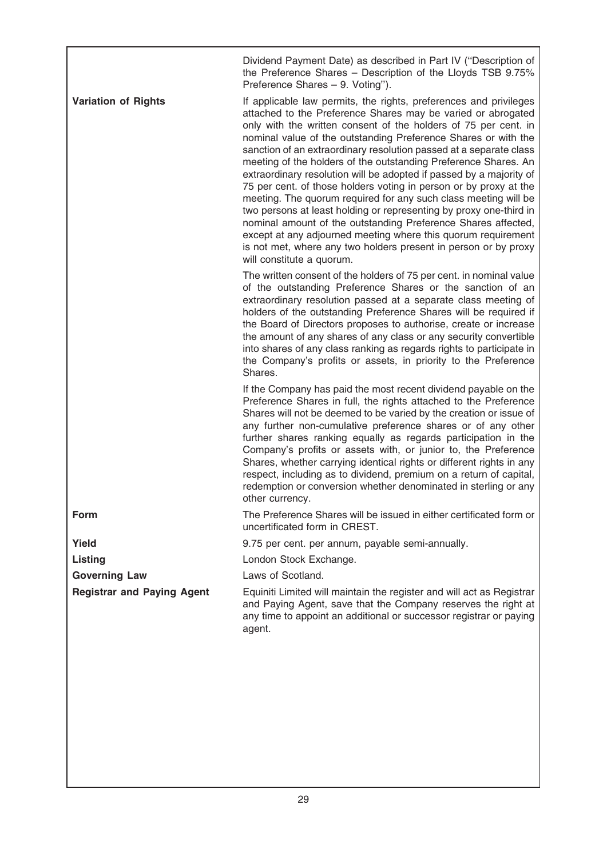|                                   | Dividend Payment Date) as described in Part IV ("Description of<br>the Preference Shares - Description of the Lloyds TSB 9.75%<br>Preference Shares - 9. Voting").                                                                                                                                                                                                                                                                                                                                                                                                                                                                                                                                                                                                                                                                                                                                                                     |
|-----------------------------------|----------------------------------------------------------------------------------------------------------------------------------------------------------------------------------------------------------------------------------------------------------------------------------------------------------------------------------------------------------------------------------------------------------------------------------------------------------------------------------------------------------------------------------------------------------------------------------------------------------------------------------------------------------------------------------------------------------------------------------------------------------------------------------------------------------------------------------------------------------------------------------------------------------------------------------------|
| <b>Variation of Rights</b>        | If applicable law permits, the rights, preferences and privileges<br>attached to the Preference Shares may be varied or abrogated<br>only with the written consent of the holders of 75 per cent. in<br>nominal value of the outstanding Preference Shares or with the<br>sanction of an extraordinary resolution passed at a separate class<br>meeting of the holders of the outstanding Preference Shares. An<br>extraordinary resolution will be adopted if passed by a majority of<br>75 per cent. of those holders voting in person or by proxy at the<br>meeting. The quorum required for any such class meeting will be<br>two persons at least holding or representing by proxy one-third in<br>nominal amount of the outstanding Preference Shares affected,<br>except at any adjourned meeting where this quorum requirement<br>is not met, where any two holders present in person or by proxy<br>will constitute a quorum. |
|                                   | The written consent of the holders of 75 per cent. in nominal value<br>of the outstanding Preference Shares or the sanction of an<br>extraordinary resolution passed at a separate class meeting of<br>holders of the outstanding Preference Shares will be required if<br>the Board of Directors proposes to authorise, create or increase<br>the amount of any shares of any class or any security convertible<br>into shares of any class ranking as regards rights to participate in<br>the Company's profits or assets, in priority to the Preference<br>Shares.                                                                                                                                                                                                                                                                                                                                                                  |
|                                   | If the Company has paid the most recent dividend payable on the<br>Preference Shares in full, the rights attached to the Preference<br>Shares will not be deemed to be varied by the creation or issue of<br>any further non-cumulative preference shares or of any other<br>further shares ranking equally as regards participation in the<br>Company's profits or assets with, or junior to, the Preference<br>Shares, whether carrying identical rights or different rights in any<br>respect, including as to dividend, premium on a return of capital,<br>redemption or conversion whether denominated in sterling or any<br>other currency.                                                                                                                                                                                                                                                                                      |
| <b>Form</b>                       | The Preference Shares will be issued in either certificated form or<br>uncertificated form in CREST.                                                                                                                                                                                                                                                                                                                                                                                                                                                                                                                                                                                                                                                                                                                                                                                                                                   |
| Yield                             | 9.75 per cent. per annum, payable semi-annually.                                                                                                                                                                                                                                                                                                                                                                                                                                                                                                                                                                                                                                                                                                                                                                                                                                                                                       |
| <b>Listing</b>                    | London Stock Exchange.                                                                                                                                                                                                                                                                                                                                                                                                                                                                                                                                                                                                                                                                                                                                                                                                                                                                                                                 |
| <b>Governing Law</b>              | Laws of Scotland.                                                                                                                                                                                                                                                                                                                                                                                                                                                                                                                                                                                                                                                                                                                                                                                                                                                                                                                      |
| <b>Registrar and Paying Agent</b> | Equiniti Limited will maintain the register and will act as Registrar<br>and Paying Agent, save that the Company reserves the right at<br>any time to appoint an additional or successor registrar or paying<br>agent.                                                                                                                                                                                                                                                                                                                                                                                                                                                                                                                                                                                                                                                                                                                 |
|                                   |                                                                                                                                                                                                                                                                                                                                                                                                                                                                                                                                                                                                                                                                                                                                                                                                                                                                                                                                        |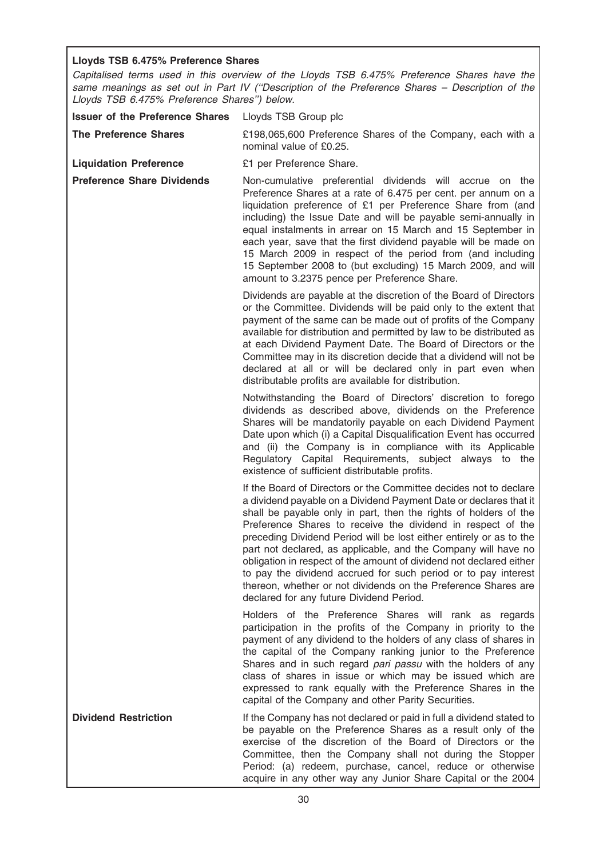# Lloyds TSB 6.475% Preference Shares

Capitalised terms used in this overview of the Lloyds TSB 6.475% Preference Shares have the same meanings as set out in Part IV ("Description of the Preference Shares - Description of the Lloyds TSB 6.475% Preference Shares'') below.

| <b>Issuer of the Preference Shares</b> | Lloyds TSB Group plc                                                                                                                                                                                                                                                                                                                                                                                                                                                                                                                                                                                                                                                      |
|----------------------------------------|---------------------------------------------------------------------------------------------------------------------------------------------------------------------------------------------------------------------------------------------------------------------------------------------------------------------------------------------------------------------------------------------------------------------------------------------------------------------------------------------------------------------------------------------------------------------------------------------------------------------------------------------------------------------------|
| <b>The Preference Shares</b>           | £198,065,600 Preference Shares of the Company, each with a<br>nominal value of £0.25.                                                                                                                                                                                                                                                                                                                                                                                                                                                                                                                                                                                     |
| <b>Liquidation Preference</b>          | £1 per Preference Share.                                                                                                                                                                                                                                                                                                                                                                                                                                                                                                                                                                                                                                                  |
| <b>Preference Share Dividends</b>      | Non-cumulative preferential dividends will accrue on the<br>Preference Shares at a rate of 6.475 per cent. per annum on a<br>liquidation preference of £1 per Preference Share from (and<br>including) the Issue Date and will be payable semi-annually in<br>equal instalments in arrear on 15 March and 15 September in<br>each year, save that the first dividend payable will be made on<br>15 March 2009 in respect of the period from (and including<br>15 September 2008 to (but excluding) 15 March 2009, and will<br>amount to 3.2375 pence per Preference Share.                                                                                                |
|                                        | Dividends are payable at the discretion of the Board of Directors<br>or the Committee. Dividends will be paid only to the extent that<br>payment of the same can be made out of profits of the Company<br>available for distribution and permitted by law to be distributed as<br>at each Dividend Payment Date. The Board of Directors or the<br>Committee may in its discretion decide that a dividend will not be<br>declared at all or will be declared only in part even when<br>distributable profits are available for distribution.                                                                                                                               |
|                                        | Notwithstanding the Board of Directors' discretion to forego<br>dividends as described above, dividends on the Preference<br>Shares will be mandatorily payable on each Dividend Payment<br>Date upon which (i) a Capital Disqualification Event has occurred<br>and (ii) the Company is in compliance with its Applicable<br>Regulatory Capital Requirements, subject always to the<br>existence of sufficient distributable profits.                                                                                                                                                                                                                                    |
|                                        | If the Board of Directors or the Committee decides not to declare<br>a dividend payable on a Dividend Payment Date or declares that it<br>shall be payable only in part, then the rights of holders of the<br>Preference Shares to receive the dividend in respect of the<br>preceding Dividend Period will be lost either entirely or as to the<br>part not declared, as applicable, and the Company will have no<br>obligation in respect of the amount of dividend not declared either<br>to pay the dividend accrued for such period or to pay interest<br>thereon, whether or not dividends on the Preference Shares are<br>declared for any future Dividend Period. |
|                                        | Holders of the Preference Shares will rank as regards<br>participation in the profits of the Company in priority to the<br>payment of any dividend to the holders of any class of shares in<br>the capital of the Company ranking junior to the Preference<br>Shares and in such regard pari passu with the holders of any<br>class of shares in issue or which may be issued which are<br>expressed to rank equally with the Preference Shares in the<br>capital of the Company and other Parity Securities.                                                                                                                                                             |
| <b>Dividend Restriction</b>            | If the Company has not declared or paid in full a dividend stated to<br>be payable on the Preference Shares as a result only of the<br>exercise of the discretion of the Board of Directors or the<br>Committee, then the Company shall not during the Stopper<br>Period: (a) redeem, purchase, cancel, reduce or otherwise<br>acquire in any other way any Junior Share Capital or the 2004                                                                                                                                                                                                                                                                              |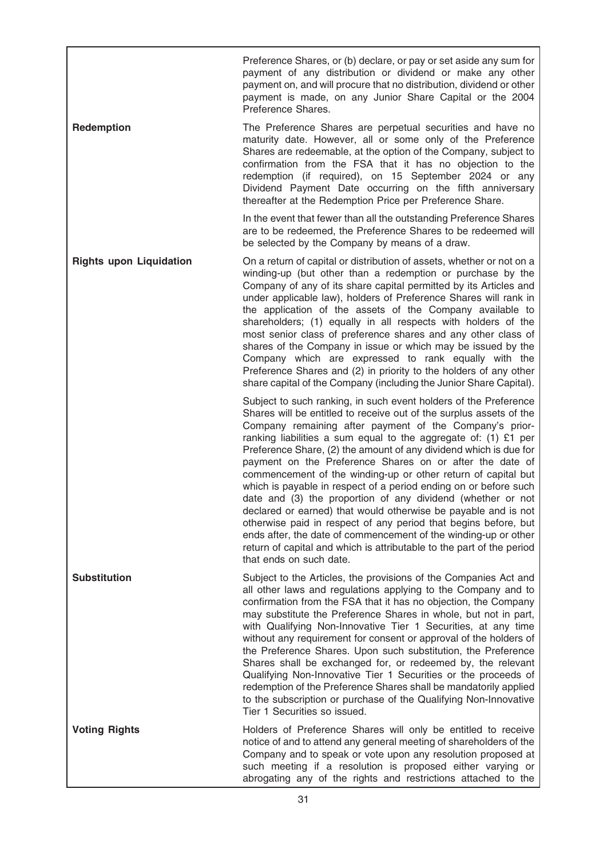Preference Shares, or (b) declare, or pay or set aside any sum for payment of any distribution or dividend or make any other payment on, and will procure that no distribution, dividend or other payment is made, on any Junior Share Capital or the 2004 Preference Shares.

Redemption The Preference Shares are perpetual securities and have no maturity date. However, all or some only of the Preference Shares are redeemable, at the option of the Company, subject to confirmation from the FSA that it has no objection to the redemption (if required), on 15 September 2024 or any Dividend Payment Date occurring on the fifth anniversary thereafter at the Redemption Price per Preference Share.

> In the event that fewer than all the outstanding Preference Shares are to be redeemed, the Preference Shares to be redeemed will be selected by the Company by means of a draw.

Rights upon Liquidation **On a return of capital or distribution of assets**, whether or not on a winding-up (but other than a redemption or purchase by the Company of any of its share capital permitted by its Articles and under applicable law), holders of Preference Shares will rank in the application of the assets of the Company available to shareholders; (1) equally in all respects with holders of the most senior class of preference shares and any other class of shares of the Company in issue or which may be issued by the Company which are expressed to rank equally with the Preference Shares and (2) in priority to the holders of any other share capital of the Company (including the Junior Share Capital).

> Subject to such ranking, in such event holders of the Preference Shares will be entitled to receive out of the surplus assets of the Company remaining after payment of the Company's priorranking liabilities a sum equal to the aggregate of: (1) £1 per Preference Share, (2) the amount of any dividend which is due for payment on the Preference Shares on or after the date of commencement of the winding-up or other return of capital but which is payable in respect of a period ending on or before such date and (3) the proportion of any dividend (whether or not declared or earned) that would otherwise be payable and is not otherwise paid in respect of any period that begins before, but ends after, the date of commencement of the winding-up or other return of capital and which is attributable to the part of the period that ends on such date.

Substitution Subject to the Articles, the provisions of the Companies Act and all other laws and regulations applying to the Company and to confirmation from the FSA that it has no objection, the Company may substitute the Preference Shares in whole, but not in part, with Qualifying Non-Innovative Tier 1 Securities, at any time without any requirement for consent or approval of the holders of the Preference Shares. Upon such substitution, the Preference Shares shall be exchanged for, or redeemed by, the relevant Qualifying Non-Innovative Tier 1 Securities or the proceeds of redemption of the Preference Shares shall be mandatorily applied to the subscription or purchase of the Qualifying Non-Innovative Tier 1 Securities so issued.

Voting Rights **Holders** of Preference Shares will only be entitled to receive notice of and to attend any general meeting of shareholders of the Company and to speak or vote upon any resolution proposed at such meeting if a resolution is proposed either varying or abrogating any of the rights and restrictions attached to the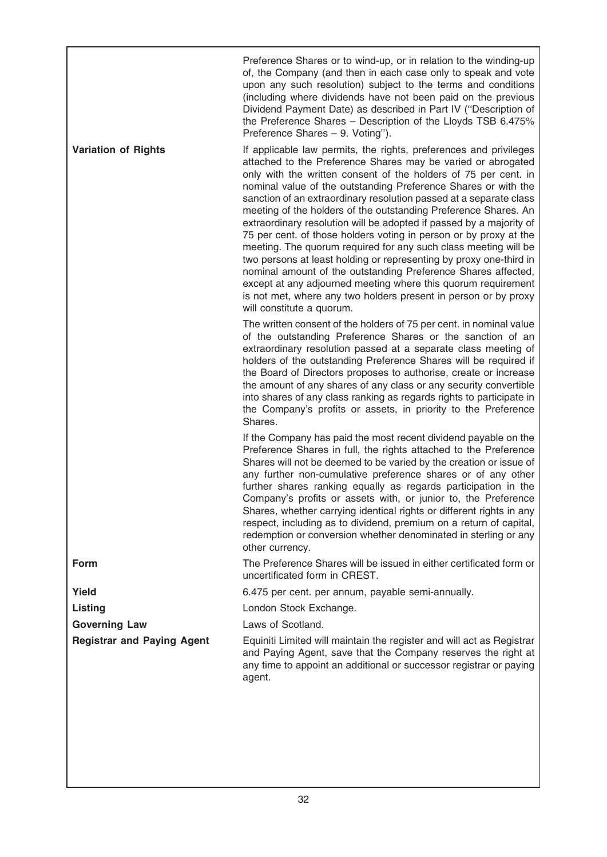|                                   | Preference Shares or to wind-up, or in relation to the winding-up<br>of, the Company (and then in each case only to speak and vote<br>upon any such resolution) subject to the terms and conditions<br>(including where dividends have not been paid on the previous<br>Dividend Payment Date) as described in Part IV ("Description of<br>the Preference Shares - Description of the Lloyds TSB 6.475%<br>Preference Shares - 9. Voting").                                                                                                                                                                                                                                                                                                                                                                                                                                                                                            |
|-----------------------------------|----------------------------------------------------------------------------------------------------------------------------------------------------------------------------------------------------------------------------------------------------------------------------------------------------------------------------------------------------------------------------------------------------------------------------------------------------------------------------------------------------------------------------------------------------------------------------------------------------------------------------------------------------------------------------------------------------------------------------------------------------------------------------------------------------------------------------------------------------------------------------------------------------------------------------------------|
| <b>Variation of Rights</b>        | If applicable law permits, the rights, preferences and privileges<br>attached to the Preference Shares may be varied or abrogated<br>only with the written consent of the holders of 75 per cent. in<br>nominal value of the outstanding Preference Shares or with the<br>sanction of an extraordinary resolution passed at a separate class<br>meeting of the holders of the outstanding Preference Shares. An<br>extraordinary resolution will be adopted if passed by a majority of<br>75 per cent. of those holders voting in person or by proxy at the<br>meeting. The quorum required for any such class meeting will be<br>two persons at least holding or representing by proxy one-third in<br>nominal amount of the outstanding Preference Shares affected,<br>except at any adjourned meeting where this quorum requirement<br>is not met, where any two holders present in person or by proxy<br>will constitute a quorum. |
|                                   | The written consent of the holders of 75 per cent. in nominal value<br>of the outstanding Preference Shares or the sanction of an<br>extraordinary resolution passed at a separate class meeting of<br>holders of the outstanding Preference Shares will be required if<br>the Board of Directors proposes to authorise, create or increase<br>the amount of any shares of any class or any security convertible<br>into shares of any class ranking as regards rights to participate in<br>the Company's profits or assets, in priority to the Preference<br>Shares.                                                                                                                                                                                                                                                                                                                                                                  |
|                                   | If the Company has paid the most recent dividend payable on the<br>Preference Shares in full, the rights attached to the Preference<br>Shares will not be deemed to be varied by the creation or issue of<br>any further non-cumulative preference shares or of any other<br>further shares ranking equally as regards participation in the<br>Company's profits or assets with, or junior to, the Preference<br>Shares, whether carrying identical rights or different rights in any<br>respect, including as to dividend, premium on a return of capital,<br>redemption or conversion whether denominated in sterling or any<br>other currency.                                                                                                                                                                                                                                                                                      |
| <b>Form</b>                       | The Preference Shares will be issued in either certificated form or<br>uncertificated form in CREST.                                                                                                                                                                                                                                                                                                                                                                                                                                                                                                                                                                                                                                                                                                                                                                                                                                   |
| Yield                             | 6.475 per cent. per annum, payable semi-annually.                                                                                                                                                                                                                                                                                                                                                                                                                                                                                                                                                                                                                                                                                                                                                                                                                                                                                      |
| Listing                           | London Stock Exchange.                                                                                                                                                                                                                                                                                                                                                                                                                                                                                                                                                                                                                                                                                                                                                                                                                                                                                                                 |
| <b>Governing Law</b>              | Laws of Scotland.                                                                                                                                                                                                                                                                                                                                                                                                                                                                                                                                                                                                                                                                                                                                                                                                                                                                                                                      |
| <b>Registrar and Paying Agent</b> | Equiniti Limited will maintain the register and will act as Registrar<br>and Paying Agent, save that the Company reserves the right at<br>any time to appoint an additional or successor registrar or paying<br>agent.                                                                                                                                                                                                                                                                                                                                                                                                                                                                                                                                                                                                                                                                                                                 |
|                                   |                                                                                                                                                                                                                                                                                                                                                                                                                                                                                                                                                                                                                                                                                                                                                                                                                                                                                                                                        |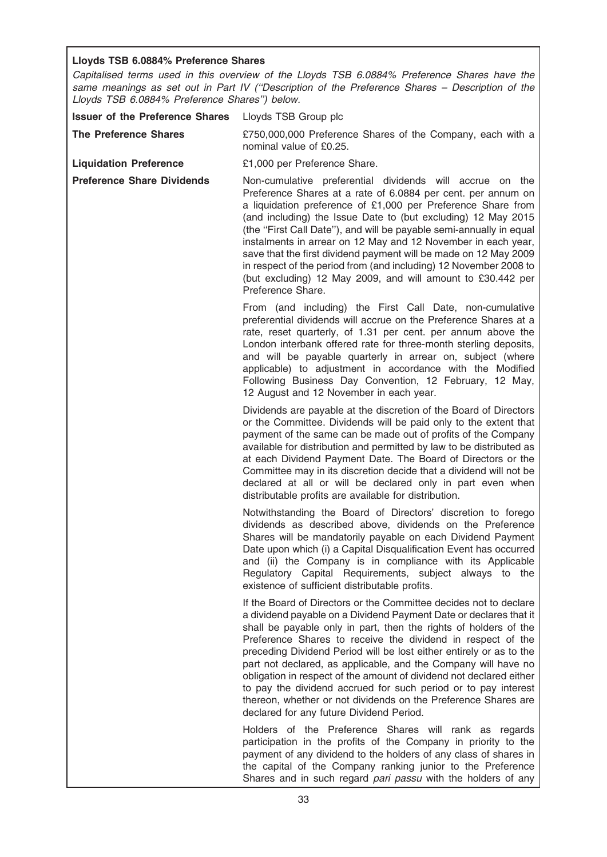# Lloyds TSB 6.0884% Preference Shares

Capitalised terms used in this overview of the Lloyds TSB 6.0884% Preference Shares have the same meanings as set out in Part IV (''Description of the Preference Shares – Description of the Lloyds TSB 6.0884% Preference Shares'') below.

| <b>Issuer of the Preference Shares</b> | Lloyds TSB Group plc                                                                                                                                                                                                                                                                                                                                                                                                                                                                                                                                                                                                                                                      |
|----------------------------------------|---------------------------------------------------------------------------------------------------------------------------------------------------------------------------------------------------------------------------------------------------------------------------------------------------------------------------------------------------------------------------------------------------------------------------------------------------------------------------------------------------------------------------------------------------------------------------------------------------------------------------------------------------------------------------|
| <b>The Preference Shares</b>           | £750,000,000 Preference Shares of the Company, each with a<br>nominal value of £0.25.                                                                                                                                                                                                                                                                                                                                                                                                                                                                                                                                                                                     |
| <b>Liquidation Preference</b>          | £1,000 per Preference Share.                                                                                                                                                                                                                                                                                                                                                                                                                                                                                                                                                                                                                                              |
| <b>Preference Share Dividends</b>      | Non-cumulative preferential dividends will accrue on the<br>Preference Shares at a rate of 6.0884 per cent. per annum on<br>a liquidation preference of £1,000 per Preference Share from<br>(and including) the Issue Date to (but excluding) 12 May 2015<br>(the "First Call Date"), and will be payable semi-annually in equal<br>instalments in arrear on 12 May and 12 November in each year,<br>save that the first dividend payment will be made on 12 May 2009<br>in respect of the period from (and including) 12 November 2008 to<br>(but excluding) 12 May 2009, and will amount to £30.442 per<br>Preference Share.                                            |
|                                        | From (and including) the First Call Date, non-cumulative<br>preferential dividends will accrue on the Preference Shares at a<br>rate, reset quarterly, of 1.31 per cent. per annum above the<br>London interbank offered rate for three-month sterling deposits,<br>and will be payable quarterly in arrear on, subject (where<br>applicable) to adjustment in accordance with the Modified<br>Following Business Day Convention, 12 February, 12 May,<br>12 August and 12 November in each year.                                                                                                                                                                         |
|                                        | Dividends are payable at the discretion of the Board of Directors<br>or the Committee. Dividends will be paid only to the extent that<br>payment of the same can be made out of profits of the Company<br>available for distribution and permitted by law to be distributed as<br>at each Dividend Payment Date. The Board of Directors or the<br>Committee may in its discretion decide that a dividend will not be<br>declared at all or will be declared only in part even when<br>distributable profits are available for distribution.                                                                                                                               |
|                                        | Notwithstanding the Board of Directors' discretion to forego<br>dividends as described above, dividends on the Preference<br>Shares will be mandatorily payable on each Dividend Payment<br>Date upon which (i) a Capital Disqualification Event has occurred<br>and (ii) the Company is in compliance with its Applicable<br>Regulatory Capital Requirements, subject always to the<br>existence of sufficient distributable profits.                                                                                                                                                                                                                                    |
|                                        | If the Board of Directors or the Committee decides not to declare<br>a dividend payable on a Dividend Payment Date or declares that it<br>shall be payable only in part, then the rights of holders of the<br>Preference Shares to receive the dividend in respect of the<br>preceding Dividend Period will be lost either entirely or as to the<br>part not declared, as applicable, and the Company will have no<br>obligation in respect of the amount of dividend not declared either<br>to pay the dividend accrued for such period or to pay interest<br>thereon, whether or not dividends on the Preference Shares are<br>declared for any future Dividend Period. |
|                                        | Holders of the Preference Shares will rank as regards<br>participation in the profits of the Company in priority to the<br>payment of any dividend to the holders of any class of shares in<br>the capital of the Company ranking junior to the Preference<br>Shares and in such regard pari passu with the holders of any                                                                                                                                                                                                                                                                                                                                                |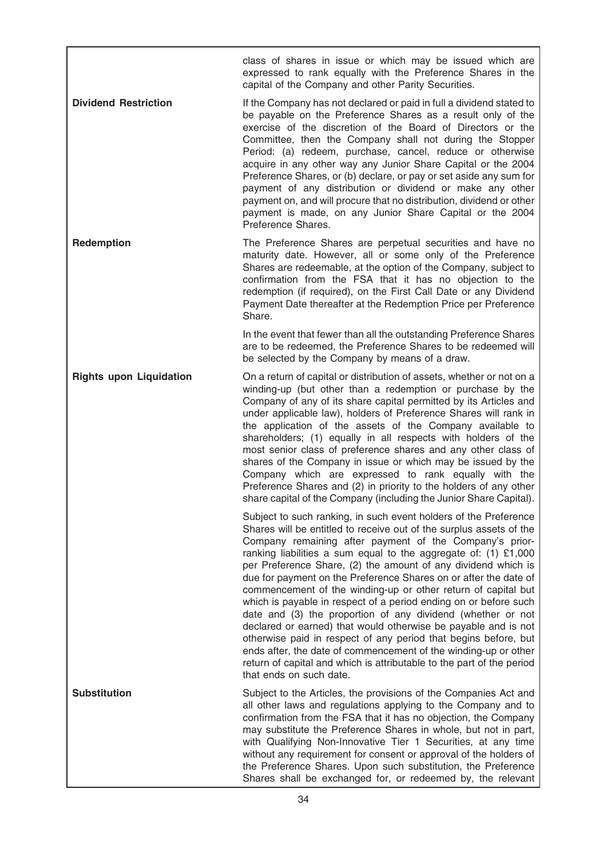class of shares in issue or which may be issued which are expressed to rank equally with the Preference Shares in the capital of the Company and other Parity Securities.

**Dividend Restriction** If the Company has not declared or paid in full a dividend stated to be payable on the Preference Shares as a result only of the exercise of the discretion of the Board of Directors or the Committee, then the Company shall not during the Stopper Period: (a) redeem, purchase, cancel, reduce or otherwise acquire in any other way any Junior Share Capital or the 2004 Preference Shares, or (b) declare, or pay or set aside any sum for payment of any distribution or dividend or make any other payment on, and will procure that no distribution, dividend or other payment is made, on any Junior Share Capital or the 2004 Preference Shares.

**Redemption** The Preference Shares are perpetual securities and have no maturity date. However, all or some only of the Preference Shares are redeemable, at the option of the Company, subject to confirmation from the FSA that it has no objection to the redemption (if required), on the First Call Date or any Dividend Payment Date thereafter at the Redemption Price per Preference Share.

> In the event that fewer than all the outstanding Preference Shares are to be redeemed, the Preference Shares to be redeemed will be selected by the Company by means of a draw.

Rights upon Liquidation On a return of capital or distribution of assets, whether or not on a winding-up (but other than a redemption or purchase by the Company of any of its share capital permitted by its Articles and under applicable law), holders of Preference Shares will rank in the application of the assets of the Company available to shareholders; (1) equally in all respects with holders of the most senior class of preference shares and any other class of shares of the Company in issue or which may be issued by the Company which are expressed to rank equally with the Preference Shares and (2) in priority to the holders of any other share capital of the Company (including the Junior Share Capital).

> Subject to such ranking, in such event holders of the Preference Shares will be entitled to receive out of the surplus assets of the Company remaining after payment of the Company's priorranking liabilities a sum equal to the aggregate of: (1) £1,000 per Preference Share, (2) the amount of any dividend which is due for payment on the Preference Shares on or after the date of commencement of the winding-up or other return of capital but which is payable in respect of a period ending on or before such date and (3) the proportion of any dividend (whether or not declared or earned) that would otherwise be payable and is not otherwise paid in respect of any period that begins before, but ends after, the date of commencement of the winding-up or other return of capital and which is attributable to the part of the period that ends on such date.

Substitution Subject to the Articles, the provisions of the Companies Act and all other laws and regulations applying to the Company and to confirmation from the FSA that it has no objection, the Company may substitute the Preference Shares in whole, but not in part, with Qualifying Non-Innovative Tier 1 Securities, at any time without any requirement for consent or approval of the holders of the Preference Shares. Upon such substitution, the Preference Shares shall be exchanged for, or redeemed by, the relevant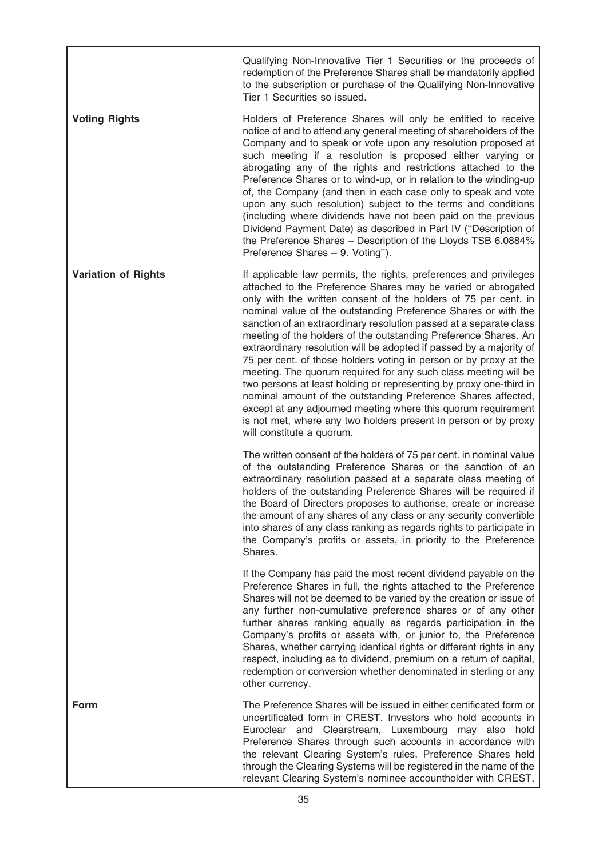Qualifying Non-Innovative Tier 1 Securities or the proceeds of redemption of the Preference Shares shall be mandatorily applied to the subscription or purchase of the Qualifying Non-Innovative Tier 1 Securities so issued.

Voting Rights **Holders** of Preference Shares will only be entitled to receive notice of and to attend any general meeting of shareholders of the Company and to speak or vote upon any resolution proposed at such meeting if a resolution is proposed either varying or abrogating any of the rights and restrictions attached to the Preference Shares or to wind-up, or in relation to the winding-up of, the Company (and then in each case only to speak and vote upon any such resolution) subject to the terms and conditions (including where dividends have not been paid on the previous Dividend Payment Date) as described in Part IV (''Description of the Preference Shares – Description of the Lloyds TSB 6.0884% Preference Shares – 9. Voting'').

Variation of Rights **If applicable law permits**, the rights, preferences and privileges attached to the Preference Shares may be varied or abrogated only with the written consent of the holders of 75 per cent. in nominal value of the outstanding Preference Shares or with the sanction of an extraordinary resolution passed at a separate class meeting of the holders of the outstanding Preference Shares. An extraordinary resolution will be adopted if passed by a majority of 75 per cent. of those holders voting in person or by proxy at the meeting. The quorum required for any such class meeting will be two persons at least holding or representing by proxy one-third in nominal amount of the outstanding Preference Shares affected, except at any adjourned meeting where this quorum requirement is not met, where any two holders present in person or by proxy will constitute a quorum.

> The written consent of the holders of 75 per cent. in nominal value of the outstanding Preference Shares or the sanction of an extraordinary resolution passed at a separate class meeting of holders of the outstanding Preference Shares will be required if the Board of Directors proposes to authorise, create or increase the amount of any shares of any class or any security convertible into shares of any class ranking as regards rights to participate in the Company's profits or assets, in priority to the Preference Shares.

> If the Company has paid the most recent dividend payable on the Preference Shares in full, the rights attached to the Preference Shares will not be deemed to be varied by the creation or issue of any further non-cumulative preference shares or of any other further shares ranking equally as regards participation in the Company's profits or assets with, or junior to, the Preference Shares, whether carrying identical rights or different rights in any respect, including as to dividend, premium on a return of capital, redemption or conversion whether denominated in sterling or any other currency.

Form The Preference Shares will be issued in either certificated form or uncertificated form in CREST. Investors who hold accounts in Euroclear and Clearstream, Luxembourg may also hold Preference Shares through such accounts in accordance with the relevant Clearing System's rules. Preference Shares held through the Clearing Systems will be registered in the name of the relevant Clearing System's nominee accountholder with CREST,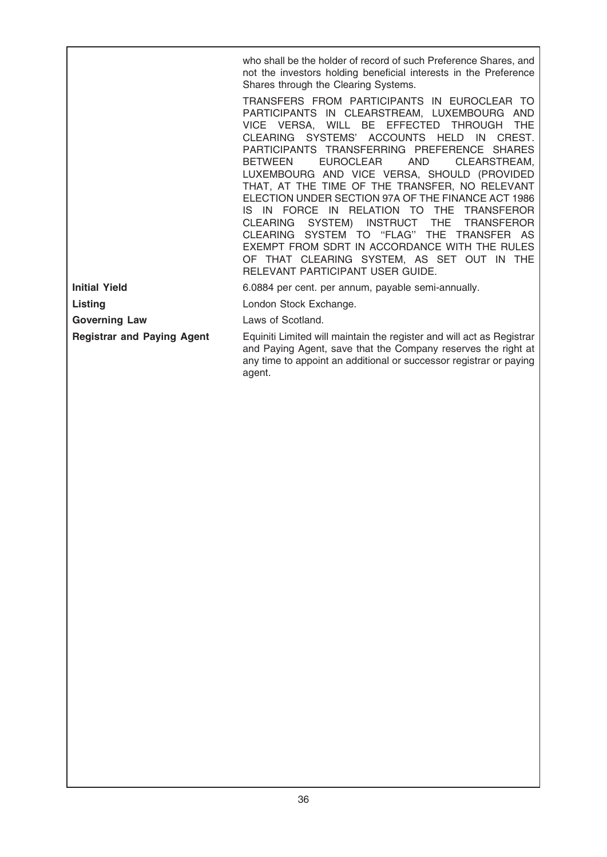who shall be the holder of record of such Preference Shares, and not the investors holding beneficial interests in the Preference Shares through the Clearing Systems.

TRANSFERS FROM PARTICIPANTS IN EUROCLEAR TO PARTICIPANTS IN CLEARSTREAM, LUXEMBOURG AND VICE VERSA, WILL BE EFFECTED THROUGH THE CLEARING SYSTEMS' ACCOUNTS HELD IN CREST. PARTICIPANTS TRANSFERRING PREFERENCE SHARES BETWEEN EUROCLEAR AND CLEARSTREAM, LUXEMBOURG AND VICE VERSA, SHOULD (PROVIDED THAT, AT THE TIME OF THE TRANSFER, NO RELEVANT ELECTION UNDER SECTION 97A OF THE FINANCE ACT 1986 IS IN FORCE IN RELATION TO THE TRANSFEROR CLEARING SYSTEM) INSTRUCT THE TRANSFEROR CLEARING SYSTEM TO ''FLAG'' THE TRANSFER AS EXEMPT FROM SDRT IN ACCORDANCE WITH THE RULES OF THAT CLEARING SYSTEM, AS SET OUT IN THE RELEVANT PARTICIPANT USER GUIDE.

Governing Law **Laws** of Scotland.

Initial Yield 6.0884 per cent. per annum, payable semi-annually.

Listing **Listing Community** London Stock Exchange.

Registrar and Paying Agent Equiniti Limited will maintain the register and will act as Registrar and Paying Agent, save that the Company reserves the right at any time to appoint an additional or successor registrar or paying agent.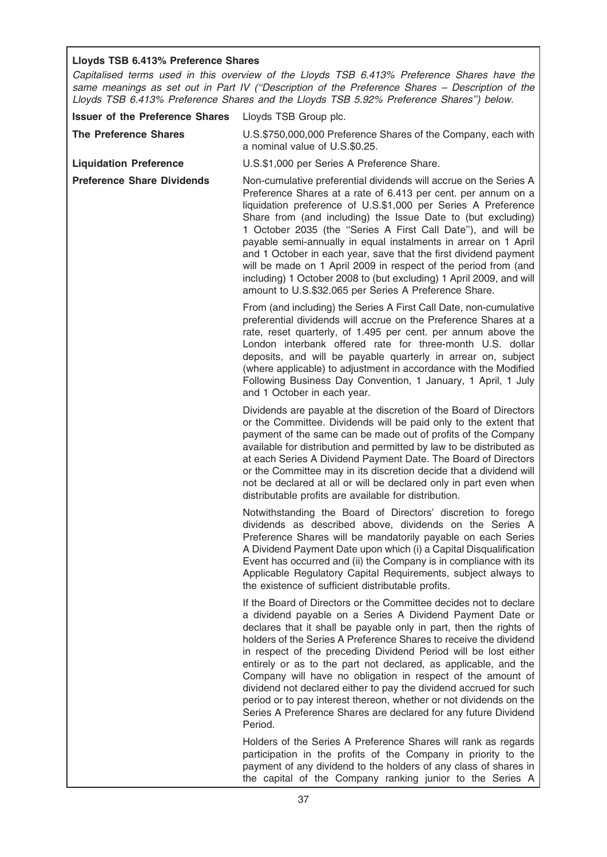# Lloyds TSB 6.413% Preference Shares

Capitalised terms used in this overview of the Lloyds TSB 6.413% Preference Shares have the same meanings as set out in Part IV ("Description of the Preference Shares - Description of the Lloyds TSB 6.413% Preference Shares and the Lloyds TSB 5.92% Preference Shares'') below.

| <b>Issuer of the Preference Shares</b> | Lloyds TSB Group plc.                                                                                                                                                                                                                                                                                                                                                                                                                                                                                                                                                                                                                                                                                   |
|----------------------------------------|---------------------------------------------------------------------------------------------------------------------------------------------------------------------------------------------------------------------------------------------------------------------------------------------------------------------------------------------------------------------------------------------------------------------------------------------------------------------------------------------------------------------------------------------------------------------------------------------------------------------------------------------------------------------------------------------------------|
| <b>The Preference Shares</b>           | U.S.\$750,000,000 Preference Shares of the Company, each with<br>a nominal value of U.S.\$0.25.                                                                                                                                                                                                                                                                                                                                                                                                                                                                                                                                                                                                         |
| <b>Liquidation Preference</b>          | U.S.\$1,000 per Series A Preference Share.                                                                                                                                                                                                                                                                                                                                                                                                                                                                                                                                                                                                                                                              |
| <b>Preference Share Dividends</b>      | Non-cumulative preferential dividends will accrue on the Series A<br>Preference Shares at a rate of 6.413 per cent. per annum on a<br>liquidation preference of U.S.\$1,000 per Series A Preference<br>Share from (and including) the Issue Date to (but excluding)<br>1 October 2035 (the "Series A First Call Date"), and will be<br>payable semi-annually in equal instalments in arrear on 1 April<br>and 1 October in each year, save that the first dividend payment<br>will be made on 1 April 2009 in respect of the period from (and<br>including) 1 October 2008 to (but excluding) 1 April 2009, and will<br>amount to U.S.\$32.065 per Series A Preference Share.                           |
|                                        | From (and including) the Series A First Call Date, non-cumulative<br>preferential dividends will accrue on the Preference Shares at a<br>rate, reset quarterly, of 1.495 per cent. per annum above the<br>London interbank offered rate for three-month U.S. dollar<br>deposits, and will be payable quarterly in arrear on, subject<br>(where applicable) to adjustment in accordance with the Modified<br>Following Business Day Convention, 1 January, 1 April, 1 July<br>and 1 October in each year.                                                                                                                                                                                                |
|                                        | Dividends are payable at the discretion of the Board of Directors<br>or the Committee. Dividends will be paid only to the extent that<br>payment of the same can be made out of profits of the Company<br>available for distribution and permitted by law to be distributed as<br>at each Series A Dividend Payment Date. The Board of Directors<br>or the Committee may in its discretion decide that a dividend will<br>not be declared at all or will be declared only in part even when<br>distributable profits are available for distribution.                                                                                                                                                    |
|                                        | Notwithstanding the Board of Directors' discretion to forego<br>dividends as described above, dividends on the Series A<br>Preference Shares will be mandatorily payable on each Series<br>A Dividend Payment Date upon which (i) a Capital Disqualification<br>Event has occurred and (ii) the Company is in compliance with its<br>Applicable Regulatory Capital Requirements, subject always to<br>the existence of sufficient distributable profits.                                                                                                                                                                                                                                                |
|                                        | If the Board of Directors or the Committee decides not to declare<br>a dividend payable on a Series A Dividend Payment Date or<br>declares that it shall be payable only in part, then the rights of<br>holders of the Series A Preference Shares to receive the dividend<br>in respect of the preceding Dividend Period will be lost either<br>entirely or as to the part not declared, as applicable, and the<br>Company will have no obligation in respect of the amount of<br>dividend not declared either to pay the dividend accrued for such<br>period or to pay interest thereon, whether or not dividends on the<br>Series A Preference Shares are declared for any future Dividend<br>Period. |
|                                        | Holders of the Series A Preference Shares will rank as regards<br>participation in the profits of the Company in priority to the<br>payment of any dividend to the holders of any class of shares in<br>the capital of the Company ranking junior to the Series A                                                                                                                                                                                                                                                                                                                                                                                                                                       |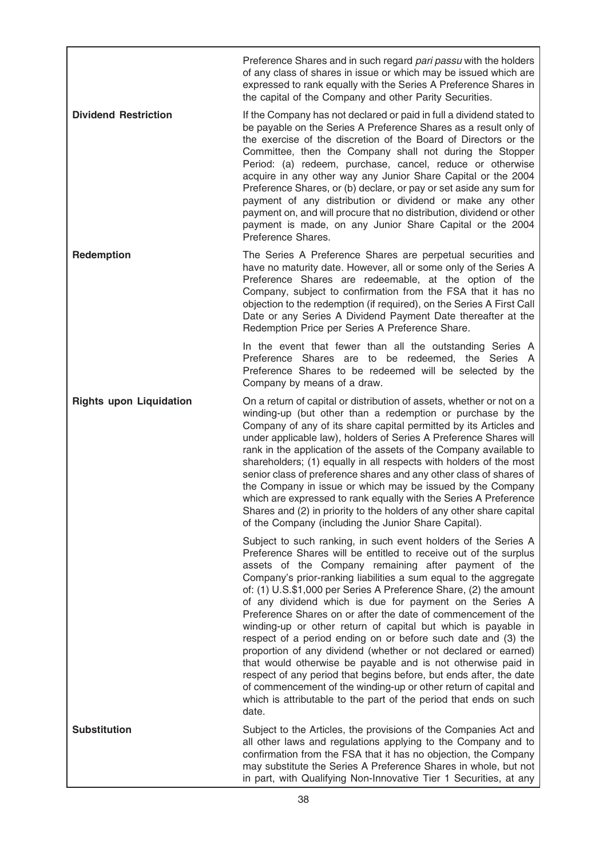Preference Shares and in such regard pari passu with the holders of any class of shares in issue or which may be issued which are expressed to rank equally with the Series A Preference Shares in the capital of the Company and other Parity Securities.

**Dividend Restriction** If the Company has not declared or paid in full a dividend stated to be payable on the Series A Preference Shares as a result only of the exercise of the discretion of the Board of Directors or the Committee, then the Company shall not during the Stopper Period: (a) redeem, purchase, cancel, reduce or otherwise acquire in any other way any Junior Share Capital or the 2004 Preference Shares, or (b) declare, or pay or set aside any sum for payment of any distribution or dividend or make any other payment on, and will procure that no distribution, dividend or other payment is made, on any Junior Share Capital or the 2004 Preference Shares.

**Redemption** The Series A Preference Shares are perpetual securities and have no maturity date. However, all or some only of the Series A Preference Shares are redeemable, at the option of the Company, subject to confirmation from the FSA that it has no objection to the redemption (if required), on the Series A First Call Date or any Series A Dividend Payment Date thereafter at the Redemption Price per Series A Preference Share.

> In the event that fewer than all the outstanding Series A Preference Shares are to be redeemed, the Series A Preference Shares to be redeemed will be selected by the Company by means of a draw.

Rights upon Liquidation On a return of capital or distribution of assets, whether or not on a winding-up (but other than a redemption or purchase by the Company of any of its share capital permitted by its Articles and under applicable law), holders of Series A Preference Shares will rank in the application of the assets of the Company available to shareholders; (1) equally in all respects with holders of the most senior class of preference shares and any other class of shares of the Company in issue or which may be issued by the Company which are expressed to rank equally with the Series A Preference Shares and (2) in priority to the holders of any other share capital of the Company (including the Junior Share Capital).

> Subject to such ranking, in such event holders of the Series A Preference Shares will be entitled to receive out of the surplus assets of the Company remaining after payment of the Company's prior-ranking liabilities a sum equal to the aggregate of: (1) U.S.\$1,000 per Series A Preference Share, (2) the amount of any dividend which is due for payment on the Series A Preference Shares on or after the date of commencement of the winding-up or other return of capital but which is payable in respect of a period ending on or before such date and (3) the proportion of any dividend (whether or not declared or earned) that would otherwise be payable and is not otherwise paid in respect of any period that begins before, but ends after, the date of commencement of the winding-up or other return of capital and which is attributable to the part of the period that ends on such date.

Substitution **Subject to the Articles, the provisions of the Companies Act and** all other laws and regulations applying to the Company and to confirmation from the FSA that it has no objection, the Company may substitute the Series A Preference Shares in whole, but not in part, with Qualifying Non-Innovative Tier 1 Securities, at any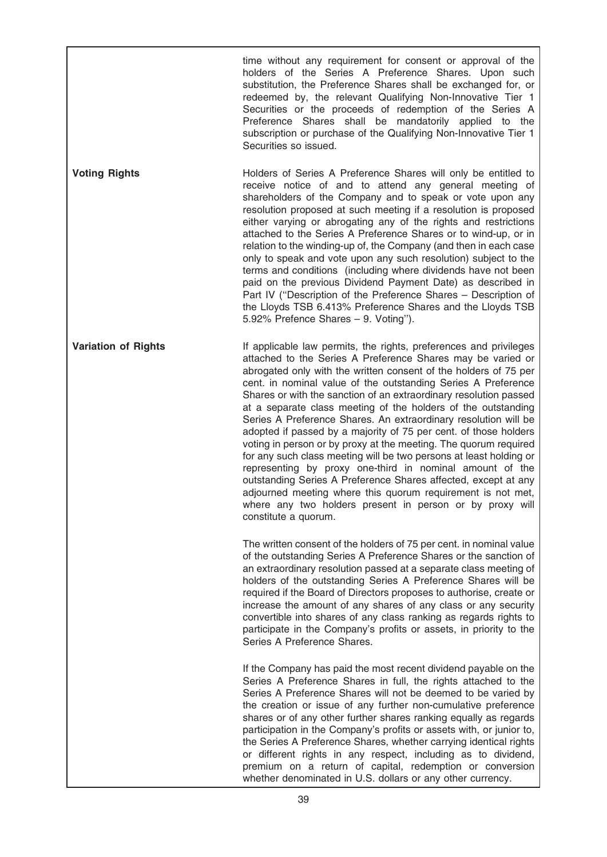|                            | time without any requirement for consent or approval of the<br>holders of the Series A Preference Shares. Upon such<br>substitution, the Preference Shares shall be exchanged for, or<br>redeemed by, the relevant Qualifying Non-Innovative Tier 1<br>Securities or the proceeds of redemption of the Series A<br>Preference Shares shall be mandatorily applied to the<br>subscription or purchase of the Qualifying Non-Innovative Tier 1<br>Securities so issued.                                                                                                                                                                                                                                                                                                                                                                                                                                                                                                         |
|----------------------------|-------------------------------------------------------------------------------------------------------------------------------------------------------------------------------------------------------------------------------------------------------------------------------------------------------------------------------------------------------------------------------------------------------------------------------------------------------------------------------------------------------------------------------------------------------------------------------------------------------------------------------------------------------------------------------------------------------------------------------------------------------------------------------------------------------------------------------------------------------------------------------------------------------------------------------------------------------------------------------|
| <b>Voting Rights</b>       | Holders of Series A Preference Shares will only be entitled to<br>receive notice of and to attend any general meeting of<br>shareholders of the Company and to speak or vote upon any<br>resolution proposed at such meeting if a resolution is proposed<br>either varying or abrogating any of the rights and restrictions<br>attached to the Series A Preference Shares or to wind-up, or in<br>relation to the winding-up of, the Company (and then in each case<br>only to speak and vote upon any such resolution) subject to the<br>terms and conditions (including where dividends have not been<br>paid on the previous Dividend Payment Date) as described in<br>Part IV ("Description of the Preference Shares - Description of<br>the Lloyds TSB 6.413% Preference Shares and the Lloyds TSB<br>5.92% Prefence Shares - 9. Voting").                                                                                                                               |
| <b>Variation of Rights</b> | If applicable law permits, the rights, preferences and privileges<br>attached to the Series A Preference Shares may be varied or<br>abrogated only with the written consent of the holders of 75 per<br>cent. in nominal value of the outstanding Series A Preference<br>Shares or with the sanction of an extraordinary resolution passed<br>at a separate class meeting of the holders of the outstanding<br>Series A Preference Shares. An extraordinary resolution will be<br>adopted if passed by a majority of 75 per cent. of those holders<br>voting in person or by proxy at the meeting. The quorum required<br>for any such class meeting will be two persons at least holding or<br>representing by proxy one-third in nominal amount of the<br>outstanding Series A Preference Shares affected, except at any<br>adjourned meeting where this quorum requirement is not met,<br>where any two holders present in person or by proxy will<br>constitute a quorum. |
|                            | The written consent of the holders of 75 per cent. in nominal value<br>of the outstanding Series A Preference Shares or the sanction of<br>an extraordinary resolution passed at a separate class meeting of<br>holders of the outstanding Series A Preference Shares will be<br>required if the Board of Directors proposes to authorise, create or<br>increase the amount of any shares of any class or any security<br>convertible into shares of any class ranking as regards rights to<br>participate in the Company's profits or assets, in priority to the<br>Series A Preference Shares.                                                                                                                                                                                                                                                                                                                                                                              |
|                            | If the Company has paid the most recent dividend payable on the<br>Series A Preference Shares in full, the rights attached to the<br>Series A Preference Shares will not be deemed to be varied by<br>the creation or issue of any further non-cumulative preference<br>shares or of any other further shares ranking equally as regards<br>participation in the Company's profits or assets with, or junior to,<br>the Series A Preference Shares, whether carrying identical rights<br>or different rights in any respect, including as to dividend,<br>premium on a return of capital, redemption or conversion<br>whether denominated in U.S. dollars or any other currency.                                                                                                                                                                                                                                                                                              |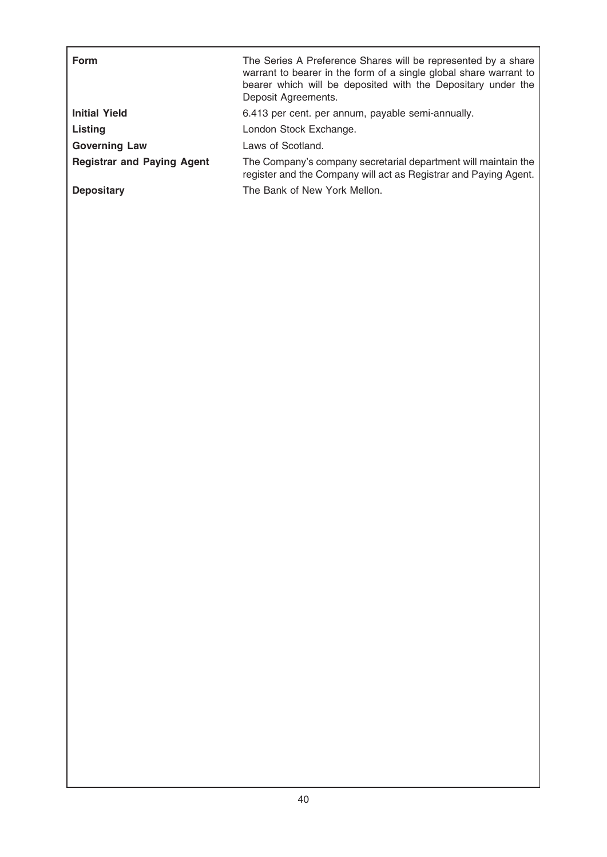| <b>Form</b>                       | The Series A Preference Shares will be represented by a share<br>warrant to bearer in the form of a single global share warrant to<br>bearer which will be deposited with the Depositary under the<br>Deposit Agreements. |
|-----------------------------------|---------------------------------------------------------------------------------------------------------------------------------------------------------------------------------------------------------------------------|
| <b>Initial Yield</b>              | 6.413 per cent. per annum, payable semi-annually.                                                                                                                                                                         |
| Listing                           | London Stock Exchange.                                                                                                                                                                                                    |
| <b>Governing Law</b>              | Laws of Scotland.                                                                                                                                                                                                         |
| <b>Registrar and Paying Agent</b> | The Company's company secretarial department will maintain the<br>register and the Company will act as Registrar and Paying Agent.                                                                                        |
| <b>Depositary</b>                 | The Bank of New York Mellon.                                                                                                                                                                                              |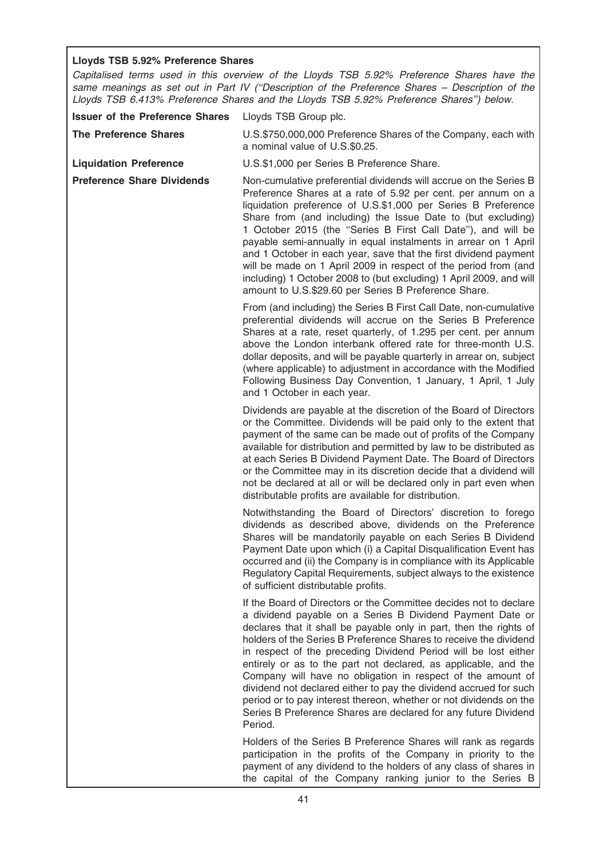# Lloyds TSB 5.92% Preference Shares

Capitalised terms used in this overview of the Lloyds TSB 5.92% Preference Shares have the same meanings as set out in Part IV ("Description of the Preference Shares - Description of the Lloyds TSB 6.413% Preference Shares and the Lloyds TSB 5.92% Preference Shares'') below.

| <b>Issuer of the Preference Shares</b> | Lloyds TSB Group plc.                                                                                                                                                                                                                                                                                                                                                                                                                                                                                                                                                                                                                                                                                   |
|----------------------------------------|---------------------------------------------------------------------------------------------------------------------------------------------------------------------------------------------------------------------------------------------------------------------------------------------------------------------------------------------------------------------------------------------------------------------------------------------------------------------------------------------------------------------------------------------------------------------------------------------------------------------------------------------------------------------------------------------------------|
| <b>The Preference Shares</b>           | U.S.\$750,000,000 Preference Shares of the Company, each with<br>a nominal value of U.S.\$0.25.                                                                                                                                                                                                                                                                                                                                                                                                                                                                                                                                                                                                         |
| <b>Liquidation Preference</b>          | U.S.\$1,000 per Series B Preference Share.                                                                                                                                                                                                                                                                                                                                                                                                                                                                                                                                                                                                                                                              |
| <b>Preference Share Dividends</b>      | Non-cumulative preferential dividends will accrue on the Series B<br>Preference Shares at a rate of 5.92 per cent. per annum on a<br>liquidation preference of U.S.\$1,000 per Series B Preference<br>Share from (and including) the Issue Date to (but excluding)<br>1 October 2015 (the "Series B First Call Date"), and will be<br>payable semi-annually in equal instalments in arrear on 1 April<br>and 1 October in each year, save that the first dividend payment<br>will be made on 1 April 2009 in respect of the period from (and<br>including) 1 October 2008 to (but excluding) 1 April 2009, and will<br>amount to U.S.\$29.60 per Series B Preference Share.                             |
|                                        | From (and including) the Series B First Call Date, non-cumulative<br>preferential dividends will accrue on the Series B Preference<br>Shares at a rate, reset quarterly, of 1.295 per cent. per annum<br>above the London interbank offered rate for three-month U.S.<br>dollar deposits, and will be payable quarterly in arrear on, subject<br>(where applicable) to adjustment in accordance with the Modified<br>Following Business Day Convention, 1 January, 1 April, 1 July<br>and 1 October in each year.                                                                                                                                                                                       |
|                                        | Dividends are payable at the discretion of the Board of Directors<br>or the Committee. Dividends will be paid only to the extent that<br>payment of the same can be made out of profits of the Company<br>available for distribution and permitted by law to be distributed as<br>at each Series B Dividend Payment Date. The Board of Directors<br>or the Committee may in its discretion decide that a dividend will<br>not be declared at all or will be declared only in part even when<br>distributable profits are available for distribution.                                                                                                                                                    |
|                                        | Notwithstanding the Board of Directors' discretion to forego<br>dividends as described above, dividends on the Preference<br>Shares will be mandatorily payable on each Series B Dividend<br>Payment Date upon which (i) a Capital Disqualification Event has<br>occurred and (ii) the Company is in compliance with its Applicable<br>Regulatory Capital Requirements, subject always to the existence<br>of sufficient distributable profits.                                                                                                                                                                                                                                                         |
|                                        | If the Board of Directors or the Committee decides not to declare<br>a dividend payable on a Series B Dividend Payment Date or<br>declares that it shall be payable only in part, then the rights of<br>holders of the Series B Preference Shares to receive the dividend<br>in respect of the preceding Dividend Period will be lost either<br>entirely or as to the part not declared, as applicable, and the<br>Company will have no obligation in respect of the amount of<br>dividend not declared either to pay the dividend accrued for such<br>period or to pay interest thereon, whether or not dividends on the<br>Series B Preference Shares are declared for any future Dividend<br>Period. |
|                                        | Holders of the Series B Preference Shares will rank as regards<br>participation in the profits of the Company in priority to the<br>payment of any dividend to the holders of any class of shares in<br>the capital of the Company ranking junior to the Series B                                                                                                                                                                                                                                                                                                                                                                                                                                       |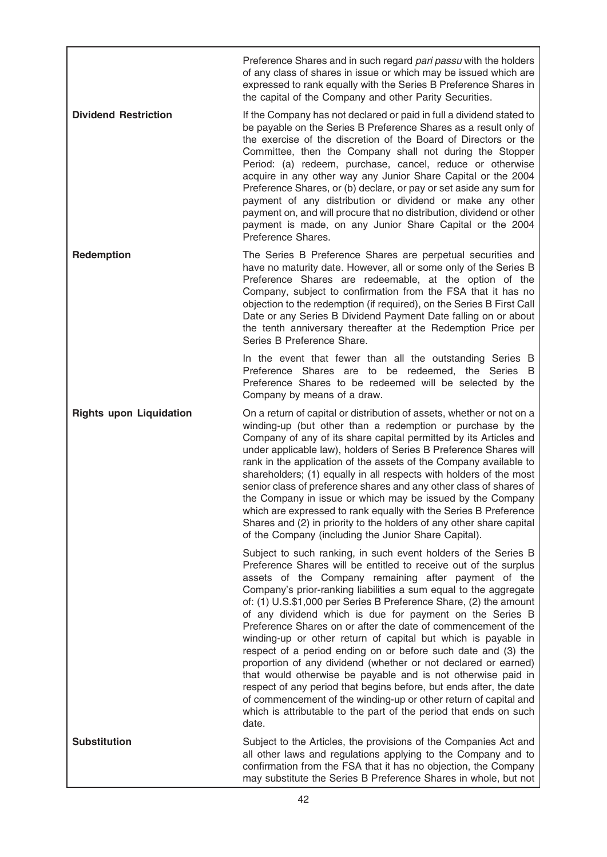Preference Shares and in such regard pari passu with the holders of any class of shares in issue or which may be issued which are expressed to rank equally with the Series B Preference Shares in the capital of the Company and other Parity Securities.

**Dividend Restriction** If the Company has not declared or paid in full a dividend stated to be payable on the Series B Preference Shares as a result only of the exercise of the discretion of the Board of Directors or the Committee, then the Company shall not during the Stopper Period: (a) redeem, purchase, cancel, reduce or otherwise acquire in any other way any Junior Share Capital or the 2004 Preference Shares, or (b) declare, or pay or set aside any sum for payment of any distribution or dividend or make any other payment on, and will procure that no distribution, dividend or other payment is made, on any Junior Share Capital or the 2004 Preference Shares.

**Redemption** The Series B Preference Shares are perpetual securities and have no maturity date. However, all or some only of the Series B Preference Shares are redeemable, at the option of the Company, subject to confirmation from the FSA that it has no objection to the redemption (if required), on the Series B First Call Date or any Series B Dividend Payment Date falling on or about the tenth anniversary thereafter at the Redemption Price per Series B Preference Share.

> In the event that fewer than all the outstanding Series B Preference Shares are to be redeemed, the Series B Preference Shares to be redeemed will be selected by the Company by means of a draw.

Rights upon Liquidation On a return of capital or distribution of assets, whether or not on a winding-up (but other than a redemption or purchase by the Company of any of its share capital permitted by its Articles and under applicable law), holders of Series B Preference Shares will rank in the application of the assets of the Company available to shareholders; (1) equally in all respects with holders of the most senior class of preference shares and any other class of shares of the Company in issue or which may be issued by the Company which are expressed to rank equally with the Series B Preference Shares and (2) in priority to the holders of any other share capital of the Company (including the Junior Share Capital).

> Subject to such ranking, in such event holders of the Series B Preference Shares will be entitled to receive out of the surplus assets of the Company remaining after payment of the Company's prior-ranking liabilities a sum equal to the aggregate of: (1) U.S.\$1,000 per Series B Preference Share, (2) the amount of any dividend which is due for payment on the Series B Preference Shares on or after the date of commencement of the winding-up or other return of capital but which is payable in respect of a period ending on or before such date and (3) the proportion of any dividend (whether or not declared or earned) that would otherwise be payable and is not otherwise paid in respect of any period that begins before, but ends after, the date of commencement of the winding-up or other return of capital and which is attributable to the part of the period that ends on such date.

Substitution **Subject to the Articles, the provisions of the Companies Act and** all other laws and regulations applying to the Company and to confirmation from the FSA that it has no objection, the Company may substitute the Series B Preference Shares in whole, but not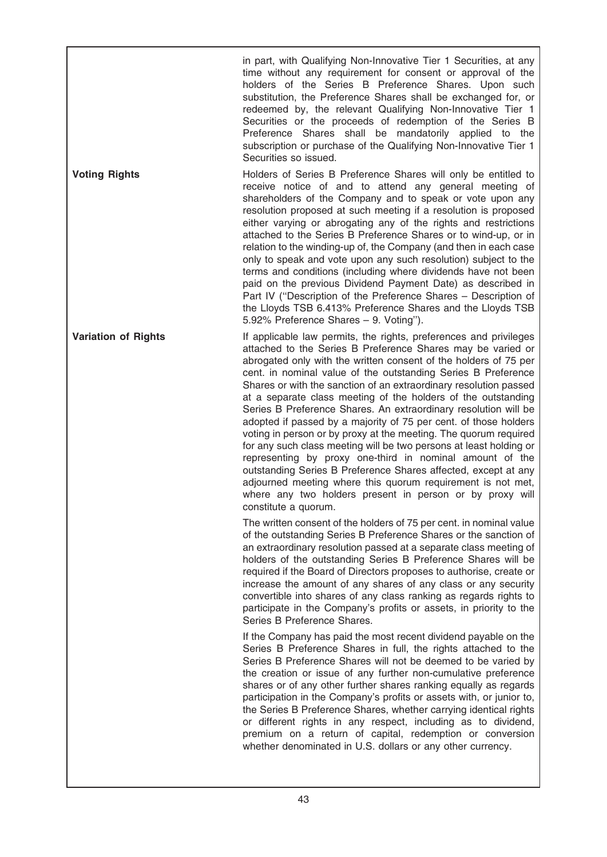in part, with Qualifying Non-Innovative Tier 1 Securities, at any time without any requirement for consent or approval of the holders of the Series B Preference Shares. Upon such substitution, the Preference Shares shall be exchanged for, or redeemed by, the relevant Qualifying Non-Innovative Tier 1 Securities or the proceeds of redemption of the Series B Preference Shares shall be mandatorily applied to the subscription or purchase of the Qualifying Non-Innovative Tier 1 Securities so issued.

Voting Rights **Holders** of Series B Preference Shares will only be entitled to receive notice of and to attend any general meeting of shareholders of the Company and to speak or vote upon any resolution proposed at such meeting if a resolution is proposed either varying or abrogating any of the rights and restrictions attached to the Series B Preference Shares or to wind-up, or in relation to the winding-up of, the Company (and then in each case only to speak and vote upon any such resolution) subject to the terms and conditions (including where dividends have not been paid on the previous Dividend Payment Date) as described in Part IV (''Description of the Preference Shares – Description of the Lloyds TSB 6.413% Preference Shares and the Lloyds TSB 5.92% Preference Shares – 9. Voting'').

Variation of Rights If applicable law permits, the rights, preferences and privileges attached to the Series B Preference Shares may be varied or abrogated only with the written consent of the holders of 75 per cent. in nominal value of the outstanding Series B Preference Shares or with the sanction of an extraordinary resolution passed at a separate class meeting of the holders of the outstanding Series B Preference Shares. An extraordinary resolution will be adopted if passed by a majority of 75 per cent. of those holders voting in person or by proxy at the meeting. The quorum required for any such class meeting will be two persons at least holding or representing by proxy one-third in nominal amount of the outstanding Series B Preference Shares affected, except at any adjourned meeting where this quorum requirement is not met, where any two holders present in person or by proxy will constitute a quorum.

> The written consent of the holders of 75 per cent. in nominal value of the outstanding Series B Preference Shares or the sanction of an extraordinary resolution passed at a separate class meeting of holders of the outstanding Series B Preference Shares will be required if the Board of Directors proposes to authorise, create or increase the amount of any shares of any class or any security convertible into shares of any class ranking as regards rights to participate in the Company's profits or assets, in priority to the Series B Preference Shares.

> If the Company has paid the most recent dividend payable on the Series B Preference Shares in full, the rights attached to the Series B Preference Shares will not be deemed to be varied by the creation or issue of any further non-cumulative preference shares or of any other further shares ranking equally as regards participation in the Company's profits or assets with, or junior to, the Series B Preference Shares, whether carrying identical rights or different rights in any respect, including as to dividend, premium on a return of capital, redemption or conversion whether denominated in U.S. dollars or any other currency.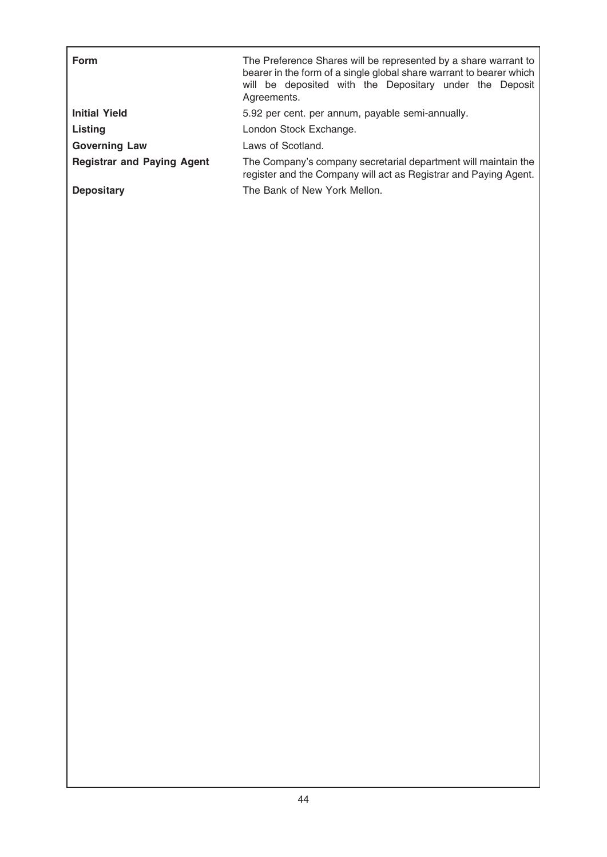| Form                              | The Preference Shares will be represented by a share warrant to<br>bearer in the form of a single global share warrant to bearer which<br>will be deposited with the Depositary under the Deposit<br>Agreements. |
|-----------------------------------|------------------------------------------------------------------------------------------------------------------------------------------------------------------------------------------------------------------|
| <b>Initial Yield</b>              | 5.92 per cent. per annum, payable semi-annually.                                                                                                                                                                 |
| Listing                           | London Stock Exchange.                                                                                                                                                                                           |
| <b>Governing Law</b>              | Laws of Scotland.                                                                                                                                                                                                |
| <b>Registrar and Paying Agent</b> | The Company's company secretarial department will maintain the<br>register and the Company will act as Registrar and Paying Agent.                                                                               |
| <b>Depositary</b>                 | The Bank of New York Mellon.                                                                                                                                                                                     |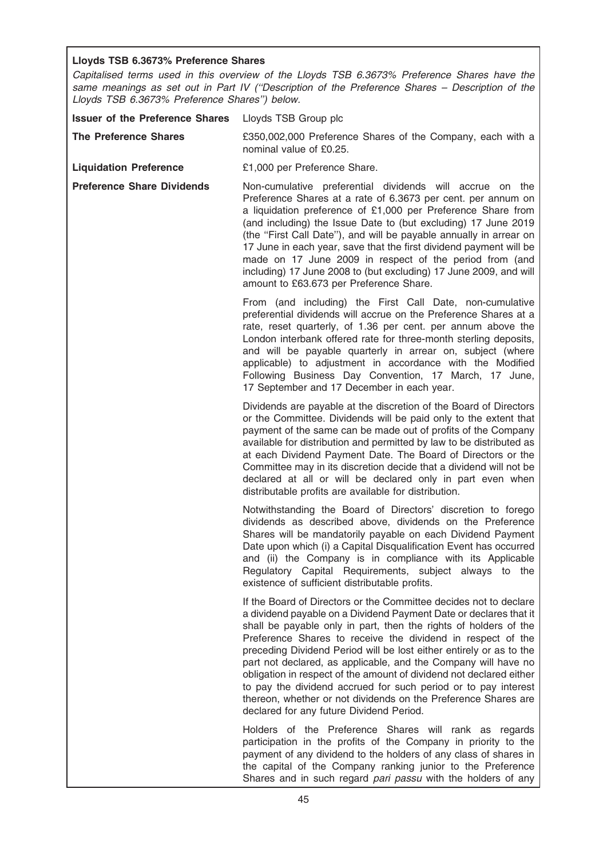# Lloyds TSB 6.3673% Preference Shares

Capitalised terms used in this overview of the Lloyds TSB 6.3673% Preference Shares have the same meanings as set out in Part IV (''Description of the Preference Shares – Description of the Lloyds TSB 6.3673% Preference Shares'') below.

| <b>Issuer of the Preference Shares</b> | Lloyds TSB Group plc                                                                                                                                                                                                                                                                                                                                                                                                                                                                                                                                                                                                                                                      |
|----------------------------------------|---------------------------------------------------------------------------------------------------------------------------------------------------------------------------------------------------------------------------------------------------------------------------------------------------------------------------------------------------------------------------------------------------------------------------------------------------------------------------------------------------------------------------------------------------------------------------------------------------------------------------------------------------------------------------|
| <b>The Preference Shares</b>           | £350,002,000 Preference Shares of the Company, each with a<br>nominal value of £0.25.                                                                                                                                                                                                                                                                                                                                                                                                                                                                                                                                                                                     |
| <b>Liquidation Preference</b>          | £1,000 per Preference Share.                                                                                                                                                                                                                                                                                                                                                                                                                                                                                                                                                                                                                                              |
| <b>Preference Share Dividends</b>      | Non-cumulative preferential dividends will accrue on the<br>Preference Shares at a rate of 6.3673 per cent. per annum on<br>a liquidation preference of £1,000 per Preference Share from<br>(and including) the Issue Date to (but excluding) 17 June 2019<br>(the "First Call Date"), and will be payable annually in arrear on<br>17 June in each year, save that the first dividend payment will be<br>made on 17 June 2009 in respect of the period from (and<br>including) 17 June 2008 to (but excluding) 17 June 2009, and will<br>amount to £63.673 per Preference Share.                                                                                         |
|                                        | From (and including) the First Call Date, non-cumulative<br>preferential dividends will accrue on the Preference Shares at a<br>rate, reset quarterly, of 1.36 per cent. per annum above the<br>London interbank offered rate for three-month sterling deposits,<br>and will be payable quarterly in arrear on, subject (where<br>applicable) to adjustment in accordance with the Modified<br>Following Business Day Convention, 17 March, 17 June,<br>17 September and 17 December in each year.                                                                                                                                                                        |
|                                        | Dividends are payable at the discretion of the Board of Directors<br>or the Committee. Dividends will be paid only to the extent that<br>payment of the same can be made out of profits of the Company<br>available for distribution and permitted by law to be distributed as<br>at each Dividend Payment Date. The Board of Directors or the<br>Committee may in its discretion decide that a dividend will not be<br>declared at all or will be declared only in part even when<br>distributable profits are available for distribution.                                                                                                                               |
|                                        | Notwithstanding the Board of Directors' discretion to forego<br>dividends as described above, dividends on the Preference<br>Shares will be mandatorily payable on each Dividend Payment<br>Date upon which (i) a Capital Disqualification Event has occurred<br>and (ii) the Company is in compliance with its Applicable<br>Regulatory Capital Requirements, subject always to the<br>existence of sufficient distributable profits.                                                                                                                                                                                                                                    |
|                                        | If the Board of Directors or the Committee decides not to declare<br>a dividend payable on a Dividend Payment Date or declares that it<br>shall be payable only in part, then the rights of holders of the<br>Preference Shares to receive the dividend in respect of the<br>preceding Dividend Period will be lost either entirely or as to the<br>part not declared, as applicable, and the Company will have no<br>obligation in respect of the amount of dividend not declared either<br>to pay the dividend accrued for such period or to pay interest<br>thereon, whether or not dividends on the Preference Shares are<br>declared for any future Dividend Period. |
|                                        | Holders of the Preference Shares will rank as regards<br>participation in the profits of the Company in priority to the<br>payment of any dividend to the holders of any class of shares in<br>the capital of the Company ranking junior to the Preference<br>Shares and in such regard pari passu with the holders of any                                                                                                                                                                                                                                                                                                                                                |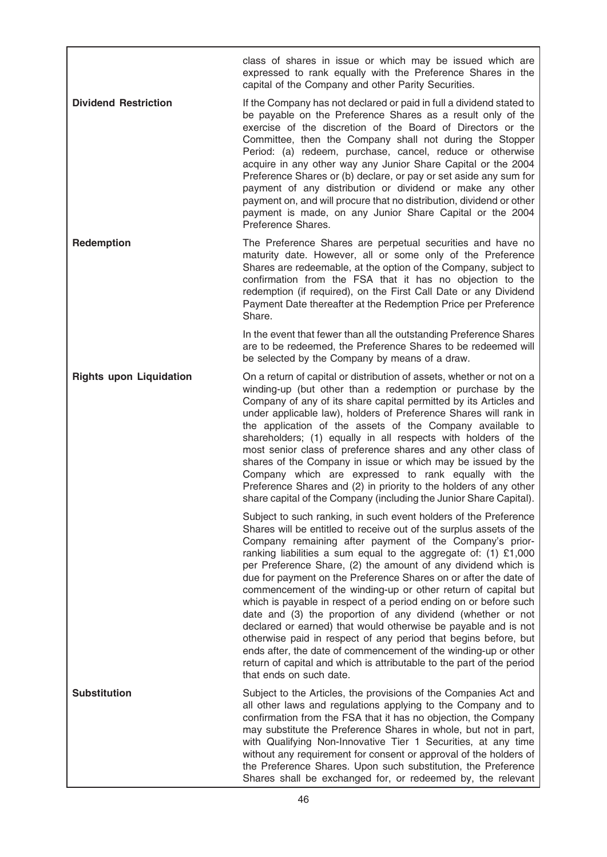class of shares in issue or which may be issued which are expressed to rank equally with the Preference Shares in the capital of the Company and other Parity Securities.

**Dividend Restriction** If the Company has not declared or paid in full a dividend stated to be payable on the Preference Shares as a result only of the exercise of the discretion of the Board of Directors or the Committee, then the Company shall not during the Stopper Period: (a) redeem, purchase, cancel, reduce or otherwise acquire in any other way any Junior Share Capital or the 2004 Preference Shares or (b) declare, or pay or set aside any sum for payment of any distribution or dividend or make any other payment on, and will procure that no distribution, dividend or other payment is made, on any Junior Share Capital or the 2004 Preference Shares.

**Redemption** The Preference Shares are perpetual securities and have no maturity date. However, all or some only of the Preference Shares are redeemable, at the option of the Company, subject to confirmation from the FSA that it has no objection to the redemption (if required), on the First Call Date or any Dividend Payment Date thereafter at the Redemption Price per Preference Share.

> In the event that fewer than all the outstanding Preference Shares are to be redeemed, the Preference Shares to be redeemed will be selected by the Company by means of a draw.

Rights upon Liquidation On a return of capital or distribution of assets, whether or not on a winding-up (but other than a redemption or purchase by the Company of any of its share capital permitted by its Articles and under applicable law), holders of Preference Shares will rank in the application of the assets of the Company available to shareholders; (1) equally in all respects with holders of the most senior class of preference shares and any other class of shares of the Company in issue or which may be issued by the Company which are expressed to rank equally with the Preference Shares and (2) in priority to the holders of any other share capital of the Company (including the Junior Share Capital).

> Subject to such ranking, in such event holders of the Preference Shares will be entitled to receive out of the surplus assets of the Company remaining after payment of the Company's priorranking liabilities a sum equal to the aggregate of: (1) £1,000 per Preference Share, (2) the amount of any dividend which is due for payment on the Preference Shares on or after the date of commencement of the winding-up or other return of capital but which is payable in respect of a period ending on or before such date and (3) the proportion of any dividend (whether or not declared or earned) that would otherwise be payable and is not otherwise paid in respect of any period that begins before, but ends after, the date of commencement of the winding-up or other return of capital and which is attributable to the part of the period that ends on such date.

Substitution Subject to the Articles, the provisions of the Companies Act and all other laws and regulations applying to the Company and to confirmation from the FSA that it has no objection, the Company may substitute the Preference Shares in whole, but not in part, with Qualifying Non-Innovative Tier 1 Securities, at any time without any requirement for consent or approval of the holders of the Preference Shares. Upon such substitution, the Preference Shares shall be exchanged for, or redeemed by, the relevant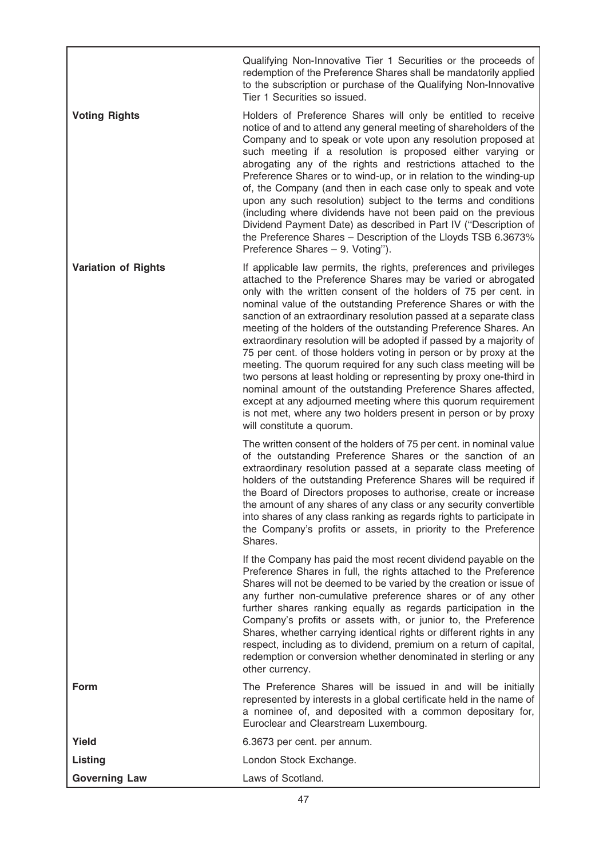Qualifying Non-Innovative Tier 1 Securities or the proceeds of redemption of the Preference Shares shall be mandatorily applied to the subscription or purchase of the Qualifying Non-Innovative Tier 1 Securities so issued.

Voting Rights **Holders** of Preference Shares will only be entitled to receive notice of and to attend any general meeting of shareholders of the Company and to speak or vote upon any resolution proposed at such meeting if a resolution is proposed either varying or abrogating any of the rights and restrictions attached to the Preference Shares or to wind-up, or in relation to the winding-up of, the Company (and then in each case only to speak and vote upon any such resolution) subject to the terms and conditions (including where dividends have not been paid on the previous Dividend Payment Date) as described in Part IV (''Description of the Preference Shares – Description of the Lloyds TSB 6.3673% Preference Shares – 9. Voting'').

Variation of Rights If applicable law permits, the rights, preferences and privileges attached to the Preference Shares may be varied or abrogated only with the written consent of the holders of 75 per cent. in nominal value of the outstanding Preference Shares or with the sanction of an extraordinary resolution passed at a separate class meeting of the holders of the outstanding Preference Shares. An extraordinary resolution will be adopted if passed by a majority of 75 per cent. of those holders voting in person or by proxy at the meeting. The quorum required for any such class meeting will be two persons at least holding or representing by proxy one-third in nominal amount of the outstanding Preference Shares affected, except at any adjourned meeting where this quorum requirement is not met, where any two holders present in person or by proxy will constitute a quorum.

The written consent of the holders of 75 per cent. in nominal value of the outstanding Preference Shares or the sanction of an extraordinary resolution passed at a separate class meeting of holders of the outstanding Preference Shares will be required if the Board of Directors proposes to authorise, create or increase the amount of any shares of any class or any security convertible into shares of any class ranking as regards rights to participate in the Company's profits or assets, in priority to the Preference Shares.

If the Company has paid the most recent dividend payable on the Preference Shares in full, the rights attached to the Preference Shares will not be deemed to be varied by the creation or issue of any further non-cumulative preference shares or of any other further shares ranking equally as regards participation in the Company's profits or assets with, or junior to, the Preference Shares, whether carrying identical rights or different rights in any respect, including as to dividend, premium on a return of capital, redemption or conversion whether denominated in sterling or any other currency.

Form The Preference Shares will be issued in and will be initially represented by interests in a global certificate held in the name of a nominee of, and deposited with a common depositary for, Euroclear and Clearstream Luxembourg.

| Yield                | 6.3673 per cent. per annum. |
|----------------------|-----------------------------|
| Listing              | London Stock Exchange.      |
| <b>Governing Law</b> | Laws of Scotland.           |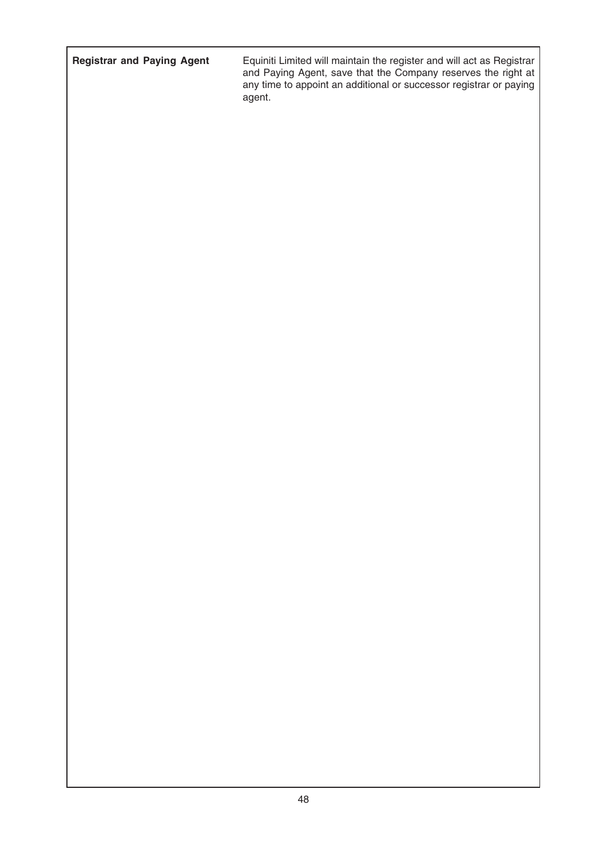Registrar and Paying Agent Equiniti Limited will maintain the register and will act as Registrar and Paying Agent, save that the Company reserves the right at any time to appoint an additional or successor registrar or paying any ....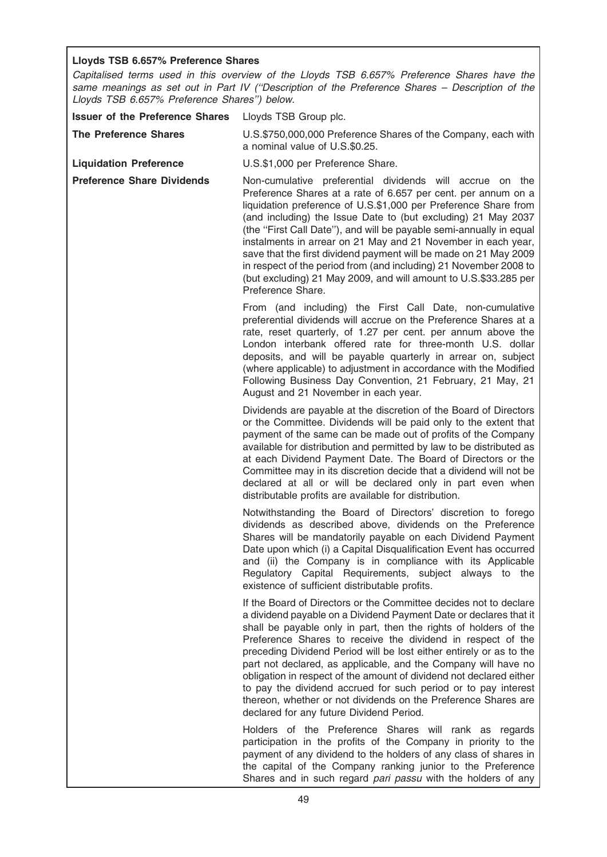# Lloyds TSB 6.657% Preference Shares

Capitalised terms used in this overview of the Lloyds TSB 6.657% Preference Shares have the same meanings as set out in Part IV ("Description of the Preference Shares - Description of the Lloyds TSB 6.657% Preference Shares'') below.

| <b>Issuer of the Preference Shares</b> | Lloyds TSB Group plc.                                                                                                                                                                                                                                                                                                                                                                                                                                                                                                                                                                                                                                                     |
|----------------------------------------|---------------------------------------------------------------------------------------------------------------------------------------------------------------------------------------------------------------------------------------------------------------------------------------------------------------------------------------------------------------------------------------------------------------------------------------------------------------------------------------------------------------------------------------------------------------------------------------------------------------------------------------------------------------------------|
| <b>The Preference Shares</b>           | U.S.\$750,000,000 Preference Shares of the Company, each with<br>a nominal value of U.S.\$0.25.                                                                                                                                                                                                                                                                                                                                                                                                                                                                                                                                                                           |
| <b>Liquidation Preference</b>          | U.S.\$1,000 per Preference Share.                                                                                                                                                                                                                                                                                                                                                                                                                                                                                                                                                                                                                                         |
| <b>Preference Share Dividends</b>      | Non-cumulative preferential dividends will accrue on the<br>Preference Shares at a rate of 6.657 per cent. per annum on a<br>liquidation preference of U.S.\$1,000 per Preference Share from<br>(and including) the Issue Date to (but excluding) 21 May 2037<br>(the "First Call Date"), and will be payable semi-annually in equal<br>instalments in arrear on 21 May and 21 November in each year,<br>save that the first dividend payment will be made on 21 May 2009<br>in respect of the period from (and including) 21 November 2008 to<br>(but excluding) 21 May 2009, and will amount to U.S.\$33.285 per<br>Preference Share.                                   |
|                                        | From (and including) the First Call Date, non-cumulative<br>preferential dividends will accrue on the Preference Shares at a<br>rate, reset quarterly, of 1.27 per cent. per annum above the<br>London interbank offered rate for three-month U.S. dollar<br>deposits, and will be payable quarterly in arrear on, subject<br>(where applicable) to adjustment in accordance with the Modified<br>Following Business Day Convention, 21 February, 21 May, 21<br>August and 21 November in each year.                                                                                                                                                                      |
|                                        | Dividends are payable at the discretion of the Board of Directors<br>or the Committee. Dividends will be paid only to the extent that<br>payment of the same can be made out of profits of the Company<br>available for distribution and permitted by law to be distributed as<br>at each Dividend Payment Date. The Board of Directors or the<br>Committee may in its discretion decide that a dividend will not be<br>declared at all or will be declared only in part even when<br>distributable profits are available for distribution.                                                                                                                               |
|                                        | Notwithstanding the Board of Directors' discretion to forego<br>dividends as described above, dividends on the Preference<br>Shares will be mandatorily payable on each Dividend Payment<br>Date upon which (i) a Capital Disqualification Event has occurred<br>and (ii) the Company is in compliance with its Applicable<br>Regulatory Capital Requirements, subject always to the<br>existence of sufficient distributable profits.                                                                                                                                                                                                                                    |
|                                        | If the Board of Directors or the Committee decides not to declare<br>a dividend payable on a Dividend Payment Date or declares that it<br>shall be payable only in part, then the rights of holders of the<br>Preference Shares to receive the dividend in respect of the<br>preceding Dividend Period will be lost either entirely or as to the<br>part not declared, as applicable, and the Company will have no<br>obligation in respect of the amount of dividend not declared either<br>to pay the dividend accrued for such period or to pay interest<br>thereon, whether or not dividends on the Preference Shares are<br>declared for any future Dividend Period. |
|                                        | Holders of the Preference Shares will rank as regards<br>participation in the profits of the Company in priority to the<br>payment of any dividend to the holders of any class of shares in<br>the capital of the Company ranking junior to the Preference<br>Shares and in such regard pari passu with the holders of any                                                                                                                                                                                                                                                                                                                                                |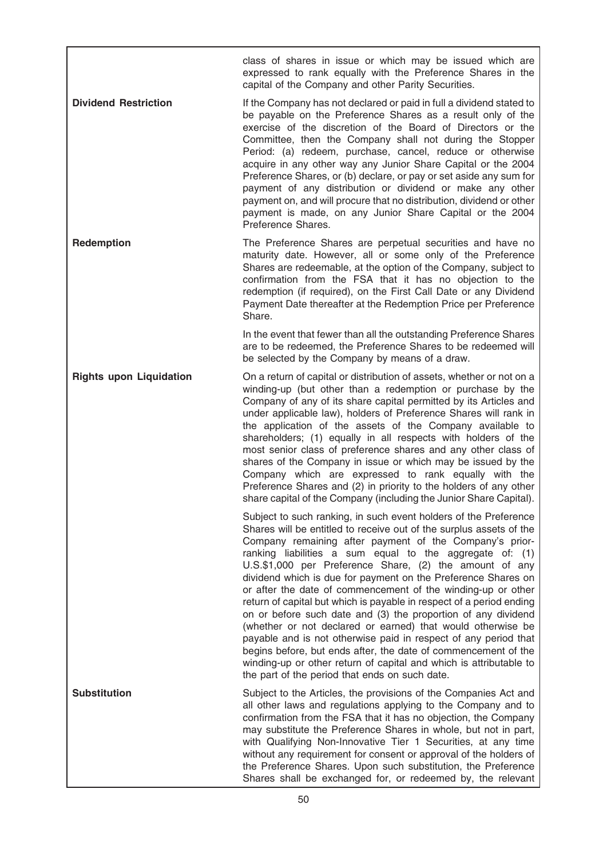class of shares in issue or which may be issued which are expressed to rank equally with the Preference Shares in the capital of the Company and other Parity Securities.

**Dividend Restriction** If the Company has not declared or paid in full a dividend stated to be payable on the Preference Shares as a result only of the exercise of the discretion of the Board of Directors or the Committee, then the Company shall not during the Stopper Period: (a) redeem, purchase, cancel, reduce or otherwise acquire in any other way any Junior Share Capital or the 2004 Preference Shares, or (b) declare, or pay or set aside any sum for payment of any distribution or dividend or make any other payment on, and will procure that no distribution, dividend or other payment is made, on any Junior Share Capital or the 2004 Preference Shares.

**Redemption** The Preference Shares are perpetual securities and have no maturity date. However, all or some only of the Preference Shares are redeemable, at the option of the Company, subject to confirmation from the FSA that it has no objection to the redemption (if required), on the First Call Date or any Dividend Payment Date thereafter at the Redemption Price per Preference Share.

> In the event that fewer than all the outstanding Preference Shares are to be redeemed, the Preference Shares to be redeemed will be selected by the Company by means of a draw.

Rights upon Liquidation On a return of capital or distribution of assets, whether or not on a winding-up (but other than a redemption or purchase by the Company of any of its share capital permitted by its Articles and under applicable law), holders of Preference Shares will rank in the application of the assets of the Company available to shareholders; (1) equally in all respects with holders of the most senior class of preference shares and any other class of shares of the Company in issue or which may be issued by the Company which are expressed to rank equally with the Preference Shares and (2) in priority to the holders of any other share capital of the Company (including the Junior Share Capital).

> Subject to such ranking, in such event holders of the Preference Shares will be entitled to receive out of the surplus assets of the Company remaining after payment of the Company's priorranking liabilities a sum equal to the aggregate of: (1) U.S.\$1,000 per Preference Share, (2) the amount of any dividend which is due for payment on the Preference Shares on or after the date of commencement of the winding-up or other return of capital but which is payable in respect of a period ending on or before such date and (3) the proportion of any dividend (whether or not declared or earned) that would otherwise be payable and is not otherwise paid in respect of any period that begins before, but ends after, the date of commencement of the winding-up or other return of capital and which is attributable to the part of the period that ends on such date.

Substitution Subject to the Articles, the provisions of the Companies Act and all other laws and regulations applying to the Company and to confirmation from the FSA that it has no objection, the Company may substitute the Preference Shares in whole, but not in part, with Qualifying Non-Innovative Tier 1 Securities, at any time without any requirement for consent or approval of the holders of the Preference Shares. Upon such substitution, the Preference Shares shall be exchanged for, or redeemed by, the relevant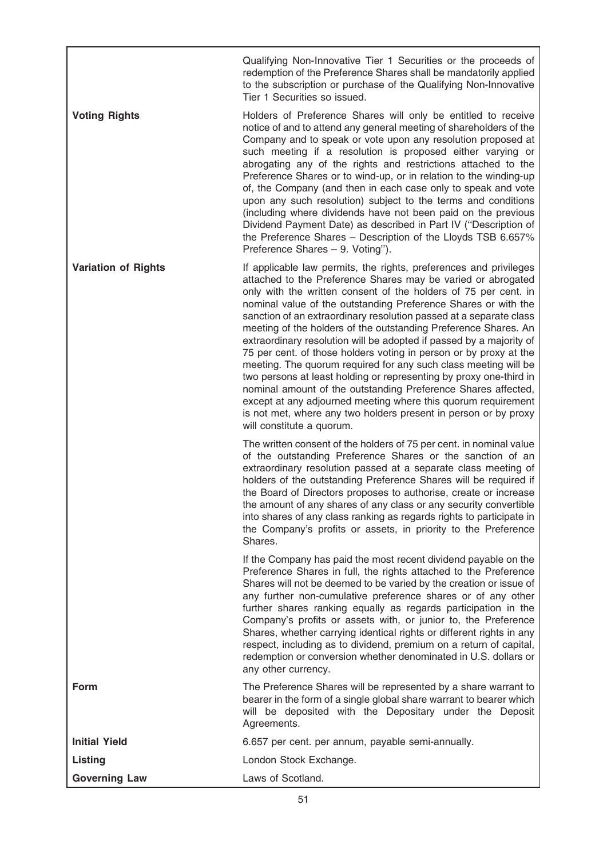Qualifying Non-Innovative Tier 1 Securities or the proceeds of redemption of the Preference Shares shall be mandatorily applied to the subscription or purchase of the Qualifying Non-Innovative Tier 1 Securities so issued.

Voting Rights **Holders** of Preference Shares will only be entitled to receive notice of and to attend any general meeting of shareholders of the Company and to speak or vote upon any resolution proposed at such meeting if a resolution is proposed either varying or abrogating any of the rights and restrictions attached to the Preference Shares or to wind-up, or in relation to the winding-up of, the Company (and then in each case only to speak and vote upon any such resolution) subject to the terms and conditions (including where dividends have not been paid on the previous Dividend Payment Date) as described in Part IV (''Description of the Preference Shares – Description of the Lloyds TSB 6.657% Preference Shares – 9. Voting'').

Variation of Rights If applicable law permits, the rights, preferences and privileges attached to the Preference Shares may be varied or abrogated only with the written consent of the holders of 75 per cent. in nominal value of the outstanding Preference Shares or with the sanction of an extraordinary resolution passed at a separate class meeting of the holders of the outstanding Preference Shares. An extraordinary resolution will be adopted if passed by a majority of 75 per cent. of those holders voting in person or by proxy at the meeting. The quorum required for any such class meeting will be two persons at least holding or representing by proxy one-third in nominal amount of the outstanding Preference Shares affected, except at any adjourned meeting where this quorum requirement is not met, where any two holders present in person or by proxy will constitute a quorum.

The written consent of the holders of 75 per cent. in nominal value of the outstanding Preference Shares or the sanction of an extraordinary resolution passed at a separate class meeting of holders of the outstanding Preference Shares will be required if the Board of Directors proposes to authorise, create or increase the amount of any shares of any class or any security convertible into shares of any class ranking as regards rights to participate in the Company's profits or assets, in priority to the Preference Shares.

If the Company has paid the most recent dividend payable on the Preference Shares in full, the rights attached to the Preference Shares will not be deemed to be varied by the creation or issue of any further non-cumulative preference shares or of any other further shares ranking equally as regards participation in the Company's profits or assets with, or junior to, the Preference Shares, whether carrying identical rights or different rights in any respect, including as to dividend, premium on a return of capital, redemption or conversion whether denominated in U.S. dollars or any other currency.

Form The Preference Shares will be represented by a share warrant to bearer in the form of a single global share warrant to bearer which will be deposited with the Depositary under the Deposit Agreements.

| <b>Initial Yield</b> | 6.657 per cent. per annum, payable semi-annually. |
|----------------------|---------------------------------------------------|
| Listing              | London Stock Exchange.                            |
| <b>Governing Law</b> | Laws of Scotland.                                 |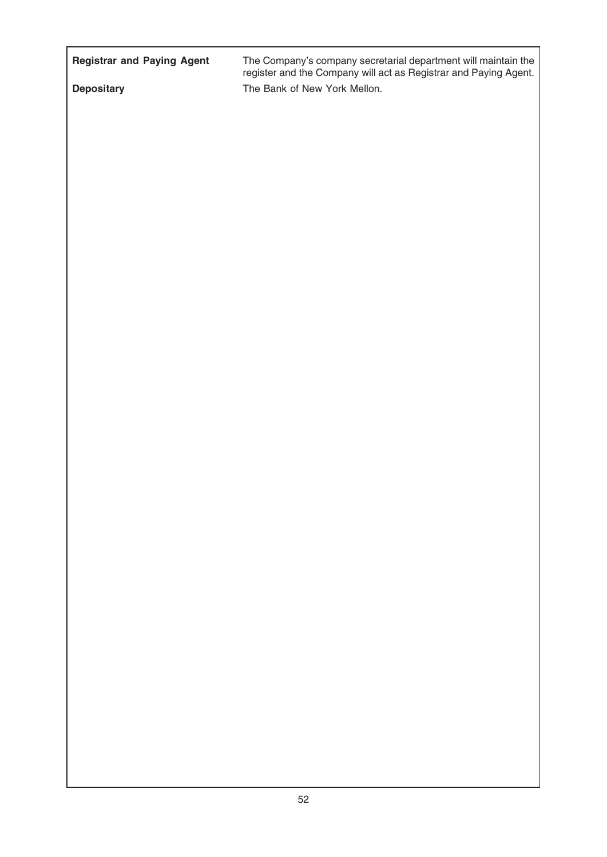| <b>Registrar and Paying Agent</b> | The Company's company secretarial department will maintain the<br>register and the Company will act as Registrar and Paying Agent. |
|-----------------------------------|------------------------------------------------------------------------------------------------------------------------------------|
| <b>Depositary</b>                 | The Bank of New York Mellon.                                                                                                       |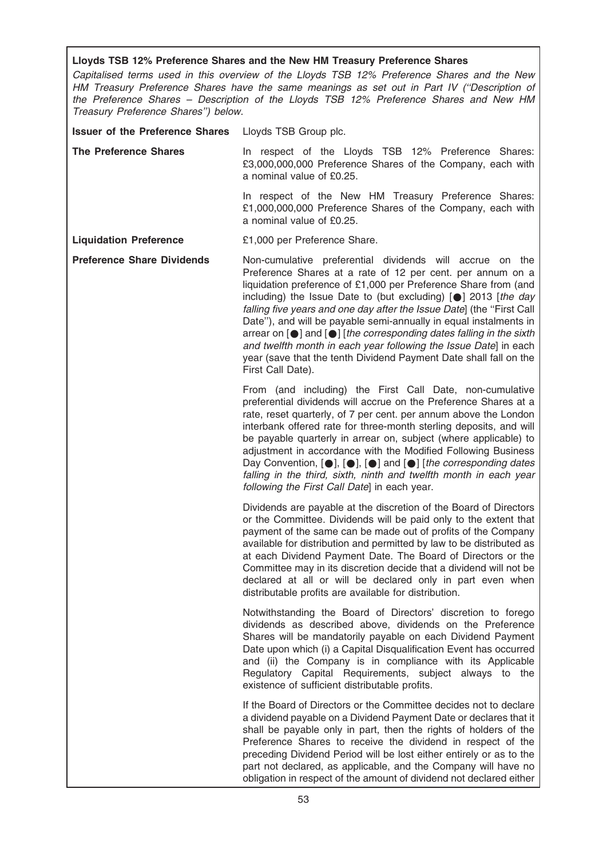# Lloyds TSB 12% Preference Shares and the New HM Treasury Preference Shares

Capitalised terms used in this overview of the Lloyds TSB 12% Preference Shares and the New HM Treasury Preference Shares have the same meanings as set out in Part IV (''Description of the Preference Shares – Description of the Lloyds TSB 12% Preference Shares and New HM Treasury Preference Shares'') below.

Issuer of the Preference Shares Lloyds TSB Group plc.

The Preference Shares **In respect of the Lloyds TSB 12% Preference Shares:** £3,000,000,000 Preference Shares of the Company, each with a nominal value of £0.25.

> In respect of the New HM Treasury Preference Shares: £1,000,000,000 Preference Shares of the Company, each with a nominal value of £0.25.

Liquidation Preference £1,000 per Preference Share.

Preference Share Dividends Mon-cumulative preferential dividends will accrue on the Preference Shares at a rate of 12 per cent. per annum on a liquidation preference of £1,000 per Preference Share from (and including) the Issue Date to (but excluding)  $[•]$  2013 [the day falling five years and one day after the Issue Date] (the "First Call Date''), and will be payable semi-annually in equal instalments in arrear on  $[\bullet]$  and  $[\bullet]$  [the corresponding dates falling in the sixth and twelfth month in each year following the Issue Datel in each year (save that the tenth Dividend Payment Date shall fall on the First Call Date).

> From (and including) the First Call Date, non-cumulative preferential dividends will accrue on the Preference Shares at a rate, reset quarterly, of 7 per cent. per annum above the London interbank offered rate for three-month sterling deposits, and will be payable quarterly in arrear on, subject (where applicable) to adjustment in accordance with the Modified Following Business Day Convention,  $[\bullet]$ ,  $[\bullet]$ ,  $[\bullet]$  and  $[\bullet]$  [the corresponding dates falling in the third, sixth, ninth and twelfth month in each year following the First Call Date] in each year.

> Dividends are payable at the discretion of the Board of Directors or the Committee. Dividends will be paid only to the extent that payment of the same can be made out of profits of the Company available for distribution and permitted by law to be distributed as at each Dividend Payment Date. The Board of Directors or the Committee may in its discretion decide that a dividend will not be declared at all or will be declared only in part even when distributable profits are available for distribution.

> Notwithstanding the Board of Directors' discretion to forego dividends as described above, dividends on the Preference Shares will be mandatorily payable on each Dividend Payment Date upon which (i) a Capital Disqualification Event has occurred and (ii) the Company is in compliance with its Applicable Regulatory Capital Requirements, subject always to the existence of sufficient distributable profits.

> If the Board of Directors or the Committee decides not to declare a dividend payable on a Dividend Payment Date or declares that it shall be payable only in part, then the rights of holders of the Preference Shares to receive the dividend in respect of the preceding Dividend Period will be lost either entirely or as to the part not declared, as applicable, and the Company will have no obligation in respect of the amount of dividend not declared either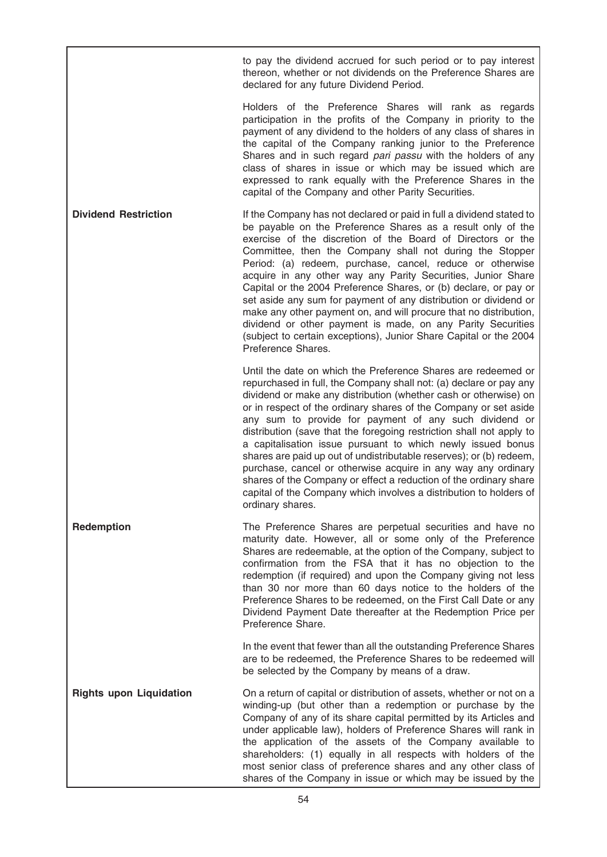to pay the dividend accrued for such period or to pay interest thereon, whether or not dividends on the Preference Shares are declared for any future Dividend Period.

Holders of the Preference Shares will rank as regards participation in the profits of the Company in priority to the payment of any dividend to the holders of any class of shares in the capital of the Company ranking junior to the Preference Shares and in such regard pari passu with the holders of any class of shares in issue or which may be issued which are expressed to rank equally with the Preference Shares in the capital of the Company and other Parity Securities.

**Dividend Restriction** If the Company has not declared or paid in full a dividend stated to be payable on the Preference Shares as a result only of the exercise of the discretion of the Board of Directors or the Committee, then the Company shall not during the Stopper Period: (a) redeem, purchase, cancel, reduce or otherwise acquire in any other way any Parity Securities, Junior Share Capital or the 2004 Preference Shares, or (b) declare, or pay or set aside any sum for payment of any distribution or dividend or make any other payment on, and will procure that no distribution, dividend or other payment is made, on any Parity Securities (subject to certain exceptions), Junior Share Capital or the 2004 Preference Shares.

> Until the date on which the Preference Shares are redeemed or repurchased in full, the Company shall not: (a) declare or pay any dividend or make any distribution (whether cash or otherwise) on or in respect of the ordinary shares of the Company or set aside any sum to provide for payment of any such dividend or distribution (save that the foregoing restriction shall not apply to a capitalisation issue pursuant to which newly issued bonus shares are paid up out of undistributable reserves); or (b) redeem, purchase, cancel or otherwise acquire in any way any ordinary shares of the Company or effect a reduction of the ordinary share capital of the Company which involves a distribution to holders of ordinary shares.

Redemption The Preference Shares are perpetual securities and have no maturity date. However, all or some only of the Preference Shares are redeemable, at the option of the Company, subject to confirmation from the FSA that it has no objection to the redemption (if required) and upon the Company giving not less than 30 nor more than 60 days notice to the holders of the Preference Shares to be redeemed, on the First Call Date or any Dividend Payment Date thereafter at the Redemption Price per Preference Share.

> In the event that fewer than all the outstanding Preference Shares are to be redeemed, the Preference Shares to be redeemed will be selected by the Company by means of a draw.

Rights upon Liquidation On a return of capital or distribution of assets, whether or not on a winding-up (but other than a redemption or purchase by the Company of any of its share capital permitted by its Articles and under applicable law), holders of Preference Shares will rank in the application of the assets of the Company available to shareholders: (1) equally in all respects with holders of the most senior class of preference shares and any other class of shares of the Company in issue or which may be issued by the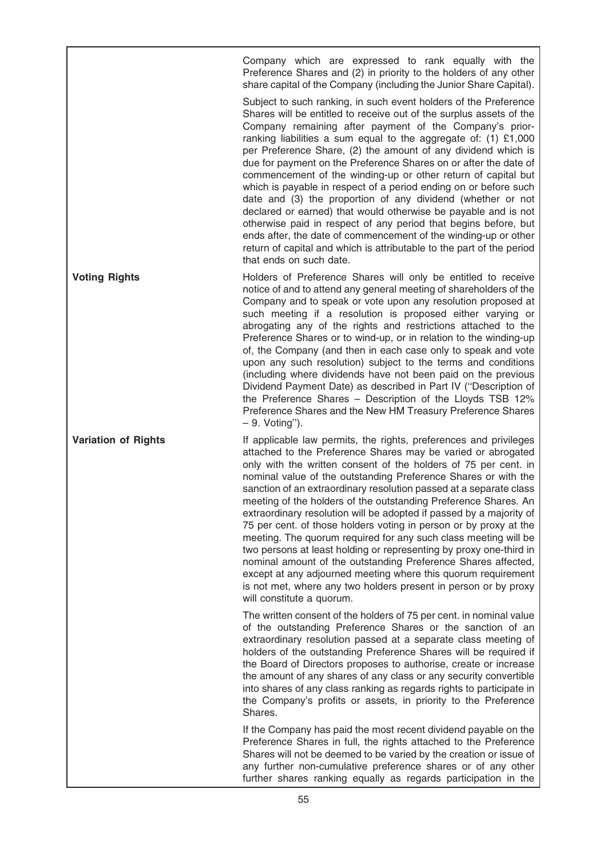Company which are expressed to rank equally with the Preference Shares and (2) in priority to the holders of any other share capital of the Company (including the Junior Share Capital).

Subject to such ranking, in such event holders of the Preference Shares will be entitled to receive out of the surplus assets of the Company remaining after payment of the Company's priorranking liabilities a sum equal to the aggregate of: (1) £1,000 per Preference Share, (2) the amount of any dividend which is due for payment on the Preference Shares on or after the date of commencement of the winding-up or other return of capital but which is payable in respect of a period ending on or before such date and (3) the proportion of any dividend (whether or not declared or earned) that would otherwise be payable and is not otherwise paid in respect of any period that begins before, but ends after, the date of commencement of the winding-up or other return of capital and which is attributable to the part of the period that ends on such date.

Voting Rights **Holders** of Preference Shares will only be entitled to receive notice of and to attend any general meeting of shareholders of the Company and to speak or vote upon any resolution proposed at such meeting if a resolution is proposed either varying or abrogating any of the rights and restrictions attached to the Preference Shares or to wind-up, or in relation to the winding-up of, the Company (and then in each case only to speak and vote upon any such resolution) subject to the terms and conditions (including where dividends have not been paid on the previous Dividend Payment Date) as described in Part IV (''Description of the Preference Shares – Description of the Lloyds TSB 12% Preference Shares and the New HM Treasury Preference Shares – 9. Voting'').

Variation of Rights If applicable law permits, the rights, preferences and privileges attached to the Preference Shares may be varied or abrogated only with the written consent of the holders of 75 per cent. in nominal value of the outstanding Preference Shares or with the sanction of an extraordinary resolution passed at a separate class meeting of the holders of the outstanding Preference Shares. An extraordinary resolution will be adopted if passed by a majority of 75 per cent. of those holders voting in person or by proxy at the meeting. The quorum required for any such class meeting will be two persons at least holding or representing by proxy one-third in nominal amount of the outstanding Preference Shares affected, except at any adjourned meeting where this quorum requirement is not met, where any two holders present in person or by proxy will constitute a quorum.

> The written consent of the holders of 75 per cent. in nominal value of the outstanding Preference Shares or the sanction of an extraordinary resolution passed at a separate class meeting of holders of the outstanding Preference Shares will be required if the Board of Directors proposes to authorise, create or increase the amount of any shares of any class or any security convertible into shares of any class ranking as regards rights to participate in the Company's profits or assets, in priority to the Preference Shares.

> If the Company has paid the most recent dividend payable on the Preference Shares in full, the rights attached to the Preference Shares will not be deemed to be varied by the creation or issue of any further non-cumulative preference shares or of any other further shares ranking equally as regards participation in the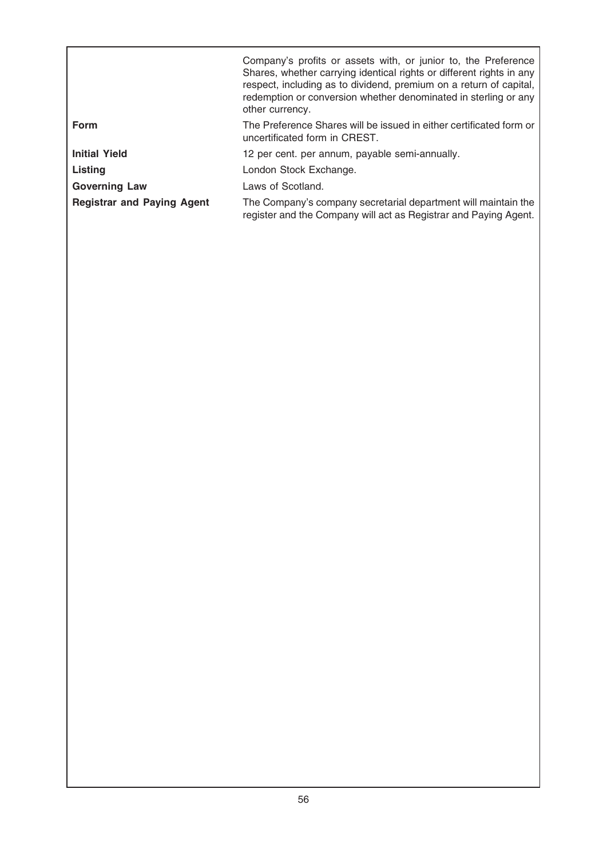|                                   | Company's profits or assets with, or junior to, the Preference<br>Shares, whether carrying identical rights or different rights in any<br>respect, including as to dividend, premium on a return of capital,<br>redemption or conversion whether denominated in sterling or any<br>other currency. |
|-----------------------------------|----------------------------------------------------------------------------------------------------------------------------------------------------------------------------------------------------------------------------------------------------------------------------------------------------|
| <b>Form</b>                       | The Preference Shares will be issued in either certificated form or<br>uncertificated form in CREST.                                                                                                                                                                                               |
| <b>Initial Yield</b>              | 12 per cent. per annum, payable semi-annually.                                                                                                                                                                                                                                                     |
| <b>Listing</b>                    | London Stock Exchange.                                                                                                                                                                                                                                                                             |
| <b>Governing Law</b>              | Laws of Scotland.                                                                                                                                                                                                                                                                                  |
| <b>Registrar and Paying Agent</b> | The Company's company secretarial department will maintain the<br>register and the Company will act as Registrar and Paying Agent.                                                                                                                                                                 |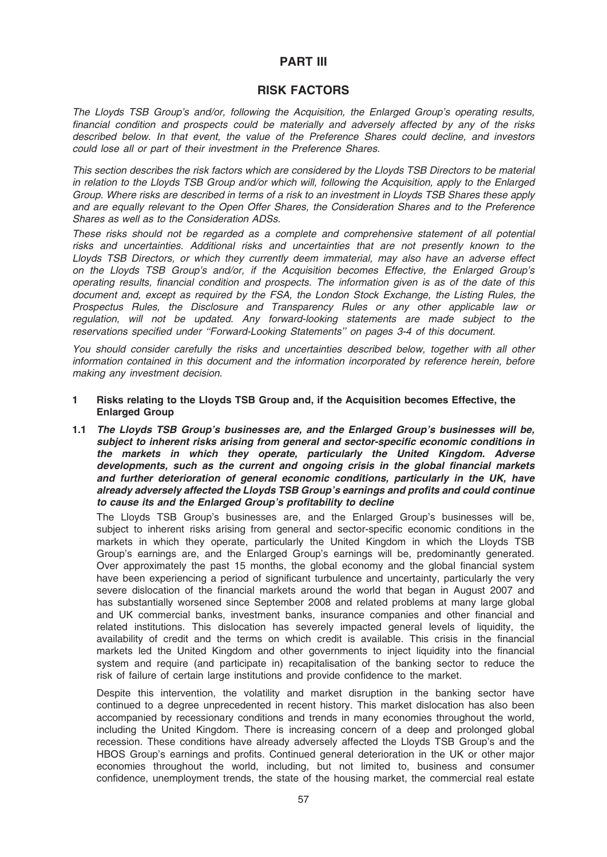# PART III

# RISK FACTORS

The Lloyds TSB Group's and/or, following the Acquisition, the Enlarged Group's operating results, financial condition and prospects could be materially and adversely affected by any of the risks described below. In that event, the value of the Preference Shares could decline, and investors could lose all or part of their investment in the Preference Shares.

This section describes the risk factors which are considered by the Lloyds TSB Directors to be material in relation to the Lloyds TSB Group and/or which will, following the Acquisition, apply to the Enlarged Group. Where risks are described in terms of a risk to an investment in Lloyds TSB Shares these apply and are equally relevant to the Open Offer Shares, the Consideration Shares and to the Preference Shares as well as to the Consideration ADSs.

These risks should not be regarded as a complete and comprehensive statement of all potential risks and uncertainties. Additional risks and uncertainties that are not presently known to the Lloyds TSB Directors, or which they currently deem immaterial, may also have an adverse effect on the Lloyds TSB Group's and/or, if the Acquisition becomes Effective, the Enlarged Group's operating results, financial condition and prospects. The information given is as of the date of this document and, except as required by the FSA, the London Stock Exchange, the Listing Rules, the Prospectus Rules, the Disclosure and Transparency Rules or any other applicable law or regulation, will not be updated. Any forward-looking statements are made subject to the reservations specified under ''Forward-Looking Statements'' on pages 3-4 of this document.

You should consider carefully the risks and uncertainties described below, together with all other information contained in this document and the information incorporated by reference herein, before making any investment decision.

- 1 Risks relating to the Lloyds TSB Group and, if the Acquisition becomes Effective, the Enlarged Group
- 1.1 The Lloyds TSB Group's businesses are, and the Enlarged Group's businesses will be, subject to inherent risks arising from general and sector-specific economic conditions in the markets in which they operate, particularly the United Kingdom. Adverse developments, such as the current and ongoing crisis in the global financial markets and further deterioration of general economic conditions, particularly in the UK, have already adversely affected the Lloyds TSB Group's earnings and profits and could continue to cause its and the Enlarged Group's profitability to decline

The Lloyds TSB Group's businesses are, and the Enlarged Group's businesses will be, subject to inherent risks arising from general and sector-specific economic conditions in the markets in which they operate, particularly the United Kingdom in which the Lloyds TSB Group's earnings are, and the Enlarged Group's earnings will be, predominantly generated. Over approximately the past 15 months, the global economy and the global financial system have been experiencing a period of significant turbulence and uncertainty, particularly the very severe dislocation of the financial markets around the world that began in August 2007 and has substantially worsened since September 2008 and related problems at many large global and UK commercial banks, investment banks, insurance companies and other financial and related institutions. This dislocation has severely impacted general levels of liquidity, the availability of credit and the terms on which credit is available. This crisis in the financial markets led the United Kingdom and other governments to inject liquidity into the financial system and require (and participate in) recapitalisation of the banking sector to reduce the risk of failure of certain large institutions and provide confidence to the market.

Despite this intervention, the volatility and market disruption in the banking sector have continued to a degree unprecedented in recent history. This market dislocation has also been accompanied by recessionary conditions and trends in many economies throughout the world, including the United Kingdom. There is increasing concern of a deep and prolonged global recession. These conditions have already adversely affected the Lloyds TSB Group's and the HBOS Group's earnings and profits. Continued general deterioration in the UK or other major economies throughout the world, including, but not limited to, business and consumer confidence, unemployment trends, the state of the housing market, the commercial real estate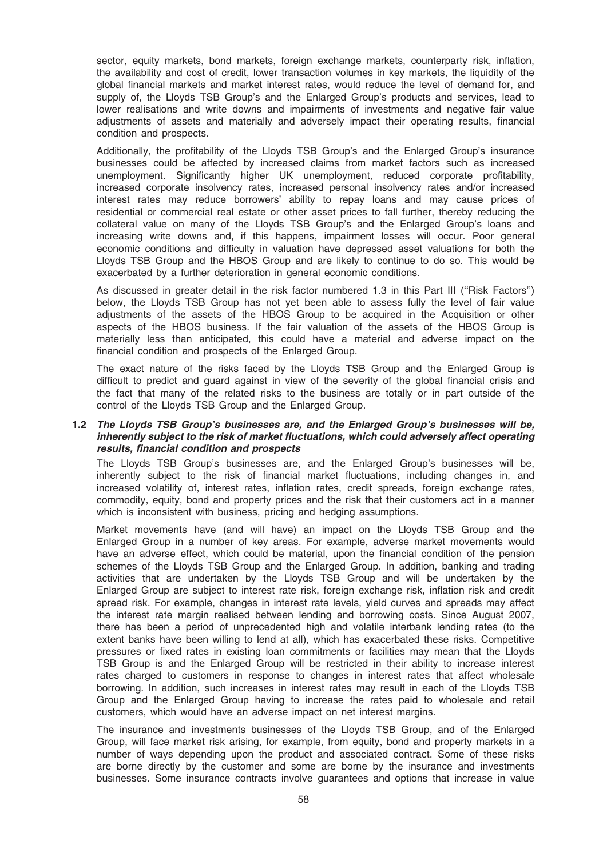sector, equity markets, bond markets, foreign exchange markets, counterparty risk, inflation, the availability and cost of credit, lower transaction volumes in key markets, the liquidity of the global financial markets and market interest rates, would reduce the level of demand for, and supply of, the Lloyds TSB Group's and the Enlarged Group's products and services, lead to lower realisations and write downs and impairments of investments and negative fair value adjustments of assets and materially and adversely impact their operating results, financial condition and prospects.

Additionally, the profitability of the Lloyds TSB Group's and the Enlarged Group's insurance businesses could be affected by increased claims from market factors such as increased unemployment. Significantly higher UK unemployment, reduced corporate profitability, increased corporate insolvency rates, increased personal insolvency rates and/or increased interest rates may reduce borrowers' ability to repay loans and may cause prices of residential or commercial real estate or other asset prices to fall further, thereby reducing the collateral value on many of the Lloyds TSB Group's and the Enlarged Group's loans and increasing write downs and, if this happens, impairment losses will occur. Poor general economic conditions and difficulty in valuation have depressed asset valuations for both the Lloyds TSB Group and the HBOS Group and are likely to continue to do so. This would be exacerbated by a further deterioration in general economic conditions.

As discussed in greater detail in the risk factor numbered 1.3 in this Part III ("Risk Factors") below, the Lloyds TSB Group has not yet been able to assess fully the level of fair value adjustments of the assets of the HBOS Group to be acquired in the Acquisition or other aspects of the HBOS business. If the fair valuation of the assets of the HBOS Group is materially less than anticipated, this could have a material and adverse impact on the financial condition and prospects of the Enlarged Group.

The exact nature of the risks faced by the Lloyds TSB Group and the Enlarged Group is difficult to predict and guard against in view of the severity of the global financial crisis and the fact that many of the related risks to the business are totally or in part outside of the control of the Lloyds TSB Group and the Enlarged Group.

### 1.2 The Lloyds TSB Group's businesses are, and the Enlarged Group's businesses will be, inherently subject to the risk of market fluctuations, which could adversely affect operating results, financial condition and prospects

The Lloyds TSB Group's businesses are, and the Enlarged Group's businesses will be, inherently subject to the risk of financial market fluctuations, including changes in, and increased volatility of, interest rates, inflation rates, credit spreads, foreign exchange rates, commodity, equity, bond and property prices and the risk that their customers act in a manner which is inconsistent with business, pricing and hedging assumptions.

Market movements have (and will have) an impact on the Lloyds TSB Group and the Enlarged Group in a number of key areas. For example, adverse market movements would have an adverse effect, which could be material, upon the financial condition of the pension schemes of the Lloyds TSB Group and the Enlarged Group. In addition, banking and trading activities that are undertaken by the Lloyds TSB Group and will be undertaken by the Enlarged Group are subject to interest rate risk, foreign exchange risk, inflation risk and credit spread risk. For example, changes in interest rate levels, yield curves and spreads may affect the interest rate margin realised between lending and borrowing costs. Since August 2007, there has been a period of unprecedented high and volatile interbank lending rates (to the extent banks have been willing to lend at all), which has exacerbated these risks. Competitive pressures or fixed rates in existing loan commitments or facilities may mean that the Lloyds TSB Group is and the Enlarged Group will be restricted in their ability to increase interest rates charged to customers in response to changes in interest rates that affect wholesale borrowing. In addition, such increases in interest rates may result in each of the Lloyds TSB Group and the Enlarged Group having to increase the rates paid to wholesale and retail customers, which would have an adverse impact on net interest margins.

The insurance and investments businesses of the Lloyds TSB Group, and of the Enlarged Group, will face market risk arising, for example, from equity, bond and property markets in a number of ways depending upon the product and associated contract. Some of these risks are borne directly by the customer and some are borne by the insurance and investments businesses. Some insurance contracts involve guarantees and options that increase in value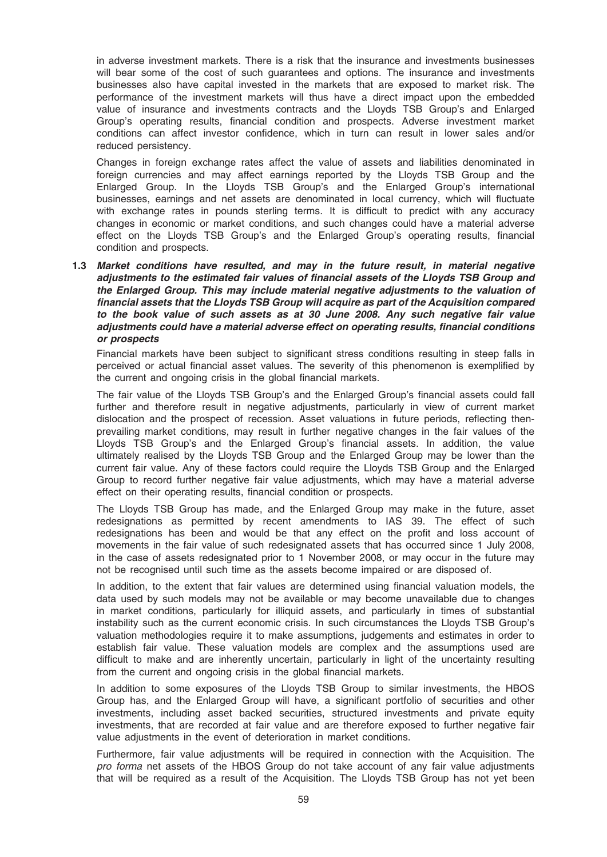in adverse investment markets. There is a risk that the insurance and investments businesses will bear some of the cost of such guarantees and options. The insurance and investments businesses also have capital invested in the markets that are exposed to market risk. The performance of the investment markets will thus have a direct impact upon the embedded value of insurance and investments contracts and the Lloyds TSB Group's and Enlarged Group's operating results, financial condition and prospects. Adverse investment market conditions can affect investor confidence, which in turn can result in lower sales and/or reduced persistency.

Changes in foreign exchange rates affect the value of assets and liabilities denominated in foreign currencies and may affect earnings reported by the Lloyds TSB Group and the Enlarged Group. In the Lloyds TSB Group's and the Enlarged Group's international businesses, earnings and net assets are denominated in local currency, which will fluctuate with exchange rates in pounds sterling terms. It is difficult to predict with any accuracy changes in economic or market conditions, and such changes could have a material adverse effect on the Lloyds TSB Group's and the Enlarged Group's operating results, financial condition and prospects.

1.3 Market conditions have resulted, and may in the future result, in material negative adjustments to the estimated fair values of financial assets of the Lloyds TSB Group and the Enlarged Group. This may include material negative adjustments to the valuation of financial assets that the Lloyds TSB Group will acquire as part of the Acquisition compared to the book value of such assets as at 30 June 2008. Any such negative fair value adjustments could have a material adverse effect on operating results, financial conditions or prospects

Financial markets have been subject to significant stress conditions resulting in steep falls in perceived or actual financial asset values. The severity of this phenomenon is exemplified by the current and ongoing crisis in the global financial markets.

The fair value of the Lloyds TSB Group's and the Enlarged Group's financial assets could fall further and therefore result in negative adjustments, particularly in view of current market dislocation and the prospect of recession. Asset valuations in future periods, reflecting thenprevailing market conditions, may result in further negative changes in the fair values of the Lloyds TSB Group's and the Enlarged Group's financial assets. In addition, the value ultimately realised by the Lloyds TSB Group and the Enlarged Group may be lower than the current fair value. Any of these factors could require the Lloyds TSB Group and the Enlarged Group to record further negative fair value adjustments, which may have a material adverse effect on their operating results, financial condition or prospects.

The Lloyds TSB Group has made, and the Enlarged Group may make in the future, asset redesignations as permitted by recent amendments to IAS 39. The effect of such redesignations has been and would be that any effect on the profit and loss account of movements in the fair value of such redesignated assets that has occurred since 1 July 2008, in the case of assets redesignated prior to 1 November 2008, or may occur in the future may not be recognised until such time as the assets become impaired or are disposed of.

In addition, to the extent that fair values are determined using financial valuation models, the data used by such models may not be available or may become unavailable due to changes in market conditions, particularly for illiquid assets, and particularly in times of substantial instability such as the current economic crisis. In such circumstances the Lloyds TSB Group's valuation methodologies require it to make assumptions, judgements and estimates in order to establish fair value. These valuation models are complex and the assumptions used are difficult to make and are inherently uncertain, particularly in light of the uncertainty resulting from the current and ongoing crisis in the global financial markets.

In addition to some exposures of the Lloyds TSB Group to similar investments, the HBOS Group has, and the Enlarged Group will have, a significant portfolio of securities and other investments, including asset backed securities, structured investments and private equity investments, that are recorded at fair value and are therefore exposed to further negative fair value adjustments in the event of deterioration in market conditions.

Furthermore, fair value adjustments will be required in connection with the Acquisition. The pro forma net assets of the HBOS Group do not take account of any fair value adjustments that will be required as a result of the Acquisition. The Lloyds TSB Group has not yet been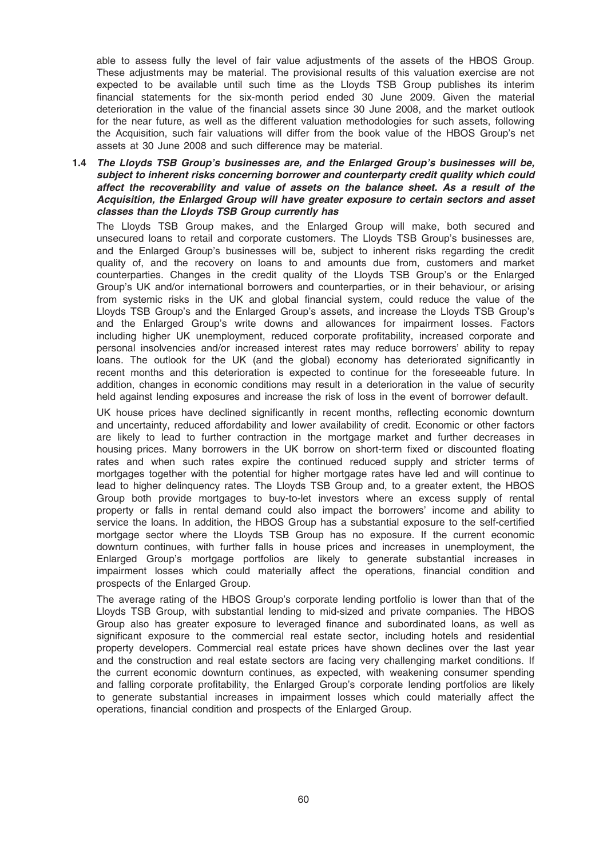able to assess fully the level of fair value adjustments of the assets of the HBOS Group. These adjustments may be material. The provisional results of this valuation exercise are not expected to be available until such time as the Lloyds TSB Group publishes its interim financial statements for the six-month period ended 30 June 2009. Given the material deterioration in the value of the financial assets since 30 June 2008, and the market outlook for the near future, as well as the different valuation methodologies for such assets, following the Acquisition, such fair valuations will differ from the book value of the HBOS Group's net assets at 30 June 2008 and such difference may be material.

1.4 The Lloyds TSB Group's businesses are, and the Enlarged Group's businesses will be, subject to inherent risks concerning borrower and counterparty credit quality which could affect the recoverability and value of assets on the balance sheet. As a result of the Acquisition, the Enlarged Group will have greater exposure to certain sectors and asset classes than the Lloyds TSB Group currently has

The Lloyds TSB Group makes, and the Enlarged Group will make, both secured and unsecured loans to retail and corporate customers. The Lloyds TSB Group's businesses are, and the Enlarged Group's businesses will be, subject to inherent risks regarding the credit quality of, and the recovery on loans to and amounts due from, customers and market counterparties. Changes in the credit quality of the Lloyds TSB Group's or the Enlarged Group's UK and/or international borrowers and counterparties, or in their behaviour, or arising from systemic risks in the UK and global financial system, could reduce the value of the Lloyds TSB Group's and the Enlarged Group's assets, and increase the Lloyds TSB Group's and the Enlarged Group's write downs and allowances for impairment losses. Factors including higher UK unemployment, reduced corporate profitability, increased corporate and personal insolvencies and/or increased interest rates may reduce borrowers' ability to repay loans. The outlook for the UK (and the global) economy has deteriorated significantly in recent months and this deterioration is expected to continue for the foreseeable future. In addition, changes in economic conditions may result in a deterioration in the value of security held against lending exposures and increase the risk of loss in the event of borrower default.

UK house prices have declined significantly in recent months, reflecting economic downturn and uncertainty, reduced affordability and lower availability of credit. Economic or other factors are likely to lead to further contraction in the mortgage market and further decreases in housing prices. Many borrowers in the UK borrow on short-term fixed or discounted floating rates and when such rates expire the continued reduced supply and stricter terms of mortgages together with the potential for higher mortgage rates have led and will continue to lead to higher delinquency rates. The Lloyds TSB Group and, to a greater extent, the HBOS Group both provide mortgages to buy-to-let investors where an excess supply of rental property or falls in rental demand could also impact the borrowers' income and ability to service the loans. In addition, the HBOS Group has a substantial exposure to the self-certified mortgage sector where the Lloyds TSB Group has no exposure. If the current economic downturn continues, with further falls in house prices and increases in unemployment, the Enlarged Group's mortgage portfolios are likely to generate substantial increases in impairment losses which could materially affect the operations, financial condition and prospects of the Enlarged Group.

The average rating of the HBOS Group's corporate lending portfolio is lower than that of the Lloyds TSB Group, with substantial lending to mid-sized and private companies. The HBOS Group also has greater exposure to leveraged finance and subordinated loans, as well as significant exposure to the commercial real estate sector, including hotels and residential property developers. Commercial real estate prices have shown declines over the last year and the construction and real estate sectors are facing very challenging market conditions. If the current economic downturn continues, as expected, with weakening consumer spending and falling corporate profitability, the Enlarged Group's corporate lending portfolios are likely to generate substantial increases in impairment losses which could materially affect the operations, financial condition and prospects of the Enlarged Group.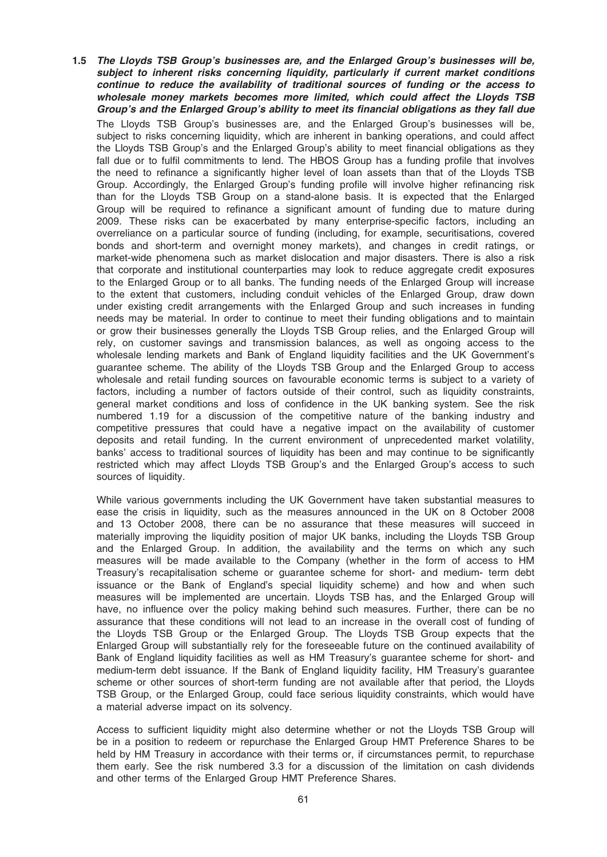1.5 The Lloyds TSB Group's businesses are, and the Enlarged Group's businesses will be, subject to inherent risks concerning liquidity, particularly if current market conditions continue to reduce the availability of traditional sources of funding or the access to wholesale money markets becomes more limited, which could affect the Lloyds TSB Group's and the Enlarged Group's ability to meet its financial obligations as they fall due The Lloyds TSB Group's businesses are, and the Enlarged Group's businesses will be, subject to risks concerning liquidity, which are inherent in banking operations, and could affect the Lloyds TSB Group's and the Enlarged Group's ability to meet financial obligations as they fall due or to fulfil commitments to lend. The HBOS Group has a funding profile that involves the need to refinance a significantly higher level of loan assets than that of the Lloyds TSB Group. Accordingly, the Enlarged Group's funding profile will involve higher refinancing risk than for the Lloyds TSB Group on a stand-alone basis. It is expected that the Enlarged Group will be required to refinance a significant amount of funding due to mature during 2009. These risks can be exacerbated by many enterprise-specific factors, including an overreliance on a particular source of funding (including, for example, securitisations, covered bonds and short-term and overnight money markets), and changes in credit ratings, or market-wide phenomena such as market dislocation and major disasters. There is also a risk that corporate and institutional counterparties may look to reduce aggregate credit exposures to the Enlarged Group or to all banks. The funding needs of the Enlarged Group will increase to the extent that customers, including conduit vehicles of the Enlarged Group, draw down under existing credit arrangements with the Enlarged Group and such increases in funding needs may be material. In order to continue to meet their funding obligations and to maintain or grow their businesses generally the Lloyds TSB Group relies, and the Enlarged Group will rely, on customer savings and transmission balances, as well as ongoing access to the wholesale lending markets and Bank of England liquidity facilities and the UK Government's guarantee scheme. The ability of the Lloyds TSB Group and the Enlarged Group to access wholesale and retail funding sources on favourable economic terms is subject to a variety of factors, including a number of factors outside of their control, such as liquidity constraints, general market conditions and loss of confidence in the UK banking system. See the risk numbered 1.19 for a discussion of the competitive nature of the banking industry and competitive pressures that could have a negative impact on the availability of customer deposits and retail funding. In the current environment of unprecedented market volatility, banks' access to traditional sources of liquidity has been and may continue to be significantly restricted which may affect Lloyds TSB Group's and the Enlarged Group's access to such sources of liquidity.

While various governments including the UK Government have taken substantial measures to ease the crisis in liquidity, such as the measures announced in the UK on 8 October 2008 and 13 October 2008, there can be no assurance that these measures will succeed in materially improving the liquidity position of major UK banks, including the Lloyds TSB Group and the Enlarged Group. In addition, the availability and the terms on which any such measures will be made available to the Company (whether in the form of access to HM Treasury's recapitalisation scheme or guarantee scheme for short- and medium- term debt issuance or the Bank of England's special liquidity scheme) and how and when such measures will be implemented are uncertain. Lloyds TSB has, and the Enlarged Group will have, no influence over the policy making behind such measures. Further, there can be no assurance that these conditions will not lead to an increase in the overall cost of funding of the Lloyds TSB Group or the Enlarged Group. The Lloyds TSB Group expects that the Enlarged Group will substantially rely for the foreseeable future on the continued availability of Bank of England liquidity facilities as well as HM Treasury's guarantee scheme for short- and medium-term debt issuance. If the Bank of England liquidity facility, HM Treasury's guarantee scheme or other sources of short-term funding are not available after that period, the Lloyds TSB Group, or the Enlarged Group, could face serious liquidity constraints, which would have a material adverse impact on its solvency.

Access to sufficient liquidity might also determine whether or not the Lloyds TSB Group will be in a position to redeem or repurchase the Enlarged Group HMT Preference Shares to be held by HM Treasury in accordance with their terms or, if circumstances permit, to repurchase them early. See the risk numbered 3.3 for a discussion of the limitation on cash dividends and other terms of the Enlarged Group HMT Preference Shares.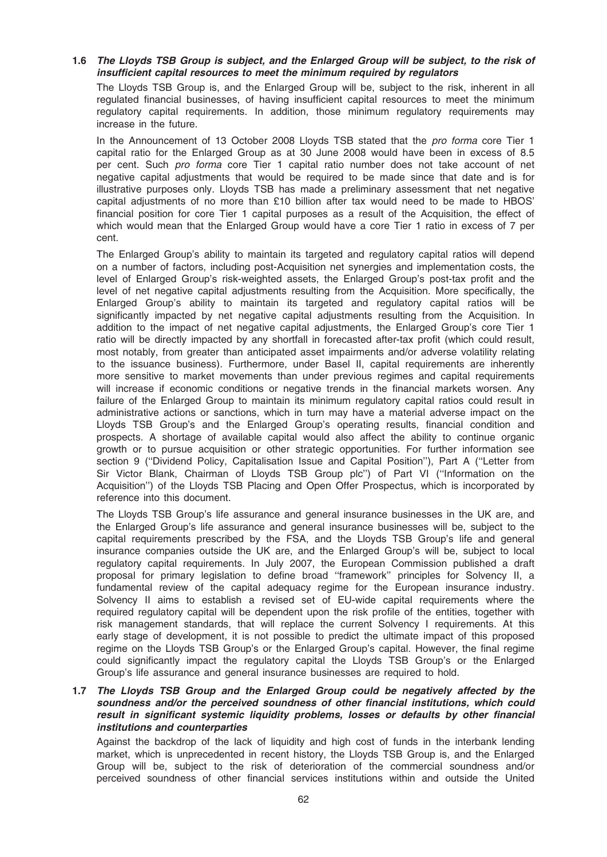## 1.6 The Lloyds TSB Group is subject, and the Enlarged Group will be subject, to the risk of insufficient capital resources to meet the minimum required by regulators

The Lloyds TSB Group is, and the Enlarged Group will be, subject to the risk, inherent in all regulated financial businesses, of having insufficient capital resources to meet the minimum regulatory capital requirements. In addition, those minimum regulatory requirements may increase in the future.

In the Announcement of 13 October 2008 Lloyds TSB stated that the pro forma core Tier 1 capital ratio for the Enlarged Group as at 30 June 2008 would have been in excess of 8.5 per cent. Such pro forma core Tier 1 capital ratio number does not take account of net negative capital adjustments that would be required to be made since that date and is for illustrative purposes only. Lloyds TSB has made a preliminary assessment that net negative capital adjustments of no more than £10 billion after tax would need to be made to HBOS' financial position for core Tier 1 capital purposes as a result of the Acquisition, the effect of which would mean that the Enlarged Group would have a core Tier 1 ratio in excess of 7 per cent.

The Enlarged Group's ability to maintain its targeted and regulatory capital ratios will depend on a number of factors, including post-Acquisition net synergies and implementation costs, the level of Enlarged Group's risk-weighted assets, the Enlarged Group's post-tax profit and the level of net negative capital adjustments resulting from the Acquisition. More specifically, the Enlarged Group's ability to maintain its targeted and regulatory capital ratios will be significantly impacted by net negative capital adjustments resulting from the Acquisition. In addition to the impact of net negative capital adjustments, the Enlarged Group's core Tier 1 ratio will be directly impacted by any shortfall in forecasted after-tax profit (which could result, most notably, from greater than anticipated asset impairments and/or adverse volatility relating to the issuance business). Furthermore, under Basel II, capital requirements are inherently more sensitive to market movements than under previous regimes and capital requirements will increase if economic conditions or negative trends in the financial markets worsen. Any failure of the Enlarged Group to maintain its minimum regulatory capital ratios could result in administrative actions or sanctions, which in turn may have a material adverse impact on the Lloyds TSB Group's and the Enlarged Group's operating results, financial condition and prospects. A shortage of available capital would also affect the ability to continue organic growth or to pursue acquisition or other strategic opportunities. For further information see section 9 ("Dividend Policy, Capitalisation Issue and Capital Position"), Part A ("Letter from Sir Victor Blank, Chairman of Lloyds TSB Group plc'') of Part VI (''Information on the Acquisition'') of the Lloyds TSB Placing and Open Offer Prospectus, which is incorporated by reference into this document.

The Lloyds TSB Group's life assurance and general insurance businesses in the UK are, and the Enlarged Group's life assurance and general insurance businesses will be, subject to the capital requirements prescribed by the FSA, and the Lloyds TSB Group's life and general insurance companies outside the UK are, and the Enlarged Group's will be, subject to local regulatory capital requirements. In July 2007, the European Commission published a draft proposal for primary legislation to define broad ''framework'' principles for Solvency II, a fundamental review of the capital adequacy regime for the European insurance industry. Solvency II aims to establish a revised set of EU-wide capital requirements where the required regulatory capital will be dependent upon the risk profile of the entities, together with risk management standards, that will replace the current Solvency I requirements. At this early stage of development, it is not possible to predict the ultimate impact of this proposed regime on the Lloyds TSB Group's or the Enlarged Group's capital. However, the final regime could significantly impact the regulatory capital the Lloyds TSB Group's or the Enlarged Group's life assurance and general insurance businesses are required to hold.

## 1.7 The Lloyds TSB Group and the Enlarged Group could be negatively affected by the soundness and/or the perceived soundness of other financial institutions, which could result in significant systemic liquidity problems, losses or defaults by other financial institutions and counterparties

Against the backdrop of the lack of liquidity and high cost of funds in the interbank lending market, which is unprecedented in recent history, the Lloyds TSB Group is, and the Enlarged Group will be, subject to the risk of deterioration of the commercial soundness and/or perceived soundness of other financial services institutions within and outside the United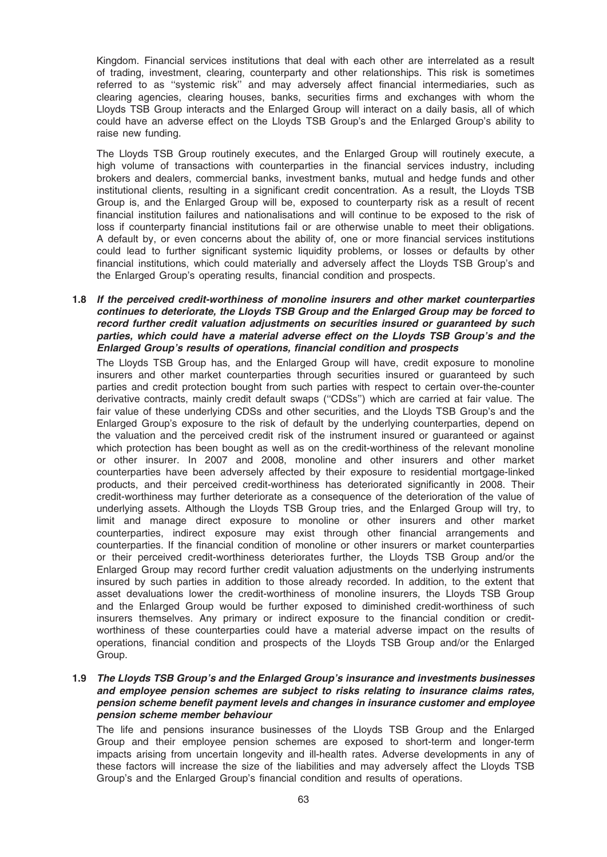Kingdom. Financial services institutions that deal with each other are interrelated as a result of trading, investment, clearing, counterparty and other relationships. This risk is sometimes referred to as ''systemic risk'' and may adversely affect financial intermediaries, such as clearing agencies, clearing houses, banks, securities firms and exchanges with whom the Lloyds TSB Group interacts and the Enlarged Group will interact on a daily basis, all of which could have an adverse effect on the Lloyds TSB Group's and the Enlarged Group's ability to raise new funding.

The Lloyds TSB Group routinely executes, and the Enlarged Group will routinely execute, a high volume of transactions with counterparties in the financial services industry, including brokers and dealers, commercial banks, investment banks, mutual and hedge funds and other institutional clients, resulting in a significant credit concentration. As a result, the Lloyds TSB Group is, and the Enlarged Group will be, exposed to counterparty risk as a result of recent financial institution failures and nationalisations and will continue to be exposed to the risk of loss if counterparty financial institutions fail or are otherwise unable to meet their obligations. A default by, or even concerns about the ability of, one or more financial services institutions could lead to further significant systemic liquidity problems, or losses or defaults by other financial institutions, which could materially and adversely affect the Lloyds TSB Group's and the Enlarged Group's operating results, financial condition and prospects.

#### 1.8 If the perceived credit-worthiness of monoline insurers and other market counterparties continues to deteriorate, the Lloyds TSB Group and the Enlarged Group may be forced to record further credit valuation adjustments on securities insured or guaranteed by such parties, which could have a material adverse effect on the Lloyds TSB Group's and the Enlarged Group's results of operations, financial condition and prospects

The Lloyds TSB Group has, and the Enlarged Group will have, credit exposure to monoline insurers and other market counterparties through securities insured or guaranteed by such parties and credit protection bought from such parties with respect to certain over-the-counter derivative contracts, mainly credit default swaps (''CDSs'') which are carried at fair value. The fair value of these underlying CDSs and other securities, and the Lloyds TSB Group's and the Enlarged Group's exposure to the risk of default by the underlying counterparties, depend on the valuation and the perceived credit risk of the instrument insured or guaranteed or against which protection has been bought as well as on the credit-worthiness of the relevant monoline or other insurer. In 2007 and 2008, monoline and other insurers and other market counterparties have been adversely affected by their exposure to residential mortgage-linked products, and their perceived credit-worthiness has deteriorated significantly in 2008. Their credit-worthiness may further deteriorate as a consequence of the deterioration of the value of underlying assets. Although the Lloyds TSB Group tries, and the Enlarged Group will try, to limit and manage direct exposure to monoline or other insurers and other market counterparties, indirect exposure may exist through other financial arrangements and counterparties. If the financial condition of monoline or other insurers or market counterparties or their perceived credit-worthiness deteriorates further, the Lloyds TSB Group and/or the Enlarged Group may record further credit valuation adjustments on the underlying instruments insured by such parties in addition to those already recorded. In addition, to the extent that asset devaluations lower the credit-worthiness of monoline insurers, the Lloyds TSB Group and the Enlarged Group would be further exposed to diminished credit-worthiness of such insurers themselves. Any primary or indirect exposure to the financial condition or creditworthiness of these counterparties could have a material adverse impact on the results of operations, financial condition and prospects of the Lloyds TSB Group and/or the Enlarged Group.

# 1.9 The Lloyds TSB Group's and the Enlarged Group's insurance and investments businesses and employee pension schemes are subject to risks relating to insurance claims rates, pension scheme benefit payment levels and changes in insurance customer and employee pension scheme member behaviour

The life and pensions insurance businesses of the Lloyds TSB Group and the Enlarged Group and their employee pension schemes are exposed to short-term and longer-term impacts arising from uncertain longevity and ill-health rates. Adverse developments in any of these factors will increase the size of the liabilities and may adversely affect the Lloyds TSB Group's and the Enlarged Group's financial condition and results of operations.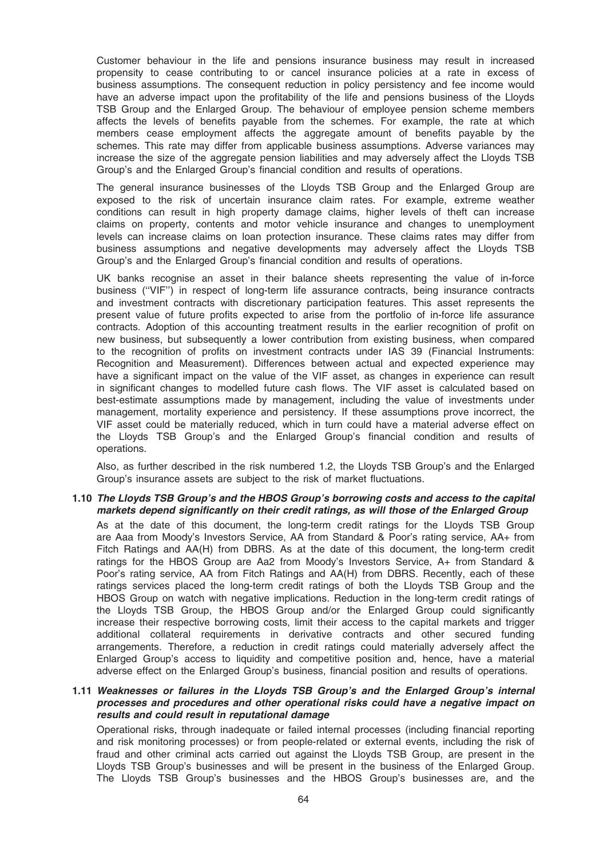Customer behaviour in the life and pensions insurance business may result in increased propensity to cease contributing to or cancel insurance policies at a rate in excess of business assumptions. The consequent reduction in policy persistency and fee income would have an adverse impact upon the profitability of the life and pensions business of the Lloyds TSB Group and the Enlarged Group. The behaviour of employee pension scheme members affects the levels of benefits payable from the schemes. For example, the rate at which members cease employment affects the aggregate amount of benefits payable by the schemes. This rate may differ from applicable business assumptions. Adverse variances may increase the size of the aggregate pension liabilities and may adversely affect the Lloyds TSB Group's and the Enlarged Group's financial condition and results of operations.

The general insurance businesses of the Lloyds TSB Group and the Enlarged Group are exposed to the risk of uncertain insurance claim rates. For example, extreme weather conditions can result in high property damage claims, higher levels of theft can increase claims on property, contents and motor vehicle insurance and changes to unemployment levels can increase claims on loan protection insurance. These claims rates may differ from business assumptions and negative developments may adversely affect the Lloyds TSB Group's and the Enlarged Group's financial condition and results of operations.

UK banks recognise an asset in their balance sheets representing the value of in-force business (''VIF'') in respect of long-term life assurance contracts, being insurance contracts and investment contracts with discretionary participation features. This asset represents the present value of future profits expected to arise from the portfolio of in-force life assurance contracts. Adoption of this accounting treatment results in the earlier recognition of profit on new business, but subsequently a lower contribution from existing business, when compared to the recognition of profits on investment contracts under IAS 39 (Financial Instruments: Recognition and Measurement). Differences between actual and expected experience may have a significant impact on the value of the VIF asset, as changes in experience can result in significant changes to modelled future cash flows. The VIF asset is calculated based on best-estimate assumptions made by management, including the value of investments under management, mortality experience and persistency. If these assumptions prove incorrect, the VIF asset could be materially reduced, which in turn could have a material adverse effect on the Lloyds TSB Group's and the Enlarged Group's financial condition and results of operations.

Also, as further described in the risk numbered 1.2, the Lloyds TSB Group's and the Enlarged Group's insurance assets are subject to the risk of market fluctuations.

#### 1.10 The Lloyds TSB Group's and the HBOS Group's borrowing costs and access to the capital markets depend significantly on their credit ratings, as will those of the Enlarged Group

As at the date of this document, the long-term credit ratings for the Lloyds TSB Group are Aaa from Moody's Investors Service, AA from Standard & Poor's rating service, AA+ from Fitch Ratings and AA(H) from DBRS. As at the date of this document, the long-term credit ratings for the HBOS Group are Aa2 from Moody's Investors Service, A+ from Standard & Poor's rating service, AA from Fitch Ratings and AA(H) from DBRS. Recently, each of these ratings services placed the long-term credit ratings of both the Lloyds TSB Group and the HBOS Group on watch with negative implications. Reduction in the long-term credit ratings of the Lloyds TSB Group, the HBOS Group and/or the Enlarged Group could significantly increase their respective borrowing costs, limit their access to the capital markets and trigger additional collateral requirements in derivative contracts and other secured funding arrangements. Therefore, a reduction in credit ratings could materially adversely affect the Enlarged Group's access to liquidity and competitive position and, hence, have a material adverse effect on the Enlarged Group's business, financial position and results of operations.

#### 1.11 Weaknesses or failures in the Lloyds TSB Group's and the Enlarged Group's internal processes and procedures and other operational risks could have a negative impact on results and could result in reputational damage

Operational risks, through inadequate or failed internal processes (including financial reporting and risk monitoring processes) or from people-related or external events, including the risk of fraud and other criminal acts carried out against the Lloyds TSB Group, are present in the Lloyds TSB Group's businesses and will be present in the business of the Enlarged Group. The Lloyds TSB Group's businesses and the HBOS Group's businesses are, and the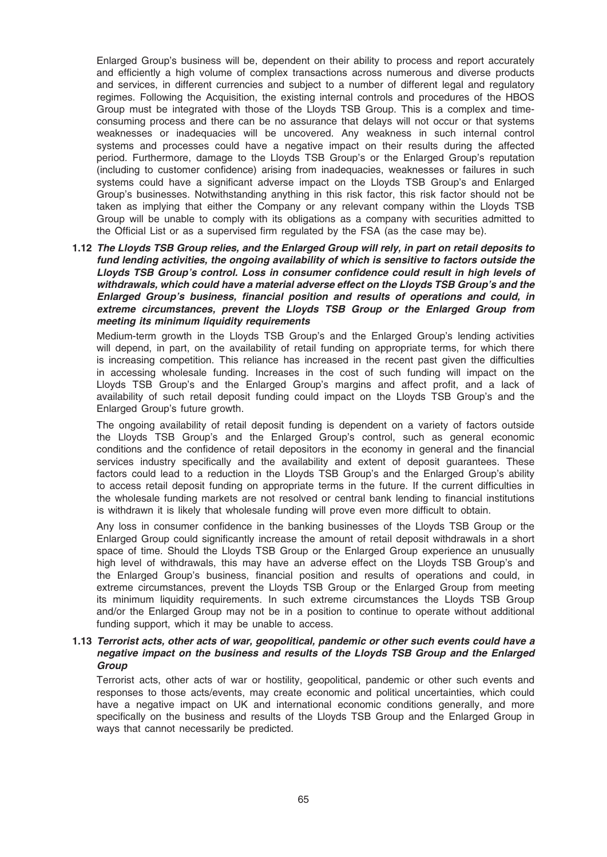Enlarged Group's business will be, dependent on their ability to process and report accurately and efficiently a high volume of complex transactions across numerous and diverse products and services, in different currencies and subject to a number of different legal and regulatory regimes. Following the Acquisition, the existing internal controls and procedures of the HBOS Group must be integrated with those of the Lloyds TSB Group. This is a complex and timeconsuming process and there can be no assurance that delays will not occur or that systems weaknesses or inadequacies will be uncovered. Any weakness in such internal control systems and processes could have a negative impact on their results during the affected period. Furthermore, damage to the Lloyds TSB Group's or the Enlarged Group's reputation (including to customer confidence) arising from inadequacies, weaknesses or failures in such systems could have a significant adverse impact on the Lloyds TSB Group's and Enlarged Group's businesses. Notwithstanding anything in this risk factor, this risk factor should not be taken as implying that either the Company or any relevant company within the Lloyds TSB Group will be unable to comply with its obligations as a company with securities admitted to the Official List or as a supervised firm regulated by the FSA (as the case may be).

1.12 The Lloyds TSB Group relies, and the Enlarged Group will rely, in part on retail deposits to fund lending activities, the ongoing availability of which is sensitive to factors outside the Lloyds TSB Group's control. Loss in consumer confidence could result in high levels of withdrawals, which could have a material adverse effect on the Lloyds TSB Group's and the Enlarged Group's business, financial position and results of operations and could, in extreme circumstances, prevent the Lloyds TSB Group or the Enlarged Group from meeting its minimum liquidity requirements

Medium-term growth in the Lloyds TSB Group's and the Enlarged Group's lending activities will depend, in part, on the availability of retail funding on appropriate terms, for which there is increasing competition. This reliance has increased in the recent past given the difficulties in accessing wholesale funding. Increases in the cost of such funding will impact on the Lloyds TSB Group's and the Enlarged Group's margins and affect profit, and a lack of availability of such retail deposit funding could impact on the Lloyds TSB Group's and the Enlarged Group's future growth.

The ongoing availability of retail deposit funding is dependent on a variety of factors outside the Lloyds TSB Group's and the Enlarged Group's control, such as general economic conditions and the confidence of retail depositors in the economy in general and the financial services industry specifically and the availability and extent of deposit guarantees. These factors could lead to a reduction in the Lloyds TSB Group's and the Enlarged Group's ability to access retail deposit funding on appropriate terms in the future. If the current difficulties in the wholesale funding markets are not resolved or central bank lending to financial institutions is withdrawn it is likely that wholesale funding will prove even more difficult to obtain.

Any loss in consumer confidence in the banking businesses of the Lloyds TSB Group or the Enlarged Group could significantly increase the amount of retail deposit withdrawals in a short space of time. Should the Lloyds TSB Group or the Enlarged Group experience an unusually high level of withdrawals, this may have an adverse effect on the Lloyds TSB Group's and the Enlarged Group's business, financial position and results of operations and could, in extreme circumstances, prevent the Lloyds TSB Group or the Enlarged Group from meeting its minimum liquidity requirements. In such extreme circumstances the Lloyds TSB Group and/or the Enlarged Group may not be in a position to continue to operate without additional funding support, which it may be unable to access.

## 1.13 Terrorist acts, other acts of war, geopolitical, pandemic or other such events could have a negative impact on the business and results of the Lloyds TSB Group and the Enlarged Group

Terrorist acts, other acts of war or hostility, geopolitical, pandemic or other such events and responses to those acts/events, may create economic and political uncertainties, which could have a negative impact on UK and international economic conditions generally, and more specifically on the business and results of the Lloyds TSB Group and the Enlarged Group in ways that cannot necessarily be predicted.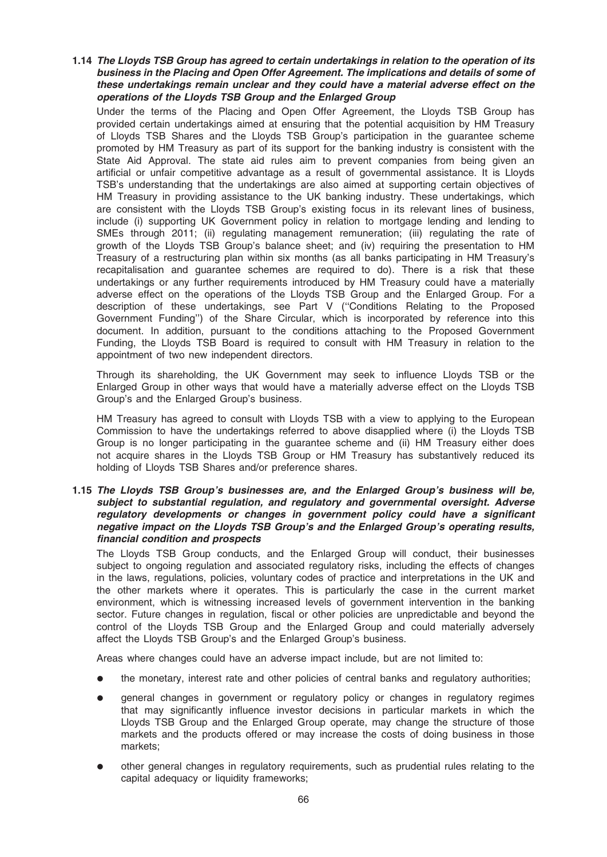## 1.14 The Lloyds TSB Group has agreed to certain undertakings in relation to the operation of its business in the Placing and Open Offer Agreement. The implications and details of some of these undertakings remain unclear and they could have a material adverse effect on the operations of the Lloyds TSB Group and the Enlarged Group

Under the terms of the Placing and Open Offer Agreement, the Lloyds TSB Group has provided certain undertakings aimed at ensuring that the potential acquisition by HM Treasury of Lloyds TSB Shares and the Lloyds TSB Group's participation in the guarantee scheme promoted by HM Treasury as part of its support for the banking industry is consistent with the State Aid Approval. The state aid rules aim to prevent companies from being given an artificial or unfair competitive advantage as a result of governmental assistance. It is Lloyds TSB's understanding that the undertakings are also aimed at supporting certain objectives of HM Treasury in providing assistance to the UK banking industry. These undertakings, which are consistent with the Lloyds TSB Group's existing focus in its relevant lines of business, include (i) supporting UK Government policy in relation to mortgage lending and lending to SMEs through 2011; (ii) regulating management remuneration; (iii) regulating the rate of growth of the Lloyds TSB Group's balance sheet; and (iv) requiring the presentation to HM Treasury of a restructuring plan within six months (as all banks participating in HM Treasury's recapitalisation and guarantee schemes are required to do). There is a risk that these undertakings or any further requirements introduced by HM Treasury could have a materially adverse effect on the operations of the Lloyds TSB Group and the Enlarged Group. For a description of these undertakings, see Part V (''Conditions Relating to the Proposed Government Funding'') of the Share Circular, which is incorporated by reference into this document. In addition, pursuant to the conditions attaching to the Proposed Government Funding, the Lloyds TSB Board is required to consult with HM Treasury in relation to the appointment of two new independent directors.

Through its shareholding, the UK Government may seek to influence Lloyds TSB or the Enlarged Group in other ways that would have a materially adverse effect on the Lloyds TSB Group's and the Enlarged Group's business.

HM Treasury has agreed to consult with Lloyds TSB with a view to applying to the European Commission to have the undertakings referred to above disapplied where (i) the Lloyds TSB Group is no longer participating in the guarantee scheme and (ii) HM Treasury either does not acquire shares in the Lloyds TSB Group or HM Treasury has substantively reduced its holding of Lloyds TSB Shares and/or preference shares.

#### 1.15 The Lloyds TSB Group's businesses are, and the Enlarged Group's business will be, subject to substantial regulation, and regulatory and governmental oversight. Adverse regulatory developments or changes in government policy could have a significant negative impact on the Lloyds TSB Group's and the Enlarged Group's operating results, financial condition and prospects

The Lloyds TSB Group conducts, and the Enlarged Group will conduct, their businesses subject to ongoing regulation and associated regulatory risks, including the effects of changes in the laws, regulations, policies, voluntary codes of practice and interpretations in the UK and the other markets where it operates. This is particularly the case in the current market environment, which is witnessing increased levels of government intervention in the banking sector. Future changes in regulation, fiscal or other policies are unpredictable and beyond the control of the Lloyds TSB Group and the Enlarged Group and could materially adversely affect the Lloyds TSB Group's and the Enlarged Group's business.

Areas where changes could have an adverse impact include, but are not limited to:

- the monetary, interest rate and other policies of central banks and regulatory authorities;
- general changes in government or regulatory policy or changes in regulatory regimes that may significantly influence investor decisions in particular markets in which the Lloyds TSB Group and the Enlarged Group operate, may change the structure of those markets and the products offered or may increase the costs of doing business in those markets;
- other general changes in regulatory requirements, such as prudential rules relating to the capital adequacy or liquidity frameworks;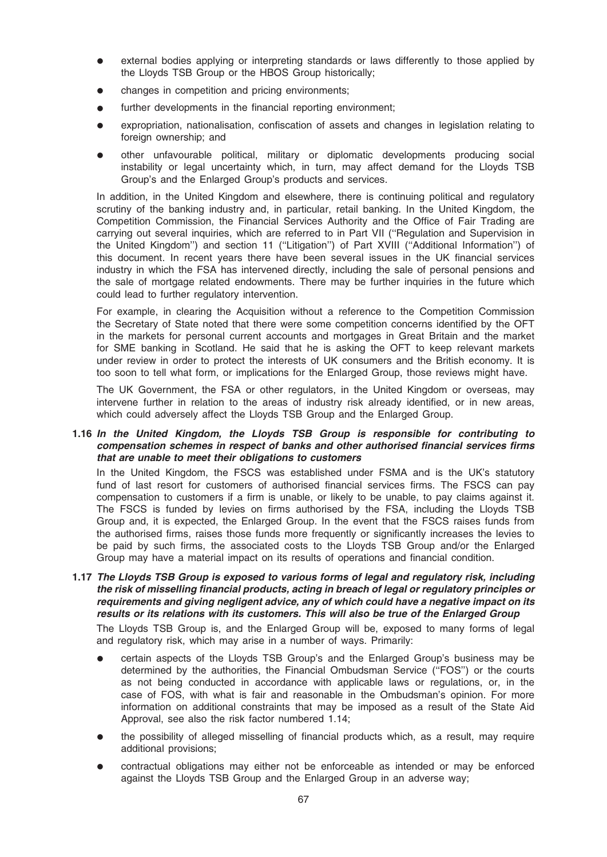- external bodies applying or interpreting standards or laws differently to those applied by the Lloyds TSB Group or the HBOS Group historically;
- changes in competition and pricing environments;
- further developments in the financial reporting environment;
- expropriation, nationalisation, confiscation of assets and changes in legislation relating to foreign ownership; and
- other unfavourable political, military or diplomatic developments producing social instability or legal uncertainty which, in turn, may affect demand for the Lloyds TSB Group's and the Enlarged Group's products and services.

In addition, in the United Kingdom and elsewhere, there is continuing political and regulatory scrutiny of the banking industry and, in particular, retail banking. In the United Kingdom, the Competition Commission, the Financial Services Authority and the Office of Fair Trading are carrying out several inquiries, which are referred to in Part VII (''Regulation and Supervision in the United Kingdom'') and section 11 (''Litigation'') of Part XVIII (''Additional Information'') of this document. In recent years there have been several issues in the UK financial services industry in which the FSA has intervened directly, including the sale of personal pensions and the sale of mortgage related endowments. There may be further inquiries in the future which could lead to further regulatory intervention.

For example, in clearing the Acquisition without a reference to the Competition Commission the Secretary of State noted that there were some competition concerns identified by the OFT in the markets for personal current accounts and mortgages in Great Britain and the market for SME banking in Scotland. He said that he is asking the OFT to keep relevant markets under review in order to protect the interests of UK consumers and the British economy. It is too soon to tell what form, or implications for the Enlarged Group, those reviews might have.

The UK Government, the FSA or other regulators, in the United Kingdom or overseas, may intervene further in relation to the areas of industry risk already identified, or in new areas, which could adversely affect the Lloyds TSB Group and the Enlarged Group.

## 1.16 In the United Kingdom, the Lloyds TSB Group is responsible for contributing to compensation schemes in respect of banks and other authorised financial services firms that are unable to meet their obligations to customers

In the United Kingdom, the FSCS was established under FSMA and is the UK's statutory fund of last resort for customers of authorised financial services firms. The FSCS can pay compensation to customers if a firm is unable, or likely to be unable, to pay claims against it. The FSCS is funded by levies on firms authorised by the FSA, including the Lloyds TSB Group and, it is expected, the Enlarged Group. In the event that the FSCS raises funds from the authorised firms, raises those funds more frequently or significantly increases the levies to be paid by such firms, the associated costs to the Lloyds TSB Group and/or the Enlarged Group may have a material impact on its results of operations and financial condition.

1.17 The Lloyds TSB Group is exposed to various forms of legal and regulatory risk, including the risk of misselling financial products, acting in breach of legal or regulatory principles or requirements and giving negligent advice, any of which could have a negative impact on its results or its relations with its customers. This will also be true of the Enlarged Group

The Lloyds TSB Group is, and the Enlarged Group will be, exposed to many forms of legal and regulatory risk, which may arise in a number of ways. Primarily:

- certain aspects of the Lloyds TSB Group's and the Enlarged Group's business may be determined by the authorities, the Financial Ombudsman Service (''FOS'') or the courts as not being conducted in accordance with applicable laws or regulations, or, in the case of FOS, with what is fair and reasonable in the Ombudsman's opinion. For more information on additional constraints that may be imposed as a result of the State Aid Approval, see also the risk factor numbered 1.14;
- the possibility of alleged misselling of financial products which, as a result, may require additional provisions;
- contractual obligations may either not be enforceable as intended or may be enforced against the Lloyds TSB Group and the Enlarged Group in an adverse way;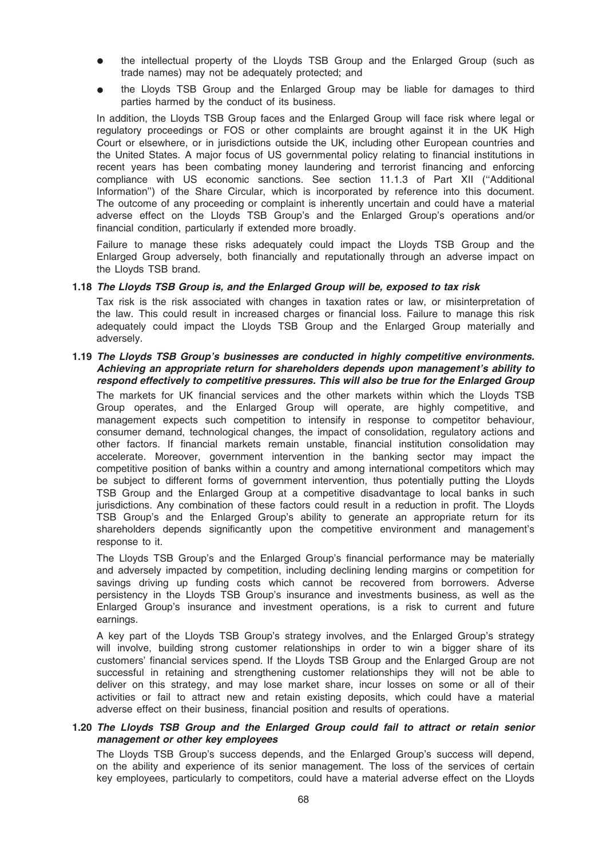- the intellectual property of the Lloyds TSB Group and the Enlarged Group (such as trade names) may not be adequately protected; and
- the Lloyds TSB Group and the Enlarged Group may be liable for damages to third parties harmed by the conduct of its business.

In addition, the Lloyds TSB Group faces and the Enlarged Group will face risk where legal or regulatory proceedings or FOS or other complaints are brought against it in the UK High Court or elsewhere, or in jurisdictions outside the UK, including other European countries and the United States. A major focus of US governmental policy relating to financial institutions in recent years has been combating money laundering and terrorist financing and enforcing compliance with US economic sanctions. See section 11.1.3 of Part XII (''Additional Information'') of the Share Circular, which is incorporated by reference into this document. The outcome of any proceeding or complaint is inherently uncertain and could have a material adverse effect on the Lloyds TSB Group's and the Enlarged Group's operations and/or financial condition, particularly if extended more broadly.

Failure to manage these risks adequately could impact the Lloyds TSB Group and the Enlarged Group adversely, both financially and reputationally through an adverse impact on the Lloyds TSB brand.

#### 1.18 The Lloyds TSB Group is, and the Enlarged Group will be, exposed to tax risk

Tax risk is the risk associated with changes in taxation rates or law, or misinterpretation of the law. This could result in increased charges or financial loss. Failure to manage this risk adequately could impact the Lloyds TSB Group and the Enlarged Group materially and adversely.

#### 1.19 The Lloyds TSB Group's businesses are conducted in highly competitive environments. Achieving an appropriate return for shareholders depends upon management's ability to respond effectively to competitive pressures. This will also be true for the Enlarged Group

The markets for UK financial services and the other markets within which the Lloyds TSB Group operates, and the Enlarged Group will operate, are highly competitive, and management expects such competition to intensify in response to competitor behaviour, consumer demand, technological changes, the impact of consolidation, regulatory actions and other factors. If financial markets remain unstable, financial institution consolidation may accelerate. Moreover, government intervention in the banking sector may impact the competitive position of banks within a country and among international competitors which may be subject to different forms of government intervention, thus potentially putting the Lloyds TSB Group and the Enlarged Group at a competitive disadvantage to local banks in such jurisdictions. Any combination of these factors could result in a reduction in profit. The Lloyds TSB Group's and the Enlarged Group's ability to generate an appropriate return for its shareholders depends significantly upon the competitive environment and management's response to it.

The Lloyds TSB Group's and the Enlarged Group's financial performance may be materially and adversely impacted by competition, including declining lending margins or competition for savings driving up funding costs which cannot be recovered from borrowers. Adverse persistency in the Lloyds TSB Group's insurance and investments business, as well as the Enlarged Group's insurance and investment operations, is a risk to current and future earnings.

A key part of the Lloyds TSB Group's strategy involves, and the Enlarged Group's strategy will involve, building strong customer relationships in order to win a bigger share of its customers' financial services spend. If the Lloyds TSB Group and the Enlarged Group are not successful in retaining and strengthening customer relationships they will not be able to deliver on this strategy, and may lose market share, incur losses on some or all of their activities or fail to attract new and retain existing deposits, which could have a material adverse effect on their business, financial position and results of operations.

#### 1.20 The Lloyds TSB Group and the Enlarged Group could fail to attract or retain senior management or other key employees

The Lloyds TSB Group's success depends, and the Enlarged Group's success will depend, on the ability and experience of its senior management. The loss of the services of certain key employees, particularly to competitors, could have a material adverse effect on the Lloyds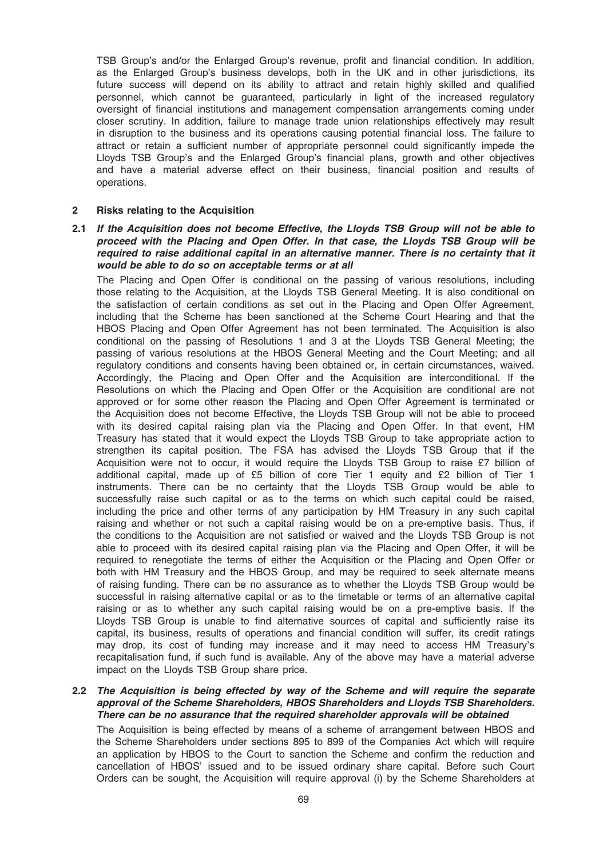TSB Group's and/or the Enlarged Group's revenue, profit and financial condition. In addition, as the Enlarged Group's business develops, both in the UK and in other jurisdictions, its future success will depend on its ability to attract and retain highly skilled and qualified personnel, which cannot be guaranteed, particularly in light of the increased regulatory oversight of financial institutions and management compensation arrangements coming under closer scrutiny. In addition, failure to manage trade union relationships effectively may result in disruption to the business and its operations causing potential financial loss. The failure to attract or retain a sufficient number of appropriate personnel could significantly impede the Lloyds TSB Group's and the Enlarged Group's financial plans, growth and other objectives and have a material adverse effect on their business, financial position and results of operations.

#### 2 Risks relating to the Acquisition

## 2.1 If the Acquisition does not become Effective, the Lloyds TSB Group will not be able to proceed with the Placing and Open Offer. In that case, the Lloyds TSB Group will be required to raise additional capital in an alternative manner. There is no certainty that it would be able to do so on acceptable terms or at all

The Placing and Open Offer is conditional on the passing of various resolutions, including those relating to the Acquisition, at the Lloyds TSB General Meeting. It is also conditional on the satisfaction of certain conditions as set out in the Placing and Open Offer Agreement, including that the Scheme has been sanctioned at the Scheme Court Hearing and that the HBOS Placing and Open Offer Agreement has not been terminated. The Acquisition is also conditional on the passing of Resolutions 1 and 3 at the Lloyds TSB General Meeting; the passing of various resolutions at the HBOS General Meeting and the Court Meeting; and all regulatory conditions and consents having been obtained or, in certain circumstances, waived. Accordingly, the Placing and Open Offer and the Acquisition are interconditional. If the Resolutions on which the Placing and Open Offer or the Acquisition are conditional are not approved or for some other reason the Placing and Open Offer Agreement is terminated or the Acquisition does not become Effective, the Lloyds TSB Group will not be able to proceed with its desired capital raising plan via the Placing and Open Offer. In that event, HM Treasury has stated that it would expect the Lloyds TSB Group to take appropriate action to strengthen its capital position. The FSA has advised the Lloyds TSB Group that if the Acquisition were not to occur, it would require the Lloyds TSB Group to raise £7 billion of additional capital, made up of £5 billion of core Tier 1 equity and £2 billion of Tier 1 instruments. There can be no certainty that the Lloyds TSB Group would be able to successfully raise such capital or as to the terms on which such capital could be raised, including the price and other terms of any participation by HM Treasury in any such capital raising and whether or not such a capital raising would be on a pre-emptive basis. Thus, if the conditions to the Acquisition are not satisfied or waived and the Lloyds TSB Group is not able to proceed with its desired capital raising plan via the Placing and Open Offer, it will be required to renegotiate the terms of either the Acquisition or the Placing and Open Offer or both with HM Treasury and the HBOS Group, and may be required to seek alternate means of raising funding. There can be no assurance as to whether the Lloyds TSB Group would be successful in raising alternative capital or as to the timetable or terms of an alternative capital raising or as to whether any such capital raising would be on a pre-emptive basis. If the Lloyds TSB Group is unable to find alternative sources of capital and sufficiently raise its capital, its business, results of operations and financial condition will suffer, its credit ratings may drop, its cost of funding may increase and it may need to access HM Treasury's recapitalisation fund, if such fund is available. Any of the above may have a material adverse impact on the Lloyds TSB Group share price.

#### 2.2 The Acquisition is being effected by way of the Scheme and will require the separate approval of the Scheme Shareholders, HBOS Shareholders and Lloyds TSB Shareholders. There can be no assurance that the required shareholder approvals will be obtained

The Acquisition is being effected by means of a scheme of arrangement between HBOS and the Scheme Shareholders under sections 895 to 899 of the Companies Act which will require an application by HBOS to the Court to sanction the Scheme and confirm the reduction and cancellation of HBOS' issued and to be issued ordinary share capital. Before such Court Orders can be sought, the Acquisition will require approval (i) by the Scheme Shareholders at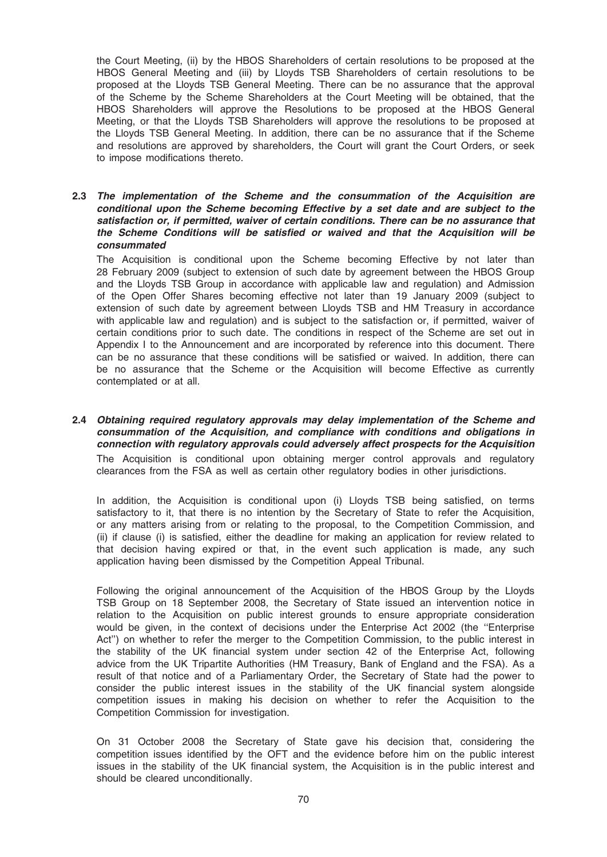the Court Meeting, (ii) by the HBOS Shareholders of certain resolutions to be proposed at the HBOS General Meeting and (iii) by Lloyds TSB Shareholders of certain resolutions to be proposed at the Lloyds TSB General Meeting. There can be no assurance that the approval of the Scheme by the Scheme Shareholders at the Court Meeting will be obtained, that the HBOS Shareholders will approve the Resolutions to be proposed at the HBOS General Meeting, or that the Lloyds TSB Shareholders will approve the resolutions to be proposed at the Lloyds TSB General Meeting. In addition, there can be no assurance that if the Scheme and resolutions are approved by shareholders, the Court will grant the Court Orders, or seek to impose modifications thereto.

#### 2.3 The implementation of the Scheme and the consummation of the Acquisition are conditional upon the Scheme becoming Effective by a set date and are subject to the satisfaction or, if permitted, waiver of certain conditions. There can be no assurance that the Scheme Conditions will be satisfied or waived and that the Acquisition will be consummated

The Acquisition is conditional upon the Scheme becoming Effective by not later than 28 February 2009 (subject to extension of such date by agreement between the HBOS Group and the Lloyds TSB Group in accordance with applicable law and regulation) and Admission of the Open Offer Shares becoming effective not later than 19 January 2009 (subject to extension of such date by agreement between Lloyds TSB and HM Treasury in accordance with applicable law and regulation) and is subject to the satisfaction or, if permitted, waiver of certain conditions prior to such date. The conditions in respect of the Scheme are set out in Appendix I to the Announcement and are incorporated by reference into this document. There can be no assurance that these conditions will be satisfied or waived. In addition, there can be no assurance that the Scheme or the Acquisition will become Effective as currently contemplated or at all.

2.4 Obtaining required regulatory approvals may delay implementation of the Scheme and consummation of the Acquisition, and compliance with conditions and obligations in connection with regulatory approvals could adversely affect prospects for the Acquisition The Acquisition is conditional upon obtaining merger control approvals and regulatory clearances from the FSA as well as certain other regulatory bodies in other jurisdictions.

In addition, the Acquisition is conditional upon (i) Lloyds TSB being satisfied, on terms satisfactory to it, that there is no intention by the Secretary of State to refer the Acquisition, or any matters arising from or relating to the proposal, to the Competition Commission, and (ii) if clause (i) is satisfied, either the deadline for making an application for review related to that decision having expired or that, in the event such application is made, any such application having been dismissed by the Competition Appeal Tribunal.

Following the original announcement of the Acquisition of the HBOS Group by the Lloyds TSB Group on 18 September 2008, the Secretary of State issued an intervention notice in relation to the Acquisition on public interest grounds to ensure appropriate consideration would be given, in the context of decisions under the Enterprise Act 2002 (the ''Enterprise Act'') on whether to refer the merger to the Competition Commission, to the public interest in the stability of the UK financial system under section 42 of the Enterprise Act, following advice from the UK Tripartite Authorities (HM Treasury, Bank of England and the FSA). As a result of that notice and of a Parliamentary Order, the Secretary of State had the power to consider the public interest issues in the stability of the UK financial system alongside competition issues in making his decision on whether to refer the Acquisition to the Competition Commission for investigation.

On 31 October 2008 the Secretary of State gave his decision that, considering the competition issues identified by the OFT and the evidence before him on the public interest issues in the stability of the UK financial system, the Acquisition is in the public interest and should be cleared unconditionally.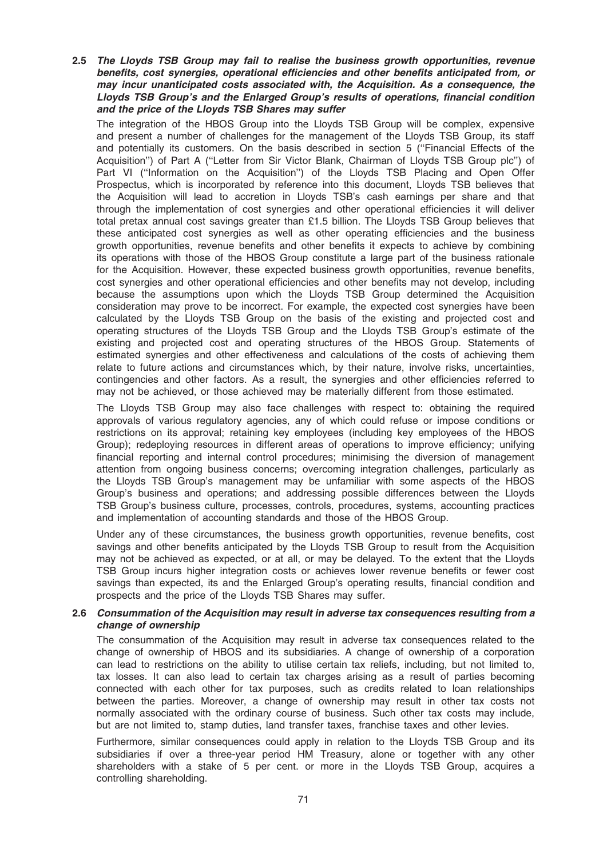2.5 The Lloyds TSB Group may fail to realise the business growth opportunities, revenue benefits, cost synergies, operational efficiencies and other benefits anticipated from, or may incur unanticipated costs associated with, the Acquisition. As a consequence, the Lloyds TSB Group's and the Enlarged Group's results of operations, financial condition and the price of the Lloyds TSB Shares may suffer

The integration of the HBOS Group into the Lloyds TSB Group will be complex, expensive and present a number of challenges for the management of the Lloyds TSB Group, its staff and potentially its customers. On the basis described in section 5 (''Financial Effects of the Acquisition'') of Part A (''Letter from Sir Victor Blank, Chairman of Lloyds TSB Group plc'') of Part VI (''Information on the Acquisition'') of the Lloyds TSB Placing and Open Offer Prospectus, which is incorporated by reference into this document, Lloyds TSB believes that the Acquisition will lead to accretion in Lloyds TSB's cash earnings per share and that through the implementation of cost synergies and other operational efficiencies it will deliver total pretax annual cost savings greater than £1.5 billion. The Lloyds TSB Group believes that these anticipated cost synergies as well as other operating efficiencies and the business growth opportunities, revenue benefits and other benefits it expects to achieve by combining its operations with those of the HBOS Group constitute a large part of the business rationale for the Acquisition. However, these expected business growth opportunities, revenue benefits, cost synergies and other operational efficiencies and other benefits may not develop, including because the assumptions upon which the Lloyds TSB Group determined the Acquisition consideration may prove to be incorrect. For example, the expected cost synergies have been calculated by the Lloyds TSB Group on the basis of the existing and projected cost and operating structures of the Lloyds TSB Group and the Lloyds TSB Group's estimate of the existing and projected cost and operating structures of the HBOS Group. Statements of estimated synergies and other effectiveness and calculations of the costs of achieving them relate to future actions and circumstances which, by their nature, involve risks, uncertainties, contingencies and other factors. As a result, the synergies and other efficiencies referred to may not be achieved, or those achieved may be materially different from those estimated.

The Lloyds TSB Group may also face challenges with respect to: obtaining the required approvals of various regulatory agencies, any of which could refuse or impose conditions or restrictions on its approval; retaining key employees (including key employees of the HBOS Group); redeploying resources in different areas of operations to improve efficiency; unifying financial reporting and internal control procedures; minimising the diversion of management attention from ongoing business concerns; overcoming integration challenges, particularly as the Lloyds TSB Group's management may be unfamiliar with some aspects of the HBOS Group's business and operations; and addressing possible differences between the Lloyds TSB Group's business culture, processes, controls, procedures, systems, accounting practices and implementation of accounting standards and those of the HBOS Group.

Under any of these circumstances, the business growth opportunities, revenue benefits, cost savings and other benefits anticipated by the Lloyds TSB Group to result from the Acquisition may not be achieved as expected, or at all, or may be delayed. To the extent that the Lloyds TSB Group incurs higher integration costs or achieves lower revenue benefits or fewer cost savings than expected, its and the Enlarged Group's operating results, financial condition and prospects and the price of the Lloyds TSB Shares may suffer.

### 2.6 Consummation of the Acquisition may result in adverse tax consequences resulting from a change of ownership

The consummation of the Acquisition may result in adverse tax consequences related to the change of ownership of HBOS and its subsidiaries. A change of ownership of a corporation can lead to restrictions on the ability to utilise certain tax reliefs, including, but not limited to, tax losses. It can also lead to certain tax charges arising as a result of parties becoming connected with each other for tax purposes, such as credits related to loan relationships between the parties. Moreover, a change of ownership may result in other tax costs not normally associated with the ordinary course of business. Such other tax costs may include, but are not limited to, stamp duties, land transfer taxes, franchise taxes and other levies.

Furthermore, similar consequences could apply in relation to the Lloyds TSB Group and its subsidiaries if over a three-year period HM Treasury, alone or together with any other shareholders with a stake of 5 per cent. or more in the Lloyds TSB Group, acquires a controlling shareholding.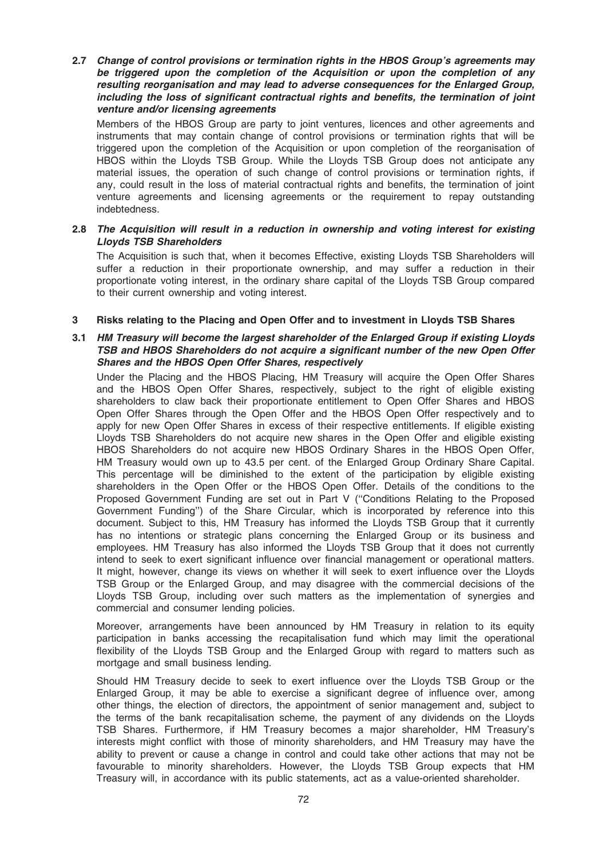2.7 Change of control provisions or termination rights in the HBOS Group's agreements may be triggered upon the completion of the Acquisition or upon the completion of any resulting reorganisation and may lead to adverse consequences for the Enlarged Group, including the loss of significant contractual rights and benefits, the termination of joint venture and/or licensing agreements

Members of the HBOS Group are party to joint ventures, licences and other agreements and instruments that may contain change of control provisions or termination rights that will be triggered upon the completion of the Acquisition or upon completion of the reorganisation of HBOS within the Lloyds TSB Group. While the Lloyds TSB Group does not anticipate any material issues, the operation of such change of control provisions or termination rights, if any, could result in the loss of material contractual rights and benefits, the termination of joint venture agreements and licensing agreements or the requirement to repay outstanding indebtedness.

## 2.8 The Acquisition will result in a reduction in ownership and voting interest for existing Lloyds TSB Shareholders

The Acquisition is such that, when it becomes Effective, existing Lloyds TSB Shareholders will suffer a reduction in their proportionate ownership, and may suffer a reduction in their proportionate voting interest, in the ordinary share capital of the Lloyds TSB Group compared to their current ownership and voting interest.

### 3 Risks relating to the Placing and Open Offer and to investment in Lloyds TSB Shares

### 3.1 HM Treasury will become the largest shareholder of the Enlarged Group if existing Lloyds TSB and HBOS Shareholders do not acquire a significant number of the new Open Offer Shares and the HBOS Open Offer Shares, respectively

Under the Placing and the HBOS Placing, HM Treasury will acquire the Open Offer Shares and the HBOS Open Offer Shares, respectively, subject to the right of eligible existing shareholders to claw back their proportionate entitlement to Open Offer Shares and HBOS Open Offer Shares through the Open Offer and the HBOS Open Offer respectively and to apply for new Open Offer Shares in excess of their respective entitlements. If eligible existing Lloyds TSB Shareholders do not acquire new shares in the Open Offer and eligible existing HBOS Shareholders do not acquire new HBOS Ordinary Shares in the HBOS Open Offer, HM Treasury would own up to 43.5 per cent. of the Enlarged Group Ordinary Share Capital. This percentage will be diminished to the extent of the participation by eligible existing shareholders in the Open Offer or the HBOS Open Offer. Details of the conditions to the Proposed Government Funding are set out in Part V (''Conditions Relating to the Proposed Government Funding'') of the Share Circular, which is incorporated by reference into this document. Subject to this, HM Treasury has informed the Lloyds TSB Group that it currently has no intentions or strategic plans concerning the Enlarged Group or its business and employees. HM Treasury has also informed the Lloyds TSB Group that it does not currently intend to seek to exert significant influence over financial management or operational matters. It might, however, change its views on whether it will seek to exert influence over the Lloyds TSB Group or the Enlarged Group, and may disagree with the commercial decisions of the Lloyds TSB Group, including over such matters as the implementation of synergies and commercial and consumer lending policies.

Moreover, arrangements have been announced by HM Treasury in relation to its equity participation in banks accessing the recapitalisation fund which may limit the operational flexibility of the Lloyds TSB Group and the Enlarged Group with regard to matters such as mortgage and small business lending.

Should HM Treasury decide to seek to exert influence over the Lloyds TSB Group or the Enlarged Group, it may be able to exercise a significant degree of influence over, among other things, the election of directors, the appointment of senior management and, subject to the terms of the bank recapitalisation scheme, the payment of any dividends on the Lloyds TSB Shares. Furthermore, if HM Treasury becomes a major shareholder, HM Treasury's interests might conflict with those of minority shareholders, and HM Treasury may have the ability to prevent or cause a change in control and could take other actions that may not be favourable to minority shareholders. However, the Lloyds TSB Group expects that HM Treasury will, in accordance with its public statements, act as a value-oriented shareholder.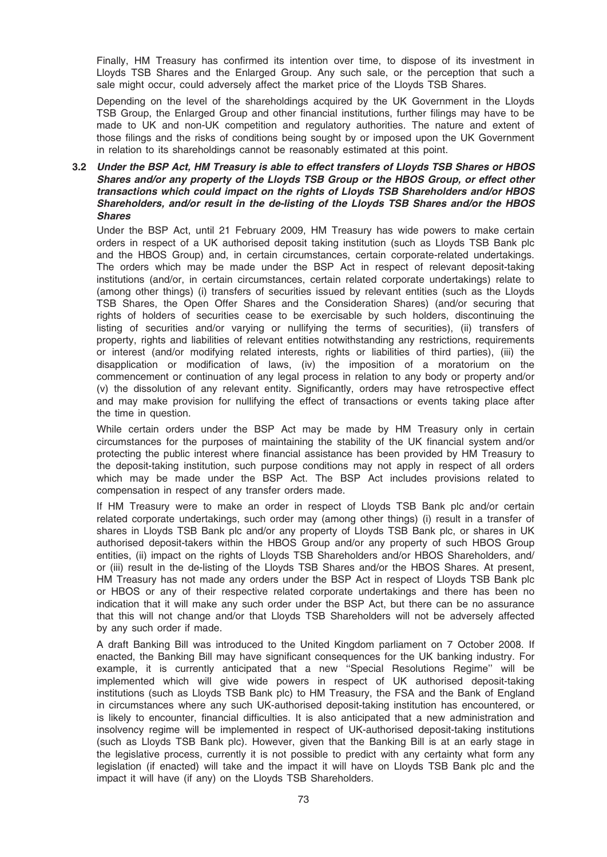Finally, HM Treasury has confirmed its intention over time, to dispose of its investment in Lloyds TSB Shares and the Enlarged Group. Any such sale, or the perception that such a sale might occur, could adversely affect the market price of the Lloyds TSB Shares.

Depending on the level of the shareholdings acquired by the UK Government in the Lloyds TSB Group, the Enlarged Group and other financial institutions, further filings may have to be made to UK and non-UK competition and regulatory authorities. The nature and extent of those filings and the risks of conditions being sought by or imposed upon the UK Government in relation to its shareholdings cannot be reasonably estimated at this point.

### 3.2 Under the BSP Act, HM Treasury is able to effect transfers of Lloyds TSB Shares or HBOS Shares and/or any property of the Lloyds TSB Group or the HBOS Group, or effect other transactions which could impact on the rights of Lloyds TSB Shareholders and/or HBOS Shareholders, and/or result in the de-listing of the Lloyds TSB Shares and/or the HBOS Shares

Under the BSP Act, until 21 February 2009, HM Treasury has wide powers to make certain orders in respect of a UK authorised deposit taking institution (such as Lloyds TSB Bank plc and the HBOS Group) and, in certain circumstances, certain corporate-related undertakings. The orders which may be made under the BSP Act in respect of relevant deposit-taking institutions (and/or, in certain circumstances, certain related corporate undertakings) relate to (among other things) (i) transfers of securities issued by relevant entities (such as the Lloyds TSB Shares, the Open Offer Shares and the Consideration Shares) (and/or securing that rights of holders of securities cease to be exercisable by such holders, discontinuing the listing of securities and/or varying or nullifying the terms of securities), (ii) transfers of property, rights and liabilities of relevant entities notwithstanding any restrictions, requirements or interest (and/or modifying related interests, rights or liabilities of third parties), (iii) the disapplication or modification of laws, (iv) the imposition of a moratorium on the commencement or continuation of any legal process in relation to any body or property and/or (v) the dissolution of any relevant entity. Significantly, orders may have retrospective effect and may make provision for nullifying the effect of transactions or events taking place after the time in question.

While certain orders under the BSP Act may be made by HM Treasury only in certain circumstances for the purposes of maintaining the stability of the UK financial system and/or protecting the public interest where financial assistance has been provided by HM Treasury to the deposit-taking institution, such purpose conditions may not apply in respect of all orders which may be made under the BSP Act. The BSP Act includes provisions related to compensation in respect of any transfer orders made.

If HM Treasury were to make an order in respect of Lloyds TSB Bank plc and/or certain related corporate undertakings, such order may (among other things) (i) result in a transfer of shares in Lloyds TSB Bank plc and/or any property of Lloyds TSB Bank plc, or shares in UK authorised deposit-takers within the HBOS Group and/or any property of such HBOS Group entities, (ii) impact on the rights of Lloyds TSB Shareholders and/or HBOS Shareholders, and/ or (iii) result in the de-listing of the Lloyds TSB Shares and/or the HBOS Shares. At present, HM Treasury has not made any orders under the BSP Act in respect of Lloyds TSB Bank plc or HBOS or any of their respective related corporate undertakings and there has been no indication that it will make any such order under the BSP Act, but there can be no assurance that this will not change and/or that Lloyds TSB Shareholders will not be adversely affected by any such order if made.

A draft Banking Bill was introduced to the United Kingdom parliament on 7 October 2008. If enacted, the Banking Bill may have significant consequences for the UK banking industry. For example, it is currently anticipated that a new ''Special Resolutions Regime'' will be implemented which will give wide powers in respect of UK authorised deposit-taking institutions (such as Lloyds TSB Bank plc) to HM Treasury, the FSA and the Bank of England in circumstances where any such UK-authorised deposit-taking institution has encountered, or is likely to encounter, financial difficulties. It is also anticipated that a new administration and insolvency regime will be implemented in respect of UK-authorised deposit-taking institutions (such as Lloyds TSB Bank plc). However, given that the Banking Bill is at an early stage in the legislative process, currently it is not possible to predict with any certainty what form any legislation (if enacted) will take and the impact it will have on Lloyds TSB Bank plc and the impact it will have (if any) on the Lloyds TSB Shareholders.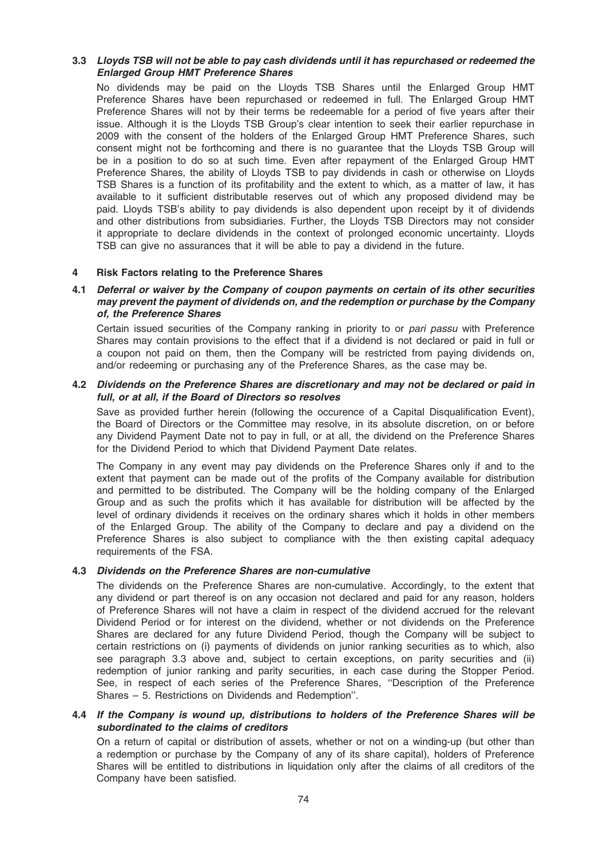## 3.3 Lloyds TSB will not be able to pay cash dividends until it has repurchased or redeemed the Enlarged Group HMT Preference Shares

No dividends may be paid on the Lloyds TSB Shares until the Enlarged Group HMT Preference Shares have been repurchased or redeemed in full. The Enlarged Group HMT Preference Shares will not by their terms be redeemable for a period of five years after their issue. Although it is the Lloyds TSB Group's clear intention to seek their earlier repurchase in 2009 with the consent of the holders of the Enlarged Group HMT Preference Shares, such consent might not be forthcoming and there is no guarantee that the Lloyds TSB Group will be in a position to do so at such time. Even after repayment of the Enlarged Group HMT Preference Shares, the ability of Lloyds TSB to pay dividends in cash or otherwise on Lloyds TSB Shares is a function of its profitability and the extent to which, as a matter of law, it has available to it sufficient distributable reserves out of which any proposed dividend may be paid. Lloyds TSB's ability to pay dividends is also dependent upon receipt by it of dividends and other distributions from subsidiaries. Further, the Lloyds TSB Directors may not consider it appropriate to declare dividends in the context of prolonged economic uncertainty. Lloyds TSB can give no assurances that it will be able to pay a dividend in the future.

#### 4 Risk Factors relating to the Preference Shares

### 4.1 Deferral or waiver by the Company of coupon payments on certain of its other securities may prevent the payment of dividends on, and the redemption or purchase by the Company of, the Preference Shares

Certain issued securities of the Company ranking in priority to or *pari passu* with Preference Shares may contain provisions to the effect that if a dividend is not declared or paid in full or a coupon not paid on them, then the Company will be restricted from paying dividends on, and/or redeeming or purchasing any of the Preference Shares, as the case may be.

### 4.2 Dividends on the Preference Shares are discretionary and may not be declared or paid in full, or at all, if the Board of Directors so resolves

Save as provided further herein (following the occurence of a Capital Disqualification Event), the Board of Directors or the Committee may resolve, in its absolute discretion, on or before any Dividend Payment Date not to pay in full, or at all, the dividend on the Preference Shares for the Dividend Period to which that Dividend Payment Date relates.

The Company in any event may pay dividends on the Preference Shares only if and to the extent that payment can be made out of the profits of the Company available for distribution and permitted to be distributed. The Company will be the holding company of the Enlarged Group and as such the profits which it has available for distribution will be affected by the level of ordinary dividends it receives on the ordinary shares which it holds in other members of the Enlarged Group. The ability of the Company to declare and pay a dividend on the Preference Shares is also subject to compliance with the then existing capital adequacy requirements of the FSA.

## 4.3 Dividends on the Preference Shares are non-cumulative

The dividends on the Preference Shares are non-cumulative. Accordingly, to the extent that any dividend or part thereof is on any occasion not declared and paid for any reason, holders of Preference Shares will not have a claim in respect of the dividend accrued for the relevant Dividend Period or for interest on the dividend, whether or not dividends on the Preference Shares are declared for any future Dividend Period, though the Company will be subject to certain restrictions on (i) payments of dividends on junior ranking securities as to which, also see paragraph 3.3 above and, subject to certain exceptions, on parity securities and (ii) redemption of junior ranking and parity securities, in each case during the Stopper Period. See, in respect of each series of the Preference Shares, ''Description of the Preference Shares – 5. Restrictions on Dividends and Redemption''.

#### 4.4 If the Company is wound up, distributions to holders of the Preference Shares will be subordinated to the claims of creditors

On a return of capital or distribution of assets, whether or not on a winding-up (but other than a redemption or purchase by the Company of any of its share capital), holders of Preference Shares will be entitled to distributions in liquidation only after the claims of all creditors of the Company have been satisfied.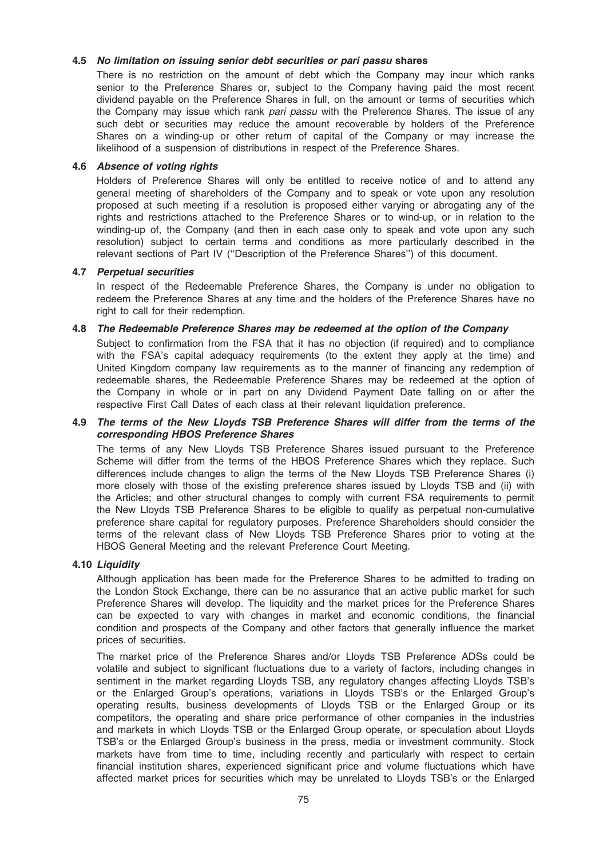### 4.5 No limitation on issuing senior debt securities or pari passu shares

There is no restriction on the amount of debt which the Company may incur which ranks senior to the Preference Shares or, subject to the Company having paid the most recent dividend payable on the Preference Shares in full, on the amount or terms of securities which the Company may issue which rank pari passu with the Preference Shares. The issue of any such debt or securities may reduce the amount recoverable by holders of the Preference Shares on a winding-up or other return of capital of the Company or may increase the likelihood of a suspension of distributions in respect of the Preference Shares.

### 4.6 Absence of voting rights

Holders of Preference Shares will only be entitled to receive notice of and to attend any general meeting of shareholders of the Company and to speak or vote upon any resolution proposed at such meeting if a resolution is proposed either varying or abrogating any of the rights and restrictions attached to the Preference Shares or to wind-up, or in relation to the winding-up of, the Company (and then in each case only to speak and vote upon any such resolution) subject to certain terms and conditions as more particularly described in the relevant sections of Part IV (''Description of the Preference Shares'') of this document.

### 4.7 Perpetual securities

In respect of the Redeemable Preference Shares, the Company is under no obligation to redeem the Preference Shares at any time and the holders of the Preference Shares have no right to call for their redemption.

#### 4.8 The Redeemable Preference Shares may be redeemed at the option of the Company

Subject to confirmation from the FSA that it has no objection (if required) and to compliance with the FSA's capital adequacy requirements (to the extent they apply at the time) and United Kingdom company law requirements as to the manner of financing any redemption of redeemable shares, the Redeemable Preference Shares may be redeemed at the option of the Company in whole or in part on any Dividend Payment Date falling on or after the respective First Call Dates of each class at their relevant liquidation preference.

### 4.9 The terms of the New Lloyds TSB Preference Shares will differ from the terms of the corresponding HBOS Preference Shares

The terms of any New Lloyds TSB Preference Shares issued pursuant to the Preference Scheme will differ from the terms of the HBOS Preference Shares which they replace. Such differences include changes to align the terms of the New Lloyds TSB Preference Shares (i) more closely with those of the existing preference shares issued by Lloyds TSB and (ii) with the Articles; and other structural changes to comply with current FSA requirements to permit the New Lloyds TSB Preference Shares to be eligible to qualify as perpetual non-cumulative preference share capital for regulatory purposes. Preference Shareholders should consider the terms of the relevant class of New Lloyds TSB Preference Shares prior to voting at the HBOS General Meeting and the relevant Preference Court Meeting.

#### 4.10 Liauidity

Although application has been made for the Preference Shares to be admitted to trading on the London Stock Exchange, there can be no assurance that an active public market for such Preference Shares will develop. The liquidity and the market prices for the Preference Shares can be expected to vary with changes in market and economic conditions, the financial condition and prospects of the Company and other factors that generally influence the market prices of securities.

The market price of the Preference Shares and/or Lloyds TSB Preference ADSs could be volatile and subject to significant fluctuations due to a variety of factors, including changes in sentiment in the market regarding Lloyds TSB, any regulatory changes affecting Lloyds TSB's or the Enlarged Group's operations, variations in Lloyds TSB's or the Enlarged Group's operating results, business developments of Lloyds TSB or the Enlarged Group or its competitors, the operating and share price performance of other companies in the industries and markets in which Lloyds TSB or the Enlarged Group operate, or speculation about Lloyds TSB's or the Enlarged Group's business in the press, media or investment community. Stock markets have from time to time, including recently and particularly with respect to certain financial institution shares, experienced significant price and volume fluctuations which have affected market prices for securities which may be unrelated to Lloyds TSB's or the Enlarged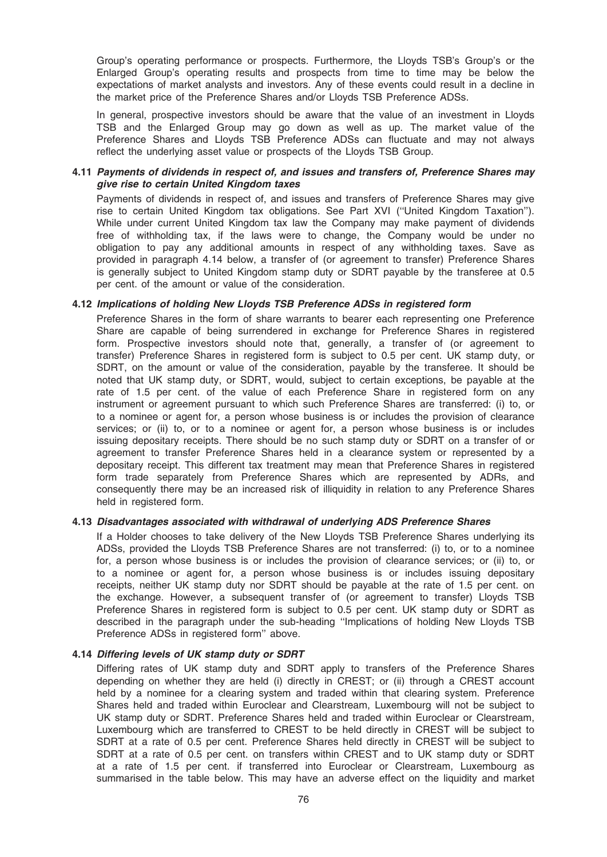Group's operating performance or prospects. Furthermore, the Lloyds TSB's Group's or the Enlarged Group's operating results and prospects from time to time may be below the expectations of market analysts and investors. Any of these events could result in a decline in the market price of the Preference Shares and/or Lloyds TSB Preference ADSs.

In general, prospective investors should be aware that the value of an investment in Lloyds TSB and the Enlarged Group may go down as well as up. The market value of the Preference Shares and Lloyds TSB Preference ADSs can fluctuate and may not always reflect the underlying asset value or prospects of the Lloyds TSB Group.

### 4.11 Payments of dividends in respect of, and issues and transfers of, Preference Shares may give rise to certain United Kingdom taxes

Payments of dividends in respect of, and issues and transfers of Preference Shares may give rise to certain United Kingdom tax obligations. See Part XVI (''United Kingdom Taxation''). While under current United Kingdom tax law the Company may make payment of dividends free of withholding tax, if the laws were to change, the Company would be under no obligation to pay any additional amounts in respect of any withholding taxes. Save as provided in paragraph 4.14 below, a transfer of (or agreement to transfer) Preference Shares is generally subject to United Kingdom stamp duty or SDRT payable by the transferee at 0.5 per cent. of the amount or value of the consideration.

### 4.12 Implications of holding New Lloyds TSB Preference ADSs in registered form

Preference Shares in the form of share warrants to bearer each representing one Preference Share are capable of being surrendered in exchange for Preference Shares in registered form. Prospective investors should note that, generally, a transfer of (or agreement to transfer) Preference Shares in registered form is subject to 0.5 per cent. UK stamp duty, or SDRT, on the amount or value of the consideration, payable by the transferee. It should be noted that UK stamp duty, or SDRT, would, subject to certain exceptions, be payable at the rate of 1.5 per cent. of the value of each Preference Share in registered form on any instrument or agreement pursuant to which such Preference Shares are transferred: (i) to, or to a nominee or agent for, a person whose business is or includes the provision of clearance services; or (ii) to, or to a nominee or agent for, a person whose business is or includes issuing depositary receipts. There should be no such stamp duty or SDRT on a transfer of or agreement to transfer Preference Shares held in a clearance system or represented by a depositary receipt. This different tax treatment may mean that Preference Shares in registered form trade separately from Preference Shares which are represented by ADRs, and consequently there may be an increased risk of illiquidity in relation to any Preference Shares held in registered form.

### 4.13 Disadvantages associated with withdrawal of underlying ADS Preference Shares

If a Holder chooses to take delivery of the New Lloyds TSB Preference Shares underlying its ADSs, provided the Lloyds TSB Preference Shares are not transferred: (i) to, or to a nominee for, a person whose business is or includes the provision of clearance services; or (ii) to, or to a nominee or agent for, a person whose business is or includes issuing depositary receipts, neither UK stamp duty nor SDRT should be payable at the rate of 1.5 per cent. on the exchange. However, a subsequent transfer of (or agreement to transfer) Lloyds TSB Preference Shares in registered form is subject to 0.5 per cent. UK stamp duty or SDRT as described in the paragraph under the sub-heading ''Implications of holding New Lloyds TSB Preference ADSs in registered form'' above.

#### 4.14 Differing levels of UK stamp duty or SDRT

Differing rates of UK stamp duty and SDRT apply to transfers of the Preference Shares depending on whether they are held (i) directly in CREST; or (ii) through a CREST account held by a nominee for a clearing system and traded within that clearing system. Preference Shares held and traded within Euroclear and Clearstream, Luxembourg will not be subject to UK stamp duty or SDRT. Preference Shares held and traded within Euroclear or Clearstream, Luxembourg which are transferred to CREST to be held directly in CREST will be subject to SDRT at a rate of 0.5 per cent. Preference Shares held directly in CREST will be subject to SDRT at a rate of 0.5 per cent. on transfers within CREST and to UK stamp duty or SDRT at a rate of 1.5 per cent. if transferred into Euroclear or Clearstream, Luxembourg as summarised in the table below. This may have an adverse effect on the liquidity and market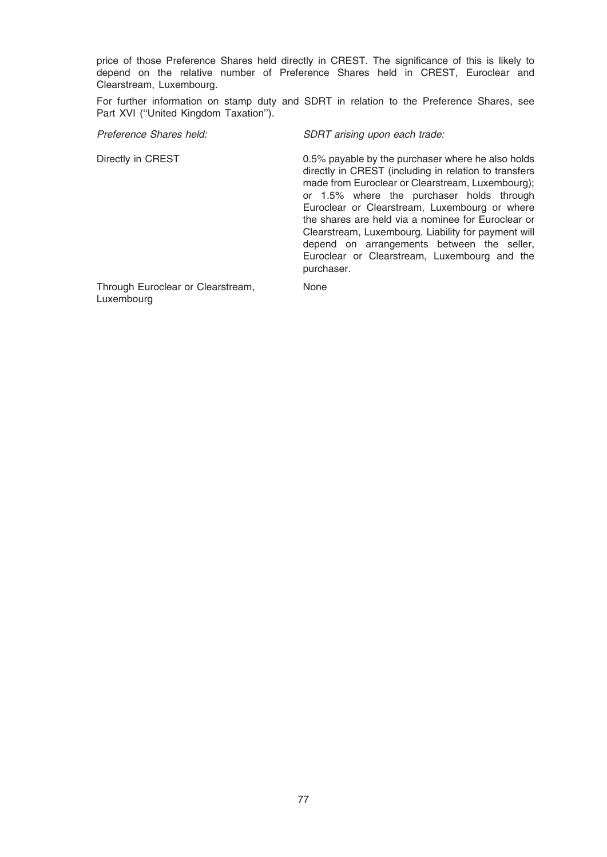price of those Preference Shares held directly in CREST. The significance of this is likely to depend on the relative number of Preference Shares held in CREST, Euroclear and Clearstream, Luxembourg.

For further information on stamp duty and SDRT in relation to the Preference Shares, see Part XVI (''United Kingdom Taxation'').

Preference Shares held: SDRT arising upon each trade:

Directly in CREST 0.5% payable by the purchaser where he also holds directly in CREST (including in relation to transfers made from Euroclear or Clearstream, Luxembourg); or 1.5% where the purchaser holds through Euroclear or Clearstream, Luxembourg or where the shares are held via a nominee for Euroclear or Clearstream, Luxembourg. Liability for payment will depend on arrangements between the seller, Euroclear or Clearstream, Luxembourg and the purchaser.

Through Euroclear or Clearstream, Luxembourg

None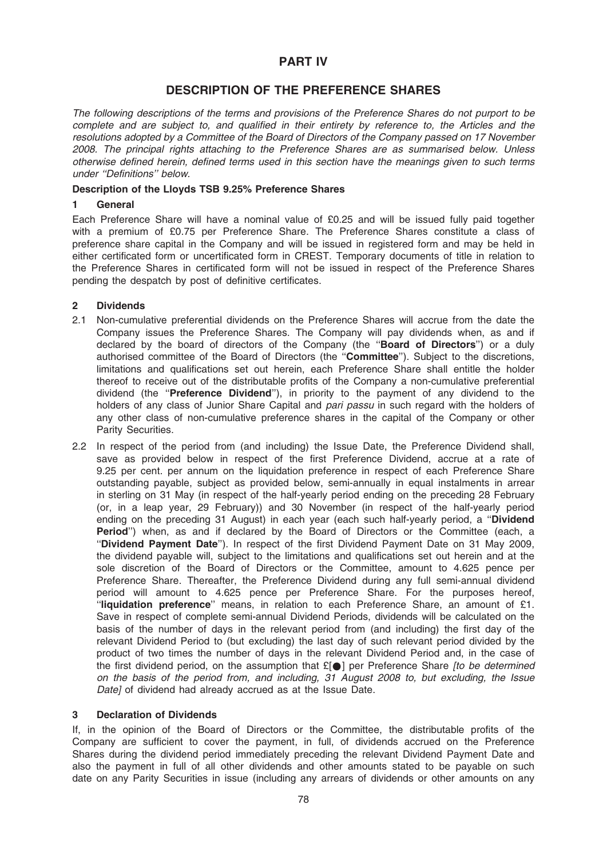# PART IV

# DESCRIPTION OF THE PREFERENCE SHARES

The following descriptions of the terms and provisions of the Preference Shares do not purport to be complete and are subject to, and qualified in their entirety by reference to, the Articles and the resolutions adopted by a Committee of the Board of Directors of the Company passed on 17 November 2008. The principal rights attaching to the Preference Shares are as summarised below. Unless otherwise defined herein, defined terms used in this section have the meanings given to such terms under ''Definitions'' below.

### Description of the Lloyds TSB 9.25% Preference Shares

### 1 General

Each Preference Share will have a nominal value of £0.25 and will be issued fully paid together with a premium of £0.75 per Preference Share. The Preference Shares constitute a class of preference share capital in the Company and will be issued in registered form and may be held in either certificated form or uncertificated form in CREST. Temporary documents of title in relation to the Preference Shares in certificated form will not be issued in respect of the Preference Shares pending the despatch by post of definitive certificates.

### 2 Dividends

- 2.1 Non-cumulative preferential dividends on the Preference Shares will accrue from the date the Company issues the Preference Shares. The Company will pay dividends when, as and if declared by the board of directors of the Company (the "Board of Directors") or a duly authorised committee of the Board of Directors (the ''Committee''). Subject to the discretions, limitations and qualifications set out herein, each Preference Share shall entitle the holder thereof to receive out of the distributable profits of the Company a non-cumulative preferential dividend (the "Preference Dividend"), in priority to the payment of any dividend to the holders of any class of Junior Share Capital and *pari passu* in such regard with the holders of any other class of non-cumulative preference shares in the capital of the Company or other Parity Securities.
- 2.2 In respect of the period from (and including) the Issue Date, the Preference Dividend shall, save as provided below in respect of the first Preference Dividend, accrue at a rate of 9.25 per cent. per annum on the liquidation preference in respect of each Preference Share outstanding payable, subject as provided below, semi-annually in equal instalments in arrear in sterling on 31 May (in respect of the half-yearly period ending on the preceding 28 February (or, in a leap year, 29 February)) and 30 November (in respect of the half-yearly period ending on the preceding 31 August) in each year (each such half-yearly period, a "Dividend Period'') when, as and if declared by the Board of Directors or the Committee (each, a ''Dividend Payment Date''). In respect of the first Dividend Payment Date on 31 May 2009, the dividend payable will, subject to the limitations and qualifications set out herein and at the sole discretion of the Board of Directors or the Committee, amount to 4.625 pence per Preference Share. Thereafter, the Preference Dividend during any full semi-annual dividend period will amount to 4.625 pence per Preference Share. For the purposes hereof, "liquidation preference" means, in relation to each Preference Share, an amount of £1. Save in respect of complete semi-annual Dividend Periods, dividends will be calculated on the basis of the number of days in the relevant period from (and including) the first day of the relevant Dividend Period to (but excluding) the last day of such relevant period divided by the product of two times the number of days in the relevant Dividend Period and, in the case of the first dividend period, on the assumption that  $E[\bullet]$  per Preference Share *[to be determined* on the basis of the period from, and including, 31 August 2008 to, but excluding, the Issue Date] of dividend had already accrued as at the Issue Date.

#### 3 Declaration of Dividends

If, in the opinion of the Board of Directors or the Committee, the distributable profits of the Company are sufficient to cover the payment, in full, of dividends accrued on the Preference Shares during the dividend period immediately preceding the relevant Dividend Payment Date and also the payment in full of all other dividends and other amounts stated to be payable on such date on any Parity Securities in issue (including any arrears of dividends or other amounts on any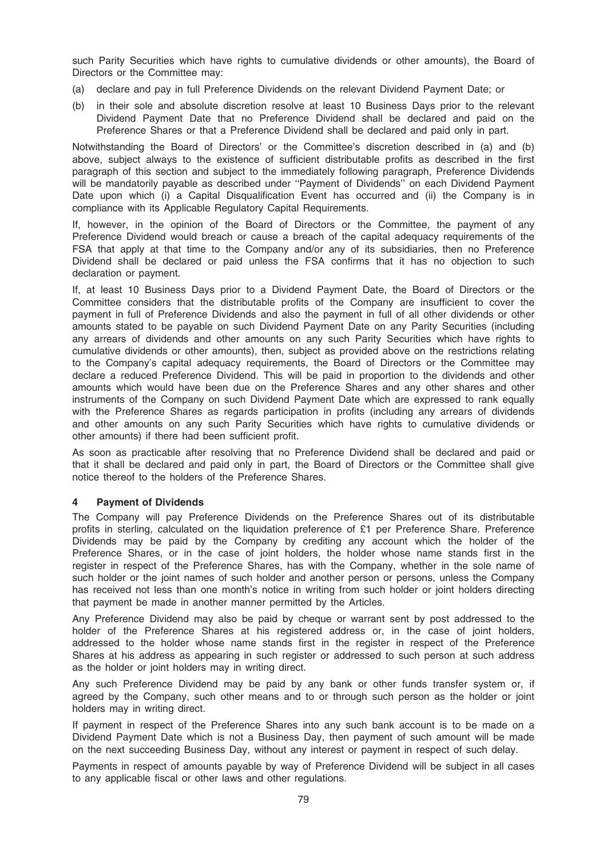such Parity Securities which have rights to cumulative dividends or other amounts), the Board of Directors or the Committee may:

- (a) declare and pay in full Preference Dividends on the relevant Dividend Payment Date; or
- (b) in their sole and absolute discretion resolve at least 10 Business Days prior to the relevant Dividend Payment Date that no Preference Dividend shall be declared and paid on the Preference Shares or that a Preference Dividend shall be declared and paid only in part.

Notwithstanding the Board of Directors' or the Committee's discretion described in (a) and (b) above, subject always to the existence of sufficient distributable profits as described in the first paragraph of this section and subject to the immediately following paragraph, Preference Dividends will be mandatorily payable as described under "Payment of Dividends" on each Dividend Payment Date upon which (i) a Capital Disqualification Event has occurred and (ii) the Company is in compliance with its Applicable Regulatory Capital Requirements.

If, however, in the opinion of the Board of Directors or the Committee, the payment of any Preference Dividend would breach or cause a breach of the capital adequacy requirements of the FSA that apply at that time to the Company and/or any of its subsidiaries, then no Preference Dividend shall be declared or paid unless the FSA confirms that it has no objection to such declaration or payment.

If, at least 10 Business Days prior to a Dividend Payment Date, the Board of Directors or the Committee considers that the distributable profits of the Company are insufficient to cover the payment in full of Preference Dividends and also the payment in full of all other dividends or other amounts stated to be payable on such Dividend Payment Date on any Parity Securities (including any arrears of dividends and other amounts on any such Parity Securities which have rights to cumulative dividends or other amounts), then, subject as provided above on the restrictions relating to the Company's capital adequacy requirements, the Board of Directors or the Committee may declare a reduced Preference Dividend. This will be paid in proportion to the dividends and other amounts which would have been due on the Preference Shares and any other shares and other instruments of the Company on such Dividend Payment Date which are expressed to rank equally with the Preference Shares as regards participation in profits (including any arrears of dividends and other amounts on any such Parity Securities which have rights to cumulative dividends or other amounts) if there had been sufficient profit.

As soon as practicable after resolving that no Preference Dividend shall be declared and paid or that it shall be declared and paid only in part, the Board of Directors or the Committee shall give notice thereof to the holders of the Preference Shares.

## 4 Payment of Dividends

The Company will pay Preference Dividends on the Preference Shares out of its distributable profits in sterling, calculated on the liquidation preference of £1 per Preference Share. Preference Dividends may be paid by the Company by crediting any account which the holder of the Preference Shares, or in the case of joint holders, the holder whose name stands first in the register in respect of the Preference Shares, has with the Company, whether in the sole name of such holder or the joint names of such holder and another person or persons, unless the Company has received not less than one month's notice in writing from such holder or joint holders directing that payment be made in another manner permitted by the Articles.

Any Preference Dividend may also be paid by cheque or warrant sent by post addressed to the holder of the Preference Shares at his registered address or, in the case of joint holders, addressed to the holder whose name stands first in the register in respect of the Preference Shares at his address as appearing in such register or addressed to such person at such address as the holder or joint holders may in writing direct.

Any such Preference Dividend may be paid by any bank or other funds transfer system or, if agreed by the Company, such other means and to or through such person as the holder or joint holders may in writing direct.

If payment in respect of the Preference Shares into any such bank account is to be made on a Dividend Payment Date which is not a Business Day, then payment of such amount will be made on the next succeeding Business Day, without any interest or payment in respect of such delay.

Payments in respect of amounts payable by way of Preference Dividend will be subject in all cases to any applicable fiscal or other laws and other regulations.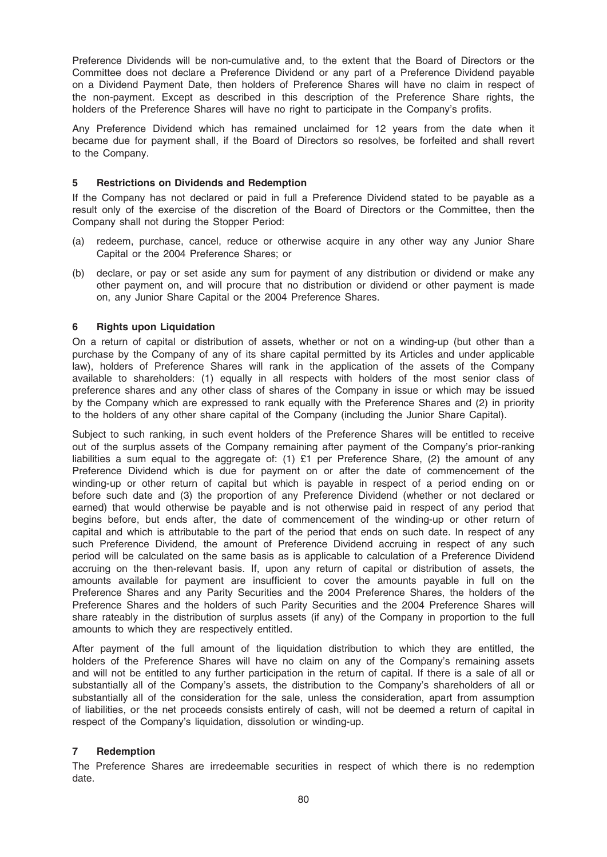Preference Dividends will be non-cumulative and, to the extent that the Board of Directors or the Committee does not declare a Preference Dividend or any part of a Preference Dividend payable on a Dividend Payment Date, then holders of Preference Shares will have no claim in respect of the non-payment. Except as described in this description of the Preference Share rights, the holders of the Preference Shares will have no right to participate in the Company's profits.

Any Preference Dividend which has remained unclaimed for 12 years from the date when it became due for payment shall, if the Board of Directors so resolves, be forfeited and shall revert to the Company.

### 5 Restrictions on Dividends and Redemption

If the Company has not declared or paid in full a Preference Dividend stated to be payable as a result only of the exercise of the discretion of the Board of Directors or the Committee, then the Company shall not during the Stopper Period:

- (a) redeem, purchase, cancel, reduce or otherwise acquire in any other way any Junior Share Capital or the 2004 Preference Shares; or
- (b) declare, or pay or set aside any sum for payment of any distribution or dividend or make any other payment on, and will procure that no distribution or dividend or other payment is made on, any Junior Share Capital or the 2004 Preference Shares.

### 6 Rights upon Liquidation

On a return of capital or distribution of assets, whether or not on a winding-up (but other than a purchase by the Company of any of its share capital permitted by its Articles and under applicable law), holders of Preference Shares will rank in the application of the assets of the Company available to shareholders: (1) equally in all respects with holders of the most senior class of preference shares and any other class of shares of the Company in issue or which may be issued by the Company which are expressed to rank equally with the Preference Shares and (2) in priority to the holders of any other share capital of the Company (including the Junior Share Capital).

Subject to such ranking, in such event holders of the Preference Shares will be entitled to receive out of the surplus assets of the Company remaining after payment of the Company's prior-ranking liabilities a sum equal to the aggregate of: (1) £1 per Preference Share, (2) the amount of any Preference Dividend which is due for payment on or after the date of commencement of the winding-up or other return of capital but which is payable in respect of a period ending on or before such date and (3) the proportion of any Preference Dividend (whether or not declared or earned) that would otherwise be payable and is not otherwise paid in respect of any period that begins before, but ends after, the date of commencement of the winding-up or other return of capital and which is attributable to the part of the period that ends on such date. In respect of any such Preference Dividend, the amount of Preference Dividend accruing in respect of any such period will be calculated on the same basis as is applicable to calculation of a Preference Dividend accruing on the then-relevant basis. If, upon any return of capital or distribution of assets, the amounts available for payment are insufficient to cover the amounts payable in full on the Preference Shares and any Parity Securities and the 2004 Preference Shares, the holders of the Preference Shares and the holders of such Parity Securities and the 2004 Preference Shares will share rateably in the distribution of surplus assets (if any) of the Company in proportion to the full amounts to which they are respectively entitled.

After payment of the full amount of the liquidation distribution to which they are entitled, the holders of the Preference Shares will have no claim on any of the Company's remaining assets and will not be entitled to any further participation in the return of capital. If there is a sale of all or substantially all of the Company's assets, the distribution to the Company's shareholders of all or substantially all of the consideration for the sale, unless the consideration, apart from assumption of liabilities, or the net proceeds consists entirely of cash, will not be deemed a return of capital in respect of the Company's liquidation, dissolution or winding-up.

## 7 Redemption

The Preference Shares are irredeemable securities in respect of which there is no redemption date.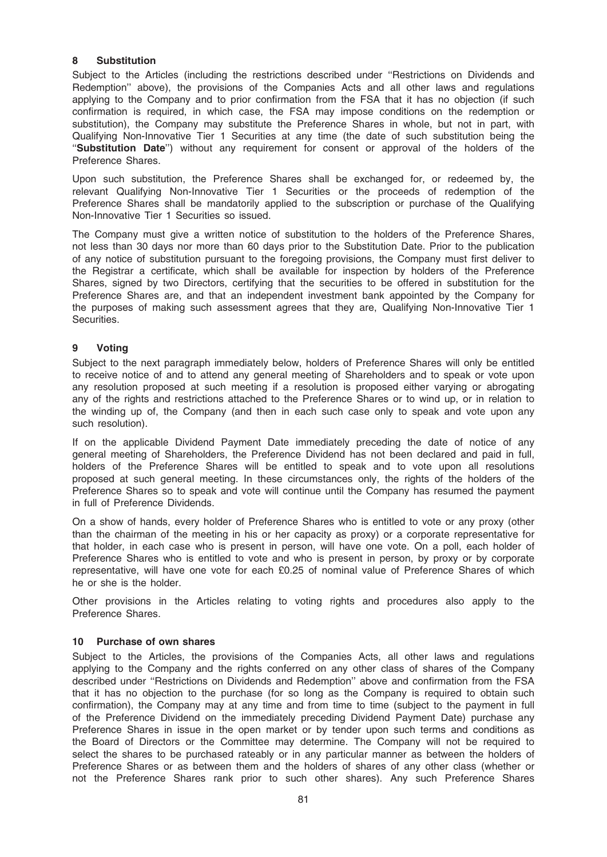## 8 Substitution

Subject to the Articles (including the restrictions described under ''Restrictions on Dividends and Redemption'' above), the provisions of the Companies Acts and all other laws and regulations applying to the Company and to prior confirmation from the FSA that it has no objection (if such confirmation is required, in which case, the FSA may impose conditions on the redemption or substitution), the Company may substitute the Preference Shares in whole, but not in part, with Qualifying Non-Innovative Tier 1 Securities at any time (the date of such substitution being the ''Substitution Date'') without any requirement for consent or approval of the holders of the Preference Shares.

Upon such substitution, the Preference Shares shall be exchanged for, or redeemed by, the relevant Qualifying Non-Innovative Tier 1 Securities or the proceeds of redemption of the Preference Shares shall be mandatorily applied to the subscription or purchase of the Qualifying Non-Innovative Tier 1 Securities so issued.

The Company must give a written notice of substitution to the holders of the Preference Shares, not less than 30 days nor more than 60 days prior to the Substitution Date. Prior to the publication of any notice of substitution pursuant to the foregoing provisions, the Company must first deliver to the Registrar a certificate, which shall be available for inspection by holders of the Preference Shares, signed by two Directors, certifying that the securities to be offered in substitution for the Preference Shares are, and that an independent investment bank appointed by the Company for the purposes of making such assessment agrees that they are, Qualifying Non-Innovative Tier 1 Securities.

# 9 Voting

Subject to the next paragraph immediately below, holders of Preference Shares will only be entitled to receive notice of and to attend any general meeting of Shareholders and to speak or vote upon any resolution proposed at such meeting if a resolution is proposed either varying or abrogating any of the rights and restrictions attached to the Preference Shares or to wind up, or in relation to the winding up of, the Company (and then in each such case only to speak and vote upon any such resolution).

If on the applicable Dividend Payment Date immediately preceding the date of notice of any general meeting of Shareholders, the Preference Dividend has not been declared and paid in full, holders of the Preference Shares will be entitled to speak and to vote upon all resolutions proposed at such general meeting. In these circumstances only, the rights of the holders of the Preference Shares so to speak and vote will continue until the Company has resumed the payment in full of Preference Dividends.

On a show of hands, every holder of Preference Shares who is entitled to vote or any proxy (other than the chairman of the meeting in his or her capacity as proxy) or a corporate representative for that holder, in each case who is present in person, will have one vote. On a poll, each holder of Preference Shares who is entitled to vote and who is present in person, by proxy or by corporate representative, will have one vote for each £0.25 of nominal value of Preference Shares of which he or she is the holder.

Other provisions in the Articles relating to voting rights and procedures also apply to the Preference Shares.

## 10 Purchase of own shares

Subject to the Articles, the provisions of the Companies Acts, all other laws and regulations applying to the Company and the rights conferred on any other class of shares of the Company described under ''Restrictions on Dividends and Redemption'' above and confirmation from the FSA that it has no objection to the purchase (for so long as the Company is required to obtain such confirmation), the Company may at any time and from time to time (subject to the payment in full of the Preference Dividend on the immediately preceding Dividend Payment Date) purchase any Preference Shares in issue in the open market or by tender upon such terms and conditions as the Board of Directors or the Committee may determine. The Company will not be required to select the shares to be purchased rateably or in any particular manner as between the holders of Preference Shares or as between them and the holders of shares of any other class (whether or not the Preference Shares rank prior to such other shares). Any such Preference Shares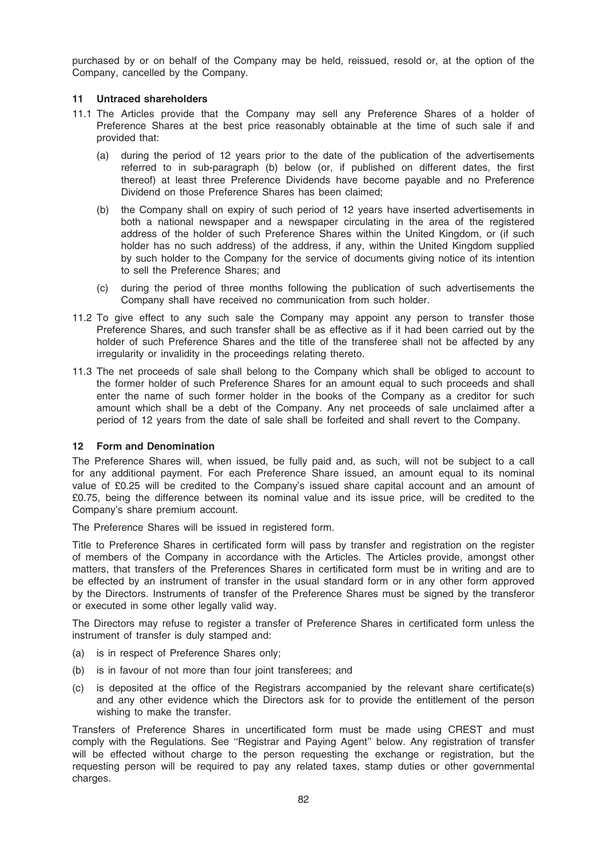purchased by or on behalf of the Company may be held, reissued, resold or, at the option of the Company, cancelled by the Company.

### 11 Untraced shareholders

- 11.1 The Articles provide that the Company may sell any Preference Shares of a holder of Preference Shares at the best price reasonably obtainable at the time of such sale if and provided that:
	- (a) during the period of 12 years prior to the date of the publication of the advertisements referred to in sub-paragraph (b) below (or, if published on different dates, the first thereof) at least three Preference Dividends have become payable and no Preference Dividend on those Preference Shares has been claimed;
	- (b) the Company shall on expiry of such period of 12 years have inserted advertisements in both a national newspaper and a newspaper circulating in the area of the registered address of the holder of such Preference Shares within the United Kingdom, or (if such holder has no such address) of the address, if any, within the United Kingdom supplied by such holder to the Company for the service of documents giving notice of its intention to sell the Preference Shares; and
	- (c) during the period of three months following the publication of such advertisements the Company shall have received no communication from such holder.
- 11.2 To give effect to any such sale the Company may appoint any person to transfer those Preference Shares, and such transfer shall be as effective as if it had been carried out by the holder of such Preference Shares and the title of the transferee shall not be affected by any irregularity or invalidity in the proceedings relating thereto.
- 11.3 The net proceeds of sale shall belong to the Company which shall be obliged to account to the former holder of such Preference Shares for an amount equal to such proceeds and shall enter the name of such former holder in the books of the Company as a creditor for such amount which shall be a debt of the Company. Any net proceeds of sale unclaimed after a period of 12 years from the date of sale shall be forfeited and shall revert to the Company.

## 12 Form and Denomination

The Preference Shares will, when issued, be fully paid and, as such, will not be subject to a call for any additional payment. For each Preference Share issued, an amount equal to its nominal value of £0.25 will be credited to the Company's issued share capital account and an amount of £0.75, being the difference between its nominal value and its issue price, will be credited to the Company's share premium account.

The Preference Shares will be issued in registered form.

Title to Preference Shares in certificated form will pass by transfer and registration on the register of members of the Company in accordance with the Articles. The Articles provide, amongst other matters, that transfers of the Preferences Shares in certificated form must be in writing and are to be effected by an instrument of transfer in the usual standard form or in any other form approved by the Directors. Instruments of transfer of the Preference Shares must be signed by the transferor or executed in some other legally valid way.

The Directors may refuse to register a transfer of Preference Shares in certificated form unless the instrument of transfer is duly stamped and:

- (a) is in respect of Preference Shares only;
- (b) is in favour of not more than four joint transferees; and
- (c) is deposited at the office of the Registrars accompanied by the relevant share certificate(s) and any other evidence which the Directors ask for to provide the entitlement of the person wishing to make the transfer.

Transfers of Preference Shares in uncertificated form must be made using CREST and must comply with the Regulations. See ''Registrar and Paying Agent'' below. Any registration of transfer will be effected without charge to the person requesting the exchange or registration, but the requesting person will be required to pay any related taxes, stamp duties or other governmental charges.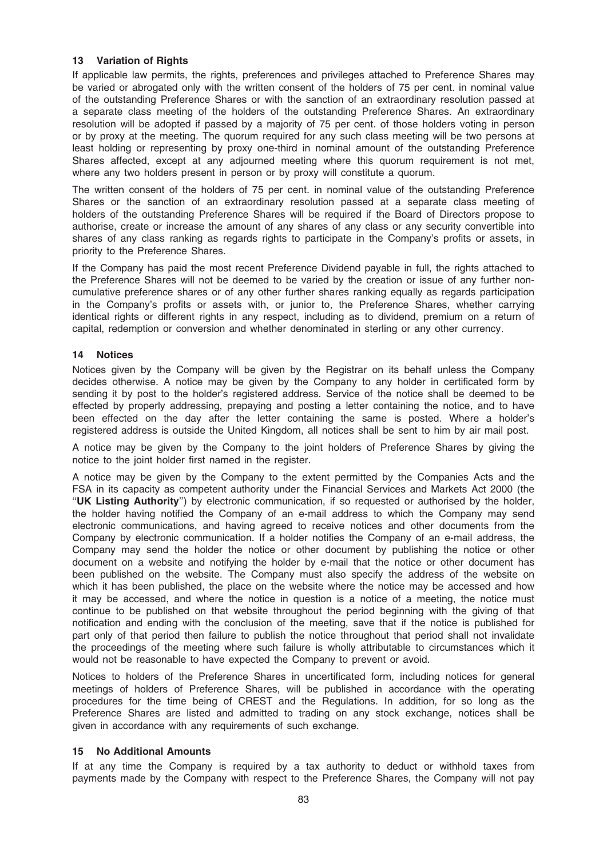### 13 Variation of Rights

If applicable law permits, the rights, preferences and privileges attached to Preference Shares may be varied or abrogated only with the written consent of the holders of 75 per cent. in nominal value of the outstanding Preference Shares or with the sanction of an extraordinary resolution passed at a separate class meeting of the holders of the outstanding Preference Shares. An extraordinary resolution will be adopted if passed by a majority of 75 per cent. of those holders voting in person or by proxy at the meeting. The quorum required for any such class meeting will be two persons at least holding or representing by proxy one-third in nominal amount of the outstanding Preference Shares affected, except at any adjourned meeting where this quorum requirement is not met, where any two holders present in person or by proxy will constitute a quorum.

The written consent of the holders of 75 per cent. in nominal value of the outstanding Preference Shares or the sanction of an extraordinary resolution passed at a separate class meeting of holders of the outstanding Preference Shares will be required if the Board of Directors propose to authorise, create or increase the amount of any shares of any class or any security convertible into shares of any class ranking as regards rights to participate in the Company's profits or assets, in priority to the Preference Shares.

If the Company has paid the most recent Preference Dividend payable in full, the rights attached to the Preference Shares will not be deemed to be varied by the creation or issue of any further noncumulative preference shares or of any other further shares ranking equally as regards participation in the Company's profits or assets with, or junior to, the Preference Shares, whether carrying identical rights or different rights in any respect, including as to dividend, premium on a return of capital, redemption or conversion and whether denominated in sterling or any other currency.

### 14 Notices

Notices given by the Company will be given by the Registrar on its behalf unless the Company decides otherwise. A notice may be given by the Company to any holder in certificated form by sending it by post to the holder's registered address. Service of the notice shall be deemed to be effected by properly addressing, prepaying and posting a letter containing the notice, and to have been effected on the day after the letter containing the same is posted. Where a holder's registered address is outside the United Kingdom, all notices shall be sent to him by air mail post.

A notice may be given by the Company to the joint holders of Preference Shares by giving the notice to the joint holder first named in the register.

A notice may be given by the Company to the extent permitted by the Companies Acts and the FSA in its capacity as competent authority under the Financial Services and Markets Act 2000 (the ''UK Listing Authority'') by electronic communication, if so requested or authorised by the holder, the holder having notified the Company of an e-mail address to which the Company may send electronic communications, and having agreed to receive notices and other documents from the Company by electronic communication. If a holder notifies the Company of an e-mail address, the Company may send the holder the notice or other document by publishing the notice or other document on a website and notifying the holder by e-mail that the notice or other document has been published on the website. The Company must also specify the address of the website on which it has been published, the place on the website where the notice may be accessed and how it may be accessed, and where the notice in question is a notice of a meeting, the notice must continue to be published on that website throughout the period beginning with the giving of that notification and ending with the conclusion of the meeting, save that if the notice is published for part only of that period then failure to publish the notice throughout that period shall not invalidate the proceedings of the meeting where such failure is wholly attributable to circumstances which it would not be reasonable to have expected the Company to prevent or avoid.

Notices to holders of the Preference Shares in uncertificated form, including notices for general meetings of holders of Preference Shares, will be published in accordance with the operating procedures for the time being of CREST and the Regulations. In addition, for so long as the Preference Shares are listed and admitted to trading on any stock exchange, notices shall be given in accordance with any requirements of such exchange.

#### 15 No Additional Amounts

If at any time the Company is required by a tax authority to deduct or withhold taxes from payments made by the Company with respect to the Preference Shares, the Company will not pay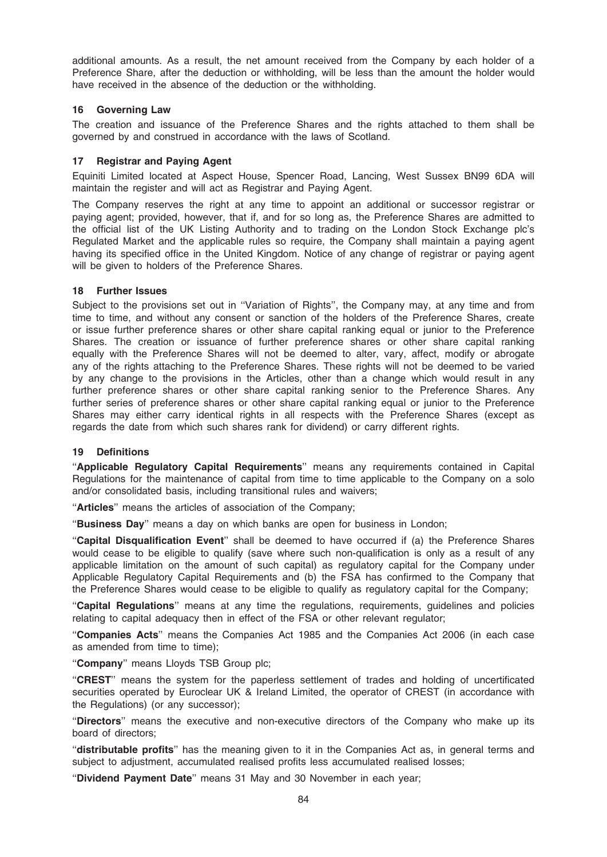additional amounts. As a result, the net amount received from the Company by each holder of a Preference Share, after the deduction or withholding, will be less than the amount the holder would have received in the absence of the deduction or the withholding.

## 16 Governing Law

The creation and issuance of the Preference Shares and the rights attached to them shall be governed by and construed in accordance with the laws of Scotland.

# 17 Registrar and Paying Agent

Equiniti Limited located at Aspect House, Spencer Road, Lancing, West Sussex BN99 6DA will maintain the register and will act as Registrar and Paying Agent.

The Company reserves the right at any time to appoint an additional or successor registrar or paying agent; provided, however, that if, and for so long as, the Preference Shares are admitted to the official list of the UK Listing Authority and to trading on the London Stock Exchange plc's Regulated Market and the applicable rules so require, the Company shall maintain a paying agent having its specified office in the United Kingdom. Notice of any change of registrar or paying agent will be given to holders of the Preference Shares.

# 18 Further Issues

Subject to the provisions set out in ''Variation of Rights'', the Company may, at any time and from time to time, and without any consent or sanction of the holders of the Preference Shares, create or issue further preference shares or other share capital ranking equal or junior to the Preference Shares. The creation or issuance of further preference shares or other share capital ranking equally with the Preference Shares will not be deemed to alter, vary, affect, modify or abrogate any of the rights attaching to the Preference Shares. These rights will not be deemed to be varied by any change to the provisions in the Articles, other than a change which would result in any further preference shares or other share capital ranking senior to the Preference Shares. Any further series of preference shares or other share capital ranking equal or junior to the Preference Shares may either carry identical rights in all respects with the Preference Shares (except as regards the date from which such shares rank for dividend) or carry different rights.

## 19 Definitions

"Applicable Regulatory Capital Requirements" means any requirements contained in Capital Regulations for the maintenance of capital from time to time applicable to the Company on a solo and/or consolidated basis, including transitional rules and waivers;

''Articles'' means the articles of association of the Company;

"Business Day" means a day on which banks are open for business in London;

''Capital Disqualification Event'' shall be deemed to have occurred if (a) the Preference Shares would cease to be eligible to qualify (save where such non-qualification is only as a result of any applicable limitation on the amount of such capital) as regulatory capital for the Company under Applicable Regulatory Capital Requirements and (b) the FSA has confirmed to the Company that the Preference Shares would cease to be eligible to qualify as regulatory capital for the Company;

"Capital Regulations" means at any time the regulations, requirements, guidelines and policies relating to capital adequacy then in effect of the FSA or other relevant regulator;

''Companies Acts'' means the Companies Act 1985 and the Companies Act 2006 (in each case as amended from time to time);

"Company" means Lloyds TSB Group plc;

''CREST'' means the system for the paperless settlement of trades and holding of uncertificated securities operated by Euroclear UK & Ireland Limited, the operator of CREST (in accordance with the Regulations) (or any successor);

''Directors'' means the executive and non-executive directors of the Company who make up its board of directors;

"distributable profits" has the meaning given to it in the Companies Act as, in general terms and subject to adjustment, accumulated realised profits less accumulated realised losses;

"Dividend Payment Date" means 31 May and 30 November in each year;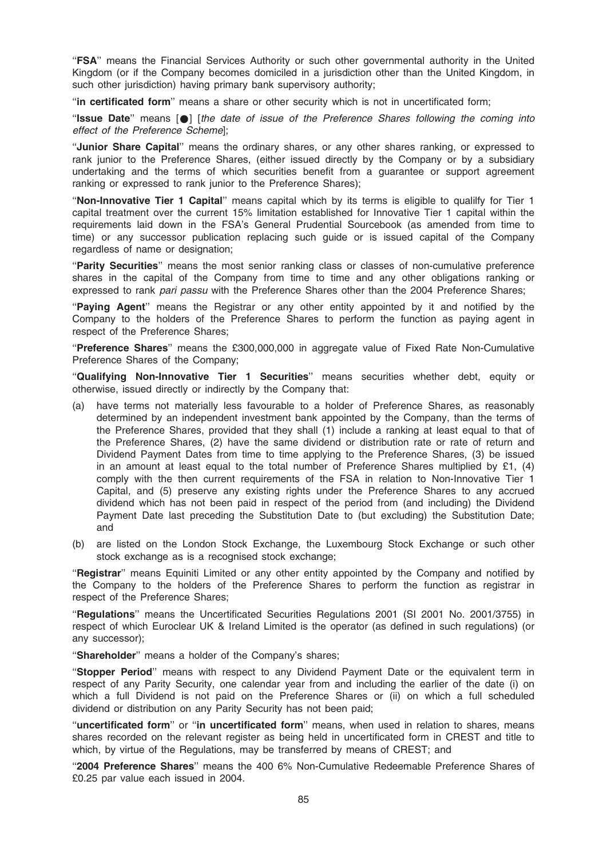''FSA'' means the Financial Services Authority or such other governmental authority in the United Kingdom (or if the Company becomes domiciled in a jurisdiction other than the United Kingdom, in such other jurisdiction) having primary bank supervisory authority;

''in certificated form'' means a share or other security which is not in uncertificated form;

"Issue Date" means  $\lceil \bullet \rceil$  [the date of issue of the Preference Shares following the coming into effect of the Preference Scheme];

''Junior Share Capital'' means the ordinary shares, or any other shares ranking, or expressed to rank junior to the Preference Shares, (either issued directly by the Company or by a subsidiary undertaking and the terms of which securities benefit from a guarantee or support agreement ranking or expressed to rank junior to the Preference Shares);

''Non-Innovative Tier 1 Capital'' means capital which by its terms is eligible to qualilfy for Tier 1 capital treatment over the current 15% limitation established for Innovative Tier 1 capital within the requirements laid down in the FSA's General Prudential Sourcebook (as amended from time to time) or any successor publication replacing such guide or is issued capital of the Company regardless of name or designation;

''Parity Securities'' means the most senior ranking class or classes of non-cumulative preference shares in the capital of the Company from time to time and any other obligations ranking or expressed to rank pari passu with the Preference Shares other than the 2004 Preference Shares;

''Paying Agent'' means the Registrar or any other entity appointed by it and notified by the Company to the holders of the Preference Shares to perform the function as paying agent in respect of the Preference Shares;

"Preference Shares" means the £300,000,000 in aggregate value of Fixed Rate Non-Cumulative Preference Shares of the Company;

"Qualifying Non-Innovative Tier 1 Securities" means securities whether debt, equity or otherwise, issued directly or indirectly by the Company that:

- (a) have terms not materially less favourable to a holder of Preference Shares, as reasonably determined by an independent investment bank appointed by the Company, than the terms of the Preference Shares, provided that they shall (1) include a ranking at least equal to that of the Preference Shares, (2) have the same dividend or distribution rate or rate of return and Dividend Payment Dates from time to time applying to the Preference Shares, (3) be issued in an amount at least equal to the total number of Preference Shares multiplied by £1,  $(4)$ comply with the then current requirements of the FSA in relation to Non-Innovative Tier 1 Capital, and (5) preserve any existing rights under the Preference Shares to any accrued dividend which has not been paid in respect of the period from (and including) the Dividend Payment Date last preceding the Substitution Date to (but excluding) the Substitution Date; and
- (b) are listed on the London Stock Exchange, the Luxembourg Stock Exchange or such other stock exchange as is a recognised stock exchange;

"Registrar" means Equiniti Limited or any other entity appointed by the Company and notified by the Company to the holders of the Preference Shares to perform the function as registrar in respect of the Preference Shares;

''Regulations'' means the Uncertificated Securities Regulations 2001 (SI 2001 No. 2001/3755) in respect of which Euroclear UK & Ireland Limited is the operator (as defined in such regulations) (or any successor);

"Shareholder" means a holder of the Company's shares;

''Stopper Period'' means with respect to any Dividend Payment Date or the equivalent term in respect of any Parity Security, one calendar year from and including the earlier of the date (i) on which a full Dividend is not paid on the Preference Shares or (ii) on which a full scheduled dividend or distribution on any Parity Security has not been paid;

''uncertificated form'' or ''in uncertificated form'' means, when used in relation to shares, means shares recorded on the relevant register as being held in uncertificated form in CREST and title to which, by virtue of the Regulations, may be transferred by means of CREST; and

''2004 Preference Shares'' means the 400 6% Non-Cumulative Redeemable Preference Shares of £0.25 par value each issued in 2004.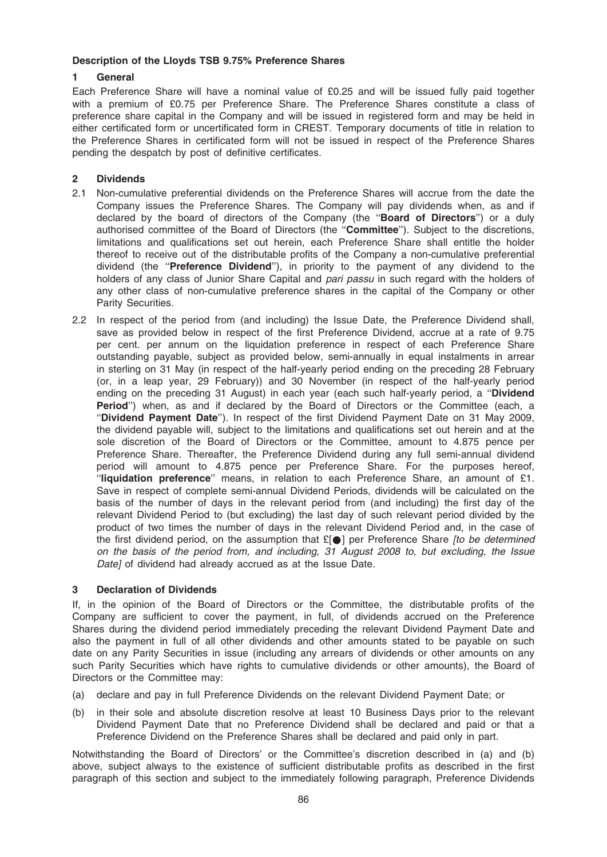### Description of the Lloyds TSB 9.75% Preference Shares

## 1 General

Each Preference Share will have a nominal value of £0.25 and will be issued fully paid together with a premium of £0.75 per Preference Share. The Preference Shares constitute a class of preference share capital in the Company and will be issued in registered form and may be held in either certificated form or uncertificated form in CREST. Temporary documents of title in relation to the Preference Shares in certificated form will not be issued in respect of the Preference Shares pending the despatch by post of definitive certificates.

# 2 Dividends

- 2.1 Non-cumulative preferential dividends on the Preference Shares will accrue from the date the Company issues the Preference Shares. The Company will pay dividends when, as and if declared by the board of directors of the Company (the "Board of Directors") or a duly authorised committee of the Board of Directors (the ''Committee''). Subject to the discretions, limitations and qualifications set out herein, each Preference Share shall entitle the holder thereof to receive out of the distributable profits of the Company a non-cumulative preferential dividend (the "Preference Dividend"), in priority to the payment of any dividend to the holders of any class of Junior Share Capital and pari passu in such regard with the holders of any other class of non-cumulative preference shares in the capital of the Company or other Parity Securities.
- 2.2 In respect of the period from (and including) the Issue Date, the Preference Dividend shall, save as provided below in respect of the first Preference Dividend, accrue at a rate of 9.75 per cent. per annum on the liquidation preference in respect of each Preference Share outstanding payable, subject as provided below, semi-annually in equal instalments in arrear in sterling on 31 May (in respect of the half-yearly period ending on the preceding 28 February (or, in a leap year, 29 February)) and 30 November (in respect of the half-yearly period ending on the preceding 31 August) in each year (each such half-yearly period, a "Dividend Period") when, as and if declared by the Board of Directors or the Committee (each, a "Dividend Payment Date"). In respect of the first Dividend Payment Date on 31 May 2009, the dividend payable will, subject to the limitations and qualifications set out herein and at the sole discretion of the Board of Directors or the Committee, amount to 4.875 pence per Preference Share. Thereafter, the Preference Dividend during any full semi-annual dividend period will amount to 4.875 pence per Preference Share. For the purposes hereof, ''liquidation preference'' means, in relation to each Preference Share, an amount of £1. Save in respect of complete semi-annual Dividend Periods, dividends will be calculated on the basis of the number of days in the relevant period from (and including) the first day of the relevant Dividend Period to (but excluding) the last day of such relevant period divided by the product of two times the number of days in the relevant Dividend Period and, in the case of the first dividend period, on the assumption that  $E[\bullet]$  per Preference Share [to be determined on the basis of the period from, and including, 31 August 2008 to, but excluding, the Issue Datel of dividend had already accrued as at the Issue Date.

## 3 Declaration of Dividends

If, in the opinion of the Board of Directors or the Committee, the distributable profits of the Company are sufficient to cover the payment, in full, of dividends accrued on the Preference Shares during the dividend period immediately preceding the relevant Dividend Payment Date and also the payment in full of all other dividends and other amounts stated to be payable on such date on any Parity Securities in issue (including any arrears of dividends or other amounts on any such Parity Securities which have rights to cumulative dividends or other amounts), the Board of Directors or the Committee may:

- (a) declare and pay in full Preference Dividends on the relevant Dividend Payment Date; or
- (b) in their sole and absolute discretion resolve at least 10 Business Days prior to the relevant Dividend Payment Date that no Preference Dividend shall be declared and paid or that a Preference Dividend on the Preference Shares shall be declared and paid only in part.

Notwithstanding the Board of Directors' or the Committee's discretion described in (a) and (b) above, subject always to the existence of sufficient distributable profits as described in the first paragraph of this section and subject to the immediately following paragraph, Preference Dividends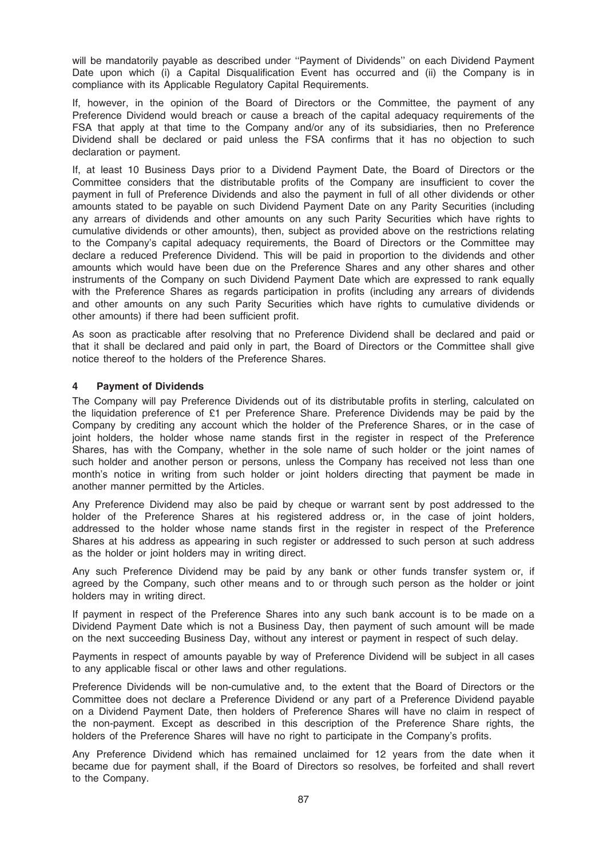will be mandatorily payable as described under ''Payment of Dividends'' on each Dividend Payment Date upon which (i) a Capital Disqualification Event has occurred and (ii) the Company is in compliance with its Applicable Regulatory Capital Requirements.

If, however, in the opinion of the Board of Directors or the Committee, the payment of any Preference Dividend would breach or cause a breach of the capital adequacy requirements of the FSA that apply at that time to the Company and/or any of its subsidiaries, then no Preference Dividend shall be declared or paid unless the FSA confirms that it has no objection to such declaration or payment.

If, at least 10 Business Days prior to a Dividend Payment Date, the Board of Directors or the Committee considers that the distributable profits of the Company are insufficient to cover the payment in full of Preference Dividends and also the payment in full of all other dividends or other amounts stated to be payable on such Dividend Payment Date on any Parity Securities (including any arrears of dividends and other amounts on any such Parity Securities which have rights to cumulative dividends or other amounts), then, subject as provided above on the restrictions relating to the Company's capital adequacy requirements, the Board of Directors or the Committee may declare a reduced Preference Dividend. This will be paid in proportion to the dividends and other amounts which would have been due on the Preference Shares and any other shares and other instruments of the Company on such Dividend Payment Date which are expressed to rank equally with the Preference Shares as regards participation in profits (including any arrears of dividends and other amounts on any such Parity Securities which have rights to cumulative dividends or other amounts) if there had been sufficient profit.

As soon as practicable after resolving that no Preference Dividend shall be declared and paid or that it shall be declared and paid only in part, the Board of Directors or the Committee shall give notice thereof to the holders of the Preference Shares.

### 4 Payment of Dividends

The Company will pay Preference Dividends out of its distributable profits in sterling, calculated on the liquidation preference of £1 per Preference Share. Preference Dividends may be paid by the Company by crediting any account which the holder of the Preference Shares, or in the case of joint holders, the holder whose name stands first in the register in respect of the Preference Shares, has with the Company, whether in the sole name of such holder or the joint names of such holder and another person or persons, unless the Company has received not less than one month's notice in writing from such holder or joint holders directing that payment be made in another manner permitted by the Articles.

Any Preference Dividend may also be paid by cheque or warrant sent by post addressed to the holder of the Preference Shares at his registered address or, in the case of joint holders, addressed to the holder whose name stands first in the register in respect of the Preference Shares at his address as appearing in such register or addressed to such person at such address as the holder or joint holders may in writing direct.

Any such Preference Dividend may be paid by any bank or other funds transfer system or, if agreed by the Company, such other means and to or through such person as the holder or joint holders may in writing direct.

If payment in respect of the Preference Shares into any such bank account is to be made on a Dividend Payment Date which is not a Business Day, then payment of such amount will be made on the next succeeding Business Day, without any interest or payment in respect of such delay.

Payments in respect of amounts payable by way of Preference Dividend will be subject in all cases to any applicable fiscal or other laws and other regulations.

Preference Dividends will be non-cumulative and, to the extent that the Board of Directors or the Committee does not declare a Preference Dividend or any part of a Preference Dividend payable on a Dividend Payment Date, then holders of Preference Shares will have no claim in respect of the non-payment. Except as described in this description of the Preference Share rights, the holders of the Preference Shares will have no right to participate in the Company's profits.

Any Preference Dividend which has remained unclaimed for 12 years from the date when it became due for payment shall, if the Board of Directors so resolves, be forfeited and shall revert to the Company.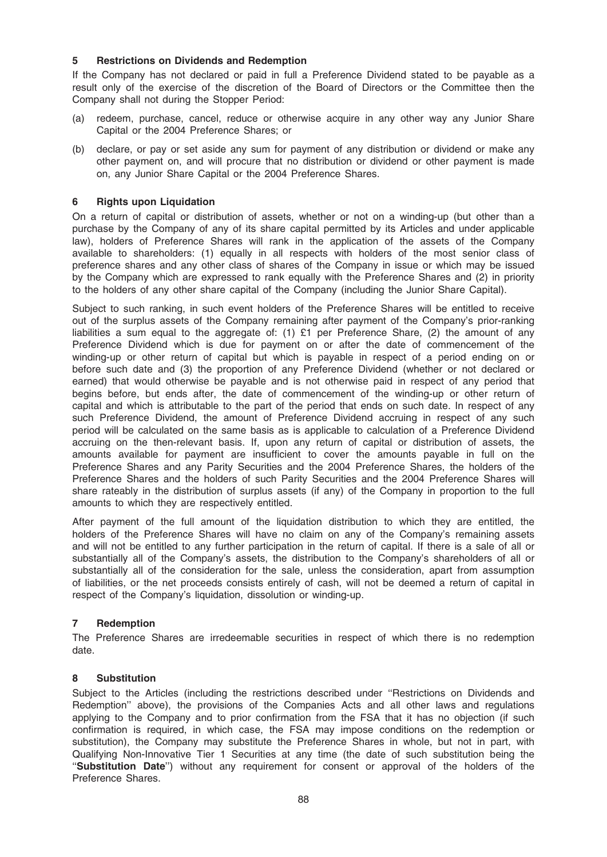## 5 Restrictions on Dividends and Redemption

If the Company has not declared or paid in full a Preference Dividend stated to be payable as a result only of the exercise of the discretion of the Board of Directors or the Committee then the Company shall not during the Stopper Period:

- (a) redeem, purchase, cancel, reduce or otherwise acquire in any other way any Junior Share Capital or the 2004 Preference Shares; or
- (b) declare, or pay or set aside any sum for payment of any distribution or dividend or make any other payment on, and will procure that no distribution or dividend or other payment is made on, any Junior Share Capital or the 2004 Preference Shares.

### 6 Rights upon Liquidation

On a return of capital or distribution of assets, whether or not on a winding-up (but other than a purchase by the Company of any of its share capital permitted by its Articles and under applicable law), holders of Preference Shares will rank in the application of the assets of the Company available to shareholders: (1) equally in all respects with holders of the most senior class of preference shares and any other class of shares of the Company in issue or which may be issued by the Company which are expressed to rank equally with the Preference Shares and (2) in priority to the holders of any other share capital of the Company (including the Junior Share Capital).

Subject to such ranking, in such event holders of the Preference Shares will be entitled to receive out of the surplus assets of the Company remaining after payment of the Company's prior-ranking liabilities a sum equal to the aggregate of: (1) £1 per Preference Share, (2) the amount of any Preference Dividend which is due for payment on or after the date of commencement of the winding-up or other return of capital but which is payable in respect of a period ending on or before such date and (3) the proportion of any Preference Dividend (whether or not declared or earned) that would otherwise be payable and is not otherwise paid in respect of any period that begins before, but ends after, the date of commencement of the winding-up or other return of capital and which is attributable to the part of the period that ends on such date. In respect of any such Preference Dividend, the amount of Preference Dividend accruing in respect of any such period will be calculated on the same basis as is applicable to calculation of a Preference Dividend accruing on the then-relevant basis. If, upon any return of capital or distribution of assets, the amounts available for payment are insufficient to cover the amounts payable in full on the Preference Shares and any Parity Securities and the 2004 Preference Shares, the holders of the Preference Shares and the holders of such Parity Securities and the 2004 Preference Shares will share rateably in the distribution of surplus assets (if any) of the Company in proportion to the full amounts to which they are respectively entitled.

After payment of the full amount of the liquidation distribution to which they are entitled, the holders of the Preference Shares will have no claim on any of the Company's remaining assets and will not be entitled to any further participation in the return of capital. If there is a sale of all or substantially all of the Company's assets, the distribution to the Company's shareholders of all or substantially all of the consideration for the sale, unless the consideration, apart from assumption of liabilities, or the net proceeds consists entirely of cash, will not be deemed a return of capital in respect of the Company's liquidation, dissolution or winding-up.

## 7 Redemption

The Preference Shares are irredeemable securities in respect of which there is no redemption date.

#### 8 Substitution

Subject to the Articles (including the restrictions described under ''Restrictions on Dividends and Redemption'' above), the provisions of the Companies Acts and all other laws and regulations applying to the Company and to prior confirmation from the FSA that it has no objection (if such confirmation is required, in which case, the FSA may impose conditions on the redemption or substitution), the Company may substitute the Preference Shares in whole, but not in part, with Qualifying Non-Innovative Tier 1 Securities at any time (the date of such substitution being the ''Substitution Date'') without any requirement for consent or approval of the holders of the Preference Shares.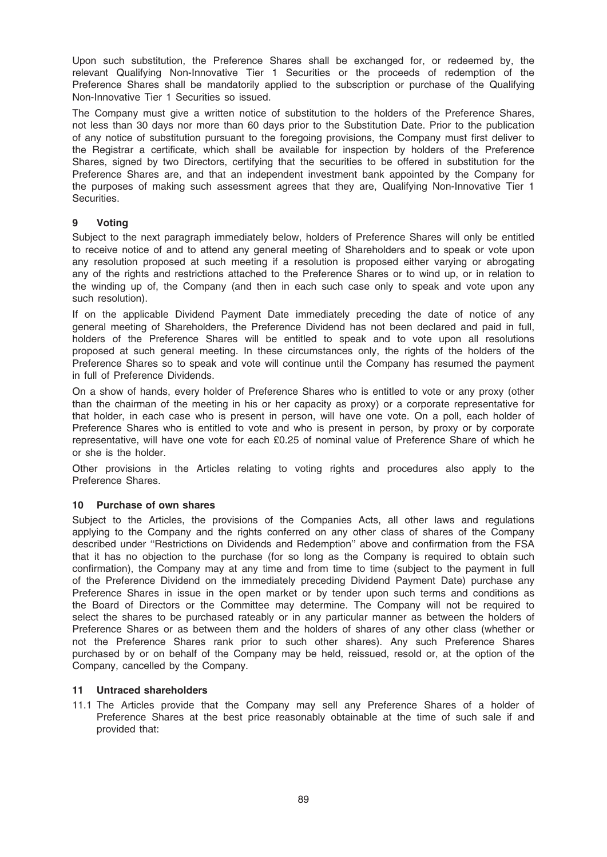Upon such substitution, the Preference Shares shall be exchanged for, or redeemed by, the relevant Qualifying Non-Innovative Tier 1 Securities or the proceeds of redemption of the Preference Shares shall be mandatorily applied to the subscription or purchase of the Qualifying Non-Innovative Tier 1 Securities so issued.

The Company must give a written notice of substitution to the holders of the Preference Shares, not less than 30 days nor more than 60 days prior to the Substitution Date. Prior to the publication of any notice of substitution pursuant to the foregoing provisions, the Company must first deliver to the Registrar a certificate, which shall be available for inspection by holders of the Preference Shares, signed by two Directors, certifying that the securities to be offered in substitution for the Preference Shares are, and that an independent investment bank appointed by the Company for the purposes of making such assessment agrees that they are, Qualifying Non-Innovative Tier 1 Securities.

# 9 Voting

Subject to the next paragraph immediately below, holders of Preference Shares will only be entitled to receive notice of and to attend any general meeting of Shareholders and to speak or vote upon any resolution proposed at such meeting if a resolution is proposed either varying or abrogating any of the rights and restrictions attached to the Preference Shares or to wind up, or in relation to the winding up of, the Company (and then in each such case only to speak and vote upon any such resolution).

If on the applicable Dividend Payment Date immediately preceding the date of notice of any general meeting of Shareholders, the Preference Dividend has not been declared and paid in full, holders of the Preference Shares will be entitled to speak and to vote upon all resolutions proposed at such general meeting. In these circumstances only, the rights of the holders of the Preference Shares so to speak and vote will continue until the Company has resumed the payment in full of Preference Dividends.

On a show of hands, every holder of Preference Shares who is entitled to vote or any proxy (other than the chairman of the meeting in his or her capacity as proxy) or a corporate representative for that holder, in each case who is present in person, will have one vote. On a poll, each holder of Preference Shares who is entitled to vote and who is present in person, by proxy or by corporate representative, will have one vote for each £0.25 of nominal value of Preference Share of which he or she is the holder.

Other provisions in the Articles relating to voting rights and procedures also apply to the Preference Shares.

## 10 Purchase of own shares

Subject to the Articles, the provisions of the Companies Acts, all other laws and regulations applying to the Company and the rights conferred on any other class of shares of the Company described under ''Restrictions on Dividends and Redemption'' above and confirmation from the FSA that it has no objection to the purchase (for so long as the Company is required to obtain such confirmation), the Company may at any time and from time to time (subject to the payment in full of the Preference Dividend on the immediately preceding Dividend Payment Date) purchase any Preference Shares in issue in the open market or by tender upon such terms and conditions as the Board of Directors or the Committee may determine. The Company will not be required to select the shares to be purchased rateably or in any particular manner as between the holders of Preference Shares or as between them and the holders of shares of any other class (whether or not the Preference Shares rank prior to such other shares). Any such Preference Shares purchased by or on behalf of the Company may be held, reissued, resold or, at the option of the Company, cancelled by the Company.

## 11 Untraced shareholders

11.1 The Articles provide that the Company may sell any Preference Shares of a holder of Preference Shares at the best price reasonably obtainable at the time of such sale if and provided that: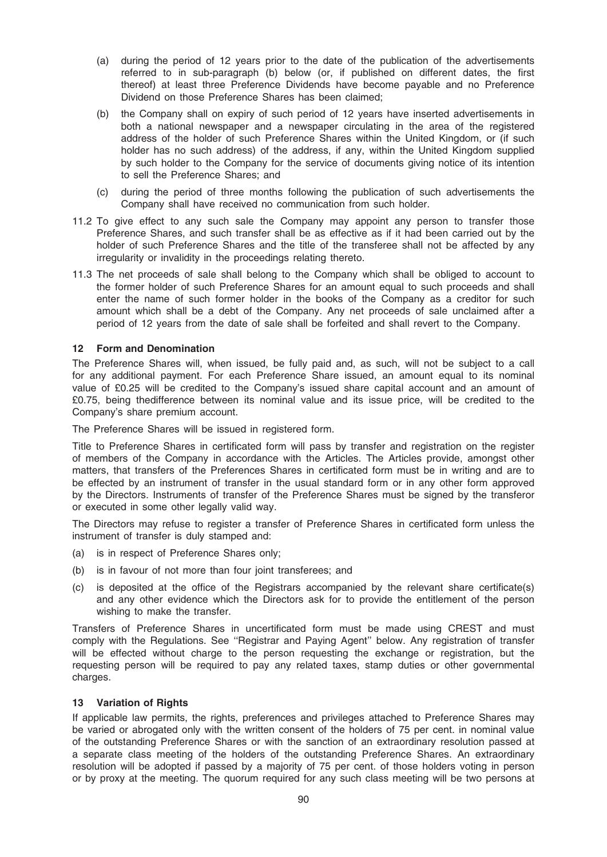- (a) during the period of 12 years prior to the date of the publication of the advertisements referred to in sub-paragraph (b) below (or, if published on different dates, the first thereof) at least three Preference Dividends have become payable and no Preference Dividend on those Preference Shares has been claimed;
- (b) the Company shall on expiry of such period of 12 years have inserted advertisements in both a national newspaper and a newspaper circulating in the area of the registered address of the holder of such Preference Shares within the United Kingdom, or (if such holder has no such address) of the address, if any, within the United Kingdom supplied by such holder to the Company for the service of documents giving notice of its intention to sell the Preference Shares; and
- (c) during the period of three months following the publication of such advertisements the Company shall have received no communication from such holder.
- 11.2 To give effect to any such sale the Company may appoint any person to transfer those Preference Shares, and such transfer shall be as effective as if it had been carried out by the holder of such Preference Shares and the title of the transferee shall not be affected by any irregularity or invalidity in the proceedings relating thereto.
- 11.3 The net proceeds of sale shall belong to the Company which shall be obliged to account to the former holder of such Preference Shares for an amount equal to such proceeds and shall enter the name of such former holder in the books of the Company as a creditor for such amount which shall be a debt of the Company. Any net proceeds of sale unclaimed after a period of 12 years from the date of sale shall be forfeited and shall revert to the Company.

### 12 Form and Denomination

The Preference Shares will, when issued, be fully paid and, as such, will not be subject to a call for any additional payment. For each Preference Share issued, an amount equal to its nominal value of £0.25 will be credited to the Company's issued share capital account and an amount of £0.75, being thedifference between its nominal value and its issue price, will be credited to the Company's share premium account.

The Preference Shares will be issued in registered form.

Title to Preference Shares in certificated form will pass by transfer and registration on the register of members of the Company in accordance with the Articles. The Articles provide, amongst other matters, that transfers of the Preferences Shares in certificated form must be in writing and are to be effected by an instrument of transfer in the usual standard form or in any other form approved by the Directors. Instruments of transfer of the Preference Shares must be signed by the transferor or executed in some other legally valid way.

The Directors may refuse to register a transfer of Preference Shares in certificated form unless the instrument of transfer is duly stamped and:

- (a) is in respect of Preference Shares only;
- (b) is in favour of not more than four joint transferees; and
- (c) is deposited at the office of the Registrars accompanied by the relevant share certificate(s) and any other evidence which the Directors ask for to provide the entitlement of the person wishing to make the transfer.

Transfers of Preference Shares in uncertificated form must be made using CREST and must comply with the Regulations. See ''Registrar and Paying Agent'' below. Any registration of transfer will be effected without charge to the person requesting the exchange or registration, but the requesting person will be required to pay any related taxes, stamp duties or other governmental charges.

#### 13 Variation of Rights

If applicable law permits, the rights, preferences and privileges attached to Preference Shares may be varied or abrogated only with the written consent of the holders of 75 per cent. in nominal value of the outstanding Preference Shares or with the sanction of an extraordinary resolution passed at a separate class meeting of the holders of the outstanding Preference Shares. An extraordinary resolution will be adopted if passed by a majority of 75 per cent. of those holders voting in person or by proxy at the meeting. The quorum required for any such class meeting will be two persons at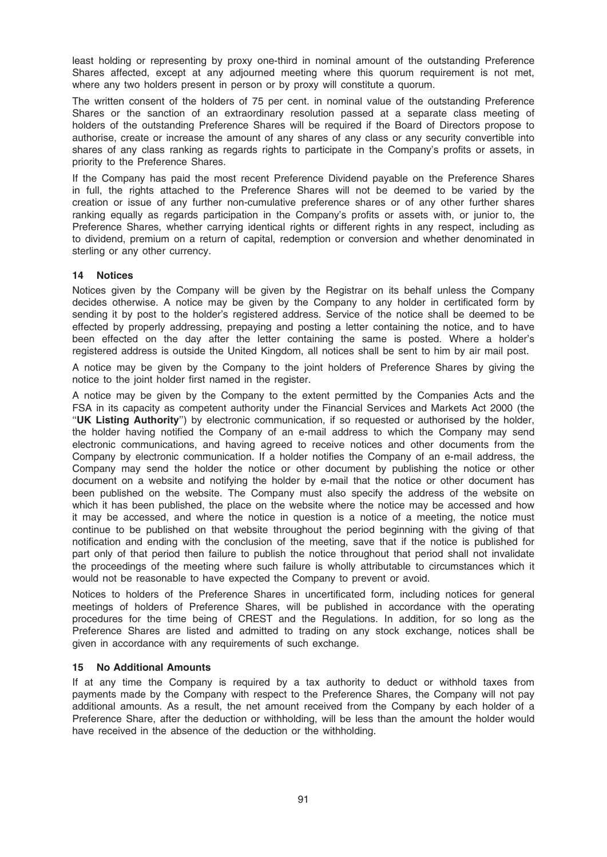least holding or representing by proxy one-third in nominal amount of the outstanding Preference Shares affected, except at any adjourned meeting where this quorum requirement is not met, where any two holders present in person or by proxy will constitute a quorum.

The written consent of the holders of 75 per cent. in nominal value of the outstanding Preference Shares or the sanction of an extraordinary resolution passed at a separate class meeting of holders of the outstanding Preference Shares will be required if the Board of Directors propose to authorise, create or increase the amount of any shares of any class or any security convertible into shares of any class ranking as regards rights to participate in the Company's profits or assets, in priority to the Preference Shares.

If the Company has paid the most recent Preference Dividend payable on the Preference Shares in full, the rights attached to the Preference Shares will not be deemed to be varied by the creation or issue of any further non-cumulative preference shares or of any other further shares ranking equally as regards participation in the Company's profits or assets with, or junior to, the Preference Shares, whether carrying identical rights or different rights in any respect, including as to dividend, premium on a return of capital, redemption or conversion and whether denominated in sterling or any other currency.

### 14 Notices

Notices given by the Company will be given by the Registrar on its behalf unless the Company decides otherwise. A notice may be given by the Company to any holder in certificated form by sending it by post to the holder's registered address. Service of the notice shall be deemed to be effected by properly addressing, prepaying and posting a letter containing the notice, and to have been effected on the day after the letter containing the same is posted. Where a holder's registered address is outside the United Kingdom, all notices shall be sent to him by air mail post.

A notice may be given by the Company to the joint holders of Preference Shares by giving the notice to the joint holder first named in the register.

A notice may be given by the Company to the extent permitted by the Companies Acts and the FSA in its capacity as competent authority under the Financial Services and Markets Act 2000 (the ''UK Listing Authority'') by electronic communication, if so requested or authorised by the holder, the holder having notified the Company of an e-mail address to which the Company may send electronic communications, and having agreed to receive notices and other documents from the Company by electronic communication. If a holder notifies the Company of an e-mail address, the Company may send the holder the notice or other document by publishing the notice or other document on a website and notifying the holder by e-mail that the notice or other document has been published on the website. The Company must also specify the address of the website on which it has been published, the place on the website where the notice may be accessed and how it may be accessed, and where the notice in question is a notice of a meeting, the notice must continue to be published on that website throughout the period beginning with the giving of that notification and ending with the conclusion of the meeting, save that if the notice is published for part only of that period then failure to publish the notice throughout that period shall not invalidate the proceedings of the meeting where such failure is wholly attributable to circumstances which it would not be reasonable to have expected the Company to prevent or avoid.

Notices to holders of the Preference Shares in uncertificated form, including notices for general meetings of holders of Preference Shares, will be published in accordance with the operating procedures for the time being of CREST and the Regulations. In addition, for so long as the Preference Shares are listed and admitted to trading on any stock exchange, notices shall be given in accordance with any requirements of such exchange.

#### 15 No Additional Amounts

If at any time the Company is required by a tax authority to deduct or withhold taxes from payments made by the Company with respect to the Preference Shares, the Company will not pay additional amounts. As a result, the net amount received from the Company by each holder of a Preference Share, after the deduction or withholding, will be less than the amount the holder would have received in the absence of the deduction or the withholding.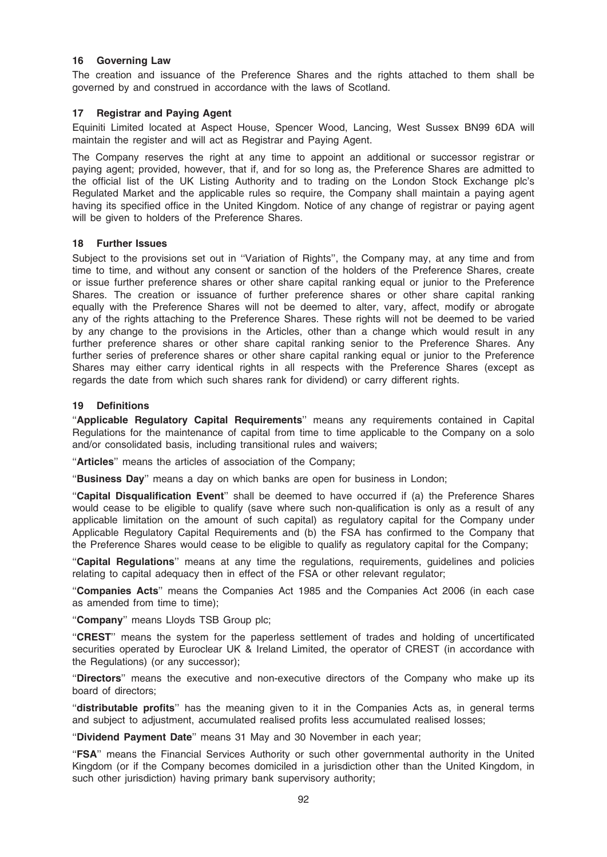### 16 Governing Law

The creation and issuance of the Preference Shares and the rights attached to them shall be governed by and construed in accordance with the laws of Scotland.

### 17 Registrar and Paying Agent

Equiniti Limited located at Aspect House, Spencer Wood, Lancing, West Sussex BN99 6DA will maintain the register and will act as Registrar and Paying Agent.

The Company reserves the right at any time to appoint an additional or successor registrar or paying agent; provided, however, that if, and for so long as, the Preference Shares are admitted to the official list of the UK Listing Authority and to trading on the London Stock Exchange plc's Regulated Market and the applicable rules so require, the Company shall maintain a paying agent having its specified office in the United Kingdom. Notice of any change of registrar or paying agent will be given to holders of the Preference Shares.

#### 18 Further Issues

Subject to the provisions set out in ''Variation of Rights'', the Company may, at any time and from time to time, and without any consent or sanction of the holders of the Preference Shares, create or issue further preference shares or other share capital ranking equal or junior to the Preference Shares. The creation or issuance of further preference shares or other share capital ranking equally with the Preference Shares will not be deemed to alter, vary, affect, modify or abrogate any of the rights attaching to the Preference Shares. These rights will not be deemed to be varied by any change to the provisions in the Articles, other than a change which would result in any further preference shares or other share capital ranking senior to the Preference Shares. Any further series of preference shares or other share capital ranking equal or junior to the Preference Shares may either carry identical rights in all respects with the Preference Shares (except as regards the date from which such shares rank for dividend) or carry different rights.

### 19 Definitions

''Applicable Regulatory Capital Requirements'' means any requirements contained in Capital Regulations for the maintenance of capital from time to time applicable to the Company on a solo and/or consolidated basis, including transitional rules and waivers;

"Articles" means the articles of association of the Company;

''Business Day'' means a day on which banks are open for business in London;

"Capital Disqualification Event" shall be deemed to have occurred if (a) the Preference Shares would cease to be eligible to qualify (save where such non-qualification is only as a result of any applicable limitation on the amount of such capital) as regulatory capital for the Company under Applicable Regulatory Capital Requirements and (b) the FSA has confirmed to the Company that the Preference Shares would cease to be eligible to qualify as regulatory capital for the Company;

''Capital Regulations'' means at any time the regulations, requirements, guidelines and policies relating to capital adequacy then in effect of the FSA or other relevant regulator;

''Companies Acts'' means the Companies Act 1985 and the Companies Act 2006 (in each case as amended from time to time);

"Company" means Lloyds TSB Group plc;

''CREST'' means the system for the paperless settlement of trades and holding of uncertificated securities operated by Euroclear UK & Ireland Limited, the operator of CREST (in accordance with the Regulations) (or any successor);

"Directors" means the executive and non-executive directors of the Company who make up its board of directors;

''distributable profits'' has the meaning given to it in the Companies Acts as, in general terms and subject to adjustment, accumulated realised profits less accumulated realised losses;

''Dividend Payment Date'' means 31 May and 30 November in each year;

''FSA'' means the Financial Services Authority or such other governmental authority in the United Kingdom (or if the Company becomes domiciled in a jurisdiction other than the United Kingdom, in such other jurisdiction) having primary bank supervisory authority;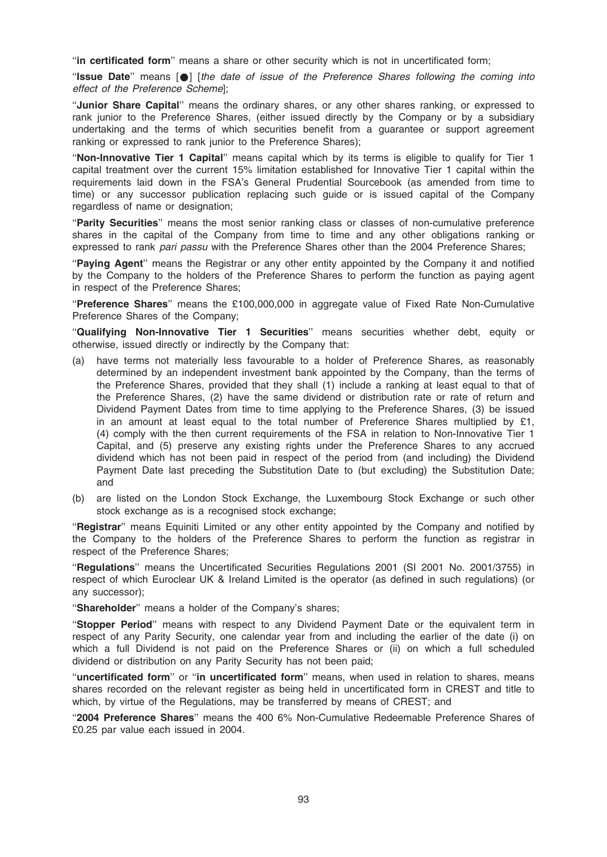"in certificated form" means a share or other security which is not in uncertificated form;

''Issue Date'' means [\*] [the date of issue of the Preference Shares following the coming into effect of the Preference Scheme];

''Junior Share Capital'' means the ordinary shares, or any other shares ranking, or expressed to rank junior to the Preference Shares, (either issued directly by the Company or by a subsidiary undertaking and the terms of which securities benefit from a guarantee or support agreement ranking or expressed to rank junior to the Preference Shares);

"Non-Innovative Tier 1 Capital" means capital which by its terms is eligible to qualify for Tier 1 capital treatment over the current 15% limitation established for Innovative Tier 1 capital within the requirements laid down in the FSA's General Prudential Sourcebook (as amended from time to time) or any successor publication replacing such guide or is issued capital of the Company regardless of name or designation;

''Parity Securities'' means the most senior ranking class or classes of non-cumulative preference shares in the capital of the Company from time to time and any other obligations ranking or expressed to rank pari passu with the Preference Shares other than the 2004 Preference Shares;

"Paying Agent" means the Registrar or any other entity appointed by the Company it and notified by the Company to the holders of the Preference Shares to perform the function as paying agent in respect of the Preference Shares;

''Preference Shares'' means the £100,000,000 in aggregate value of Fixed Rate Non-Cumulative Preference Shares of the Company;

"Qualifying Non-Innovative Tier 1 Securities" means securities whether debt, equity or otherwise, issued directly or indirectly by the Company that:

- (a) have terms not materially less favourable to a holder of Preference Shares, as reasonably determined by an independent investment bank appointed by the Company, than the terms of the Preference Shares, provided that they shall (1) include a ranking at least equal to that of the Preference Shares, (2) have the same dividend or distribution rate or rate of return and Dividend Payment Dates from time to time applying to the Preference Shares, (3) be issued in an amount at least equal to the total number of Preference Shares multiplied by £1, (4) comply with the then current requirements of the FSA in relation to Non-Innovative Tier 1 Capital, and (5) preserve any existing rights under the Preference Shares to any accrued dividend which has not been paid in respect of the period from (and including) the Dividend Payment Date last preceding the Substitution Date to (but excluding) the Substitution Date; and
- (b) are listed on the London Stock Exchange, the Luxembourg Stock Exchange or such other stock exchange as is a recognised stock exchange;

"Registrar" means Equiniti Limited or any other entity appointed by the Company and notified by the Company to the holders of the Preference Shares to perform the function as registrar in respect of the Preference Shares;

''Regulations'' means the Uncertificated Securities Regulations 2001 (SI 2001 No. 2001/3755) in respect of which Euroclear UK & Ireland Limited is the operator (as defined in such regulations) (or any successor);

"Shareholder" means a holder of the Company's shares;

''Stopper Period'' means with respect to any Dividend Payment Date or the equivalent term in respect of any Parity Security, one calendar year from and including the earlier of the date (i) on which a full Dividend is not paid on the Preference Shares or (ii) on which a full scheduled dividend or distribution on any Parity Security has not been paid;

''uncertificated form'' or ''in uncertificated form'' means, when used in relation to shares, means shares recorded on the relevant register as being held in uncertificated form in CREST and title to which, by virtue of the Regulations, may be transferred by means of CREST; and

''2004 Preference Shares'' means the 400 6% Non-Cumulative Redeemable Preference Shares of £0.25 par value each issued in 2004.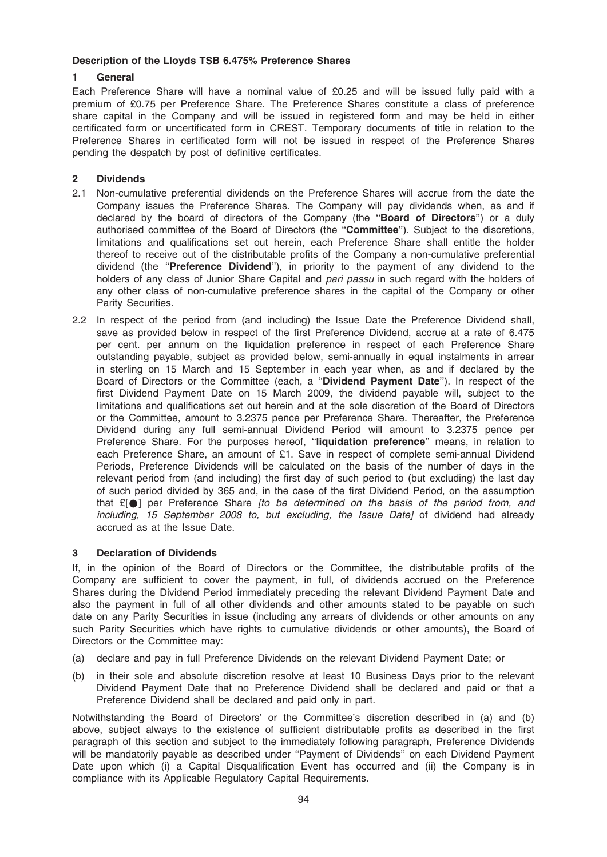### Description of the Lloyds TSB 6.475% Preference Shares

## 1 General

Each Preference Share will have a nominal value of £0.25 and will be issued fully paid with a premium of £0.75 per Preference Share. The Preference Shares constitute a class of preference share capital in the Company and will be issued in registered form and may be held in either certificated form or uncertificated form in CREST. Temporary documents of title in relation to the Preference Shares in certificated form will not be issued in respect of the Preference Shares pending the despatch by post of definitive certificates.

# 2 Dividends

- 2.1 Non-cumulative preferential dividends on the Preference Shares will accrue from the date the Company issues the Preference Shares. The Company will pay dividends when, as and if declared by the board of directors of the Company (the "Board of Directors") or a duly authorised committee of the Board of Directors (the ''Committee''). Subject to the discretions, limitations and qualifications set out herein, each Preference Share shall entitle the holder thereof to receive out of the distributable profits of the Company a non-cumulative preferential dividend (the "Preference Dividend"), in priority to the payment of any dividend to the holders of any class of Junior Share Capital and pari passu in such regard with the holders of any other class of non-cumulative preference shares in the capital of the Company or other Parity Securities.
- 2.2 In respect of the period from (and including) the Issue Date the Preference Dividend shall, save as provided below in respect of the first Preference Dividend, accrue at a rate of 6.475 per cent. per annum on the liquidation preference in respect of each Preference Share outstanding payable, subject as provided below, semi-annually in equal instalments in arrear in sterling on 15 March and 15 September in each year when, as and if declared by the Board of Directors or the Committee (each, a "Dividend Payment Date"). In respect of the first Dividend Payment Date on 15 March 2009, the dividend payable will, subject to the limitations and qualifications set out herein and at the sole discretion of the Board of Directors or the Committee, amount to 3.2375 pence per Preference Share. Thereafter, the Preference Dividend during any full semi-annual Dividend Period will amount to 3.2375 pence per Preference Share. For the purposes hereof, "liquidation preference" means, in relation to each Preference Share, an amount of £1. Save in respect of complete semi-annual Dividend Periods, Preference Dividends will be calculated on the basis of the number of days in the relevant period from (and including) the first day of such period to (but excluding) the last day of such period divided by 365 and, in the case of the first Dividend Period, on the assumption that  $E[\bullet]$  per Preference Share *[to be determined on the basis of the period from, and* including, 15 September 2008 to, but excluding, the Issue Date] of dividend had already accrued as at the Issue Date.

## 3 Declaration of Dividends

If, in the opinion of the Board of Directors or the Committee, the distributable profits of the Company are sufficient to cover the payment, in full, of dividends accrued on the Preference Shares during the Dividend Period immediately preceding the relevant Dividend Payment Date and also the payment in full of all other dividends and other amounts stated to be payable on such date on any Parity Securities in issue (including any arrears of dividends or other amounts on any such Parity Securities which have rights to cumulative dividends or other amounts), the Board of Directors or the Committee may:

- (a) declare and pay in full Preference Dividends on the relevant Dividend Payment Date; or
- (b) in their sole and absolute discretion resolve at least 10 Business Days prior to the relevant Dividend Payment Date that no Preference Dividend shall be declared and paid or that a Preference Dividend shall be declared and paid only in part.

Notwithstanding the Board of Directors' or the Committee's discretion described in (a) and (b) above, subject always to the existence of sufficient distributable profits as described in the first paragraph of this section and subject to the immediately following paragraph, Preference Dividends will be mandatorily payable as described under ''Payment of Dividends'' on each Dividend Payment Date upon which (i) a Capital Disqualification Event has occurred and (ii) the Company is in compliance with its Applicable Regulatory Capital Requirements.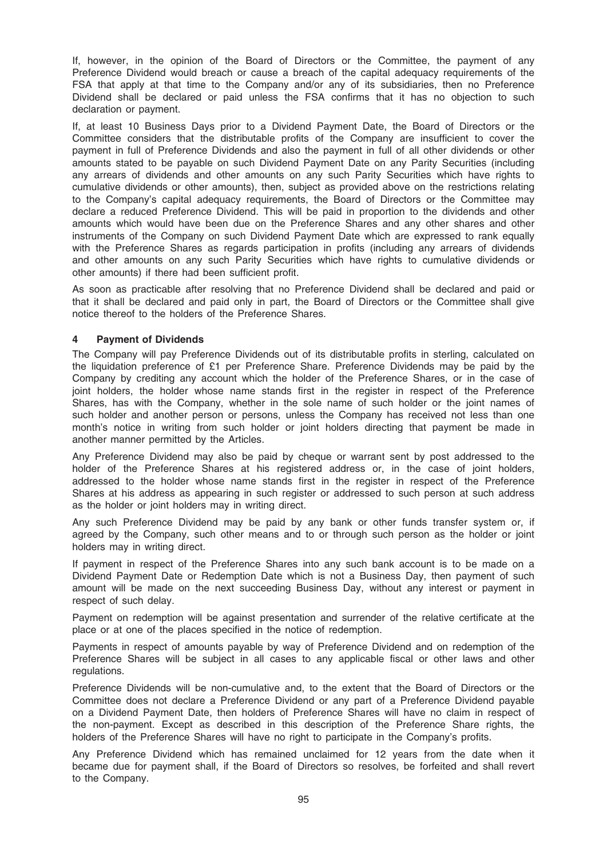If, however, in the opinion of the Board of Directors or the Committee, the payment of any Preference Dividend would breach or cause a breach of the capital adequacy requirements of the FSA that apply at that time to the Company and/or any of its subsidiaries, then no Preference Dividend shall be declared or paid unless the FSA confirms that it has no objection to such declaration or payment.

If, at least 10 Business Days prior to a Dividend Payment Date, the Board of Directors or the Committee considers that the distributable profits of the Company are insufficient to cover the payment in full of Preference Dividends and also the payment in full of all other dividends or other amounts stated to be payable on such Dividend Payment Date on any Parity Securities (including any arrears of dividends and other amounts on any such Parity Securities which have rights to cumulative dividends or other amounts), then, subject as provided above on the restrictions relating to the Company's capital adequacy requirements, the Board of Directors or the Committee may declare a reduced Preference Dividend. This will be paid in proportion to the dividends and other amounts which would have been due on the Preference Shares and any other shares and other instruments of the Company on such Dividend Payment Date which are expressed to rank equally with the Preference Shares as regards participation in profits (including any arrears of dividends and other amounts on any such Parity Securities which have rights to cumulative dividends or other amounts) if there had been sufficient profit.

As soon as practicable after resolving that no Preference Dividend shall be declared and paid or that it shall be declared and paid only in part, the Board of Directors or the Committee shall give notice thereof to the holders of the Preference Shares.

## 4 Payment of Dividends

The Company will pay Preference Dividends out of its distributable profits in sterling, calculated on the liquidation preference of £1 per Preference Share. Preference Dividends may be paid by the Company by crediting any account which the holder of the Preference Shares, or in the case of joint holders, the holder whose name stands first in the register in respect of the Preference Shares, has with the Company, whether in the sole name of such holder or the joint names of such holder and another person or persons, unless the Company has received not less than one month's notice in writing from such holder or joint holders directing that payment be made in another manner permitted by the Articles.

Any Preference Dividend may also be paid by cheque or warrant sent by post addressed to the holder of the Preference Shares at his registered address or, in the case of joint holders, addressed to the holder whose name stands first in the register in respect of the Preference Shares at his address as appearing in such register or addressed to such person at such address as the holder or joint holders may in writing direct.

Any such Preference Dividend may be paid by any bank or other funds transfer system or, if agreed by the Company, such other means and to or through such person as the holder or joint holders may in writing direct.

If payment in respect of the Preference Shares into any such bank account is to be made on a Dividend Payment Date or Redemption Date which is not a Business Day, then payment of such amount will be made on the next succeeding Business Day, without any interest or payment in respect of such delay.

Payment on redemption will be against presentation and surrender of the relative certificate at the place or at one of the places specified in the notice of redemption.

Payments in respect of amounts payable by way of Preference Dividend and on redemption of the Preference Shares will be subject in all cases to any applicable fiscal or other laws and other regulations.

Preference Dividends will be non-cumulative and, to the extent that the Board of Directors or the Committee does not declare a Preference Dividend or any part of a Preference Dividend payable on a Dividend Payment Date, then holders of Preference Shares will have no claim in respect of the non-payment. Except as described in this description of the Preference Share rights, the holders of the Preference Shares will have no right to participate in the Company's profits.

Any Preference Dividend which has remained unclaimed for 12 years from the date when it became due for payment shall, if the Board of Directors so resolves, be forfeited and shall revert to the Company.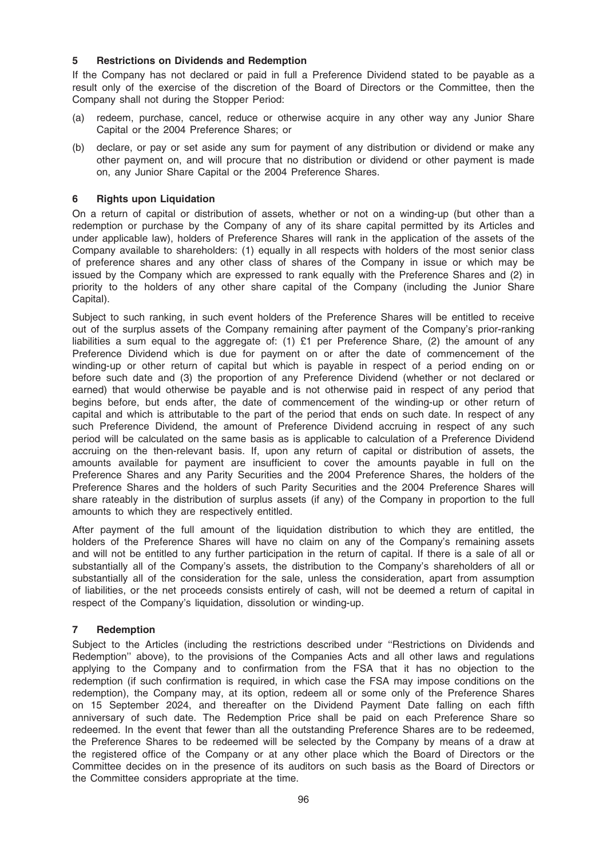## 5 Restrictions on Dividends and Redemption

If the Company has not declared or paid in full a Preference Dividend stated to be payable as a result only of the exercise of the discretion of the Board of Directors or the Committee, then the Company shall not during the Stopper Period:

- (a) redeem, purchase, cancel, reduce or otherwise acquire in any other way any Junior Share Capital or the 2004 Preference Shares; or
- (b) declare, or pay or set aside any sum for payment of any distribution or dividend or make any other payment on, and will procure that no distribution or dividend or other payment is made on, any Junior Share Capital or the 2004 Preference Shares.

### 6 Rights upon Liquidation

On a return of capital or distribution of assets, whether or not on a winding-up (but other than a redemption or purchase by the Company of any of its share capital permitted by its Articles and under applicable law), holders of Preference Shares will rank in the application of the assets of the Company available to shareholders: (1) equally in all respects with holders of the most senior class of preference shares and any other class of shares of the Company in issue or which may be issued by the Company which are expressed to rank equally with the Preference Shares and (2) in priority to the holders of any other share capital of the Company (including the Junior Share Capital).

Subject to such ranking, in such event holders of the Preference Shares will be entitled to receive out of the surplus assets of the Company remaining after payment of the Company's prior-ranking liabilities a sum equal to the aggregate of: (1) £1 per Preference Share, (2) the amount of any Preference Dividend which is due for payment on or after the date of commencement of the winding-up or other return of capital but which is payable in respect of a period ending on or before such date and (3) the proportion of any Preference Dividend (whether or not declared or earned) that would otherwise be payable and is not otherwise paid in respect of any period that begins before, but ends after, the date of commencement of the winding-up or other return of capital and which is attributable to the part of the period that ends on such date. In respect of any such Preference Dividend, the amount of Preference Dividend accruing in respect of any such period will be calculated on the same basis as is applicable to calculation of a Preference Dividend accruing on the then-relevant basis. If, upon any return of capital or distribution of assets, the amounts available for payment are insufficient to cover the amounts payable in full on the Preference Shares and any Parity Securities and the 2004 Preference Shares, the holders of the Preference Shares and the holders of such Parity Securities and the 2004 Preference Shares will share rateably in the distribution of surplus assets (if any) of the Company in proportion to the full amounts to which they are respectively entitled.

After payment of the full amount of the liquidation distribution to which they are entitled, the holders of the Preference Shares will have no claim on any of the Company's remaining assets and will not be entitled to any further participation in the return of capital. If there is a sale of all or substantially all of the Company's assets, the distribution to the Company's shareholders of all or substantially all of the consideration for the sale, unless the consideration, apart from assumption of liabilities, or the net proceeds consists entirely of cash, will not be deemed a return of capital in respect of the Company's liquidation, dissolution or winding-up.

## 7 Redemption

Subject to the Articles (including the restrictions described under ''Restrictions on Dividends and Redemption'' above), to the provisions of the Companies Acts and all other laws and regulations applying to the Company and to confirmation from the FSA that it has no objection to the redemption (if such confirmation is required, in which case the FSA may impose conditions on the redemption), the Company may, at its option, redeem all or some only of the Preference Shares on 15 September 2024, and thereafter on the Dividend Payment Date falling on each fifth anniversary of such date. The Redemption Price shall be paid on each Preference Share so redeemed. In the event that fewer than all the outstanding Preference Shares are to be redeemed, the Preference Shares to be redeemed will be selected by the Company by means of a draw at the registered office of the Company or at any other place which the Board of Directors or the Committee decides on in the presence of its auditors on such basis as the Board of Directors or the Committee considers appropriate at the time.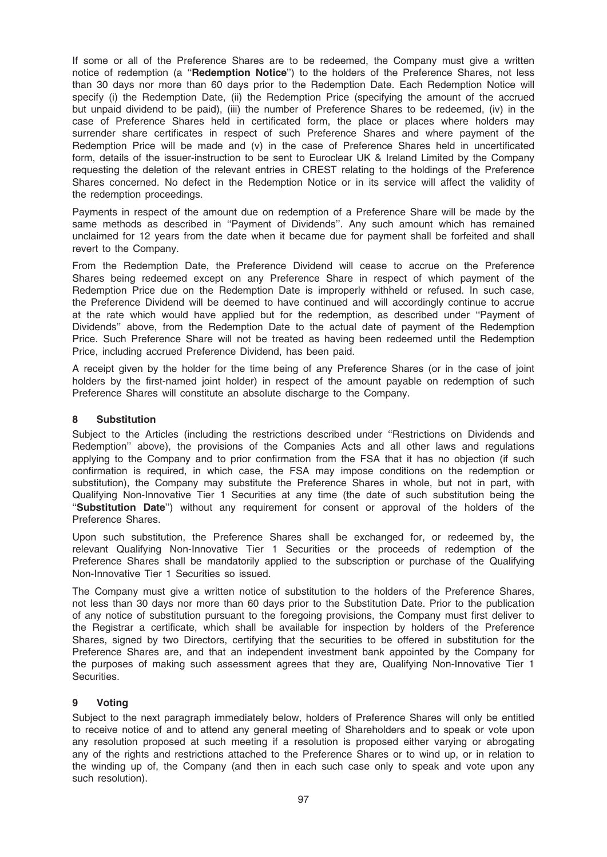If some or all of the Preference Shares are to be redeemed, the Company must give a written notice of redemption (a "Redemption Notice") to the holders of the Preference Shares, not less than 30 days nor more than 60 days prior to the Redemption Date. Each Redemption Notice will specify (i) the Redemption Date, (ii) the Redemption Price (specifying the amount of the accrued but unpaid dividend to be paid), (iii) the number of Preference Shares to be redeemed, (iv) in the case of Preference Shares held in certificated form, the place or places where holders may surrender share certificates in respect of such Preference Shares and where payment of the Redemption Price will be made and (v) in the case of Preference Shares held in uncertificated form, details of the issuer-instruction to be sent to Euroclear UK & Ireland Limited by the Company requesting the deletion of the relevant entries in CREST relating to the holdings of the Preference Shares concerned. No defect in the Redemption Notice or in its service will affect the validity of the redemption proceedings.

Payments in respect of the amount due on redemption of a Preference Share will be made by the same methods as described in ''Payment of Dividends''. Any such amount which has remained unclaimed for 12 years from the date when it became due for payment shall be forfeited and shall revert to the Company.

From the Redemption Date, the Preference Dividend will cease to accrue on the Preference Shares being redeemed except on any Preference Share in respect of which payment of the Redemption Price due on the Redemption Date is improperly withheld or refused. In such case, the Preference Dividend will be deemed to have continued and will accordingly continue to accrue at the rate which would have applied but for the redemption, as described under ''Payment of Dividends'' above, from the Redemption Date to the actual date of payment of the Redemption Price. Such Preference Share will not be treated as having been redeemed until the Redemption Price, including accrued Preference Dividend, has been paid.

A receipt given by the holder for the time being of any Preference Shares (or in the case of joint holders by the first-named joint holder) in respect of the amount payable on redemption of such Preference Shares will constitute an absolute discharge to the Company.

## 8 Substitution

Subject to the Articles (including the restrictions described under ''Restrictions on Dividends and Redemption'' above), the provisions of the Companies Acts and all other laws and regulations applying to the Company and to prior confirmation from the FSA that it has no objection (if such confirmation is required, in which case, the FSA may impose conditions on the redemption or substitution), the Company may substitute the Preference Shares in whole, but not in part, with Qualifying Non-Innovative Tier 1 Securities at any time (the date of such substitution being the ''Substitution Date'') without any requirement for consent or approval of the holders of the Preference Shares.

Upon such substitution, the Preference Shares shall be exchanged for, or redeemed by, the relevant Qualifying Non-Innovative Tier 1 Securities or the proceeds of redemption of the Preference Shares shall be mandatorily applied to the subscription or purchase of the Qualifying Non-Innovative Tier 1 Securities so issued.

The Company must give a written notice of substitution to the holders of the Preference Shares, not less than 30 days nor more than 60 days prior to the Substitution Date. Prior to the publication of any notice of substitution pursuant to the foregoing provisions, the Company must first deliver to the Registrar a certificate, which shall be available for inspection by holders of the Preference Shares, signed by two Directors, certifying that the securities to be offered in substitution for the Preference Shares are, and that an independent investment bank appointed by the Company for the purposes of making such assessment agrees that they are, Qualifying Non-Innovative Tier 1 Securities.

## 9 Voting

Subject to the next paragraph immediately below, holders of Preference Shares will only be entitled to receive notice of and to attend any general meeting of Shareholders and to speak or vote upon any resolution proposed at such meeting if a resolution is proposed either varying or abrogating any of the rights and restrictions attached to the Preference Shares or to wind up, or in relation to the winding up of, the Company (and then in each such case only to speak and vote upon any such resolution).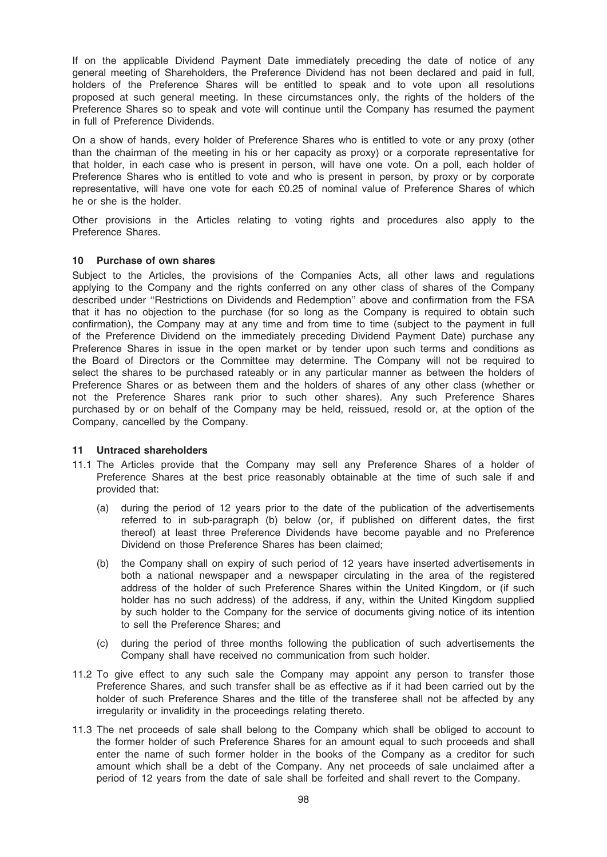If on the applicable Dividend Payment Date immediately preceding the date of notice of any general meeting of Shareholders, the Preference Dividend has not been declared and paid in full, holders of the Preference Shares will be entitled to speak and to vote upon all resolutions proposed at such general meeting. In these circumstances only, the rights of the holders of the Preference Shares so to speak and vote will continue until the Company has resumed the payment in full of Preference Dividends.

On a show of hands, every holder of Preference Shares who is entitled to vote or any proxy (other than the chairman of the meeting in his or her capacity as proxy) or a corporate representative for that holder, in each case who is present in person, will have one vote. On a poll, each holder of Preference Shares who is entitled to vote and who is present in person, by proxy or by corporate representative, will have one vote for each £0.25 of nominal value of Preference Shares of which he or she is the holder.

Other provisions in the Articles relating to voting rights and procedures also apply to the Preference Shares.

#### 10 Purchase of own shares

Subject to the Articles, the provisions of the Companies Acts, all other laws and regulations applying to the Company and the rights conferred on any other class of shares of the Company described under ''Restrictions on Dividends and Redemption'' above and confirmation from the FSA that it has no objection to the purchase (for so long as the Company is required to obtain such confirmation), the Company may at any time and from time to time (subject to the payment in full of the Preference Dividend on the immediately preceding Dividend Payment Date) purchase any Preference Shares in issue in the open market or by tender upon such terms and conditions as the Board of Directors or the Committee may determine. The Company will not be required to select the shares to be purchased rateably or in any particular manner as between the holders of Preference Shares or as between them and the holders of shares of any other class (whether or not the Preference Shares rank prior to such other shares). Any such Preference Shares purchased by or on behalf of the Company may be held, reissued, resold or, at the option of the Company, cancelled by the Company.

#### 11 Untraced shareholders

- 11.1 The Articles provide that the Company may sell any Preference Shares of a holder of Preference Shares at the best price reasonably obtainable at the time of such sale if and provided that:
	- (a) during the period of 12 years prior to the date of the publication of the advertisements referred to in sub-paragraph (b) below (or, if published on different dates, the first thereof) at least three Preference Dividends have become payable and no Preference Dividend on those Preference Shares has been claimed;
	- (b) the Company shall on expiry of such period of 12 years have inserted advertisements in both a national newspaper and a newspaper circulating in the area of the registered address of the holder of such Preference Shares within the United Kingdom, or (if such holder has no such address) of the address, if any, within the United Kingdom supplied by such holder to the Company for the service of documents giving notice of its intention to sell the Preference Shares; and
	- (c) during the period of three months following the publication of such advertisements the Company shall have received no communication from such holder.
- 11.2 To give effect to any such sale the Company may appoint any person to transfer those Preference Shares, and such transfer shall be as effective as if it had been carried out by the holder of such Preference Shares and the title of the transferee shall not be affected by any irregularity or invalidity in the proceedings relating thereto.
- 11.3 The net proceeds of sale shall belong to the Company which shall be obliged to account to the former holder of such Preference Shares for an amount equal to such proceeds and shall enter the name of such former holder in the books of the Company as a creditor for such amount which shall be a debt of the Company. Any net proceeds of sale unclaimed after a period of 12 years from the date of sale shall be forfeited and shall revert to the Company.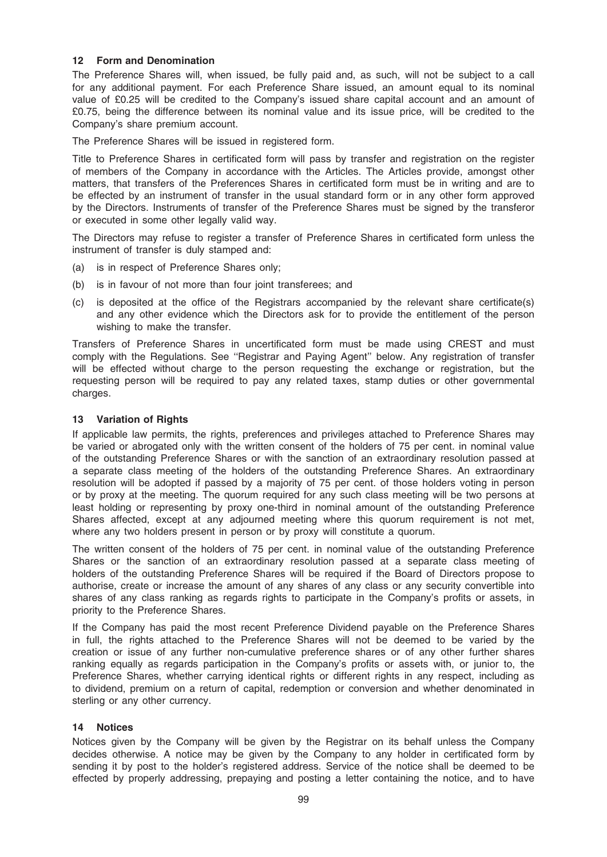### 12 Form and Denomination

The Preference Shares will, when issued, be fully paid and, as such, will not be subject to a call for any additional payment. For each Preference Share issued, an amount equal to its nominal value of £0.25 will be credited to the Company's issued share capital account and an amount of £0.75, being the difference between its nominal value and its issue price, will be credited to the Company's share premium account.

The Preference Shares will be issued in registered form.

Title to Preference Shares in certificated form will pass by transfer and registration on the register of members of the Company in accordance with the Articles. The Articles provide, amongst other matters, that transfers of the Preferences Shares in certificated form must be in writing and are to be effected by an instrument of transfer in the usual standard form or in any other form approved by the Directors. Instruments of transfer of the Preference Shares must be signed by the transferor or executed in some other legally valid way.

The Directors may refuse to register a transfer of Preference Shares in certificated form unless the instrument of transfer is duly stamped and:

- (a) is in respect of Preference Shares only;
- (b) is in favour of not more than four joint transferees; and
- (c) is deposited at the office of the Registrars accompanied by the relevant share certificate(s) and any other evidence which the Directors ask for to provide the entitlement of the person wishing to make the transfer.

Transfers of Preference Shares in uncertificated form must be made using CREST and must comply with the Regulations. See ''Registrar and Paying Agent'' below. Any registration of transfer will be effected without charge to the person requesting the exchange or registration, but the requesting person will be required to pay any related taxes, stamp duties or other governmental charges.

### 13 Variation of Rights

If applicable law permits, the rights, preferences and privileges attached to Preference Shares may be varied or abrogated only with the written consent of the holders of 75 per cent. in nominal value of the outstanding Preference Shares or with the sanction of an extraordinary resolution passed at a separate class meeting of the holders of the outstanding Preference Shares. An extraordinary resolution will be adopted if passed by a majority of 75 per cent. of those holders voting in person or by proxy at the meeting. The quorum required for any such class meeting will be two persons at least holding or representing by proxy one-third in nominal amount of the outstanding Preference Shares affected, except at any adjourned meeting where this quorum requirement is not met, where any two holders present in person or by proxy will constitute a quorum.

The written consent of the holders of 75 per cent. in nominal value of the outstanding Preference Shares or the sanction of an extraordinary resolution passed at a separate class meeting of holders of the outstanding Preference Shares will be required if the Board of Directors propose to authorise, create or increase the amount of any shares of any class or any security convertible into shares of any class ranking as regards rights to participate in the Company's profits or assets, in priority to the Preference Shares.

If the Company has paid the most recent Preference Dividend payable on the Preference Shares in full, the rights attached to the Preference Shares will not be deemed to be varied by the creation or issue of any further non-cumulative preference shares or of any other further shares ranking equally as regards participation in the Company's profits or assets with, or junior to, the Preference Shares, whether carrying identical rights or different rights in any respect, including as to dividend, premium on a return of capital, redemption or conversion and whether denominated in sterling or any other currency.

## 14 Notices

Notices given by the Company will be given by the Registrar on its behalf unless the Company decides otherwise. A notice may be given by the Company to any holder in certificated form by sending it by post to the holder's registered address. Service of the notice shall be deemed to be effected by properly addressing, prepaying and posting a letter containing the notice, and to have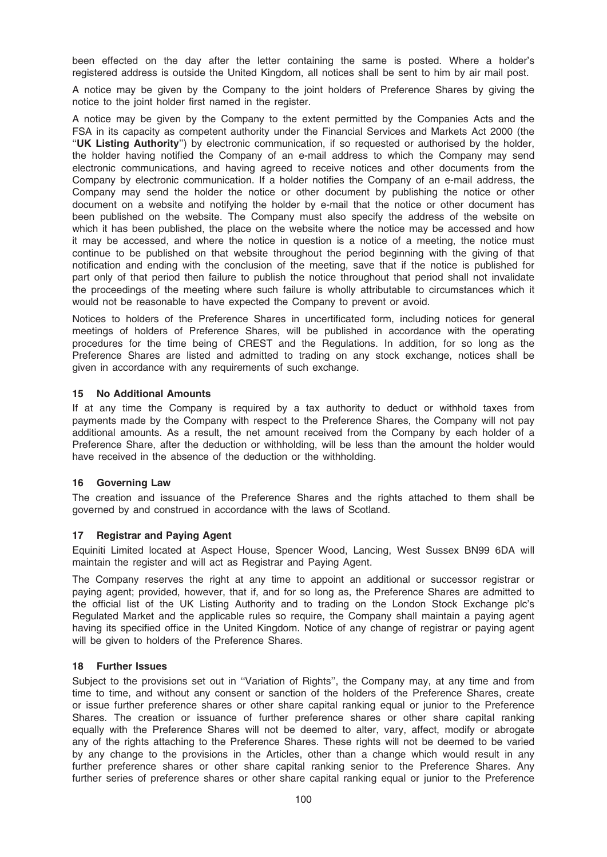been effected on the day after the letter containing the same is posted. Where a holder's registered address is outside the United Kingdom, all notices shall be sent to him by air mail post.

A notice may be given by the Company to the joint holders of Preference Shares by giving the notice to the joint holder first named in the register.

A notice may be given by the Company to the extent permitted by the Companies Acts and the FSA in its capacity as competent authority under the Financial Services and Markets Act 2000 (the "UK Listing Authority") by electronic communication, if so requested or authorised by the holder, the holder having notified the Company of an e-mail address to which the Company may send electronic communications, and having agreed to receive notices and other documents from the Company by electronic communication. If a holder notifies the Company of an e-mail address, the Company may send the holder the notice or other document by publishing the notice or other document on a website and notifying the holder by e-mail that the notice or other document has been published on the website. The Company must also specify the address of the website on which it has been published, the place on the website where the notice may be accessed and how it may be accessed, and where the notice in question is a notice of a meeting, the notice must continue to be published on that website throughout the period beginning with the giving of that notification and ending with the conclusion of the meeting, save that if the notice is published for part only of that period then failure to publish the notice throughout that period shall not invalidate the proceedings of the meeting where such failure is wholly attributable to circumstances which it would not be reasonable to have expected the Company to prevent or avoid.

Notices to holders of the Preference Shares in uncertificated form, including notices for general meetings of holders of Preference Shares, will be published in accordance with the operating procedures for the time being of CREST and the Regulations. In addition, for so long as the Preference Shares are listed and admitted to trading on any stock exchange, notices shall be given in accordance with any requirements of such exchange.

### 15 No Additional Amounts

If at any time the Company is required by a tax authority to deduct or withhold taxes from payments made by the Company with respect to the Preference Shares, the Company will not pay additional amounts. As a result, the net amount received from the Company by each holder of a Preference Share, after the deduction or withholding, will be less than the amount the holder would have received in the absence of the deduction or the withholding.

## 16 Governing Law

The creation and issuance of the Preference Shares and the rights attached to them shall be governed by and construed in accordance with the laws of Scotland.

## 17 Registrar and Paying Agent

Equiniti Limited located at Aspect House, Spencer Wood, Lancing, West Sussex BN99 6DA will maintain the register and will act as Registrar and Paying Agent.

The Company reserves the right at any time to appoint an additional or successor registrar or paying agent; provided, however, that if, and for so long as, the Preference Shares are admitted to the official list of the UK Listing Authority and to trading on the London Stock Exchange plc's Regulated Market and the applicable rules so require, the Company shall maintain a paying agent having its specified office in the United Kingdom. Notice of any change of registrar or paying agent will be given to holders of the Preference Shares.

#### 18 Further Issues

Subject to the provisions set out in ''Variation of Rights'', the Company may, at any time and from time to time, and without any consent or sanction of the holders of the Preference Shares, create or issue further preference shares or other share capital ranking equal or junior to the Preference Shares. The creation or issuance of further preference shares or other share capital ranking equally with the Preference Shares will not be deemed to alter, vary, affect, modify or abrogate any of the rights attaching to the Preference Shares. These rights will not be deemed to be varied by any change to the provisions in the Articles, other than a change which would result in any further preference shares or other share capital ranking senior to the Preference Shares. Any further series of preference shares or other share capital ranking equal or junior to the Preference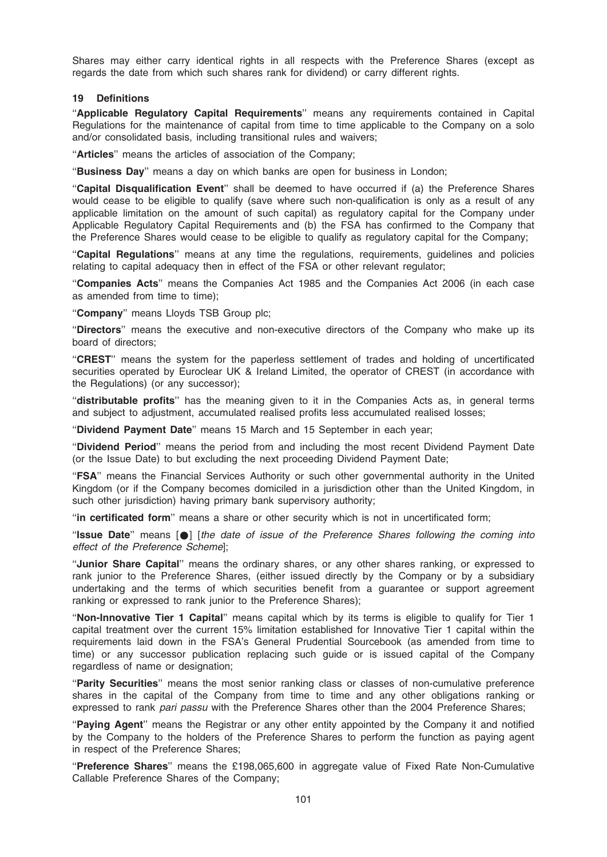Shares may either carry identical rights in all respects with the Preference Shares (except as regards the date from which such shares rank for dividend) or carry different rights.

#### 19 Definitions

"Applicable Regulatory Capital Requirements" means any requirements contained in Capital Regulations for the maintenance of capital from time to time applicable to the Company on a solo and/or consolidated basis, including transitional rules and waivers;

"Articles" means the articles of association of the Company;

"Business Day" means a day on which banks are open for business in London;

"Capital Disqualification Event" shall be deemed to have occurred if (a) the Preference Shares would cease to be eligible to qualify (save where such non-qualification is only as a result of any applicable limitation on the amount of such capital) as regulatory capital for the Company under Applicable Regulatory Capital Requirements and (b) the FSA has confirmed to the Company that the Preference Shares would cease to be eligible to qualify as regulatory capital for the Company;

''Capital Regulations'' means at any time the regulations, requirements, guidelines and policies relating to capital adequacy then in effect of the FSA or other relevant regulator;

''Companies Acts'' means the Companies Act 1985 and the Companies Act 2006 (in each case as amended from time to time);

"Company" means Lloyds TSB Group plc;

''Directors'' means the executive and non-executive directors of the Company who make up its board of directors;

"CREST" means the system for the paperless settlement of trades and holding of uncertificated securities operated by Euroclear UK & Ireland Limited, the operator of CREST (in accordance with the Regulations) (or any successor);

"distributable profits" has the meaning given to it in the Companies Acts as, in general terms and subject to adjustment, accumulated realised profits less accumulated realised losses;

''Dividend Payment Date'' means 15 March and 15 September in each year;

''Dividend Period'' means the period from and including the most recent Dividend Payment Date (or the Issue Date) to but excluding the next proceeding Dividend Payment Date;

''FSA'' means the Financial Services Authority or such other governmental authority in the United Kingdom (or if the Company becomes domiciled in a jurisdiction other than the United Kingdom, in such other jurisdiction) having primary bank supervisory authority;

"in certificated form" means a share or other security which is not in uncertificated form;

''Issue Date'' means [\*] [the date of issue of the Preference Shares following the coming into effect of the Preference Scheme];

"Junior Share Capital" means the ordinary shares, or any other shares ranking, or expressed to rank junior to the Preference Shares, (either issued directly by the Company or by a subsidiary undertaking and the terms of which securities benefit from a guarantee or support agreement ranking or expressed to rank junior to the Preference Shares);

"Non-Innovative Tier 1 Capital" means capital which by its terms is eligible to qualify for Tier 1 capital treatment over the current 15% limitation established for Innovative Tier 1 capital within the requirements laid down in the FSA's General Prudential Sourcebook (as amended from time to time) or any successor publication replacing such guide or is issued capital of the Company regardless of name or designation;

"Parity Securities" means the most senior ranking class or classes of non-cumulative preference shares in the capital of the Company from time to time and any other obligations ranking or expressed to rank pari passu with the Preference Shares other than the 2004 Preference Shares;

"Paying Agent" means the Registrar or any other entity appointed by the Company it and notified by the Company to the holders of the Preference Shares to perform the function as paying agent in respect of the Preference Shares;

''Preference Shares'' means the £198,065,600 in aggregate value of Fixed Rate Non-Cumulative Callable Preference Shares of the Company;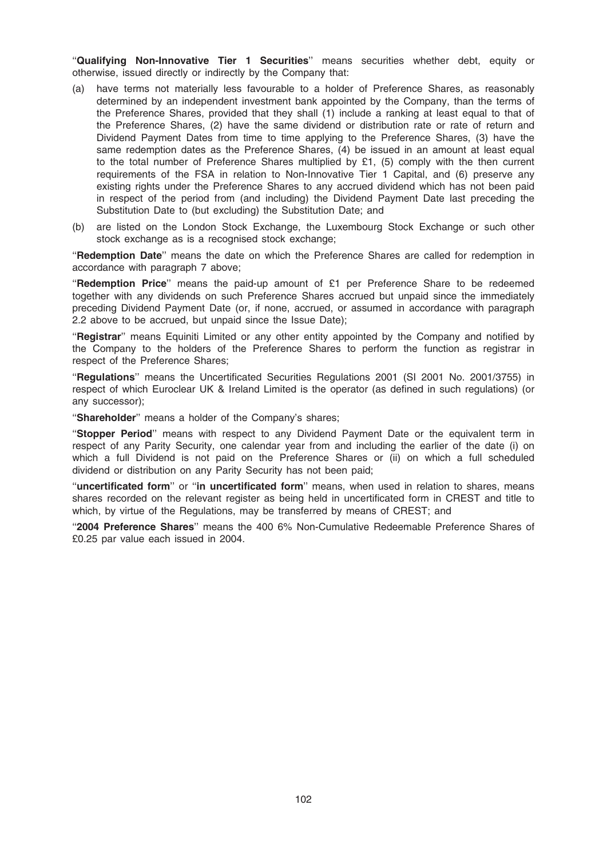"Qualifying Non-Innovative Tier 1 Securities" means securities whether debt, equity or otherwise, issued directly or indirectly by the Company that:

- (a) have terms not materially less favourable to a holder of Preference Shares, as reasonably determined by an independent investment bank appointed by the Company, than the terms of the Preference Shares, provided that they shall (1) include a ranking at least equal to that of the Preference Shares, (2) have the same dividend or distribution rate or rate of return and Dividend Payment Dates from time to time applying to the Preference Shares, (3) have the same redemption dates as the Preference Shares, (4) be issued in an amount at least equal to the total number of Preference Shares multiplied by £1, (5) comply with the then current requirements of the FSA in relation to Non-Innovative Tier 1 Capital, and (6) preserve any existing rights under the Preference Shares to any accrued dividend which has not been paid in respect of the period from (and including) the Dividend Payment Date last preceding the Substitution Date to (but excluding) the Substitution Date; and
- (b) are listed on the London Stock Exchange, the Luxembourg Stock Exchange or such other stock exchange as is a recognised stock exchange;

''Redemption Date'' means the date on which the Preference Shares are called for redemption in accordance with paragraph 7 above;

"Redemption Price" means the paid-up amount of £1 per Preference Share to be redeemed together with any dividends on such Preference Shares accrued but unpaid since the immediately preceding Dividend Payment Date (or, if none, accrued, or assumed in accordance with paragraph 2.2 above to be accrued, but unpaid since the Issue Date);

"Registrar" means Equiniti Limited or any other entity appointed by the Company and notified by the Company to the holders of the Preference Shares to perform the function as registrar in respect of the Preference Shares;

''Regulations'' means the Uncertificated Securities Regulations 2001 (SI 2001 No. 2001/3755) in respect of which Euroclear UK & Ireland Limited is the operator (as defined in such regulations) (or any successor);

"Shareholder" means a holder of the Company's shares;

''Stopper Period'' means with respect to any Dividend Payment Date or the equivalent term in respect of any Parity Security, one calendar year from and including the earlier of the date (i) on which a full Dividend is not paid on the Preference Shares or (ii) on which a full scheduled dividend or distribution on any Parity Security has not been paid;

"uncertificated form" or "in uncertificated form" means, when used in relation to shares, means shares recorded on the relevant register as being held in uncertificated form in CREST and title to which, by virtue of the Regulations, may be transferred by means of CREST; and

"2004 Preference Shares" means the 400 6% Non-Cumulative Redeemable Preference Shares of £0.25 par value each issued in 2004.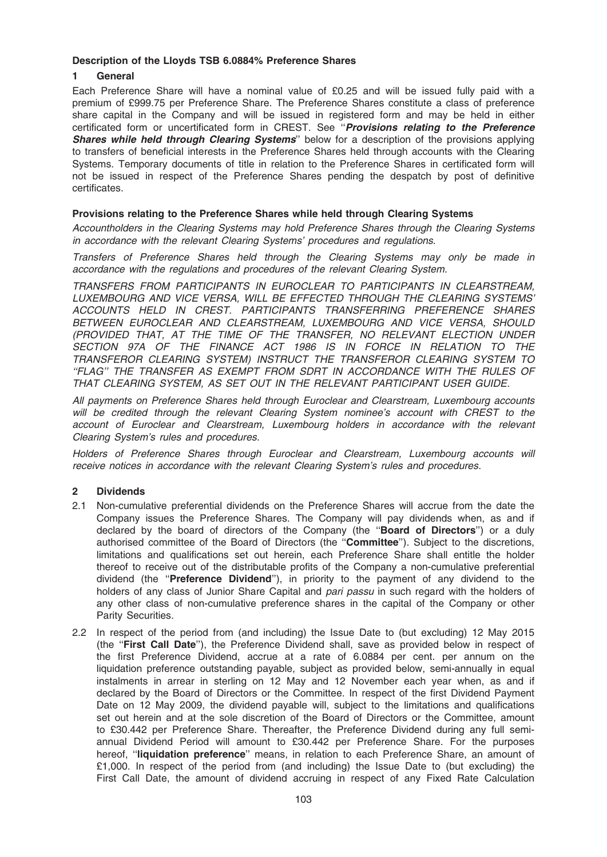### Description of the Lloyds TSB 6.0884% Preference Shares

## 1 General

Each Preference Share will have a nominal value of £0.25 and will be issued fully paid with a premium of £999.75 per Preference Share. The Preference Shares constitute a class of preference share capital in the Company and will be issued in registered form and may be held in either certificated form or uncertificated form in CREST. See "Provisions relating to the Preference **Shares while held through Clearing Systems**" below for a description of the provisions applying to transfers of beneficial interests in the Preference Shares held through accounts with the Clearing Systems. Temporary documents of title in relation to the Preference Shares in certificated form will not be issued in respect of the Preference Shares pending the despatch by post of definitive certificates.

# Provisions relating to the Preference Shares while held through Clearing Systems

Accountholders in the Clearing Systems may hold Preference Shares through the Clearing Systems in accordance with the relevant Clearing Systems' procedures and regulations.

Transfers of Preference Shares held through the Clearing Systems may only be made in accordance with the regulations and procedures of the relevant Clearing System.

TRANSFERS FROM PARTICIPANTS IN EUROCLEAR TO PARTICIPANTS IN CLEARSTREAM, LUXEMBOURG AND VICE VERSA, WILL BE EFFECTED THROUGH THE CLEARING SYSTEMS' ACCOUNTS HELD IN CREST. PARTICIPANTS TRANSFERRING PREFERENCE SHARES BETWEEN EUROCLEAR AND CLEARSTREAM, LUXEMBOURG AND VICE VERSA, SHOULD (PROVIDED THAT, AT THE TIME OF THE TRANSFER, NO RELEVANT ELECTION UNDER SECTION 97A OF THE FINANCE ACT 1986 IS IN FORCE IN RELATION TO THE TRANSFEROR CLEARING SYSTEM) INSTRUCT THE TRANSFEROR CLEARING SYSTEM TO ''FLAG'' THE TRANSFER AS EXEMPT FROM SDRT IN ACCORDANCE WITH THE RULES OF THAT CLEARING SYSTEM, AS SET OUT IN THE RELEVANT PARTICIPANT USER GUIDE.

All payments on Preference Shares held through Euroclear and Clearstream, Luxembourg accounts will be credited through the relevant Clearing System nominee's account with CREST to the account of Euroclear and Clearstream, Luxembourg holders in accordance with the relevant Clearing System's rules and procedures.

Holders of Preference Shares through Euroclear and Clearstream, Luxembourg accounts will receive notices in accordance with the relevant Clearing System's rules and procedures.

## 2 Dividends

- 2.1 Non-cumulative preferential dividends on the Preference Shares will accrue from the date the Company issues the Preference Shares. The Company will pay dividends when, as and if declared by the board of directors of the Company (the "Board of Directors") or a duly authorised committee of the Board of Directors (the "Committee"). Subject to the discretions, limitations and qualifications set out herein, each Preference Share shall entitle the holder thereof to receive out of the distributable profits of the Company a non-cumulative preferential dividend (the "Preference Dividend"), in priority to the payment of any dividend to the holders of any class of Junior Share Capital and *pari passu* in such regard with the holders of any other class of non-cumulative preference shares in the capital of the Company or other Parity Securities.
- 2.2 In respect of the period from (and including) the Issue Date to (but excluding) 12 May 2015 (the ''First Call Date''), the Preference Dividend shall, save as provided below in respect of the first Preference Dividend, accrue at a rate of 6.0884 per cent. per annum on the liquidation preference outstanding payable, subject as provided below, semi-annually in equal instalments in arrear in sterling on 12 May and 12 November each year when, as and if declared by the Board of Directors or the Committee. In respect of the first Dividend Payment Date on 12 May 2009, the dividend payable will, subject to the limitations and qualifications set out herein and at the sole discretion of the Board of Directors or the Committee, amount to £30.442 per Preference Share. Thereafter, the Preference Dividend during any full semiannual Dividend Period will amount to £30.442 per Preference Share. For the purposes hereof, "liquidation preference" means, in relation to each Preference Share, an amount of £1,000. In respect of the period from (and including) the Issue Date to (but excluding) the First Call Date, the amount of dividend accruing in respect of any Fixed Rate Calculation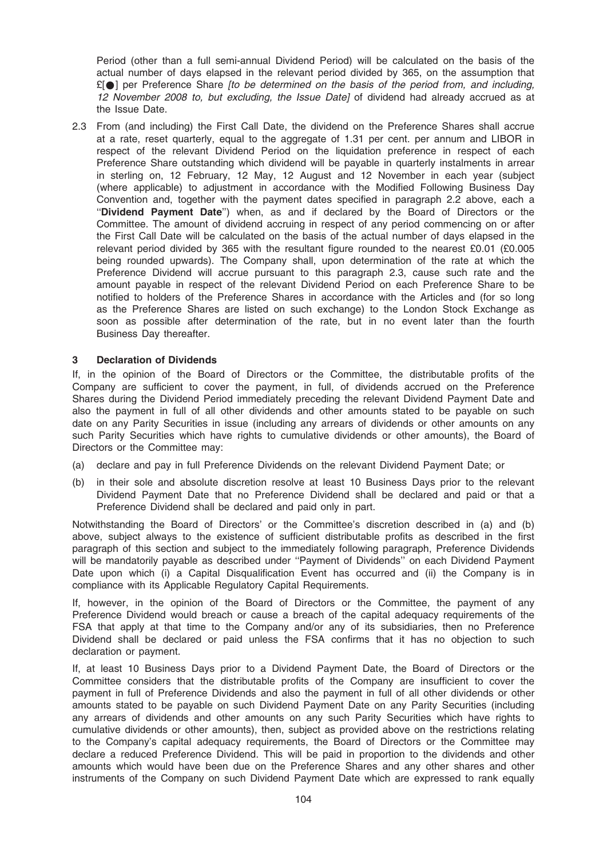Period (other than a full semi-annual Dividend Period) will be calculated on the basis of the actual number of days elapsed in the relevant period divided by 365, on the assumption that  $£[①]$  per Preference Share *[to be determined on the basis of the period from, and including,* 12 November 2008 to, but excluding, the Issue Datel of dividend had already accrued as at the Issue Date.

2.3 From (and including) the First Call Date, the dividend on the Preference Shares shall accrue at a rate, reset quarterly, equal to the aggregate of 1.31 per cent. per annum and LIBOR in respect of the relevant Dividend Period on the liquidation preference in respect of each Preference Share outstanding which dividend will be payable in quarterly instalments in arrear in sterling on, 12 February, 12 May, 12 August and 12 November in each year (subject (where applicable) to adjustment in accordance with the Modified Following Business Day Convention and, together with the payment dates specified in paragraph 2.2 above, each a "Dividend Payment Date") when, as and if declared by the Board of Directors or the Committee. The amount of dividend accruing in respect of any period commencing on or after the First Call Date will be calculated on the basis of the actual number of days elapsed in the relevant period divided by 365 with the resultant figure rounded to the nearest £0.01 (£0.005 being rounded upwards). The Company shall, upon determination of the rate at which the Preference Dividend will accrue pursuant to this paragraph 2.3, cause such rate and the amount payable in respect of the relevant Dividend Period on each Preference Share to be notified to holders of the Preference Shares in accordance with the Articles and (for so long as the Preference Shares are listed on such exchange) to the London Stock Exchange as soon as possible after determination of the rate, but in no event later than the fourth Business Day thereafter.

#### 3 Declaration of Dividends

If, in the opinion of the Board of Directors or the Committee, the distributable profits of the Company are sufficient to cover the payment, in full, of dividends accrued on the Preference Shares during the Dividend Period immediately preceding the relevant Dividend Payment Date and also the payment in full of all other dividends and other amounts stated to be payable on such date on any Parity Securities in issue (including any arrears of dividends or other amounts on any such Parity Securities which have rights to cumulative dividends or other amounts), the Board of Directors or the Committee may:

- (a) declare and pay in full Preference Dividends on the relevant Dividend Payment Date; or
- (b) in their sole and absolute discretion resolve at least 10 Business Days prior to the relevant Dividend Payment Date that no Preference Dividend shall be declared and paid or that a Preference Dividend shall be declared and paid only in part.

Notwithstanding the Board of Directors' or the Committee's discretion described in (a) and (b) above, subject always to the existence of sufficient distributable profits as described in the first paragraph of this section and subject to the immediately following paragraph, Preference Dividends will be mandatorily payable as described under "Payment of Dividends" on each Dividend Payment Date upon which (i) a Capital Disqualification Event has occurred and (ii) the Company is in compliance with its Applicable Regulatory Capital Requirements.

If, however, in the opinion of the Board of Directors or the Committee, the payment of any Preference Dividend would breach or cause a breach of the capital adequacy requirements of the FSA that apply at that time to the Company and/or any of its subsidiaries, then no Preference Dividend shall be declared or paid unless the FSA confirms that it has no objection to such declaration or payment.

If, at least 10 Business Days prior to a Dividend Payment Date, the Board of Directors or the Committee considers that the distributable profits of the Company are insufficient to cover the payment in full of Preference Dividends and also the payment in full of all other dividends or other amounts stated to be payable on such Dividend Payment Date on any Parity Securities (including any arrears of dividends and other amounts on any such Parity Securities which have rights to cumulative dividends or other amounts), then, subject as provided above on the restrictions relating to the Company's capital adequacy requirements, the Board of Directors or the Committee may declare a reduced Preference Dividend. This will be paid in proportion to the dividends and other amounts which would have been due on the Preference Shares and any other shares and other instruments of the Company on such Dividend Payment Date which are expressed to rank equally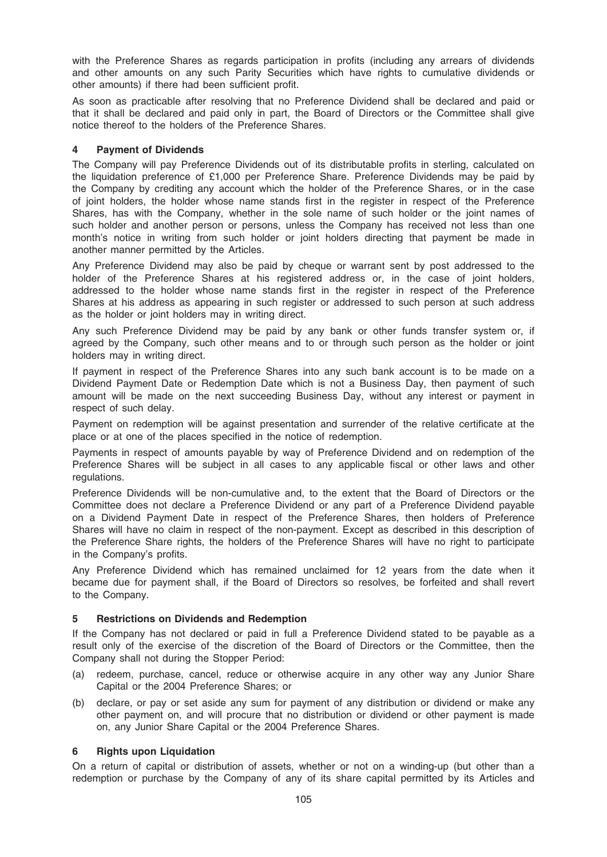with the Preference Shares as regards participation in profits (including any arrears of dividends and other amounts on any such Parity Securities which have rights to cumulative dividends or other amounts) if there had been sufficient profit.

As soon as practicable after resolving that no Preference Dividend shall be declared and paid or that it shall be declared and paid only in part, the Board of Directors or the Committee shall give notice thereof to the holders of the Preference Shares.

### 4 Payment of Dividends

The Company will pay Preference Dividends out of its distributable profits in sterling, calculated on the liquidation preference of £1,000 per Preference Share. Preference Dividends may be paid by the Company by crediting any account which the holder of the Preference Shares, or in the case of joint holders, the holder whose name stands first in the register in respect of the Preference Shares, has with the Company, whether in the sole name of such holder or the joint names of such holder and another person or persons, unless the Company has received not less than one month's notice in writing from such holder or joint holders directing that payment be made in another manner permitted by the Articles.

Any Preference Dividend may also be paid by cheque or warrant sent by post addressed to the holder of the Preference Shares at his registered address or, in the case of joint holders, addressed to the holder whose name stands first in the register in respect of the Preference Shares at his address as appearing in such register or addressed to such person at such address as the holder or joint holders may in writing direct.

Any such Preference Dividend may be paid by any bank or other funds transfer system or, if agreed by the Company, such other means and to or through such person as the holder or joint holders may in writing direct.

If payment in respect of the Preference Shares into any such bank account is to be made on a Dividend Payment Date or Redemption Date which is not a Business Day, then payment of such amount will be made on the next succeeding Business Day, without any interest or payment in respect of such delay.

Payment on redemption will be against presentation and surrender of the relative certificate at the place or at one of the places specified in the notice of redemption.

Payments in respect of amounts payable by way of Preference Dividend and on redemption of the Preference Shares will be subject in all cases to any applicable fiscal or other laws and other regulations.

Preference Dividends will be non-cumulative and, to the extent that the Board of Directors or the Committee does not declare a Preference Dividend or any part of a Preference Dividend payable on a Dividend Payment Date in respect of the Preference Shares, then holders of Preference Shares will have no claim in respect of the non-payment. Except as described in this description of the Preference Share rights, the holders of the Preference Shares will have no right to participate in the Company's profits.

Any Preference Dividend which has remained unclaimed for 12 years from the date when it became due for payment shall, if the Board of Directors so resolves, be forfeited and shall revert to the Company.

## 5 Restrictions on Dividends and Redemption

If the Company has not declared or paid in full a Preference Dividend stated to be payable as a result only of the exercise of the discretion of the Board of Directors or the Committee, then the Company shall not during the Stopper Period:

- (a) redeem, purchase, cancel, reduce or otherwise acquire in any other way any Junior Share Capital or the 2004 Preference Shares; or
- (b) declare, or pay or set aside any sum for payment of any distribution or dividend or make any other payment on, and will procure that no distribution or dividend or other payment is made on, any Junior Share Capital or the 2004 Preference Shares.

#### 6 Rights upon Liquidation

On a return of capital or distribution of assets, whether or not on a winding-up (but other than a redemption or purchase by the Company of any of its share capital permitted by its Articles and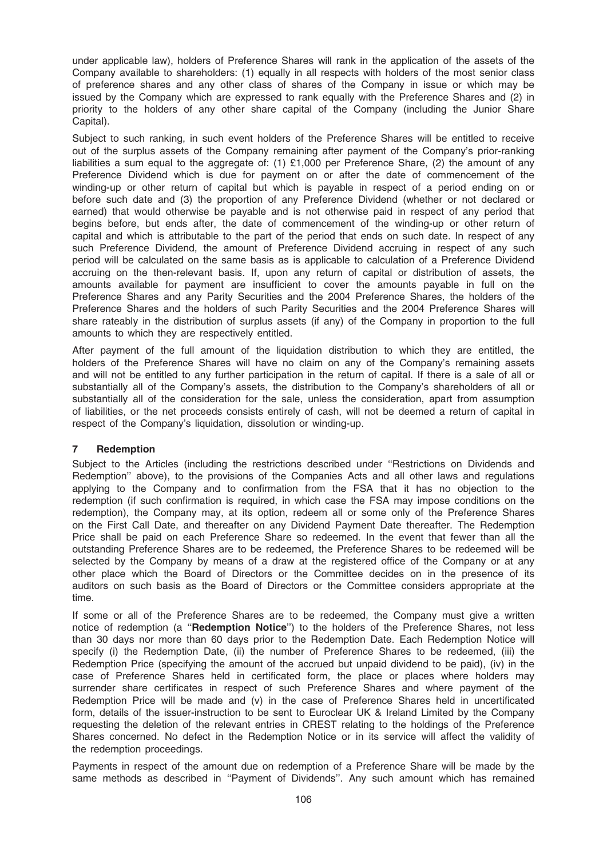under applicable law), holders of Preference Shares will rank in the application of the assets of the Company available to shareholders: (1) equally in all respects with holders of the most senior class of preference shares and any other class of shares of the Company in issue or which may be issued by the Company which are expressed to rank equally with the Preference Shares and (2) in priority to the holders of any other share capital of the Company (including the Junior Share Capital).

Subject to such ranking, in such event holders of the Preference Shares will be entitled to receive out of the surplus assets of the Company remaining after payment of the Company's prior-ranking liabilities a sum equal to the aggregate of: (1)  $£1,000$  per Preference Share, (2) the amount of any Preference Dividend which is due for payment on or after the date of commencement of the winding-up or other return of capital but which is payable in respect of a period ending on or before such date and (3) the proportion of any Preference Dividend (whether or not declared or earned) that would otherwise be payable and is not otherwise paid in respect of any period that begins before, but ends after, the date of commencement of the winding-up or other return of capital and which is attributable to the part of the period that ends on such date. In respect of any such Preference Dividend, the amount of Preference Dividend accruing in respect of any such period will be calculated on the same basis as is applicable to calculation of a Preference Dividend accruing on the then-relevant basis. If, upon any return of capital or distribution of assets, the amounts available for payment are insufficient to cover the amounts payable in full on the Preference Shares and any Parity Securities and the 2004 Preference Shares, the holders of the Preference Shares and the holders of such Parity Securities and the 2004 Preference Shares will share rateably in the distribution of surplus assets (if any) of the Company in proportion to the full amounts to which they are respectively entitled.

After payment of the full amount of the liquidation distribution to which they are entitled, the holders of the Preference Shares will have no claim on any of the Company's remaining assets and will not be entitled to any further participation in the return of capital. If there is a sale of all or substantially all of the Company's assets, the distribution to the Company's shareholders of all or substantially all of the consideration for the sale, unless the consideration, apart from assumption of liabilities, or the net proceeds consists entirely of cash, will not be deemed a return of capital in respect of the Company's liquidation, dissolution or winding-up.

#### 7 Redemption

Subject to the Articles (including the restrictions described under ''Restrictions on Dividends and Redemption'' above), to the provisions of the Companies Acts and all other laws and regulations applying to the Company and to confirmation from the FSA that it has no objection to the redemption (if such confirmation is required, in which case the FSA may impose conditions on the redemption), the Company may, at its option, redeem all or some only of the Preference Shares on the First Call Date, and thereafter on any Dividend Payment Date thereafter. The Redemption Price shall be paid on each Preference Share so redeemed. In the event that fewer than all the outstanding Preference Shares are to be redeemed, the Preference Shares to be redeemed will be selected by the Company by means of a draw at the registered office of the Company or at any other place which the Board of Directors or the Committee decides on in the presence of its auditors on such basis as the Board of Directors or the Committee considers appropriate at the time.

If some or all of the Preference Shares are to be redeemed, the Company must give a written notice of redemption (a "Redemption Notice") to the holders of the Preference Shares, not less than 30 days nor more than 60 days prior to the Redemption Date. Each Redemption Notice will specify (i) the Redemption Date, (ii) the number of Preference Shares to be redeemed, (iii) the Redemption Price (specifying the amount of the accrued but unpaid dividend to be paid), (iv) in the case of Preference Shares held in certificated form, the place or places where holders may surrender share certificates in respect of such Preference Shares and where payment of the Redemption Price will be made and (v) in the case of Preference Shares held in uncertificated form, details of the issuer-instruction to be sent to Euroclear UK & Ireland Limited by the Company requesting the deletion of the relevant entries in CREST relating to the holdings of the Preference Shares concerned. No defect in the Redemption Notice or in its service will affect the validity of the redemption proceedings.

Payments in respect of the amount due on redemption of a Preference Share will be made by the same methods as described in ''Payment of Dividends''. Any such amount which has remained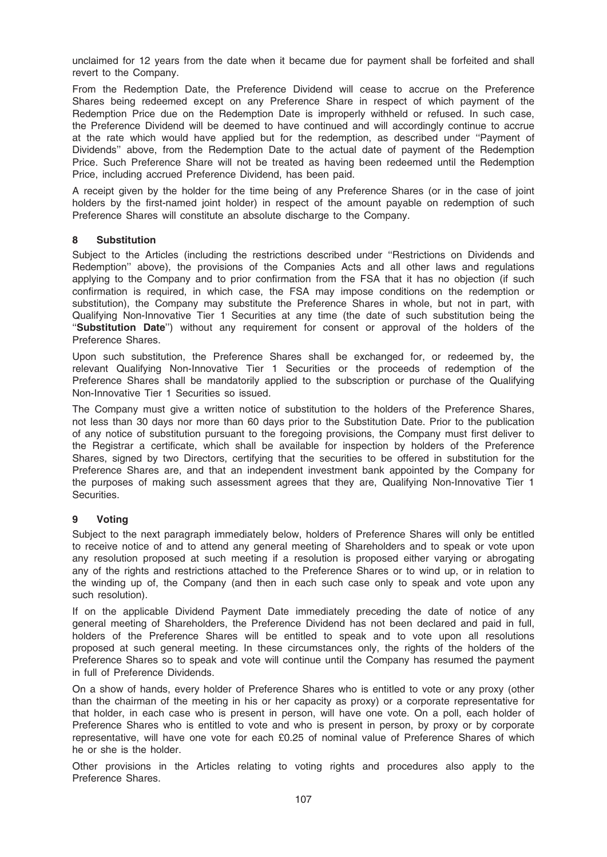unclaimed for 12 years from the date when it became due for payment shall be forfeited and shall revert to the Company.

From the Redemption Date, the Preference Dividend will cease to accrue on the Preference Shares being redeemed except on any Preference Share in respect of which payment of the Redemption Price due on the Redemption Date is improperly withheld or refused. In such case, the Preference Dividend will be deemed to have continued and will accordingly continue to accrue at the rate which would have applied but for the redemption, as described under ''Payment of Dividends'' above, from the Redemption Date to the actual date of payment of the Redemption Price. Such Preference Share will not be treated as having been redeemed until the Redemption Price, including accrued Preference Dividend, has been paid.

A receipt given by the holder for the time being of any Preference Shares (or in the case of joint holders by the first-named joint holder) in respect of the amount payable on redemption of such Preference Shares will constitute an absolute discharge to the Company.

### 8 Substitution

Subject to the Articles (including the restrictions described under ''Restrictions on Dividends and Redemption'' above), the provisions of the Companies Acts and all other laws and regulations applying to the Company and to prior confirmation from the FSA that it has no objection (if such confirmation is required, in which case, the FSA may impose conditions on the redemption or substitution), the Company may substitute the Preference Shares in whole, but not in part, with Qualifying Non-Innovative Tier 1 Securities at any time (the date of such substitution being the "Substitution Date") without any requirement for consent or approval of the holders of the Preference Shares.

Upon such substitution, the Preference Shares shall be exchanged for, or redeemed by, the relevant Qualifying Non-Innovative Tier 1 Securities or the proceeds of redemption of the Preference Shares shall be mandatorily applied to the subscription or purchase of the Qualifying Non-Innovative Tier 1 Securities so issued.

The Company must give a written notice of substitution to the holders of the Preference Shares, not less than 30 days nor more than 60 days prior to the Substitution Date. Prior to the publication of any notice of substitution pursuant to the foregoing provisions, the Company must first deliver to the Registrar a certificate, which shall be available for inspection by holders of the Preference Shares, signed by two Directors, certifying that the securities to be offered in substitution for the Preference Shares are, and that an independent investment bank appointed by the Company for the purposes of making such assessment agrees that they are, Qualifying Non-Innovative Tier 1 Securities.

## 9 Voting

Subject to the next paragraph immediately below, holders of Preference Shares will only be entitled to receive notice of and to attend any general meeting of Shareholders and to speak or vote upon any resolution proposed at such meeting if a resolution is proposed either varying or abrogating any of the rights and restrictions attached to the Preference Shares or to wind up, or in relation to the winding up of, the Company (and then in each such case only to speak and vote upon any such resolution).

If on the applicable Dividend Payment Date immediately preceding the date of notice of any general meeting of Shareholders, the Preference Dividend has not been declared and paid in full, holders of the Preference Shares will be entitled to speak and to vote upon all resolutions proposed at such general meeting. In these circumstances only, the rights of the holders of the Preference Shares so to speak and vote will continue until the Company has resumed the payment in full of Preference Dividends.

On a show of hands, every holder of Preference Shares who is entitled to vote or any proxy (other than the chairman of the meeting in his or her capacity as proxy) or a corporate representative for that holder, in each case who is present in person, will have one vote. On a poll, each holder of Preference Shares who is entitled to vote and who is present in person, by proxy or by corporate representative, will have one vote for each £0.25 of nominal value of Preference Shares of which he or she is the holder.

Other provisions in the Articles relating to voting rights and procedures also apply to the Preference Shares.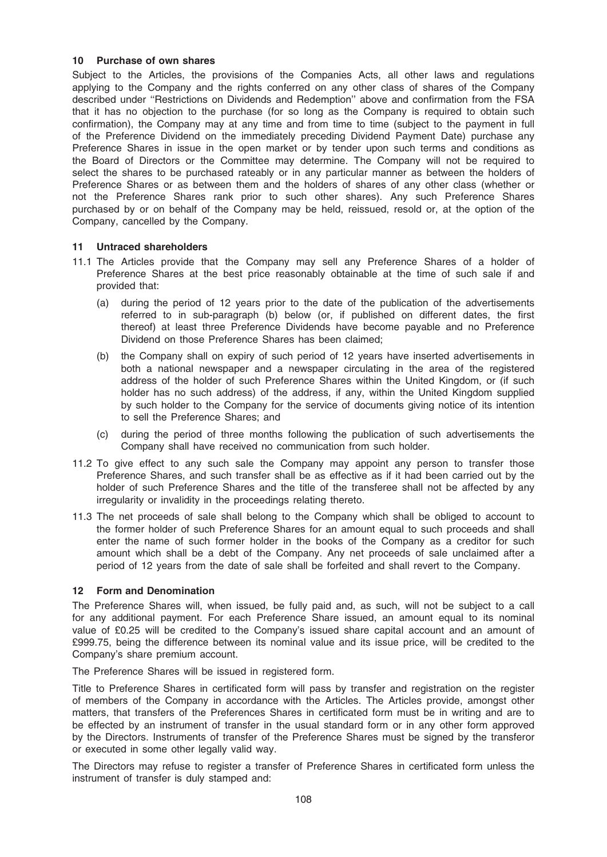### 10 Purchase of own shares

Subject to the Articles, the provisions of the Companies Acts, all other laws and regulations applying to the Company and the rights conferred on any other class of shares of the Company described under ''Restrictions on Dividends and Redemption'' above and confirmation from the FSA that it has no objection to the purchase (for so long as the Company is required to obtain such confirmation), the Company may at any time and from time to time (subject to the payment in full of the Preference Dividend on the immediately preceding Dividend Payment Date) purchase any Preference Shares in issue in the open market or by tender upon such terms and conditions as the Board of Directors or the Committee may determine. The Company will not be required to select the shares to be purchased rateably or in any particular manner as between the holders of Preference Shares or as between them and the holders of shares of any other class (whether or not the Preference Shares rank prior to such other shares). Any such Preference Shares purchased by or on behalf of the Company may be held, reissued, resold or, at the option of the Company, cancelled by the Company.

### 11 Untraced shareholders

- 11.1 The Articles provide that the Company may sell any Preference Shares of a holder of Preference Shares at the best price reasonably obtainable at the time of such sale if and provided that:
	- (a) during the period of 12 years prior to the date of the publication of the advertisements referred to in sub-paragraph (b) below (or, if published on different dates, the first thereof) at least three Preference Dividends have become payable and no Preference Dividend on those Preference Shares has been claimed;
	- (b) the Company shall on expiry of such period of 12 years have inserted advertisements in both a national newspaper and a newspaper circulating in the area of the registered address of the holder of such Preference Shares within the United Kingdom, or (if such holder has no such address) of the address, if any, within the United Kingdom supplied by such holder to the Company for the service of documents giving notice of its intention to sell the Preference Shares; and
	- (c) during the period of three months following the publication of such advertisements the Company shall have received no communication from such holder.
- 11.2 To give effect to any such sale the Company may appoint any person to transfer those Preference Shares, and such transfer shall be as effective as if it had been carried out by the holder of such Preference Shares and the title of the transferee shall not be affected by any irregularity or invalidity in the proceedings relating thereto.
- 11.3 The net proceeds of sale shall belong to the Company which shall be obliged to account to the former holder of such Preference Shares for an amount equal to such proceeds and shall enter the name of such former holder in the books of the Company as a creditor for such amount which shall be a debt of the Company. Any net proceeds of sale unclaimed after a period of 12 years from the date of sale shall be forfeited and shall revert to the Company.

#### 12 Form and Denomination

The Preference Shares will, when issued, be fully paid and, as such, will not be subject to a call for any additional payment. For each Preference Share issued, an amount equal to its nominal value of £0.25 will be credited to the Company's issued share capital account and an amount of £999.75, being the difference between its nominal value and its issue price, will be credited to the Company's share premium account.

The Preference Shares will be issued in registered form.

Title to Preference Shares in certificated form will pass by transfer and registration on the register of members of the Company in accordance with the Articles. The Articles provide, amongst other matters, that transfers of the Preferences Shares in certificated form must be in writing and are to be effected by an instrument of transfer in the usual standard form or in any other form approved by the Directors. Instruments of transfer of the Preference Shares must be signed by the transferor or executed in some other legally valid way.

The Directors may refuse to register a transfer of Preference Shares in certificated form unless the instrument of transfer is duly stamped and: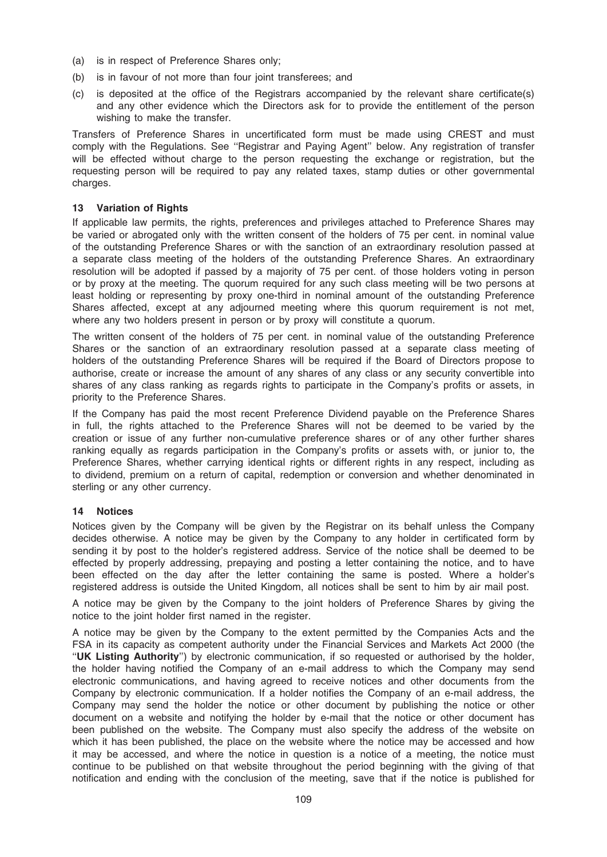- (a) is in respect of Preference Shares only;
- (b) is in favour of not more than four joint transferees; and
- (c) is deposited at the office of the Registrars accompanied by the relevant share certificate(s) and any other evidence which the Directors ask for to provide the entitlement of the person wishing to make the transfer.

Transfers of Preference Shares in uncertificated form must be made using CREST and must comply with the Regulations. See ''Registrar and Paying Agent'' below. Any registration of transfer will be effected without charge to the person requesting the exchange or registration, but the requesting person will be required to pay any related taxes, stamp duties or other governmental charges.

## 13 Variation of Rights

If applicable law permits, the rights, preferences and privileges attached to Preference Shares may be varied or abrogated only with the written consent of the holders of 75 per cent. in nominal value of the outstanding Preference Shares or with the sanction of an extraordinary resolution passed at a separate class meeting of the holders of the outstanding Preference Shares. An extraordinary resolution will be adopted if passed by a majority of 75 per cent. of those holders voting in person or by proxy at the meeting. The quorum required for any such class meeting will be two persons at least holding or representing by proxy one-third in nominal amount of the outstanding Preference Shares affected, except at any adjourned meeting where this quorum requirement is not met, where any two holders present in person or by proxy will constitute a quorum.

The written consent of the holders of 75 per cent. in nominal value of the outstanding Preference Shares or the sanction of an extraordinary resolution passed at a separate class meeting of holders of the outstanding Preference Shares will be required if the Board of Directors propose to authorise, create or increase the amount of any shares of any class or any security convertible into shares of any class ranking as regards rights to participate in the Company's profits or assets, in priority to the Preference Shares.

If the Company has paid the most recent Preference Dividend payable on the Preference Shares in full, the rights attached to the Preference Shares will not be deemed to be varied by the creation or issue of any further non-cumulative preference shares or of any other further shares ranking equally as regards participation in the Company's profits or assets with, or junior to, the Preference Shares, whether carrying identical rights or different rights in any respect, including as to dividend, premium on a return of capital, redemption or conversion and whether denominated in sterling or any other currency.

# 14 Notices

Notices given by the Company will be given by the Registrar on its behalf unless the Company decides otherwise. A notice may be given by the Company to any holder in certificated form by sending it by post to the holder's registered address. Service of the notice shall be deemed to be effected by properly addressing, prepaying and posting a letter containing the notice, and to have been effected on the day after the letter containing the same is posted. Where a holder's registered address is outside the United Kingdom, all notices shall be sent to him by air mail post.

A notice may be given by the Company to the joint holders of Preference Shares by giving the notice to the joint holder first named in the register.

A notice may be given by the Company to the extent permitted by the Companies Acts and the FSA in its capacity as competent authority under the Financial Services and Markets Act 2000 (the "UK Listing Authority") by electronic communication, if so requested or authorised by the holder, the holder having notified the Company of an e-mail address to which the Company may send electronic communications, and having agreed to receive notices and other documents from the Company by electronic communication. If a holder notifies the Company of an e-mail address, the Company may send the holder the notice or other document by publishing the notice or other document on a website and notifying the holder by e-mail that the notice or other document has been published on the website. The Company must also specify the address of the website on which it has been published, the place on the website where the notice may be accessed and how it may be accessed, and where the notice in question is a notice of a meeting, the notice must continue to be published on that website throughout the period beginning with the giving of that notification and ending with the conclusion of the meeting, save that if the notice is published for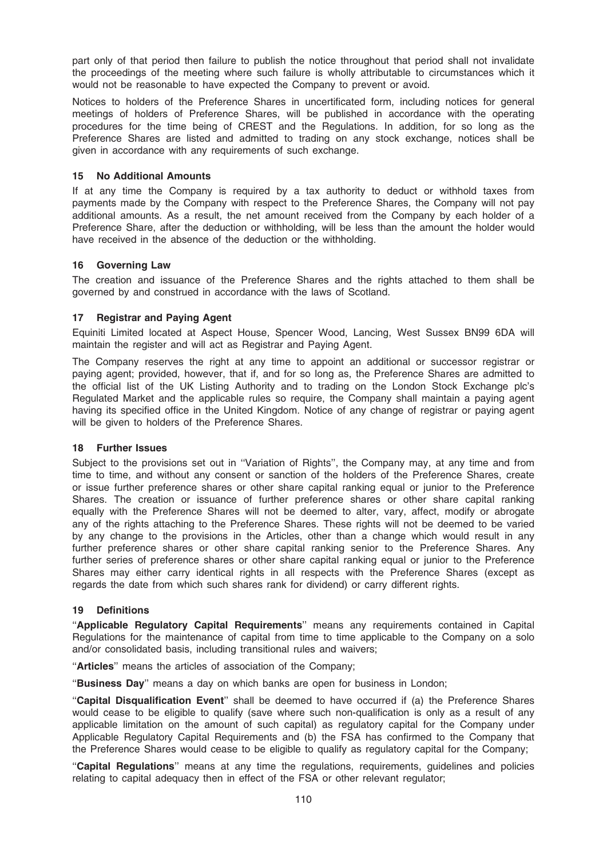part only of that period then failure to publish the notice throughout that period shall not invalidate the proceedings of the meeting where such failure is wholly attributable to circumstances which it would not be reasonable to have expected the Company to prevent or avoid.

Notices to holders of the Preference Shares in uncertificated form, including notices for general meetings of holders of Preference Shares, will be published in accordance with the operating procedures for the time being of CREST and the Regulations. In addition, for so long as the Preference Shares are listed and admitted to trading on any stock exchange, notices shall be given in accordance with any requirements of such exchange.

## 15 No Additional Amounts

If at any time the Company is required by a tax authority to deduct or withhold taxes from payments made by the Company with respect to the Preference Shares, the Company will not pay additional amounts. As a result, the net amount received from the Company by each holder of a Preference Share, after the deduction or withholding, will be less than the amount the holder would have received in the absence of the deduction or the withholding.

## 16 Governing Law

The creation and issuance of the Preference Shares and the rights attached to them shall be governed by and construed in accordance with the laws of Scotland.

## 17 Registrar and Paying Agent

Equiniti Limited located at Aspect House, Spencer Wood, Lancing, West Sussex BN99 6DA will maintain the register and will act as Registrar and Paying Agent.

The Company reserves the right at any time to appoint an additional or successor registrar or paying agent; provided, however, that if, and for so long as, the Preference Shares are admitted to the official list of the UK Listing Authority and to trading on the London Stock Exchange plc's Regulated Market and the applicable rules so require, the Company shall maintain a paying agent having its specified office in the United Kingdom. Notice of any change of registrar or paying agent will be given to holders of the Preference Shares.

### 18 Further Issues

Subject to the provisions set out in ''Variation of Rights'', the Company may, at any time and from time to time, and without any consent or sanction of the holders of the Preference Shares, create or issue further preference shares or other share capital ranking equal or junior to the Preference Shares. The creation or issuance of further preference shares or other share capital ranking equally with the Preference Shares will not be deemed to alter, vary, affect, modify or abrogate any of the rights attaching to the Preference Shares. These rights will not be deemed to be varied by any change to the provisions in the Articles, other than a change which would result in any further preference shares or other share capital ranking senior to the Preference Shares. Any further series of preference shares or other share capital ranking equal or junior to the Preference Shares may either carry identical rights in all respects with the Preference Shares (except as regards the date from which such shares rank for dividend) or carry different rights.

### 19 Definitions

''Applicable Regulatory Capital Requirements'' means any requirements contained in Capital Regulations for the maintenance of capital from time to time applicable to the Company on a solo and/or consolidated basis, including transitional rules and waivers;

"Articles" means the articles of association of the Company;

"Business Day" means a day on which banks are open for business in London;

''Capital Disqualification Event'' shall be deemed to have occurred if (a) the Preference Shares would cease to be eligible to qualify (save where such non-qualification is only as a result of any applicable limitation on the amount of such capital) as regulatory capital for the Company under Applicable Regulatory Capital Requirements and (b) the FSA has confirmed to the Company that the Preference Shares would cease to be eligible to qualify as regulatory capital for the Company;

''Capital Regulations'' means at any time the regulations, requirements, guidelines and policies relating to capital adequacy then in effect of the FSA or other relevant regulator;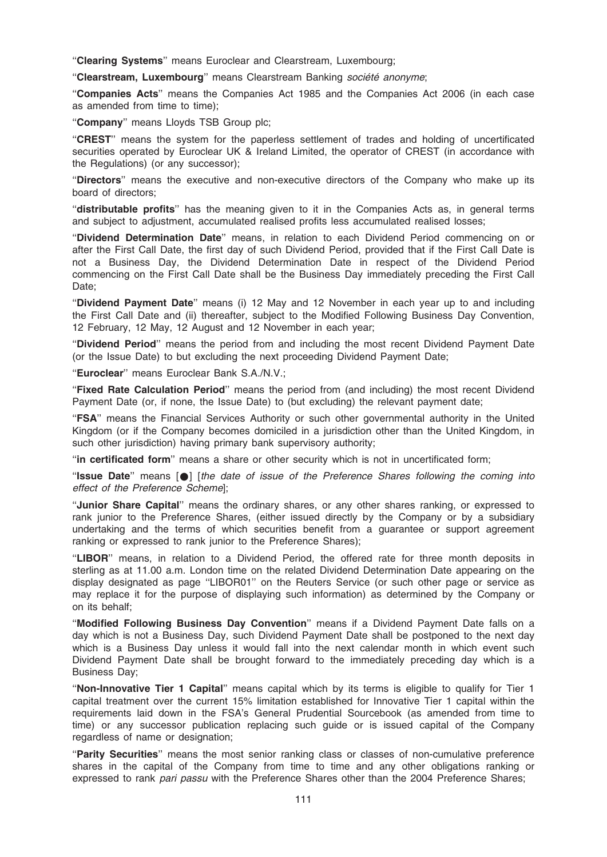"Clearing Systems" means Euroclear and Clearstream, Luxembourg;

"Clearstream, Luxembourg" means Clearstream Banking société anonyme;

''Companies Acts'' means the Companies Act 1985 and the Companies Act 2006 (in each case as amended from time to time);

"Company" means Lloyds TSB Group plc:

"CREST" means the system for the paperless settlement of trades and holding of uncertificated securities operated by Euroclear UK & Ireland Limited, the operator of CREST (in accordance with the Regulations) (or any successor);

''Directors'' means the executive and non-executive directors of the Company who make up its board of directors;

''distributable profits'' has the meaning given to it in the Companies Acts as, in general terms and subject to adjustment, accumulated realised profits less accumulated realised losses;

''Dividend Determination Date'' means, in relation to each Dividend Period commencing on or after the First Call Date, the first day of such Dividend Period, provided that if the First Call Date is not a Business Day, the Dividend Determination Date in respect of the Dividend Period commencing on the First Call Date shall be the Business Day immediately preceding the First Call Date;

''Dividend Payment Date'' means (i) 12 May and 12 November in each year up to and including the First Call Date and (ii) thereafter, subject to the Modified Following Business Day Convention, 12 February, 12 May, 12 August and 12 November in each year;

''Dividend Period'' means the period from and including the most recent Dividend Payment Date (or the Issue Date) to but excluding the next proceeding Dividend Payment Date;

"Euroclear" means Euroclear Bank S.A./N.V.;

"Fixed Rate Calculation Period" means the period from (and including) the most recent Dividend Payment Date (or, if none, the Issue Date) to (but excluding) the relevant payment date;

''FSA'' means the Financial Services Authority or such other governmental authority in the United Kingdom (or if the Company becomes domiciled in a jurisdiction other than the United Kingdom, in such other jurisdiction) having primary bank supervisory authority;

''in certificated form'' means a share or other security which is not in uncertificated form;

"Issue Date" means  $\lceil \bullet \rceil$  [the date of issue of the Preference Shares following the coming into effect of the Preference Scheme];

"Junior Share Capital" means the ordinary shares, or any other shares ranking, or expressed to rank junior to the Preference Shares, (either issued directly by the Company or by a subsidiary undertaking and the terms of which securities benefit from a guarantee or support agreement ranking or expressed to rank junior to the Preference Shares);

"LIBOR" means, in relation to a Dividend Period, the offered rate for three month deposits in sterling as at 11.00 a.m. London time on the related Dividend Determination Date appearing on the display designated as page ''LIBOR01'' on the Reuters Service (or such other page or service as may replace it for the purpose of displaying such information) as determined by the Company or on its behalf;

''Modified Following Business Day Convention'' means if a Dividend Payment Date falls on a day which is not a Business Day, such Dividend Payment Date shall be postponed to the next day which is a Business Day unless it would fall into the next calendar month in which event such Dividend Payment Date shall be brought forward to the immediately preceding day which is a Business Day;

''Non-Innovative Tier 1 Capital'' means capital which by its terms is eligible to qualify for Tier 1 capital treatment over the current 15% limitation established for Innovative Tier 1 capital within the requirements laid down in the FSA's General Prudential Sourcebook (as amended from time to time) or any successor publication replacing such guide or is issued capital of the Company regardless of name or designation;

''Parity Securities'' means the most senior ranking class or classes of non-cumulative preference shares in the capital of the Company from time to time and any other obligations ranking or expressed to rank pari passu with the Preference Shares other than the 2004 Preference Shares;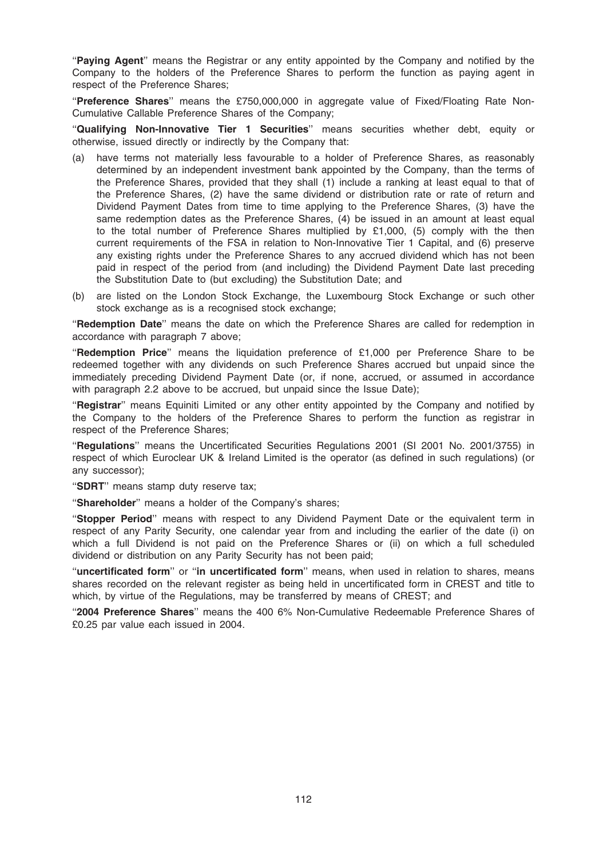"Paying Agent" means the Registrar or any entity appointed by the Company and notified by the Company to the holders of the Preference Shares to perform the function as paying agent in respect of the Preference Shares;

"Preference Shares" means the £750,000,000 in aggregate value of Fixed/Floating Rate Non-Cumulative Callable Preference Shares of the Company;

''Qualifying Non-Innovative Tier 1 Securities'' means securities whether debt, equity or otherwise, issued directly or indirectly by the Company that:

- (a) have terms not materially less favourable to a holder of Preference Shares, as reasonably determined by an independent investment bank appointed by the Company, than the terms of the Preference Shares, provided that they shall (1) include a ranking at least equal to that of the Preference Shares, (2) have the same dividend or distribution rate or rate of return and Dividend Payment Dates from time to time applying to the Preference Shares, (3) have the same redemption dates as the Preference Shares, (4) be issued in an amount at least equal to the total number of Preference Shares multiplied by £1,000, (5) comply with the then current requirements of the FSA in relation to Non-Innovative Tier 1 Capital, and (6) preserve any existing rights under the Preference Shares to any accrued dividend which has not been paid in respect of the period from (and including) the Dividend Payment Date last preceding the Substitution Date to (but excluding) the Substitution Date; and
- (b) are listed on the London Stock Exchange, the Luxembourg Stock Exchange or such other stock exchange as is a recognised stock exchange;

"Redemption Date" means the date on which the Preference Shares are called for redemption in accordance with paragraph 7 above;

"Redemption Price" means the liquidation preference of £1,000 per Preference Share to be redeemed together with any dividends on such Preference Shares accrued but unpaid since the immediately preceding Dividend Payment Date (or, if none, accrued, or assumed in accordance with paragraph 2.2 above to be accrued, but unpaid since the Issue Date);

"Registrar" means Equiniti Limited or any other entity appointed by the Company and notified by the Company to the holders of the Preference Shares to perform the function as registrar in respect of the Preference Shares;

''Regulations'' means the Uncertificated Securities Regulations 2001 (SI 2001 No. 2001/3755) in respect of which Euroclear UK & Ireland Limited is the operator (as defined in such regulations) (or any successor);

"SDRT" means stamp duty reserve tax;

"Shareholder" means a holder of the Company's shares:

''Stopper Period'' means with respect to any Dividend Payment Date or the equivalent term in respect of any Parity Security, one calendar year from and including the earlier of the date (i) on which a full Dividend is not paid on the Preference Shares or (ii) on which a full scheduled dividend or distribution on any Parity Security has not been paid;

''uncertificated form'' or ''in uncertificated form'' means, when used in relation to shares, means shares recorded on the relevant register as being held in uncertificated form in CREST and title to which, by virtue of the Regulations, may be transferred by means of CREST; and

''2004 Preference Shares'' means the 400 6% Non-Cumulative Redeemable Preference Shares of £0.25 par value each issued in 2004.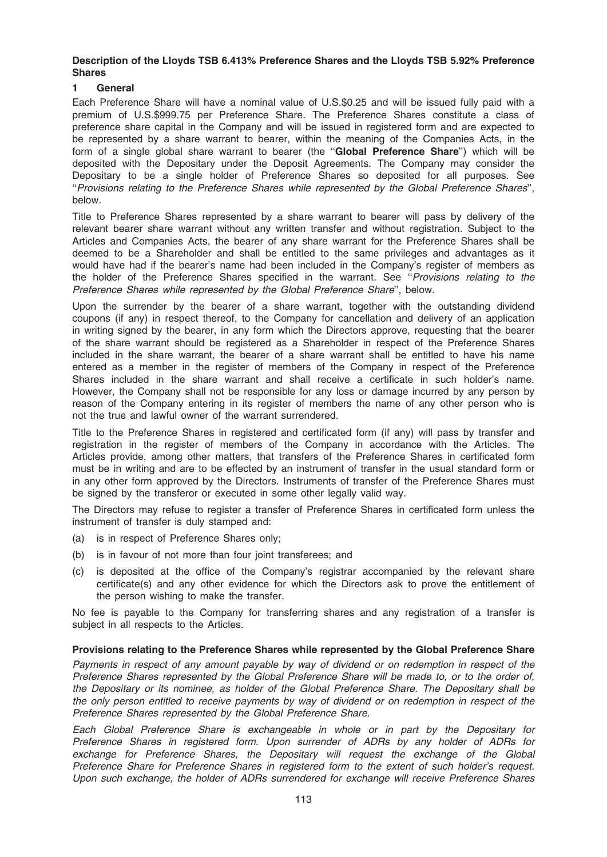## Description of the Lloyds TSB 6.413% Preference Shares and the Lloyds TSB 5.92% Preference Shares

## 1 General

Each Preference Share will have a nominal value of U.S.\$0.25 and will be issued fully paid with a premium of U.S.\$999.75 per Preference Share. The Preference Shares constitute a class of preference share capital in the Company and will be issued in registered form and are expected to be represented by a share warrant to bearer, within the meaning of the Companies Acts, in the form of a single global share warrant to bearer (the "Global Preference Share") which will be deposited with the Depositary under the Deposit Agreements. The Company may consider the Depositary to be a single holder of Preference Shares so deposited for all purposes. See ''Provisions relating to the Preference Shares while represented by the Global Preference Shares'', below.

Title to Preference Shares represented by a share warrant to bearer will pass by delivery of the relevant bearer share warrant without any written transfer and without registration. Subject to the Articles and Companies Acts, the bearer of any share warrant for the Preference Shares shall be deemed to be a Shareholder and shall be entitled to the same privileges and advantages as it would have had if the bearer's name had been included in the Company's register of members as the holder of the Preference Shares specified in the warrant. See "Provisions relating to the Preference Shares while represented by the Global Preference Share'', below.

Upon the surrender by the bearer of a share warrant, together with the outstanding dividend coupons (if any) in respect thereof, to the Company for cancellation and delivery of an application in writing signed by the bearer, in any form which the Directors approve, requesting that the bearer of the share warrant should be registered as a Shareholder in respect of the Preference Shares included in the share warrant, the bearer of a share warrant shall be entitled to have his name entered as a member in the register of members of the Company in respect of the Preference Shares included in the share warrant and shall receive a certificate in such holder's name. However, the Company shall not be responsible for any loss or damage incurred by any person by reason of the Company entering in its register of members the name of any other person who is not the true and lawful owner of the warrant surrendered.

Title to the Preference Shares in registered and certificated form (if any) will pass by transfer and registration in the register of members of the Company in accordance with the Articles. The Articles provide, among other matters, that transfers of the Preference Shares in certificated form must be in writing and are to be effected by an instrument of transfer in the usual standard form or in any other form approved by the Directors. Instruments of transfer of the Preference Shares must be signed by the transferor or executed in some other legally valid way.

The Directors may refuse to register a transfer of Preference Shares in certificated form unless the instrument of transfer is duly stamped and:

- (a) is in respect of Preference Shares only;
- (b) is in favour of not more than four joint transferees; and
- (c) is deposited at the office of the Company's registrar accompanied by the relevant share certificate(s) and any other evidence for which the Directors ask to prove the entitlement of the person wishing to make the transfer.

No fee is payable to the Company for transferring shares and any registration of a transfer is subject in all respects to the Articles.

### Provisions relating to the Preference Shares while represented by the Global Preference Share

Payments in respect of any amount payable by way of dividend or on redemption in respect of the Preference Shares represented by the Global Preference Share will be made to, or to the order of, the Depositary or its nominee, as holder of the Global Preference Share. The Depositary shall be the only person entitled to receive payments by way of dividend or on redemption in respect of the Preference Shares represented by the Global Preference Share.

Each Global Preference Share is exchangeable in whole or in part by the Depositary for Preference Shares in registered form. Upon surrender of ADRs by any holder of ADRs for exchange for Preference Shares, the Depositary will request the exchange of the Global Preference Share for Preference Shares in registered form to the extent of such holder's request. Upon such exchange, the holder of ADRs surrendered for exchange will receive Preference Shares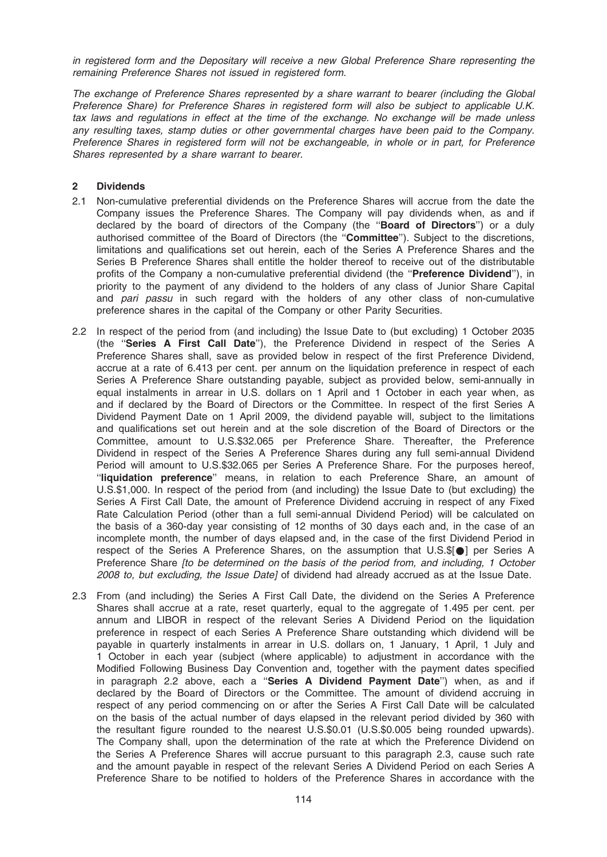in registered form and the Depositary will receive a new Global Preference Share representing the remaining Preference Shares not issued in registered form.

The exchange of Preference Shares represented by a share warrant to bearer (including the Global Preference Share) for Preference Shares in registered form will also be subject to applicable U.K. tax laws and regulations in effect at the time of the exchange. No exchange will be made unless any resulting taxes, stamp duties or other governmental charges have been paid to the Company. Preference Shares in registered form will not be exchangeable, in whole or in part, for Preference Shares represented by a share warrant to bearer.

### 2 Dividends

- 2.1 Non-cumulative preferential dividends on the Preference Shares will accrue from the date the Company issues the Preference Shares. The Company will pay dividends when, as and if declared by the board of directors of the Company (the "**Board of Directors**") or a duly authorised committee of the Board of Directors (the ''Committee''). Subject to the discretions, limitations and qualifications set out herein, each of the Series A Preference Shares and the Series B Preference Shares shall entitle the holder thereof to receive out of the distributable profits of the Company a non-cumulative preferential dividend (the "Preference Dividend"), in priority to the payment of any dividend to the holders of any class of Junior Share Capital and pari passu in such regard with the holders of any other class of non-cumulative preference shares in the capital of the Company or other Parity Securities.
- 2.2 In respect of the period from (and including) the Issue Date to (but excluding) 1 October 2035 (the ''Series A First Call Date''), the Preference Dividend in respect of the Series A Preference Shares shall, save as provided below in respect of the first Preference Dividend, accrue at a rate of 6.413 per cent. per annum on the liquidation preference in respect of each Series A Preference Share outstanding payable, subject as provided below, semi-annually in equal instalments in arrear in U.S. dollars on 1 April and 1 October in each year when, as and if declared by the Board of Directors or the Committee. In respect of the first Series A Dividend Payment Date on 1 April 2009, the dividend payable will, subject to the limitations and qualifications set out herein and at the sole discretion of the Board of Directors or the Committee, amount to U.S.\$32.065 per Preference Share. Thereafter, the Preference Dividend in respect of the Series A Preference Shares during any full semi-annual Dividend Period will amount to U.S.\$32.065 per Series A Preference Share. For the purposes hereof, ''liquidation preference'' means, in relation to each Preference Share, an amount of U.S.\$1,000. In respect of the period from (and including) the Issue Date to (but excluding) the Series A First Call Date, the amount of Preference Dividend accruing in respect of any Fixed Rate Calculation Period (other than a full semi-annual Dividend Period) will be calculated on the basis of a 360-day year consisting of 12 months of 30 days each and, in the case of an incomplete month, the number of days elapsed and, in the case of the first Dividend Period in respect of the Series A Preference Shares, on the assumption that U.S.\$[<sup>0</sup>] per Series A Preference Share *[to be determined on the basis of the period from, and including, 1 October* 2008 to, but excluding, the Issue Date] of dividend had already accrued as at the Issue Date.
- 2.3 From (and including) the Series A First Call Date, the dividend on the Series A Preference Shares shall accrue at a rate, reset quarterly, equal to the aggregate of 1.495 per cent. per annum and LIBOR in respect of the relevant Series A Dividend Period on the liquidation preference in respect of each Series A Preference Share outstanding which dividend will be payable in quarterly instalments in arrear in U.S. dollars on, 1 January, 1 April, 1 July and 1 October in each year (subject (where applicable) to adjustment in accordance with the Modified Following Business Day Convention and, together with the payment dates specified in paragraph 2.2 above, each a "Series A Dividend Payment Date") when, as and if declared by the Board of Directors or the Committee. The amount of dividend accruing in respect of any period commencing on or after the Series A First Call Date will be calculated on the basis of the actual number of days elapsed in the relevant period divided by 360 with the resultant figure rounded to the nearest U.S.\$0.01 (U.S.\$0.005 being rounded upwards). The Company shall, upon the determination of the rate at which the Preference Dividend on the Series A Preference Shares will accrue pursuant to this paragraph 2.3, cause such rate and the amount payable in respect of the relevant Series A Dividend Period on each Series A Preference Share to be notified to holders of the Preference Shares in accordance with the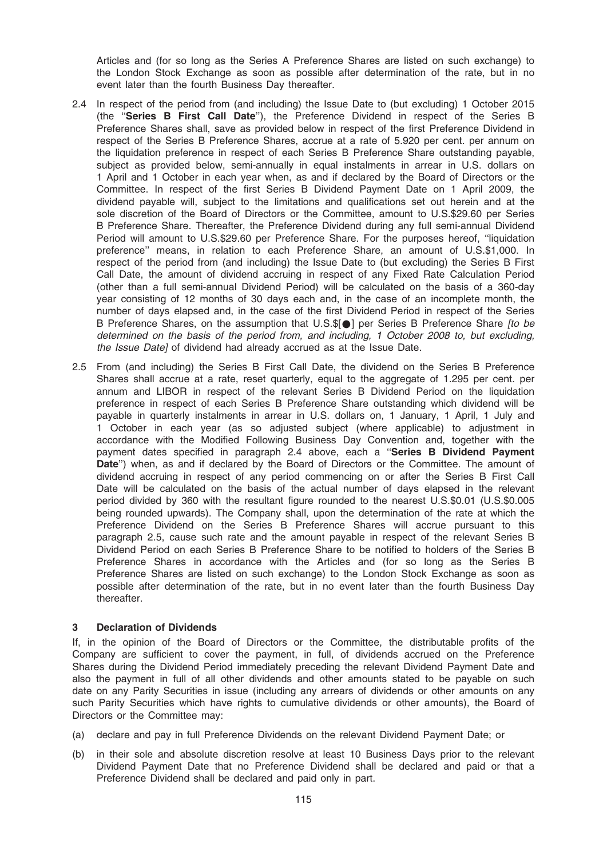Articles and (for so long as the Series A Preference Shares are listed on such exchange) to the London Stock Exchange as soon as possible after determination of the rate, but in no event later than the fourth Business Day thereafter.

- 2.4 In respect of the period from (and including) the Issue Date to (but excluding) 1 October 2015 (the ''Series B First Call Date''), the Preference Dividend in respect of the Series B Preference Shares shall, save as provided below in respect of the first Preference Dividend in respect of the Series B Preference Shares, accrue at a rate of 5.920 per cent. per annum on the liquidation preference in respect of each Series B Preference Share outstanding payable, subject as provided below, semi-annually in equal instalments in arrear in U.S. dollars on 1 April and 1 October in each year when, as and if declared by the Board of Directors or the Committee. In respect of the first Series B Dividend Payment Date on 1 April 2009, the dividend payable will, subject to the limitations and qualifications set out herein and at the sole discretion of the Board of Directors or the Committee, amount to U.S.\$29.60 per Series B Preference Share. Thereafter, the Preference Dividend during any full semi-annual Dividend Period will amount to U.S.\$29.60 per Preference Share. For the purposes hereof, ''liquidation preference'' means, in relation to each Preference Share, an amount of U.S.\$1,000. In respect of the period from (and including) the Issue Date to (but excluding) the Series B First Call Date, the amount of dividend accruing in respect of any Fixed Rate Calculation Period (other than a full semi-annual Dividend Period) will be calculated on the basis of a 360-day year consisting of 12 months of 30 days each and, in the case of an incomplete month, the number of days elapsed and, in the case of the first Dividend Period in respect of the Series B Preference Shares, on the assumption that U.S. $\mathcal{S}[\bullet]$  per Series B Preference Share [to be determined on the basis of the period from, and including, 1 October 2008 to, but excluding, the Issue Date] of dividend had already accrued as at the Issue Date.
- 2.5 From (and including) the Series B First Call Date, the dividend on the Series B Preference Shares shall accrue at a rate, reset quarterly, equal to the aggregate of 1.295 per cent. per annum and LIBOR in respect of the relevant Series B Dividend Period on the liquidation preference in respect of each Series B Preference Share outstanding which dividend will be payable in quarterly instalments in arrear in U.S. dollars on, 1 January, 1 April, 1 July and 1 October in each year (as so adjusted subject (where applicable) to adjustment in accordance with the Modified Following Business Day Convention and, together with the payment dates specified in paragraph 2.4 above, each a ''Series B Dividend Payment Date") when, as and if declared by the Board of Directors or the Committee. The amount of dividend accruing in respect of any period commencing on or after the Series B First Call Date will be calculated on the basis of the actual number of days elapsed in the relevant period divided by 360 with the resultant figure rounded to the nearest U.S.\$0.01 (U.S.\$0.005 being rounded upwards). The Company shall, upon the determination of the rate at which the Preference Dividend on the Series B Preference Shares will accrue pursuant to this paragraph 2.5, cause such rate and the amount payable in respect of the relevant Series B Dividend Period on each Series B Preference Share to be notified to holders of the Series B Preference Shares in accordance with the Articles and (for so long as the Series B Preference Shares are listed on such exchange) to the London Stock Exchange as soon as possible after determination of the rate, but in no event later than the fourth Business Day thereafter.

# 3 Declaration of Dividends

If, in the opinion of the Board of Directors or the Committee, the distributable profits of the Company are sufficient to cover the payment, in full, of dividends accrued on the Preference Shares during the Dividend Period immediately preceding the relevant Dividend Payment Date and also the payment in full of all other dividends and other amounts stated to be payable on such date on any Parity Securities in issue (including any arrears of dividends or other amounts on any such Parity Securities which have rights to cumulative dividends or other amounts), the Board of Directors or the Committee may:

- (a) declare and pay in full Preference Dividends on the relevant Dividend Payment Date; or
- (b) in their sole and absolute discretion resolve at least 10 Business Days prior to the relevant Dividend Payment Date that no Preference Dividend shall be declared and paid or that a Preference Dividend shall be declared and paid only in part.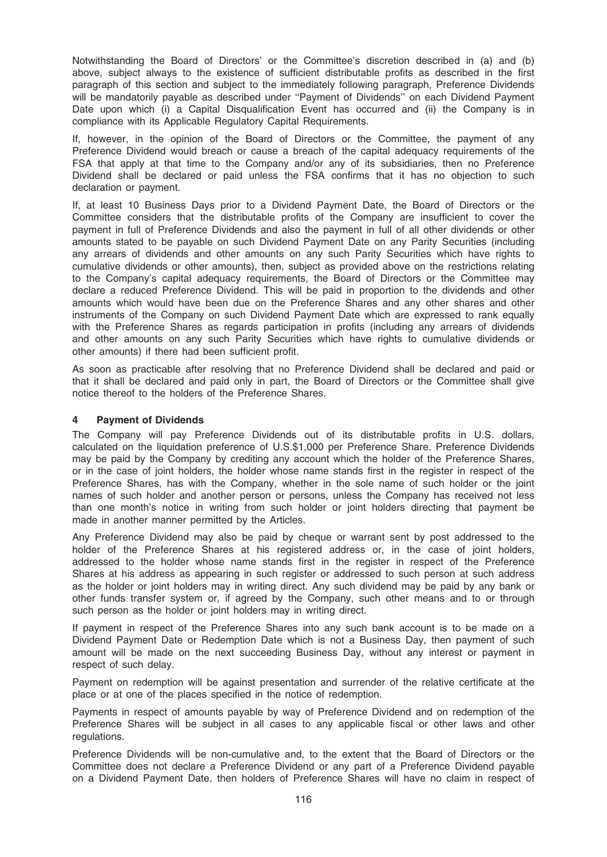Notwithstanding the Board of Directors' or the Committee's discretion described in (a) and (b) above, subject always to the existence of sufficient distributable profits as described in the first paragraph of this section and subject to the immediately following paragraph, Preference Dividends will be mandatorily payable as described under "Payment of Dividends" on each Dividend Payment Date upon which (i) a Capital Disqualification Event has occurred and (ii) the Company is in compliance with its Applicable Regulatory Capital Requirements.

If, however, in the opinion of the Board of Directors or the Committee, the payment of any Preference Dividend would breach or cause a breach of the capital adequacy requirements of the FSA that apply at that time to the Company and/or any of its subsidiaries, then no Preference Dividend shall be declared or paid unless the FSA confirms that it has no objection to such declaration or payment.

If, at least 10 Business Days prior to a Dividend Payment Date, the Board of Directors or the Committee considers that the distributable profits of the Company are insufficient to cover the payment in full of Preference Dividends and also the payment in full of all other dividends or other amounts stated to be payable on such Dividend Payment Date on any Parity Securities (including any arrears of dividends and other amounts on any such Parity Securities which have rights to cumulative dividends or other amounts), then, subject as provided above on the restrictions relating to the Company's capital adequacy requirements, the Board of Directors or the Committee may declare a reduced Preference Dividend. This will be paid in proportion to the dividends and other amounts which would have been due on the Preference Shares and any other shares and other instruments of the Company on such Dividend Payment Date which are expressed to rank equally with the Preference Shares as regards participation in profits (including any arrears of dividends and other amounts on any such Parity Securities which have rights to cumulative dividends or other amounts) if there had been sufficient profit.

As soon as practicable after resolving that no Preference Dividend shall be declared and paid or that it shall be declared and paid only in part, the Board of Directors or the Committee shall give notice thereof to the holders of the Preference Shares.

# 4 Payment of Dividends

The Company will pay Preference Dividends out of its distributable profits in U.S. dollars, calculated on the liquidation preference of U.S.\$1,000 per Preference Share. Preference Dividends may be paid by the Company by crediting any account which the holder of the Preference Shares, or in the case of joint holders, the holder whose name stands first in the register in respect of the Preference Shares, has with the Company, whether in the sole name of such holder or the joint names of such holder and another person or persons, unless the Company has received not less than one month's notice in writing from such holder or joint holders directing that payment be made in another manner permitted by the Articles.

Any Preference Dividend may also be paid by cheque or warrant sent by post addressed to the holder of the Preference Shares at his registered address or, in the case of joint holders, addressed to the holder whose name stands first in the register in respect of the Preference Shares at his address as appearing in such register or addressed to such person at such address as the holder or joint holders may in writing direct. Any such dividend may be paid by any bank or other funds transfer system or, if agreed by the Company, such other means and to or through such person as the holder or joint holders may in writing direct.

If payment in respect of the Preference Shares into any such bank account is to be made on a Dividend Payment Date or Redemption Date which is not a Business Day, then payment of such amount will be made on the next succeeding Business Day, without any interest or payment in respect of such delay.

Payment on redemption will be against presentation and surrender of the relative certificate at the place or at one of the places specified in the notice of redemption.

Payments in respect of amounts payable by way of Preference Dividend and on redemption of the Preference Shares will be subject in all cases to any applicable fiscal or other laws and other regulations.

Preference Dividends will be non-cumulative and, to the extent that the Board of Directors or the Committee does not declare a Preference Dividend or any part of a Preference Dividend payable on a Dividend Payment Date, then holders of Preference Shares will have no claim in respect of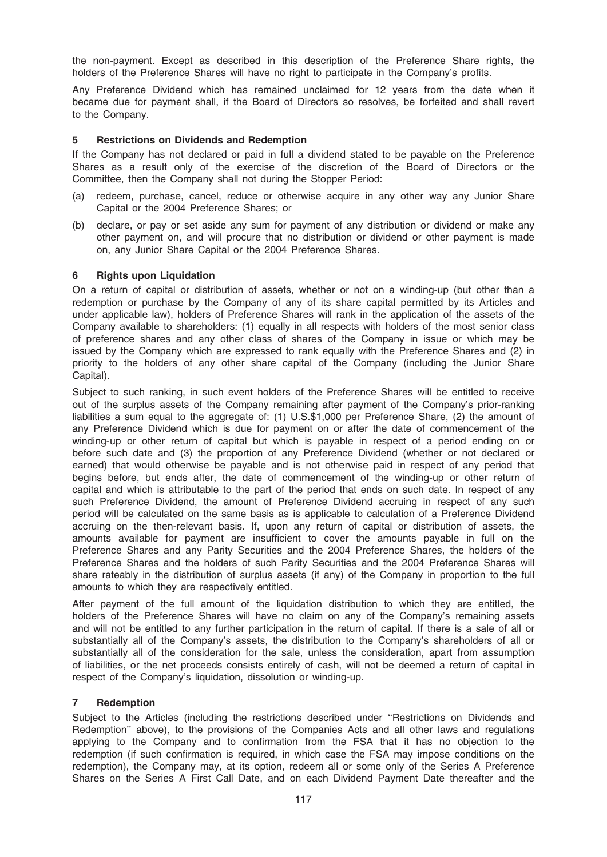the non-payment. Except as described in this description of the Preference Share rights, the holders of the Preference Shares will have no right to participate in the Company's profits.

Any Preference Dividend which has remained unclaimed for 12 years from the date when it became due for payment shall, if the Board of Directors so resolves, be forfeited and shall revert to the Company.

## 5 Restrictions on Dividends and Redemption

If the Company has not declared or paid in full a dividend stated to be payable on the Preference Shares as a result only of the exercise of the discretion of the Board of Directors or the Committee, then the Company shall not during the Stopper Period:

- (a) redeem, purchase, cancel, reduce or otherwise acquire in any other way any Junior Share Capital or the 2004 Preference Shares; or
- (b) declare, or pay or set aside any sum for payment of any distribution or dividend or make any other payment on, and will procure that no distribution or dividend or other payment is made on, any Junior Share Capital or the 2004 Preference Shares.

## 6 Rights upon Liquidation

On a return of capital or distribution of assets, whether or not on a winding-up (but other than a redemption or purchase by the Company of any of its share capital permitted by its Articles and under applicable law), holders of Preference Shares will rank in the application of the assets of the Company available to shareholders: (1) equally in all respects with holders of the most senior class of preference shares and any other class of shares of the Company in issue or which may be issued by the Company which are expressed to rank equally with the Preference Shares and (2) in priority to the holders of any other share capital of the Company (including the Junior Share Capital).

Subject to such ranking, in such event holders of the Preference Shares will be entitled to receive out of the surplus assets of the Company remaining after payment of the Company's prior-ranking liabilities a sum equal to the aggregate of: (1) U.S.\$1,000 per Preference Share, (2) the amount of any Preference Dividend which is due for payment on or after the date of commencement of the winding-up or other return of capital but which is payable in respect of a period ending on or before such date and (3) the proportion of any Preference Dividend (whether or not declared or earned) that would otherwise be payable and is not otherwise paid in respect of any period that begins before, but ends after, the date of commencement of the winding-up or other return of capital and which is attributable to the part of the period that ends on such date. In respect of any such Preference Dividend, the amount of Preference Dividend accruing in respect of any such period will be calculated on the same basis as is applicable to calculation of a Preference Dividend accruing on the then-relevant basis. If, upon any return of capital or distribution of assets, the amounts available for payment are insufficient to cover the amounts payable in full on the Preference Shares and any Parity Securities and the 2004 Preference Shares, the holders of the Preference Shares and the holders of such Parity Securities and the 2004 Preference Shares will share rateably in the distribution of surplus assets (if any) of the Company in proportion to the full amounts to which they are respectively entitled.

After payment of the full amount of the liquidation distribution to which they are entitled, the holders of the Preference Shares will have no claim on any of the Company's remaining assets and will not be entitled to any further participation in the return of capital. If there is a sale of all or substantially all of the Company's assets, the distribution to the Company's shareholders of all or substantially all of the consideration for the sale, unless the consideration, apart from assumption of liabilities, or the net proceeds consists entirely of cash, will not be deemed a return of capital in respect of the Company's liquidation, dissolution or winding-up.

### 7 Redemption

Subject to the Articles (including the restrictions described under ''Restrictions on Dividends and Redemption'' above), to the provisions of the Companies Acts and all other laws and regulations applying to the Company and to confirmation from the FSA that it has no objection to the redemption (if such confirmation is required, in which case the FSA may impose conditions on the redemption), the Company may, at its option, redeem all or some only of the Series A Preference Shares on the Series A First Call Date, and on each Dividend Payment Date thereafter and the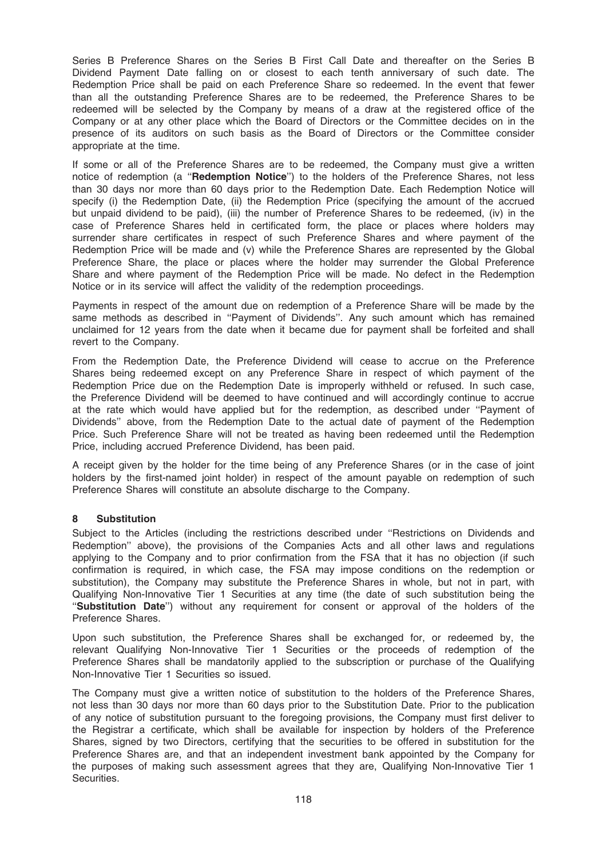Series B Preference Shares on the Series B First Call Date and thereafter on the Series B Dividend Payment Date falling on or closest to each tenth anniversary of such date. The Redemption Price shall be paid on each Preference Share so redeemed. In the event that fewer than all the outstanding Preference Shares are to be redeemed, the Preference Shares to be redeemed will be selected by the Company by means of a draw at the registered office of the Company or at any other place which the Board of Directors or the Committee decides on in the presence of its auditors on such basis as the Board of Directors or the Committee consider appropriate at the time.

If some or all of the Preference Shares are to be redeemed, the Company must give a written notice of redemption (a "Redemption Notice") to the holders of the Preference Shares, not less than 30 days nor more than 60 days prior to the Redemption Date. Each Redemption Notice will specify (i) the Redemption Date, (ii) the Redemption Price (specifying the amount of the accrued but unpaid dividend to be paid), (iii) the number of Preference Shares to be redeemed, (iv) in the case of Preference Shares held in certificated form, the place or places where holders may surrender share certificates in respect of such Preference Shares and where payment of the Redemption Price will be made and (v) while the Preference Shares are represented by the Global Preference Share, the place or places where the holder may surrender the Global Preference Share and where payment of the Redemption Price will be made. No defect in the Redemption Notice or in its service will affect the validity of the redemption proceedings.

Payments in respect of the amount due on redemption of a Preference Share will be made by the same methods as described in ''Payment of Dividends''. Any such amount which has remained unclaimed for 12 years from the date when it became due for payment shall be forfeited and shall revert to the Company.

From the Redemption Date, the Preference Dividend will cease to accrue on the Preference Shares being redeemed except on any Preference Share in respect of which payment of the Redemption Price due on the Redemption Date is improperly withheld or refused. In such case, the Preference Dividend will be deemed to have continued and will accordingly continue to accrue at the rate which would have applied but for the redemption, as described under ''Payment of Dividends'' above, from the Redemption Date to the actual date of payment of the Redemption Price. Such Preference Share will not be treated as having been redeemed until the Redemption Price, including accrued Preference Dividend, has been paid.

A receipt given by the holder for the time being of any Preference Shares (or in the case of joint holders by the first-named joint holder) in respect of the amount payable on redemption of such Preference Shares will constitute an absolute discharge to the Company.

# 8 Substitution

Subject to the Articles (including the restrictions described under ''Restrictions on Dividends and Redemption'' above), the provisions of the Companies Acts and all other laws and regulations applying to the Company and to prior confirmation from the FSA that it has no objection (if such confirmation is required, in which case, the FSA may impose conditions on the redemption or substitution), the Company may substitute the Preference Shares in whole, but not in part, with Qualifying Non-Innovative Tier 1 Securities at any time (the date of such substitution being the ''Substitution Date'') without any requirement for consent or approval of the holders of the Preference Shares.

Upon such substitution, the Preference Shares shall be exchanged for, or redeemed by, the relevant Qualifying Non-Innovative Tier 1 Securities or the proceeds of redemption of the Preference Shares shall be mandatorily applied to the subscription or purchase of the Qualifying Non-Innovative Tier 1 Securities so issued.

The Company must give a written notice of substitution to the holders of the Preference Shares, not less than 30 days nor more than 60 days prior to the Substitution Date. Prior to the publication of any notice of substitution pursuant to the foregoing provisions, the Company must first deliver to the Registrar a certificate, which shall be available for inspection by holders of the Preference Shares, signed by two Directors, certifying that the securities to be offered in substitution for the Preference Shares are, and that an independent investment bank appointed by the Company for the purposes of making such assessment agrees that they are, Qualifying Non-Innovative Tier 1 Securities.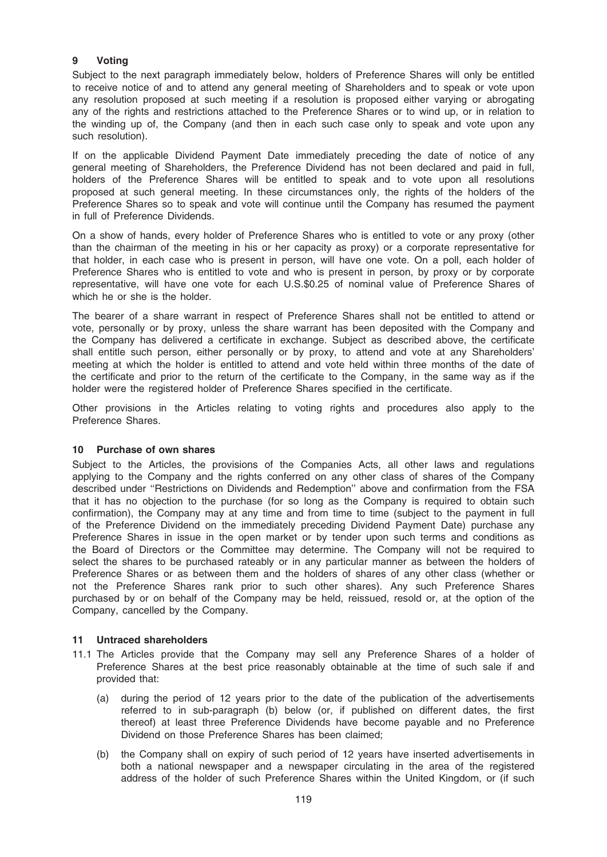# 9 Voting

Subject to the next paragraph immediately below, holders of Preference Shares will only be entitled to receive notice of and to attend any general meeting of Shareholders and to speak or vote upon any resolution proposed at such meeting if a resolution is proposed either varying or abrogating any of the rights and restrictions attached to the Preference Shares or to wind up, or in relation to the winding up of, the Company (and then in each such case only to speak and vote upon any such resolution).

If on the applicable Dividend Payment Date immediately preceding the date of notice of any general meeting of Shareholders, the Preference Dividend has not been declared and paid in full, holders of the Preference Shares will be entitled to speak and to vote upon all resolutions proposed at such general meeting. In these circumstances only, the rights of the holders of the Preference Shares so to speak and vote will continue until the Company has resumed the payment in full of Preference Dividends.

On a show of hands, every holder of Preference Shares who is entitled to vote or any proxy (other than the chairman of the meeting in his or her capacity as proxy) or a corporate representative for that holder, in each case who is present in person, will have one vote. On a poll, each holder of Preference Shares who is entitled to vote and who is present in person, by proxy or by corporate representative, will have one vote for each U.S.\$0.25 of nominal value of Preference Shares of which he or she is the holder.

The bearer of a share warrant in respect of Preference Shares shall not be entitled to attend or vote, personally or by proxy, unless the share warrant has been deposited with the Company and the Company has delivered a certificate in exchange. Subject as described above, the certificate shall entitle such person, either personally or by proxy, to attend and vote at any Shareholders' meeting at which the holder is entitled to attend and vote held within three months of the date of the certificate and prior to the return of the certificate to the Company, in the same way as if the holder were the registered holder of Preference Shares specified in the certificate.

Other provisions in the Articles relating to voting rights and procedures also apply to the Preference Shares.

### 10 Purchase of own shares

Subject to the Articles, the provisions of the Companies Acts, all other laws and regulations applying to the Company and the rights conferred on any other class of shares of the Company described under ''Restrictions on Dividends and Redemption'' above and confirmation from the FSA that it has no objection to the purchase (for so long as the Company is required to obtain such confirmation), the Company may at any time and from time to time (subject to the payment in full of the Preference Dividend on the immediately preceding Dividend Payment Date) purchase any Preference Shares in issue in the open market or by tender upon such terms and conditions as the Board of Directors or the Committee may determine. The Company will not be required to select the shares to be purchased rateably or in any particular manner as between the holders of Preference Shares or as between them and the holders of shares of any other class (whether or not the Preference Shares rank prior to such other shares). Any such Preference Shares purchased by or on behalf of the Company may be held, reissued, resold or, at the option of the Company, cancelled by the Company.

### 11 Untraced shareholders

- 11.1 The Articles provide that the Company may sell any Preference Shares of a holder of Preference Shares at the best price reasonably obtainable at the time of such sale if and provided that:
	- (a) during the period of 12 years prior to the date of the publication of the advertisements referred to in sub-paragraph (b) below (or, if published on different dates, the first thereof) at least three Preference Dividends have become payable and no Preference Dividend on those Preference Shares has been claimed;
	- (b) the Company shall on expiry of such period of 12 years have inserted advertisements in both a national newspaper and a newspaper circulating in the area of the registered address of the holder of such Preference Shares within the United Kingdom, or (if such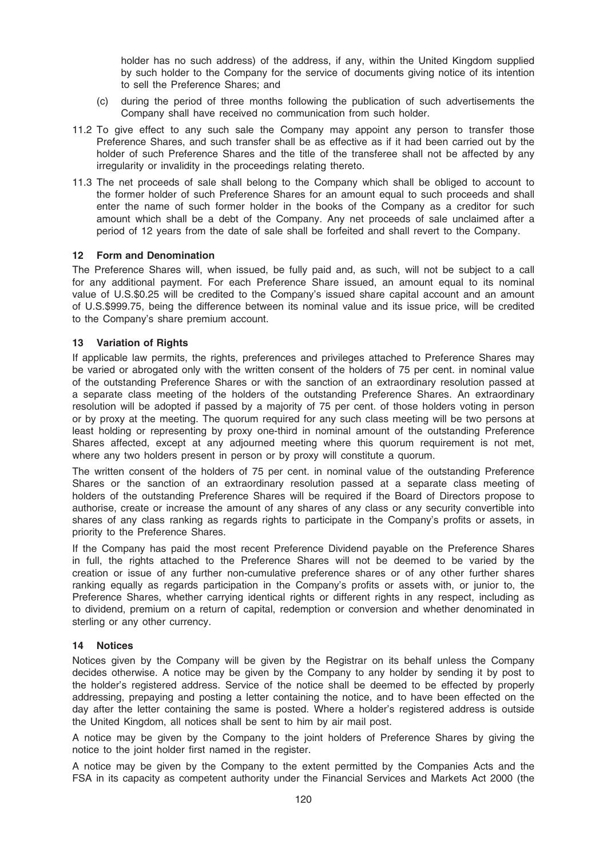holder has no such address) of the address, if any, within the United Kingdom supplied by such holder to the Company for the service of documents giving notice of its intention to sell the Preference Shares; and

- (c) during the period of three months following the publication of such advertisements the Company shall have received no communication from such holder.
- 11.2 To give effect to any such sale the Company may appoint any person to transfer those Preference Shares, and such transfer shall be as effective as if it had been carried out by the holder of such Preference Shares and the title of the transferee shall not be affected by any irregularity or invalidity in the proceedings relating thereto.
- 11.3 The net proceeds of sale shall belong to the Company which shall be obliged to account to the former holder of such Preference Shares for an amount equal to such proceeds and shall enter the name of such former holder in the books of the Company as a creditor for such amount which shall be a debt of the Company. Any net proceeds of sale unclaimed after a period of 12 years from the date of sale shall be forfeited and shall revert to the Company.

### 12 Form and Denomination

The Preference Shares will, when issued, be fully paid and, as such, will not be subject to a call for any additional payment. For each Preference Share issued, an amount equal to its nominal value of U.S.\$0.25 will be credited to the Company's issued share capital account and an amount of U.S.\$999.75, being the difference between its nominal value and its issue price, will be credited to the Company's share premium account.

## 13 Variation of Rights

If applicable law permits, the rights, preferences and privileges attached to Preference Shares may be varied or abrogated only with the written consent of the holders of 75 per cent. in nominal value of the outstanding Preference Shares or with the sanction of an extraordinary resolution passed at a separate class meeting of the holders of the outstanding Preference Shares. An extraordinary resolution will be adopted if passed by a majority of 75 per cent. of those holders voting in person or by proxy at the meeting. The quorum required for any such class meeting will be two persons at least holding or representing by proxy one-third in nominal amount of the outstanding Preference Shares affected, except at any adjourned meeting where this quorum requirement is not met, where any two holders present in person or by proxy will constitute a quorum.

The written consent of the holders of 75 per cent. in nominal value of the outstanding Preference Shares or the sanction of an extraordinary resolution passed at a separate class meeting of holders of the outstanding Preference Shares will be required if the Board of Directors propose to authorise, create or increase the amount of any shares of any class or any security convertible into shares of any class ranking as regards rights to participate in the Company's profits or assets, in priority to the Preference Shares.

If the Company has paid the most recent Preference Dividend payable on the Preference Shares in full, the rights attached to the Preference Shares will not be deemed to be varied by the creation or issue of any further non-cumulative preference shares or of any other further shares ranking equally as regards participation in the Company's profits or assets with, or junior to, the Preference Shares, whether carrying identical rights or different rights in any respect, including as to dividend, premium on a return of capital, redemption or conversion and whether denominated in sterling or any other currency.

### 14 Notices

Notices given by the Company will be given by the Registrar on its behalf unless the Company decides otherwise. A notice may be given by the Company to any holder by sending it by post to the holder's registered address. Service of the notice shall be deemed to be effected by properly addressing, prepaying and posting a letter containing the notice, and to have been effected on the day after the letter containing the same is posted. Where a holder's registered address is outside the United Kingdom, all notices shall be sent to him by air mail post.

A notice may be given by the Company to the joint holders of Preference Shares by giving the notice to the joint holder first named in the register.

A notice may be given by the Company to the extent permitted by the Companies Acts and the FSA in its capacity as competent authority under the Financial Services and Markets Act 2000 (the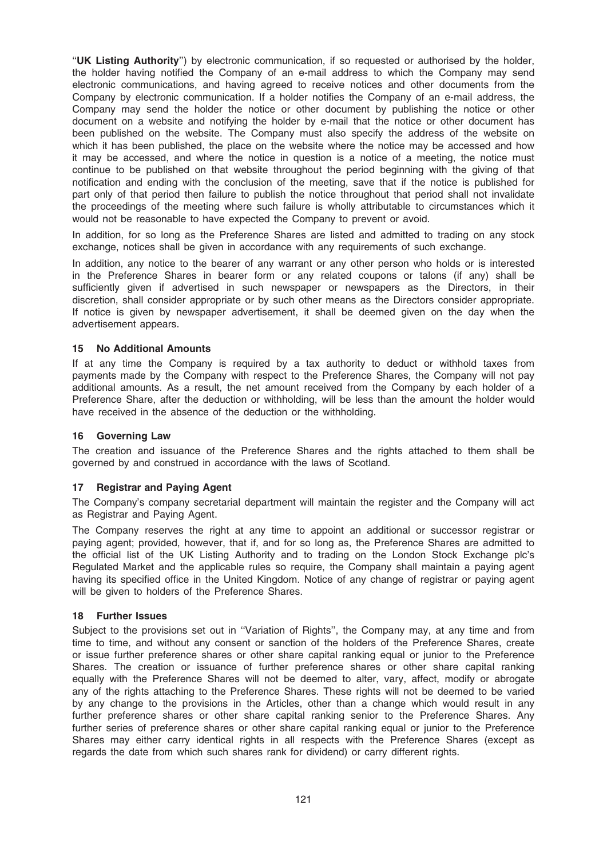''UK Listing Authority'') by electronic communication, if so requested or authorised by the holder, the holder having notified the Company of an e-mail address to which the Company may send electronic communications, and having agreed to receive notices and other documents from the Company by electronic communication. If a holder notifies the Company of an e-mail address, the Company may send the holder the notice or other document by publishing the notice or other document on a website and notifying the holder by e-mail that the notice or other document has been published on the website. The Company must also specify the address of the website on which it has been published, the place on the website where the notice may be accessed and how it may be accessed, and where the notice in question is a notice of a meeting, the notice must continue to be published on that website throughout the period beginning with the giving of that notification and ending with the conclusion of the meeting, save that if the notice is published for part only of that period then failure to publish the notice throughout that period shall not invalidate the proceedings of the meeting where such failure is wholly attributable to circumstances which it would not be reasonable to have expected the Company to prevent or avoid.

In addition, for so long as the Preference Shares are listed and admitted to trading on any stock exchange, notices shall be given in accordance with any requirements of such exchange.

In addition, any notice to the bearer of any warrant or any other person who holds or is interested in the Preference Shares in bearer form or any related coupons or talons (if any) shall be sufficiently given if advertised in such newspaper or newspapers as the Directors, in their discretion, shall consider appropriate or by such other means as the Directors consider appropriate. If notice is given by newspaper advertisement, it shall be deemed given on the day when the advertisement appears.

## 15 No Additional Amounts

If at any time the Company is required by a tax authority to deduct or withhold taxes from payments made by the Company with respect to the Preference Shares, the Company will not pay additional amounts. As a result, the net amount received from the Company by each holder of a Preference Share, after the deduction or withholding, will be less than the amount the holder would have received in the absence of the deduction or the withholding.

### 16 Governing Law

The creation and issuance of the Preference Shares and the rights attached to them shall be governed by and construed in accordance with the laws of Scotland.

# 17 Registrar and Paving Agent

The Company's company secretarial department will maintain the register and the Company will act as Registrar and Paying Agent.

The Company reserves the right at any time to appoint an additional or successor registrar or paying agent; provided, however, that if, and for so long as, the Preference Shares are admitted to the official list of the UK Listing Authority and to trading on the London Stock Exchange plc's Regulated Market and the applicable rules so require, the Company shall maintain a paying agent having its specified office in the United Kingdom. Notice of any change of registrar or paying agent will be given to holders of the Preference Shares.

### 18 Further Issues

Subject to the provisions set out in ''Variation of Rights'', the Company may, at any time and from time to time, and without any consent or sanction of the holders of the Preference Shares, create or issue further preference shares or other share capital ranking equal or junior to the Preference Shares. The creation or issuance of further preference shares or other share capital ranking equally with the Preference Shares will not be deemed to alter, vary, affect, modify or abrogate any of the rights attaching to the Preference Shares. These rights will not be deemed to be varied by any change to the provisions in the Articles, other than a change which would result in any further preference shares or other share capital ranking senior to the Preference Shares. Any further series of preference shares or other share capital ranking equal or junior to the Preference Shares may either carry identical rights in all respects with the Preference Shares (except as regards the date from which such shares rank for dividend) or carry different rights.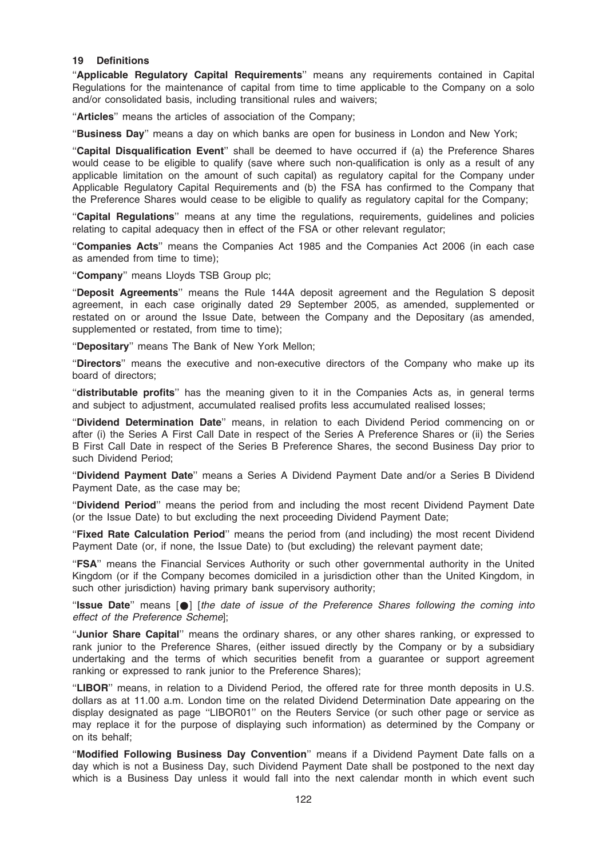### 19 Definitions

"Applicable Regulatory Capital Requirements" means any requirements contained in Capital Regulations for the maintenance of capital from time to time applicable to the Company on a solo and/or consolidated basis, including transitional rules and waivers;

"Articles" means the articles of association of the Company;

''Business Day'' means a day on which banks are open for business in London and New York;

''Capital Disqualification Event'' shall be deemed to have occurred if (a) the Preference Shares would cease to be eligible to qualify (save where such non-qualification is only as a result of any applicable limitation on the amount of such capital) as regulatory capital for the Company under Applicable Regulatory Capital Requirements and (b) the FSA has confirmed to the Company that the Preference Shares would cease to be eligible to qualify as regulatory capital for the Company;

"Capital Regulations" means at any time the regulations, requirements, guidelines and policies relating to capital adequacy then in effect of the FSA or other relevant regulator;

''Companies Acts'' means the Companies Act 1985 and the Companies Act 2006 (in each case as amended from time to time);

"Company" means Lloyds TSB Group plc;

"Deposit Agreements" means the Rule 144A deposit agreement and the Regulation S deposit agreement, in each case originally dated 29 September 2005, as amended, supplemented or restated on or around the Issue Date, between the Company and the Depositary (as amended, supplemented or restated, from time to time);

"Depositary" means The Bank of New York Mellon:

''Directors'' means the executive and non-executive directors of the Company who make up its board of directors;

''distributable profits'' has the meaning given to it in the Companies Acts as, in general terms and subject to adjustment, accumulated realised profits less accumulated realised losses;

''Dividend Determination Date'' means, in relation to each Dividend Period commencing on or after (i) the Series A First Call Date in respect of the Series A Preference Shares or (ii) the Series B First Call Date in respect of the Series B Preference Shares, the second Business Day prior to such Dividend Period;

''Dividend Payment Date'' means a Series A Dividend Payment Date and/or a Series B Dividend Payment Date, as the case may be;

''Dividend Period'' means the period from and including the most recent Dividend Payment Date (or the Issue Date) to but excluding the next proceeding Dividend Payment Date;

''Fixed Rate Calculation Period'' means the period from (and including) the most recent Dividend Payment Date (or, if none, the Issue Date) to (but excluding) the relevant payment date;

"FSA" means the Financial Services Authority or such other governmental authority in the United Kingdom (or if the Company becomes domiciled in a jurisdiction other than the United Kingdom, in such other jurisdiction) having primary bank supervisory authority;

"Issue Date" means  $\lceil \bullet \rceil$  [the date of issue of the Preference Shares following the coming into effect of the Preference Scheme];

''Junior Share Capital'' means the ordinary shares, or any other shares ranking, or expressed to rank junior to the Preference Shares, (either issued directly by the Company or by a subsidiary undertaking and the terms of which securities benefit from a guarantee or support agreement ranking or expressed to rank junior to the Preference Shares);

''LIBOR'' means, in relation to a Dividend Period, the offered rate for three month deposits in U.S. dollars as at 11.00 a.m. London time on the related Dividend Determination Date appearing on the display designated as page ''LIBOR01'' on the Reuters Service (or such other page or service as may replace it for the purpose of displaying such information) as determined by the Company or on its behalf;

''Modified Following Business Day Convention'' means if a Dividend Payment Date falls on a day which is not a Business Day, such Dividend Payment Date shall be postponed to the next day which is a Business Day unless it would fall into the next calendar month in which event such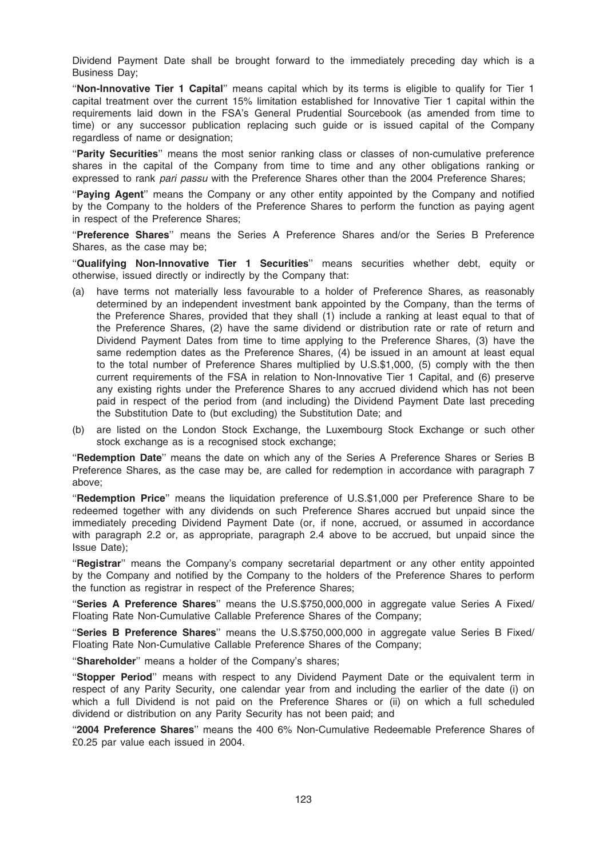Dividend Payment Date shall be brought forward to the immediately preceding day which is a Business Day;

''Non-Innovative Tier 1 Capital'' means capital which by its terms is eligible to qualify for Tier 1 capital treatment over the current 15% limitation established for Innovative Tier 1 capital within the requirements laid down in the FSA's General Prudential Sourcebook (as amended from time to time) or any successor publication replacing such guide or is issued capital of the Company regardless of name or designation;

''Parity Securities'' means the most senior ranking class or classes of non-cumulative preference shares in the capital of the Company from time to time and any other obligations ranking or expressed to rank pari passu with the Preference Shares other than the 2004 Preference Shares;

"Paying Agent" means the Company or any other entity appointed by the Company and notified by the Company to the holders of the Preference Shares to perform the function as paying agent in respect of the Preference Shares;

''Preference Shares'' means the Series A Preference Shares and/or the Series B Preference Shares, as the case may be;

"Qualifying Non-Innovative Tier 1 Securities" means securities whether debt, equity or otherwise, issued directly or indirectly by the Company that:

- (a) have terms not materially less favourable to a holder of Preference Shares, as reasonably determined by an independent investment bank appointed by the Company, than the terms of the Preference Shares, provided that they shall (1) include a ranking at least equal to that of the Preference Shares, (2) have the same dividend or distribution rate or rate of return and Dividend Payment Dates from time to time applying to the Preference Shares, (3) have the same redemption dates as the Preference Shares, (4) be issued in an amount at least equal to the total number of Preference Shares multiplied by U.S.\$1,000, (5) comply with the then current requirements of the FSA in relation to Non-Innovative Tier 1 Capital, and (6) preserve any existing rights under the Preference Shares to any accrued dividend which has not been paid in respect of the period from (and including) the Dividend Payment Date last preceding the Substitution Date to (but excluding) the Substitution Date; and
- (b) are listed on the London Stock Exchange, the Luxembourg Stock Exchange or such other stock exchange as is a recognised stock exchange;

"Redemption Date" means the date on which any of the Series A Preference Shares or Series B Preference Shares, as the case may be, are called for redemption in accordance with paragraph 7 above;

''Redemption Price'' means the liquidation preference of U.S.\$1,000 per Preference Share to be redeemed together with any dividends on such Preference Shares accrued but unpaid since the immediately preceding Dividend Payment Date (or, if none, accrued, or assumed in accordance with paragraph 2.2 or, as appropriate, paragraph 2.4 above to be accrued, but unpaid since the Issue Date);

"Registrar" means the Company's company secretarial department or any other entity appointed by the Company and notified by the Company to the holders of the Preference Shares to perform the function as registrar in respect of the Preference Shares;

"Series A Preference Shares" means the U.S.\$750,000,000 in aggregate value Series A Fixed/ Floating Rate Non-Cumulative Callable Preference Shares of the Company;

"Series B Preference Shares" means the U.S.\$750,000,000 in aggregate value Series B Fixed/ Floating Rate Non-Cumulative Callable Preference Shares of the Company;

"Shareholder" means a holder of the Company's shares;

''Stopper Period'' means with respect to any Dividend Payment Date or the equivalent term in respect of any Parity Security, one calendar year from and including the earlier of the date (i) on which a full Dividend is not paid on the Preference Shares or (ii) on which a full scheduled dividend or distribution on any Parity Security has not been paid; and

''2004 Preference Shares'' means the 400 6% Non-Cumulative Redeemable Preference Shares of £0.25 par value each issued in 2004.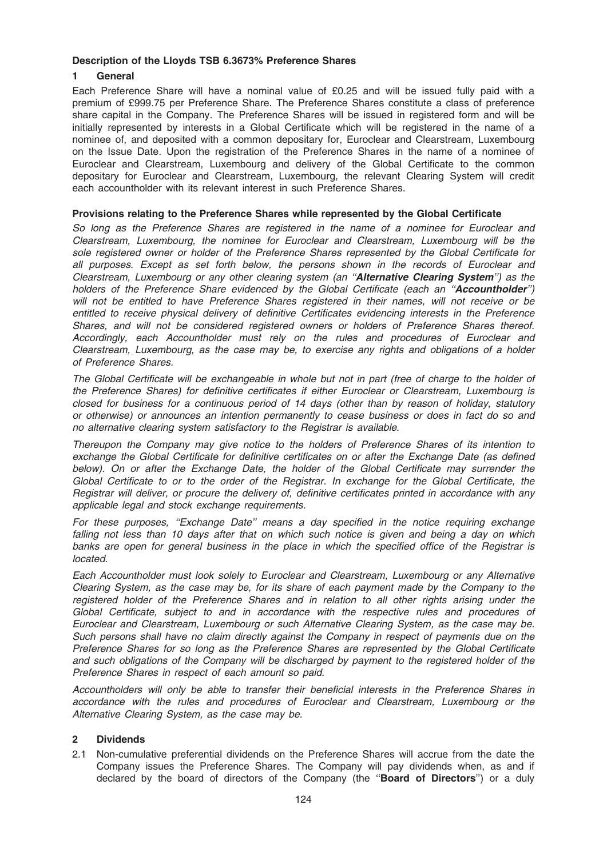## Description of the Lloyds TSB 6.3673% Preference Shares

# 1 General

Each Preference Share will have a nominal value of £0.25 and will be issued fully paid with a premium of £999.75 per Preference Share. The Preference Shares constitute a class of preference share capital in the Company. The Preference Shares will be issued in registered form and will be initially represented by interests in a Global Certificate which will be registered in the name of a nominee of, and deposited with a common depositary for, Euroclear and Clearstream, Luxembourg on the Issue Date. Upon the registration of the Preference Shares in the name of a nominee of Euroclear and Clearstream, Luxembourg and delivery of the Global Certificate to the common depositary for Euroclear and Clearstream, Luxembourg, the relevant Clearing System will credit each accountholder with its relevant interest in such Preference Shares.

## Provisions relating to the Preference Shares while represented by the Global Certificate

So long as the Preference Shares are registered in the name of a nominee for Euroclear and Clearstream, Luxembourg, the nominee for Euroclear and Clearstream, Luxembourg will be the sole registered owner or holder of the Preference Shares represented by the Global Certificate for all purposes. Except as set forth below, the persons shown in the records of Euroclear and Clearstream, Luxembourg or any other clearing system (an "Alternative Clearing System") as the holders of the Preference Share evidenced by the Global Certificate (each an "Accountholder") will not be entitled to have Preference Shares registered in their names, will not receive or be entitled to receive physical delivery of definitive Certificates evidencing interests in the Preference Shares, and will not be considered registered owners or holders of Preference Shares thereof. Accordingly, each Accountholder must rely on the rules and procedures of Euroclear and Clearstream, Luxembourg, as the case may be, to exercise any rights and obligations of a holder of Preference Shares.

The Global Certificate will be exchangeable in whole but not in part (free of charge to the holder of the Preference Shares) for definitive certificates if either Euroclear or Clearstream, Luxembourg is closed for business for a continuous period of 14 days (other than by reason of holiday, statutory or otherwise) or announces an intention permanently to cease business or does in fact do so and no alternative clearing system satisfactory to the Registrar is available.

Thereupon the Company may give notice to the holders of Preference Shares of its intention to exchange the Global Certificate for definitive certificates on or after the Exchange Date (as defined below). On or after the Exchange Date, the holder of the Global Certificate may surrender the Global Certificate to or to the order of the Registrar. In exchange for the Global Certificate, the Registrar will deliver, or procure the delivery of, definitive certificates printed in accordance with any applicable legal and stock exchange requirements.

For these purposes, ''Exchange Date'' means a day specified in the notice requiring exchange falling not less than 10 days after that on which such notice is given and being a day on which banks are open for general business in the place in which the specified office of the Registrar is located.

Each Accountholder must look solely to Euroclear and Clearstream, Luxembourg or any Alternative Clearing System, as the case may be, for its share of each payment made by the Company to the registered holder of the Preference Shares and in relation to all other rights arising under the Global Certificate, subject to and in accordance with the respective rules and procedures of Euroclear and Clearstream, Luxembourg or such Alternative Clearing System, as the case may be. Such persons shall have no claim directly against the Company in respect of payments due on the Preference Shares for so long as the Preference Shares are represented by the Global Certificate and such obligations of the Company will be discharged by payment to the registered holder of the Preference Shares in respect of each amount so paid.

Accountholders will only be able to transfer their beneficial interests in the Preference Shares in accordance with the rules and procedures of Euroclear and Clearstream, Luxembourg or the Alternative Clearing System, as the case may be.

# 2 Dividends

2.1 Non-cumulative preferential dividends on the Preference Shares will accrue from the date the Company issues the Preference Shares. The Company will pay dividends when, as and if declared by the board of directors of the Company (the "Board of Directors") or a duly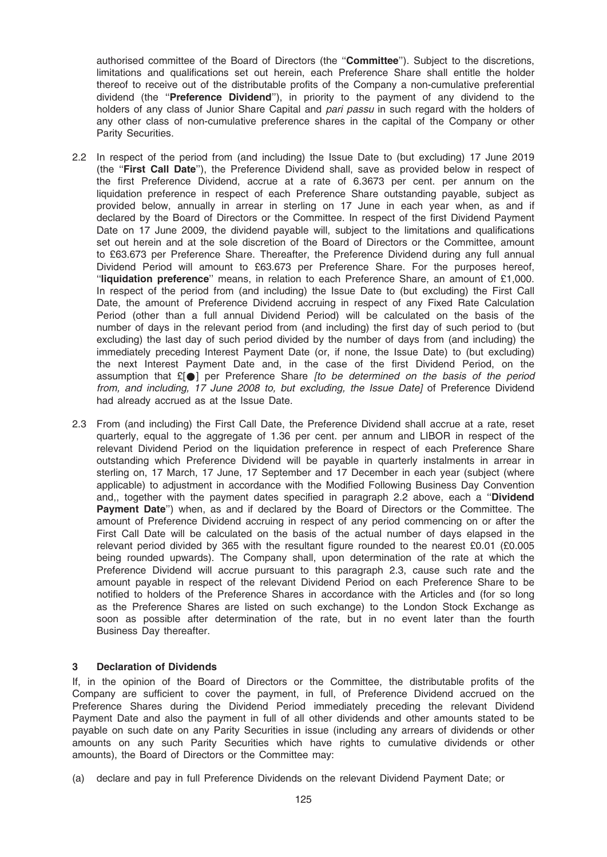authorised committee of the Board of Directors (the "Committee"). Subject to the discretions, limitations and qualifications set out herein, each Preference Share shall entitle the holder thereof to receive out of the distributable profits of the Company a non-cumulative preferential dividend (the ''Preference Dividend''), in priority to the payment of any dividend to the holders of any class of Junior Share Capital and *pari passu* in such regard with the holders of any other class of non-cumulative preference shares in the capital of the Company or other Parity Securities.

- 2.2 In respect of the period from (and including) the Issue Date to (but excluding) 17 June 2019 (the "First Call Date"), the Preference Dividend shall, save as provided below in respect of the first Preference Dividend, accrue at a rate of 6.3673 per cent. per annum on the liquidation preference in respect of each Preference Share outstanding payable, subject as provided below, annually in arrear in sterling on 17 June in each year when, as and if declared by the Board of Directors or the Committee. In respect of the first Dividend Payment Date on 17 June 2009, the dividend payable will, subject to the limitations and qualifications set out herein and at the sole discretion of the Board of Directors or the Committee, amount to £63.673 per Preference Share. Thereafter, the Preference Dividend during any full annual Dividend Period will amount to £63.673 per Preference Share. For the purposes hereof, ''liquidation preference'' means, in relation to each Preference Share, an amount of £1,000. In respect of the period from (and including) the Issue Date to (but excluding) the First Call Date, the amount of Preference Dividend accruing in respect of any Fixed Rate Calculation Period (other than a full annual Dividend Period) will be calculated on the basis of the number of days in the relevant period from (and including) the first day of such period to (but excluding) the last day of such period divided by the number of days from (and including) the immediately preceding Interest Payment Date (or, if none, the Issue Date) to (but excluding) the next Interest Payment Date and, in the case of the first Dividend Period, on the assumption that  $E[\bullet]$  per Preference Share *[to be determined on the basis of the period* from, and including, 17 June 2008 to, but excluding, the Issue Date] of Preference Dividend had already accrued as at the Issue Date.
- 2.3 From (and including) the First Call Date, the Preference Dividend shall accrue at a rate, reset quarterly, equal to the aggregate of 1.36 per cent. per annum and LIBOR in respect of the relevant Dividend Period on the liquidation preference in respect of each Preference Share outstanding which Preference Dividend will be payable in quarterly instalments in arrear in sterling on, 17 March, 17 June, 17 September and 17 December in each year (subject (where applicable) to adjustment in accordance with the Modified Following Business Day Convention and., together with the payment dates specified in paragraph 2.2 above, each a "Dividend" Payment Date'') when, as and if declared by the Board of Directors or the Committee. The amount of Preference Dividend accruing in respect of any period commencing on or after the First Call Date will be calculated on the basis of the actual number of days elapsed in the relevant period divided by 365 with the resultant figure rounded to the nearest £0.01 (£0.005 being rounded upwards). The Company shall, upon determination of the rate at which the Preference Dividend will accrue pursuant to this paragraph 2.3, cause such rate and the amount payable in respect of the relevant Dividend Period on each Preference Share to be notified to holders of the Preference Shares in accordance with the Articles and (for so long as the Preference Shares are listed on such exchange) to the London Stock Exchange as soon as possible after determination of the rate, but in no event later than the fourth Business Day thereafter.

# 3 Declaration of Dividends

If, in the opinion of the Board of Directors or the Committee, the distributable profits of the Company are sufficient to cover the payment, in full, of Preference Dividend accrued on the Preference Shares during the Dividend Period immediately preceding the relevant Dividend Payment Date and also the payment in full of all other dividends and other amounts stated to be payable on such date on any Parity Securities in issue (including any arrears of dividends or other amounts on any such Parity Securities which have rights to cumulative dividends or other amounts), the Board of Directors or the Committee may:

(a) declare and pay in full Preference Dividends on the relevant Dividend Payment Date; or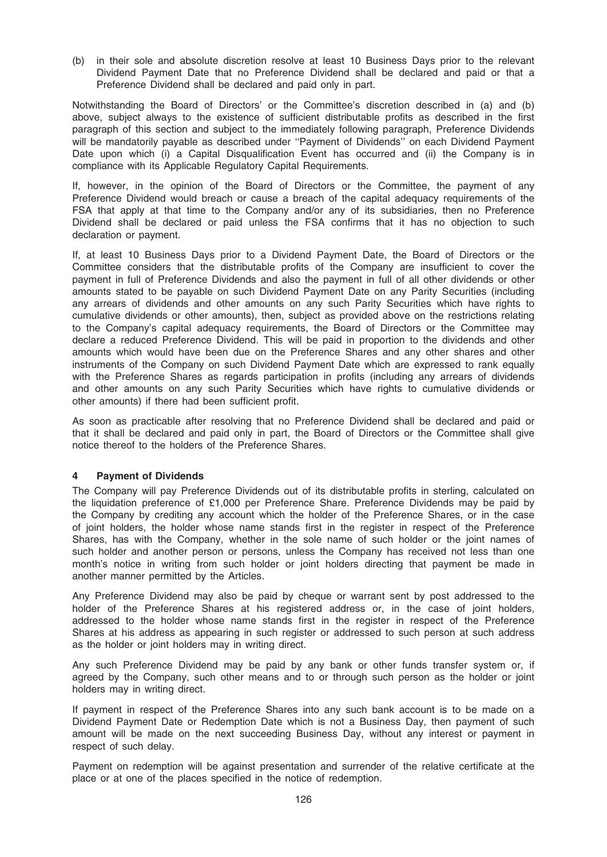(b) in their sole and absolute discretion resolve at least 10 Business Days prior to the relevant Dividend Payment Date that no Preference Dividend shall be declared and paid or that a Preference Dividend shall be declared and paid only in part.

Notwithstanding the Board of Directors' or the Committee's discretion described in (a) and (b) above, subject always to the existence of sufficient distributable profits as described in the first paragraph of this section and subject to the immediately following paragraph, Preference Dividends will be mandatorily payable as described under ''Payment of Dividends'' on each Dividend Payment Date upon which (i) a Capital Disqualification Event has occurred and (ii) the Company is in compliance with its Applicable Regulatory Capital Requirements.

If, however, in the opinion of the Board of Directors or the Committee, the payment of any Preference Dividend would breach or cause a breach of the capital adequacy requirements of the FSA that apply at that time to the Company and/or any of its subsidiaries, then no Preference Dividend shall be declared or paid unless the FSA confirms that it has no objection to such declaration or payment.

If, at least 10 Business Days prior to a Dividend Payment Date, the Board of Directors or the Committee considers that the distributable profits of the Company are insufficient to cover the payment in full of Preference Dividends and also the payment in full of all other dividends or other amounts stated to be payable on such Dividend Payment Date on any Parity Securities (including any arrears of dividends and other amounts on any such Parity Securities which have rights to cumulative dividends or other amounts), then, subject as provided above on the restrictions relating to the Company's capital adequacy requirements, the Board of Directors or the Committee may declare a reduced Preference Dividend. This will be paid in proportion to the dividends and other amounts which would have been due on the Preference Shares and any other shares and other instruments of the Company on such Dividend Payment Date which are expressed to rank equally with the Preference Shares as regards participation in profits (including any arrears of dividends and other amounts on any such Parity Securities which have rights to cumulative dividends or other amounts) if there had been sufficient profit.

As soon as practicable after resolving that no Preference Dividend shall be declared and paid or that it shall be declared and paid only in part, the Board of Directors or the Committee shall give notice thereof to the holders of the Preference Shares.

# 4 Payment of Dividends

The Company will pay Preference Dividends out of its distributable profits in sterling, calculated on the liquidation preference of £1,000 per Preference Share. Preference Dividends may be paid by the Company by crediting any account which the holder of the Preference Shares, or in the case of joint holders, the holder whose name stands first in the register in respect of the Preference Shares, has with the Company, whether in the sole name of such holder or the joint names of such holder and another person or persons, unless the Company has received not less than one month's notice in writing from such holder or joint holders directing that payment be made in another manner permitted by the Articles.

Any Preference Dividend may also be paid by cheque or warrant sent by post addressed to the holder of the Preference Shares at his registered address or, in the case of joint holders, addressed to the holder whose name stands first in the register in respect of the Preference Shares at his address as appearing in such register or addressed to such person at such address as the holder or joint holders may in writing direct.

Any such Preference Dividend may be paid by any bank or other funds transfer system or, if agreed by the Company, such other means and to or through such person as the holder or joint holders may in writing direct.

If payment in respect of the Preference Shares into any such bank account is to be made on a Dividend Payment Date or Redemption Date which is not a Business Day, then payment of such amount will be made on the next succeeding Business Day, without any interest or payment in respect of such delay.

Payment on redemption will be against presentation and surrender of the relative certificate at the place or at one of the places specified in the notice of redemption.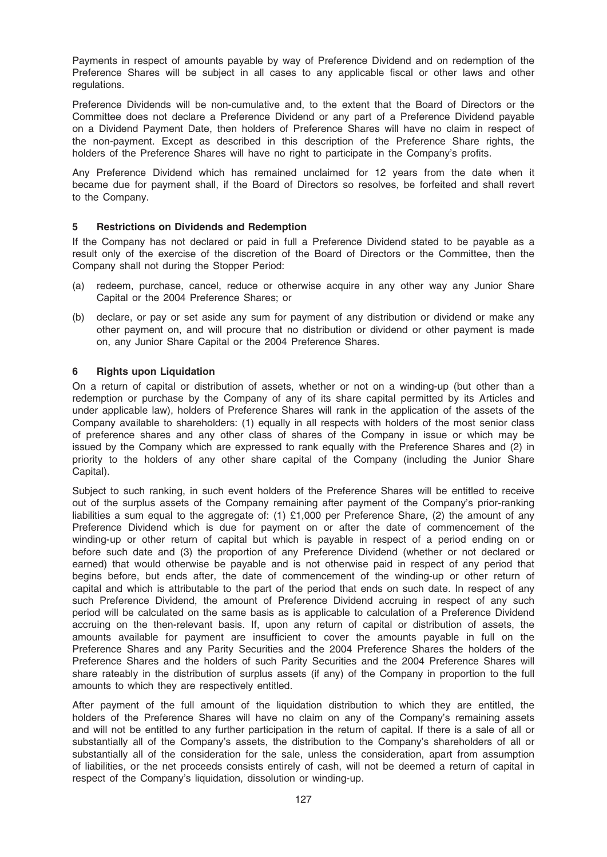Payments in respect of amounts payable by way of Preference Dividend and on redemption of the Preference Shares will be subject in all cases to any applicable fiscal or other laws and other regulations.

Preference Dividends will be non-cumulative and, to the extent that the Board of Directors or the Committee does not declare a Preference Dividend or any part of a Preference Dividend payable on a Dividend Payment Date, then holders of Preference Shares will have no claim in respect of the non-payment. Except as described in this description of the Preference Share rights, the holders of the Preference Shares will have no right to participate in the Company's profits.

Any Preference Dividend which has remained unclaimed for 12 years from the date when it became due for payment shall, if the Board of Directors so resolves, be forfeited and shall revert to the Company.

# 5 Restrictions on Dividends and Redemption

If the Company has not declared or paid in full a Preference Dividend stated to be payable as a result only of the exercise of the discretion of the Board of Directors or the Committee, then the Company shall not during the Stopper Period:

- (a) redeem, purchase, cancel, reduce or otherwise acquire in any other way any Junior Share Capital or the 2004 Preference Shares; or
- (b) declare, or pay or set aside any sum for payment of any distribution or dividend or make any other payment on, and will procure that no distribution or dividend or other payment is made on, any Junior Share Capital or the 2004 Preference Shares.

# 6 Rights upon Liquidation

On a return of capital or distribution of assets, whether or not on a winding-up (but other than a redemption or purchase by the Company of any of its share capital permitted by its Articles and under applicable law), holders of Preference Shares will rank in the application of the assets of the Company available to shareholders: (1) equally in all respects with holders of the most senior class of preference shares and any other class of shares of the Company in issue or which may be issued by the Company which are expressed to rank equally with the Preference Shares and (2) in priority to the holders of any other share capital of the Company (including the Junior Share Capital).

Subject to such ranking, in such event holders of the Preference Shares will be entitled to receive out of the surplus assets of the Company remaining after payment of the Company's prior-ranking liabilities a sum equal to the aggregate of: (1) £1,000 per Preference Share, (2) the amount of any Preference Dividend which is due for payment on or after the date of commencement of the winding-up or other return of capital but which is payable in respect of a period ending on or before such date and (3) the proportion of any Preference Dividend (whether or not declared or earned) that would otherwise be payable and is not otherwise paid in respect of any period that begins before, but ends after, the date of commencement of the winding-up or other return of capital and which is attributable to the part of the period that ends on such date. In respect of any such Preference Dividend, the amount of Preference Dividend accruing in respect of any such period will be calculated on the same basis as is applicable to calculation of a Preference Dividend accruing on the then-relevant basis. If, upon any return of capital or distribution of assets, the amounts available for payment are insufficient to cover the amounts payable in full on the Preference Shares and any Parity Securities and the 2004 Preference Shares the holders of the Preference Shares and the holders of such Parity Securities and the 2004 Preference Shares will share rateably in the distribution of surplus assets (if any) of the Company in proportion to the full amounts to which they are respectively entitled.

After payment of the full amount of the liquidation distribution to which they are entitled, the holders of the Preference Shares will have no claim on any of the Company's remaining assets and will not be entitled to any further participation in the return of capital. If there is a sale of all or substantially all of the Company's assets, the distribution to the Company's shareholders of all or substantially all of the consideration for the sale, unless the consideration, apart from assumption of liabilities, or the net proceeds consists entirely of cash, will not be deemed a return of capital in respect of the Company's liquidation, dissolution or winding-up.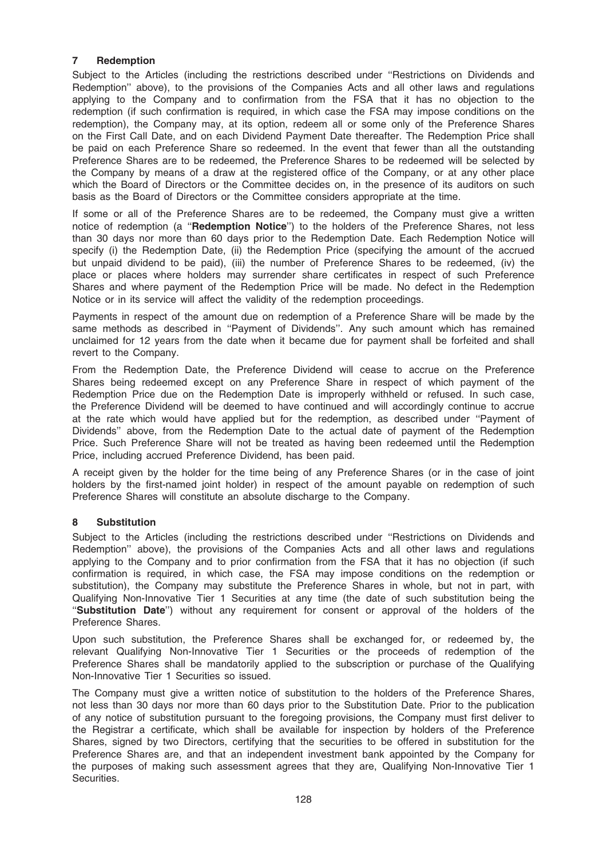# 7 Redemption

Subject to the Articles (including the restrictions described under ''Restrictions on Dividends and Redemption'' above), to the provisions of the Companies Acts and all other laws and regulations applying to the Company and to confirmation from the FSA that it has no objection to the redemption (if such confirmation is required, in which case the FSA may impose conditions on the redemption), the Company may, at its option, redeem all or some only of the Preference Shares on the First Call Date, and on each Dividend Payment Date thereafter. The Redemption Price shall be paid on each Preference Share so redeemed. In the event that fewer than all the outstanding Preference Shares are to be redeemed, the Preference Shares to be redeemed will be selected by the Company by means of a draw at the registered office of the Company, or at any other place which the Board of Directors or the Committee decides on, in the presence of its auditors on such basis as the Board of Directors or the Committee considers appropriate at the time.

If some or all of the Preference Shares are to be redeemed, the Company must give a written notice of redemption (a "Redemption Notice") to the holders of the Preference Shares, not less than 30 days nor more than 60 days prior to the Redemption Date. Each Redemption Notice will specify (i) the Redemption Date, (ii) the Redemption Price (specifying the amount of the accrued but unpaid dividend to be paid), (iii) the number of Preference Shares to be redeemed, (iv) the place or places where holders may surrender share certificates in respect of such Preference Shares and where payment of the Redemption Price will be made. No defect in the Redemption Notice or in its service will affect the validity of the redemption proceedings.

Payments in respect of the amount due on redemption of a Preference Share will be made by the same methods as described in ''Payment of Dividends''. Any such amount which has remained unclaimed for 12 years from the date when it became due for payment shall be forfeited and shall revert to the Company.

From the Redemption Date, the Preference Dividend will cease to accrue on the Preference Shares being redeemed except on any Preference Share in respect of which payment of the Redemption Price due on the Redemption Date is improperly withheld or refused. In such case, the Preference Dividend will be deemed to have continued and will accordingly continue to accrue at the rate which would have applied but for the redemption, as described under ''Payment of Dividends'' above, from the Redemption Date to the actual date of payment of the Redemption Price. Such Preference Share will not be treated as having been redeemed until the Redemption Price, including accrued Preference Dividend, has been paid.

A receipt given by the holder for the time being of any Preference Shares (or in the case of joint holders by the first-named joint holder) in respect of the amount payable on redemption of such Preference Shares will constitute an absolute discharge to the Company.

# 8 Substitution

Subject to the Articles (including the restrictions described under ''Restrictions on Dividends and Redemption'' above), the provisions of the Companies Acts and all other laws and regulations applying to the Company and to prior confirmation from the FSA that it has no objection (if such confirmation is required, in which case, the FSA may impose conditions on the redemption or substitution), the Company may substitute the Preference Shares in whole, but not in part, with Qualifying Non-Innovative Tier 1 Securities at any time (the date of such substitution being the ''Substitution Date'') without any requirement for consent or approval of the holders of the Preference Shares.

Upon such substitution, the Preference Shares shall be exchanged for, or redeemed by, the relevant Qualifying Non-Innovative Tier 1 Securities or the proceeds of redemption of the Preference Shares shall be mandatorily applied to the subscription or purchase of the Qualifying Non-Innovative Tier 1 Securities so issued.

The Company must give a written notice of substitution to the holders of the Preference Shares, not less than 30 days nor more than 60 days prior to the Substitution Date. Prior to the publication of any notice of substitution pursuant to the foregoing provisions, the Company must first deliver to the Registrar a certificate, which shall be available for inspection by holders of the Preference Shares, signed by two Directors, certifying that the securities to be offered in substitution for the Preference Shares are, and that an independent investment bank appointed by the Company for the purposes of making such assessment agrees that they are, Qualifying Non-Innovative Tier 1 Securities.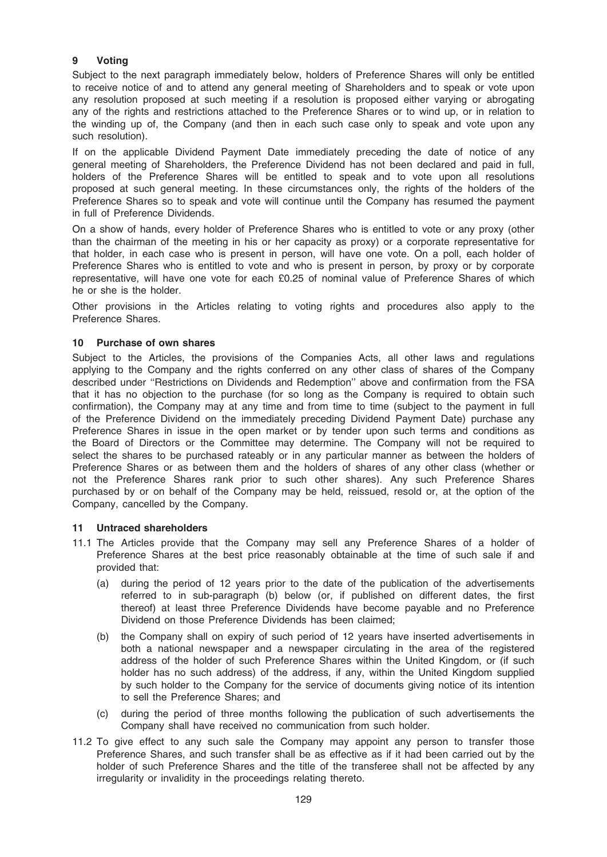# 9 Voting

Subject to the next paragraph immediately below, holders of Preference Shares will only be entitled to receive notice of and to attend any general meeting of Shareholders and to speak or vote upon any resolution proposed at such meeting if a resolution is proposed either varying or abrogating any of the rights and restrictions attached to the Preference Shares or to wind up, or in relation to the winding up of, the Company (and then in each such case only to speak and vote upon any such resolution).

If on the applicable Dividend Payment Date immediately preceding the date of notice of any general meeting of Shareholders, the Preference Dividend has not been declared and paid in full, holders of the Preference Shares will be entitled to speak and to vote upon all resolutions proposed at such general meeting. In these circumstances only, the rights of the holders of the Preference Shares so to speak and vote will continue until the Company has resumed the payment in full of Preference Dividends.

On a show of hands, every holder of Preference Shares who is entitled to vote or any proxy (other than the chairman of the meeting in his or her capacity as proxy) or a corporate representative for that holder, in each case who is present in person, will have one vote. On a poll, each holder of Preference Shares who is entitled to vote and who is present in person, by proxy or by corporate representative, will have one vote for each £0.25 of nominal value of Preference Shares of which he or she is the holder.

Other provisions in the Articles relating to voting rights and procedures also apply to the Preference Shares.

## 10 Purchase of own shares

Subject to the Articles, the provisions of the Companies Acts, all other laws and regulations applying to the Company and the rights conferred on any other class of shares of the Company described under ''Restrictions on Dividends and Redemption'' above and confirmation from the FSA that it has no objection to the purchase (for so long as the Company is required to obtain such confirmation), the Company may at any time and from time to time (subject to the payment in full of the Preference Dividend on the immediately preceding Dividend Payment Date) purchase any Preference Shares in issue in the open market or by tender upon such terms and conditions as the Board of Directors or the Committee may determine. The Company will not be required to select the shares to be purchased rateably or in any particular manner as between the holders of Preference Shares or as between them and the holders of shares of any other class (whether or not the Preference Shares rank prior to such other shares). Any such Preference Shares purchased by or on behalf of the Company may be held, reissued, resold or, at the option of the Company, cancelled by the Company.

### 11 Untraced shareholders

- 11.1 The Articles provide that the Company may sell any Preference Shares of a holder of Preference Shares at the best price reasonably obtainable at the time of such sale if and provided that:
	- (a) during the period of 12 years prior to the date of the publication of the advertisements referred to in sub-paragraph (b) below (or, if published on different dates, the first thereof) at least three Preference Dividends have become payable and no Preference Dividend on those Preference Dividends has been claimed;
	- (b) the Company shall on expiry of such period of 12 years have inserted advertisements in both a national newspaper and a newspaper circulating in the area of the registered address of the holder of such Preference Shares within the United Kingdom, or (if such holder has no such address) of the address, if any, within the United Kingdom supplied by such holder to the Company for the service of documents giving notice of its intention to sell the Preference Shares; and
	- (c) during the period of three months following the publication of such advertisements the Company shall have received no communication from such holder.
- 11.2 To give effect to any such sale the Company may appoint any person to transfer those Preference Shares, and such transfer shall be as effective as if it had been carried out by the holder of such Preference Shares and the title of the transferee shall not be affected by any irregularity or invalidity in the proceedings relating thereto.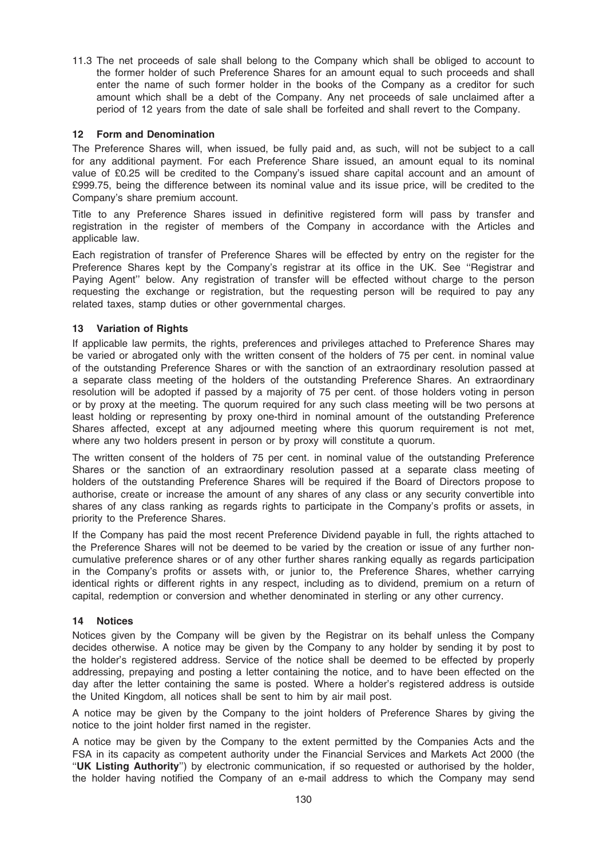11.3 The net proceeds of sale shall belong to the Company which shall be obliged to account to the former holder of such Preference Shares for an amount equal to such proceeds and shall enter the name of such former holder in the books of the Company as a creditor for such amount which shall be a debt of the Company. Any net proceeds of sale unclaimed after a period of 12 years from the date of sale shall be forfeited and shall revert to the Company.

# 12 Form and Denomination

The Preference Shares will, when issued, be fully paid and, as such, will not be subject to a call for any additional payment. For each Preference Share issued, an amount equal to its nominal value of £0.25 will be credited to the Company's issued share capital account and an amount of £999.75, being the difference between its nominal value and its issue price, will be credited to the Company's share premium account.

Title to any Preference Shares issued in definitive registered form will pass by transfer and registration in the register of members of the Company in accordance with the Articles and applicable law.

Each registration of transfer of Preference Shares will be effected by entry on the register for the Preference Shares kept by the Company's registrar at its office in the UK. See ''Registrar and Paying Agent'' below. Any registration of transfer will be effected without charge to the person requesting the exchange or registration, but the requesting person will be required to pay any related taxes, stamp duties or other governmental charges.

# 13 Variation of Rights

If applicable law permits, the rights, preferences and privileges attached to Preference Shares may be varied or abrogated only with the written consent of the holders of 75 per cent. in nominal value of the outstanding Preference Shares or with the sanction of an extraordinary resolution passed at a separate class meeting of the holders of the outstanding Preference Shares. An extraordinary resolution will be adopted if passed by a majority of 75 per cent. of those holders voting in person or by proxy at the meeting. The quorum required for any such class meeting will be two persons at least holding or representing by proxy one-third in nominal amount of the outstanding Preference Shares affected, except at any adjourned meeting where this quorum requirement is not met, where any two holders present in person or by proxy will constitute a quorum.

The written consent of the holders of 75 per cent. in nominal value of the outstanding Preference Shares or the sanction of an extraordinary resolution passed at a separate class meeting of holders of the outstanding Preference Shares will be required if the Board of Directors propose to authorise, create or increase the amount of any shares of any class or any security convertible into shares of any class ranking as regards rights to participate in the Company's profits or assets, in priority to the Preference Shares.

If the Company has paid the most recent Preference Dividend payable in full, the rights attached to the Preference Shares will not be deemed to be varied by the creation or issue of any further noncumulative preference shares or of any other further shares ranking equally as regards participation in the Company's profits or assets with, or junior to, the Preference Shares, whether carrying identical rights or different rights in any respect, including as to dividend, premium on a return of capital, redemption or conversion and whether denominated in sterling or any other currency.

# 14 Notices

Notices given by the Company will be given by the Registrar on its behalf unless the Company decides otherwise. A notice may be given by the Company to any holder by sending it by post to the holder's registered address. Service of the notice shall be deemed to be effected by properly addressing, prepaying and posting a letter containing the notice, and to have been effected on the day after the letter containing the same is posted. Where a holder's registered address is outside the United Kingdom, all notices shall be sent to him by air mail post.

A notice may be given by the Company to the joint holders of Preference Shares by giving the notice to the joint holder first named in the register.

A notice may be given by the Company to the extent permitted by the Companies Acts and the FSA in its capacity as competent authority under the Financial Services and Markets Act 2000 (the "UK Listing Authority") by electronic communication, if so requested or authorised by the holder, the holder having notified the Company of an e-mail address to which the Company may send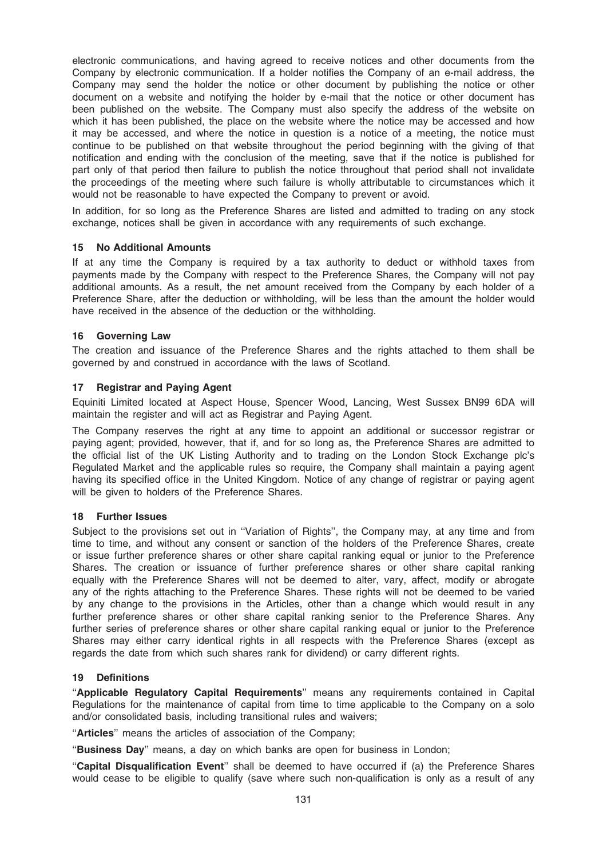electronic communications, and having agreed to receive notices and other documents from the Company by electronic communication. If a holder notifies the Company of an e-mail address, the Company may send the holder the notice or other document by publishing the notice or other document on a website and notifying the holder by e-mail that the notice or other document has been published on the website. The Company must also specify the address of the website on which it has been published, the place on the website where the notice may be accessed and how it may be accessed, and where the notice in question is a notice of a meeting, the notice must continue to be published on that website throughout the period beginning with the giving of that notification and ending with the conclusion of the meeting, save that if the notice is published for part only of that period then failure to publish the notice throughout that period shall not invalidate the proceedings of the meeting where such failure is wholly attributable to circumstances which it would not be reasonable to have expected the Company to prevent or avoid.

In addition, for so long as the Preference Shares are listed and admitted to trading on any stock exchange, notices shall be given in accordance with any requirements of such exchange.

## 15 No Additional Amounts

If at any time the Company is required by a tax authority to deduct or withhold taxes from payments made by the Company with respect to the Preference Shares, the Company will not pay additional amounts. As a result, the net amount received from the Company by each holder of a Preference Share, after the deduction or withholding, will be less than the amount the holder would have received in the absence of the deduction or the withholding.

## 16 Governing Law

The creation and issuance of the Preference Shares and the rights attached to them shall be governed by and construed in accordance with the laws of Scotland.

### 17 Registrar and Paying Agent

Equiniti Limited located at Aspect House, Spencer Wood, Lancing, West Sussex BN99 6DA will maintain the register and will act as Registrar and Paying Agent.

The Company reserves the right at any time to appoint an additional or successor registrar or paying agent; provided, however, that if, and for so long as, the Preference Shares are admitted to the official list of the UK Listing Authority and to trading on the London Stock Exchange plc's Regulated Market and the applicable rules so require, the Company shall maintain a paying agent having its specified office in the United Kingdom. Notice of any change of registrar or paying agent will be given to holders of the Preference Shares.

### 18 Further Issues

Subject to the provisions set out in ''Variation of Rights'', the Company may, at any time and from time to time, and without any consent or sanction of the holders of the Preference Shares, create or issue further preference shares or other share capital ranking equal or junior to the Preference Shares. The creation or issuance of further preference shares or other share capital ranking equally with the Preference Shares will not be deemed to alter, vary, affect, modify or abrogate any of the rights attaching to the Preference Shares. These rights will not be deemed to be varied by any change to the provisions in the Articles, other than a change which would result in any further preference shares or other share capital ranking senior to the Preference Shares. Any further series of preference shares or other share capital ranking equal or junior to the Preference Shares may either carry identical rights in all respects with the Preference Shares (except as regards the date from which such shares rank for dividend) or carry different rights.

### 19 Definitions

''Applicable Regulatory Capital Requirements'' means any requirements contained in Capital Regulations for the maintenance of capital from time to time applicable to the Company on a solo and/or consolidated basis, including transitional rules and waivers;

"Articles" means the articles of association of the Company;

"Business Day" means, a day on which banks are open for business in London;

''Capital Disqualification Event'' shall be deemed to have occurred if (a) the Preference Shares would cease to be eligible to qualify (save where such non-qualification is only as a result of any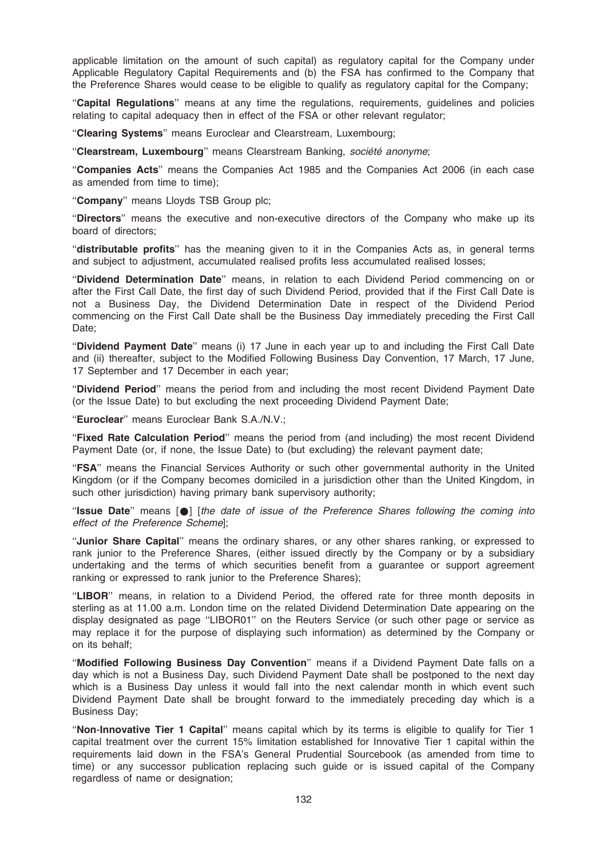applicable limitation on the amount of such capital) as regulatory capital for the Company under Applicable Regulatory Capital Requirements and (b) the FSA has confirmed to the Company that the Preference Shares would cease to be eligible to qualify as regulatory capital for the Company;

"Capital Regulations" means at any time the regulations, requirements, guidelines and policies relating to capital adequacy then in effect of the FSA or other relevant regulator;

''Clearing Systems'' means Euroclear and Clearstream, Luxembourg;

"Clearstream, Luxembourg" means Clearstream Banking, société anonyme;

''Companies Acts'' means the Companies Act 1985 and the Companies Act 2006 (in each case as amended from time to time);

"Company" means Lloyds TSB Group plc:

''Directors'' means the executive and non-executive directors of the Company who make up its board of directors;

''distributable profits'' has the meaning given to it in the Companies Acts as, in general terms and subject to adjustment, accumulated realised profits less accumulated realised losses;

''Dividend Determination Date'' means, in relation to each Dividend Period commencing on or after the First Call Date, the first day of such Dividend Period, provided that if the First Call Date is not a Business Day, the Dividend Determination Date in respect of the Dividend Period commencing on the First Call Date shall be the Business Day immediately preceding the First Call Date;

"Dividend Payment Date" means (i) 17 June in each year up to and including the First Call Date and (ii) thereafter, subject to the Modified Following Business Day Convention, 17 March, 17 June, 17 September and 17 December in each year;

''Dividend Period'' means the period from and including the most recent Dividend Payment Date (or the Issue Date) to but excluding the next proceeding Dividend Payment Date;

"Euroclear" means Euroclear Bank S.A./N.V.;

"Fixed Rate Calculation Period" means the period from (and including) the most recent Dividend Payment Date (or, if none, the Issue Date) to (but excluding) the relevant payment date;

''FSA'' means the Financial Services Authority or such other governmental authority in the United Kingdom (or if the Company becomes domiciled in a jurisdiction other than the United Kingdom, in such other jurisdiction) having primary bank supervisory authority;

''Issue Date'' means [\*] [the date of issue of the Preference Shares following the coming into effect of the Preference Scheme];

''Junior Share Capital'' means the ordinary shares, or any other shares ranking, or expressed to rank junior to the Preference Shares, (either issued directly by the Company or by a subsidiary undertaking and the terms of which securities benefit from a guarantee or support agreement ranking or expressed to rank junior to the Preference Shares);

"LIBOR" means, in relation to a Dividend Period, the offered rate for three month deposits in sterling as at 11.00 a.m. London time on the related Dividend Determination Date appearing on the display designated as page ''LIBOR01'' on the Reuters Service (or such other page or service as may replace it for the purpose of displaying such information) as determined by the Company or on its behalf;

''Modified Following Business Day Convention'' means if a Dividend Payment Date falls on a day which is not a Business Day, such Dividend Payment Date shall be postponed to the next day which is a Business Day unless it would fall into the next calendar month in which event such Dividend Payment Date shall be brought forward to the immediately preceding day which is a Business Day;

''Non-Innovative Tier 1 Capital'' means capital which by its terms is eligible to qualify for Tier 1 capital treatment over the current 15% limitation established for Innovative Tier 1 capital within the requirements laid down in the FSA's General Prudential Sourcebook (as amended from time to time) or any successor publication replacing such guide or is issued capital of the Company regardless of name or designation;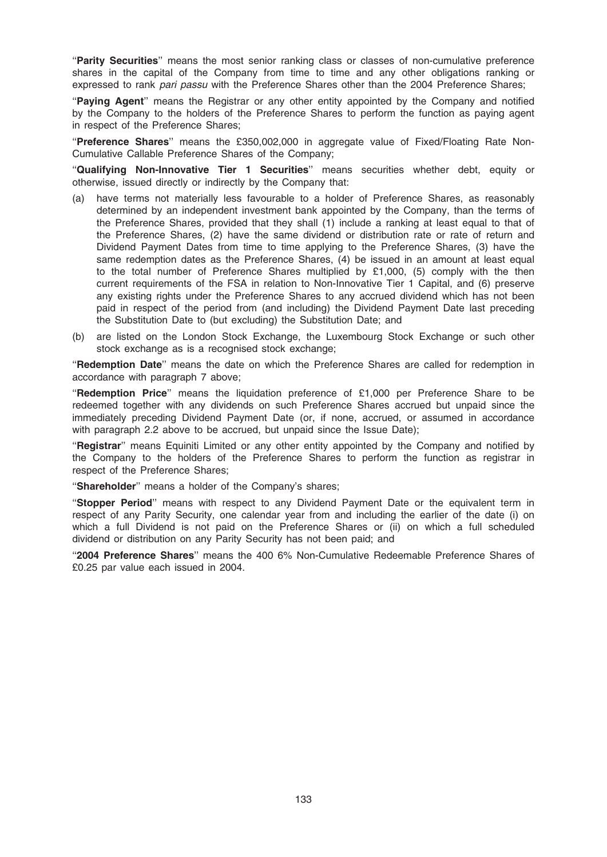''Parity Securities'' means the most senior ranking class or classes of non-cumulative preference shares in the capital of the Company from time to time and any other obligations ranking or expressed to rank pari passu with the Preference Shares other than the 2004 Preference Shares;

"Paying Agent" means the Registrar or any other entity appointed by the Company and notified by the Company to the holders of the Preference Shares to perform the function as paying agent in respect of the Preference Shares;

''Preference Shares'' means the £350,002,000 in aggregate value of Fixed/Floating Rate Non-Cumulative Callable Preference Shares of the Company;

''Qualifying Non-Innovative Tier 1 Securities'' means securities whether debt, equity or otherwise, issued directly or indirectly by the Company that:

- (a) have terms not materially less favourable to a holder of Preference Shares, as reasonably determined by an independent investment bank appointed by the Company, than the terms of the Preference Shares, provided that they shall (1) include a ranking at least equal to that of the Preference Shares, (2) have the same dividend or distribution rate or rate of return and Dividend Payment Dates from time to time applying to the Preference Shares, (3) have the same redemption dates as the Preference Shares, (4) be issued in an amount at least equal to the total number of Preference Shares multiplied by £1,000, (5) comply with the then current requirements of the FSA in relation to Non-Innovative Tier 1 Capital, and (6) preserve any existing rights under the Preference Shares to any accrued dividend which has not been paid in respect of the period from (and including) the Dividend Payment Date last preceding the Substitution Date to (but excluding) the Substitution Date; and
- (b) are listed on the London Stock Exchange, the Luxembourg Stock Exchange or such other stock exchange as is a recognised stock exchange:

"Redemption Date" means the date on which the Preference Shares are called for redemption in accordance with paragraph 7 above;

"Redemption Price" means the liquidation preference of £1,000 per Preference Share to be redeemed together with any dividends on such Preference Shares accrued but unpaid since the immediately preceding Dividend Payment Date (or, if none, accrued, or assumed in accordance with paragraph 2.2 above to be accrued, but unpaid since the Issue Date);

"Registrar" means Equiniti Limited or any other entity appointed by the Company and notified by the Company to the holders of the Preference Shares to perform the function as registrar in respect of the Preference Shares;

"Shareholder" means a holder of the Company's shares;

''Stopper Period'' means with respect to any Dividend Payment Date or the equivalent term in respect of any Parity Security, one calendar year from and including the earlier of the date (i) on which a full Dividend is not paid on the Preference Shares or (ii) on which a full scheduled dividend or distribution on any Parity Security has not been paid; and

"2004 Preference Shares" means the 400 6% Non-Cumulative Redeemable Preference Shares of £0.25 par value each issued in 2004.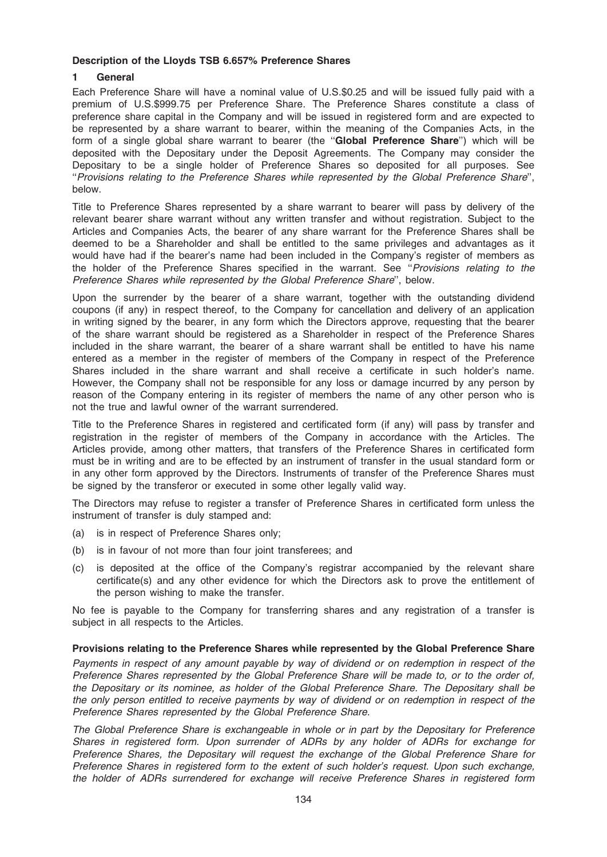## Description of the Lloyds TSB 6.657% Preference Shares

# 1 General

Each Preference Share will have a nominal value of U.S.\$0.25 and will be issued fully paid with a premium of U.S.\$999.75 per Preference Share. The Preference Shares constitute a class of preference share capital in the Company and will be issued in registered form and are expected to be represented by a share warrant to bearer, within the meaning of the Companies Acts, in the form of a single global share warrant to bearer (the "Global Preference Share") which will be deposited with the Depositary under the Deposit Agreements. The Company may consider the Depositary to be a single holder of Preference Shares so deposited for all purposes. See ''Provisions relating to the Preference Shares while represented by the Global Preference Share'', below.

Title to Preference Shares represented by a share warrant to bearer will pass by delivery of the relevant bearer share warrant without any written transfer and without registration. Subject to the Articles and Companies Acts, the bearer of any share warrant for the Preference Shares shall be deemed to be a Shareholder and shall be entitled to the same privileges and advantages as it would have had if the bearer's name had been included in the Company's register of members as the holder of the Preference Shares specified in the warrant. See "Provisions relating to the Preference Shares while represented by the Global Preference Share'', below.

Upon the surrender by the bearer of a share warrant, together with the outstanding dividend coupons (if any) in respect thereof, to the Company for cancellation and delivery of an application in writing signed by the bearer, in any form which the Directors approve, requesting that the bearer of the share warrant should be registered as a Shareholder in respect of the Preference Shares included in the share warrant, the bearer of a share warrant shall be entitled to have his name entered as a member in the register of members of the Company in respect of the Preference Shares included in the share warrant and shall receive a certificate in such holder's name. However, the Company shall not be responsible for any loss or damage incurred by any person by reason of the Company entering in its register of members the name of any other person who is not the true and lawful owner of the warrant surrendered.

Title to the Preference Shares in registered and certificated form (if any) will pass by transfer and registration in the register of members of the Company in accordance with the Articles. The Articles provide, among other matters, that transfers of the Preference Shares in certificated form must be in writing and are to be effected by an instrument of transfer in the usual standard form or in any other form approved by the Directors. Instruments of transfer of the Preference Shares must be signed by the transferor or executed in some other legally valid way.

The Directors may refuse to register a transfer of Preference Shares in certificated form unless the instrument of transfer is duly stamped and:

- (a) is in respect of Preference Shares only;
- (b) is in favour of not more than four joint transferees; and
- (c) is deposited at the office of the Company's registrar accompanied by the relevant share certificate(s) and any other evidence for which the Directors ask to prove the entitlement of the person wishing to make the transfer.

No fee is payable to the Company for transferring shares and any registration of a transfer is subject in all respects to the Articles.

# Provisions relating to the Preference Shares while represented by the Global Preference Share

Payments in respect of any amount payable by way of dividend or on redemption in respect of the Preference Shares represented by the Global Preference Share will be made to, or to the order of, the Depositary or its nominee, as holder of the Global Preference Share. The Depositary shall be the only person entitled to receive payments by way of dividend or on redemption in respect of the Preference Shares represented by the Global Preference Share.

The Global Preference Share is exchangeable in whole or in part by the Depositary for Preference Shares in registered form. Upon surrender of ADRs by any holder of ADRs for exchange for Preference Shares, the Depositary will request the exchange of the Global Preference Share for Preference Shares in registered form to the extent of such holder's request. Upon such exchange, the holder of ADRs surrendered for exchange will receive Preference Shares in registered form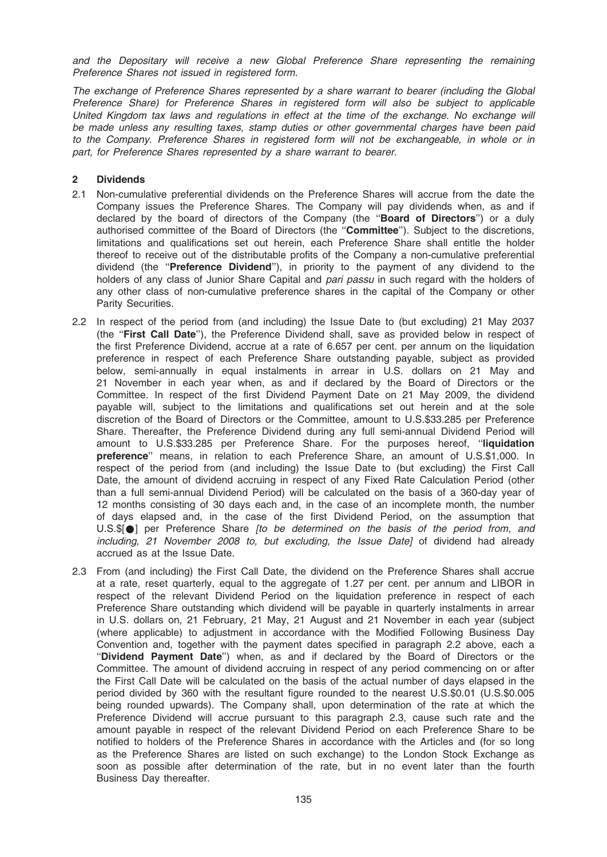and the Depositary will receive a new Global Preference Share representing the remaining Preference Shares not issued in registered form.

The exchange of Preference Shares represented by a share warrant to bearer (including the Global Preference Share) for Preference Shares in registered form will also be subject to applicable United Kingdom tax laws and regulations in effect at the time of the exchange. No exchange will be made unless any resulting taxes, stamp duties or other governmental charges have been paid to the Company. Preference Shares in registered form will not be exchangeable, in whole or in part, for Preference Shares represented by a share warrant to bearer.

## 2 Dividends

- 2.1 Non-cumulative preferential dividends on the Preference Shares will accrue from the date the Company issues the Preference Shares. The Company will pay dividends when, as and if declared by the board of directors of the Company (the "Board of Directors") or a duly authorised committee of the Board of Directors (the "Committee"). Subject to the discretions, limitations and qualifications set out herein, each Preference Share shall entitle the holder thereof to receive out of the distributable profits of the Company a non-cumulative preferential dividend (the "Preference Dividend"), in priority to the payment of any dividend to the holders of any class of Junior Share Capital and *pari passu* in such regard with the holders of any other class of non-cumulative preference shares in the capital of the Company or other Parity Securities.
- 2.2 In respect of the period from (and including) the Issue Date to (but excluding) 21 May 2037 (the ''First Call Date''), the Preference Dividend shall, save as provided below in respect of the first Preference Dividend, accrue at a rate of 6.657 per cent. per annum on the liquidation preference in respect of each Preference Share outstanding payable, subject as provided below, semi-annually in equal instalments in arrear in U.S. dollars on 21 May and 21 November in each year when, as and if declared by the Board of Directors or the Committee. In respect of the first Dividend Payment Date on 21 May 2009, the dividend payable will, subject to the limitations and qualifications set out herein and at the sole discretion of the Board of Directors or the Committee, amount to U.S.\$33.285 per Preference Share. Thereafter, the Preference Dividend during any full semi-annual Dividend Period will amount to U.S.\$33.285 per Preference Share. For the purposes hereof, "liquidation preference'' means, in relation to each Preference Share, an amount of U.S.\$1,000. In respect of the period from (and including) the Issue Date to (but excluding) the First Call Date, the amount of dividend accruing in respect of any Fixed Rate Calculation Period (other than a full semi-annual Dividend Period) will be calculated on the basis of a 360-day year of 12 months consisting of 30 days each and, in the case of an incomplete month, the number of days elapsed and, in the case of the first Dividend Period, on the assumption that U.S.\$[ $\bullet$ ] per Preference Share [to be determined on the basis of the period from, and including, 21 November 2008 to, but excluding, the Issue Date] of dividend had already accrued as at the Issue Date.
- 2.3 From (and including) the First Call Date, the dividend on the Preference Shares shall accrue at a rate, reset quarterly, equal to the aggregate of 1.27 per cent. per annum and LIBOR in respect of the relevant Dividend Period on the liquidation preference in respect of each Preference Share outstanding which dividend will be payable in quarterly instalments in arrear in U.S. dollars on, 21 February, 21 May, 21 August and 21 November in each year (subject (where applicable) to adjustment in accordance with the Modified Following Business Day Convention and, together with the payment dates specified in paragraph 2.2 above, each a ''Dividend Payment Date'') when, as and if declared by the Board of Directors or the Committee. The amount of dividend accruing in respect of any period commencing on or after the First Call Date will be calculated on the basis of the actual number of days elapsed in the period divided by 360 with the resultant figure rounded to the nearest U.S.\$0.01 (U.S.\$0.005 being rounded upwards). The Company shall, upon determination of the rate at which the Preference Dividend will accrue pursuant to this paragraph 2.3, cause such rate and the amount payable in respect of the relevant Dividend Period on each Preference Share to be notified to holders of the Preference Shares in accordance with the Articles and (for so long as the Preference Shares are listed on such exchange) to the London Stock Exchange as soon as possible after determination of the rate, but in no event later than the fourth Business Day thereafter.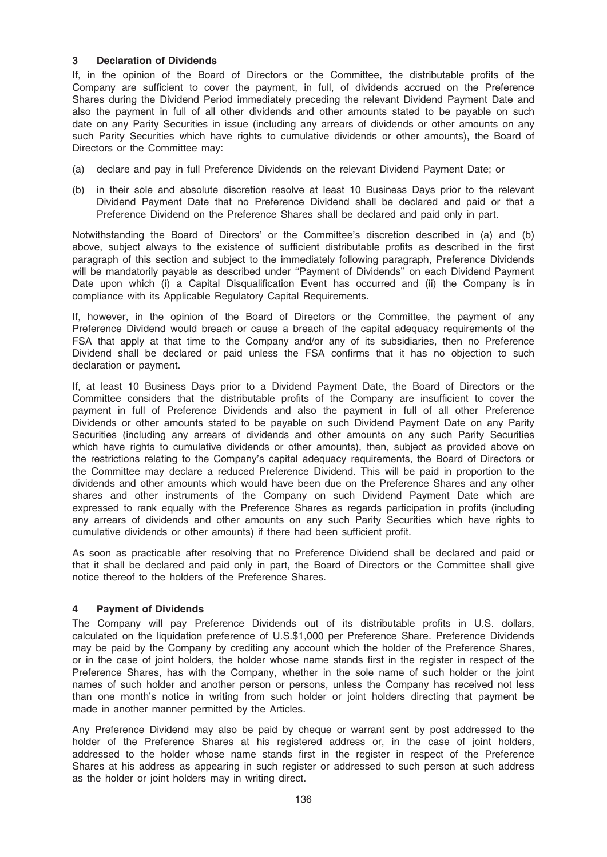# 3 Declaration of Dividends

If, in the opinion of the Board of Directors or the Committee, the distributable profits of the Company are sufficient to cover the payment, in full, of dividends accrued on the Preference Shares during the Dividend Period immediately preceding the relevant Dividend Payment Date and also the payment in full of all other dividends and other amounts stated to be payable on such date on any Parity Securities in issue (including any arrears of dividends or other amounts on any such Parity Securities which have rights to cumulative dividends or other amounts), the Board of Directors or the Committee may:

- (a) declare and pay in full Preference Dividends on the relevant Dividend Payment Date; or
- (b) in their sole and absolute discretion resolve at least 10 Business Days prior to the relevant Dividend Payment Date that no Preference Dividend shall be declared and paid or that a Preference Dividend on the Preference Shares shall be declared and paid only in part.

Notwithstanding the Board of Directors' or the Committee's discretion described in (a) and (b) above, subject always to the existence of sufficient distributable profits as described in the first paragraph of this section and subject to the immediately following paragraph, Preference Dividends will be mandatorily payable as described under ''Payment of Dividends'' on each Dividend Payment Date upon which (i) a Capital Disqualification Event has occurred and (ii) the Company is in compliance with its Applicable Regulatory Capital Requirements.

If, however, in the opinion of the Board of Directors or the Committee, the payment of any Preference Dividend would breach or cause a breach of the capital adequacy requirements of the FSA that apply at that time to the Company and/or any of its subsidiaries, then no Preference Dividend shall be declared or paid unless the FSA confirms that it has no objection to such declaration or payment.

If, at least 10 Business Days prior to a Dividend Payment Date, the Board of Directors or the Committee considers that the distributable profits of the Company are insufficient to cover the payment in full of Preference Dividends and also the payment in full of all other Preference Dividends or other amounts stated to be payable on such Dividend Payment Date on any Parity Securities (including any arrears of dividends and other amounts on any such Parity Securities which have rights to cumulative dividends or other amounts), then, subject as provided above on the restrictions relating to the Company's capital adequacy requirements, the Board of Directors or the Committee may declare a reduced Preference Dividend. This will be paid in proportion to the dividends and other amounts which would have been due on the Preference Shares and any other shares and other instruments of the Company on such Dividend Payment Date which are expressed to rank equally with the Preference Shares as regards participation in profits (including any arrears of dividends and other amounts on any such Parity Securities which have rights to cumulative dividends or other amounts) if there had been sufficient profit.

As soon as practicable after resolving that no Preference Dividend shall be declared and paid or that it shall be declared and paid only in part, the Board of Directors or the Committee shall give notice thereof to the holders of the Preference Shares.

# 4 Payment of Dividends

The Company will pay Preference Dividends out of its distributable profits in U.S. dollars, calculated on the liquidation preference of U.S.\$1,000 per Preference Share. Preference Dividends may be paid by the Company by crediting any account which the holder of the Preference Shares, or in the case of joint holders, the holder whose name stands first in the register in respect of the Preference Shares, has with the Company, whether in the sole name of such holder or the joint names of such holder and another person or persons, unless the Company has received not less than one month's notice in writing from such holder or joint holders directing that payment be made in another manner permitted by the Articles.

Any Preference Dividend may also be paid by cheque or warrant sent by post addressed to the holder of the Preference Shares at his registered address or, in the case of joint holders, addressed to the holder whose name stands first in the register in respect of the Preference Shares at his address as appearing in such register or addressed to such person at such address as the holder or joint holders may in writing direct.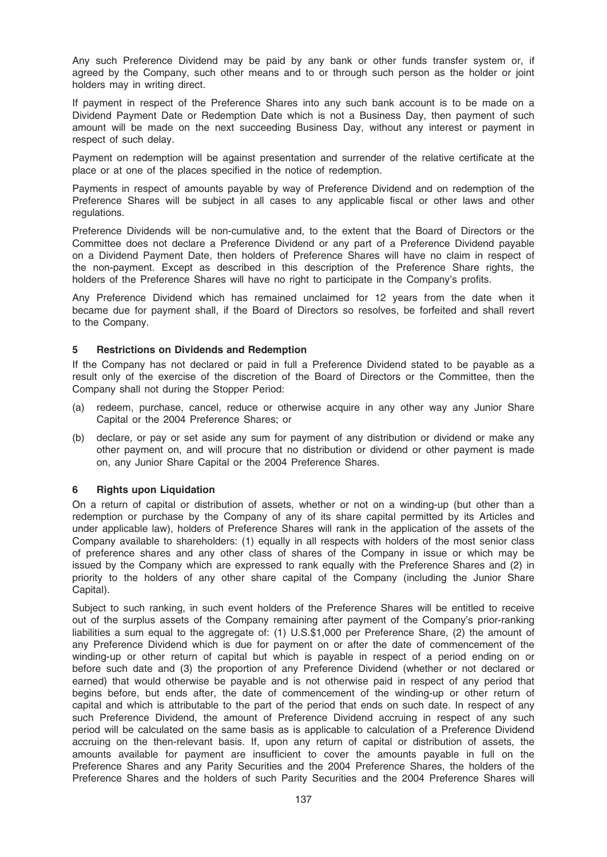Any such Preference Dividend may be paid by any bank or other funds transfer system or, if agreed by the Company, such other means and to or through such person as the holder or joint holders may in writing direct.

If payment in respect of the Preference Shares into any such bank account is to be made on a Dividend Payment Date or Redemption Date which is not a Business Day, then payment of such amount will be made on the next succeeding Business Day, without any interest or payment in respect of such delay.

Payment on redemption will be against presentation and surrender of the relative certificate at the place or at one of the places specified in the notice of redemption.

Payments in respect of amounts payable by way of Preference Dividend and on redemption of the Preference Shares will be subject in all cases to any applicable fiscal or other laws and other regulations.

Preference Dividends will be non-cumulative and, to the extent that the Board of Directors or the Committee does not declare a Preference Dividend or any part of a Preference Dividend payable on a Dividend Payment Date, then holders of Preference Shares will have no claim in respect of the non-payment. Except as described in this description of the Preference Share rights, the holders of the Preference Shares will have no right to participate in the Company's profits.

Any Preference Dividend which has remained unclaimed for 12 years from the date when it became due for payment shall, if the Board of Directors so resolves, be forfeited and shall revert to the Company.

## 5 Restrictions on Dividends and Redemption

If the Company has not declared or paid in full a Preference Dividend stated to be payable as a result only of the exercise of the discretion of the Board of Directors or the Committee, then the Company shall not during the Stopper Period:

- (a) redeem, purchase, cancel, reduce or otherwise acquire in any other way any Junior Share Capital or the 2004 Preference Shares; or
- (b) declare, or pay or set aside any sum for payment of any distribution or dividend or make any other payment on, and will procure that no distribution or dividend or other payment is made on, any Junior Share Capital or the 2004 Preference Shares.

# 6 Rights upon Liquidation

On a return of capital or distribution of assets, whether or not on a winding-up (but other than a redemption or purchase by the Company of any of its share capital permitted by its Articles and under applicable law), holders of Preference Shares will rank in the application of the assets of the Company available to shareholders: (1) equally in all respects with holders of the most senior class of preference shares and any other class of shares of the Company in issue or which may be issued by the Company which are expressed to rank equally with the Preference Shares and (2) in priority to the holders of any other share capital of the Company (including the Junior Share Capital).

Subject to such ranking, in such event holders of the Preference Shares will be entitled to receive out of the surplus assets of the Company remaining after payment of the Company's prior-ranking liabilities a sum equal to the aggregate of: (1) U.S.\$1,000 per Preference Share, (2) the amount of any Preference Dividend which is due for payment on or after the date of commencement of the winding-up or other return of capital but which is payable in respect of a period ending on or before such date and (3) the proportion of any Preference Dividend (whether or not declared or earned) that would otherwise be payable and is not otherwise paid in respect of any period that begins before, but ends after, the date of commencement of the winding-up or other return of capital and which is attributable to the part of the period that ends on such date. In respect of any such Preference Dividend, the amount of Preference Dividend accruing in respect of any such period will be calculated on the same basis as is applicable to calculation of a Preference Dividend accruing on the then-relevant basis. If, upon any return of capital or distribution of assets, the amounts available for payment are insufficient to cover the amounts payable in full on the Preference Shares and any Parity Securities and the 2004 Preference Shares, the holders of the Preference Shares and the holders of such Parity Securities and the 2004 Preference Shares will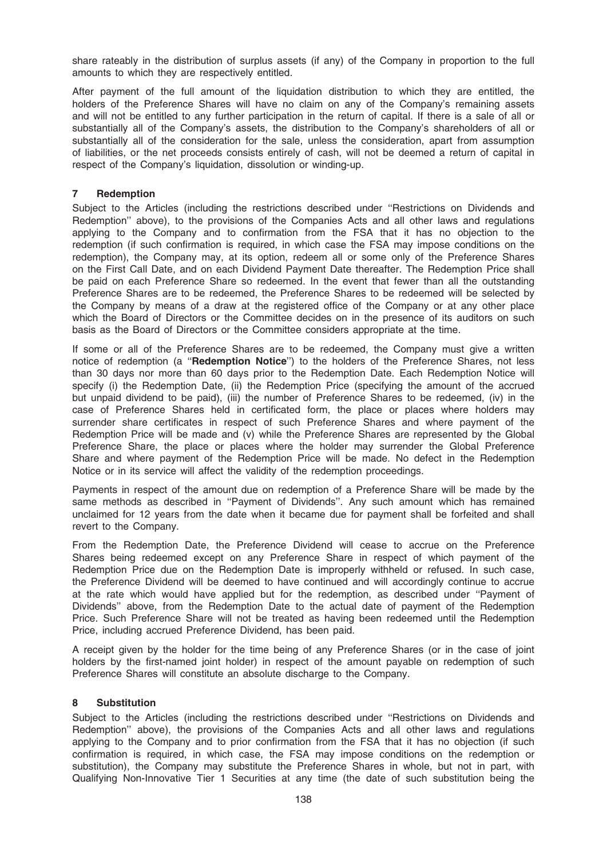share rateably in the distribution of surplus assets (if any) of the Company in proportion to the full amounts to which they are respectively entitled.

After payment of the full amount of the liquidation distribution to which they are entitled, the holders of the Preference Shares will have no claim on any of the Company's remaining assets and will not be entitled to any further participation in the return of capital. If there is a sale of all or substantially all of the Company's assets, the distribution to the Company's shareholders of all or substantially all of the consideration for the sale, unless the consideration, apart from assumption of liabilities, or the net proceeds consists entirely of cash, will not be deemed a return of capital in respect of the Company's liquidation, dissolution or winding-up.

## 7 Redemption

Subject to the Articles (including the restrictions described under ''Restrictions on Dividends and Redemption'' above), to the provisions of the Companies Acts and all other laws and regulations applying to the Company and to confirmation from the FSA that it has no objection to the redemption (if such confirmation is required, in which case the FSA may impose conditions on the redemption), the Company may, at its option, redeem all or some only of the Preference Shares on the First Call Date, and on each Dividend Payment Date thereafter. The Redemption Price shall be paid on each Preference Share so redeemed. In the event that fewer than all the outstanding Preference Shares are to be redeemed, the Preference Shares to be redeemed will be selected by the Company by means of a draw at the registered office of the Company or at any other place which the Board of Directors or the Committee decides on in the presence of its auditors on such basis as the Board of Directors or the Committee considers appropriate at the time.

If some or all of the Preference Shares are to be redeemed, the Company must give a written notice of redemption (a "Redemption Notice") to the holders of the Preference Shares, not less than 30 days nor more than 60 days prior to the Redemption Date. Each Redemption Notice will specify (i) the Redemption Date, (ii) the Redemption Price (specifying the amount of the accrued but unpaid dividend to be paid), (iii) the number of Preference Shares to be redeemed, (iv) in the case of Preference Shares held in certificated form, the place or places where holders may surrender share certificates in respect of such Preference Shares and where payment of the Redemption Price will be made and (v) while the Preference Shares are represented by the Global Preference Share, the place or places where the holder may surrender the Global Preference Share and where payment of the Redemption Price will be made. No defect in the Redemption Notice or in its service will affect the validity of the redemption proceedings.

Payments in respect of the amount due on redemption of a Preference Share will be made by the same methods as described in "Payment of Dividends". Any such amount which has remained unclaimed for 12 years from the date when it became due for payment shall be forfeited and shall revert to the Company.

From the Redemption Date, the Preference Dividend will cease to accrue on the Preference Shares being redeemed except on any Preference Share in respect of which payment of the Redemption Price due on the Redemption Date is improperly withheld or refused. In such case, the Preference Dividend will be deemed to have continued and will accordingly continue to accrue at the rate which would have applied but for the redemption, as described under ''Payment of Dividends'' above, from the Redemption Date to the actual date of payment of the Redemption Price. Such Preference Share will not be treated as having been redeemed until the Redemption Price, including accrued Preference Dividend, has been paid.

A receipt given by the holder for the time being of any Preference Shares (or in the case of joint holders by the first-named joint holder) in respect of the amount payable on redemption of such Preference Shares will constitute an absolute discharge to the Company.

# 8 Substitution

Subject to the Articles (including the restrictions described under ''Restrictions on Dividends and Redemption'' above), the provisions of the Companies Acts and all other laws and regulations applying to the Company and to prior confirmation from the FSA that it has no objection (if such confirmation is required, in which case, the FSA may impose conditions on the redemption or substitution), the Company may substitute the Preference Shares in whole, but not in part, with Qualifying Non-Innovative Tier 1 Securities at any time (the date of such substitution being the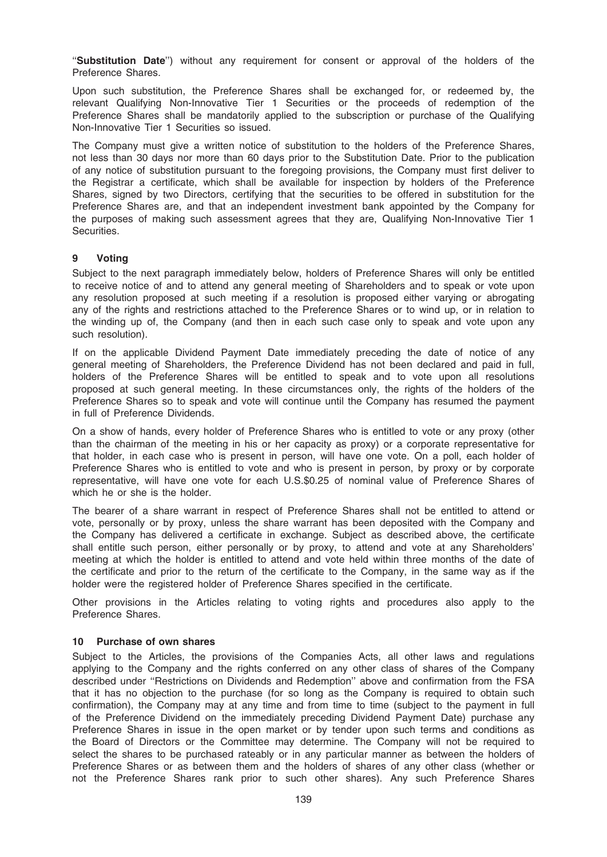"Substitution Date") without any requirement for consent or approval of the holders of the Preference Shares.

Upon such substitution, the Preference Shares shall be exchanged for, or redeemed by, the relevant Qualifying Non-Innovative Tier 1 Securities or the proceeds of redemption of the Preference Shares shall be mandatorily applied to the subscription or purchase of the Qualifying Non-Innovative Tier 1 Securities so issued.

The Company must give a written notice of substitution to the holders of the Preference Shares, not less than 30 days nor more than 60 days prior to the Substitution Date. Prior to the publication of any notice of substitution pursuant to the foregoing provisions, the Company must first deliver to the Registrar a certificate, which shall be available for inspection by holders of the Preference Shares, signed by two Directors, certifying that the securities to be offered in substitution for the Preference Shares are, and that an independent investment bank appointed by the Company for the purposes of making such assessment agrees that they are, Qualifying Non-Innovative Tier 1 Securities.

## 9 Voting

Subject to the next paragraph immediately below, holders of Preference Shares will only be entitled to receive notice of and to attend any general meeting of Shareholders and to speak or vote upon any resolution proposed at such meeting if a resolution is proposed either varying or abrogating any of the rights and restrictions attached to the Preference Shares or to wind up, or in relation to the winding up of, the Company (and then in each such case only to speak and vote upon any such resolution).

If on the applicable Dividend Payment Date immediately preceding the date of notice of any general meeting of Shareholders, the Preference Dividend has not been declared and paid in full, holders of the Preference Shares will be entitled to speak and to vote upon all resolutions proposed at such general meeting. In these circumstances only, the rights of the holders of the Preference Shares so to speak and vote will continue until the Company has resumed the payment in full of Preference Dividends.

On a show of hands, every holder of Preference Shares who is entitled to vote or any proxy (other than the chairman of the meeting in his or her capacity as proxy) or a corporate representative for that holder, in each case who is present in person, will have one vote. On a poll, each holder of Preference Shares who is entitled to vote and who is present in person, by proxy or by corporate representative, will have one vote for each U.S.\$0.25 of nominal value of Preference Shares of which he or she is the holder.

The bearer of a share warrant in respect of Preference Shares shall not be entitled to attend or vote, personally or by proxy, unless the share warrant has been deposited with the Company and the Company has delivered a certificate in exchange. Subject as described above, the certificate shall entitle such person, either personally or by proxy, to attend and vote at any Shareholders' meeting at which the holder is entitled to attend and vote held within three months of the date of the certificate and prior to the return of the certificate to the Company, in the same way as if the holder were the registered holder of Preference Shares specified in the certificate.

Other provisions in the Articles relating to voting rights and procedures also apply to the Preference Shares.

### 10 Purchase of own shares

Subject to the Articles, the provisions of the Companies Acts, all other laws and regulations applying to the Company and the rights conferred on any other class of shares of the Company described under ''Restrictions on Dividends and Redemption'' above and confirmation from the FSA that it has no objection to the purchase (for so long as the Company is required to obtain such confirmation), the Company may at any time and from time to time (subject to the payment in full of the Preference Dividend on the immediately preceding Dividend Payment Date) purchase any Preference Shares in issue in the open market or by tender upon such terms and conditions as the Board of Directors or the Committee may determine. The Company will not be required to select the shares to be purchased rateably or in any particular manner as between the holders of Preference Shares or as between them and the holders of shares of any other class (whether or not the Preference Shares rank prior to such other shares). Any such Preference Shares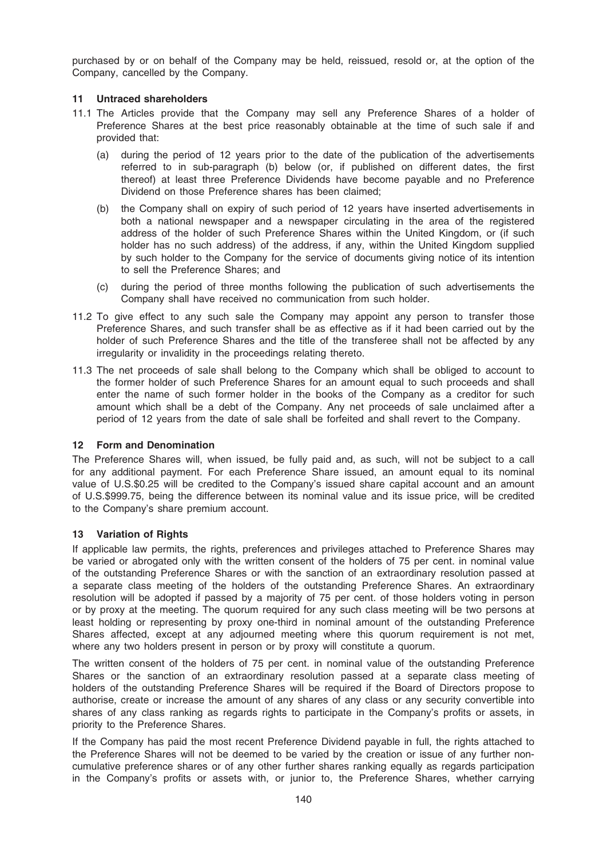purchased by or on behalf of the Company may be held, reissued, resold or, at the option of the Company, cancelled by the Company.

## 11 Untraced shareholders

- 11.1 The Articles provide that the Company may sell any Preference Shares of a holder of Preference Shares at the best price reasonably obtainable at the time of such sale if and provided that:
	- (a) during the period of 12 years prior to the date of the publication of the advertisements referred to in sub-paragraph (b) below (or, if published on different dates, the first thereof) at least three Preference Dividends have become payable and no Preference Dividend on those Preference shares has been claimed;
	- (b) the Company shall on expiry of such period of 12 years have inserted advertisements in both a national newspaper and a newspaper circulating in the area of the registered address of the holder of such Preference Shares within the United Kingdom, or (if such holder has no such address) of the address, if any, within the United Kingdom supplied by such holder to the Company for the service of documents giving notice of its intention to sell the Preference Shares; and
	- (c) during the period of three months following the publication of such advertisements the Company shall have received no communication from such holder.
- 11.2 To give effect to any such sale the Company may appoint any person to transfer those Preference Shares, and such transfer shall be as effective as if it had been carried out by the holder of such Preference Shares and the title of the transferee shall not be affected by any irregularity or invalidity in the proceedings relating thereto.
- 11.3 The net proceeds of sale shall belong to the Company which shall be obliged to account to the former holder of such Preference Shares for an amount equal to such proceeds and shall enter the name of such former holder in the books of the Company as a creditor for such amount which shall be a debt of the Company. Any net proceeds of sale unclaimed after a period of 12 years from the date of sale shall be forfeited and shall revert to the Company.

### 12 Form and Denomination

The Preference Shares will, when issued, be fully paid and, as such, will not be subject to a call for any additional payment. For each Preference Share issued, an amount equal to its nominal value of U.S.\$0.25 will be credited to the Company's issued share capital account and an amount of U.S.\$999.75, being the difference between its nominal value and its issue price, will be credited to the Company's share premium account.

### 13 Variation of Rights

If applicable law permits, the rights, preferences and privileges attached to Preference Shares may be varied or abrogated only with the written consent of the holders of 75 per cent. in nominal value of the outstanding Preference Shares or with the sanction of an extraordinary resolution passed at a separate class meeting of the holders of the outstanding Preference Shares. An extraordinary resolution will be adopted if passed by a majority of 75 per cent. of those holders voting in person or by proxy at the meeting. The quorum required for any such class meeting will be two persons at least holding or representing by proxy one-third in nominal amount of the outstanding Preference Shares affected, except at any adjourned meeting where this quorum requirement is not met, where any two holders present in person or by proxy will constitute a quorum.

The written consent of the holders of 75 per cent. in nominal value of the outstanding Preference Shares or the sanction of an extraordinary resolution passed at a separate class meeting of holders of the outstanding Preference Shares will be required if the Board of Directors propose to authorise, create or increase the amount of any shares of any class or any security convertible into shares of any class ranking as regards rights to participate in the Company's profits or assets, in priority to the Preference Shares.

If the Company has paid the most recent Preference Dividend payable in full, the rights attached to the Preference Shares will not be deemed to be varied by the creation or issue of any further noncumulative preference shares or of any other further shares ranking equally as regards participation in the Company's profits or assets with, or junior to, the Preference Shares, whether carrying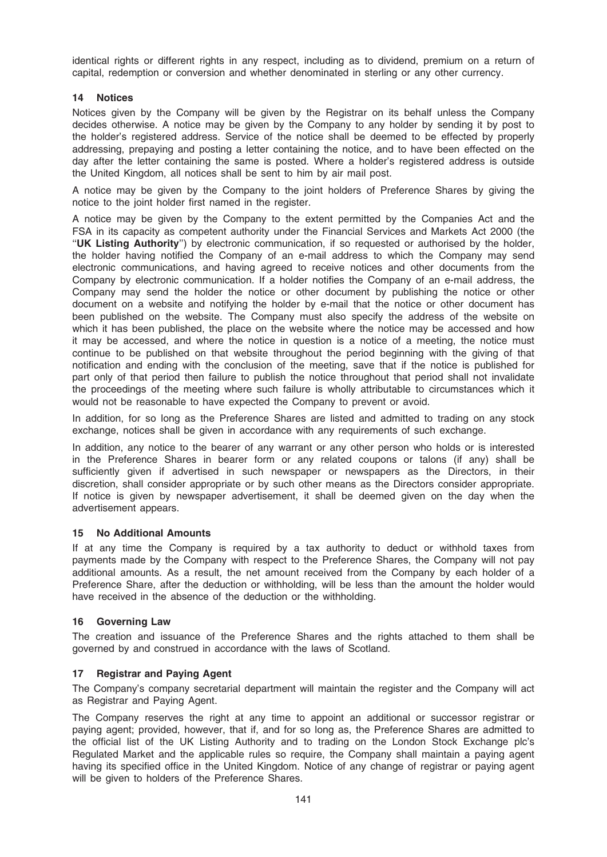identical rights or different rights in any respect, including as to dividend, premium on a return of capital, redemption or conversion and whether denominated in sterling or any other currency.

# 14 Notices

Notices given by the Company will be given by the Registrar on its behalf unless the Company decides otherwise. A notice may be given by the Company to any holder by sending it by post to the holder's registered address. Service of the notice shall be deemed to be effected by properly addressing, prepaying and posting a letter containing the notice, and to have been effected on the day after the letter containing the same is posted. Where a holder's registered address is outside the United Kingdom, all notices shall be sent to him by air mail post.

A notice may be given by the Company to the joint holders of Preference Shares by giving the notice to the joint holder first named in the register.

A notice may be given by the Company to the extent permitted by the Companies Act and the FSA in its capacity as competent authority under the Financial Services and Markets Act 2000 (the ''UK Listing Authority'') by electronic communication, if so requested or authorised by the holder, the holder having notified the Company of an e-mail address to which the Company may send electronic communications, and having agreed to receive notices and other documents from the Company by electronic communication. If a holder notifies the Company of an e-mail address, the Company may send the holder the notice or other document by publishing the notice or other document on a website and notifying the holder by e-mail that the notice or other document has been published on the website. The Company must also specify the address of the website on which it has been published, the place on the website where the notice may be accessed and how it may be accessed, and where the notice in question is a notice of a meeting, the notice must continue to be published on that website throughout the period beginning with the giving of that notification and ending with the conclusion of the meeting, save that if the notice is published for part only of that period then failure to publish the notice throughout that period shall not invalidate the proceedings of the meeting where such failure is wholly attributable to circumstances which it would not be reasonable to have expected the Company to prevent or avoid.

In addition, for so long as the Preference Shares are listed and admitted to trading on any stock exchange, notices shall be given in accordance with any requirements of such exchange.

In addition, any notice to the bearer of any warrant or any other person who holds or is interested in the Preference Shares in bearer form or any related coupons or talons (if any) shall be sufficiently given if advertised in such newspaper or newspapers as the Directors, in their discretion, shall consider appropriate or by such other means as the Directors consider appropriate. If notice is given by newspaper advertisement, it shall be deemed given on the day when the advertisement appears.

# 15 No Additional Amounts

If at any time the Company is required by a tax authority to deduct or withhold taxes from payments made by the Company with respect to the Preference Shares, the Company will not pay additional amounts. As a result, the net amount received from the Company by each holder of a Preference Share, after the deduction or withholding, will be less than the amount the holder would have received in the absence of the deduction or the withholding.

# 16 Governing Law

The creation and issuance of the Preference Shares and the rights attached to them shall be governed by and construed in accordance with the laws of Scotland.

# 17 Registrar and Paying Agent

The Company's company secretarial department will maintain the register and the Company will act as Registrar and Paying Agent.

The Company reserves the right at any time to appoint an additional or successor registrar or paying agent; provided, however, that if, and for so long as, the Preference Shares are admitted to the official list of the UK Listing Authority and to trading on the London Stock Exchange plc's Regulated Market and the applicable rules so require, the Company shall maintain a paying agent having its specified office in the United Kingdom. Notice of any change of registrar or paying agent will be given to holders of the Preference Shares.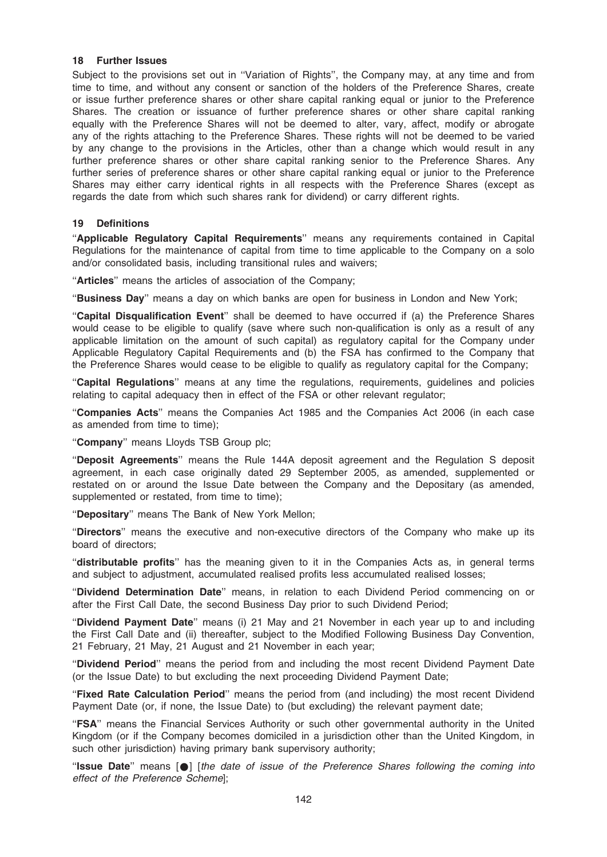### 18 Further Issues

Subject to the provisions set out in ''Variation of Rights'', the Company may, at any time and from time to time, and without any consent or sanction of the holders of the Preference Shares, create or issue further preference shares or other share capital ranking equal or junior to the Preference Shares. The creation or issuance of further preference shares or other share capital ranking equally with the Preference Shares will not be deemed to alter, vary, affect, modify or abrogate any of the rights attaching to the Preference Shares. These rights will not be deemed to be varied by any change to the provisions in the Articles, other than a change which would result in any further preference shares or other share capital ranking senior to the Preference Shares. Any further series of preference shares or other share capital ranking equal or junior to the Preference Shares may either carry identical rights in all respects with the Preference Shares (except as regards the date from which such shares rank for dividend) or carry different rights.

# 19 Definitions

''Applicable Regulatory Capital Requirements'' means any requirements contained in Capital Regulations for the maintenance of capital from time to time applicable to the Company on a solo and/or consolidated basis, including transitional rules and waivers;

''Articles'' means the articles of association of the Company;

"Business Day" means a day on which banks are open for business in London and New York;

''Capital Disqualification Event'' shall be deemed to have occurred if (a) the Preference Shares would cease to be eligible to qualify (save where such non-qualification is only as a result of any applicable limitation on the amount of such capital) as regulatory capital for the Company under Applicable Regulatory Capital Requirements and (b) the FSA has confirmed to the Company that the Preference Shares would cease to be eligible to qualify as regulatory capital for the Company;

''Capital Regulations'' means at any time the regulations, requirements, guidelines and policies relating to capital adequacy then in effect of the FSA or other relevant regulator;

"Companies Acts" means the Companies Act 1985 and the Companies Act 2006 (in each case as amended from time to time);

''Company'' means Lloyds TSB Group plc;

''Deposit Agreements'' means the Rule 144A deposit agreement and the Regulation S deposit agreement, in each case originally dated 29 September 2005, as amended, supplemented or restated on or around the Issue Date between the Company and the Depositary (as amended, supplemented or restated, from time to time);

"Depositary" means The Bank of New York Mellon;

''Directors'' means the executive and non-executive directors of the Company who make up its board of directors;

"distributable profits" has the meaning given to it in the Companies Acts as, in general terms and subject to adjustment, accumulated realised profits less accumulated realised losses;

''Dividend Determination Date'' means, in relation to each Dividend Period commencing on or after the First Call Date, the second Business Day prior to such Dividend Period;

''Dividend Payment Date'' means (i) 21 May and 21 November in each year up to and including the First Call Date and (ii) thereafter, subject to the Modified Following Business Day Convention, 21 February, 21 May, 21 August and 21 November in each year;

''Dividend Period'' means the period from and including the most recent Dividend Payment Date (or the Issue Date) to but excluding the next proceeding Dividend Payment Date;

''Fixed Rate Calculation Period'' means the period from (and including) the most recent Dividend Payment Date (or, if none, the Issue Date) to (but excluding) the relevant payment date;

"FSA" means the Financial Services Authority or such other governmental authority in the United Kingdom (or if the Company becomes domiciled in a jurisdiction other than the United Kingdom, in such other jurisdiction) having primary bank supervisory authority;

"Issue Date" means [ $\bullet$ ] [the date of issue of the Preference Shares following the coming into effect of the Preference Scheme];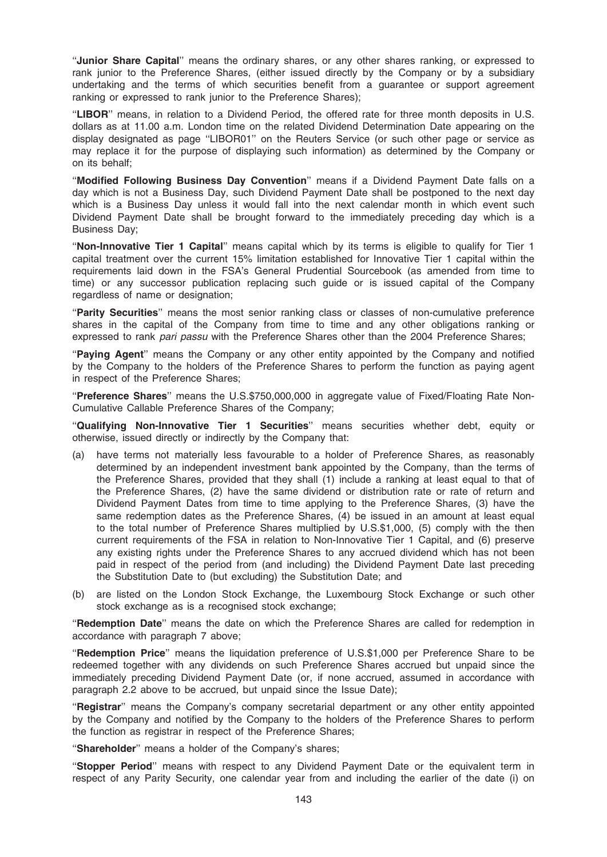"Junior Share Capital" means the ordinary shares, or any other shares ranking, or expressed to rank junior to the Preference Shares, (either issued directly by the Company or by a subsidiary undertaking and the terms of which securities benefit from a guarantee or support agreement ranking or expressed to rank junior to the Preference Shares);

"LIBOR" means, in relation to a Dividend Period, the offered rate for three month deposits in U.S. dollars as at 11.00 a.m. London time on the related Dividend Determination Date appearing on the display designated as page ''LIBOR01'' on the Reuters Service (or such other page or service as may replace it for the purpose of displaying such information) as determined by the Company or on its behalf;

''Modified Following Business Day Convention'' means if a Dividend Payment Date falls on a day which is not a Business Day, such Dividend Payment Date shall be postponed to the next day which is a Business Day unless it would fall into the next calendar month in which event such Dividend Payment Date shall be brought forward to the immediately preceding day which is a Business Day;

''Non-Innovative Tier 1 Capital'' means capital which by its terms is eligible to qualify for Tier 1 capital treatment over the current 15% limitation established for Innovative Tier 1 capital within the requirements laid down in the FSA's General Prudential Sourcebook (as amended from time to time) or any successor publication replacing such guide or is issued capital of the Company regardless of name or designation;

"Parity Securities" means the most senior ranking class or classes of non-cumulative preference shares in the capital of the Company from time to time and any other obligations ranking or expressed to rank pari passu with the Preference Shares other than the 2004 Preference Shares;

"Paying Agent" means the Company or any other entity appointed by the Company and notified by the Company to the holders of the Preference Shares to perform the function as paying agent in respect of the Preference Shares;

''Preference Shares'' means the U.S.\$750,000,000 in aggregate value of Fixed/Floating Rate Non-Cumulative Callable Preference Shares of the Company;

''Qualifying Non-Innovative Tier 1 Securities'' means securities whether debt, equity or otherwise, issued directly or indirectly by the Company that:

- (a) have terms not materially less favourable to a holder of Preference Shares, as reasonably determined by an independent investment bank appointed by the Company, than the terms of the Preference Shares, provided that they shall (1) include a ranking at least equal to that of the Preference Shares, (2) have the same dividend or distribution rate or rate of return and Dividend Payment Dates from time to time applying to the Preference Shares, (3) have the same redemption dates as the Preference Shares, (4) be issued in an amount at least equal to the total number of Preference Shares multiplied by U.S.\$1,000, (5) comply with the then current requirements of the FSA in relation to Non-Innovative Tier 1 Capital, and (6) preserve any existing rights under the Preference Shares to any accrued dividend which has not been paid in respect of the period from (and including) the Dividend Payment Date last preceding the Substitution Date to (but excluding) the Substitution Date; and
- (b) are listed on the London Stock Exchange, the Luxembourg Stock Exchange or such other stock exchange as is a recognised stock exchange;

''Redemption Date'' means the date on which the Preference Shares are called for redemption in accordance with paragraph 7 above;

''Redemption Price'' means the liquidation preference of U.S.\$1,000 per Preference Share to be redeemed together with any dividends on such Preference Shares accrued but unpaid since the immediately preceding Dividend Payment Date (or, if none accrued, assumed in accordance with paragraph 2.2 above to be accrued, but unpaid since the Issue Date);

"Registrar" means the Company's company secretarial department or any other entity appointed by the Company and notified by the Company to the holders of the Preference Shares to perform the function as registrar in respect of the Preference Shares;

"Shareholder" means a holder of the Company's shares;

''Stopper Period'' means with respect to any Dividend Payment Date or the equivalent term in respect of any Parity Security, one calendar year from and including the earlier of the date (i) on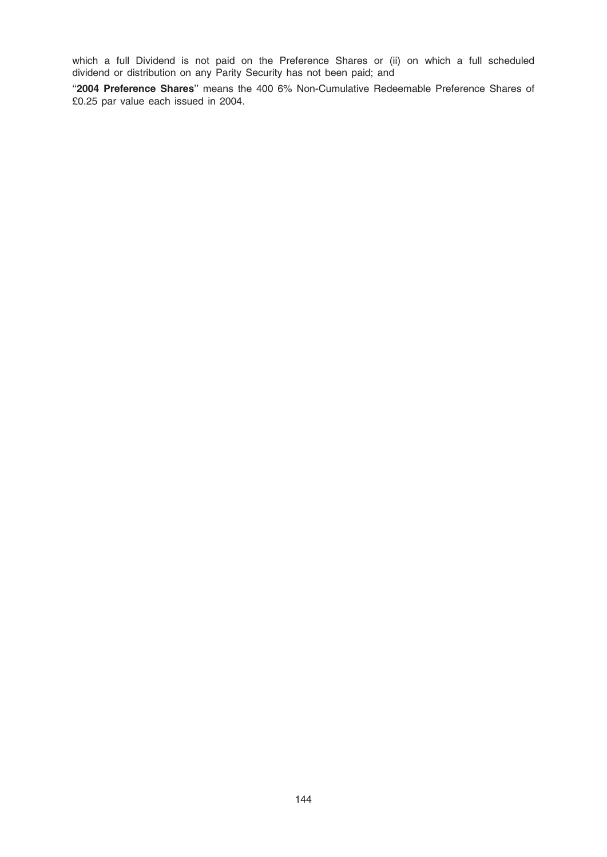which a full Dividend is not paid on the Preference Shares or (ii) on which a full scheduled dividend or distribution on any Parity Security has not been paid; and

"2004 Preference Shares" means the 400 6% Non-Cumulative Redeemable Preference Shares of £0.25 par value each issued in 2004.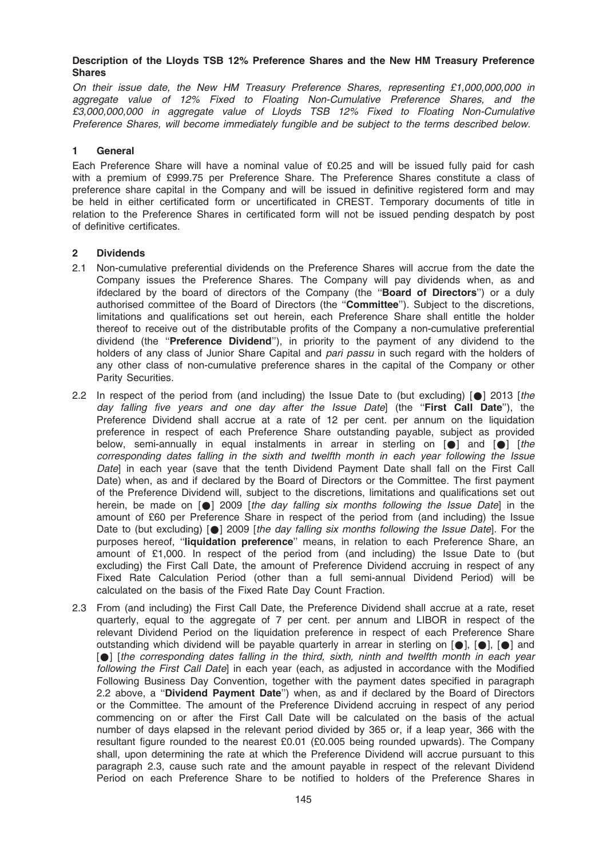#### Description of the Lloyds TSB 12% Preference Shares and the New HM Treasury Preference Shares

On their issue date, the New HM Treasury Preference Shares, representing £1,000,000,000 in aggregate value of 12% Fixed to Floating Non-Cumulative Preference Shares, and the £3,000,000,000 in aggregate value of Lloyds TSB 12% Fixed to Floating Non-Cumulative Preference Shares, will become immediately fungible and be subject to the terms described below.

#### 1 General

Each Preference Share will have a nominal value of £0.25 and will be issued fully paid for cash with a premium of £999.75 per Preference Share. The Preference Shares constitute a class of preference share capital in the Company and will be issued in definitive registered form and may be held in either certificated form or uncertificated in CREST. Temporary documents of title in relation to the Preference Shares in certificated form will not be issued pending despatch by post of definitive certificates.

#### 2 Dividends

- 2.1 Non-cumulative preferential dividends on the Preference Shares will accrue from the date the Company issues the Preference Shares. The Company will pay dividends when, as and ifdeclared by the board of directors of the Company (the "Board of Directors") or a duly authorised committee of the Board of Directors (the ''Committee''). Subject to the discretions, limitations and qualifications set out herein, each Preference Share shall entitle the holder thereof to receive out of the distributable profits of the Company a non-cumulative preferential dividend (the "Preference Dividend"), in priority to the payment of any dividend to the holders of any class of Junior Share Capital and pari passu in such regard with the holders of any other class of non-cumulative preference shares in the capital of the Company or other Parity Securities.
- 2.2 In respect of the period from (and including) the Issue Date to (but excluding)  $\lceil \bullet \rceil$  2013 [the day falling five years and one day after the Issue Datel (the "First Call Date"), the Preference Dividend shall accrue at a rate of 12 per cent. per annum on the liquidation preference in respect of each Preference Share outstanding payable, subject as provided below, semi-annually in equal instalments in arrear in sterling on  $[\bullet]$  and  $[\bullet]$  [the corresponding dates falling in the sixth and twelfth month in each year following the Issue Datel in each year (save that the tenth Dividend Payment Date shall fall on the First Call Date) when, as and if declared by the Board of Directors or the Committee. The first payment of the Preference Dividend will, subject to the discretions, limitations and qualifications set out herein, be made on  $[•]$  2009 [the day falling six months following the Issue Date] in the amount of £60 per Preference Share in respect of the period from (and including) the Issue Date to (but excluding)  $[•]$  2009 [the day falling six months following the Issue Date]. For the purposes hereof, "liquidation preference" means, in relation to each Preference Share, an amount of £1,000. In respect of the period from (and including) the Issue Date to (but excluding) the First Call Date, the amount of Preference Dividend accruing in respect of any Fixed Rate Calculation Period (other than a full semi-annual Dividend Period) will be calculated on the basis of the Fixed Rate Day Count Fraction.
- 2.3 From (and including) the First Call Date, the Preference Dividend shall accrue at a rate, reset quarterly, equal to the aggregate of 7 per cent. per annum and LIBOR in respect of the relevant Dividend Period on the liquidation preference in respect of each Preference Share outstanding which dividend will be payable quarterly in arrear in sterling on  $[\bullet]$ ,  $[\bullet]$ ,  $[\bullet]$  and  $[$  [ $\bullet$ ] [the corresponding dates falling in the third, sixth, ninth and twelfth month in each year following the First Call Date] in each year (each, as adjusted in accordance with the Modified Following Business Day Convention, together with the payment dates specified in paragraph 2.2 above, a ''Dividend Payment Date'') when, as and if declared by the Board of Directors or the Committee. The amount of the Preference Dividend accruing in respect of any period commencing on or after the First Call Date will be calculated on the basis of the actual number of days elapsed in the relevant period divided by 365 or, if a leap year, 366 with the resultant figure rounded to the nearest £0.01 (£0.005 being rounded upwards). The Company shall, upon determining the rate at which the Preference Dividend will accrue pursuant to this paragraph 2.3, cause such rate and the amount payable in respect of the relevant Dividend Period on each Preference Share to be notified to holders of the Preference Shares in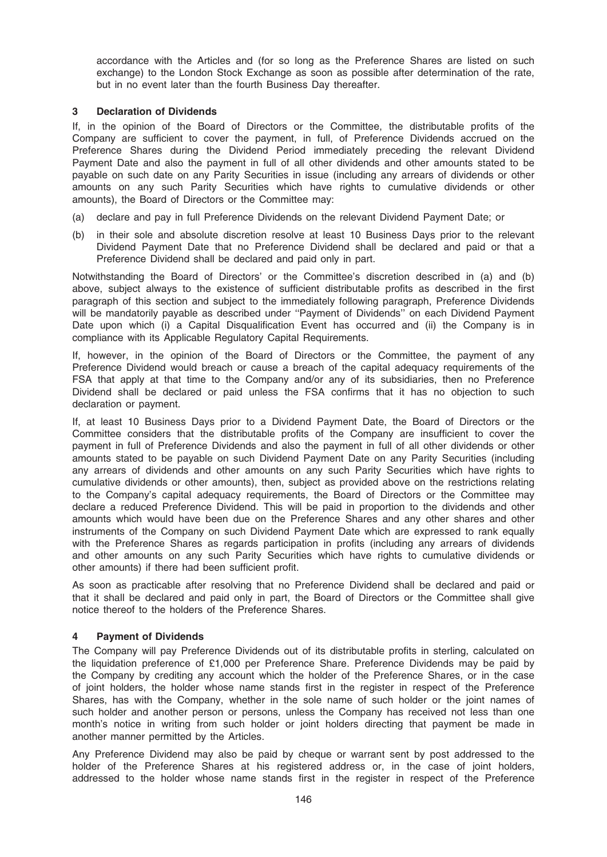accordance with the Articles and (for so long as the Preference Shares are listed on such exchange) to the London Stock Exchange as soon as possible after determination of the rate, but in no event later than the fourth Business Day thereafter.

#### 3 Declaration of Dividends

If, in the opinion of the Board of Directors or the Committee, the distributable profits of the Company are sufficient to cover the payment, in full, of Preference Dividends accrued on the Preference Shares during the Dividend Period immediately preceding the relevant Dividend Payment Date and also the payment in full of all other dividends and other amounts stated to be payable on such date on any Parity Securities in issue (including any arrears of dividends or other amounts on any such Parity Securities which have rights to cumulative dividends or other amounts), the Board of Directors or the Committee may:

- (a) declare and pay in full Preference Dividends on the relevant Dividend Payment Date; or
- (b) in their sole and absolute discretion resolve at least 10 Business Days prior to the relevant Dividend Payment Date that no Preference Dividend shall be declared and paid or that a Preference Dividend shall be declared and paid only in part.

Notwithstanding the Board of Directors' or the Committee's discretion described in (a) and (b) above, subject always to the existence of sufficient distributable profits as described in the first paragraph of this section and subject to the immediately following paragraph, Preference Dividends will be mandatorily payable as described under "Payment of Dividends" on each Dividend Payment Date upon which (i) a Capital Disqualification Event has occurred and (ii) the Company is in compliance with its Applicable Regulatory Capital Requirements.

If, however, in the opinion of the Board of Directors or the Committee, the payment of any Preference Dividend would breach or cause a breach of the capital adequacy requirements of the FSA that apply at that time to the Company and/or any of its subsidiaries, then no Preference Dividend shall be declared or paid unless the FSA confirms that it has no objection to such declaration or payment.

If, at least 10 Business Days prior to a Dividend Payment Date, the Board of Directors or the Committee considers that the distributable profits of the Company are insufficient to cover the payment in full of Preference Dividends and also the payment in full of all other dividends or other amounts stated to be payable on such Dividend Payment Date on any Parity Securities (including any arrears of dividends and other amounts on any such Parity Securities which have rights to cumulative dividends or other amounts), then, subject as provided above on the restrictions relating to the Company's capital adequacy requirements, the Board of Directors or the Committee may declare a reduced Preference Dividend. This will be paid in proportion to the dividends and other amounts which would have been due on the Preference Shares and any other shares and other instruments of the Company on such Dividend Payment Date which are expressed to rank equally with the Preference Shares as regards participation in profits (including any arrears of dividends and other amounts on any such Parity Securities which have rights to cumulative dividends or other amounts) if there had been sufficient profit.

As soon as practicable after resolving that no Preference Dividend shall be declared and paid or that it shall be declared and paid only in part, the Board of Directors or the Committee shall give notice thereof to the holders of the Preference Shares.

## 4 Payment of Dividends

The Company will pay Preference Dividends out of its distributable profits in sterling, calculated on the liquidation preference of £1,000 per Preference Share. Preference Dividends may be paid by the Company by crediting any account which the holder of the Preference Shares, or in the case of joint holders, the holder whose name stands first in the register in respect of the Preference Shares, has with the Company, whether in the sole name of such holder or the joint names of such holder and another person or persons, unless the Company has received not less than one month's notice in writing from such holder or joint holders directing that payment be made in another manner permitted by the Articles.

Any Preference Dividend may also be paid by cheque or warrant sent by post addressed to the holder of the Preference Shares at his registered address or, in the case of joint holders, addressed to the holder whose name stands first in the register in respect of the Preference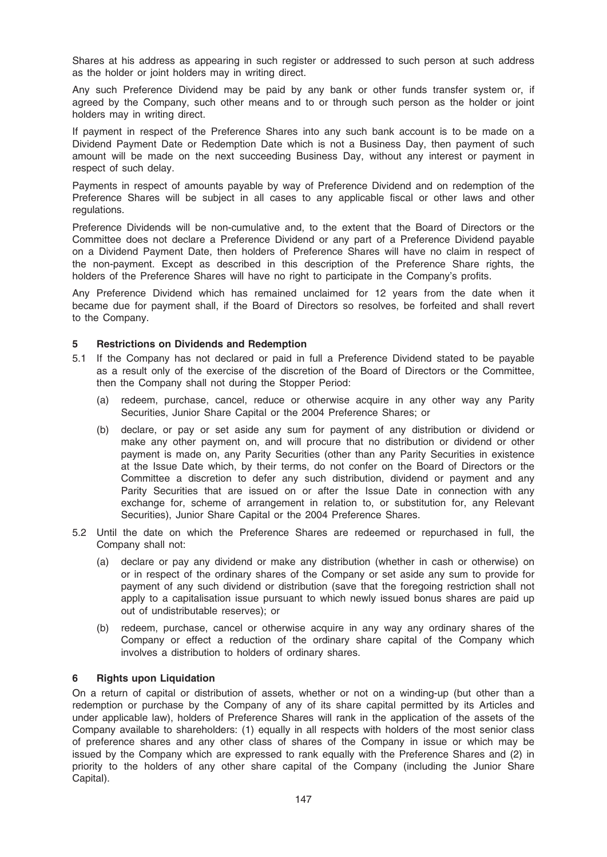Shares at his address as appearing in such register or addressed to such person at such address as the holder or joint holders may in writing direct.

Any such Preference Dividend may be paid by any bank or other funds transfer system or, if agreed by the Company, such other means and to or through such person as the holder or joint holders may in writing direct.

If payment in respect of the Preference Shares into any such bank account is to be made on a Dividend Payment Date or Redemption Date which is not a Business Day, then payment of such amount will be made on the next succeeding Business Day, without any interest or payment in respect of such delay.

Payments in respect of amounts payable by way of Preference Dividend and on redemption of the Preference Shares will be subject in all cases to any applicable fiscal or other laws and other regulations.

Preference Dividends will be non-cumulative and, to the extent that the Board of Directors or the Committee does not declare a Preference Dividend or any part of a Preference Dividend payable on a Dividend Payment Date, then holders of Preference Shares will have no claim in respect of the non-payment. Except as described in this description of the Preference Share rights, the holders of the Preference Shares will have no right to participate in the Company's profits.

Any Preference Dividend which has remained unclaimed for 12 years from the date when it became due for payment shall, if the Board of Directors so resolves, be forfeited and shall revert to the Company.

## 5 Restrictions on Dividends and Redemption

- 5.1 If the Company has not declared or paid in full a Preference Dividend stated to be payable as a result only of the exercise of the discretion of the Board of Directors or the Committee, then the Company shall not during the Stopper Period:
	- (a) redeem, purchase, cancel, reduce or otherwise acquire in any other way any Parity Securities, Junior Share Capital or the 2004 Preference Shares; or
	- (b) declare, or pay or set aside any sum for payment of any distribution or dividend or make any other payment on, and will procure that no distribution or dividend or other payment is made on, any Parity Securities (other than any Parity Securities in existence at the Issue Date which, by their terms, do not confer on the Board of Directors or the Committee a discretion to defer any such distribution, dividend or payment and any Parity Securities that are issued on or after the Issue Date in connection with any exchange for, scheme of arrangement in relation to, or substitution for, any Relevant Securities), Junior Share Capital or the 2004 Preference Shares.
- 5.2 Until the date on which the Preference Shares are redeemed or repurchased in full, the Company shall not:
	- (a) declare or pay any dividend or make any distribution (whether in cash or otherwise) on or in respect of the ordinary shares of the Company or set aside any sum to provide for payment of any such dividend or distribution (save that the foregoing restriction shall not apply to a capitalisation issue pursuant to which newly issued bonus shares are paid up out of undistributable reserves); or
	- (b) redeem, purchase, cancel or otherwise acquire in any way any ordinary shares of the Company or effect a reduction of the ordinary share capital of the Company which involves a distribution to holders of ordinary shares.

## 6 Rights upon Liquidation

On a return of capital or distribution of assets, whether or not on a winding-up (but other than a redemption or purchase by the Company of any of its share capital permitted by its Articles and under applicable law), holders of Preference Shares will rank in the application of the assets of the Company available to shareholders: (1) equally in all respects with holders of the most senior class of preference shares and any other class of shares of the Company in issue or which may be issued by the Company which are expressed to rank equally with the Preference Shares and (2) in priority to the holders of any other share capital of the Company (including the Junior Share Capital).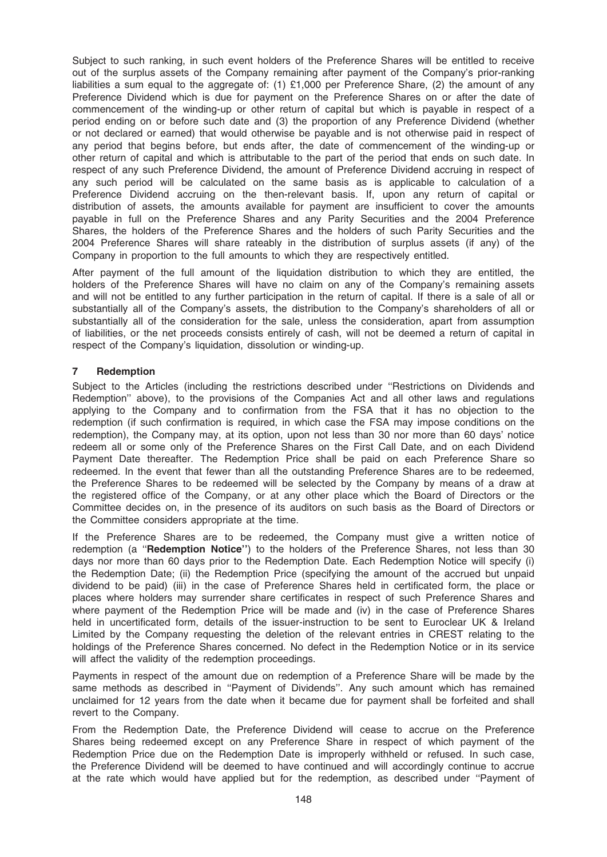Subject to such ranking, in such event holders of the Preference Shares will be entitled to receive out of the surplus assets of the Company remaining after payment of the Company's prior-ranking liabilities a sum equal to the aggregate of: (1) £1,000 per Preference Share, (2) the amount of any Preference Dividend which is due for payment on the Preference Shares on or after the date of commencement of the winding-up or other return of capital but which is payable in respect of a period ending on or before such date and (3) the proportion of any Preference Dividend (whether or not declared or earned) that would otherwise be payable and is not otherwise paid in respect of any period that begins before, but ends after, the date of commencement of the winding-up or other return of capital and which is attributable to the part of the period that ends on such date. In respect of any such Preference Dividend, the amount of Preference Dividend accruing in respect of any such period will be calculated on the same basis as is applicable to calculation of a Preference Dividend accruing on the then-relevant basis. If, upon any return of capital or distribution of assets, the amounts available for payment are insufficient to cover the amounts payable in full on the Preference Shares and any Parity Securities and the 2004 Preference Shares, the holders of the Preference Shares and the holders of such Parity Securities and the 2004 Preference Shares will share rateably in the distribution of surplus assets (if any) of the Company in proportion to the full amounts to which they are respectively entitled.

After payment of the full amount of the liquidation distribution to which they are entitled, the holders of the Preference Shares will have no claim on any of the Company's remaining assets and will not be entitled to any further participation in the return of capital. If there is a sale of all or substantially all of the Company's assets, the distribution to the Company's shareholders of all or substantially all of the consideration for the sale, unless the consideration, apart from assumption of liabilities, or the net proceeds consists entirely of cash, will not be deemed a return of capital in respect of the Company's liquidation, dissolution or winding-up.

## 7 Redemption

Subject to the Articles (including the restrictions described under ''Restrictions on Dividends and Redemption'' above), to the provisions of the Companies Act and all other laws and regulations applying to the Company and to confirmation from the FSA that it has no objection to the redemption (if such confirmation is required, in which case the FSA may impose conditions on the redemption), the Company may, at its option, upon not less than 30 nor more than 60 days' notice redeem all or some only of the Preference Shares on the First Call Date, and on each Dividend Payment Date thereafter. The Redemption Price shall be paid on each Preference Share so redeemed. In the event that fewer than all the outstanding Preference Shares are to be redeemed, the Preference Shares to be redeemed will be selected by the Company by means of a draw at the registered office of the Company, or at any other place which the Board of Directors or the Committee decides on, in the presence of its auditors on such basis as the Board of Directors or the Committee considers appropriate at the time.

If the Preference Shares are to be redeemed, the Company must give a written notice of redemption (a "Redemption Notice") to the holders of the Preference Shares, not less than 30 days nor more than 60 days prior to the Redemption Date. Each Redemption Notice will specify (i) the Redemption Date; (ii) the Redemption Price (specifying the amount of the accrued but unpaid dividend to be paid) (iii) in the case of Preference Shares held in certificated form, the place or places where holders may surrender share certificates in respect of such Preference Shares and where payment of the Redemption Price will be made and (iv) in the case of Preference Shares held in uncertificated form, details of the issuer-instruction to be sent to Euroclear UK & Ireland Limited by the Company requesting the deletion of the relevant entries in CREST relating to the holdings of the Preference Shares concerned. No defect in the Redemption Notice or in its service will affect the validity of the redemption proceedings.

Payments in respect of the amount due on redemption of a Preference Share will be made by the same methods as described in ''Payment of Dividends''. Any such amount which has remained unclaimed for 12 years from the date when it became due for payment shall be forfeited and shall revert to the Company.

From the Redemption Date, the Preference Dividend will cease to accrue on the Preference Shares being redeemed except on any Preference Share in respect of which payment of the Redemption Price due on the Redemption Date is improperly withheld or refused. In such case, the Preference Dividend will be deemed to have continued and will accordingly continue to accrue at the rate which would have applied but for the redemption, as described under ''Payment of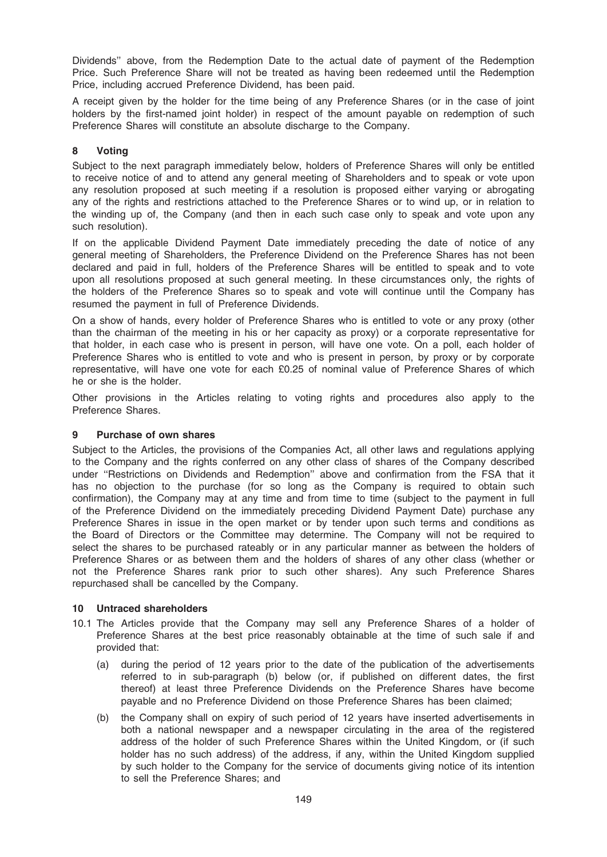Dividends'' above, from the Redemption Date to the actual date of payment of the Redemption Price. Such Preference Share will not be treated as having been redeemed until the Redemption Price, including accrued Preference Dividend, has been paid.

A receipt given by the holder for the time being of any Preference Shares (or in the case of joint holders by the first-named joint holder) in respect of the amount payable on redemption of such Preference Shares will constitute an absolute discharge to the Company.

## 8 Voting

Subject to the next paragraph immediately below, holders of Preference Shares will only be entitled to receive notice of and to attend any general meeting of Shareholders and to speak or vote upon any resolution proposed at such meeting if a resolution is proposed either varying or abrogating any of the rights and restrictions attached to the Preference Shares or to wind up, or in relation to the winding up of, the Company (and then in each such case only to speak and vote upon any such resolution).

If on the applicable Dividend Payment Date immediately preceding the date of notice of any general meeting of Shareholders, the Preference Dividend on the Preference Shares has not been declared and paid in full, holders of the Preference Shares will be entitled to speak and to vote upon all resolutions proposed at such general meeting. In these circumstances only, the rights of the holders of the Preference Shares so to speak and vote will continue until the Company has resumed the payment in full of Preference Dividends.

On a show of hands, every holder of Preference Shares who is entitled to vote or any proxy (other than the chairman of the meeting in his or her capacity as proxy) or a corporate representative for that holder, in each case who is present in person, will have one vote. On a poll, each holder of Preference Shares who is entitled to vote and who is present in person, by proxy or by corporate representative, will have one vote for each £0.25 of nominal value of Preference Shares of which he or she is the holder.

Other provisions in the Articles relating to voting rights and procedures also apply to the Preference Shares.

## 9 Purchase of own shares

Subject to the Articles, the provisions of the Companies Act, all other laws and regulations applying to the Company and the rights conferred on any other class of shares of the Company described under ''Restrictions on Dividends and Redemption'' above and confirmation from the FSA that it has no objection to the purchase (for so long as the Company is required to obtain such confirmation), the Company may at any time and from time to time (subject to the payment in full of the Preference Dividend on the immediately preceding Dividend Payment Date) purchase any Preference Shares in issue in the open market or by tender upon such terms and conditions as the Board of Directors or the Committee may determine. The Company will not be required to select the shares to be purchased rateably or in any particular manner as between the holders of Preference Shares or as between them and the holders of shares of any other class (whether or not the Preference Shares rank prior to such other shares). Any such Preference Shares repurchased shall be cancelled by the Company.

## 10 Untraced shareholders

- 10.1 The Articles provide that the Company may sell any Preference Shares of a holder of Preference Shares at the best price reasonably obtainable at the time of such sale if and provided that:
	- (a) during the period of 12 years prior to the date of the publication of the advertisements referred to in sub-paragraph (b) below (or, if published on different dates, the first thereof) at least three Preference Dividends on the Preference Shares have become payable and no Preference Dividend on those Preference Shares has been claimed;
	- (b) the Company shall on expiry of such period of 12 years have inserted advertisements in both a national newspaper and a newspaper circulating in the area of the registered address of the holder of such Preference Shares within the United Kingdom, or (if such holder has no such address) of the address, if any, within the United Kingdom supplied by such holder to the Company for the service of documents giving notice of its intention to sell the Preference Shares; and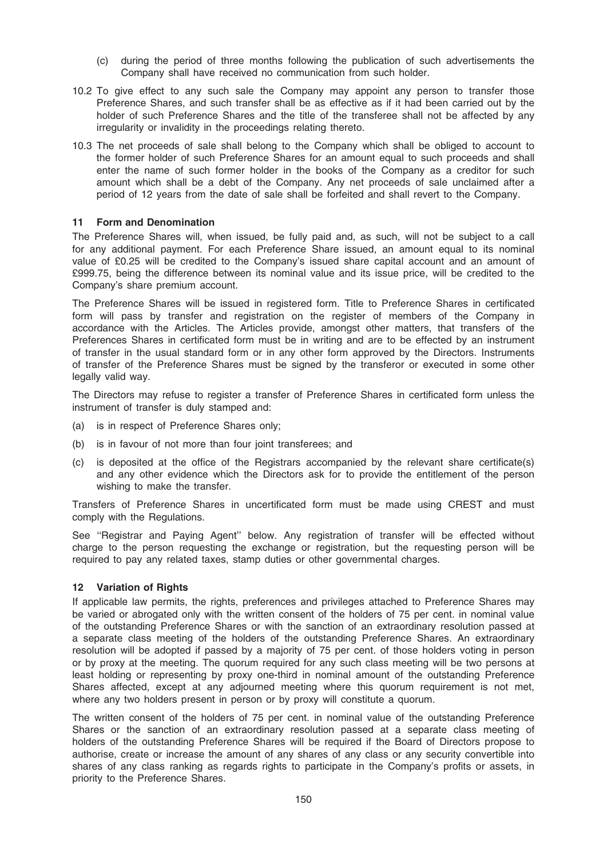- (c) during the period of three months following the publication of such advertisements the Company shall have received no communication from such holder.
- 10.2 To give effect to any such sale the Company may appoint any person to transfer those Preference Shares, and such transfer shall be as effective as if it had been carried out by the holder of such Preference Shares and the title of the transferee shall not be affected by any irregularity or invalidity in the proceedings relating thereto.
- 10.3 The net proceeds of sale shall belong to the Company which shall be obliged to account to the former holder of such Preference Shares for an amount equal to such proceeds and shall enter the name of such former holder in the books of the Company as a creditor for such amount which shall be a debt of the Company. Any net proceeds of sale unclaimed after a period of 12 years from the date of sale shall be forfeited and shall revert to the Company.

#### 11 Form and Denomination

The Preference Shares will, when issued, be fully paid and, as such, will not be subject to a call for any additional payment. For each Preference Share issued, an amount equal to its nominal value of £0.25 will be credited to the Company's issued share capital account and an amount of £999.75, being the difference between its nominal value and its issue price, will be credited to the Company's share premium account.

The Preference Shares will be issued in registered form. Title to Preference Shares in certificated form will pass by transfer and registration on the register of members of the Company in accordance with the Articles. The Articles provide, amongst other matters, that transfers of the Preferences Shares in certificated form must be in writing and are to be effected by an instrument of transfer in the usual standard form or in any other form approved by the Directors. Instruments of transfer of the Preference Shares must be signed by the transferor or executed in some other legally valid way.

The Directors may refuse to register a transfer of Preference Shares in certificated form unless the instrument of transfer is duly stamped and:

- (a) is in respect of Preference Shares only;
- (b) is in favour of not more than four joint transferees; and
- (c) is deposited at the office of the Registrars accompanied by the relevant share certificate(s) and any other evidence which the Directors ask for to provide the entitlement of the person wishing to make the transfer.

Transfers of Preference Shares in uncertificated form must be made using CREST and must comply with the Regulations.

See ''Registrar and Paying Agent'' below. Any registration of transfer will be effected without charge to the person requesting the exchange or registration, but the requesting person will be required to pay any related taxes, stamp duties or other governmental charges.

#### 12 Variation of Rights

If applicable law permits, the rights, preferences and privileges attached to Preference Shares may be varied or abrogated only with the written consent of the holders of 75 per cent. in nominal value of the outstanding Preference Shares or with the sanction of an extraordinary resolution passed at a separate class meeting of the holders of the outstanding Preference Shares. An extraordinary resolution will be adopted if passed by a majority of 75 per cent. of those holders voting in person or by proxy at the meeting. The quorum required for any such class meeting will be two persons at least holding or representing by proxy one-third in nominal amount of the outstanding Preference Shares affected, except at any adjourned meeting where this quorum requirement is not met, where any two holders present in person or by proxy will constitute a quorum.

The written consent of the holders of 75 per cent. in nominal value of the outstanding Preference Shares or the sanction of an extraordinary resolution passed at a separate class meeting of holders of the outstanding Preference Shares will be required if the Board of Directors propose to authorise, create or increase the amount of any shares of any class or any security convertible into shares of any class ranking as regards rights to participate in the Company's profits or assets, in priority to the Preference Shares.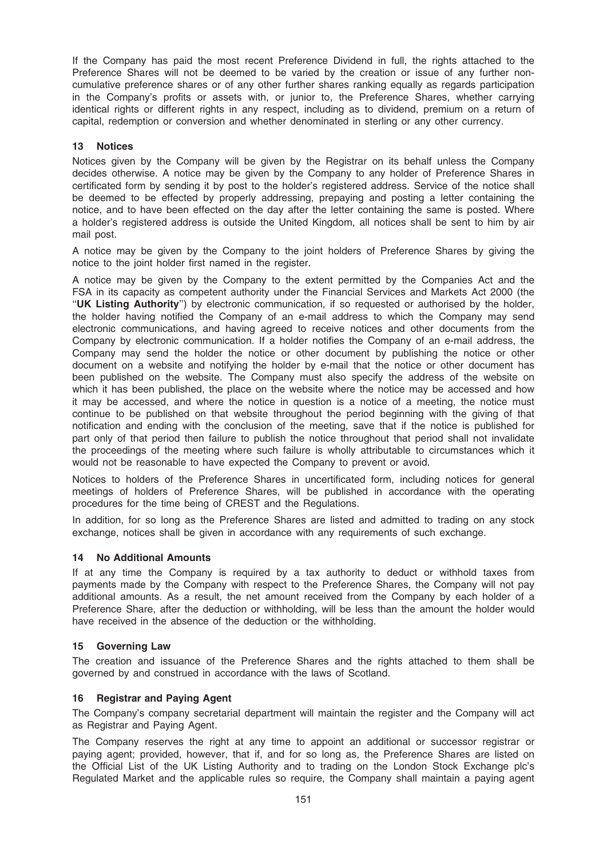If the Company has paid the most recent Preference Dividend in full, the rights attached to the Preference Shares will not be deemed to be varied by the creation or issue of any further noncumulative preference shares or of any other further shares ranking equally as regards participation in the Company's profits or assets with, or junior to, the Preference Shares, whether carrying identical rights or different rights in any respect, including as to dividend, premium on a return of capital, redemption or conversion and whether denominated in sterling or any other currency.

### 13 Notices

Notices given by the Company will be given by the Registrar on its behalf unless the Company decides otherwise. A notice may be given by the Company to any holder of Preference Shares in certificated form by sending it by post to the holder's registered address. Service of the notice shall be deemed to be effected by properly addressing, prepaying and posting a letter containing the notice, and to have been effected on the day after the letter containing the same is posted. Where a holder's registered address is outside the United Kingdom, all notices shall be sent to him by air mail post.

A notice may be given by the Company to the joint holders of Preference Shares by giving the notice to the joint holder first named in the register.

A notice may be given by the Company to the extent permitted by the Companies Act and the FSA in its capacity as competent authority under the Financial Services and Markets Act 2000 (the ''UK Listing Authority'') by electronic communication, if so requested or authorised by the holder, the holder having notified the Company of an e-mail address to which the Company may send electronic communications, and having agreed to receive notices and other documents from the Company by electronic communication. If a holder notifies the Company of an e-mail address, the Company may send the holder the notice or other document by publishing the notice or other document on a website and notifying the holder by e-mail that the notice or other document has been published on the website. The Company must also specify the address of the website on which it has been published, the place on the website where the notice may be accessed and how it may be accessed, and where the notice in question is a notice of a meeting, the notice must continue to be published on that website throughout the period beginning with the giving of that notification and ending with the conclusion of the meeting, save that if the notice is published for part only of that period then failure to publish the notice throughout that period shall not invalidate the proceedings of the meeting where such failure is wholly attributable to circumstances which it would not be reasonable to have expected the Company to prevent or avoid.

Notices to holders of the Preference Shares in uncertificated form, including notices for general meetings of holders of Preference Shares, will be published in accordance with the operating procedures for the time being of CREST and the Regulations.

In addition, for so long as the Preference Shares are listed and admitted to trading on any stock exchange, notices shall be given in accordance with any requirements of such exchange.

#### 14 No Additional Amounts

If at any time the Company is required by a tax authority to deduct or withhold taxes from payments made by the Company with respect to the Preference Shares, the Company will not pay additional amounts. As a result, the net amount received from the Company by each holder of a Preference Share, after the deduction or withholding, will be less than the amount the holder would have received in the absence of the deduction or the withholding.

#### 15 Governing Law

The creation and issuance of the Preference Shares and the rights attached to them shall be governed by and construed in accordance with the laws of Scotland.

#### 16 Registrar and Paying Agent

The Company's company secretarial department will maintain the register and the Company will act as Registrar and Paying Agent.

The Company reserves the right at any time to appoint an additional or successor registrar or paying agent; provided, however, that if, and for so long as, the Preference Shares are listed on the Official List of the UK Listing Authority and to trading on the London Stock Exchange plc's Regulated Market and the applicable rules so require, the Company shall maintain a paying agent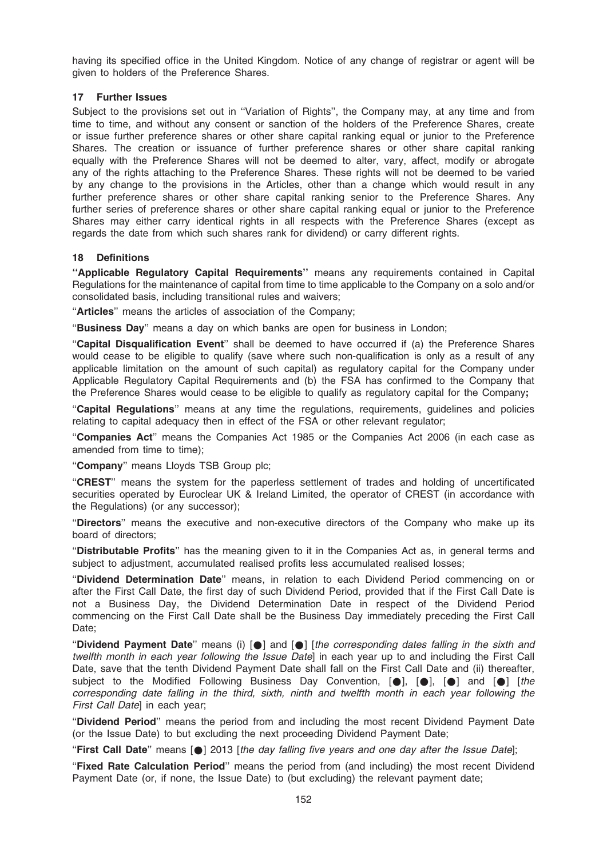having its specified office in the United Kingdom. Notice of any change of registrar or agent will be given to holders of the Preference Shares.

### 17 Further Issues

Subject to the provisions set out in ''Variation of Rights'', the Company may, at any time and from time to time, and without any consent or sanction of the holders of the Preference Shares, create or issue further preference shares or other share capital ranking equal or junior to the Preference Shares. The creation or issuance of further preference shares or other share capital ranking equally with the Preference Shares will not be deemed to alter, vary, affect, modify or abrogate any of the rights attaching to the Preference Shares. These rights will not be deemed to be varied by any change to the provisions in the Articles, other than a change which would result in any further preference shares or other share capital ranking senior to the Preference Shares. Any further series of preference shares or other share capital ranking equal or junior to the Preference Shares may either carry identical rights in all respects with the Preference Shares (except as regards the date from which such shares rank for dividend) or carry different rights.

#### 18 Definitions

"Applicable Regulatory Capital Requirements" means any requirements contained in Capital Regulations for the maintenance of capital from time to time applicable to the Company on a solo and/or consolidated basis, including transitional rules and waivers;

"Articles" means the articles of association of the Company;

"Business Day" means a day on which banks are open for business in London;

''Capital Disqualification Event'' shall be deemed to have occurred if (a) the Preference Shares would cease to be eligible to qualify (save where such non-qualification is only as a result of any applicable limitation on the amount of such capital) as regulatory capital for the Company under Applicable Regulatory Capital Requirements and (b) the FSA has confirmed to the Company that the Preference Shares would cease to be eligible to qualify as regulatory capital for the Company;

"Capital Regulations" means at any time the regulations, requirements, guidelines and policies relating to capital adequacy then in effect of the FSA or other relevant regulator;

''Companies Act'' means the Companies Act 1985 or the Companies Act 2006 (in each case as amended from time to time);

"Company" means Lloyds TSB Group plc;

''CREST'' means the system for the paperless settlement of trades and holding of uncertificated securities operated by Euroclear UK & Ireland Limited, the operator of CREST (in accordance with the Regulations) (or any successor);

''Directors'' means the executive and non-executive directors of the Company who make up its board of directors;

"Distributable Profits" has the meaning given to it in the Companies Act as, in general terms and subject to adjustment, accumulated realised profits less accumulated realised losses;

''Dividend Determination Date'' means, in relation to each Dividend Period commencing on or after the First Call Date, the first day of such Dividend Period, provided that if the First Call Date is not a Business Day, the Dividend Determination Date in respect of the Dividend Period commencing on the First Call Date shall be the Business Day immediately preceding the First Call Date:

"Dividend Payment Date" means (i) [ $\bullet$ ] and [ $\bullet$ ] [the corresponding dates falling in the sixth and twelfth month in each year following the Issue Datel in each year up to and including the First Call Date, save that the tenth Dividend Payment Date shall fall on the First Call Date and (ii) thereafter, subject to the Modified Following Business Day Convention, [.], [.], [.] and [.] [the corresponding date falling in the third, sixth, ninth and twelfth month in each year following the First Call Date] in each year;

''Dividend Period'' means the period from and including the most recent Dividend Payment Date (or the Issue Date) to but excluding the next proceeding Dividend Payment Date;

"First Call Date" means  $[0]$  2013 [the day falling five years and one day after the Issue Date];

"Fixed Rate Calculation Period" means the period from (and including) the most recent Dividend Payment Date (or, if none, the Issue Date) to (but excluding) the relevant payment date;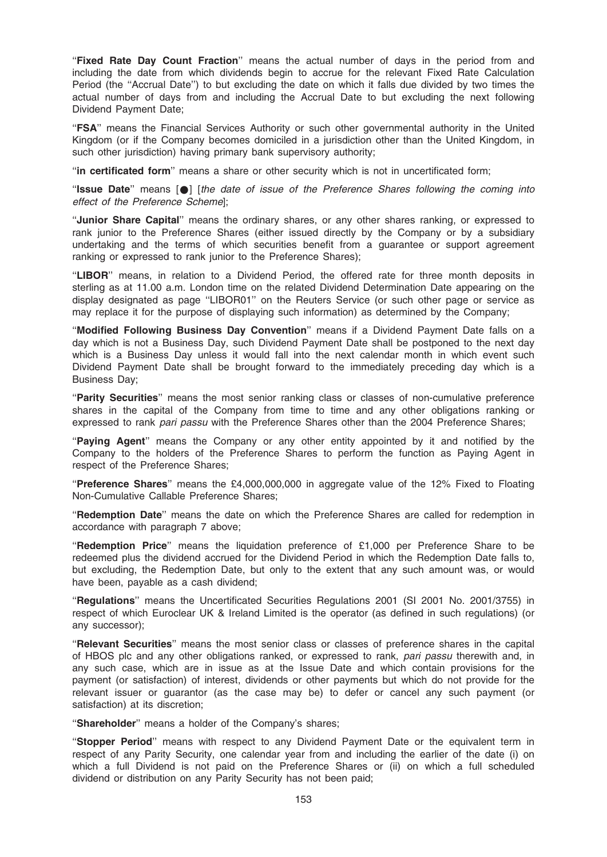"Fixed Rate Day Count Fraction" means the actual number of days in the period from and including the date from which dividends begin to accrue for the relevant Fixed Rate Calculation Period (the ''Accrual Date'') to but excluding the date on which it falls due divided by two times the actual number of days from and including the Accrual Date to but excluding the next following Dividend Payment Date;

"FSA" means the Financial Services Authority or such other governmental authority in the United Kingdom (or if the Company becomes domiciled in a jurisdiction other than the United Kingdom, in such other jurisdiction) having primary bank supervisory authority;

''in certificated form'' means a share or other security which is not in uncertificated form;

"Issue Date" means  $\lceil \bullet \rceil$  [the date of issue of the Preference Shares following the coming into effect of the Preference Scheme];

''Junior Share Capital'' means the ordinary shares, or any other shares ranking, or expressed to rank junior to the Preference Shares (either issued directly by the Company or by a subsidiary undertaking and the terms of which securities benefit from a guarantee or support agreement ranking or expressed to rank junior to the Preference Shares);

"LIBOR" means, in relation to a Dividend Period, the offered rate for three month deposits in sterling as at 11.00 a.m. London time on the related Dividend Determination Date appearing on the display designated as page ''LIBOR01'' on the Reuters Service (or such other page or service as may replace it for the purpose of displaying such information) as determined by the Company;

''Modified Following Business Day Convention'' means if a Dividend Payment Date falls on a day which is not a Business Day, such Dividend Payment Date shall be postponed to the next day which is a Business Day unless it would fall into the next calendar month in which event such Dividend Payment Date shall be brought forward to the immediately preceding day which is a Business Day;

"Parity Securities" means the most senior ranking class or classes of non-cumulative preference shares in the capital of the Company from time to time and any other obligations ranking or expressed to rank pari passu with the Preference Shares other than the 2004 Preference Shares;

"Paying Agent" means the Company or any other entity appointed by it and notified by the Company to the holders of the Preference Shares to perform the function as Paying Agent in respect of the Preference Shares;

"Preference Shares" means the £4,000,000,000 in aggregate value of the 12% Fixed to Floating Non-Cumulative Callable Preference Shares;

''Redemption Date'' means the date on which the Preference Shares are called for redemption in accordance with paragraph 7 above;

"Redemption Price" means the liquidation preference of  $£1,000$  per Preference Share to be redeemed plus the dividend accrued for the Dividend Period in which the Redemption Date falls to, but excluding, the Redemption Date, but only to the extent that any such amount was, or would have been, payable as a cash dividend;

''Regulations'' means the Uncertificated Securities Regulations 2001 (SI 2001 No. 2001/3755) in respect of which Euroclear UK & Ireland Limited is the operator (as defined in such regulations) (or any successor);

"Relevant Securities" means the most senior class or classes of preference shares in the capital of HBOS plc and any other obligations ranked, or expressed to rank, pari passu therewith and, in any such case, which are in issue as at the Issue Date and which contain provisions for the payment (or satisfaction) of interest, dividends or other payments but which do not provide for the relevant issuer or guarantor (as the case may be) to defer or cancel any such payment (or satisfaction) at its discretion;

"Shareholder" means a holder of the Company's shares:

''Stopper Period'' means with respect to any Dividend Payment Date or the equivalent term in respect of any Parity Security, one calendar year from and including the earlier of the date (i) on which a full Dividend is not paid on the Preference Shares or (ii) on which a full scheduled dividend or distribution on any Parity Security has not been paid;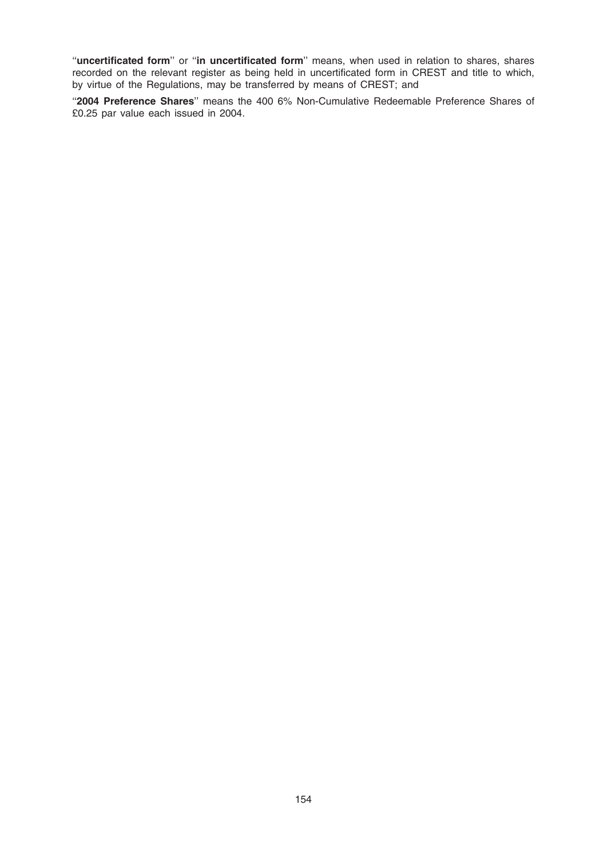"uncertificated form" or "in uncertificated form" means, when used in relation to shares, shares recorded on the relevant register as being held in uncertificated form in CREST and title to which, by virtue of the Regulations, may be transferred by means of CREST; and

"2004 Preference Shares" means the 400 6% Non-Cumulative Redeemable Preference Shares of £0.25 par value each issued in 2004.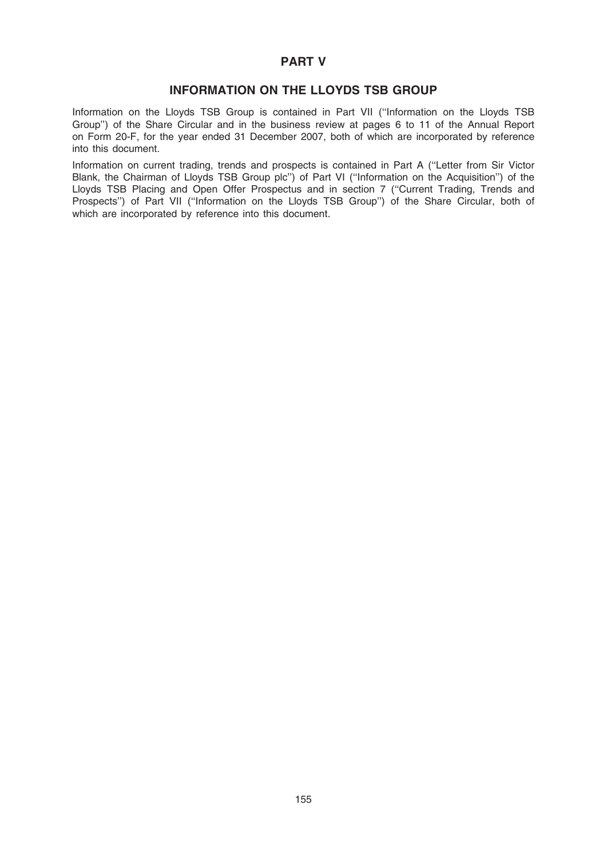## PART V

## INFORMATION ON THE LLOYDS TSB GROUP

Information on the Lloyds TSB Group is contained in Part VII (''Information on the Lloyds TSB Group'') of the Share Circular and in the business review at pages 6 to 11 of the Annual Report on Form 20-F, for the year ended 31 December 2007, both of which are incorporated by reference into this document.

Information on current trading, trends and prospects is contained in Part A (''Letter from Sir Victor Blank, the Chairman of Lloyds TSB Group plc'') of Part VI (''Information on the Acquisition'') of the Lloyds TSB Placing and Open Offer Prospectus and in section 7 (''Current Trading, Trends and Prospects") of Part VII ("Information on the Lloyds TSB Group") of the Share Circular, both of which are incorporated by reference into this document.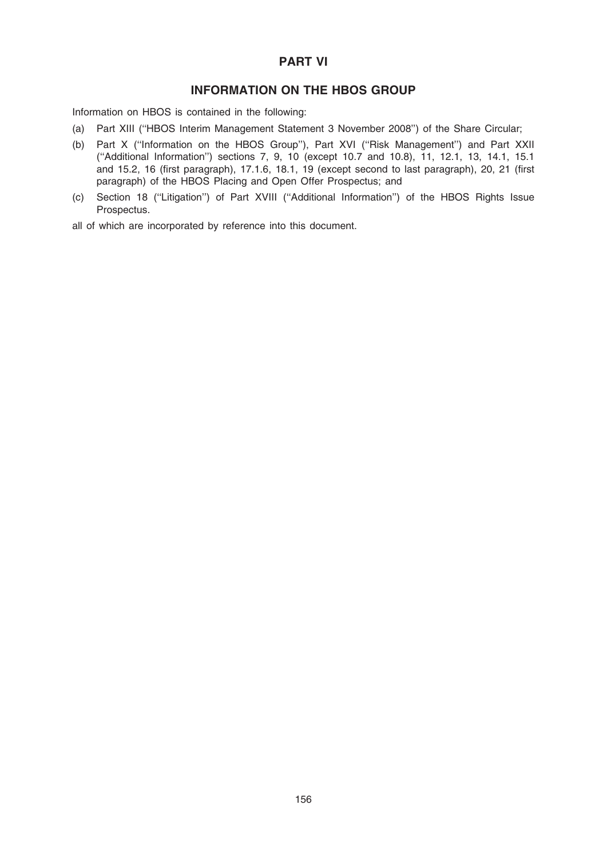# PART VI

# INFORMATION ON THE HBOS GROUP

Information on HBOS is contained in the following:

- (a) Part XIII (''HBOS Interim Management Statement 3 November 2008'') of the Share Circular;
- (b) Part X (''Information on the HBOS Group''), Part XVI (''Risk Management'') and Part XXII (''Additional Information'') sections 7, 9, 10 (except 10.7 and 10.8), 11, 12.1, 13, 14.1, 15.1 and 15.2, 16 (first paragraph), 17.1.6, 18.1, 19 (except second to last paragraph), 20, 21 (first paragraph) of the HBOS Placing and Open Offer Prospectus; and
- (c) Section 18 (''Litigation'') of Part XVIII (''Additional Information'') of the HBOS Rights Issue Prospectus.

all of which are incorporated by reference into this document.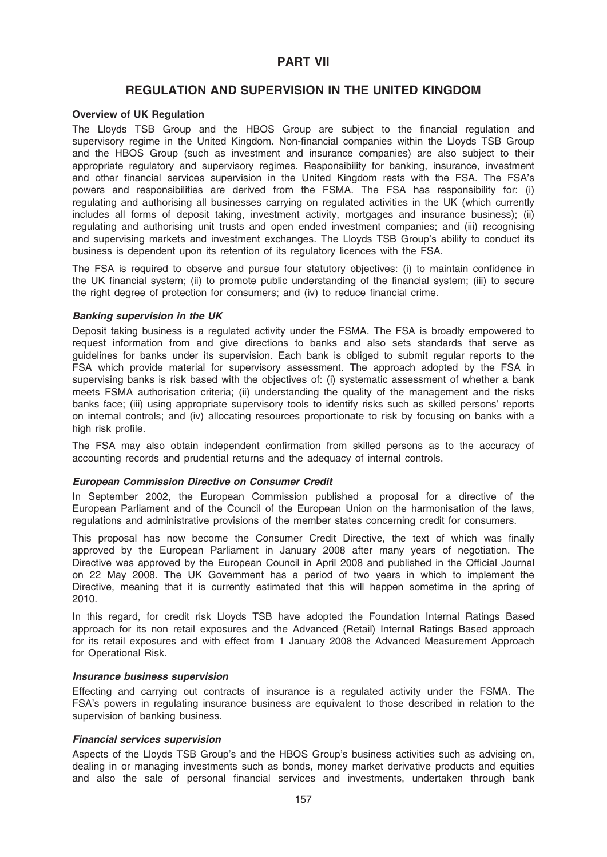## PART VII

## REGULATION AND SUPERVISION IN THE UNITED KINGDOM

#### Overview of UK Regulation

The Lloyds TSB Group and the HBOS Group are subject to the financial regulation and supervisory regime in the United Kingdom. Non-financial companies within the Lloyds TSB Group and the HBOS Group (such as investment and insurance companies) are also subject to their appropriate regulatory and supervisory regimes. Responsibility for banking, insurance, investment and other financial services supervision in the United Kingdom rests with the FSA. The FSA's powers and responsibilities are derived from the FSMA. The FSA has responsibility for: (i) regulating and authorising all businesses carrying on regulated activities in the UK (which currently includes all forms of deposit taking, investment activity, mortgages and insurance business); (ii) regulating and authorising unit trusts and open ended investment companies; and (iii) recognising and supervising markets and investment exchanges. The Lloyds TSB Group's ability to conduct its business is dependent upon its retention of its regulatory licences with the FSA.

The FSA is required to observe and pursue four statutory objectives: (i) to maintain confidence in the UK financial system; (ii) to promote public understanding of the financial system; (iii) to secure the right degree of protection for consumers; and (iv) to reduce financial crime.

#### Banking supervision in the UK

Deposit taking business is a regulated activity under the FSMA. The FSA is broadly empowered to request information from and give directions to banks and also sets standards that serve as guidelines for banks under its supervision. Each bank is obliged to submit regular reports to the FSA which provide material for supervisory assessment. The approach adopted by the FSA in supervising banks is risk based with the objectives of: (i) systematic assessment of whether a bank meets FSMA authorisation criteria; (ii) understanding the quality of the management and the risks banks face; (iii) using appropriate supervisory tools to identify risks such as skilled persons' reports on internal controls; and (iv) allocating resources proportionate to risk by focusing on banks with a high risk profile.

The FSA may also obtain independent confirmation from skilled persons as to the accuracy of accounting records and prudential returns and the adequacy of internal controls.

#### European Commission Directive on Consumer Credit

In September 2002, the European Commission published a proposal for a directive of the European Parliament and of the Council of the European Union on the harmonisation of the laws, regulations and administrative provisions of the member states concerning credit for consumers.

This proposal has now become the Consumer Credit Directive, the text of which was finally approved by the European Parliament in January 2008 after many years of negotiation. The Directive was approved by the European Council in April 2008 and published in the Official Journal on 22 May 2008. The UK Government has a period of two years in which to implement the Directive, meaning that it is currently estimated that this will happen sometime in the spring of 2010.

In this regard, for credit risk Lloyds TSB have adopted the Foundation Internal Ratings Based approach for its non retail exposures and the Advanced (Retail) Internal Ratings Based approach for its retail exposures and with effect from 1 January 2008 the Advanced Measurement Approach for Operational Risk.

#### Insurance business supervision

Effecting and carrying out contracts of insurance is a regulated activity under the FSMA. The FSA's powers in regulating insurance business are equivalent to those described in relation to the supervision of banking business.

## Financial services supervision

Aspects of the Lloyds TSB Group's and the HBOS Group's business activities such as advising on, dealing in or managing investments such as bonds, money market derivative products and equities and also the sale of personal financial services and investments, undertaken through bank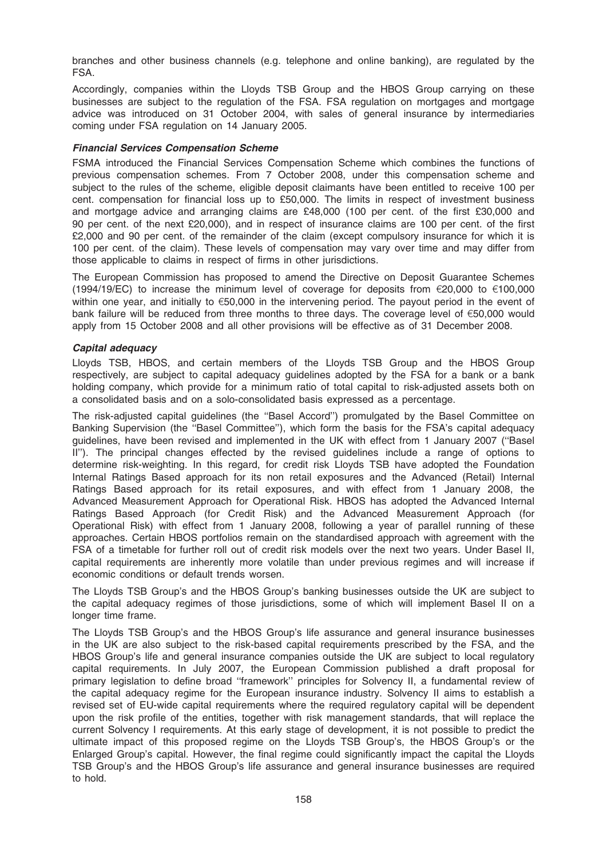branches and other business channels (e.g. telephone and online banking), are regulated by the FSA.

Accordingly, companies within the Lloyds TSB Group and the HBOS Group carrying on these businesses are subject to the regulation of the FSA. FSA regulation on mortgages and mortgage advice was introduced on 31 October 2004, with sales of general insurance by intermediaries coming under FSA regulation on 14 January 2005.

#### Financial Services Compensation Scheme

FSMA introduced the Financial Services Compensation Scheme which combines the functions of previous compensation schemes. From 7 October 2008, under this compensation scheme and subject to the rules of the scheme, eligible deposit claimants have been entitled to receive 100 per cent. compensation for financial loss up to £50,000. The limits in respect of investment business and mortgage advice and arranging claims are £48,000 (100 per cent. of the first £30,000 and 90 per cent. of the next £20,000), and in respect of insurance claims are 100 per cent. of the first £2,000 and 90 per cent. of the remainder of the claim (except compulsory insurance for which it is 100 per cent. of the claim). These levels of compensation may vary over time and may differ from those applicable to claims in respect of firms in other jurisdictions.

The European Commission has proposed to amend the Directive on Deposit Guarantee Schemes (1994/19/EC) to increase the minimum level of coverage for deposits from  $\epsilon$ 20,000 to  $\epsilon$ 100,000 within one year, and initially to  $\epsilon$ 50,000 in the intervening period. The payout period in the event of bank failure will be reduced from three months to three days. The coverage level of  $\epsilon$ 50,000 would apply from 15 October 2008 and all other provisions will be effective as of 31 December 2008.

#### Capital adequacy

Lloyds TSB, HBOS, and certain members of the Lloyds TSB Group and the HBOS Group respectively, are subject to capital adequacy guidelines adopted by the FSA for a bank or a bank holding company, which provide for a minimum ratio of total capital to risk-adjusted assets both on a consolidated basis and on a solo-consolidated basis expressed as a percentage.

The risk-adjusted capital guidelines (the ''Basel Accord'') promulgated by the Basel Committee on Banking Supervision (the ''Basel Committee''), which form the basis for the FSA's capital adequacy guidelines, have been revised and implemented in the UK with effect from 1 January 2007 (''Basel II"). The principal changes effected by the revised guidelines include a range of options to determine risk-weighting. In this regard, for credit risk Lloyds TSB have adopted the Foundation Internal Ratings Based approach for its non retail exposures and the Advanced (Retail) Internal Ratings Based approach for its retail exposures, and with effect from 1 January 2008, the Advanced Measurement Approach for Operational Risk. HBOS has adopted the Advanced Internal Ratings Based Approach (for Credit Risk) and the Advanced Measurement Approach (for Operational Risk) with effect from 1 January 2008, following a year of parallel running of these approaches. Certain HBOS portfolios remain on the standardised approach with agreement with the FSA of a timetable for further roll out of credit risk models over the next two years. Under Basel II, capital requirements are inherently more volatile than under previous regimes and will increase if economic conditions or default trends worsen.

The Lloyds TSB Group's and the HBOS Group's banking businesses outside the UK are subject to the capital adequacy regimes of those jurisdictions, some of which will implement Basel II on a longer time frame.

The Lloyds TSB Group's and the HBOS Group's life assurance and general insurance businesses in the UK are also subject to the risk-based capital requirements prescribed by the FSA, and the HBOS Group's life and general insurance companies outside the UK are subject to local regulatory capital requirements. In July 2007, the European Commission published a draft proposal for primary legislation to define broad ''framework'' principles for Solvency II, a fundamental review of the capital adequacy regime for the European insurance industry. Solvency II aims to establish a revised set of EU-wide capital requirements where the required regulatory capital will be dependent upon the risk profile of the entities, together with risk management standards, that will replace the current Solvency I requirements. At this early stage of development, it is not possible to predict the ultimate impact of this proposed regime on the Lloyds TSB Group's, the HBOS Group's or the Enlarged Group's capital. However, the final regime could significantly impact the capital the Lloyds TSB Group's and the HBOS Group's life assurance and general insurance businesses are required to hold.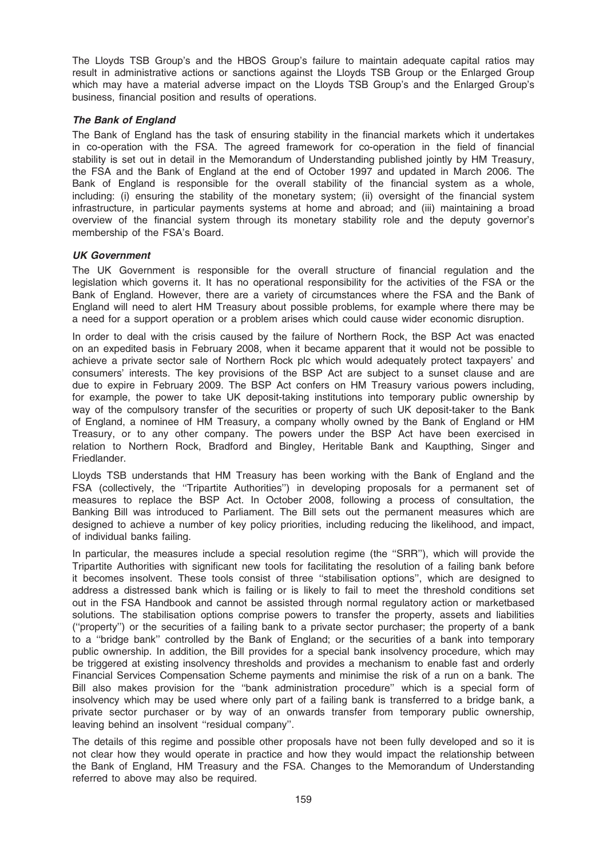The Lloyds TSB Group's and the HBOS Group's failure to maintain adequate capital ratios may result in administrative actions or sanctions against the Lloyds TSB Group or the Enlarged Group which may have a material adverse impact on the Lloyds TSB Group's and the Enlarged Group's business, financial position and results of operations.

### The Bank of England

The Bank of England has the task of ensuring stability in the financial markets which it undertakes in co-operation with the FSA. The agreed framework for co-operation in the field of financial stability is set out in detail in the Memorandum of Understanding published jointly by HM Treasury, the FSA and the Bank of England at the end of October 1997 and updated in March 2006. The Bank of England is responsible for the overall stability of the financial system as a whole, including: (i) ensuring the stability of the monetary system; (ii) oversight of the financial system infrastructure, in particular payments systems at home and abroad; and (iii) maintaining a broad overview of the financial system through its monetary stability role and the deputy governor's membership of the FSA's Board.

#### UK Government

The UK Government is responsible for the overall structure of financial regulation and the legislation which governs it. It has no operational responsibility for the activities of the FSA or the Bank of England. However, there are a variety of circumstances where the FSA and the Bank of England will need to alert HM Treasury about possible problems, for example where there may be a need for a support operation or a problem arises which could cause wider economic disruption.

In order to deal with the crisis caused by the failure of Northern Rock, the BSP Act was enacted on an expedited basis in February 2008, when it became apparent that it would not be possible to achieve a private sector sale of Northern Rock plc which would adequately protect taxpayers' and consumers' interests. The key provisions of the BSP Act are subject to a sunset clause and are due to expire in February 2009. The BSP Act confers on HM Treasury various powers including, for example, the power to take UK deposit-taking institutions into temporary public ownership by way of the compulsory transfer of the securities or property of such UK deposit-taker to the Bank of England, a nominee of HM Treasury, a company wholly owned by the Bank of England or HM Treasury, or to any other company. The powers under the BSP Act have been exercised in relation to Northern Rock, Bradford and Bingley, Heritable Bank and Kaupthing, Singer and Friedlander.

Lloyds TSB understands that HM Treasury has been working with the Bank of England and the FSA (collectively, the ''Tripartite Authorities'') in developing proposals for a permanent set of measures to replace the BSP Act. In October 2008, following a process of consultation, the Banking Bill was introduced to Parliament. The Bill sets out the permanent measures which are designed to achieve a number of key policy priorities, including reducing the likelihood, and impact, of individual banks failing.

In particular, the measures include a special resolution regime (the ''SRR''), which will provide the Tripartite Authorities with significant new tools for facilitating the resolution of a failing bank before it becomes insolvent. These tools consist of three ''stabilisation options'', which are designed to address a distressed bank which is failing or is likely to fail to meet the threshold conditions set out in the FSA Handbook and cannot be assisted through normal regulatory action or marketbased solutions. The stabilisation options comprise powers to transfer the property, assets and liabilities (''property'') or the securities of a failing bank to a private sector purchaser; the property of a bank to a ''bridge bank'' controlled by the Bank of England; or the securities of a bank into temporary public ownership. In addition, the Bill provides for a special bank insolvency procedure, which may be triggered at existing insolvency thresholds and provides a mechanism to enable fast and orderly Financial Services Compensation Scheme payments and minimise the risk of a run on a bank. The Bill also makes provision for the ''bank administration procedure'' which is a special form of insolvency which may be used where only part of a failing bank is transferred to a bridge bank, a private sector purchaser or by way of an onwards transfer from temporary public ownership, leaving behind an insolvent ''residual company''.

The details of this regime and possible other proposals have not been fully developed and so it is not clear how they would operate in practice and how they would impact the relationship between the Bank of England, HM Treasury and the FSA. Changes to the Memorandum of Understanding referred to above may also be required.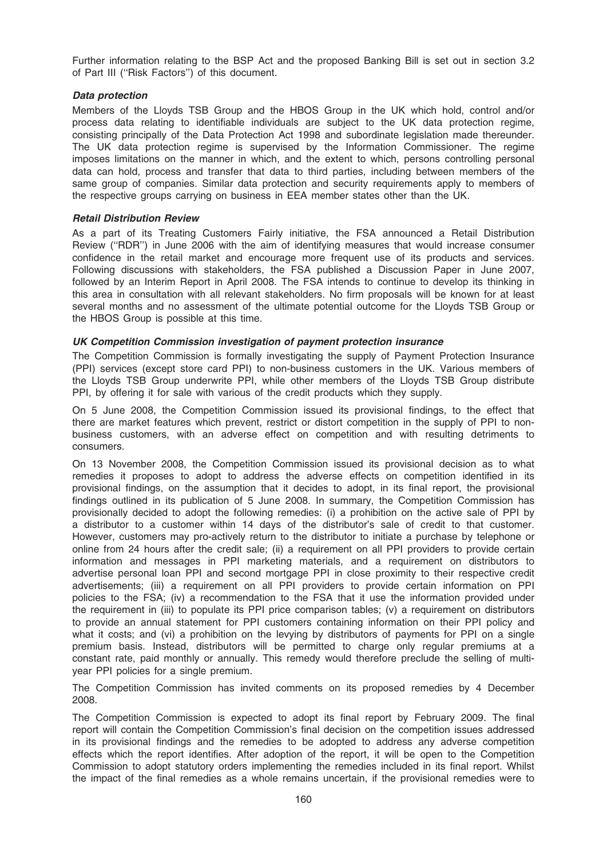Further information relating to the BSP Act and the proposed Banking Bill is set out in section 3.2 of Part III (''Risk Factors'') of this document.

## Data protection

Members of the Lloyds TSB Group and the HBOS Group in the UK which hold, control and/or process data relating to identifiable individuals are subject to the UK data protection regime, consisting principally of the Data Protection Act 1998 and subordinate legislation made thereunder. The UK data protection regime is supervised by the Information Commissioner. The regime imposes limitations on the manner in which, and the extent to which, persons controlling personal data can hold, process and transfer that data to third parties, including between members of the same group of companies. Similar data protection and security requirements apply to members of the respective groups carrying on business in EEA member states other than the UK.

#### Retail Distribution Review

As a part of its Treating Customers Fairly initiative, the FSA announced a Retail Distribution Review (''RDR'') in June 2006 with the aim of identifying measures that would increase consumer confidence in the retail market and encourage more frequent use of its products and services. Following discussions with stakeholders, the FSA published a Discussion Paper in June 2007, followed by an Interim Report in April 2008. The FSA intends to continue to develop its thinking in this area in consultation with all relevant stakeholders. No firm proposals will be known for at least several months and no assessment of the ultimate potential outcome for the Lloyds TSB Group or the HBOS Group is possible at this time.

### UK Competition Commission investigation of payment protection insurance

The Competition Commission is formally investigating the supply of Payment Protection Insurance (PPI) services (except store card PPI) to non-business customers in the UK. Various members of the Lloyds TSB Group underwrite PPI, while other members of the Lloyds TSB Group distribute PPI, by offering it for sale with various of the credit products which they supply.

On 5 June 2008, the Competition Commission issued its provisional findings, to the effect that there are market features which prevent, restrict or distort competition in the supply of PPI to nonbusiness customers, with an adverse effect on competition and with resulting detriments to consumers.

On 13 November 2008, the Competition Commission issued its provisional decision as to what remedies it proposes to adopt to address the adverse effects on competition identified in its provisional findings, on the assumption that it decides to adopt, in its final report, the provisional findings outlined in its publication of 5 June 2008. In summary, the Competition Commission has provisionally decided to adopt the following remedies: (i) a prohibition on the active sale of PPI by a distributor to a customer within 14 days of the distributor's sale of credit to that customer. However, customers may pro-actively return to the distributor to initiate a purchase by telephone or online from 24 hours after the credit sale; (ii) a requirement on all PPI providers to provide certain information and messages in PPI marketing materials, and a requirement on distributors to advertise personal loan PPI and second mortgage PPI in close proximity to their respective credit advertisements; (iii) a requirement on all PPI providers to provide certain information on PPI policies to the FSA; (iv) a recommendation to the FSA that it use the information provided under the requirement in (iii) to populate its PPI price comparison tables; (v) a requirement on distributors to provide an annual statement for PPI customers containing information on their PPI policy and what it costs; and (vi) a prohibition on the levying by distributors of payments for PPI on a single premium basis. Instead, distributors will be permitted to charge only regular premiums at a constant rate, paid monthly or annually. This remedy would therefore preclude the selling of multiyear PPI policies for a single premium.

The Competition Commission has invited comments on its proposed remedies by 4 December 2008.

The Competition Commission is expected to adopt its final report by February 2009. The final report will contain the Competition Commission's final decision on the competition issues addressed in its provisional findings and the remedies to be adopted to address any adverse competition effects which the report identifies. After adoption of the report, it will be open to the Competition Commission to adopt statutory orders implementing the remedies included in its final report. Whilst the impact of the final remedies as a whole remains uncertain, if the provisional remedies were to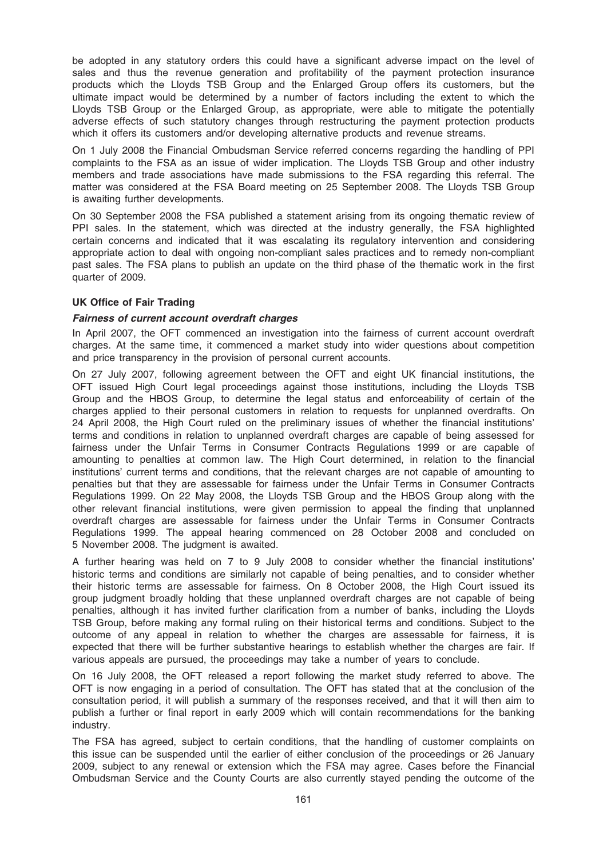be adopted in any statutory orders this could have a significant adverse impact on the level of sales and thus the revenue generation and profitability of the payment protection insurance products which the Lloyds TSB Group and the Enlarged Group offers its customers, but the ultimate impact would be determined by a number of factors including the extent to which the Lloyds TSB Group or the Enlarged Group, as appropriate, were able to mitigate the potentially adverse effects of such statutory changes through restructuring the payment protection products which it offers its customers and/or developing alternative products and revenue streams.

On 1 July 2008 the Financial Ombudsman Service referred concerns regarding the handling of PPI complaints to the FSA as an issue of wider implication. The Lloyds TSB Group and other industry members and trade associations have made submissions to the FSA regarding this referral. The matter was considered at the FSA Board meeting on 25 September 2008. The Lloyds TSB Group is awaiting further developments.

On 30 September 2008 the FSA published a statement arising from its ongoing thematic review of PPI sales. In the statement, which was directed at the industry generally, the FSA highlighted certain concerns and indicated that it was escalating its regulatory intervention and considering appropriate action to deal with ongoing non-compliant sales practices and to remedy non-compliant past sales. The FSA plans to publish an update on the third phase of the thematic work in the first quarter of 2009.

#### UK Office of Fair Trading

#### Fairness of current account overdraft charges

In April 2007, the OFT commenced an investigation into the fairness of current account overdraft charges. At the same time, it commenced a market study into wider questions about competition and price transparency in the provision of personal current accounts.

On 27 July 2007, following agreement between the OFT and eight UK financial institutions, the OFT issued High Court legal proceedings against those institutions, including the Lloyds TSB Group and the HBOS Group, to determine the legal status and enforceability of certain of the charges applied to their personal customers in relation to requests for unplanned overdrafts. On 24 April 2008, the High Court ruled on the preliminary issues of whether the financial institutions' terms and conditions in relation to unplanned overdraft charges are capable of being assessed for fairness under the Unfair Terms in Consumer Contracts Regulations 1999 or are capable of amounting to penalties at common law. The High Court determined, in relation to the financial institutions' current terms and conditions, that the relevant charges are not capable of amounting to penalties but that they are assessable for fairness under the Unfair Terms in Consumer Contracts Regulations 1999. On 22 May 2008, the Lloyds TSB Group and the HBOS Group along with the other relevant financial institutions, were given permission to appeal the finding that unplanned overdraft charges are assessable for fairness under the Unfair Terms in Consumer Contracts Regulations 1999. The appeal hearing commenced on 28 October 2008 and concluded on 5 November 2008. The judgment is awaited.

A further hearing was held on 7 to 9 July 2008 to consider whether the financial institutions' historic terms and conditions are similarly not capable of being penalties, and to consider whether their historic terms are assessable for fairness. On 8 October 2008, the High Court issued its group judgment broadly holding that these unplanned overdraft charges are not capable of being penalties, although it has invited further clarification from a number of banks, including the Lloyds TSB Group, before making any formal ruling on their historical terms and conditions. Subject to the outcome of any appeal in relation to whether the charges are assessable for fairness, it is expected that there will be further substantive hearings to establish whether the charges are fair. If various appeals are pursued, the proceedings may take a number of years to conclude.

On 16 July 2008, the OFT released a report following the market study referred to above. The OFT is now engaging in a period of consultation. The OFT has stated that at the conclusion of the consultation period, it will publish a summary of the responses received, and that it will then aim to publish a further or final report in early 2009 which will contain recommendations for the banking industry.

The FSA has agreed, subject to certain conditions, that the handling of customer complaints on this issue can be suspended until the earlier of either conclusion of the proceedings or 26 January 2009, subject to any renewal or extension which the FSA may agree. Cases before the Financial Ombudsman Service and the County Courts are also currently stayed pending the outcome of the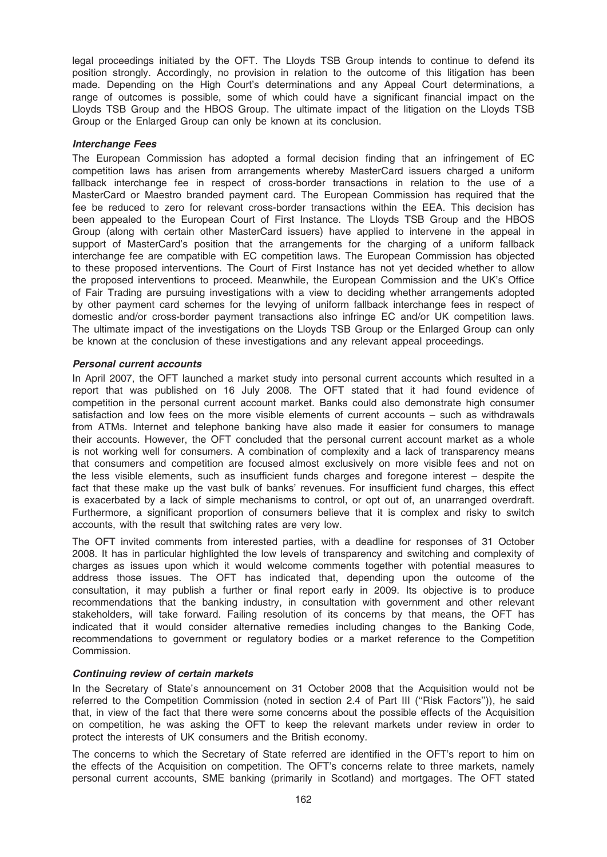legal proceedings initiated by the OFT. The Lloyds TSB Group intends to continue to defend its position strongly. Accordingly, no provision in relation to the outcome of this litigation has been made. Depending on the High Court's determinations and any Appeal Court determinations, a range of outcomes is possible, some of which could have a significant financial impact on the Lloyds TSB Group and the HBOS Group. The ultimate impact of the litigation on the Lloyds TSB Group or the Enlarged Group can only be known at its conclusion.

#### Interchange Fees

The European Commission has adopted a formal decision finding that an infringement of EC competition laws has arisen from arrangements whereby MasterCard issuers charged a uniform fallback interchange fee in respect of cross-border transactions in relation to the use of a MasterCard or Maestro branded payment card. The European Commission has required that the fee be reduced to zero for relevant cross-border transactions within the EEA. This decision has been appealed to the European Court of First Instance. The Lloyds TSB Group and the HBOS Group (along with certain other MasterCard issuers) have applied to intervene in the appeal in support of MasterCard's position that the arrangements for the charging of a uniform fallback interchange fee are compatible with EC competition laws. The European Commission has objected to these proposed interventions. The Court of First Instance has not yet decided whether to allow the proposed interventions to proceed. Meanwhile, the European Commission and the UK's Office of Fair Trading are pursuing investigations with a view to deciding whether arrangements adopted by other payment card schemes for the levying of uniform fallback interchange fees in respect of domestic and/or cross-border payment transactions also infringe EC and/or UK competition laws. The ultimate impact of the investigations on the Lloyds TSB Group or the Enlarged Group can only be known at the conclusion of these investigations and any relevant appeal proceedings.

#### Personal current accounts

In April 2007, the OFT launched a market study into personal current accounts which resulted in a report that was published on 16 July 2008. The OFT stated that it had found evidence of competition in the personal current account market. Banks could also demonstrate high consumer satisfaction and low fees on the more visible elements of current accounts – such as withdrawals from ATMs. Internet and telephone banking have also made it easier for consumers to manage their accounts. However, the OFT concluded that the personal current account market as a whole is not working well for consumers. A combination of complexity and a lack of transparency means that consumers and competition are focused almost exclusively on more visible fees and not on the less visible elements, such as insufficient funds charges and foregone interest – despite the fact that these make up the vast bulk of banks' revenues. For insufficient fund charges, this effect is exacerbated by a lack of simple mechanisms to control, or opt out of, an unarranged overdraft. Furthermore, a significant proportion of consumers believe that it is complex and risky to switch accounts, with the result that switching rates are very low.

The OFT invited comments from interested parties, with a deadline for responses of 31 October 2008. It has in particular highlighted the low levels of transparency and switching and complexity of charges as issues upon which it would welcome comments together with potential measures to address those issues. The OFT has indicated that, depending upon the outcome of the consultation, it may publish a further or final report early in 2009. Its objective is to produce recommendations that the banking industry, in consultation with government and other relevant stakeholders, will take forward. Failing resolution of its concerns by that means, the OFT has indicated that it would consider alternative remedies including changes to the Banking Code, recommendations to government or regulatory bodies or a market reference to the Competition Commission.

## Continuing review of certain markets

In the Secretary of State's announcement on 31 October 2008 that the Acquisition would not be referred to the Competition Commission (noted in section 2.4 of Part III ("Risk Factors")), he said that, in view of the fact that there were some concerns about the possible effects of the Acquisition on competition, he was asking the OFT to keep the relevant markets under review in order to protect the interests of UK consumers and the British economy.

The concerns to which the Secretary of State referred are identified in the OFT's report to him on the effects of the Acquisition on competition. The OFT's concerns relate to three markets, namely personal current accounts, SME banking (primarily in Scotland) and mortgages. The OFT stated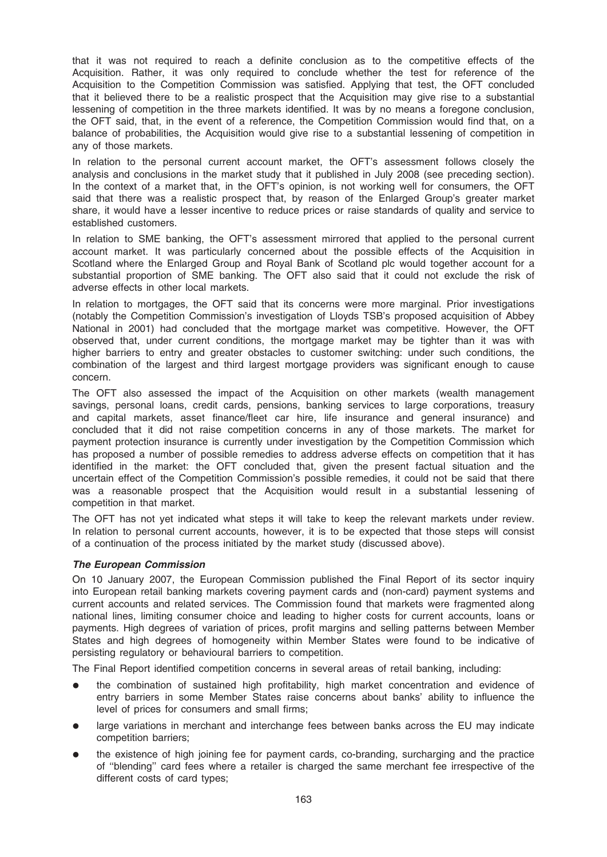that it was not required to reach a definite conclusion as to the competitive effects of the Acquisition. Rather, it was only required to conclude whether the test for reference of the Acquisition to the Competition Commission was satisfied. Applying that test, the OFT concluded that it believed there to be a realistic prospect that the Acquisition may give rise to a substantial lessening of competition in the three markets identified. It was by no means a foregone conclusion, the OFT said, that, in the event of a reference, the Competition Commission would find that, on a balance of probabilities, the Acquisition would give rise to a substantial lessening of competition in any of those markets.

In relation to the personal current account market, the OFT's assessment follows closely the analysis and conclusions in the market study that it published in July 2008 (see preceding section). In the context of a market that, in the OFT's opinion, is not working well for consumers, the OFT said that there was a realistic prospect that, by reason of the Enlarged Group's greater market share, it would have a lesser incentive to reduce prices or raise standards of quality and service to established customers.

In relation to SME banking, the OFT's assessment mirrored that applied to the personal current account market. It was particularly concerned about the possible effects of the Acquisition in Scotland where the Enlarged Group and Royal Bank of Scotland plc would together account for a substantial proportion of SME banking. The OFT also said that it could not exclude the risk of adverse effects in other local markets.

In relation to mortgages, the OFT said that its concerns were more marginal. Prior investigations (notably the Competition Commission's investigation of Lloyds TSB's proposed acquisition of Abbey National in 2001) had concluded that the mortgage market was competitive. However, the OFT observed that, under current conditions, the mortgage market may be tighter than it was with higher barriers to entry and greater obstacles to customer switching: under such conditions, the combination of the largest and third largest mortgage providers was significant enough to cause concern.

The OFT also assessed the impact of the Acquisition on other markets (wealth management savings, personal loans, credit cards, pensions, banking services to large corporations, treasury and capital markets, asset finance/fleet car hire, life insurance and general insurance) and concluded that it did not raise competition concerns in any of those markets. The market for payment protection insurance is currently under investigation by the Competition Commission which has proposed a number of possible remedies to address adverse effects on competition that it has identified in the market: the OFT concluded that, given the present factual situation and the uncertain effect of the Competition Commission's possible remedies, it could not be said that there was a reasonable prospect that the Acquisition would result in a substantial lessening of competition in that market.

The OFT has not yet indicated what steps it will take to keep the relevant markets under review. In relation to personal current accounts, however, it is to be expected that those steps will consist of a continuation of the process initiated by the market study (discussed above).

## The European Commission

On 10 January 2007, the European Commission published the Final Report of its sector inquiry into European retail banking markets covering payment cards and (non-card) payment systems and current accounts and related services. The Commission found that markets were fragmented along national lines, limiting consumer choice and leading to higher costs for current accounts, loans or payments. High degrees of variation of prices, profit margins and selling patterns between Member States and high degrees of homogeneity within Member States were found to be indicative of persisting regulatory or behavioural barriers to competition.

The Final Report identified competition concerns in several areas of retail banking, including:

- the combination of sustained high profitability, high market concentration and evidence of entry barriers in some Member States raise concerns about banks' ability to influence the level of prices for consumers and small firms;
- large variations in merchant and interchange fees between banks across the EU may indicate competition barriers;
- the existence of high joining fee for payment cards, co-branding, surcharging and the practice of ''blending'' card fees where a retailer is charged the same merchant fee irrespective of the different costs of card types;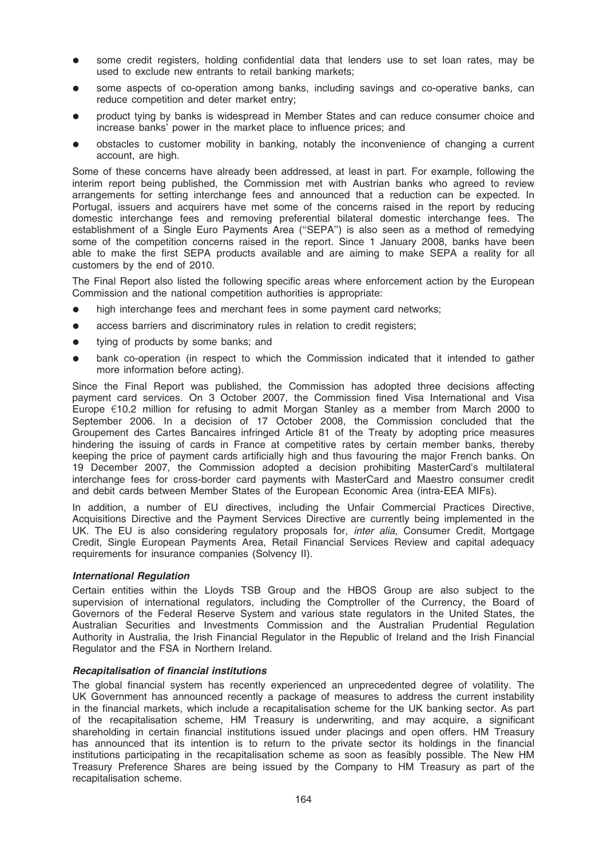- some credit registers, holding confidential data that lenders use to set loan rates, may be used to exclude new entrants to retail banking markets;
- some aspects of co-operation among banks, including savings and co-operative banks, can reduce competition and deter market entry;
- product tying by banks is widespread in Member States and can reduce consumer choice and increase banks' power in the market place to influence prices; and
- obstacles to customer mobility in banking, notably the inconvenience of changing a current account, are high.

Some of these concerns have already been addressed, at least in part. For example, following the interim report being published, the Commission met with Austrian banks who agreed to review arrangements for setting interchange fees and announced that a reduction can be expected. In Portugal, issuers and acquirers have met some of the concerns raised in the report by reducing domestic interchange fees and removing preferential bilateral domestic interchange fees. The establishment of a Single Euro Payments Area ("SEPA") is also seen as a method of remedying some of the competition concerns raised in the report. Since 1 January 2008, banks have been able to make the first SEPA products available and are aiming to make SEPA a reality for all customers by the end of 2010.

The Final Report also listed the following specific areas where enforcement action by the European Commission and the national competition authorities is appropriate:

- high interchange fees and merchant fees in some payment card networks;
- access barriers and discriminatory rules in relation to credit registers;
- tying of products by some banks; and
- bank co-operation (in respect to which the Commission indicated that it intended to gather more information before acting).

Since the Final Report was published, the Commission has adopted three decisions affecting payment card services. On 3 October 2007, the Commission fined Visa International and Visa Europe  $E10.2$  million for refusing to admit Morgan Stanley as a member from March 2000 to September 2006. In a decision of 17 October 2008, the Commission concluded that the Groupement des Cartes Bancaires infringed Article 81 of the Treaty by adopting price measures hindering the issuing of cards in France at competitive rates by certain member banks, thereby keeping the price of payment cards artificially high and thus favouring the major French banks. On 19 December 2007, the Commission adopted a decision prohibiting MasterCard's multilateral interchange fees for cross-border card payments with MasterCard and Maestro consumer credit and debit cards between Member States of the European Economic Area (intra-EEA MIFs).

In addition, a number of EU directives, including the Unfair Commercial Practices Directive, Acquisitions Directive and the Payment Services Directive are currently being implemented in the UK. The EU is also considering regulatory proposals for, *inter alia*, Consumer Credit, Mortgage Credit, Single European Payments Area, Retail Financial Services Review and capital adequacy requirements for insurance companies (Solvency II).

#### International Regulation

Certain entities within the Lloyds TSB Group and the HBOS Group are also subject to the supervision of international regulators, including the Comptroller of the Currency, the Board of Governors of the Federal Reserve System and various state regulators in the United States, the Australian Securities and Investments Commission and the Australian Prudential Regulation Authority in Australia, the Irish Financial Regulator in the Republic of Ireland and the Irish Financial Regulator and the FSA in Northern Ireland.

#### Recapitalisation of financial institutions

The global financial system has recently experienced an unprecedented degree of volatility. The UK Government has announced recently a package of measures to address the current instability in the financial markets, which include a recapitalisation scheme for the UK banking sector. As part of the recapitalisation scheme, HM Treasury is underwriting, and may acquire, a significant shareholding in certain financial institutions issued under placings and open offers. HM Treasury has announced that its intention is to return to the private sector its holdings in the financial institutions participating in the recapitalisation scheme as soon as feasibly possible. The New HM Treasury Preference Shares are being issued by the Company to HM Treasury as part of the recapitalisation scheme.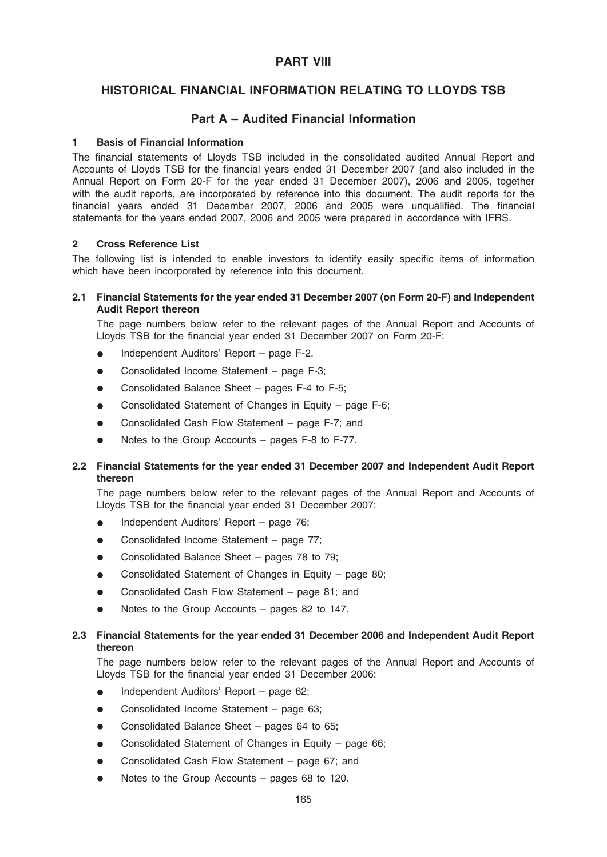## PART VIII

## HISTORICAL FINANCIAL INFORMATION RELATING TO LLOYDS TSB

# Part A – Audited Financial Information

## 1 Basis of Financial Information

The financial statements of Lloyds TSB included in the consolidated audited Annual Report and Accounts of Lloyds TSB for the financial years ended 31 December 2007 (and also included in the Annual Report on Form 20-F for the year ended 31 December 2007), 2006 and 2005, together with the audit reports, are incorporated by reference into this document. The audit reports for the financial years ended 31 December 2007, 2006 and 2005 were unqualified. The financial statements for the years ended 2007, 2006 and 2005 were prepared in accordance with IFRS.

#### 2 Cross Reference List

The following list is intended to enable investors to identify easily specific items of information which have been incorporated by reference into this document.

#### 2.1 Financial Statements for the year ended 31 December 2007 (on Form 20-F) and Independent Audit Report thereon

The page numbers below refer to the relevant pages of the Annual Report and Accounts of Lloyds TSB for the financial year ended 31 December 2007 on Form 20-F:

- Independent Auditors' Report page F-2.
- Consolidated Income Statement page F-3;
- Consolidated Balance Sheet pages F-4 to F-5;
- Consolidated Statement of Changes in Equity page F-6;
- Consolidated Cash Flow Statement page F-7; and
- Notes to the Group Accounts pages  $F-8$  to  $F-77$ .

## 2.2 Financial Statements for the year ended 31 December 2007 and Independent Audit Report thereon

The page numbers below refer to the relevant pages of the Annual Report and Accounts of Lloyds TSB for the financial year ended 31 December 2007:

- Independent Auditors' Report page 76;
- Consolidated Income Statement page 77;
- Consolidated Balance Sheet pages 78 to 79;
- Consolidated Statement of Changes in Equity page 80;
- Consolidated Cash Flow Statement page 81; and
- $\bullet$  Notes to the Group Accounts pages 82 to 147.

#### 2.3 Financial Statements for the year ended 31 December 2006 and Independent Audit Report thereon

The page numbers below refer to the relevant pages of the Annual Report and Accounts of Lloyds TSB for the financial year ended 31 December 2006:

- Independent Auditors' Report page 62;
- Consolidated Income Statement page 63;
- Consolidated Balance Sheet pages 64 to 65;
- Consolidated Statement of Changes in Equity page 66;
- Consolidated Cash Flow Statement page 67; and
- Notes to the Group Accounts pages 68 to 120.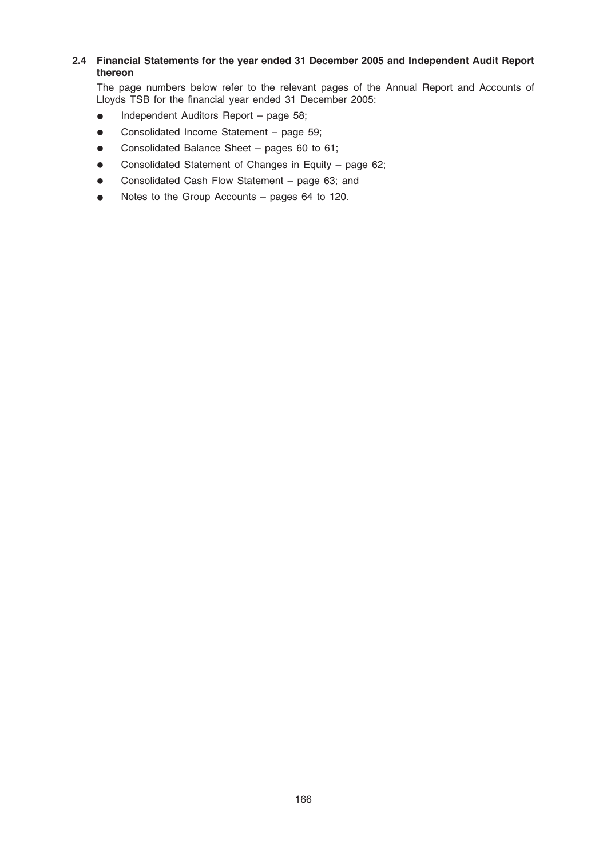## 2.4 Financial Statements for the year ended 31 December 2005 and Independent Audit Report thereon

The page numbers below refer to the relevant pages of the Annual Report and Accounts of Lloyds TSB for the financial year ended 31 December 2005:

- Independent Auditors Report page 58;
- Consolidated Income Statement page 59;
- Consolidated Balance Sheet pages 60 to 61;
- Consolidated Statement of Changes in Equity page 62;
- Consolidated Cash Flow Statement page 63; and
- Notes to the Group Accounts pages 64 to 120.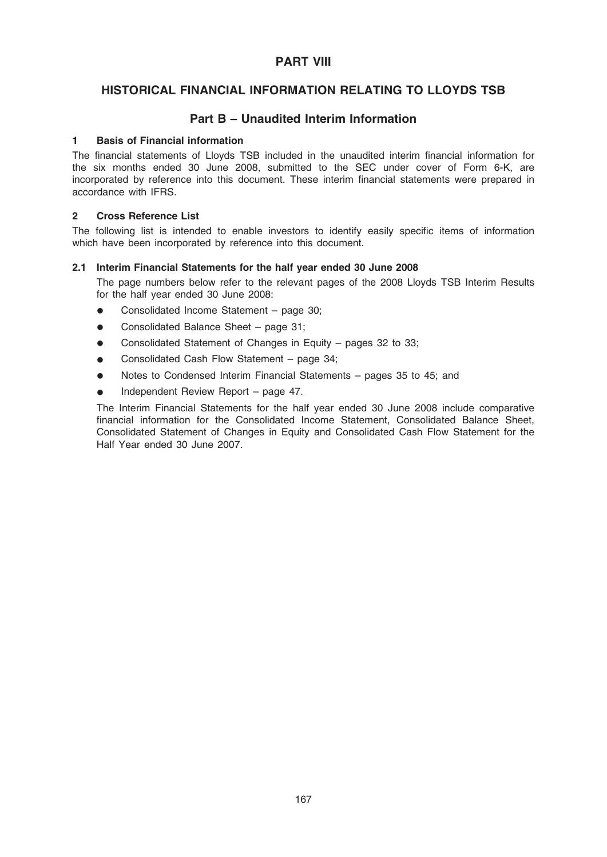## PART VIII

# HISTORICAL FINANCIAL INFORMATION RELATING TO LLOYDS TSB

## Part B – Unaudited Interim Information

#### 1 Basis of Financial information

The financial statements of Lloyds TSB included in the unaudited interim financial information for the six months ended 30 June 2008, submitted to the SEC under cover of Form 6-K, are incorporated by reference into this document. These interim financial statements were prepared in accordance with IFRS.

#### 2 Cross Reference List

The following list is intended to enable investors to identify easily specific items of information which have been incorporated by reference into this document.

#### 2.1 Interim Financial Statements for the half year ended 30 June 2008

The page numbers below refer to the relevant pages of the 2008 Lloyds TSB Interim Results for the half year ended 30 June 2008:

- $\bullet$  Consolidated Income Statement page 30;
- Consolidated Balance Sheet page 31;
- Consolidated Statement of Changes in Equity pages 32 to 33;
- Consolidated Cash Flow Statement page 34;
- Notes to Condensed Interim Financial Statements pages 35 to 45; and
- Independent Review Report page 47.

The Interim Financial Statements for the half year ended 30 June 2008 include comparative financial information for the Consolidated Income Statement, Consolidated Balance Sheet, Consolidated Statement of Changes in Equity and Consolidated Cash Flow Statement for the Half Year ended 30 June 2007.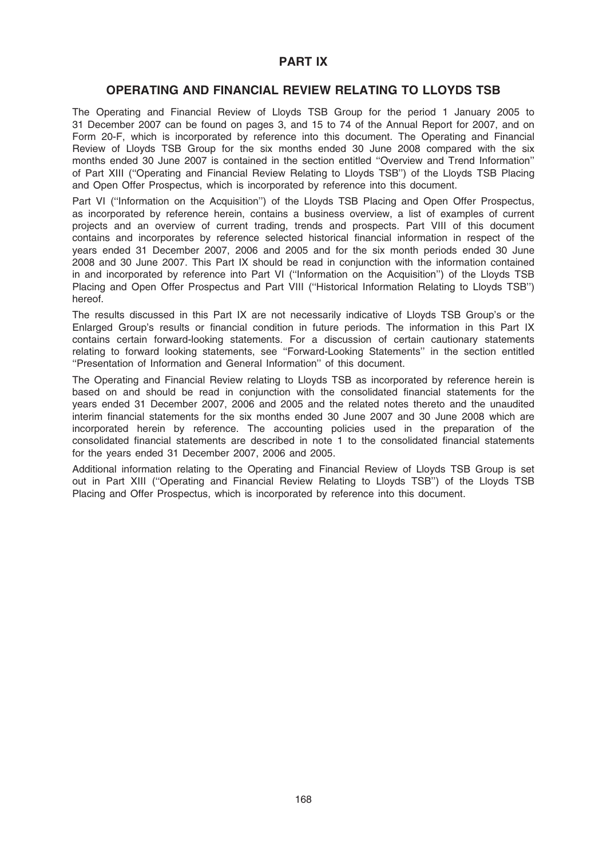## PART IX

## OPERATING AND FINANCIAL REVIEW RELATING TO LLOYDS TSB

The Operating and Financial Review of Lloyds TSB Group for the period 1 January 2005 to 31 December 2007 can be found on pages 3, and 15 to 74 of the Annual Report for 2007, and on Form 20-F, which is incorporated by reference into this document. The Operating and Financial Review of Lloyds TSB Group for the six months ended 30 June 2008 compared with the six months ended 30 June 2007 is contained in the section entitled ''Overview and Trend Information'' of Part XIII (''Operating and Financial Review Relating to Lloyds TSB'') of the Lloyds TSB Placing and Open Offer Prospectus, which is incorporated by reference into this document.

Part VI (''Information on the Acquisition'') of the Lloyds TSB Placing and Open Offer Prospectus, as incorporated by reference herein, contains a business overview, a list of examples of current projects and an overview of current trading, trends and prospects. Part VIII of this document contains and incorporates by reference selected historical financial information in respect of the years ended 31 December 2007, 2006 and 2005 and for the six month periods ended 30 June 2008 and 30 June 2007. This Part IX should be read in conjunction with the information contained in and incorporated by reference into Part VI (''Information on the Acquisition'') of the Lloyds TSB Placing and Open Offer Prospectus and Part VIII ("Historical Information Relating to Lloyds TSB") hereof.

The results discussed in this Part IX are not necessarily indicative of Lloyds TSB Group's or the Enlarged Group's results or financial condition in future periods. The information in this Part IX contains certain forward-looking statements. For a discussion of certain cautionary statements relating to forward looking statements, see ''Forward-Looking Statements'' in the section entitled ''Presentation of Information and General Information'' of this document.

The Operating and Financial Review relating to Lloyds TSB as incorporated by reference herein is based on and should be read in conjunction with the consolidated financial statements for the years ended 31 December 2007, 2006 and 2005 and the related notes thereto and the unaudited interim financial statements for the six months ended 30 June 2007 and 30 June 2008 which are incorporated herein by reference. The accounting policies used in the preparation of the consolidated financial statements are described in note 1 to the consolidated financial statements for the years ended 31 December 2007, 2006 and 2005.

Additional information relating to the Operating and Financial Review of Lloyds TSB Group is set out in Part XIII (''Operating and Financial Review Relating to Lloyds TSB'') of the Lloyds TSB Placing and Offer Prospectus, which is incorporated by reference into this document.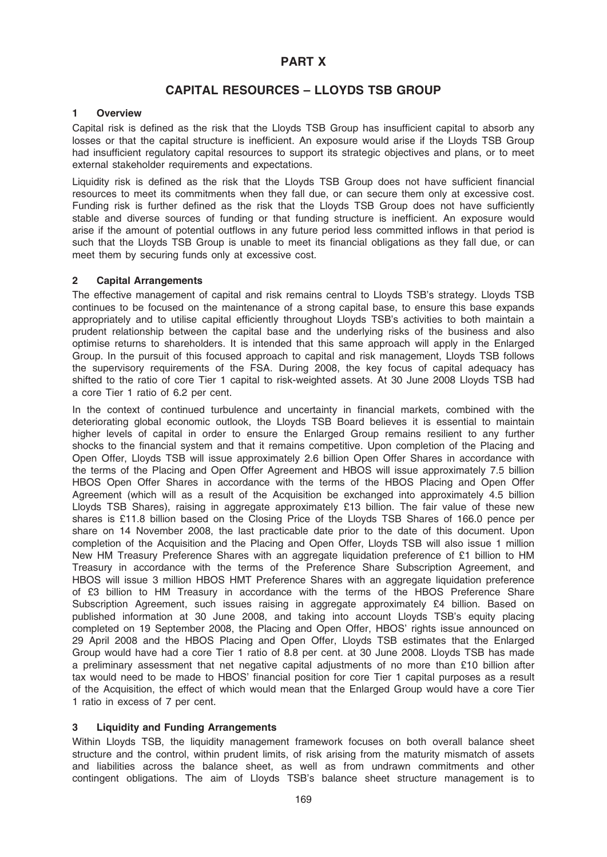## PART X

# CAPITAL RESOURCES – LLOYDS TSB GROUP

#### 1 Overview

Capital risk is defined as the risk that the Lloyds TSB Group has insufficient capital to absorb any losses or that the capital structure is inefficient. An exposure would arise if the Lloyds TSB Group had insufficient regulatory capital resources to support its strategic objectives and plans, or to meet external stakeholder requirements and expectations.

Liquidity risk is defined as the risk that the Lloyds TSB Group does not have sufficient financial resources to meet its commitments when they fall due, or can secure them only at excessive cost. Funding risk is further defined as the risk that the Lloyds TSB Group does not have sufficiently stable and diverse sources of funding or that funding structure is inefficient. An exposure would arise if the amount of potential outflows in any future period less committed inflows in that period is such that the Lloyds TSB Group is unable to meet its financial obligations as they fall due, or can meet them by securing funds only at excessive cost.

#### 2 Capital Arrangements

The effective management of capital and risk remains central to Lloyds TSB's strategy. Lloyds TSB continues to be focused on the maintenance of a strong capital base, to ensure this base expands appropriately and to utilise capital efficiently throughout Lloyds TSB's activities to both maintain a prudent relationship between the capital base and the underlying risks of the business and also optimise returns to shareholders. It is intended that this same approach will apply in the Enlarged Group. In the pursuit of this focused approach to capital and risk management, Lloyds TSB follows the supervisory requirements of the FSA. During 2008, the key focus of capital adequacy has shifted to the ratio of core Tier 1 capital to risk-weighted assets. At 30 June 2008 Lloyds TSB had a core Tier 1 ratio of 6.2 per cent.

In the context of continued turbulence and uncertainty in financial markets, combined with the deteriorating global economic outlook, the Lloyds TSB Board believes it is essential to maintain higher levels of capital in order to ensure the Enlarged Group remains resilient to any further shocks to the financial system and that it remains competitive. Upon completion of the Placing and Open Offer, Lloyds TSB will issue approximately 2.6 billion Open Offer Shares in accordance with the terms of the Placing and Open Offer Agreement and HBOS will issue approximately 7.5 billion HBOS Open Offer Shares in accordance with the terms of the HBOS Placing and Open Offer Agreement (which will as a result of the Acquisition be exchanged into approximately 4.5 billion Lloyds TSB Shares), raising in aggregate approximately £13 billion. The fair value of these new shares is £11.8 billion based on the Closing Price of the Lloyds TSB Shares of 166.0 pence per share on 14 November 2008, the last practicable date prior to the date of this document. Upon completion of the Acquisition and the Placing and Open Offer, Lloyds TSB will also issue 1 million New HM Treasury Preference Shares with an aggregate liquidation preference of £1 billion to HM Treasury in accordance with the terms of the Preference Share Subscription Agreement, and HBOS will issue 3 million HBOS HMT Preference Shares with an aggregate liquidation preference of £3 billion to HM Treasury in accordance with the terms of the HBOS Preference Share Subscription Agreement, such issues raising in aggregate approximately £4 billion. Based on published information at 30 June 2008, and taking into account Lloyds TSB's equity placing completed on 19 September 2008, the Placing and Open Offer, HBOS' rights issue announced on 29 April 2008 and the HBOS Placing and Open Offer, Lloyds TSB estimates that the Enlarged Group would have had a core Tier 1 ratio of 8.8 per cent. at 30 June 2008. Lloyds TSB has made a preliminary assessment that net negative capital adjustments of no more than £10 billion after tax would need to be made to HBOS' financial position for core Tier 1 capital purposes as a result of the Acquisition, the effect of which would mean that the Enlarged Group would have a core Tier 1 ratio in excess of 7 per cent.

## 3 Liquidity and Funding Arrangements

Within Lloyds TSB, the liquidity management framework focuses on both overall balance sheet structure and the control, within prudent limits, of risk arising from the maturity mismatch of assets and liabilities across the balance sheet, as well as from undrawn commitments and other contingent obligations. The aim of Lloyds TSB's balance sheet structure management is to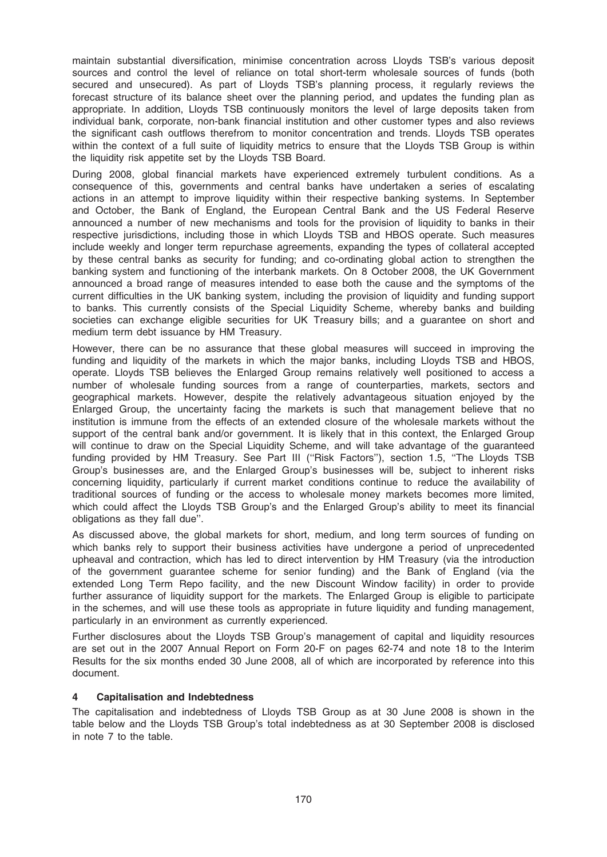maintain substantial diversification, minimise concentration across Lloyds TSB's various deposit sources and control the level of reliance on total short-term wholesale sources of funds (both secured and unsecured). As part of Lloyds TSB's planning process, it regularly reviews the forecast structure of its balance sheet over the planning period, and updates the funding plan as appropriate. In addition, Lloyds TSB continuously monitors the level of large deposits taken from individual bank, corporate, non-bank financial institution and other customer types and also reviews the significant cash outflows therefrom to monitor concentration and trends. Lloyds TSB operates within the context of a full suite of liquidity metrics to ensure that the Lloyds TSB Group is within the liquidity risk appetite set by the Lloyds TSB Board.

During 2008, global financial markets have experienced extremely turbulent conditions. As a consequence of this, governments and central banks have undertaken a series of escalating actions in an attempt to improve liquidity within their respective banking systems. In September and October, the Bank of England, the European Central Bank and the US Federal Reserve announced a number of new mechanisms and tools for the provision of liquidity to banks in their respective jurisdictions, including those in which Lloyds TSB and HBOS operate. Such measures include weekly and longer term repurchase agreements, expanding the types of collateral accepted by these central banks as security for funding; and co-ordinating global action to strengthen the banking system and functioning of the interbank markets. On 8 October 2008, the UK Government announced a broad range of measures intended to ease both the cause and the symptoms of the current difficulties in the UK banking system, including the provision of liquidity and funding support to banks. This currently consists of the Special Liquidity Scheme, whereby banks and building societies can exchange eligible securities for UK Treasury bills; and a guarantee on short and medium term debt issuance by HM Treasury.

However, there can be no assurance that these global measures will succeed in improving the funding and liquidity of the markets in which the major banks, including Lloyds TSB and HBOS, operate. Lloyds TSB believes the Enlarged Group remains relatively well positioned to access a number of wholesale funding sources from a range of counterparties, markets, sectors and geographical markets. However, despite the relatively advantageous situation enjoyed by the Enlarged Group, the uncertainty facing the markets is such that management believe that no institution is immune from the effects of an extended closure of the wholesale markets without the support of the central bank and/or government. It is likely that in this context, the Enlarged Group will continue to draw on the Special Liquidity Scheme, and will take advantage of the guaranteed funding provided by HM Treasury. See Part III ("Risk Factors"), section 1.5, "The Lloyds TSB Group's businesses are, and the Enlarged Group's businesses will be, subject to inherent risks concerning liquidity, particularly if current market conditions continue to reduce the availability of traditional sources of funding or the access to wholesale money markets becomes more limited, which could affect the Lloyds TSB Group's and the Enlarged Group's ability to meet its financial obligations as they fall due''.

As discussed above, the global markets for short, medium, and long term sources of funding on which banks rely to support their business activities have undergone a period of unprecedented upheaval and contraction, which has led to direct intervention by HM Treasury (via the introduction of the government guarantee scheme for senior funding) and the Bank of England (via the extended Long Term Repo facility, and the new Discount Window facility) in order to provide further assurance of liquidity support for the markets. The Enlarged Group is eligible to participate in the schemes, and will use these tools as appropriate in future liquidity and funding management, particularly in an environment as currently experienced.

Further disclosures about the Lloyds TSB Group's management of capital and liquidity resources are set out in the 2007 Annual Report on Form 20-F on pages 62-74 and note 18 to the Interim Results for the six months ended 30 June 2008, all of which are incorporated by reference into this document.

## 4 Capitalisation and Indebtedness

The capitalisation and indebtedness of Lloyds TSB Group as at 30 June 2008 is shown in the table below and the Lloyds TSB Group's total indebtedness as at 30 September 2008 is disclosed in note 7 to the table.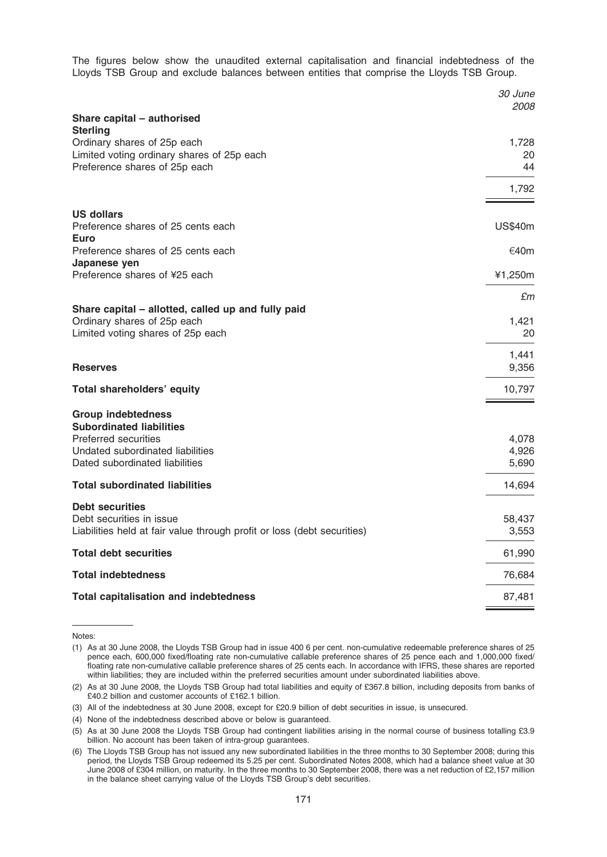The figures below show the unaudited external capitalisation and financial indebtedness of the Lloyds TSB Group and exclude balances between entities that comprise the Lloyds TSB Group.

|                                                                         | 30 June<br><i>2008</i> |
|-------------------------------------------------------------------------|------------------------|
| Share capital - authorised                                              |                        |
| <b>Sterling</b><br>Ordinary shares of 25p each                          | 1,728                  |
| Limited voting ordinary shares of 25p each                              | 20                     |
| Preference shares of 25p each                                           | 44                     |
|                                                                         | 1,792                  |
| <b>US dollars</b>                                                       |                        |
| Preference shares of 25 cents each<br>Euro                              | <b>US\$40m</b>         |
| Preference shares of 25 cents each<br>Japanese yen                      | €40m                   |
| Preference shares of ¥25 each                                           | ¥1,250m                |
| Share capital - allotted, called up and fully paid                      | £m                     |
| Ordinary shares of 25p each                                             | 1,421                  |
| Limited voting shares of 25p each                                       | 20                     |
|                                                                         | 1,441                  |
| <b>Reserves</b>                                                         | 9,356                  |
| Total shareholders' equity                                              | 10,797                 |
| <b>Group indebtedness</b>                                               |                        |
| <b>Subordinated liabilities</b>                                         |                        |
| <b>Preferred securities</b><br>Undated subordinated liabilities         | 4,078<br>4,926         |
| Dated subordinated liabilities                                          | 5,690                  |
| <b>Total subordinated liabilities</b>                                   | 14,694                 |
| <b>Debt securities</b>                                                  |                        |
| Debt securities in issue                                                | 58,437                 |
| Liabilities held at fair value through profit or loss (debt securities) | 3,553                  |
| <b>Total debt securities</b>                                            | 61,990                 |
| <b>Total indebtedness</b>                                               | 76,684                 |
| <b>Total capitalisation and indebtedness</b>                            | 87,481                 |
|                                                                         |                        |

Notes:

<sup>(1)</sup> As at 30 June 2008, the Lloyds TSB Group had in issue 400 6 per cent. non-cumulative redeemable preference shares of 25 pence each, 600,000 fixed/floating rate non-cumulative callable preference shares of 25 pence each and 1,000,000 fixed/ floating rate non-cumulative callable preference shares of 25 cents each. In accordance with IFRS, these shares are reported within liabilities; they are included within the preferred securities amount under subordinated liabilities above.

<sup>(2)</sup> As at 30 June 2008, the Lloyds TSB Group had total liabilities and equity of £367.8 billion, including deposits from banks of £40.2 billion and customer accounts of £162.1 billion.

<sup>(3)</sup> All of the indebtedness at 30 June 2008, except for £20.9 billion of debt securities in issue, is unsecured.

<sup>(4)</sup> None of the indebtedness described above or below is guaranteed.

<sup>(5)</sup> As at 30 June 2008 the Lloyds TSB Group had contingent liabilities arising in the normal course of business totalling £3.9 billion. No account has been taken of intra-group guarantees.

<sup>(6)</sup> The Lloyds TSB Group has not issued any new subordinated liabilities in the three months to 30 September 2008; during this period, the Lloyds TSB Group redeemed its 5.25 per cent. Subordinated Notes 2008, which had a balance sheet value at 30 June 2008 of £304 million, on maturity. In the three months to 30 September 2008, there was a net reduction of £2,157 million in the balance sheet carrying value of the Lloyds TSB Group's debt securities.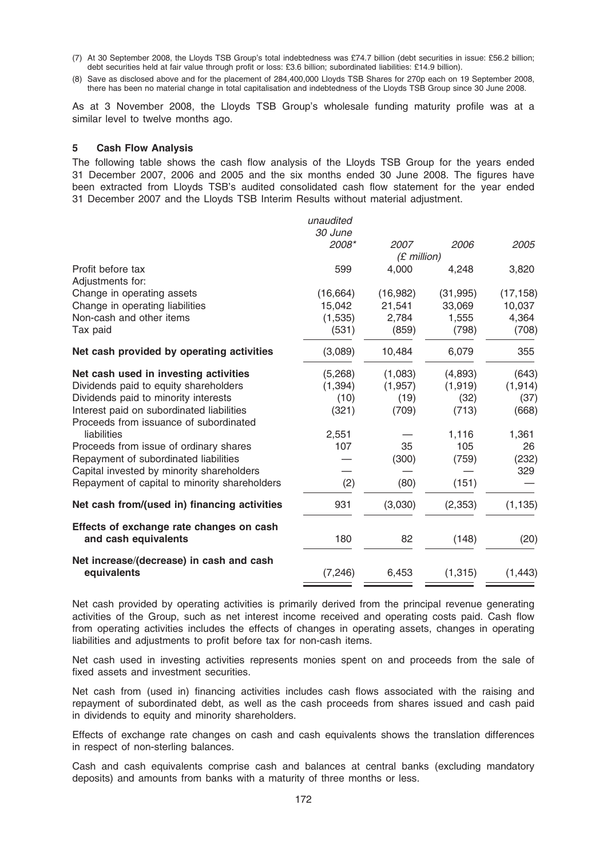- (7) At 30 September 2008, the Lloyds TSB Group's total indebtedness was £74.7 billion (debt securities in issue: £56.2 billion; debt securities held at fair value through profit or loss: £3.6 billion; subordinated liabilities: £14.9 billion).
- (8) Save as disclosed above and for the placement of 284,400,000 Lloyds TSB Shares for 270p each on 19 September 2008, there has been no material change in total capitalisation and indebtedness of the Lloyds TSB Group since 30 June 2008.

As at 3 November 2008, the Lloyds TSB Group's wholesale funding maturity profile was at a similar level to twelve months ago.

#### 5 Cash Flow Analysis

The following table shows the cash flow analysis of the Lloyds TSB Group for the years ended 31 December 2007, 2006 and 2005 and the six months ended 30 June 2008. The figures have been extracted from Lloyds TSB's audited consolidated cash flow statement for the year ended 31 December 2007 and the Lloyds TSB Interim Results without material adjustment.

|                                                                  | unaudited |               |           |           |
|------------------------------------------------------------------|-----------|---------------|-----------|-----------|
|                                                                  | 30 June   |               |           |           |
|                                                                  | 2008*     | 2007          | 2006      | 2005      |
|                                                                  |           | $(E$ million) |           |           |
| Profit before tax                                                | 599       | 4,000         | 4,248     | 3,820     |
| Adjustments for:                                                 |           |               |           |           |
| Change in operating assets                                       | (16, 664) | (16, 982)     | (31, 995) | (17, 158) |
| Change in operating liabilities                                  | 15,042    | 21,541        | 33,069    | 10,037    |
| Non-cash and other items                                         | (1,535)   | 2,784         | 1,555     | 4,364     |
| Tax paid                                                         | (531)     | (859)         | (798)     | (708)     |
| Net cash provided by operating activities                        | (3,089)   | 10,484        | 6,079     | 355       |
| Net cash used in investing activities                            | (5,268)   | (1,083)       | (4,893)   | (643)     |
| Dividends paid to equity shareholders                            | (1, 394)  | (1, 957)      | (1, 919)  | (1, 914)  |
| Dividends paid to minority interests                             | (10)      | (19)          | (32)      | (37)      |
| Interest paid on subordinated liabilities                        | (321)     | (709)         | (713)     | (668)     |
| Proceeds from issuance of subordinated                           |           |               |           |           |
| liabilities                                                      | 2,551     |               | 1,116     | 1,361     |
| Proceeds from issue of ordinary shares                           | 107       | 35            | 105       | 26        |
| Repayment of subordinated liabilities                            |           | (300)         | (759)     | (232)     |
| Capital invested by minority shareholders                        |           |               |           | 329       |
| Repayment of capital to minority shareholders                    | (2)       | (80)          | (151)     |           |
| Net cash from/(used in) financing activities                     | 931       | (3,030)       | (2, 353)  | (1, 135)  |
| Effects of exchange rate changes on cash<br>and cash equivalents | 180       | 82            | (148)     | (20)      |
| Net increase/(decrease) in cash and cash<br>equivalents          | (7, 246)  | 6,453         | (1, 315)  | (1, 443)  |
|                                                                  |           |               |           |           |

Net cash provided by operating activities is primarily derived from the principal revenue generating activities of the Group, such as net interest income received and operating costs paid. Cash flow from operating activities includes the effects of changes in operating assets, changes in operating liabilities and adjustments to profit before tax for non-cash items.

Net cash used in investing activities represents monies spent on and proceeds from the sale of fixed assets and investment securities.

Net cash from (used in) financing activities includes cash flows associated with the raising and repayment of subordinated debt, as well as the cash proceeds from shares issued and cash paid in dividends to equity and minority shareholders.

Effects of exchange rate changes on cash and cash equivalents shows the translation differences in respect of non-sterling balances.

Cash and cash equivalents comprise cash and balances at central banks (excluding mandatory deposits) and amounts from banks with a maturity of three months or less.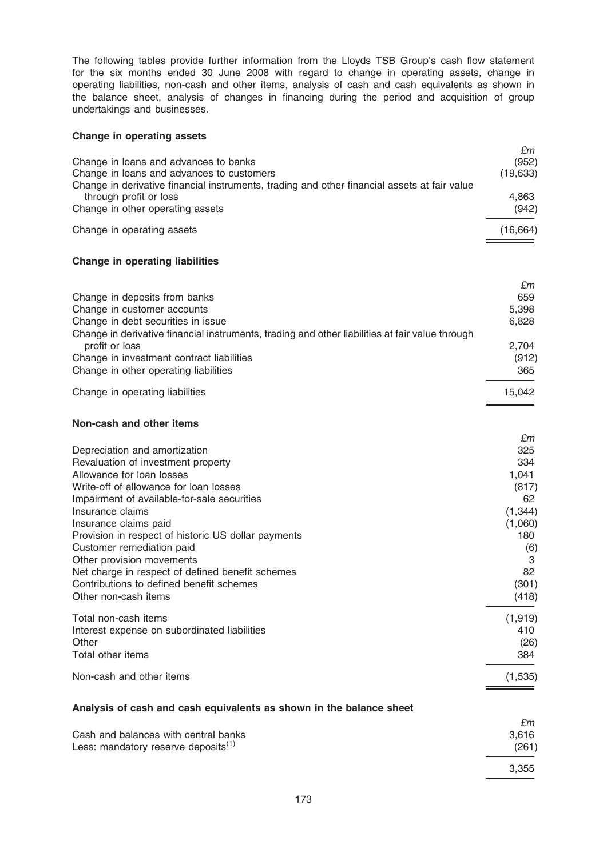The following tables provide further information from the Lloyds TSB Group's cash flow statement for the six months ended 30 June 2008 with regard to change in operating assets, change in operating liabilities, non-cash and other items, analysis of cash and cash equivalents as shown in the balance sheet, analysis of changes in financing during the period and acquisition of group undertakings and businesses.

#### Change in operating assets

|                                                                                              | £m        |
|----------------------------------------------------------------------------------------------|-----------|
| Change in loans and advances to banks                                                        | (952)     |
| Change in loans and advances to customers                                                    | (19, 633) |
| Change in derivative financial instruments, trading and other financial assets at fair value |           |
| through profit or loss                                                                       | 4.863     |
| Change in other operating assets                                                             | (942)     |
| Change in operating assets                                                                   | (16, 664) |

## Change in operating liabilities

|                                                                                                 | £m     |
|-------------------------------------------------------------------------------------------------|--------|
| Change in deposits from banks                                                                   | 659    |
| Change in customer accounts                                                                     | 5,398  |
| Change in debt securities in issue                                                              | 6,828  |
| Change in derivative financial instruments, trading and other liabilities at fair value through |        |
| profit or loss                                                                                  | 2.704  |
| Change in investment contract liabilities                                                       | (912)  |
| Change in other operating liabilities                                                           | 365    |
| Change in operating liabilities                                                                 | 15.042 |

#### Non-cash and other items

|                                                     | £m       |
|-----------------------------------------------------|----------|
| Depreciation and amortization                       | 325      |
| Revaluation of investment property                  | 334      |
| Allowance for loan losses                           | 1,041    |
| Write-off of allowance for loan losses              | (817)    |
| Impairment of available-for-sale securities         | 62       |
| Insurance claims                                    | (1, 344) |
| Insurance claims paid                               | (1,060)  |
| Provision in respect of historic US dollar payments | 180      |
| Customer remediation paid                           | (6)      |
| Other provision movements                           | 3        |
| Net charge in respect of defined benefit schemes    | 82       |
| Contributions to defined benefit schemes            | (301)    |
| Other non-cash items                                | (418)    |
| Total non-cash items                                | (1, 919) |
| Interest expense on subordinated liabilities        | 410      |
| Other                                               | (26)     |
| Total other items                                   | 384      |
| Non-cash and other items                            | (1,535)  |

## Analysis of cash and cash equivalents as shown in the balance sheet

|                                                                                         | £m             |
|-----------------------------------------------------------------------------------------|----------------|
| Cash and balances with central banks<br>Less: mandatory reserve deposits <sup>(1)</sup> | 3.616<br>(261) |
|                                                                                         | 3.355          |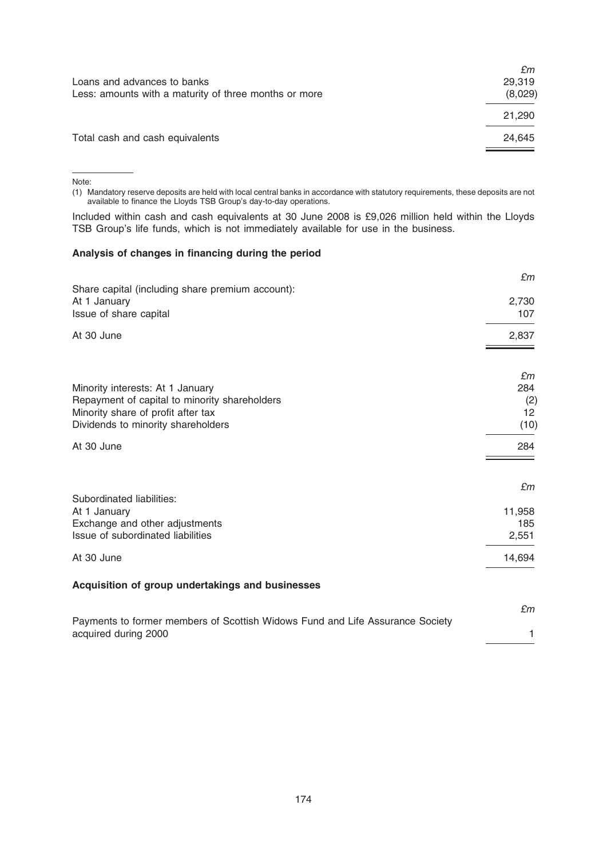|                                                       | £m      |
|-------------------------------------------------------|---------|
| Loans and advances to banks                           | 29.319  |
| Less: amounts with a maturity of three months or more | (8,029) |
|                                                       | 21,290  |
| Total cash and cash equivalents                       | 24.645  |
|                                                       |         |

Note:

(1) Mandatory reserve deposits are held with local central banks in accordance with statutory requirements, these deposits are not available to finance the Lloyds TSB Group's day-to-day operations.

Included within cash and cash equivalents at 30 June 2008 is £9,026 million held within the Lloyds TSB Group's life funds, which is not immediately available for use in the business.

## Analysis of changes in financing during the period

|                                                                                                                                                               | £m                             |
|---------------------------------------------------------------------------------------------------------------------------------------------------------------|--------------------------------|
| Share capital (including share premium account):<br>At 1 January<br>Issue of share capital                                                                    | 2,730<br>107                   |
| At 30 June                                                                                                                                                    | 2,837                          |
| Minority interests: At 1 January<br>Repayment of capital to minority shareholders<br>Minority share of profit after tax<br>Dividends to minority shareholders | £m<br>284<br>(2)<br>12<br>(10) |
| At 30 June                                                                                                                                                    | 284                            |
| Subordinated liabilities:<br>At 1 January<br>Exchange and other adjustments<br>Issue of subordinated liabilities                                              | £m<br>11,958<br>185<br>2,551   |
| At 30 June                                                                                                                                                    | 14,694                         |
| Acquisition of group undertakings and businesses                                                                                                              |                                |
| Payments to former members of Scottish Widows Fund and Life Assurance Society<br>acquired during 2000                                                         | £m<br>1                        |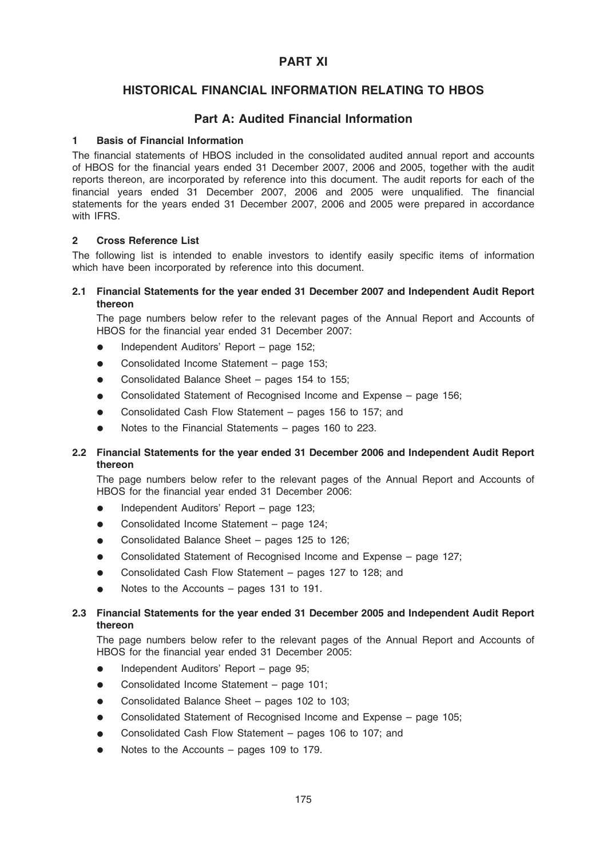# PART XI

# HISTORICAL FINANCIAL INFORMATION RELATING TO HBOS

## Part A: Audited Financial Information

#### **Basis of Financial Information**

The financial statements of HBOS included in the consolidated audited annual report and accounts of HBOS for the financial years ended 31 December 2007, 2006 and 2005, together with the audit reports thereon, are incorporated by reference into this document. The audit reports for each of the financial years ended 31 December 2007, 2006 and 2005 were unqualified. The financial statements for the years ended 31 December 2007, 2006 and 2005 were prepared in accordance with IFRS.

### 2 Cross Reference List

The following list is intended to enable investors to identify easily specific items of information which have been incorporated by reference into this document.

## 2.1 Financial Statements for the year ended 31 December 2007 and Independent Audit Report thereon

The page numbers below refer to the relevant pages of the Annual Report and Accounts of HBOS for the financial year ended 31 December 2007:

- Independent Auditors' Report page 152;
- $\bullet$  Consolidated Income Statement page 153;
- Consolidated Balance Sheet pages 154 to 155;
- Consolidated Statement of Recognised Income and Expense page 156;
- Consolidated Cash Flow Statement pages 156 to 157; and
- Notes to the Financial Statements pages 160 to 223.

## 2.2 Financial Statements for the year ended 31 December 2006 and Independent Audit Report thereon

The page numbers below refer to the relevant pages of the Annual Report and Accounts of HBOS for the financial year ended 31 December 2006:

- Independent Auditors' Report page 123;
- Consolidated Income Statement page 124;
- Consolidated Balance Sheet pages 125 to 126;
- Consolidated Statement of Recognised Income and Expense page 127;
- Consolidated Cash Flow Statement pages 127 to 128; and
- Notes to the Accounts pages 131 to 191.

## 2.3 Financial Statements for the year ended 31 December 2005 and Independent Audit Report thereon

The page numbers below refer to the relevant pages of the Annual Report and Accounts of HBOS for the financial year ended 31 December 2005:

- Independent Auditors' Report page 95;
- Consolidated Income Statement page 101;
- Consolidated Balance Sheet pages 102 to 103;
- Consolidated Statement of Recognised Income and Expense page 105;
- Consolidated Cash Flow Statement pages 106 to 107; and
- Notes to the Accounts pages 109 to 179.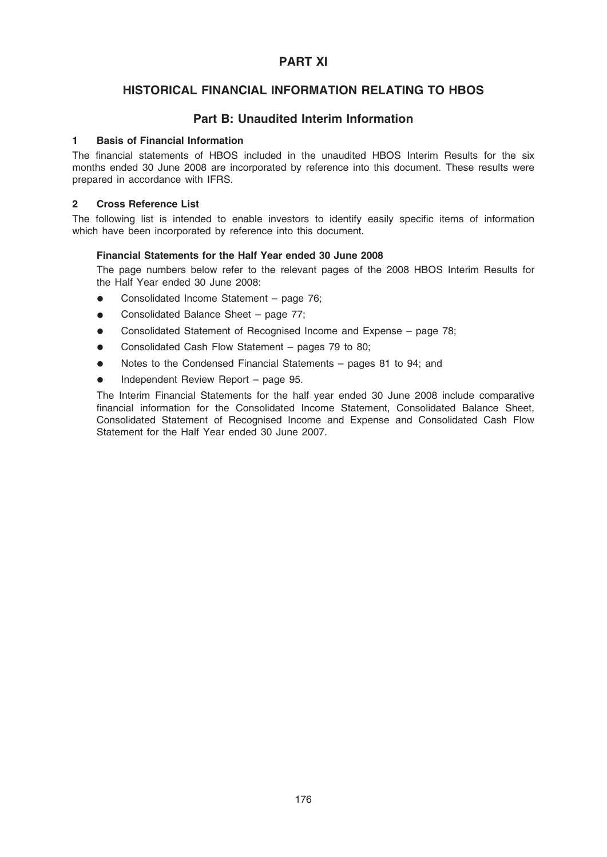# PART XI

# HISTORICAL FINANCIAL INFORMATION RELATING TO HBOS

## Part B: Unaudited Interim Information

#### 1 Basis of Financial Information

The financial statements of HBOS included in the unaudited HBOS Interim Results for the six months ended 30 June 2008 are incorporated by reference into this document. These results were prepared in accordance with IFRS.

#### 2 Cross Reference List

The following list is intended to enable investors to identify easily specific items of information which have been incorporated by reference into this document.

### Financial Statements for the Half Year ended 30 June 2008

The page numbers below refer to the relevant pages of the 2008 HBOS Interim Results for the Half Year ended 30 June 2008:

- $\bullet$  Consolidated Income Statement page 76;
- Consolidated Balance Sheet page 77;
- \* Consolidated Statement of Recognised Income and Expense page 78;
- Consolidated Cash Flow Statement pages 79 to 80;
- Notes to the Condensed Financial Statements pages 81 to 94; and
- Independent Review Report page 95.

The Interim Financial Statements for the half year ended 30 June 2008 include comparative financial information for the Consolidated Income Statement, Consolidated Balance Sheet, Consolidated Statement of Recognised Income and Expense and Consolidated Cash Flow Statement for the Half Year ended 30 June 2007.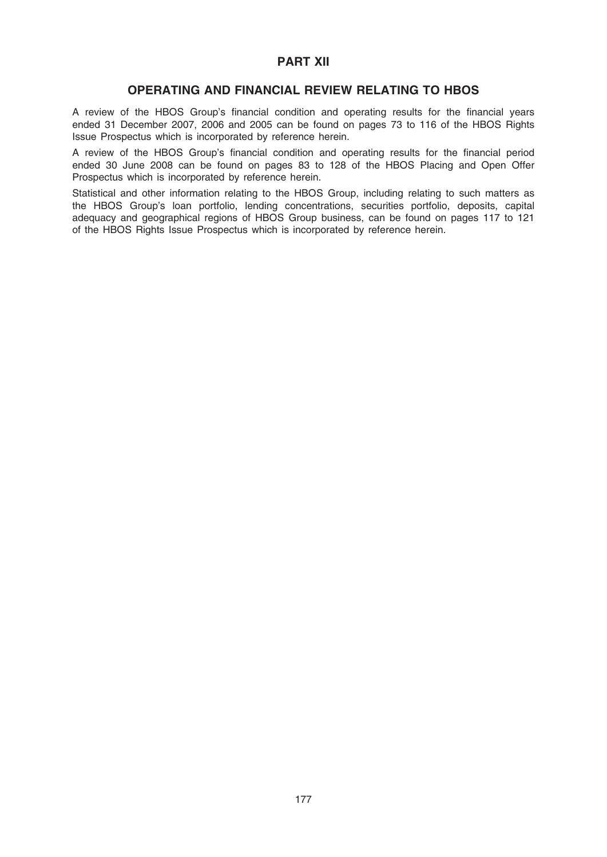# PART XII

## OPERATING AND FINANCIAL REVIEW RELATING TO HBOS

A review of the HBOS Group's financial condition and operating results for the financial years ended 31 December 2007, 2006 and 2005 can be found on pages 73 to 116 of the HBOS Rights Issue Prospectus which is incorporated by reference herein.

A review of the HBOS Group's financial condition and operating results for the financial period ended 30 June 2008 can be found on pages 83 to 128 of the HBOS Placing and Open Offer Prospectus which is incorporated by reference herein.

Statistical and other information relating to the HBOS Group, including relating to such matters as the HBOS Group's loan portfolio, lending concentrations, securities portfolio, deposits, capital adequacy and geographical regions of HBOS Group business, can be found on pages 117 to 121 of the HBOS Rights Issue Prospectus which is incorporated by reference herein.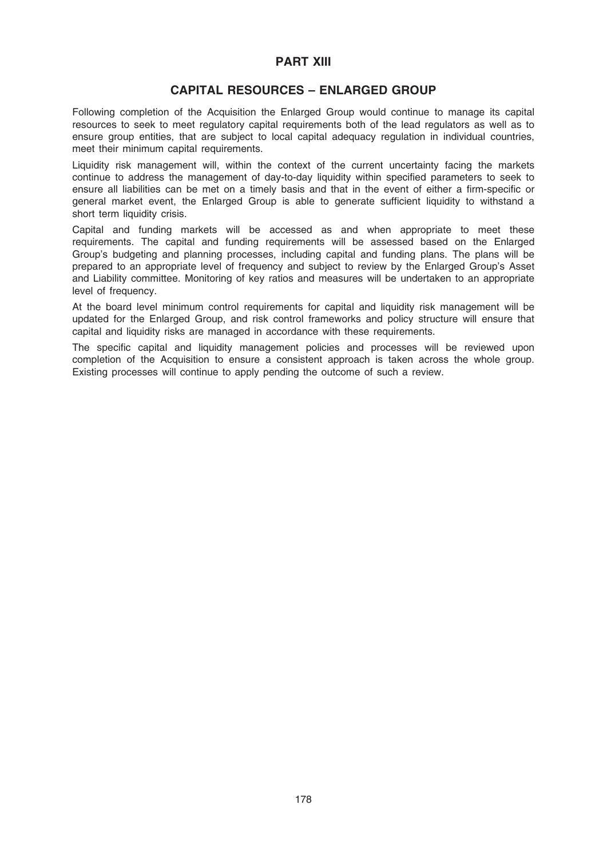## PART XIII

# CAPITAL RESOURCES – ENLARGED GROUP

Following completion of the Acquisition the Enlarged Group would continue to manage its capital resources to seek to meet regulatory capital requirements both of the lead regulators as well as to ensure group entities, that are subject to local capital adequacy regulation in individual countries, meet their minimum capital requirements.

Liquidity risk management will, within the context of the current uncertainty facing the markets continue to address the management of day-to-day liquidity within specified parameters to seek to ensure all liabilities can be met on a timely basis and that in the event of either a firm-specific or general market event, the Enlarged Group is able to generate sufficient liquidity to withstand a short term liquidity crisis.

Capital and funding markets will be accessed as and when appropriate to meet these requirements. The capital and funding requirements will be assessed based on the Enlarged Group's budgeting and planning processes, including capital and funding plans. The plans will be prepared to an appropriate level of frequency and subject to review by the Enlarged Group's Asset and Liability committee. Monitoring of key ratios and measures will be undertaken to an appropriate level of frequency.

At the board level minimum control requirements for capital and liquidity risk management will be updated for the Enlarged Group, and risk control frameworks and policy structure will ensure that capital and liquidity risks are managed in accordance with these requirements.

The specific capital and liquidity management policies and processes will be reviewed upon completion of the Acquisition to ensure a consistent approach is taken across the whole group. Existing processes will continue to apply pending the outcome of such a review.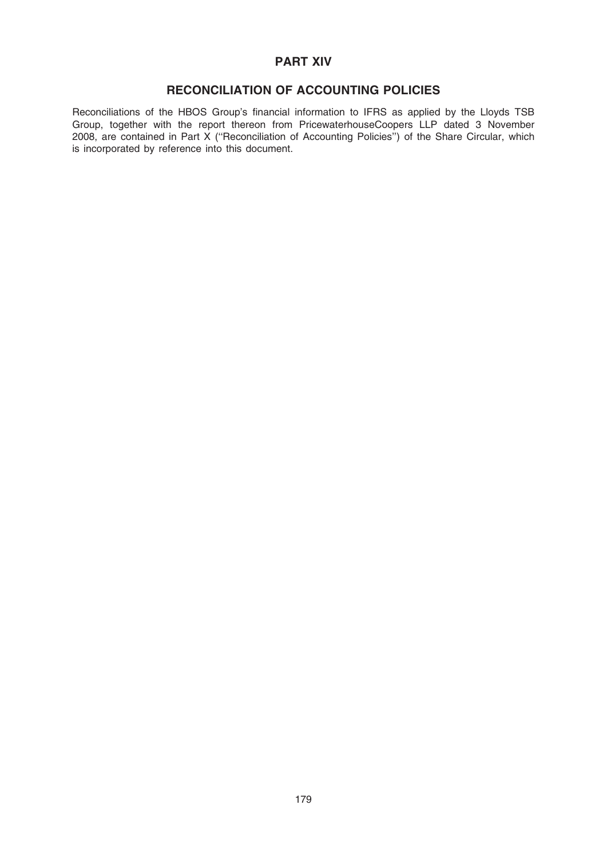# PART XIV

# RECONCILIATION OF ACCOUNTING POLICIES

Reconciliations of the HBOS Group's financial information to IFRS as applied by the Lloyds TSB Group, together with the report thereon from PricewaterhouseCoopers LLP dated 3 November 2008, are contained in Part X (''Reconciliation of Accounting Policies'') of the Share Circular, which is incorporated by reference into this document.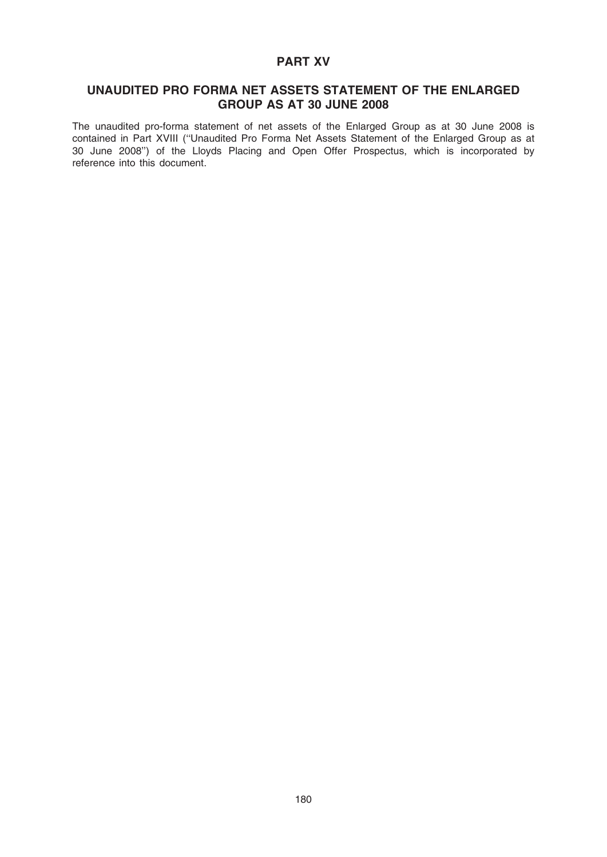# PART XV

## UNAUDITED PRO FORMA NET ASSETS STATEMENT OF THE ENLARGED GROUP AS AT 30 JUNE 2008

The unaudited pro-forma statement of net assets of the Enlarged Group as at 30 June 2008 is contained in Part XVIII (''Unaudited Pro Forma Net Assets Statement of the Enlarged Group as at 30 June 2008'') of the Lloyds Placing and Open Offer Prospectus, which is incorporated by reference into this document.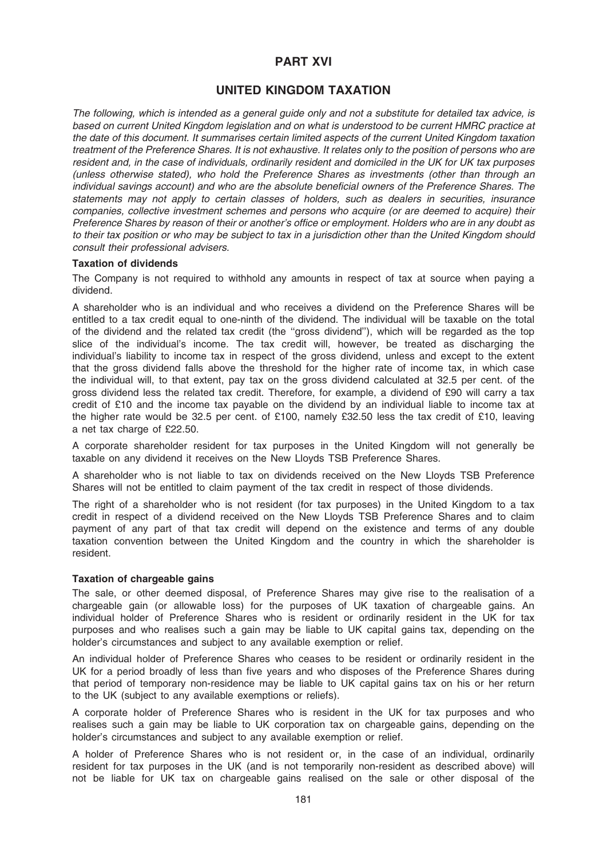# PART XVI

# UNITED KINGDOM TAXATION

The following, which is intended as a general guide only and not a substitute for detailed tax advice, is based on current United Kingdom legislation and on what is understood to be current HMRC practice at the date of this document. It summarises certain limited aspects of the current United Kingdom taxation treatment of the Preference Shares. It is not exhaustive. It relates only to the position of persons who are resident and, in the case of individuals, ordinarily resident and domiciled in the UK for UK tax purposes (unless otherwise stated), who hold the Preference Shares as investments (other than through an individual savings account) and who are the absolute beneficial owners of the Preference Shares. The statements may not apply to certain classes of holders, such as dealers in securities, insurance companies, collective investment schemes and persons who acquire (or are deemed to acquire) their Preference Shares by reason of their or another's office or employment. Holders who are in any doubt as to their tax position or who may be subject to tax in a jurisdiction other than the United Kingdom should consult their professional advisers.

## Taxation of dividends

The Company is not required to withhold any amounts in respect of tax at source when paying a dividend.

A shareholder who is an individual and who receives a dividend on the Preference Shares will be entitled to a tax credit equal to one-ninth of the dividend. The individual will be taxable on the total of the dividend and the related tax credit (the ''gross dividend''), which will be regarded as the top slice of the individual's income. The tax credit will, however, be treated as discharging the individual's liability to income tax in respect of the gross dividend, unless and except to the extent that the gross dividend falls above the threshold for the higher rate of income tax, in which case the individual will, to that extent, pay tax on the gross dividend calculated at 32.5 per cent. of the gross dividend less the related tax credit. Therefore, for example, a dividend of £90 will carry a tax credit of £10 and the income tax payable on the dividend by an individual liable to income tax at the higher rate would be 32.5 per cent. of £100, namely £32.50 less the tax credit of £10, leaving a net tax charge of £22.50.

A corporate shareholder resident for tax purposes in the United Kingdom will not generally be taxable on any dividend it receives on the New Lloyds TSB Preference Shares.

A shareholder who is not liable to tax on dividends received on the New Lloyds TSB Preference Shares will not be entitled to claim payment of the tax credit in respect of those dividends.

The right of a shareholder who is not resident (for tax purposes) in the United Kingdom to a tax credit in respect of a dividend received on the New Lloyds TSB Preference Shares and to claim payment of any part of that tax credit will depend on the existence and terms of any double taxation convention between the United Kingdom and the country in which the shareholder is resident.

### Taxation of chargeable gains

The sale, or other deemed disposal, of Preference Shares may give rise to the realisation of a chargeable gain (or allowable loss) for the purposes of UK taxation of chargeable gains. An individual holder of Preference Shares who is resident or ordinarily resident in the UK for tax purposes and who realises such a gain may be liable to UK capital gains tax, depending on the holder's circumstances and subject to any available exemption or relief.

An individual holder of Preference Shares who ceases to be resident or ordinarily resident in the UK for a period broadly of less than five years and who disposes of the Preference Shares during that period of temporary non-residence may be liable to UK capital gains tax on his or her return to the UK (subject to any available exemptions or reliefs).

A corporate holder of Preference Shares who is resident in the UK for tax purposes and who realises such a gain may be liable to UK corporation tax on chargeable gains, depending on the holder's circumstances and subject to any available exemption or relief.

A holder of Preference Shares who is not resident or, in the case of an individual, ordinarily resident for tax purposes in the UK (and is not temporarily non-resident as described above) will not be liable for UK tax on chargeable gains realised on the sale or other disposal of the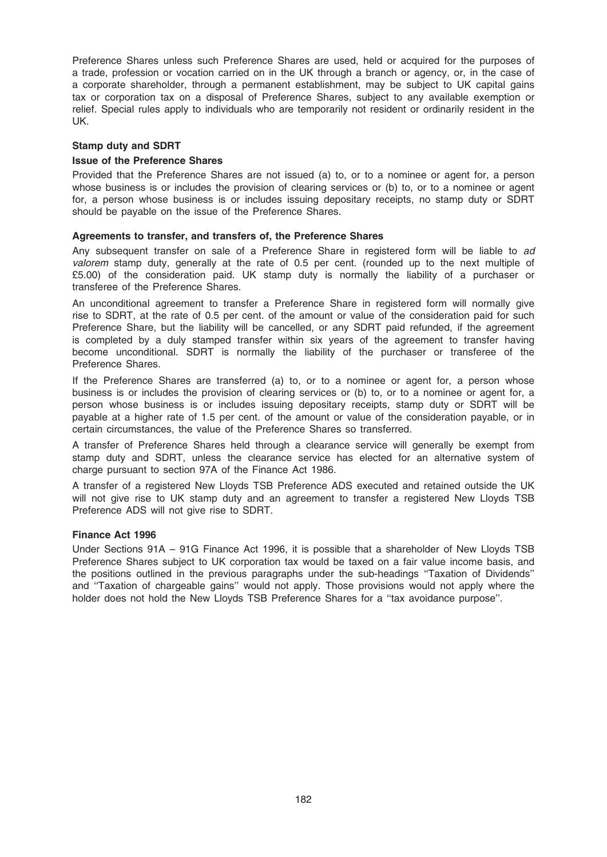Preference Shares unless such Preference Shares are used, held or acquired for the purposes of a trade, profession or vocation carried on in the UK through a branch or agency, or, in the case of a corporate shareholder, through a permanent establishment, may be subject to UK capital gains tax or corporation tax on a disposal of Preference Shares, subject to any available exemption or relief. Special rules apply to individuals who are temporarily not resident or ordinarily resident in the UK.

## Stamp duty and SDRT

### Issue of the Preference Shares

Provided that the Preference Shares are not issued (a) to, or to a nominee or agent for, a person whose business is or includes the provision of clearing services or (b) to, or to a nominee or agent for, a person whose business is or includes issuing depositary receipts, no stamp duty or SDRT should be payable on the issue of the Preference Shares.

## Agreements to transfer, and transfers of, the Preference Shares

Any subsequent transfer on sale of a Preference Share in registered form will be liable to ad valorem stamp duty, generally at the rate of 0.5 per cent. (rounded up to the next multiple of £5.00) of the consideration paid. UK stamp duty is normally the liability of a purchaser or transferee of the Preference Shares.

An unconditional agreement to transfer a Preference Share in registered form will normally give rise to SDRT, at the rate of 0.5 per cent. of the amount or value of the consideration paid for such Preference Share, but the liability will be cancelled, or any SDRT paid refunded, if the agreement is completed by a duly stamped transfer within six years of the agreement to transfer having become unconditional. SDRT is normally the liability of the purchaser or transferee of the Preference Shares.

If the Preference Shares are transferred (a) to, or to a nominee or agent for, a person whose business is or includes the provision of clearing services or (b) to, or to a nominee or agent for, a person whose business is or includes issuing depositary receipts, stamp duty or SDRT will be payable at a higher rate of 1.5 per cent. of the amount or value of the consideration payable, or in certain circumstances, the value of the Preference Shares so transferred.

A transfer of Preference Shares held through a clearance service will generally be exempt from stamp duty and SDRT, unless the clearance service has elected for an alternative system of charge pursuant to section 97A of the Finance Act 1986.

A transfer of a registered New Lloyds TSB Preference ADS executed and retained outside the UK will not give rise to UK stamp duty and an agreement to transfer a registered New Lloyds TSB Preference ADS will not give rise to SDRT.

### Finance Act 1996

Under Sections 91A – 91G Finance Act 1996, it is possible that a shareholder of New Lloyds TSB Preference Shares subject to UK corporation tax would be taxed on a fair value income basis, and the positions outlined in the previous paragraphs under the sub-headings ''Taxation of Dividends'' and ''Taxation of chargeable gains'' would not apply. Those provisions would not apply where the holder does not hold the New Lloyds TSB Preference Shares for a "tax avoidance purpose".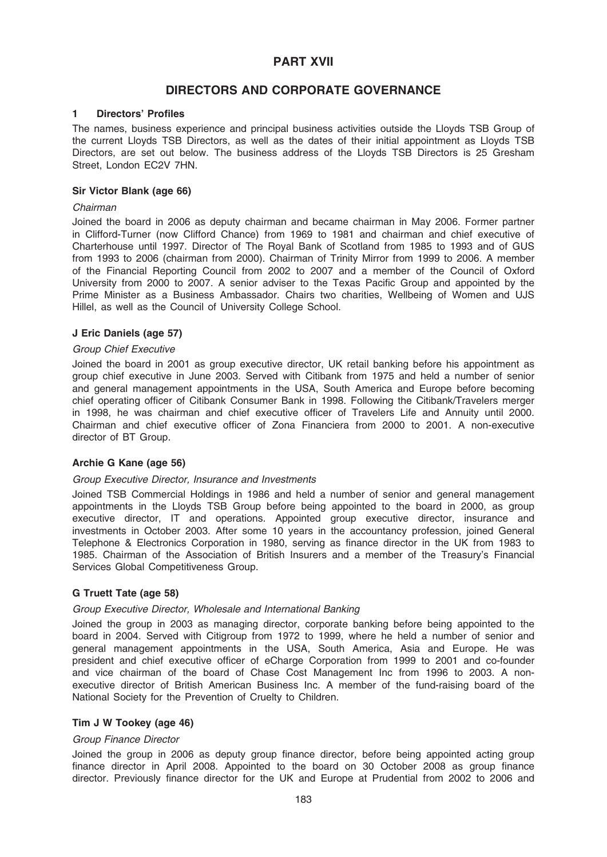# PART XVII

# DIRECTORS AND CORPORATE GOVERNANCE

### 1 Directors' Profiles

The names, business experience and principal business activities outside the Lloyds TSB Group of the current Lloyds TSB Directors, as well as the dates of their initial appointment as Lloyds TSB Directors, are set out below. The business address of the Lloyds TSB Directors is 25 Gresham Street, London EC2V 7HN.

## Sir Victor Blank (age 66)

### Chairman

Joined the board in 2006 as deputy chairman and became chairman in May 2006. Former partner in Clifford-Turner (now Clifford Chance) from 1969 to 1981 and chairman and chief executive of Charterhouse until 1997. Director of The Royal Bank of Scotland from 1985 to 1993 and of GUS from 1993 to 2006 (chairman from 2000). Chairman of Trinity Mirror from 1999 to 2006. A member of the Financial Reporting Council from 2002 to 2007 and a member of the Council of Oxford University from 2000 to 2007. A senior adviser to the Texas Pacific Group and appointed by the Prime Minister as a Business Ambassador. Chairs two charities, Wellbeing of Women and UJS Hillel, as well as the Council of University College School.

## J Eric Daniels (age 57)

## Group Chief Executive

Joined the board in 2001 as group executive director, UK retail banking before his appointment as group chief executive in June 2003. Served with Citibank from 1975 and held a number of senior and general management appointments in the USA, South America and Europe before becoming chief operating officer of Citibank Consumer Bank in 1998. Following the Citibank/Travelers merger in 1998, he was chairman and chief executive officer of Travelers Life and Annuity until 2000. Chairman and chief executive officer of Zona Financiera from 2000 to 2001. A non-executive director of BT Group.

## Archie G Kane (age 56)

### Group Executive Director, Insurance and Investments

Joined TSB Commercial Holdings in 1986 and held a number of senior and general management appointments in the Lloyds TSB Group before being appointed to the board in 2000, as group executive director, IT and operations. Appointed group executive director, insurance and investments in October 2003. After some 10 years in the accountancy profession, joined General Telephone & Electronics Corporation in 1980, serving as finance director in the UK from 1983 to 1985. Chairman of the Association of British Insurers and a member of the Treasury's Financial Services Global Competitiveness Group.

## G Truett Tate (age 58)

### Group Executive Director, Wholesale and International Banking

Joined the group in 2003 as managing director, corporate banking before being appointed to the board in 2004. Served with Citigroup from 1972 to 1999, where he held a number of senior and general management appointments in the USA, South America, Asia and Europe. He was president and chief executive officer of eCharge Corporation from 1999 to 2001 and co-founder and vice chairman of the board of Chase Cost Management Inc from 1996 to 2003. A nonexecutive director of British American Business Inc. A member of the fund-raising board of the National Society for the Prevention of Cruelty to Children.

## Tim J W Tookey (age 46)

### Group Finance Director

Joined the group in 2006 as deputy group finance director, before being appointed acting group finance director in April 2008. Appointed to the board on 30 October 2008 as group finance director. Previously finance director for the UK and Europe at Prudential from 2002 to 2006 and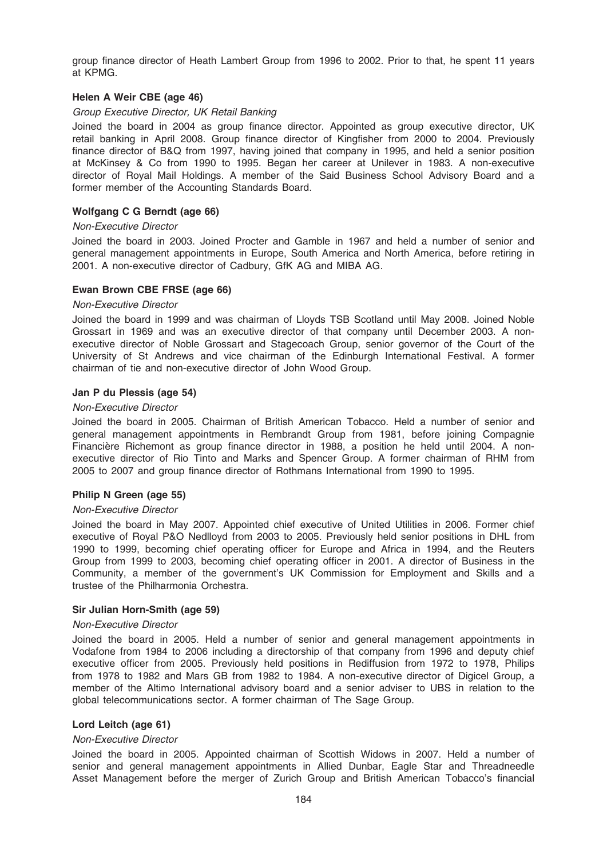group finance director of Heath Lambert Group from 1996 to 2002. Prior to that, he spent 11 years at KPMG.

## Helen A Weir CBE (age 46)

### Group Executive Director, UK Retail Banking

Joined the board in 2004 as group finance director. Appointed as group executive director, UK retail banking in April 2008. Group finance director of Kingfisher from 2000 to 2004. Previously finance director of B&Q from 1997, having joined that company in 1995, and held a senior position at McKinsey & Co from 1990 to 1995. Began her career at Unilever in 1983. A non-executive director of Royal Mail Holdings. A member of the Said Business School Advisory Board and a former member of the Accounting Standards Board.

## Wolfgang C G Berndt (age 66)

### Non-Executive Director

Joined the board in 2003. Joined Procter and Gamble in 1967 and held a number of senior and general management appointments in Europe, South America and North America, before retiring in 2001. A non-executive director of Cadbury, GfK AG and MIBA AG.

## Ewan Brown CBE FRSE (age 66)

### Non-Executive Director

Joined the board in 1999 and was chairman of Lloyds TSB Scotland until May 2008. Joined Noble Grossart in 1969 and was an executive director of that company until December 2003. A nonexecutive director of Noble Grossart and Stagecoach Group, senior governor of the Court of the University of St Andrews and vice chairman of the Edinburgh International Festival. A former chairman of tie and non-executive director of John Wood Group.

## Jan P du Plessis (age 54)

### Non-Executive Director

Joined the board in 2005. Chairman of British American Tobacco. Held a number of senior and general management appointments in Rembrandt Group from 1981, before joining Compagnie Financière Richemont as group finance director in 1988, a position he held until 2004. A nonexecutive director of Rio Tinto and Marks and Spencer Group. A former chairman of RHM from 2005 to 2007 and group finance director of Rothmans International from 1990 to 1995.

### Philip N Green (age 55)

### Non-Executive Director

Joined the board in May 2007. Appointed chief executive of United Utilities in 2006. Former chief executive of Royal P&O Nedlloyd from 2003 to 2005. Previously held senior positions in DHL from 1990 to 1999, becoming chief operating officer for Europe and Africa in 1994, and the Reuters Group from 1999 to 2003, becoming chief operating officer in 2001. A director of Business in the Community, a member of the government's UK Commission for Employment and Skills and a trustee of the Philharmonia Orchestra.

### Sir Julian Horn-Smith (age 59)

### Non-Executive Director

Joined the board in 2005. Held a number of senior and general management appointments in Vodafone from 1984 to 2006 including a directorship of that company from 1996 and deputy chief executive officer from 2005. Previously held positions in Rediffusion from 1972 to 1978, Philips from 1978 to 1982 and Mars GB from 1982 to 1984. A non-executive director of Digicel Group, a member of the Altimo International advisory board and a senior adviser to UBS in relation to the global telecommunications sector. A former chairman of The Sage Group.

### Lord Leitch (age 61)

### Non-Executive Director

Joined the board in 2005. Appointed chairman of Scottish Widows in 2007. Held a number of senior and general management appointments in Allied Dunbar, Eagle Star and Threadneedle Asset Management before the merger of Zurich Group and British American Tobacco's financial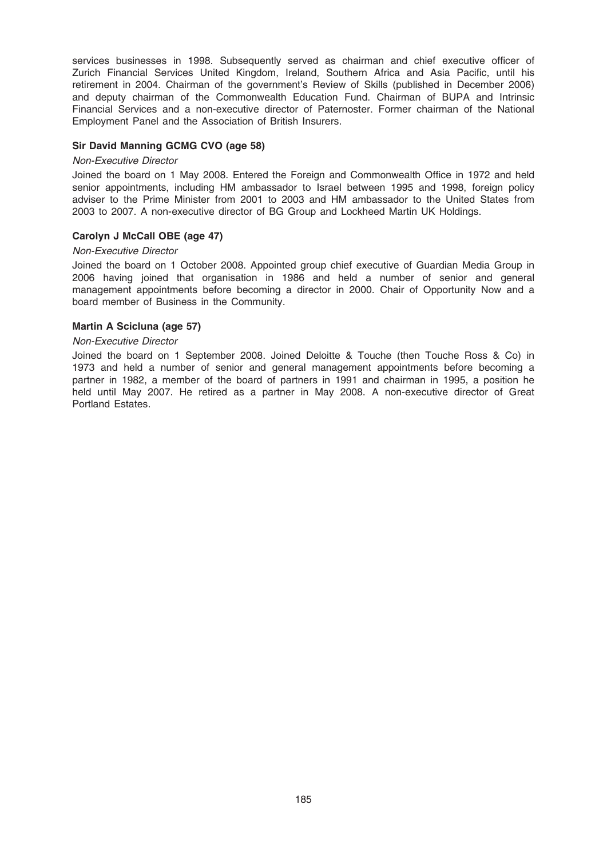services businesses in 1998. Subsequently served as chairman and chief executive officer of Zurich Financial Services United Kingdom, Ireland, Southern Africa and Asia Pacific, until his retirement in 2004. Chairman of the government's Review of Skills (published in December 2006) and deputy chairman of the Commonwealth Education Fund. Chairman of BUPA and Intrinsic Financial Services and a non-executive director of Paternoster. Former chairman of the National Employment Panel and the Association of British Insurers.

## Sir David Manning GCMG CVO (age 58)

### Non-Executive Director

Joined the board on 1 May 2008. Entered the Foreign and Commonwealth Office in 1972 and held senior appointments, including HM ambassador to Israel between 1995 and 1998, foreign policy adviser to the Prime Minister from 2001 to 2003 and HM ambassador to the United States from 2003 to 2007. A non-executive director of BG Group and Lockheed Martin UK Holdings.

## Carolyn J McCall OBE (age 47)

## Non-Executive Director

Joined the board on 1 October 2008. Appointed group chief executive of Guardian Media Group in 2006 having joined that organisation in 1986 and held a number of senior and general management appointments before becoming a director in 2000. Chair of Opportunity Now and a board member of Business in the Community.

### Martin A Scicluna (age 57)

### Non-Executive Director

Joined the board on 1 September 2008. Joined Deloitte & Touche (then Touche Ross & Co) in 1973 and held a number of senior and general management appointments before becoming a partner in 1982, a member of the board of partners in 1991 and chairman in 1995, a position he held until May 2007. He retired as a partner in May 2008. A non-executive director of Great Portland Estates.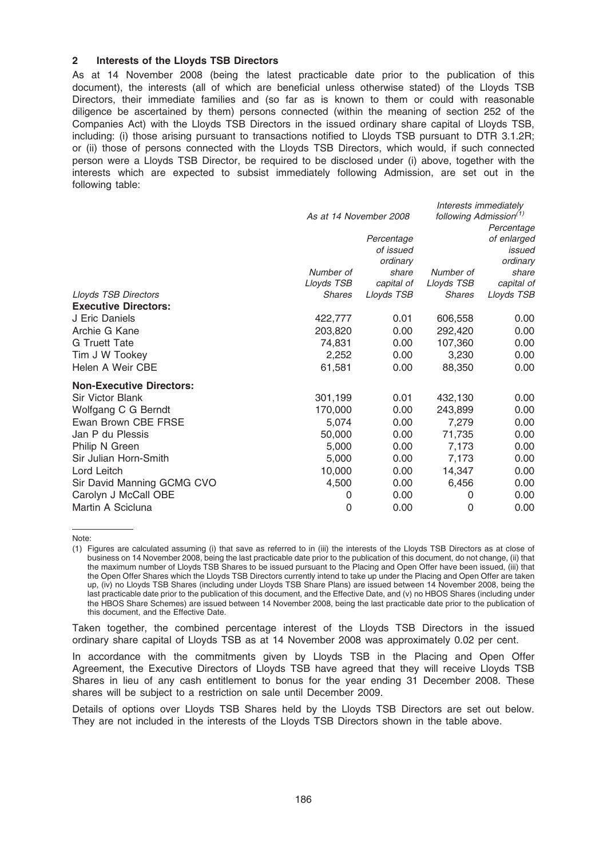### 2 Interests of the Lloyds TSB Directors

As at 14 November 2008 (being the latest practicable date prior to the publication of this document), the interests (all of which are beneficial unless otherwise stated) of the Lloyds TSB Directors, their immediate families and (so far as is known to them or could with reasonable diligence be ascertained by them) persons connected (within the meaning of section 252 of the Companies Act) with the Lloyds TSB Directors in the issued ordinary share capital of Lloyds TSB, including: (i) those arising pursuant to transactions notified to Lloyds TSB pursuant to DTR 3.1.2R; or (ii) those of persons connected with the Lloyds TSB Directors, which would, if such connected person were a Lloyds TSB Director, be required to be disclosed under (i) above, together with the interests which are expected to subsist immediately following Admission, are set out in the following table:

|                                 | As at 14 November 2008 |                                     |               | Interests immediately<br>following Admission <sup>(1)</sup><br>Percentage |
|---------------------------------|------------------------|-------------------------------------|---------------|---------------------------------------------------------------------------|
|                                 |                        | Percentage<br>of issued<br>ordinary |               | of enlarged<br>issued<br>ordinary                                         |
|                                 | Number of              | share                               | Number of     | share                                                                     |
|                                 | Lloyds TSB             | capital of                          | Lloyds TSB    | capital of                                                                |
| <b>Lloyds TSB Directors</b>     | <b>Shares</b>          | Lloyds TSB                          | <b>Shares</b> | Lloyds TSB                                                                |
| <b>Executive Directors:</b>     |                        |                                     |               |                                                                           |
| J Eric Daniels                  | 422,777                | 0.01                                | 606,558       | 0.00                                                                      |
| Archie G Kane                   | 203,820                | 0.00                                | 292,420       | 0.00                                                                      |
| <b>G</b> Truett Tate            | 74,831                 | 0.00                                | 107,360       | 0.00                                                                      |
| Tim J W Tookey                  | 2,252                  | 0.00                                | 3,230         | 0.00                                                                      |
| Helen A Weir CBE                | 61,581                 | 0.00                                | 88,350        | 0.00                                                                      |
| <b>Non-Executive Directors:</b> |                        |                                     |               |                                                                           |
| <b>Sir Victor Blank</b>         | 301,199                | 0.01                                | 432,130       | 0.00                                                                      |
| Wolfgang C G Berndt             | 170,000                | 0.00                                | 243,899       | 0.00                                                                      |
| Ewan Brown CBE FRSE             | 5,074                  | 0.00                                | 7,279         | 0.00                                                                      |
| Jan P du Plessis                | 50,000                 | 0.00                                | 71,735        | 0.00                                                                      |
| Philip N Green                  | 5,000                  | 0.00                                | 7,173         | 0.00                                                                      |
| Sir Julian Horn-Smith           | 5,000                  | 0.00                                | 7,173         | 0.00                                                                      |
| Lord Leitch                     | 10,000                 | 0.00                                | 14,347        | 0.00                                                                      |
| Sir David Manning GCMG CVO      | 4,500                  | 0.00                                | 6,456         | 0.00                                                                      |
| Carolyn J McCall OBE            | 0                      | 0.00                                | 0             | 0.00                                                                      |
| Martin A Scicluna               | 0                      | 0.00                                | 0             | 0.00                                                                      |

Note:

Taken together, the combined percentage interest of the Lloyds TSB Directors in the issued ordinary share capital of Lloyds TSB as at 14 November 2008 was approximately 0.02 per cent.

In accordance with the commitments given by Lloyds TSB in the Placing and Open Offer Agreement, the Executive Directors of Lloyds TSB have agreed that they will receive Lloyds TSB Shares in lieu of any cash entitlement to bonus for the year ending 31 December 2008. These shares will be subject to a restriction on sale until December 2009.

Details of options over Lloyds TSB Shares held by the Lloyds TSB Directors are set out below. They are not included in the interests of the Lloyds TSB Directors shown in the table above.

<sup>(1)</sup> Figures are calculated assuming (i) that save as referred to in (iii) the interests of the Lloyds TSB Directors as at close of business on 14 November 2008, being the last practicable date prior to the publication of this document, do not change, (ii) that the maximum number of Lloyds TSB Shares to be issued pursuant to the Placing and Open Offer have been issued, (iii) that the Open Offer Shares which the Lloyds TSB Directors currently intend to take up under the Placing and Open Offer are taken up, (iv) no Lloyds TSB Shares (including under Lloyds TSB Share Plans) are issued between 14 November 2008, being the last practicable date prior to the publication of this document, and the Effective Date, and (v) no HBOS Shares (including under the HBOS Share Schemes) are issued between 14 November 2008, being the last practicable date prior to the publication of this document, and the Effective Date.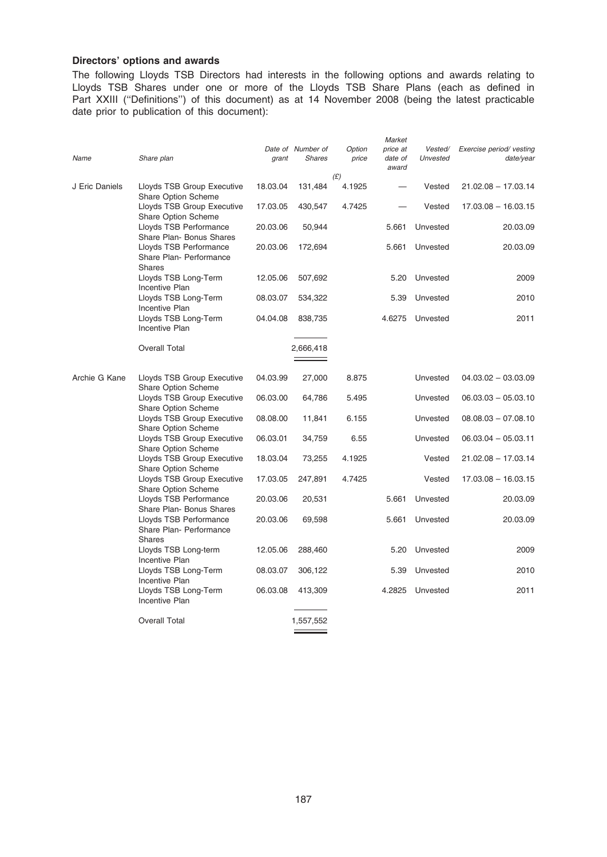## Directors' options and awards

The following Lloyds TSB Directors had interests in the following options and awards relating to Lloyds TSB Shares under one or more of the Lloyds TSB Share Plans (each as defined in Part XXIII (''Definitions'') of this document) as at 14 November 2008 (being the latest practicable date prior to publication of this document):

|                |                                                                               |          | Date of Number of | Option | Market<br>price at | Vested/  | Exercise period/ vesting |
|----------------|-------------------------------------------------------------------------------|----------|-------------------|--------|--------------------|----------|--------------------------|
| Name           | Share plan                                                                    | grant    | <b>Shares</b>     | price  | date of<br>award   | Unvested | date/year                |
|                |                                                                               |          |                   | (E)    |                    |          |                          |
| J Eric Daniels | Lloyds TSB Group Executive<br>Share Option Scheme                             | 18.03.04 | 131,484           | 4.1925 |                    | Vested   | $21.02.08 - 17.03.14$    |
|                | Lloyds TSB Group Executive<br>Share Option Scheme                             | 17.03.05 | 430,547           | 4.7425 |                    | Vested   | $17.03.08 - 16.03.15$    |
|                | Lloyds TSB Performance<br>Share Plan- Bonus Shares                            | 20.03.06 | 50,944            |        | 5.661              | Unvested | 20.03.09                 |
|                | Lloyds TSB Performance<br>Share Plan- Performance<br><b>Shares</b>            | 20.03.06 | 172,694           |        | 5.661              | Unvested | 20.03.09                 |
|                | Lloyds TSB Long-Term<br>Incentive Plan                                        | 12.05.06 | 507,692           |        | 5.20               | Unvested | 2009                     |
|                | Lloyds TSB Long-Term                                                          | 08.03.07 | 534,322           |        | 5.39               | Unvested | 2010                     |
|                | Incentive Plan<br>Lloyds TSB Long-Term<br>Incentive Plan                      | 04.04.08 | 838,735           |        | 4.6275             | Unvested | 2011                     |
|                |                                                                               |          |                   |        |                    |          |                          |
|                | <b>Overall Total</b>                                                          |          | 2,666,418         |        |                    |          |                          |
| Archie G Kane  | Lloyds TSB Group Executive<br>Share Option Scheme                             | 04.03.99 | 27,000            | 8.875  |                    | Unvested | $04.03.02 - 03.03.09$    |
|                | Lloyds TSB Group Executive<br>Share Option Scheme                             | 06.03.00 | 64,786            | 5.495  |                    | Unvested | $06.03.03 - 05.03.10$    |
|                | Lloyds TSB Group Executive<br>Share Option Scheme                             | 08.08.00 | 11,841            | 6.155  |                    | Unvested | $08.08.03 - 07.08.10$    |
|                | Lloyds TSB Group Executive<br>Share Option Scheme                             | 06.03.01 | 34,759            | 6.55   |                    | Unvested | $06.03.04 - 05.03.11$    |
|                | Lloyds TSB Group Executive<br>Share Option Scheme                             | 18.03.04 | 73,255            | 4.1925 |                    | Vested   | $21.02.08 - 17.03.14$    |
|                | Lloyds TSB Group Executive                                                    | 17.03.05 | 247,891           | 4.7425 |                    | Vested   | $17.03.08 - 16.03.15$    |
|                | Share Option Scheme<br>Lloyds TSB Performance                                 | 20.03.06 | 20,531            |        | 5.661              | Unvested | 20.03.09                 |
|                | Share Plan- Bonus Shares<br>Lloyds TSB Performance<br>Share Plan- Performance | 20.03.06 | 69,598            |        | 5.661              | Unvested | 20.03.09                 |
|                | <b>Shares</b><br>Lloyds TSB Long-term                                         | 12.05.06 | 288,460           |        | 5.20               | Unvested | 2009                     |
|                | Incentive Plan<br>Lloyds TSB Long-Term                                        | 08.03.07 | 306,122           |        | 5.39               | Unvested | 2010                     |
|                | Incentive Plan<br>Lloyds TSB Long-Term<br>Incentive Plan                      | 06.03.08 | 413,309           |        | 4.2825             | Unvested | 2011                     |
|                | Overall Total                                                                 |          | 1,557,552         |        |                    |          |                          |

÷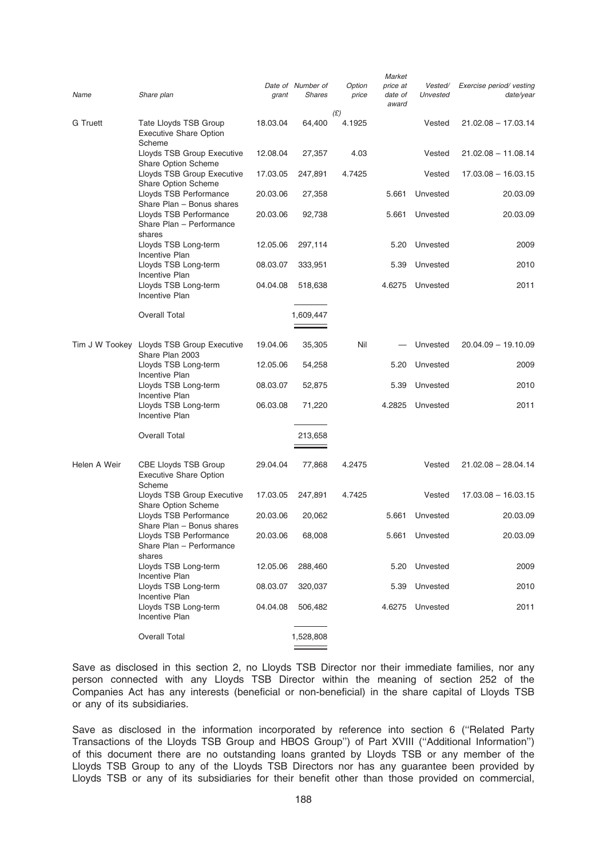|              |                                                                          |          |                             |                 | Market                       |                     |                                       |
|--------------|--------------------------------------------------------------------------|----------|-----------------------------|-----------------|------------------------------|---------------------|---------------------------------------|
| Name         | Share plan                                                               | grant    | Date of Number of<br>Shares | Option<br>price | price at<br>date of<br>award | Vested/<br>Unvested | Exercise period/ vesting<br>date/year |
| G Truett     | Tate Lloyds TSB Group<br><b>Executive Share Option</b>                   | 18.03.04 | 64,400                      | (E)<br>4.1925   |                              | Vested              | $21.02.08 - 17.03.14$                 |
|              | Scheme<br>Lloyds TSB Group Executive                                     | 12.08.04 | 27,357                      | 4.03            |                              | Vested              | $21.02.08 - 11.08.14$                 |
|              | Share Option Scheme<br>Lloyds TSB Group Executive<br>Share Option Scheme | 17.03.05 | 247,891                     | 4.7425          |                              | Vested              | $17.03.08 - 16.03.15$                 |
|              | Lloyds TSB Performance<br>Share Plan - Bonus shares                      | 20.03.06 | 27,358                      |                 | 5.661                        | Unvested            | 20.03.09                              |
|              | Lloyds TSB Performance<br>Share Plan - Performance                       | 20.03.06 | 92,738                      |                 | 5.661                        | Unvested            | 20.03.09                              |
|              | shares                                                                   |          |                             |                 |                              |                     |                                       |
|              | Lloyds TSB Long-term<br>Incentive Plan                                   | 12.05.06 | 297,114                     |                 | 5.20                         | Unvested            | 2009                                  |
|              | Lloyds TSB Long-term<br>Incentive Plan                                   | 08.03.07 | 333,951                     |                 | 5.39                         | Unvested            | 2010                                  |
|              | Lloyds TSB Long-term<br>Incentive Plan                                   | 04.04.08 | 518,638                     |                 | 4.6275                       | Unvested            | 2011                                  |
|              | <b>Overall Total</b>                                                     |          | 1,609,447                   |                 |                              |                     |                                       |
|              | Tim J W Tookey Lloyds TSB Group Executive<br>Share Plan 2003             | 19.04.06 | 35,305                      | Nil             |                              | Unvested            | $20.04.09 - 19.10.09$                 |
|              | Lloyds TSB Long-term<br>Incentive Plan                                   | 12.05.06 | 54,258                      |                 | 5.20                         | Unvested            | 2009                                  |
|              | Lloyds TSB Long-term<br><b>Incentive Plan</b>                            | 08.03.07 | 52,875                      |                 | 5.39                         | Unvested            | 2010                                  |
|              | Lloyds TSB Long-term<br>Incentive Plan                                   | 06.03.08 | 71,220                      |                 | 4.2825                       | Unvested            | 2011                                  |
|              | <b>Overall Total</b>                                                     |          | 213,658                     |                 |                              |                     |                                       |
|              |                                                                          |          |                             |                 |                              |                     |                                       |
| Helen A Weir | CBE Lloyds TSB Group<br><b>Executive Share Option</b><br>Scheme          | 29.04.04 | 77,868                      | 4.2475          |                              | Vested              | $21.02.08 - 28.04.14$                 |
|              | Lloyds TSB Group Executive<br>Share Option Scheme                        | 17.03.05 | 247,891                     | 4.7425          |                              | Vested              | $17.03.08 - 16.03.15$                 |
|              | Lloyds TSB Performance<br>Share Plan - Bonus shares                      | 20.03.06 | 20,062                      |                 | 5.661                        | Unvested            | 20.03.09                              |
|              | Lloyds TSB Performance<br>Share Plan - Performance<br>shares             | 20.03.06 | 68,008                      |                 | 5.661                        | Unvested            | 20.03.09                              |
|              | Lloyds TSB Long-term<br>Incentive Plan                                   | 12.05.06 | 288,460                     |                 |                              | 5.20 Unvested       | 2009                                  |
|              | Lloyds TSB Long-term<br>Incentive Plan                                   | 08.03.07 | 320,037                     |                 | 5.39                         | Unvested            | 2010                                  |
|              | Lloyds TSB Long-term<br>Incentive Plan                                   | 04.04.08 | 506,482                     |                 | 4.6275                       | Unvested            | 2011                                  |
|              | <b>Overall Total</b>                                                     |          | 1,528,808                   |                 |                              |                     |                                       |

Save as disclosed in this section 2, no Lloyds TSB Director nor their immediate families, nor any person connected with any Lloyds TSB Director within the meaning of section 252 of the Companies Act has any interests (beneficial or non-beneficial) in the share capital of Lloyds TSB or any of its subsidiaries.

Save as disclosed in the information incorporated by reference into section 6 (''Related Party Transactions of the Lloyds TSB Group and HBOS Group'') of Part XVIII (''Additional Information'') of this document there are no outstanding loans granted by Lloyds TSB or any member of the Lloyds TSB Group to any of the Lloyds TSB Directors nor has any guarantee been provided by Lloyds TSB or any of its subsidiaries for their benefit other than those provided on commercial,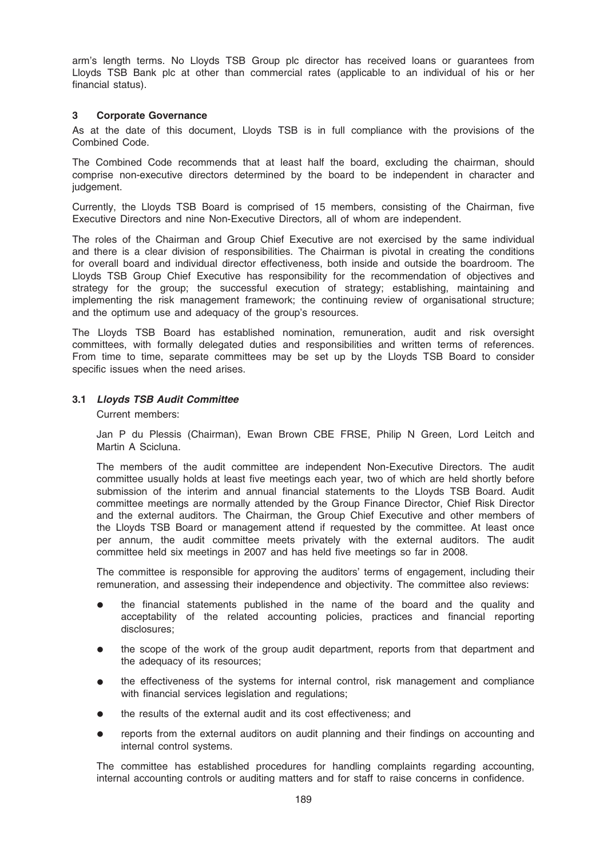arm's length terms. No Lloyds TSB Group plc director has received loans or guarantees from Lloyds TSB Bank plc at other than commercial rates (applicable to an individual of his or her financial status).

## 3 Corporate Governance

As at the date of this document, Lloyds TSB is in full compliance with the provisions of the Combined Code.

The Combined Code recommends that at least half the board, excluding the chairman, should comprise non-executive directors determined by the board to be independent in character and judgement.

Currently, the Lloyds TSB Board is comprised of 15 members, consisting of the Chairman, five Executive Directors and nine Non-Executive Directors, all of whom are independent.

The roles of the Chairman and Group Chief Executive are not exercised by the same individual and there is a clear division of responsibilities. The Chairman is pivotal in creating the conditions for overall board and individual director effectiveness, both inside and outside the boardroom. The Lloyds TSB Group Chief Executive has responsibility for the recommendation of objectives and strategy for the group; the successful execution of strategy; establishing, maintaining and implementing the risk management framework; the continuing review of organisational structure; and the optimum use and adequacy of the group's resources.

The Lloyds TSB Board has established nomination, remuneration, audit and risk oversight committees, with formally delegated duties and responsibilities and written terms of references. From time to time, separate committees may be set up by the Lloyds TSB Board to consider specific issues when the need arises.

## 3.1 Lloyds TSB Audit Committee

Current members:

Jan P du Plessis (Chairman), Ewan Brown CBE FRSE, Philip N Green, Lord Leitch and Martin A Scicluna.

The members of the audit committee are independent Non-Executive Directors. The audit committee usually holds at least five meetings each year, two of which are held shortly before submission of the interim and annual financial statements to the Lloyds TSB Board. Audit committee meetings are normally attended by the Group Finance Director, Chief Risk Director and the external auditors. The Chairman, the Group Chief Executive and other members of the Lloyds TSB Board or management attend if requested by the committee. At least once per annum, the audit committee meets privately with the external auditors. The audit committee held six meetings in 2007 and has held five meetings so far in 2008.

The committee is responsible for approving the auditors' terms of engagement, including their remuneration, and assessing their independence and objectivity. The committee also reviews:

- the financial statements published in the name of the board and the quality and acceptability of the related accounting policies, practices and financial reporting disclosures;
- the scope of the work of the group audit department, reports from that department and the adequacy of its resources;
- the effectiveness of the systems for internal control, risk management and compliance with financial services legislation and regulations;
- the results of the external audit and its cost effectiveness; and
- reports from the external auditors on audit planning and their findings on accounting and internal control systems.

The committee has established procedures for handling complaints regarding accounting, internal accounting controls or auditing matters and for staff to raise concerns in confidence.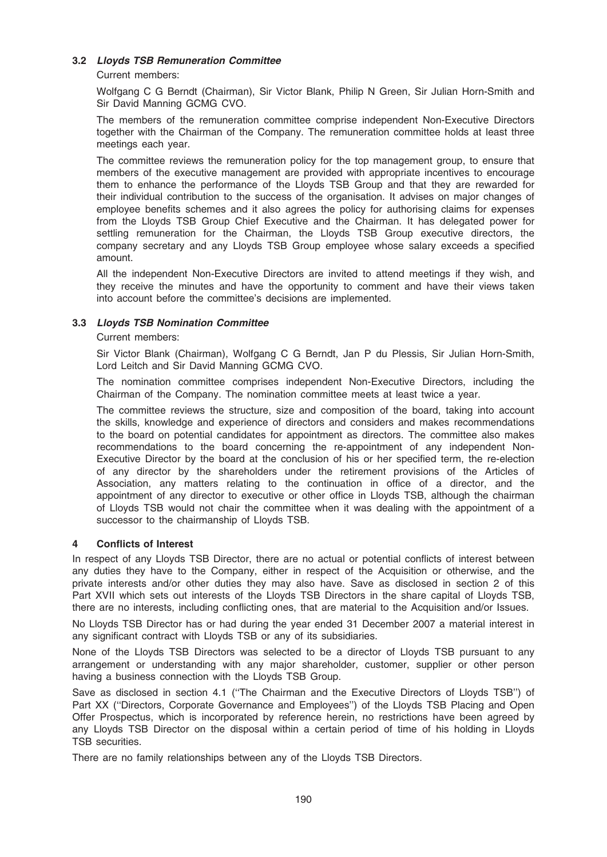## 3.2 Lloyds TSB Remuneration Committee

## Current members:

Wolfgang C G Berndt (Chairman), Sir Victor Blank, Philip N Green, Sir Julian Horn-Smith and Sir David Manning GCMG CVO.

The members of the remuneration committee comprise independent Non-Executive Directors together with the Chairman of the Company. The remuneration committee holds at least three meetings each year.

The committee reviews the remuneration policy for the top management group, to ensure that members of the executive management are provided with appropriate incentives to encourage them to enhance the performance of the Lloyds TSB Group and that they are rewarded for their individual contribution to the success of the organisation. It advises on major changes of employee benefits schemes and it also agrees the policy for authorising claims for expenses from the Lloyds TSB Group Chief Executive and the Chairman. It has delegated power for settling remuneration for the Chairman, the Lloyds TSB Group executive directors, the company secretary and any Lloyds TSB Group employee whose salary exceeds a specified amount.

All the independent Non-Executive Directors are invited to attend meetings if they wish, and they receive the minutes and have the opportunity to comment and have their views taken into account before the committee's decisions are implemented.

## 3.3 Lloyds TSB Nomination Committee

## Current members:

Sir Victor Blank (Chairman), Wolfgang C G Berndt, Jan P du Plessis, Sir Julian Horn-Smith, Lord Leitch and Sir David Manning GCMG CVO.

The nomination committee comprises independent Non-Executive Directors, including the Chairman of the Company. The nomination committee meets at least twice a year.

The committee reviews the structure, size and composition of the board, taking into account the skills, knowledge and experience of directors and considers and makes recommendations to the board on potential candidates for appointment as directors. The committee also makes recommendations to the board concerning the re-appointment of any independent Non-Executive Director by the board at the conclusion of his or her specified term, the re-election of any director by the shareholders under the retirement provisions of the Articles of Association, any matters relating to the continuation in office of a director, and the appointment of any director to executive or other office in Lloyds TSB, although the chairman of Lloyds TSB would not chair the committee when it was dealing with the appointment of a successor to the chairmanship of Lloyds TSB.

## 4 Conflicts of Interest

In respect of any Lloyds TSB Director, there are no actual or potential conflicts of interest between any duties they have to the Company, either in respect of the Acquisition or otherwise, and the private interests and/or other duties they may also have. Save as disclosed in section 2 of this Part XVII which sets out interests of the Lloyds TSB Directors in the share capital of Lloyds TSB, there are no interests, including conflicting ones, that are material to the Acquisition and/or Issues.

No Lloyds TSB Director has or had during the year ended 31 December 2007 a material interest in any significant contract with Lloyds TSB or any of its subsidiaries.

None of the Lloyds TSB Directors was selected to be a director of Lloyds TSB pursuant to any arrangement or understanding with any major shareholder, customer, supplier or other person having a business connection with the Lloyds TSB Group.

Save as disclosed in section 4.1 (''The Chairman and the Executive Directors of Lloyds TSB'') of Part XX (''Directors, Corporate Governance and Employees'') of the Lloyds TSB Placing and Open Offer Prospectus, which is incorporated by reference herein, no restrictions have been agreed by any Lloyds TSB Director on the disposal within a certain period of time of his holding in Lloyds TSB securities.

There are no family relationships between any of the Lloyds TSB Directors.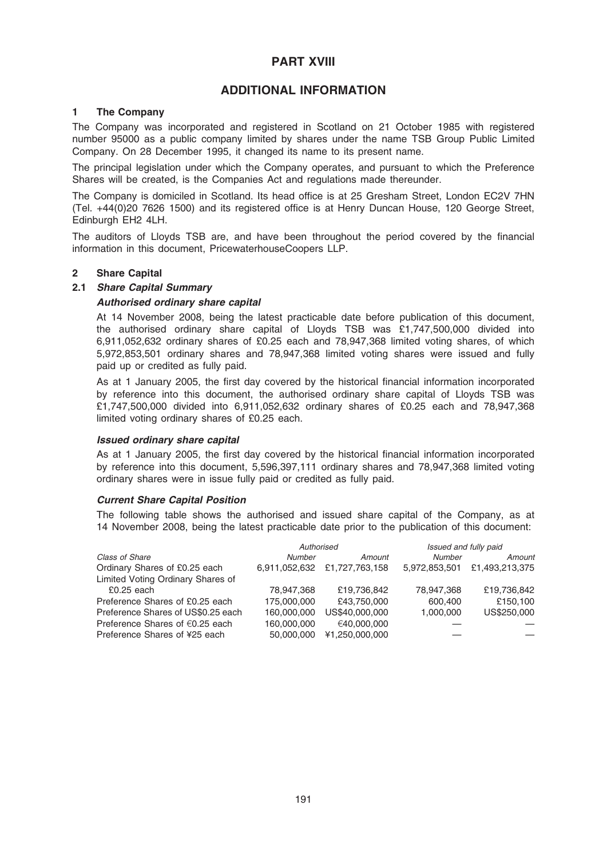# PART XVIII

# ADDITIONAL INFORMATION

## 1 The Company

The Company was incorporated and registered in Scotland on 21 October 1985 with registered number 95000 as a public company limited by shares under the name TSB Group Public Limited Company. On 28 December 1995, it changed its name to its present name.

The principal legislation under which the Company operates, and pursuant to which the Preference Shares will be created, is the Companies Act and regulations made thereunder.

The Company is domiciled in Scotland. Its head office is at 25 Gresham Street, London EC2V 7HN (Tel. +44(0)20 7626 1500) and its registered office is at Henry Duncan House, 120 George Street, Edinburgh EH2 4LH.

The auditors of Lloyds TSB are, and have been throughout the period covered by the financial information in this document, PricewaterhouseCoopers LLP.

## 2 Share Capital

## 2.1 Share Capital Summary

## Authorised ordinary share capital

At 14 November 2008, being the latest practicable date before publication of this document, the authorised ordinary share capital of Lloyds TSB was £1,747,500,000 divided into 6,911,052,632 ordinary shares of £0.25 each and 78,947,368 limited voting shares, of which 5,972,853,501 ordinary shares and 78,947,368 limited voting shares were issued and fully paid up or credited as fully paid.

As at 1 January 2005, the first day covered by the historical financial information incorporated by reference into this document, the authorised ordinary share capital of Lloyds TSB was £1,747,500,000 divided into 6,911,052,632 ordinary shares of £0.25 each and 78,947,368 limited voting ordinary shares of £0.25 each.

### Issued ordinary share capital

As at 1 January 2005, the first day covered by the historical financial information incorporated by reference into this document, 5,596,397,111 ordinary shares and 78,947,368 limited voting ordinary shares were in issue fully paid or credited as fully paid.

### Current Share Capital Position

The following table shows the authorised and issued share capital of the Company, as at 14 November 2008, being the latest practicable date prior to the publication of this document:

|                                           | Authorised    |                | Issued and fully paid |                |
|-------------------------------------------|---------------|----------------|-----------------------|----------------|
| Class of Share                            | Number        | Amount         | <b>Number</b>         | Amount         |
| Ordinary Shares of £0.25 each             | 6,911,052,632 | £1,727,763,158 | 5,972,853,501         | £1.493.213.375 |
| Limited Voting Ordinary Shares of         |               |                |                       |                |
| $£0.25$ each                              | 78,947,368    | £19,736,842    | 78,947,368            | £19,736,842    |
| Preference Shares of £0.25 each           | 175,000,000   | £43,750,000    | 600,400               | £150.100       |
| Preference Shares of US\$0.25 each        | 160,000,000   | US\$40,000,000 | 1.000.000             | US\$250,000    |
| Preference Shares of $\epsilon$ 0.25 each | 160,000,000   | €40,000,000    |                       |                |
| Preference Shares of ¥25 each             | 50.000.000    | ¥1.250.000.000 |                       |                |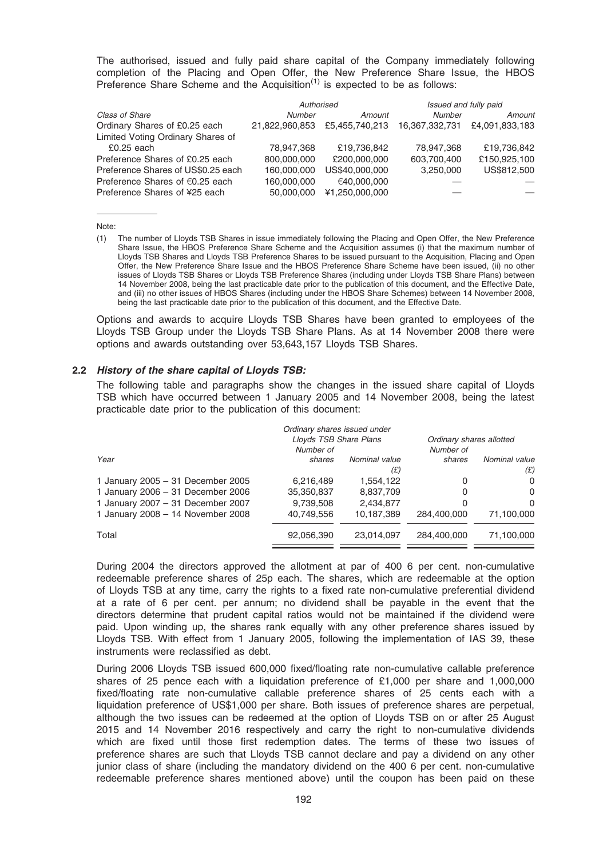The authorised, issued and fully paid share capital of the Company immediately following completion of the Placing and Open Offer, the New Preference Share Issue, the HBOS Preference Share Scheme and the Acquisition<sup> $(1)$ </sup> is expected to be as follows:

|                                           | Authorised     |                | Issued and fully paid |                |
|-------------------------------------------|----------------|----------------|-----------------------|----------------|
| Class of Share                            | <b>Number</b>  | Amount         | Number                | Amount         |
| Ordinary Shares of £0.25 each             | 21.822.960.853 | £5.455.740.213 | 16.367.332.731        | £4.091.833.183 |
| Limited Voting Ordinary Shares of         |                |                |                       |                |
| $£0.25$ each                              | 78.947.368     | £19,736,842    | 78,947,368            | £19,736,842    |
| Preference Shares of £0.25 each           | 800.000.000    | £200,000,000   | 603,700,400           | £150,925,100   |
| Preference Shares of US\$0.25 each        | 160,000,000    | US\$40,000,000 | 3,250,000             | US\$812,500    |
| Preference Shares of $\epsilon$ 0.25 each | 160,000,000    | €40,000,000    |                       |                |
| Preference Shares of ¥25 each             | 50,000,000     | ¥1,250,000,000 |                       |                |

Note:

(1) The number of Lloyds TSB Shares in issue immediately following the Placing and Open Offer, the New Preference Share Issue, the HBOS Preference Share Scheme and the Acquisition assumes (i) that the maximum number of Lloyds TSB Shares and Lloyds TSB Preference Shares to be issued pursuant to the Acquisition, Placing and Open Offer, the New Preference Share Issue and the HBOS Preference Share Scheme have been issued, (ii) no other issues of Lloyds TSB Shares or Lloyds TSB Preference Shares (including under Lloyds TSB Share Plans) between 14 November 2008, being the last practicable date prior to the publication of this document, and the Effective Date, and (iii) no other issues of HBOS Shares (including under the HBOS Share Schemes) between 14 November 2008, being the last practicable date prior to the publication of this document, and the Effective Date.

Options and awards to acquire Lloyds TSB Shares have been granted to employees of the Lloyds TSB Group under the Lloyds TSB Share Plans. As at 14 November 2008 there were options and awards outstanding over 53,643,157 Lloyds TSB Shares.

#### 2.2 History of the share capital of Lloyds TSB:

The following table and paragraphs show the changes in the issued share capital of Lloyds TSB which have occurred between 1 January 2005 and 14 November 2008, being the latest practicable date prior to the publication of this document:

|                                   | Ordinary shares issued under |               |                          |               |
|-----------------------------------|------------------------------|---------------|--------------------------|---------------|
|                                   | Lloyds TSB Share Plans       |               | Ordinary shares allotted |               |
|                                   | Number of                    |               | Number of                |               |
| Year                              | shares                       | Nominal value | shares                   | Nominal value |
|                                   |                              | (£)           |                          | (E)           |
| 1 January 2005 - 31 December 2005 | 6,216,489                    | 1,554,122     | 0                        | 0             |
| 1 January 2006 - 31 December 2006 | 35,350,837                   | 8,837,709     | 0                        | 0             |
| 1 January 2007 - 31 December 2007 | 9,739,508                    | 2,434,877     | 0                        | $\Omega$      |
| 1 January 2008 - 14 November 2008 | 40.749.556                   | 10.187.389    | 284.400.000              | 71,100,000    |
| Total                             | 92,056,390                   | 23,014,097    | 284,400,000              | 71,100,000    |

During 2004 the directors approved the allotment at par of 400 6 per cent. non-cumulative redeemable preference shares of 25p each. The shares, which are redeemable at the option of Lloyds TSB at any time, carry the rights to a fixed rate non-cumulative preferential dividend at a rate of 6 per cent. per annum; no dividend shall be payable in the event that the directors determine that prudent capital ratios would not be maintained if the dividend were paid. Upon winding up, the shares rank equally with any other preference shares issued by Lloyds TSB. With effect from 1 January 2005, following the implementation of IAS 39, these instruments were reclassified as debt.

During 2006 Lloyds TSB issued 600,000 fixed/floating rate non-cumulative callable preference shares of 25 pence each with a liquidation preference of £1,000 per share and 1,000,000 fixed/floating rate non-cumulative callable preference shares of 25 cents each with a liquidation preference of US\$1,000 per share. Both issues of preference shares are perpetual, although the two issues can be redeemed at the option of Lloyds TSB on or after 25 August 2015 and 14 November 2016 respectively and carry the right to non-cumulative dividends which are fixed until those first redemption dates. The terms of these two issues of preference shares are such that Lloyds TSB cannot declare and pay a dividend on any other junior class of share (including the mandatory dividend on the 400 6 per cent. non-cumulative redeemable preference shares mentioned above) until the coupon has been paid on these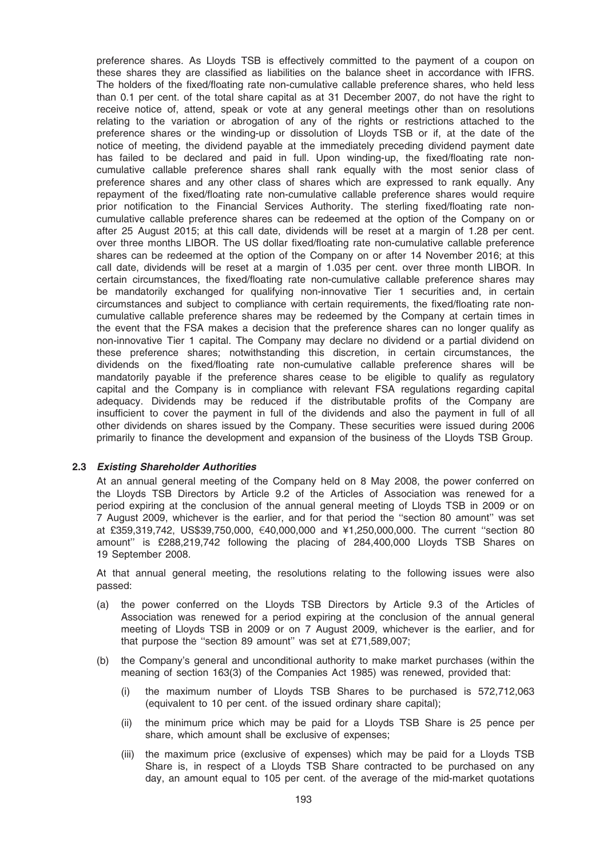preference shares. As Lloyds TSB is effectively committed to the payment of a coupon on these shares they are classified as liabilities on the balance sheet in accordance with IFRS. The holders of the fixed/floating rate non-cumulative callable preference shares, who held less than 0.1 per cent. of the total share capital as at 31 December 2007, do not have the right to receive notice of, attend, speak or vote at any general meetings other than on resolutions relating to the variation or abrogation of any of the rights or restrictions attached to the preference shares or the winding-up or dissolution of Lloyds TSB or if, at the date of the notice of meeting, the dividend payable at the immediately preceding dividend payment date has failed to be declared and paid in full. Upon winding-up, the fixed/floating rate noncumulative callable preference shares shall rank equally with the most senior class of preference shares and any other class of shares which are expressed to rank equally. Any repayment of the fixed/floating rate non-cumulative callable preference shares would require prior notification to the Financial Services Authority. The sterling fixed/floating rate noncumulative callable preference shares can be redeemed at the option of the Company on or after 25 August 2015; at this call date, dividends will be reset at a margin of 1.28 per cent. over three months LIBOR. The US dollar fixed/floating rate non-cumulative callable preference shares can be redeemed at the option of the Company on or after 14 November 2016; at this call date, dividends will be reset at a margin of 1.035 per cent. over three month LIBOR. In certain circumstances, the fixed/floating rate non-cumulative callable preference shares may be mandatorily exchanged for qualifying non-innovative Tier 1 securities and, in certain circumstances and subject to compliance with certain requirements, the fixed/floating rate noncumulative callable preference shares may be redeemed by the Company at certain times in the event that the FSA makes a decision that the preference shares can no longer qualify as non-innovative Tier 1 capital. The Company may declare no dividend or a partial dividend on these preference shares; notwithstanding this discretion, in certain circumstances, the dividends on the fixed/floating rate non-cumulative callable preference shares will be mandatorily payable if the preference shares cease to be eligible to qualify as regulatory capital and the Company is in compliance with relevant FSA regulations regarding capital adequacy. Dividends may be reduced if the distributable profits of the Company are insufficient to cover the payment in full of the dividends and also the payment in full of all other dividends on shares issued by the Company. These securities were issued during 2006 primarily to finance the development and expansion of the business of the Lloyds TSB Group.

### 2.3 Existing Shareholder Authorities

At an annual general meeting of the Company held on 8 May 2008, the power conferred on the Lloyds TSB Directors by Article 9.2 of the Articles of Association was renewed for a period expiring at the conclusion of the annual general meeting of Lloyds TSB in 2009 or on 7 August 2009, whichever is the earlier, and for that period the ''section 80 amount'' was set at £359,319,742, US\$39,750,000,  $\epsilon$ 40,000,000 and ¥1,250,000,000. The current "section 80 amount'' is £288,219,742 following the placing of 284,400,000 Lloyds TSB Shares on 19 September 2008.

At that annual general meeting, the resolutions relating to the following issues were also passed:

- (a) the power conferred on the Lloyds TSB Directors by Article 9.3 of the Articles of Association was renewed for a period expiring at the conclusion of the annual general meeting of Lloyds TSB in 2009 or on 7 August 2009, whichever is the earlier, and for that purpose the ''section 89 amount'' was set at £71,589,007;
- (b) the Company's general and unconditional authority to make market purchases (within the meaning of section 163(3) of the Companies Act 1985) was renewed, provided that:
	- (i) the maximum number of Lloyds TSB Shares to be purchased is 572,712,063 (equivalent to 10 per cent. of the issued ordinary share capital);
	- (ii) the minimum price which may be paid for a Lloyds TSB Share is 25 pence per share, which amount shall be exclusive of expenses;
	- (iii) the maximum price (exclusive of expenses) which may be paid for a Lloyds TSB Share is, in respect of a Lloyds TSB Share contracted to be purchased on any day, an amount equal to 105 per cent. of the average of the mid-market quotations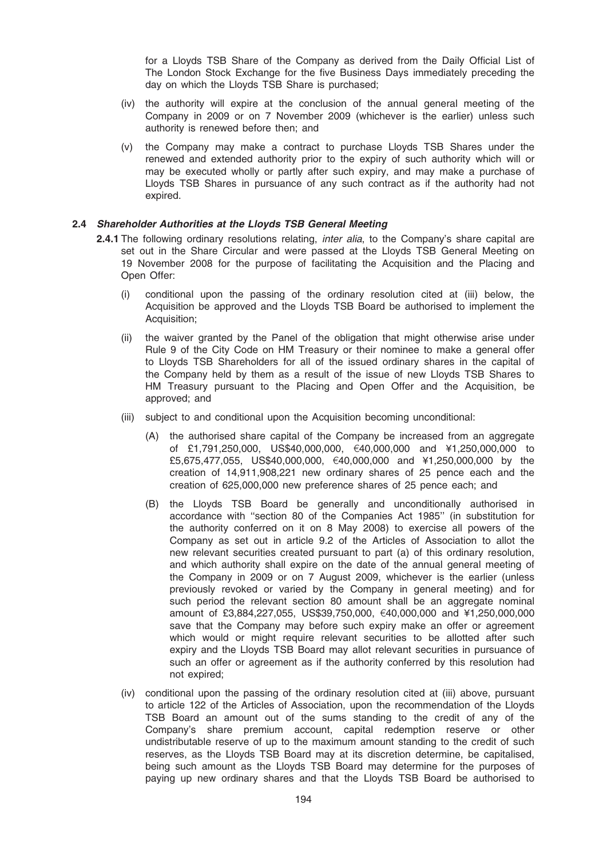for a Lloyds TSB Share of the Company as derived from the Daily Official List of The London Stock Exchange for the five Business Days immediately preceding the day on which the Lloyds TSB Share is purchased;

- (iv) the authority will expire at the conclusion of the annual general meeting of the Company in 2009 or on 7 November 2009 (whichever is the earlier) unless such authority is renewed before then; and
- (v) the Company may make a contract to purchase Lloyds TSB Shares under the renewed and extended authority prior to the expiry of such authority which will or may be executed wholly or partly after such expiry, and may make a purchase of Lloyds TSB Shares in pursuance of any such contract as if the authority had not expired.

## 2.4 Shareholder Authorities at the Lloyds TSB General Meeting

- 2.4.1 The following ordinary resolutions relating, *inter alia*, to the Company's share capital are set out in the Share Circular and were passed at the Lloyds TSB General Meeting on 19 November 2008 for the purpose of facilitating the Acquisition and the Placing and Open Offer:
	- (i) conditional upon the passing of the ordinary resolution cited at (iii) below, the Acquisition be approved and the Lloyds TSB Board be authorised to implement the Acquisition:
	- (ii) the waiver granted by the Panel of the obligation that might otherwise arise under Rule 9 of the City Code on HM Treasury or their nominee to make a general offer to Lloyds TSB Shareholders for all of the issued ordinary shares in the capital of the Company held by them as a result of the issue of new Lloyds TSB Shares to HM Treasury pursuant to the Placing and Open Offer and the Acquisition, be approved; and
	- (iii) subject to and conditional upon the Acquisition becoming unconditional:
		- (A) the authorised share capital of the Company be increased from an aggregate of £1,791,250,000, US\$40,000,000, €40,000,000 and ¥1,250,000,000 to £5,675,477,055, US\$40,000,000, €40,000,000 and ¥1,250,000,000 by the creation of 14,911,908,221 new ordinary shares of 25 pence each and the creation of 625,000,000 new preference shares of 25 pence each; and
		- (B) the Lloyds TSB Board be generally and unconditionally authorised in accordance with ''section 80 of the Companies Act 1985'' (in substitution for the authority conferred on it on 8 May 2008) to exercise all powers of the Company as set out in article 9.2 of the Articles of Association to allot the new relevant securities created pursuant to part (a) of this ordinary resolution, and which authority shall expire on the date of the annual general meeting of the Company in 2009 or on 7 August 2009, whichever is the earlier (unless previously revoked or varied by the Company in general meeting) and for such period the relevant section 80 amount shall be an aggregate nominal amount of £3,884,227,055, US\$39,750,000, €40,000,000 and ¥1,250,000,000 save that the Company may before such expiry make an offer or agreement which would or might require relevant securities to be allotted after such expiry and the Lloyds TSB Board may allot relevant securities in pursuance of such an offer or agreement as if the authority conferred by this resolution had not expired;
	- (iv) conditional upon the passing of the ordinary resolution cited at (iii) above, pursuant to article 122 of the Articles of Association, upon the recommendation of the Lloyds TSB Board an amount out of the sums standing to the credit of any of the Company's share premium account, capital redemption reserve or other undistributable reserve of up to the maximum amount standing to the credit of such reserves, as the Lloyds TSB Board may at its discretion determine, be capitalised, being such amount as the Lloyds TSB Board may determine for the purposes of paying up new ordinary shares and that the Lloyds TSB Board be authorised to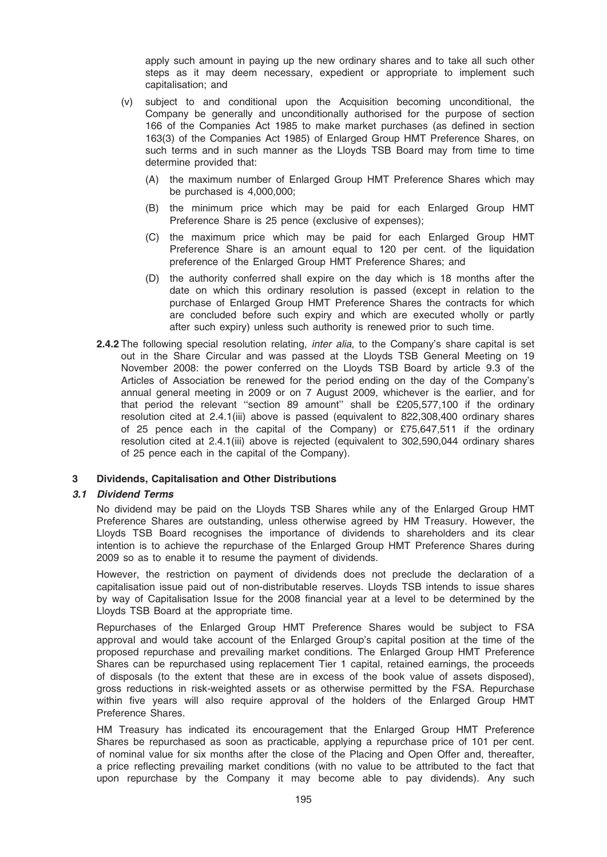apply such amount in paying up the new ordinary shares and to take all such other steps as it may deem necessary, expedient or appropriate to implement such capitalisation; and

- (v) subject to and conditional upon the Acquisition becoming unconditional, the Company be generally and unconditionally authorised for the purpose of section 166 of the Companies Act 1985 to make market purchases (as defined in section 163(3) of the Companies Act 1985) of Enlarged Group HMT Preference Shares, on such terms and in such manner as the Lloyds TSB Board may from time to time determine provided that:
	- (A) the maximum number of Enlarged Group HMT Preference Shares which may be purchased is 4,000,000;
	- (B) the minimum price which may be paid for each Enlarged Group HMT Preference Share is 25 pence (exclusive of expenses);
	- (C) the maximum price which may be paid for each Enlarged Group HMT Preference Share is an amount equal to 120 per cent. of the liquidation preference of the Enlarged Group HMT Preference Shares; and
	- (D) the authority conferred shall expire on the day which is 18 months after the date on which this ordinary resolution is passed (except in relation to the purchase of Enlarged Group HMT Preference Shares the contracts for which are concluded before such expiry and which are executed wholly or partly after such expiry) unless such authority is renewed prior to such time.
- 2.4.2 The following special resolution relating, *inter alia*, to the Company's share capital is set out in the Share Circular and was passed at the Lloyds TSB General Meeting on 19 November 2008: the power conferred on the Lloyds TSB Board by article 9.3 of the Articles of Association be renewed for the period ending on the day of the Company's annual general meeting in 2009 or on 7 August 2009, whichever is the earlier, and for that period the relevant ''section 89 amount'' shall be £205,577,100 if the ordinary resolution cited at 2.4.1(iii) above is passed (equivalent to 822,308,400 ordinary shares of 25 pence each in the capital of the Company) or £75,647,511 if the ordinary resolution cited at 2.4.1(iii) above is rejected (equivalent to 302,590,044 ordinary shares of 25 pence each in the capital of the Company).

## 3 Dividends, Capitalisation and Other Distributions

### 3.1 Dividend Terms

No dividend may be paid on the Lloyds TSB Shares while any of the Enlarged Group HMT Preference Shares are outstanding, unless otherwise agreed by HM Treasury. However, the Lloyds TSB Board recognises the importance of dividends to shareholders and its clear intention is to achieve the repurchase of the Enlarged Group HMT Preference Shares during 2009 so as to enable it to resume the payment of dividends.

However, the restriction on payment of dividends does not preclude the declaration of a capitalisation issue paid out of non-distributable reserves. Lloyds TSB intends to issue shares by way of Capitalisation Issue for the 2008 financial year at a level to be determined by the Lloyds TSB Board at the appropriate time.

Repurchases of the Enlarged Group HMT Preference Shares would be subject to FSA approval and would take account of the Enlarged Group's capital position at the time of the proposed repurchase and prevailing market conditions. The Enlarged Group HMT Preference Shares can be repurchased using replacement Tier 1 capital, retained earnings, the proceeds of disposals (to the extent that these are in excess of the book value of assets disposed), gross reductions in risk-weighted assets or as otherwise permitted by the FSA. Repurchase within five years will also require approval of the holders of the Enlarged Group HMT Preference Shares.

HM Treasury has indicated its encouragement that the Enlarged Group HMT Preference Shares be repurchased as soon as practicable, applying a repurchase price of 101 per cent. of nominal value for six months after the close of the Placing and Open Offer and, thereafter, a price reflecting prevailing market conditions (with no value to be attributed to the fact that upon repurchase by the Company it may become able to pay dividends). Any such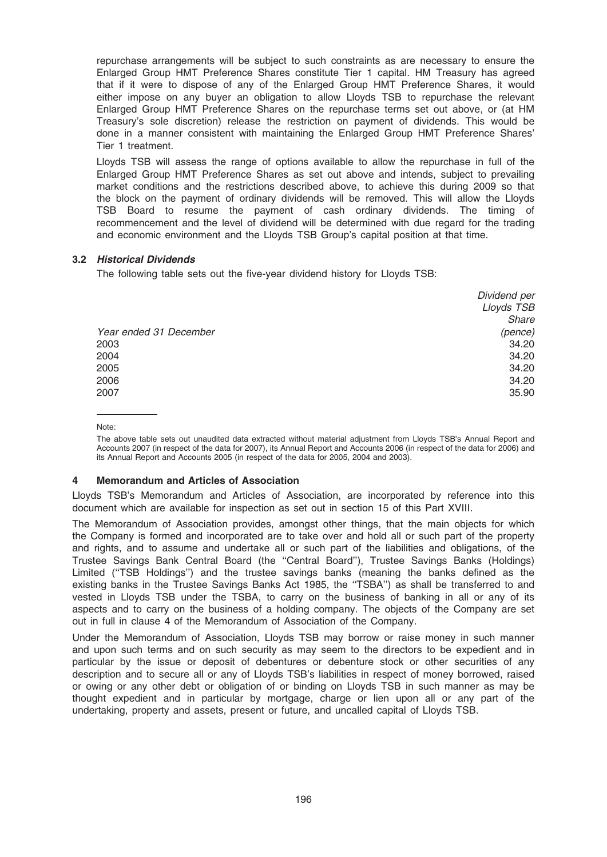repurchase arrangements will be subject to such constraints as are necessary to ensure the Enlarged Group HMT Preference Shares constitute Tier 1 capital. HM Treasury has agreed that if it were to dispose of any of the Enlarged Group HMT Preference Shares, it would either impose on any buyer an obligation to allow Lloyds TSB to repurchase the relevant Enlarged Group HMT Preference Shares on the repurchase terms set out above, or (at HM Treasury's sole discretion) release the restriction on payment of dividends. This would be done in a manner consistent with maintaining the Enlarged Group HMT Preference Shares' Tier 1 treatment.

Lloyds TSB will assess the range of options available to allow the repurchase in full of the Enlarged Group HMT Preference Shares as set out above and intends, subject to prevailing market conditions and the restrictions described above, to achieve this during 2009 so that the block on the payment of ordinary dividends will be removed. This will allow the Lloyds TSB Board to resume the payment of cash ordinary dividends. The timing of recommencement and the level of dividend will be determined with due regard for the trading and economic environment and the Lloyds TSB Group's capital position at that time.

## 3.2 Historical Dividends

The following table sets out the five-year dividend history for Lloyds TSB:

|                        | Dividend per |
|------------------------|--------------|
|                        | Lloyds TSB   |
|                        | Share        |
| Year ended 31 December | (pence)      |
| 2003                   | 34.20        |
| 2004                   | 34.20        |
| 2005                   | 34.20        |
| 2006                   | 34.20        |
| 2007                   | 35.90        |
|                        |              |

Note:

The above table sets out unaudited data extracted without material adjustment from Lloyds TSB's Annual Report and Accounts 2007 (in respect of the data for 2007), its Annual Report and Accounts 2006 (in respect of the data for 2006) and its Annual Report and Accounts 2005 (in respect of the data for 2005, 2004 and 2003).

## 4 Memorandum and Articles of Association

Lloyds TSB's Memorandum and Articles of Association, are incorporated by reference into this document which are available for inspection as set out in section 15 of this Part XVIII.

The Memorandum of Association provides, amongst other things, that the main objects for which the Company is formed and incorporated are to take over and hold all or such part of the property and rights, and to assume and undertake all or such part of the liabilities and obligations, of the Trustee Savings Bank Central Board (the ''Central Board''), Trustee Savings Banks (Holdings) Limited ("TSB Holdings") and the trustee savings banks (meaning the banks defined as the existing banks in the Trustee Savings Banks Act 1985, the "TSBA") as shall be transferred to and vested in Lloyds TSB under the TSBA, to carry on the business of banking in all or any of its aspects and to carry on the business of a holding company. The objects of the Company are set out in full in clause 4 of the Memorandum of Association of the Company.

Under the Memorandum of Association, Lloyds TSB may borrow or raise money in such manner and upon such terms and on such security as may seem to the directors to be expedient and in particular by the issue or deposit of debentures or debenture stock or other securities of any description and to secure all or any of Lloyds TSB's liabilities in respect of money borrowed, raised or owing or any other debt or obligation of or binding on Lloyds TSB in such manner as may be thought expedient and in particular by mortgage, charge or lien upon all or any part of the undertaking, property and assets, present or future, and uncalled capital of Lloyds TSB.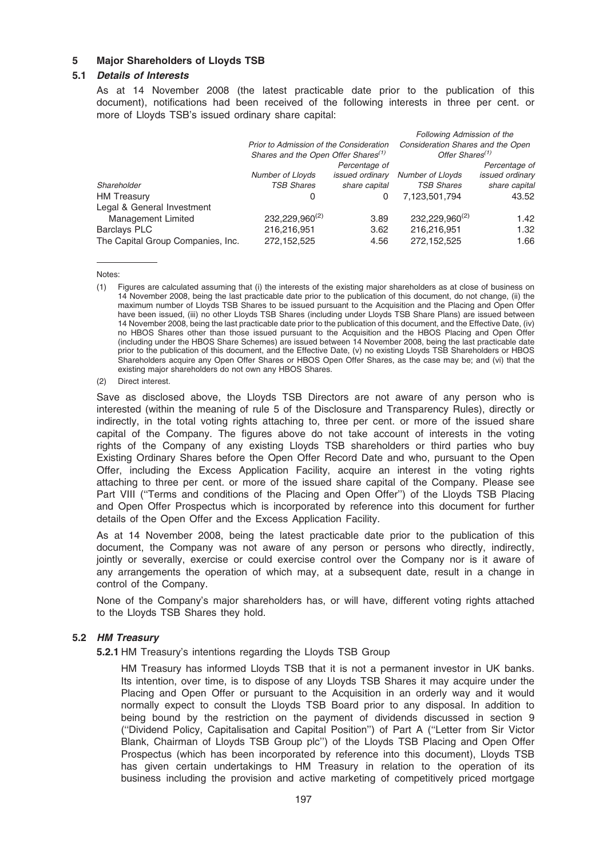## 5 Major Shareholders of Lloyds TSB

### 5.1 Details of Interests

As at 14 November 2008 (the latest practicable date prior to the publication of this document), notifications had been received of the following interests in three per cent. or more of Lloyds TSB's issued ordinary share capital:

| Consideration Shares and the Open |                                   |
|-----------------------------------|-----------------------------------|
| Offer Shares <sup>(1)</sup>       |                                   |
|                                   | Percentage of                     |
| Number of Lloyds                  | <i>issued ordinary</i>            |
| <b>TSB Shares</b>                 | share capital                     |
| 7.123.501.794                     | 43.52                             |
|                                   |                                   |
| 232,229,960 <sup>(2)</sup>        | 1.42                              |
| 216,216,951                       | 1.32                              |
| 272,152,525                       | 1.66                              |
|                                   | <b>Following Admission of the</b> |

Notes:

Save as disclosed above, the Lloyds TSB Directors are not aware of any person who is interested (within the meaning of rule 5 of the Disclosure and Transparency Rules), directly or indirectly, in the total voting rights attaching to, three per cent. or more of the issued share capital of the Company. The figures above do not take account of interests in the voting rights of the Company of any existing Lloyds TSB shareholders or third parties who buy Existing Ordinary Shares before the Open Offer Record Date and who, pursuant to the Open Offer, including the Excess Application Facility, acquire an interest in the voting rights attaching to three per cent. or more of the issued share capital of the Company. Please see Part VIII (''Terms and conditions of the Placing and Open Offer'') of the Lloyds TSB Placing and Open Offer Prospectus which is incorporated by reference into this document for further details of the Open Offer and the Excess Application Facility.

As at 14 November 2008, being the latest practicable date prior to the publication of this document, the Company was not aware of any person or persons who directly, indirectly, jointly or severally, exercise or could exercise control over the Company nor is it aware of any arrangements the operation of which may, at a subsequent date, result in a change in control of the Company.

None of the Company's major shareholders has, or will have, different voting rights attached to the Lloyds TSB Shares they hold.

### 5.2 HM Treasury

5.2.1 HM Treasury's intentions regarding the Lloyds TSB Group

HM Treasury has informed Lloyds TSB that it is not a permanent investor in UK banks. Its intention, over time, is to dispose of any Lloyds TSB Shares it may acquire under the Placing and Open Offer or pursuant to the Acquisition in an orderly way and it would normally expect to consult the Lloyds TSB Board prior to any disposal. In addition to being bound by the restriction on the payment of dividends discussed in section 9 (''Dividend Policy, Capitalisation and Capital Position'') of Part A (''Letter from Sir Victor Blank, Chairman of Lloyds TSB Group plc'') of the Lloyds TSB Placing and Open Offer Prospectus (which has been incorporated by reference into this document), Lloyds TSB has given certain undertakings to HM Treasury in relation to the operation of its business including the provision and active marketing of competitively priced mortgage

<sup>(1)</sup> Figures are calculated assuming that (i) the interests of the existing major shareholders as at close of business on 14 November 2008, being the last practicable date prior to the publication of this document, do not change, (ii) the maximum number of Lloyds TSB Shares to be issued pursuant to the Acquisition and the Placing and Open Offer have been issued, (iii) no other Lloyds TSB Shares (including under Lloyds TSB Share Plans) are issued between 14 November 2008, being the last practicable date prior to the publication of this document, and the Effective Date, (iv) no HBOS Shares other than those issued pursuant to the Acquisition and the HBOS Placing and Open Offer (including under the HBOS Share Schemes) are issued between 14 November 2008, being the last practicable date prior to the publication of this document, and the Effective Date, (v) no existing Lloyds TSB Shareholders or HBOS Shareholders acquire any Open Offer Shares or HBOS Open Offer Shares, as the case may be; and (vi) that the existing major shareholders do not own any HBOS Shares.

<sup>(2)</sup> Direct interest.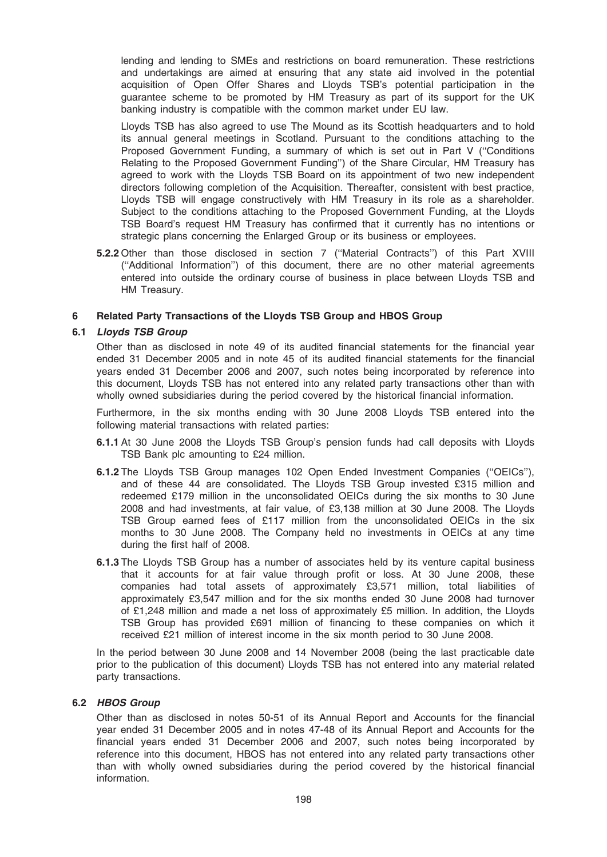lending and lending to SMEs and restrictions on board remuneration. These restrictions and undertakings are aimed at ensuring that any state aid involved in the potential acquisition of Open Offer Shares and Lloyds TSB's potential participation in the guarantee scheme to be promoted by HM Treasury as part of its support for the UK banking industry is compatible with the common market under EU law.

Lloyds TSB has also agreed to use The Mound as its Scottish headquarters and to hold its annual general meetings in Scotland. Pursuant to the conditions attaching to the Proposed Government Funding, a summary of which is set out in Part V (''Conditions Relating to the Proposed Government Funding'') of the Share Circular, HM Treasury has agreed to work with the Lloyds TSB Board on its appointment of two new independent directors following completion of the Acquisition. Thereafter, consistent with best practice, Lloyds TSB will engage constructively with HM Treasury in its role as a shareholder. Subject to the conditions attaching to the Proposed Government Funding, at the Lloyds TSB Board's request HM Treasury has confirmed that it currently has no intentions or strategic plans concerning the Enlarged Group or its business or employees.

5.2.2 Other than those disclosed in section 7 (''Material Contracts'') of this Part XVIII (''Additional Information'') of this document, there are no other material agreements entered into outside the ordinary course of business in place between Lloyds TSB and HM Treasury.

### 6 Related Party Transactions of the Lloyds TSB Group and HBOS Group

## 6.1 Lloyds TSB Group

Other than as disclosed in note 49 of its audited financial statements for the financial year ended 31 December 2005 and in note 45 of its audited financial statements for the financial years ended 31 December 2006 and 2007, such notes being incorporated by reference into this document, Lloyds TSB has not entered into any related party transactions other than with wholly owned subsidiaries during the period covered by the historical financial information.

Furthermore, in the six months ending with 30 June 2008 Lloyds TSB entered into the following material transactions with related parties:

- 6.1.1 At 30 June 2008 the Lloyds TSB Group's pension funds had call deposits with Lloyds TSB Bank plc amounting to £24 million.
- 6.1.2 The Lloyds TSB Group manages 102 Open Ended Investment Companies (''OEICs''), and of these 44 are consolidated. The Lloyds TSB Group invested £315 million and redeemed £179 million in the unconsolidated OEICs during the six months to 30 June 2008 and had investments, at fair value, of £3,138 million at 30 June 2008. The Lloyds TSB Group earned fees of £117 million from the unconsolidated OEICs in the six months to 30 June 2008. The Company held no investments in OEICs at any time during the first half of 2008.
- 6.1.3 The Lloyds TSB Group has a number of associates held by its venture capital business that it accounts for at fair value through profit or loss. At 30 June 2008, these companies had total assets of approximately £3,571 million, total liabilities of approximately £3,547 million and for the six months ended 30 June 2008 had turnover of £1,248 million and made a net loss of approximately £5 million. In addition, the Lloyds TSB Group has provided £691 million of financing to these companies on which it received £21 million of interest income in the six month period to 30 June 2008.

In the period between 30 June 2008 and 14 November 2008 (being the last practicable date prior to the publication of this document) Lloyds TSB has not entered into any material related party transactions.

### 6.2 HBOS Group

Other than as disclosed in notes 50-51 of its Annual Report and Accounts for the financial year ended 31 December 2005 and in notes 47-48 of its Annual Report and Accounts for the financial years ended 31 December 2006 and 2007, such notes being incorporated by reference into this document, HBOS has not entered into any related party transactions other than with wholly owned subsidiaries during the period covered by the historical financial information.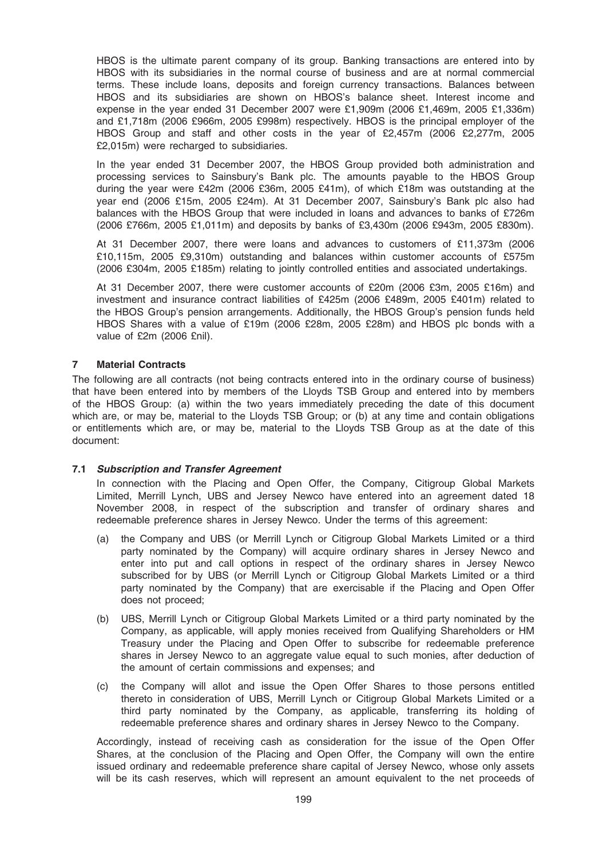HBOS is the ultimate parent company of its group. Banking transactions are entered into by HBOS with its subsidiaries in the normal course of business and are at normal commercial terms. These include loans, deposits and foreign currency transactions. Balances between HBOS and its subsidiaries are shown on HBOS's balance sheet. Interest income and expense in the year ended 31 December 2007 were £1,909m (2006 £1,469m, 2005 £1,336m) and £1,718m (2006 £966m, 2005 £998m) respectively. HBOS is the principal employer of the HBOS Group and staff and other costs in the year of £2,457m (2006 £2,277m, 2005 £2,015m) were recharged to subsidiaries.

In the year ended 31 December 2007, the HBOS Group provided both administration and processing services to Sainsbury's Bank plc. The amounts payable to the HBOS Group during the year were £42m (2006 £36m, 2005 £41m), of which £18m was outstanding at the year end (2006 £15m, 2005 £24m). At 31 December 2007, Sainsbury's Bank plc also had balances with the HBOS Group that were included in loans and advances to banks of £726m (2006 £766m, 2005 £1,011m) and deposits by banks of £3,430m (2006 £943m, 2005 £830m).

At 31 December 2007, there were loans and advances to customers of £11,373m (2006 £10,115m, 2005 £9,310m) outstanding and balances within customer accounts of £575m (2006 £304m, 2005 £185m) relating to jointly controlled entities and associated undertakings.

At 31 December 2007, there were customer accounts of £20m (2006 £3m, 2005 £16m) and investment and insurance contract liabilities of £425m (2006 £489m, 2005 £401m) related to the HBOS Group's pension arrangements. Additionally, the HBOS Group's pension funds held HBOS Shares with a value of £19m (2006 £28m, 2005 £28m) and HBOS plc bonds with a value of £2m (2006 £nil).

## 7 Material Contracts

The following are all contracts (not being contracts entered into in the ordinary course of business) that have been entered into by members of the Lloyds TSB Group and entered into by members of the HBOS Group: (a) within the two years immediately preceding the date of this document which are, or may be, material to the Lloyds TSB Group; or (b) at any time and contain obligations or entitlements which are, or may be, material to the Lloyds TSB Group as at the date of this document:

### 7.1 Subscription and Transfer Agreement

In connection with the Placing and Open Offer, the Company, Citigroup Global Markets Limited, Merrill Lynch, UBS and Jersey Newco have entered into an agreement dated 18 November 2008, in respect of the subscription and transfer of ordinary shares and redeemable preference shares in Jersey Newco. Under the terms of this agreement:

- (a) the Company and UBS (or Merrill Lynch or Citigroup Global Markets Limited or a third party nominated by the Company) will acquire ordinary shares in Jersey Newco and enter into put and call options in respect of the ordinary shares in Jersey Newco subscribed for by UBS (or Merrill Lynch or Citigroup Global Markets Limited or a third party nominated by the Company) that are exercisable if the Placing and Open Offer does not proceed;
- (b) UBS, Merrill Lynch or Citigroup Global Markets Limited or a third party nominated by the Company, as applicable, will apply monies received from Qualifying Shareholders or HM Treasury under the Placing and Open Offer to subscribe for redeemable preference shares in Jersey Newco to an aggregate value equal to such monies, after deduction of the amount of certain commissions and expenses; and
- (c) the Company will allot and issue the Open Offer Shares to those persons entitled thereto in consideration of UBS, Merrill Lynch or Citigroup Global Markets Limited or a third party nominated by the Company, as applicable, transferring its holding of redeemable preference shares and ordinary shares in Jersey Newco to the Company.

Accordingly, instead of receiving cash as consideration for the issue of the Open Offer Shares, at the conclusion of the Placing and Open Offer, the Company will own the entire issued ordinary and redeemable preference share capital of Jersey Newco, whose only assets will be its cash reserves, which will represent an amount equivalent to the net proceeds of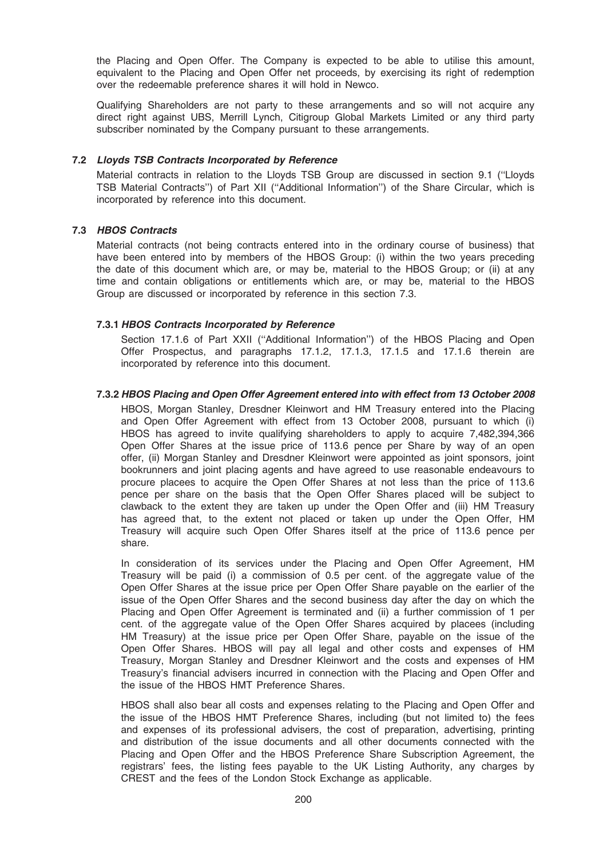the Placing and Open Offer. The Company is expected to be able to utilise this amount, equivalent to the Placing and Open Offer net proceeds, by exercising its right of redemption over the redeemable preference shares it will hold in Newco.

Qualifying Shareholders are not party to these arrangements and so will not acquire any direct right against UBS, Merrill Lynch, Citigroup Global Markets Limited or any third party subscriber nominated by the Company pursuant to these arrangements.

## 7.2 Lloyds TSB Contracts Incorporated by Reference

Material contracts in relation to the Lloyds TSB Group are discussed in section 9.1 (''Lloyds TSB Material Contracts'') of Part XII (''Additional Information'') of the Share Circular, which is incorporated by reference into this document.

## 7.3 HBOS Contracts

Material contracts (not being contracts entered into in the ordinary course of business) that have been entered into by members of the HBOS Group: (i) within the two years preceding the date of this document which are, or may be, material to the HBOS Group; or (ii) at any time and contain obligations or entitlements which are, or may be, material to the HBOS Group are discussed or incorporated by reference in this section 7.3.

## 7.3.1 HBOS Contracts Incorporated by Reference

Section 17.1.6 of Part XXII (''Additional Information'') of the HBOS Placing and Open Offer Prospectus, and paragraphs 17.1.2, 17.1.3, 17.1.5 and 17.1.6 therein are incorporated by reference into this document.

## 7.3.2 HBOS Placing and Open Offer Agreement entered into with effect from 13 October 2008

HBOS, Morgan Stanley, Dresdner Kleinwort and HM Treasury entered into the Placing and Open Offer Agreement with effect from 13 October 2008, pursuant to which (i) HBOS has agreed to invite qualifying shareholders to apply to acquire 7,482,394,366 Open Offer Shares at the issue price of 113.6 pence per Share by way of an open offer, (ii) Morgan Stanley and Dresdner Kleinwort were appointed as joint sponsors, joint bookrunners and joint placing agents and have agreed to use reasonable endeavours to procure placees to acquire the Open Offer Shares at not less than the price of 113.6 pence per share on the basis that the Open Offer Shares placed will be subject to clawback to the extent they are taken up under the Open Offer and (iii) HM Treasury has agreed that, to the extent not placed or taken up under the Open Offer, HM Treasury will acquire such Open Offer Shares itself at the price of 113.6 pence per share.

In consideration of its services under the Placing and Open Offer Agreement, HM Treasury will be paid (i) a commission of 0.5 per cent. of the aggregate value of the Open Offer Shares at the issue price per Open Offer Share payable on the earlier of the issue of the Open Offer Shares and the second business day after the day on which the Placing and Open Offer Agreement is terminated and (ii) a further commission of 1 per cent. of the aggregate value of the Open Offer Shares acquired by placees (including HM Treasury) at the issue price per Open Offer Share, payable on the issue of the Open Offer Shares. HBOS will pay all legal and other costs and expenses of HM Treasury, Morgan Stanley and Dresdner Kleinwort and the costs and expenses of HM Treasury's financial advisers incurred in connection with the Placing and Open Offer and the issue of the HBOS HMT Preference Shares.

HBOS shall also bear all costs and expenses relating to the Placing and Open Offer and the issue of the HBOS HMT Preference Shares, including (but not limited to) the fees and expenses of its professional advisers, the cost of preparation, advertising, printing and distribution of the issue documents and all other documents connected with the Placing and Open Offer and the HBOS Preference Share Subscription Agreement, the registrars' fees, the listing fees payable to the UK Listing Authority, any charges by CREST and the fees of the London Stock Exchange as applicable.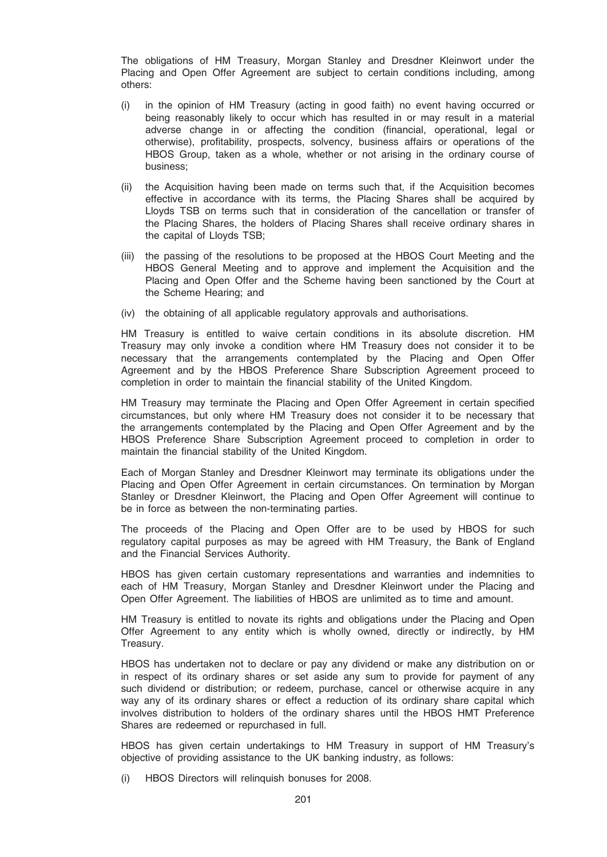The obligations of HM Treasury, Morgan Stanley and Dresdner Kleinwort under the Placing and Open Offer Agreement are subject to certain conditions including, among others:

- (i) in the opinion of HM Treasury (acting in good faith) no event having occurred or being reasonably likely to occur which has resulted in or may result in a material adverse change in or affecting the condition (financial, operational, legal or otherwise), profitability, prospects, solvency, business affairs or operations of the HBOS Group, taken as a whole, whether or not arising in the ordinary course of business;
- (ii) the Acquisition having been made on terms such that, if the Acquisition becomes effective in accordance with its terms, the Placing Shares shall be acquired by Lloyds TSB on terms such that in consideration of the cancellation or transfer of the Placing Shares, the holders of Placing Shares shall receive ordinary shares in the capital of Lloyds TSB;
- (iii) the passing of the resolutions to be proposed at the HBOS Court Meeting and the HBOS General Meeting and to approve and implement the Acquisition and the Placing and Open Offer and the Scheme having been sanctioned by the Court at the Scheme Hearing; and
- (iv) the obtaining of all applicable regulatory approvals and authorisations.

HM Treasury is entitled to waive certain conditions in its absolute discretion. HM Treasury may only invoke a condition where HM Treasury does not consider it to be necessary that the arrangements contemplated by the Placing and Open Offer Agreement and by the HBOS Preference Share Subscription Agreement proceed to completion in order to maintain the financial stability of the United Kingdom.

HM Treasury may terminate the Placing and Open Offer Agreement in certain specified circumstances, but only where HM Treasury does not consider it to be necessary that the arrangements contemplated by the Placing and Open Offer Agreement and by the HBOS Preference Share Subscription Agreement proceed to completion in order to maintain the financial stability of the United Kingdom.

Each of Morgan Stanley and Dresdner Kleinwort may terminate its obligations under the Placing and Open Offer Agreement in certain circumstances. On termination by Morgan Stanley or Dresdner Kleinwort, the Placing and Open Offer Agreement will continue to be in force as between the non-terminating parties.

The proceeds of the Placing and Open Offer are to be used by HBOS for such regulatory capital purposes as may be agreed with HM Treasury, the Bank of England and the Financial Services Authority.

HBOS has given certain customary representations and warranties and indemnities to each of HM Treasury, Morgan Stanley and Dresdner Kleinwort under the Placing and Open Offer Agreement. The liabilities of HBOS are unlimited as to time and amount.

HM Treasury is entitled to novate its rights and obligations under the Placing and Open Offer Agreement to any entity which is wholly owned, directly or indirectly, by HM Treasury.

HBOS has undertaken not to declare or pay any dividend or make any distribution on or in respect of its ordinary shares or set aside any sum to provide for payment of any such dividend or distribution; or redeem, purchase, cancel or otherwise acquire in any way any of its ordinary shares or effect a reduction of its ordinary share capital which involves distribution to holders of the ordinary shares until the HBOS HMT Preference Shares are redeemed or repurchased in full.

HBOS has given certain undertakings to HM Treasury in support of HM Treasury's objective of providing assistance to the UK banking industry, as follows:

(i) HBOS Directors will relinquish bonuses for 2008.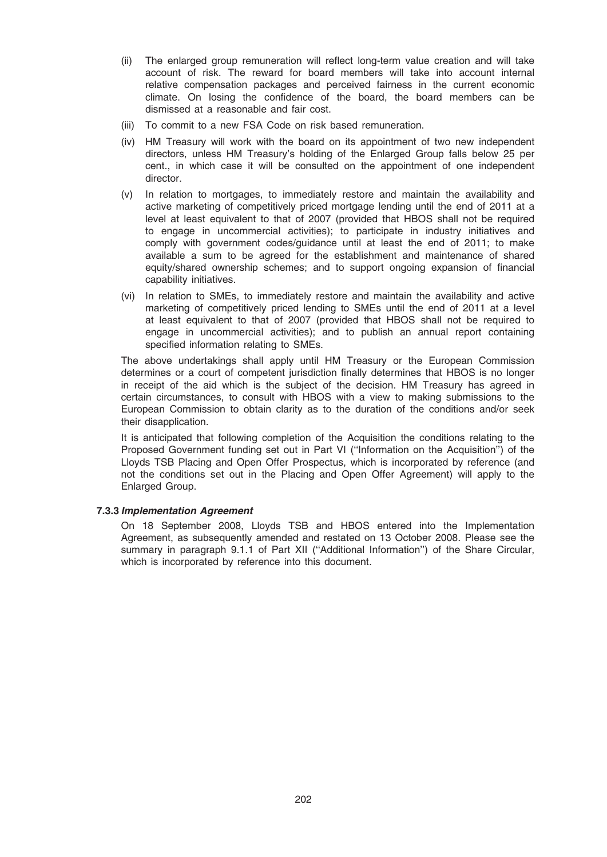- (ii) The enlarged group remuneration will reflect long-term value creation and will take account of risk. The reward for board members will take into account internal relative compensation packages and perceived fairness in the current economic climate. On losing the confidence of the board, the board members can be dismissed at a reasonable and fair cost.
- (iii) To commit to a new FSA Code on risk based remuneration.
- (iv) HM Treasury will work with the board on its appointment of two new independent directors, unless HM Treasury's holding of the Enlarged Group falls below 25 per cent., in which case it will be consulted on the appointment of one independent director.
- (v) In relation to mortgages, to immediately restore and maintain the availability and active marketing of competitively priced mortgage lending until the end of 2011 at a level at least equivalent to that of 2007 (provided that HBOS shall not be required to engage in uncommercial activities); to participate in industry initiatives and comply with government codes/guidance until at least the end of 2011; to make available a sum to be agreed for the establishment and maintenance of shared equity/shared ownership schemes; and to support ongoing expansion of financial capability initiatives.
- (vi) In relation to SMEs, to immediately restore and maintain the availability and active marketing of competitively priced lending to SMEs until the end of 2011 at a level at least equivalent to that of 2007 (provided that HBOS shall not be required to engage in uncommercial activities); and to publish an annual report containing specified information relating to SMEs.

The above undertakings shall apply until HM Treasury or the European Commission determines or a court of competent jurisdiction finally determines that HBOS is no longer in receipt of the aid which is the subject of the decision. HM Treasury has agreed in certain circumstances, to consult with HBOS with a view to making submissions to the European Commission to obtain clarity as to the duration of the conditions and/or seek their disapplication.

It is anticipated that following completion of the Acquisition the conditions relating to the Proposed Government funding set out in Part VI (''Information on the Acquisition'') of the Lloyds TSB Placing and Open Offer Prospectus, which is incorporated by reference (and not the conditions set out in the Placing and Open Offer Agreement) will apply to the Enlarged Group.

## 7.3.3 Implementation Agreement

On 18 September 2008, Lloyds TSB and HBOS entered into the Implementation Agreement, as subsequently amended and restated on 13 October 2008. Please see the summary in paragraph 9.1.1 of Part XII (''Additional Information'') of the Share Circular, which is incorporated by reference into this document.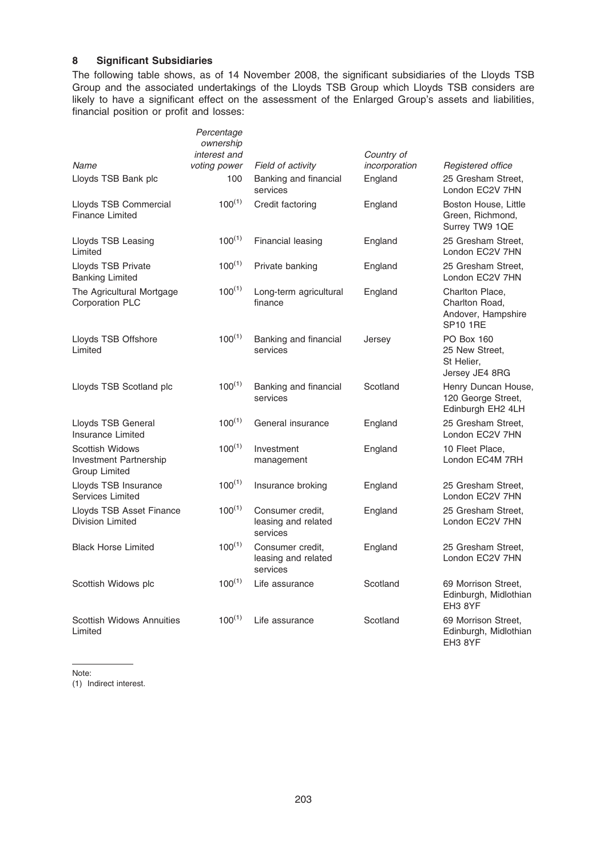## 8 Significant Subsidiaries

The following table shows, as of 14 November 2008, the significant subsidiaries of the Lloyds TSB Group and the associated undertakings of the Lloyds TSB Group which Lloyds TSB considers are likely to have a significant effect on the assessment of the Enlarged Group's assets and liabilities, financial position or profit and losses:

|                                                                          | Percentage<br>ownership<br>interest and |                                                     | Country of               |                                                                            |
|--------------------------------------------------------------------------|-----------------------------------------|-----------------------------------------------------|--------------------------|----------------------------------------------------------------------------|
| Name<br>Lloyds TSB Bank plc                                              | voting power<br>100                     | Field of activity<br>Banking and financial          | incorporation<br>England | Registered office<br>25 Gresham Street,                                    |
|                                                                          |                                         | services                                            |                          | London EC2V 7HN                                                            |
| Lloyds TSB Commercial<br><b>Finance Limited</b>                          | $100^{(1)}$                             | Credit factoring                                    | England                  | Boston House, Little<br>Green, Richmond,<br>Surrey TW9 1QE                 |
| Lloyds TSB Leasing<br>Limited                                            | $100^{(1)}$                             | Financial leasing                                   | England                  | 25 Gresham Street,<br>London EC2V 7HN                                      |
| Lloyds TSB Private<br><b>Banking Limited</b>                             | $100^{(1)}$                             | Private banking                                     | England                  | 25 Gresham Street,<br>London EC2V 7HN                                      |
| The Agricultural Mortgage<br><b>Corporation PLC</b>                      | $100^{(1)}$                             | Long-term agricultural<br>finance                   | England                  | Charlton Place,<br>Charlton Road,<br>Andover, Hampshire<br><b>SP10 1RE</b> |
| Lloyds TSB Offshore<br>Limited                                           | $100^{(1)}$                             | Banking and financial<br>services                   | Jersey                   | <b>PO Box 160</b><br>25 New Street,<br>St Helier,<br>Jersey JE4 8RG        |
| Lloyds TSB Scotland plc                                                  | $100^{(1)}$                             | Banking and financial<br>services                   | Scotland                 | Henry Duncan House,<br>120 George Street,<br>Edinburgh EH2 4LH             |
| Lloyds TSB General<br>Insurance Limited                                  | $100^{(1)}$                             | General insurance                                   | England                  | 25 Gresham Street.<br>London EC2V 7HN                                      |
| <b>Scottish Widows</b><br><b>Investment Partnership</b><br>Group Limited | $100^{(1)}$                             | Investment<br>management                            | England                  | 10 Fleet Place,<br>London EC4M 7RH                                         |
| Lloyds TSB Insurance<br>Services Limited                                 | $100^{(1)}$                             | Insurance broking                                   | England                  | 25 Gresham Street.<br>London EC2V 7HN                                      |
| Lloyds TSB Asset Finance<br><b>Division Limited</b>                      | $100^{(1)}$                             | Consumer credit,<br>leasing and related<br>services | England                  | 25 Gresham Street,<br>London EC2V 7HN                                      |
| <b>Black Horse Limited</b>                                               | $100^{(1)}$                             | Consumer credit,<br>leasing and related<br>services | England                  | 25 Gresham Street,<br>London EC2V 7HN                                      |
| Scottish Widows plc                                                      | $100^{(1)}$                             | Life assurance                                      | Scotland                 | 69 Morrison Street,<br>Edinburgh, Midlothian<br>EH3 8YF                    |
| <b>Scottish Widows Annuities</b><br>Limited                              | $100^{(1)}$                             | Life assurance                                      | Scotland                 | 69 Morrison Street.<br>Edinburgh, Midlothian<br>EH3 8YF                    |

Note:

(1) Indirect interest.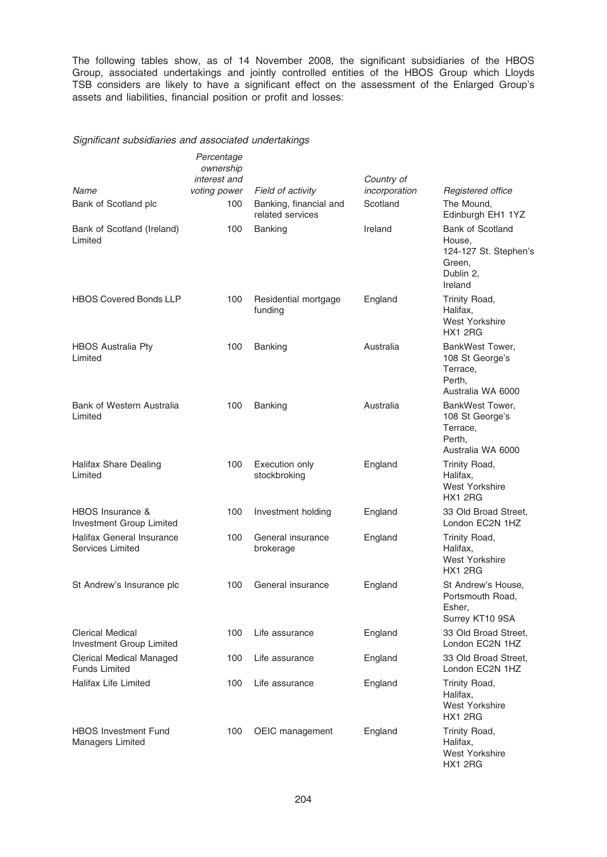The following tables show, as of 14 November 2008, the significant subsidiaries of the HBOS Group, associated undertakings and jointly controlled entities of the HBOS Group which Lloyds TSB considers are likely to have a significant effect on the assessment of the Enlarged Group's assets and liabilities, financial position or profit and losses:

## Significant subsidiaries and associated undertakings

|                                                      | Percentage<br>ownership<br>interest and |                                                                 | Country of                |                                                                                       |
|------------------------------------------------------|-----------------------------------------|-----------------------------------------------------------------|---------------------------|---------------------------------------------------------------------------------------|
| <b>Name</b><br>Bank of Scotland plc                  | voting power<br>100                     | Field of activity<br>Banking, financial and<br>related services | incorporation<br>Scotland | Registered office<br>The Mound,<br>Edinburgh EH1 1YZ                                  |
| Bank of Scotland (Ireland)<br>Limited                | 100                                     | <b>Banking</b>                                                  | Ireland                   | Bank of Scotland<br>House,<br>124-127 St. Stephen's<br>Green,<br>Dublin 2,<br>Ireland |
| <b>HBOS Covered Bonds LLP</b>                        | 100                                     | Residential mortgage<br>funding                                 | England                   | Trinity Road,<br>Halifax,<br><b>West Yorkshire</b><br><b>HX1 2RG</b>                  |
| <b>HBOS Australia Pty</b><br>Limited                 | 100                                     | <b>Banking</b>                                                  | Australia                 | BankWest Tower,<br>108 St George's<br>Terrace,<br>Perth,<br>Australia WA 6000         |
| Bank of Western Australia<br>Limited                 | 100                                     | Banking                                                         | Australia                 | BankWest Tower,<br>108 St George's<br>Terrace,<br>Perth.<br>Australia WA 6000         |
| <b>Halifax Share Dealing</b><br>Limited              | 100                                     | Execution only<br>stockbroking                                  | England                   | Trinity Road,<br>Halifax.<br><b>West Yorkshire</b><br><b>HX1 2RG</b>                  |
| HBOS Insurance &<br>Investment Group Limited         | 100                                     | Investment holding                                              | England                   | 33 Old Broad Street,<br>London EC2N 1HZ                                               |
| <b>Halifax General Insurance</b><br>Services Limited | 100                                     | General insurance<br>brokerage                                  | England                   | Trinity Road,<br>Halifax.<br>West Yorkshire<br><b>HX1 2RG</b>                         |
| St Andrew's Insurance plc                            | 100                                     | General insurance                                               | England                   | St Andrew's House,<br>Portsmouth Road,<br>Esher,<br>Surrey KT10 9SA                   |
| <b>Clerical Medical</b><br>Investment Group Limited  | 100                                     | Life assurance                                                  | England                   | 33 Old Broad Street,<br>London EC2N 1HZ                                               |
| Clerical Medical Managed<br><b>Funds Limited</b>     | 100                                     | Life assurance                                                  | England                   | 33 Old Broad Street,<br>London EC2N 1HZ                                               |
| <b>Halifax Life Limited</b>                          | 100                                     | Life assurance                                                  | England                   | Trinity Road,<br>Halifax,<br>West Yorkshire<br><b>HX1 2RG</b>                         |
| <b>HBOS Investment Fund</b><br>Managers Limited      | 100                                     | OEIC management                                                 | England                   | Trinity Road,<br>Halifax,<br><b>West Yorkshire</b><br>HX1 2RG                         |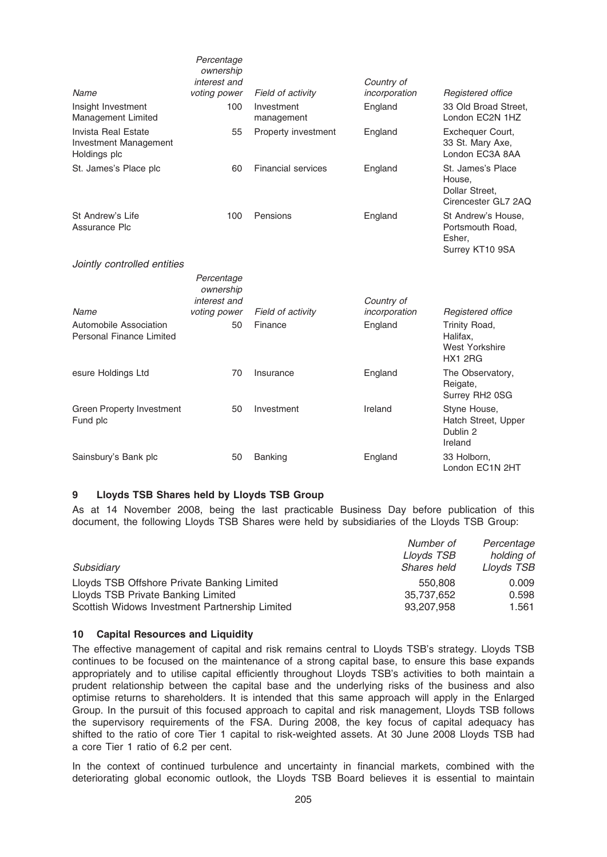|                                                              | Percentage<br>ownership<br>interest and |                           | Country of    |                                                                      |
|--------------------------------------------------------------|-----------------------------------------|---------------------------|---------------|----------------------------------------------------------------------|
| Name                                                         | voting power                            | Field of activity         | incorporation | Registered office                                                    |
| Insight Investment<br>Management Limited                     | 100                                     | Investment<br>management  | England       | 33 Old Broad Street,<br>London EC2N 1HZ                              |
| Invista Real Estate<br>Investment Management<br>Holdings plc | 55                                      | Property investment       | England       | Exchequer Court,<br>33 St. Mary Axe,<br>London EC3A 8AA              |
| St. James's Place plc                                        | 60                                      | <b>Financial services</b> | England       | St. James's Place<br>House,<br>Dollar Street,<br>Cirencester GL7 2AQ |
| St Andrew's Life<br>Assurance Plc                            | 100                                     | Pensions                  | England       | St Andrew's House.<br>Portsmouth Road,<br>Esher,<br>Surrey KT10 9SA  |
| Jointly controlled entities                                  |                                         |                           |               |                                                                      |
|                                                              | Percentage<br>ownership<br>interest and |                           | Country of    |                                                                      |
| Name                                                         | voting power                            | Field of activity         | incorporation | Registered office                                                    |
| Automobile Association<br>Personal Finance Limited           | 50                                      | Finance                   | England       | Trinity Road,<br>Halifax.<br><b>West Yorkshire</b><br><b>HX1 2RG</b> |
| esure Holdings Ltd                                           | 70                                      | Insurance                 | England       | The Observatory,<br>Reigate,<br>Surrey RH2 0SG                       |
| <b>Green Property Investment</b><br>Fund plc                 | 50                                      | Investment                | Ireland       | Styne House,<br>Hatch Street, Upper<br>Dublin 2<br>Ireland           |
| Sainsbury's Bank plc                                         | 50                                      | <b>Banking</b>            | England       | 33 Holborn,<br>London EC1N 2HT                                       |

## 9 Lloyds TSB Shares held by Lloyds TSB Group

As at 14 November 2008, being the last practicable Business Day before publication of this document, the following Lloyds TSB Shares were held by subsidiaries of the Lloyds TSB Group:

|                                                | Number of   | Percentage |
|------------------------------------------------|-------------|------------|
|                                                | Lloyds TSB  | holding of |
| Subsidiary                                     | Shares held | Lloyds TSB |
| Lloyds TSB Offshore Private Banking Limited    | 550,808     | 0.009      |
| Lloyds TSB Private Banking Limited             | 35,737,652  | 0.598      |
| Scottish Widows Investment Partnership Limited | 93.207.958  | 1.561      |

### 10 Capital Resources and Liquidity

The effective management of capital and risk remains central to Lloyds TSB's strategy. Lloyds TSB continues to be focused on the maintenance of a strong capital base, to ensure this base expands appropriately and to utilise capital efficiently throughout Lloyds TSB's activities to both maintain a prudent relationship between the capital base and the underlying risks of the business and also optimise returns to shareholders. It is intended that this same approach will apply in the Enlarged Group. In the pursuit of this focused approach to capital and risk management, Lloyds TSB follows the supervisory requirements of the FSA. During 2008, the key focus of capital adequacy has shifted to the ratio of core Tier 1 capital to risk-weighted assets. At 30 June 2008 Lloyds TSB had a core Tier 1 ratio of 6.2 per cent.

In the context of continued turbulence and uncertainty in financial markets, combined with the deteriorating global economic outlook, the Lloyds TSB Board believes it is essential to maintain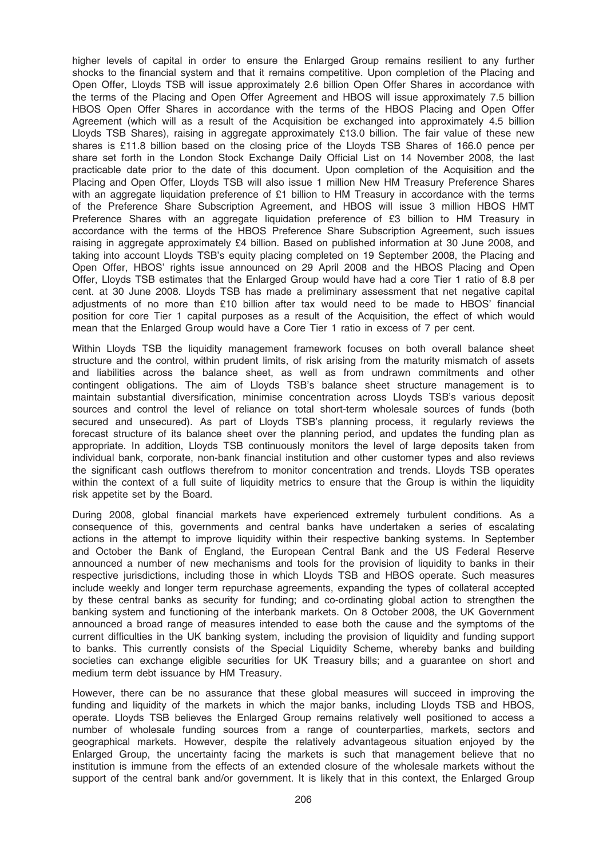higher levels of capital in order to ensure the Enlarged Group remains resilient to any further shocks to the financial system and that it remains competitive. Upon completion of the Placing and Open Offer, Lloyds TSB will issue approximately 2.6 billion Open Offer Shares in accordance with the terms of the Placing and Open Offer Agreement and HBOS will issue approximately 7.5 billion HBOS Open Offer Shares in accordance with the terms of the HBOS Placing and Open Offer Agreement (which will as a result of the Acquisition be exchanged into approximately 4.5 billion Lloyds TSB Shares), raising in aggregate approximately £13.0 billion. The fair value of these new shares is £11.8 billion based on the closing price of the Lloyds TSB Shares of 166.0 pence per share set forth in the London Stock Exchange Daily Official List on 14 November 2008, the last practicable date prior to the date of this document. Upon completion of the Acquisition and the Placing and Open Offer, Lloyds TSB will also issue 1 million New HM Treasury Preference Shares with an aggregate liquidation preference of £1 billion to HM Treasury in accordance with the terms of the Preference Share Subscription Agreement, and HBOS will issue 3 million HBOS HMT Preference Shares with an aggregate liquidation preference of £3 billion to HM Treasury in accordance with the terms of the HBOS Preference Share Subscription Agreement, such issues raising in aggregate approximately £4 billion. Based on published information at 30 June 2008, and taking into account Lloyds TSB's equity placing completed on 19 September 2008, the Placing and Open Offer, HBOS' rights issue announced on 29 April 2008 and the HBOS Placing and Open Offer, Lloyds TSB estimates that the Enlarged Group would have had a core Tier 1 ratio of 8.8 per cent. at 30 June 2008. Lloyds TSB has made a preliminary assessment that net negative capital adjustments of no more than £10 billion after tax would need to be made to HBOS' financial position for core Tier 1 capital purposes as a result of the Acquisition, the effect of which would mean that the Enlarged Group would have a Core Tier 1 ratio in excess of 7 per cent.

Within Lloyds TSB the liquidity management framework focuses on both overall balance sheet structure and the control, within prudent limits, of risk arising from the maturity mismatch of assets and liabilities across the balance sheet, as well as from undrawn commitments and other contingent obligations. The aim of Lloyds TSB's balance sheet structure management is to maintain substantial diversification, minimise concentration across Lloyds TSB's various deposit sources and control the level of reliance on total short-term wholesale sources of funds (both secured and unsecured). As part of Lloyds TSB's planning process, it regularly reviews the forecast structure of its balance sheet over the planning period, and updates the funding plan as appropriate. In addition, Lloyds TSB continuously monitors the level of large deposits taken from individual bank, corporate, non-bank financial institution and other customer types and also reviews the significant cash outflows therefrom to monitor concentration and trends. Lloyds TSB operates within the context of a full suite of liquidity metrics to ensure that the Group is within the liquidity risk appetite set by the Board.

During 2008, global financial markets have experienced extremely turbulent conditions. As a consequence of this, governments and central banks have undertaken a series of escalating actions in the attempt to improve liquidity within their respective banking systems. In September and October the Bank of England, the European Central Bank and the US Federal Reserve announced a number of new mechanisms and tools for the provision of liquidity to banks in their respective jurisdictions, including those in which Lloyds TSB and HBOS operate. Such measures include weekly and longer term repurchase agreements, expanding the types of collateral accepted by these central banks as security for funding; and co-ordinating global action to strengthen the banking system and functioning of the interbank markets. On 8 October 2008, the UK Government announced a broad range of measures intended to ease both the cause and the symptoms of the current difficulties in the UK banking system, including the provision of liquidity and funding support to banks. This currently consists of the Special Liquidity Scheme, whereby banks and building societies can exchange eligible securities for UK Treasury bills; and a guarantee on short and medium term debt issuance by HM Treasury.

However, there can be no assurance that these global measures will succeed in improving the funding and liquidity of the markets in which the major banks, including Lloyds TSB and HBOS, operate. Lloyds TSB believes the Enlarged Group remains relatively well positioned to access a number of wholesale funding sources from a range of counterparties, markets, sectors and geographical markets. However, despite the relatively advantageous situation enjoyed by the Enlarged Group, the uncertainty facing the markets is such that management believe that no institution is immune from the effects of an extended closure of the wholesale markets without the support of the central bank and/or government. It is likely that in this context, the Enlarged Group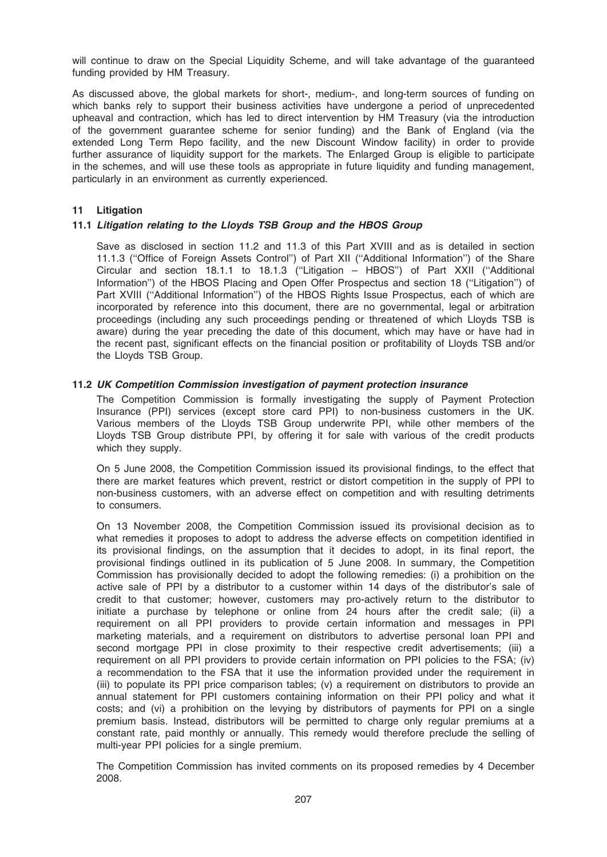will continue to draw on the Special Liquidity Scheme, and will take advantage of the guaranteed funding provided by HM Treasury.

As discussed above, the global markets for short-, medium-, and long-term sources of funding on which banks rely to support their business activities have undergone a period of unprecedented upheaval and contraction, which has led to direct intervention by HM Treasury (via the introduction of the government guarantee scheme for senior funding) and the Bank of England (via the extended Long Term Repo facility, and the new Discount Window facility) in order to provide further assurance of liquidity support for the markets. The Enlarged Group is eligible to participate in the schemes, and will use these tools as appropriate in future liquidity and funding management, particularly in an environment as currently experienced.

## 11 Litigation

## 11.1 Litigation relating to the Lloyds TSB Group and the HBOS Group

Save as disclosed in section 11.2 and 11.3 of this Part XVIII and as is detailed in section 11.1.3 (''Office of Foreign Assets Control'') of Part XII (''Additional Information'') of the Share Circular and section 18.1.1 to 18.1.3 (''Litigation – HBOS'') of Part XXII (''Additional Information'') of the HBOS Placing and Open Offer Prospectus and section 18 (''Litigation'') of Part XVIII ("Additional Information") of the HBOS Rights Issue Prospectus, each of which are incorporated by reference into this document, there are no governmental, legal or arbitration proceedings (including any such proceedings pending or threatened of which Lloyds TSB is aware) during the year preceding the date of this document, which may have or have had in the recent past, significant effects on the financial position or profitability of Lloyds TSB and/or the Lloyds TSB Group.

## 11.2 UK Competition Commission investigation of payment protection insurance

The Competition Commission is formally investigating the supply of Payment Protection Insurance (PPI) services (except store card PPI) to non-business customers in the UK. Various members of the Lloyds TSB Group underwrite PPI, while other members of the Lloyds TSB Group distribute PPI, by offering it for sale with various of the credit products which they supply.

On 5 June 2008, the Competition Commission issued its provisional findings, to the effect that there are market features which prevent, restrict or distort competition in the supply of PPI to non-business customers, with an adverse effect on competition and with resulting detriments to consumers.

On 13 November 2008, the Competition Commission issued its provisional decision as to what remedies it proposes to adopt to address the adverse effects on competition identified in its provisional findings, on the assumption that it decides to adopt, in its final report, the provisional findings outlined in its publication of 5 June 2008. In summary, the Competition Commission has provisionally decided to adopt the following remedies: (i) a prohibition on the active sale of PPI by a distributor to a customer within 14 days of the distributor's sale of credit to that customer; however, customers may pro-actively return to the distributor to initiate a purchase by telephone or online from 24 hours after the credit sale; (ii) a requirement on all PPI providers to provide certain information and messages in PPI marketing materials, and a requirement on distributors to advertise personal loan PPI and second mortgage PPI in close proximity to their respective credit advertisements; (iii) a requirement on all PPI providers to provide certain information on PPI policies to the FSA; (iv) a recommendation to the FSA that it use the information provided under the requirement in (iii) to populate its PPI price comparison tables; (v) a requirement on distributors to provide an annual statement for PPI customers containing information on their PPI policy and what it costs; and (vi) a prohibition on the levying by distributors of payments for PPI on a single premium basis. Instead, distributors will be permitted to charge only regular premiums at a constant rate, paid monthly or annually. This remedy would therefore preclude the selling of multi-year PPI policies for a single premium.

The Competition Commission has invited comments on its proposed remedies by 4 December 2008.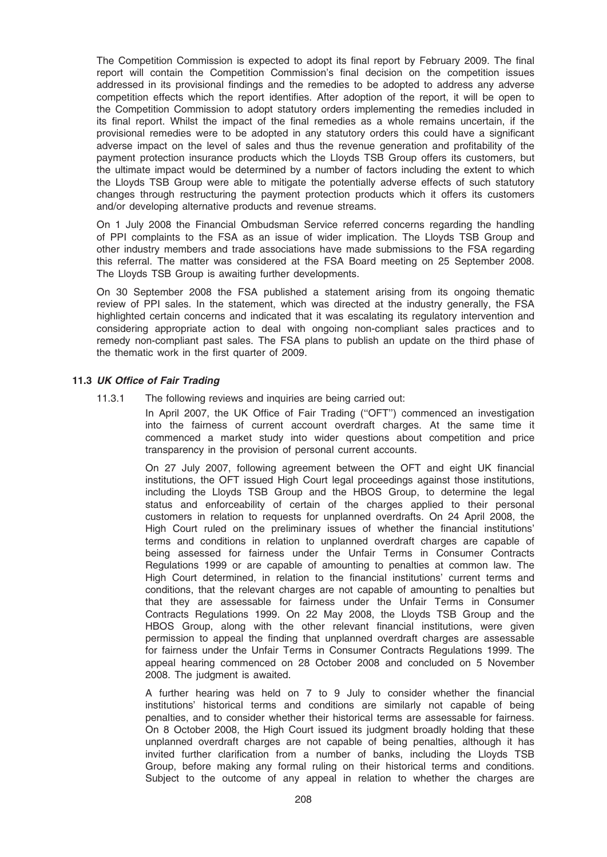The Competition Commission is expected to adopt its final report by February 2009. The final report will contain the Competition Commission's final decision on the competition issues addressed in its provisional findings and the remedies to be adopted to address any adverse competition effects which the report identifies. After adoption of the report, it will be open to the Competition Commission to adopt statutory orders implementing the remedies included in its final report. Whilst the impact of the final remedies as a whole remains uncertain, if the provisional remedies were to be adopted in any statutory orders this could have a significant adverse impact on the level of sales and thus the revenue generation and profitability of the payment protection insurance products which the Lloyds TSB Group offers its customers, but the ultimate impact would be determined by a number of factors including the extent to which the Lloyds TSB Group were able to mitigate the potentially adverse effects of such statutory changes through restructuring the payment protection products which it offers its customers and/or developing alternative products and revenue streams.

On 1 July 2008 the Financial Ombudsman Service referred concerns regarding the handling of PPI complaints to the FSA as an issue of wider implication. The Lloyds TSB Group and other industry members and trade associations have made submissions to the FSA regarding this referral. The matter was considered at the FSA Board meeting on 25 September 2008. The Lloyds TSB Group is awaiting further developments.

On 30 September 2008 the FSA published a statement arising from its ongoing thematic review of PPI sales. In the statement, which was directed at the industry generally, the FSA highlighted certain concerns and indicated that it was escalating its regulatory intervention and considering appropriate action to deal with ongoing non-compliant sales practices and to remedy non-compliant past sales. The FSA plans to publish an update on the third phase of the thematic work in the first quarter of 2009.

### 11.3 UK Office of Fair Trading

11.3.1 The following reviews and inquiries are being carried out:

In April 2007, the UK Office of Fair Trading (''OFT'') commenced an investigation into the fairness of current account overdraft charges. At the same time it commenced a market study into wider questions about competition and price transparency in the provision of personal current accounts.

On 27 July 2007, following agreement between the OFT and eight UK financial institutions, the OFT issued High Court legal proceedings against those institutions, including the Lloyds TSB Group and the HBOS Group, to determine the legal status and enforceability of certain of the charges applied to their personal customers in relation to requests for unplanned overdrafts. On 24 April 2008, the High Court ruled on the preliminary issues of whether the financial institutions' terms and conditions in relation to unplanned overdraft charges are capable of being assessed for fairness under the Unfair Terms in Consumer Contracts Regulations 1999 or are capable of amounting to penalties at common law. The High Court determined, in relation to the financial institutions' current terms and conditions, that the relevant charges are not capable of amounting to penalties but that they are assessable for fairness under the Unfair Terms in Consumer Contracts Regulations 1999. On 22 May 2008, the Lloyds TSB Group and the HBOS Group, along with the other relevant financial institutions, were given permission to appeal the finding that unplanned overdraft charges are assessable for fairness under the Unfair Terms in Consumer Contracts Regulations 1999. The appeal hearing commenced on 28 October 2008 and concluded on 5 November 2008. The judgment is awaited.

A further hearing was held on 7 to 9 July to consider whether the financial institutions' historical terms and conditions are similarly not capable of being penalties, and to consider whether their historical terms are assessable for fairness. On 8 October 2008, the High Court issued its judgment broadly holding that these unplanned overdraft charges are not capable of being penalties, although it has invited further clarification from a number of banks, including the Lloyds TSB Group, before making any formal ruling on their historical terms and conditions. Subject to the outcome of any appeal in relation to whether the charges are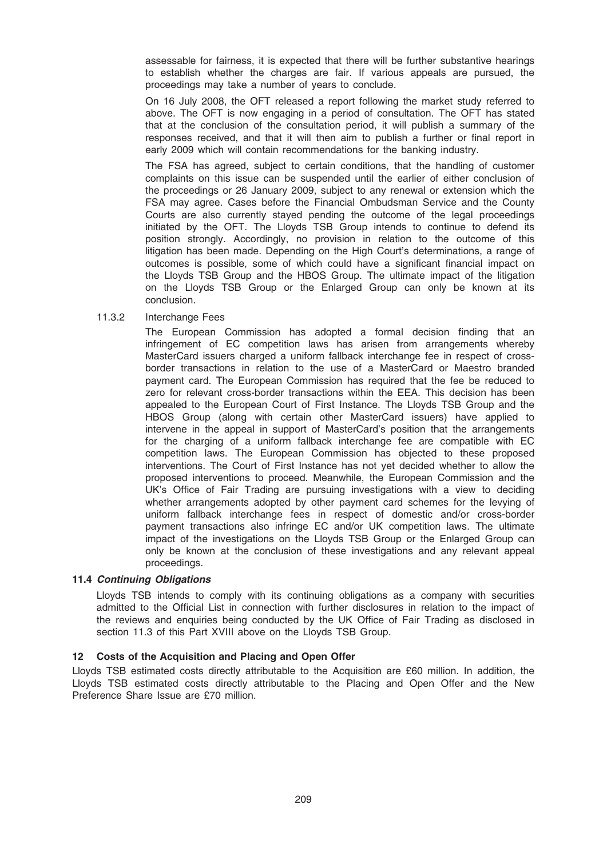assessable for fairness, it is expected that there will be further substantive hearings to establish whether the charges are fair. If various appeals are pursued, the proceedings may take a number of years to conclude.

On 16 July 2008, the OFT released a report following the market study referred to above. The OFT is now engaging in a period of consultation. The OFT has stated that at the conclusion of the consultation period, it will publish a summary of the responses received, and that it will then aim to publish a further or final report in early 2009 which will contain recommendations for the banking industry.

The FSA has agreed, subject to certain conditions, that the handling of customer complaints on this issue can be suspended until the earlier of either conclusion of the proceedings or 26 January 2009, subject to any renewal or extension which the FSA may agree. Cases before the Financial Ombudsman Service and the County Courts are also currently stayed pending the outcome of the legal proceedings initiated by the OFT. The Lloyds TSB Group intends to continue to defend its position strongly. Accordingly, no provision in relation to the outcome of this litigation has been made. Depending on the High Court's determinations, a range of outcomes is possible, some of which could have a significant financial impact on the Lloyds TSB Group and the HBOS Group. The ultimate impact of the litigation on the Lloyds TSB Group or the Enlarged Group can only be known at its conclusion.

## 11.3.2 Interchange Fees

The European Commission has adopted a formal decision finding that an infringement of EC competition laws has arisen from arrangements whereby MasterCard issuers charged a uniform fallback interchange fee in respect of crossborder transactions in relation to the use of a MasterCard or Maestro branded payment card. The European Commission has required that the fee be reduced to zero for relevant cross-border transactions within the EEA. This decision has been appealed to the European Court of First Instance. The Lloyds TSB Group and the HBOS Group (along with certain other MasterCard issuers) have applied to intervene in the appeal in support of MasterCard's position that the arrangements for the charging of a uniform fallback interchange fee are compatible with EC competition laws. The European Commission has objected to these proposed interventions. The Court of First Instance has not yet decided whether to allow the proposed interventions to proceed. Meanwhile, the European Commission and the UK's Office of Fair Trading are pursuing investigations with a view to deciding whether arrangements adopted by other payment card schemes for the levying of uniform fallback interchange fees in respect of domestic and/or cross-border payment transactions also infringe EC and/or UK competition laws. The ultimate impact of the investigations on the Lloyds TSB Group or the Enlarged Group can only be known at the conclusion of these investigations and any relevant appeal proceedings.

## 11.4 Continuing Obligations

Lloyds TSB intends to comply with its continuing obligations as a company with securities admitted to the Official List in connection with further disclosures in relation to the impact of the reviews and enquiries being conducted by the UK Office of Fair Trading as disclosed in section 11.3 of this Part XVIII above on the Lloyds TSB Group.

## 12 Costs of the Acquisition and Placing and Open Offer

Lloyds TSB estimated costs directly attributable to the Acquisition are £60 million. In addition, the Lloyds TSB estimated costs directly attributable to the Placing and Open Offer and the New Preference Share Issue are £70 million.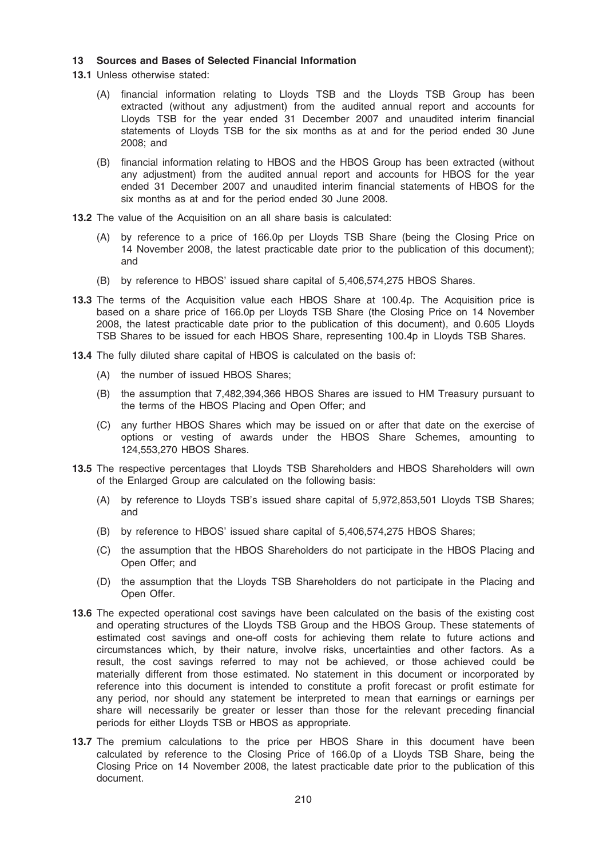### 13 Sources and Bases of Selected Financial Information

- 13.1 Unless otherwise stated:
	- (A) financial information relating to Lloyds TSB and the Lloyds TSB Group has been extracted (without any adjustment) from the audited annual report and accounts for Lloyds TSB for the year ended 31 December 2007 and unaudited interim financial statements of Lloyds TSB for the six months as at and for the period ended 30 June 2008; and
	- (B) financial information relating to HBOS and the HBOS Group has been extracted (without any adjustment) from the audited annual report and accounts for HBOS for the year ended 31 December 2007 and unaudited interim financial statements of HBOS for the six months as at and for the period ended 30 June 2008.
- 13.2 The value of the Acquisition on an all share basis is calculated:
	- (A) by reference to a price of 166.0p per Lloyds TSB Share (being the Closing Price on 14 November 2008, the latest practicable date prior to the publication of this document); and
	- (B) by reference to HBOS' issued share capital of 5,406,574,275 HBOS Shares.
- 13.3 The terms of the Acquisition value each HBOS Share at 100.4p. The Acquisition price is based on a share price of 166.0p per Lloyds TSB Share (the Closing Price on 14 November 2008, the latest practicable date prior to the publication of this document), and 0.605 Lloyds TSB Shares to be issued for each HBOS Share, representing 100.4p in Lloyds TSB Shares.
- 13.4 The fully diluted share capital of HBOS is calculated on the basis of:
	- (A) the number of issued HBOS Shares;
	- (B) the assumption that 7,482,394,366 HBOS Shares are issued to HM Treasury pursuant to the terms of the HBOS Placing and Open Offer; and
	- (C) any further HBOS Shares which may be issued on or after that date on the exercise of options or vesting of awards under the HBOS Share Schemes, amounting to 124,553,270 HBOS Shares.
- 13.5 The respective percentages that Lloyds TSB Shareholders and HBOS Shareholders will own of the Enlarged Group are calculated on the following basis:
	- (A) by reference to Lloyds TSB's issued share capital of 5,972,853,501 Lloyds TSB Shares; and
	- (B) by reference to HBOS' issued share capital of 5,406,574,275 HBOS Shares;
	- (C) the assumption that the HBOS Shareholders do not participate in the HBOS Placing and Open Offer; and
	- (D) the assumption that the Lloyds TSB Shareholders do not participate in the Placing and Open Offer.
- 13.6 The expected operational cost savings have been calculated on the basis of the existing cost and operating structures of the Lloyds TSB Group and the HBOS Group. These statements of estimated cost savings and one-off costs for achieving them relate to future actions and circumstances which, by their nature, involve risks, uncertainties and other factors. As a result, the cost savings referred to may not be achieved, or those achieved could be materially different from those estimated. No statement in this document or incorporated by reference into this document is intended to constitute a profit forecast or profit estimate for any period, nor should any statement be interpreted to mean that earnings or earnings per share will necessarily be greater or lesser than those for the relevant preceding financial periods for either Lloyds TSB or HBOS as appropriate.
- 13.7 The premium calculations to the price per HBOS Share in this document have been calculated by reference to the Closing Price of 166.0p of a Lloyds TSB Share, being the Closing Price on 14 November 2008, the latest practicable date prior to the publication of this document.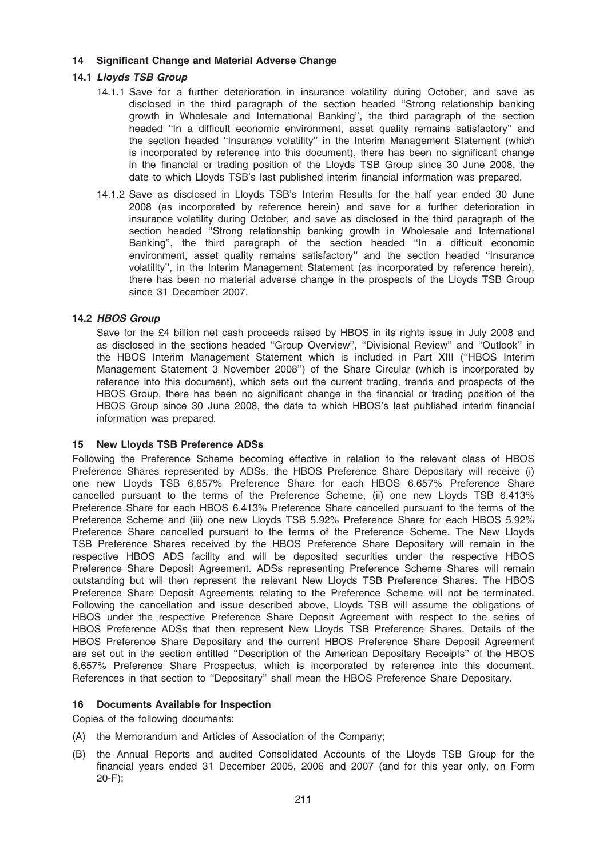## 14 Significant Change and Material Adverse Change

## 14.1 Lloyds TSB Group

- 14.1.1 Save for a further deterioration in insurance volatility during October, and save as disclosed in the third paragraph of the section headed ''Strong relationship banking growth in Wholesale and International Banking'', the third paragraph of the section headed "In a difficult economic environment, asset quality remains satisfactory" and the section headed ''Insurance volatility'' in the Interim Management Statement (which is incorporated by reference into this document), there has been no significant change in the financial or trading position of the Lloyds TSB Group since 30 June 2008, the date to which Lloyds TSB's last published interim financial information was prepared.
- 14.1.2 Save as disclosed in Lloyds TSB's Interim Results for the half year ended 30 June 2008 (as incorporated by reference herein) and save for a further deterioration in insurance volatility during October, and save as disclosed in the third paragraph of the section headed ''Strong relationship banking growth in Wholesale and International Banking'', the third paragraph of the section headed ''In a difficult economic environment, asset quality remains satisfactory'' and the section headed ''Insurance volatility'', in the Interim Management Statement (as incorporated by reference herein), there has been no material adverse change in the prospects of the Lloyds TSB Group since 31 December 2007.

## 14.2 HBOS Group

Save for the £4 billion net cash proceeds raised by HBOS in its rights issue in July 2008 and as disclosed in the sections headed ''Group Overview'', ''Divisional Review'' and ''Outlook'' in the HBOS Interim Management Statement which is included in Part XIII (''HBOS Interim Management Statement 3 November 2008'') of the Share Circular (which is incorporated by reference into this document), which sets out the current trading, trends and prospects of the HBOS Group, there has been no significant change in the financial or trading position of the HBOS Group since 30 June 2008, the date to which HBOS's last published interim financial information was prepared.

## 15 New Lloyds TSB Preference ADSs

Following the Preference Scheme becoming effective in relation to the relevant class of HBOS Preference Shares represented by ADSs, the HBOS Preference Share Depositary will receive (i) one new Lloyds TSB 6.657% Preference Share for each HBOS 6.657% Preference Share cancelled pursuant to the terms of the Preference Scheme, (ii) one new Lloyds TSB 6.413% Preference Share for each HBOS 6.413% Preference Share cancelled pursuant to the terms of the Preference Scheme and (iii) one new Lloyds TSB 5.92% Preference Share for each HBOS 5.92% Preference Share cancelled pursuant to the terms of the Preference Scheme. The New Lloyds TSB Preference Shares received by the HBOS Preference Share Depositary will remain in the respective HBOS ADS facility and will be deposited securities under the respective HBOS Preference Share Deposit Agreement. ADSs representing Preference Scheme Shares will remain outstanding but will then represent the relevant New Lloyds TSB Preference Shares. The HBOS Preference Share Deposit Agreements relating to the Preference Scheme will not be terminated. Following the cancellation and issue described above, Lloyds TSB will assume the obligations of HBOS under the respective Preference Share Deposit Agreement with respect to the series of HBOS Preference ADSs that then represent New Lloyds TSB Preference Shares. Details of the HBOS Preference Share Depositary and the current HBOS Preference Share Deposit Agreement are set out in the section entitled ''Description of the American Depositary Receipts'' of the HBOS 6.657% Preference Share Prospectus, which is incorporated by reference into this document. References in that section to ''Depositary'' shall mean the HBOS Preference Share Depositary.

## 16 Documents Available for Inspection

Copies of the following documents:

- (A) the Memorandum and Articles of Association of the Company;
- (B) the Annual Reports and audited Consolidated Accounts of the Lloyds TSB Group for the financial years ended 31 December 2005, 2006 and 2007 (and for this year only, on Form 20-F);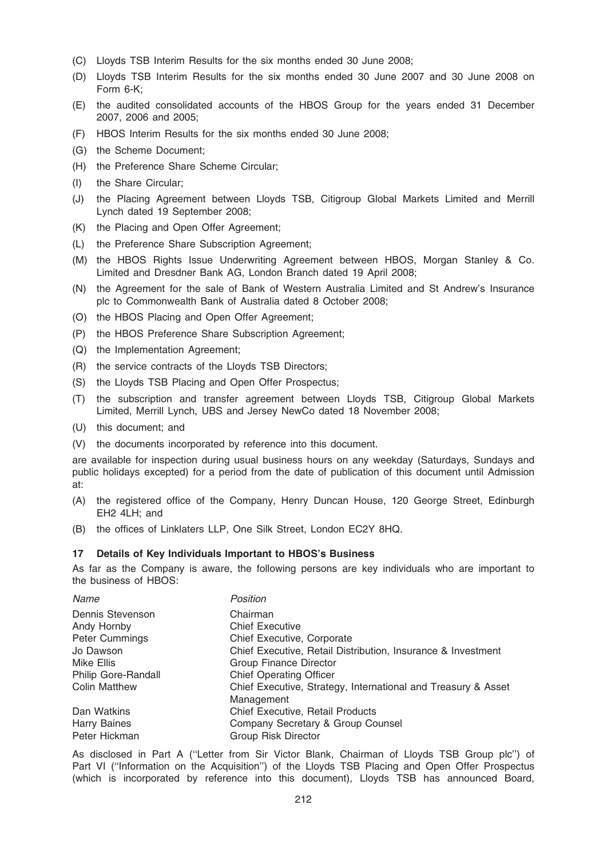- (C) Lloyds TSB Interim Results for the six months ended 30 June 2008;
- (D) Lloyds TSB Interim Results for the six months ended 30 June 2007 and 30 June 2008 on Form 6-K;
- (E) the audited consolidated accounts of the HBOS Group for the years ended 31 December 2007, 2006 and 2005;
- (F) HBOS Interim Results for the six months ended 30 June 2008;
- (G) the Scheme Document;
- (H) the Preference Share Scheme Circular;
- (I) the Share Circular;
- (J) the Placing Agreement between Lloyds TSB, Citigroup Global Markets Limited and Merrill Lynch dated 19 September 2008;
- (K) the Placing and Open Offer Agreement;
- (L) the Preference Share Subscription Agreement;
- (M) the HBOS Rights Issue Underwriting Agreement between HBOS, Morgan Stanley & Co. Limited and Dresdner Bank AG, London Branch dated 19 April 2008;
- (N) the Agreement for the sale of Bank of Western Australia Limited and St Andrew's Insurance plc to Commonwealth Bank of Australia dated 8 October 2008;
- (O) the HBOS Placing and Open Offer Agreement;
- (P) the HBOS Preference Share Subscription Agreement;
- (Q) the Implementation Agreement;
- (R) the service contracts of the Lloyds TSB Directors;
- (S) the Lloyds TSB Placing and Open Offer Prospectus;
- (T) the subscription and transfer agreement between Lloyds TSB, Citigroup Global Markets Limited, Merrill Lynch, UBS and Jersey NewCo dated 18 November 2008;
- (U) this document; and
- (V) the documents incorporated by reference into this document.

are available for inspection during usual business hours on any weekday (Saturdays, Sundays and public holidays excepted) for a period from the date of publication of this document until Admission at:

- (A) the registered office of the Company, Henry Duncan House, 120 George Street, Edinburgh EH2 4LH; and
- (B) the offices of Linklaters LLP, One Silk Street, London EC2Y 8HQ.

#### 17 Details of Key Individuals Important to HBOS's Business

As far as the Company is aware, the following persons are key individuals who are important to the business of HBOS:

| Name                  | Position                                                      |
|-----------------------|---------------------------------------------------------------|
| Dennis Stevenson      | Chairman                                                      |
| Andy Hornby           | <b>Chief Executive</b>                                        |
| <b>Peter Cummings</b> | Chief Executive, Corporate                                    |
| Jo Dawson             | Chief Executive, Retail Distribution, Insurance & Investment  |
| Mike Ellis            | Group Finance Director                                        |
| Philip Gore-Randall   | <b>Chief Operating Officer</b>                                |
| <b>Colin Matthew</b>  | Chief Executive, Strategy, International and Treasury & Asset |
|                       | Management                                                    |
| Dan Watkins           | <b>Chief Executive, Retail Products</b>                       |
| <b>Harry Baines</b>   | Company Secretary & Group Counsel                             |
| Peter Hickman         | <b>Group Risk Director</b>                                    |

As disclosed in Part A (''Letter from Sir Victor Blank, Chairman of Lloyds TSB Group plc'') of Part VI (''Information on the Acquisition'') of the Lloyds TSB Placing and Open Offer Prospectus (which is incorporated by reference into this document), Lloyds TSB has announced Board,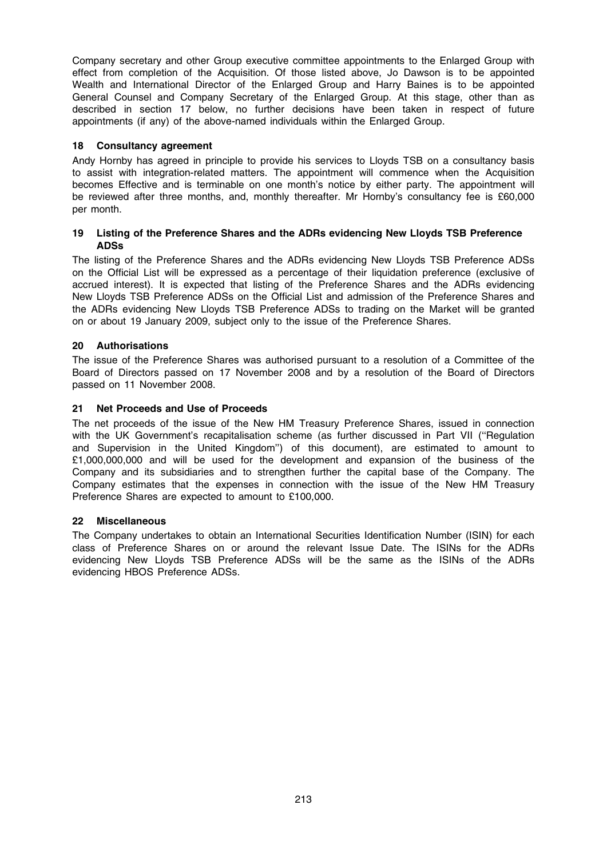Company secretary and other Group executive committee appointments to the Enlarged Group with effect from completion of the Acquisition. Of those listed above, Jo Dawson is to be appointed Wealth and International Director of the Enlarged Group and Harry Baines is to be appointed General Counsel and Company Secretary of the Enlarged Group. At this stage, other than as described in section 17 below, no further decisions have been taken in respect of future appointments (if any) of the above-named individuals within the Enlarged Group.

## 18 Consultancy agreement

Andy Hornby has agreed in principle to provide his services to Lloyds TSB on a consultancy basis to assist with integration-related matters. The appointment will commence when the Acquisition becomes Effective and is terminable on one month's notice by either party. The appointment will be reviewed after three months, and, monthly thereafter. Mr Hornby's consultancy fee is £60,000 per month.

## 19 Listing of the Preference Shares and the ADRs evidencing New Lloyds TSB Preference ADSs

The listing of the Preference Shares and the ADRs evidencing New Lloyds TSB Preference ADSs on the Official List will be expressed as a percentage of their liquidation preference (exclusive of accrued interest). It is expected that listing of the Preference Shares and the ADRs evidencing New Lloyds TSB Preference ADSs on the Official List and admission of the Preference Shares and the ADRs evidencing New Lloyds TSB Preference ADSs to trading on the Market will be granted on or about 19 January 2009, subject only to the issue of the Preference Shares.

## 20 Authorisations

The issue of the Preference Shares was authorised pursuant to a resolution of a Committee of the Board of Directors passed on 17 November 2008 and by a resolution of the Board of Directors passed on 11 November 2008.

## 21 Net Proceeds and Use of Proceeds

The net proceeds of the issue of the New HM Treasury Preference Shares, issued in connection with the UK Government's recapitalisation scheme (as further discussed in Part VII ("Regulation and Supervision in the United Kingdom'') of this document), are estimated to amount to £1,000,000,000 and will be used for the development and expansion of the business of the Company and its subsidiaries and to strengthen further the capital base of the Company. The Company estimates that the expenses in connection with the issue of the New HM Treasury Preference Shares are expected to amount to £100,000.

## 22 Miscellaneous

The Company undertakes to obtain an International Securities Identification Number (ISIN) for each class of Preference Shares on or around the relevant Issue Date. The ISINs for the ADRs evidencing New Lloyds TSB Preference ADSs will be the same as the ISINs of the ADRs evidencing HBOS Preference ADSs.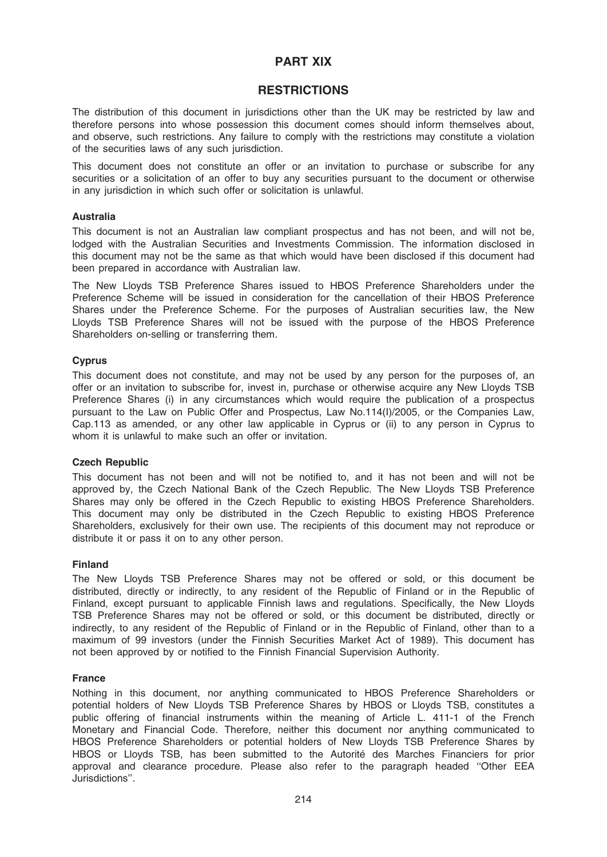# PART XIX

# **RESTRICTIONS**

The distribution of this document in jurisdictions other than the UK may be restricted by law and therefore persons into whose possession this document comes should inform themselves about, and observe, such restrictions. Any failure to comply with the restrictions may constitute a violation of the securities laws of any such jurisdiction.

This document does not constitute an offer or an invitation to purchase or subscribe for any securities or a solicitation of an offer to buy any securities pursuant to the document or otherwise in any jurisdiction in which such offer or solicitation is unlawful.

### Australia

This document is not an Australian law compliant prospectus and has not been, and will not be, lodged with the Australian Securities and Investments Commission. The information disclosed in this document may not be the same as that which would have been disclosed if this document had been prepared in accordance with Australian law.

The New Lloyds TSB Preference Shares issued to HBOS Preference Shareholders under the Preference Scheme will be issued in consideration for the cancellation of their HBOS Preference Shares under the Preference Scheme. For the purposes of Australian securities law, the New Lloyds TSB Preference Shares will not be issued with the purpose of the HBOS Preference Shareholders on-selling or transferring them.

## **Cyprus**

This document does not constitute, and may not be used by any person for the purposes of, an offer or an invitation to subscribe for, invest in, purchase or otherwise acquire any New Lloyds TSB Preference Shares (i) in any circumstances which would require the publication of a prospectus pursuant to the Law on Public Offer and Prospectus, Law No.114(I)/2005, or the Companies Law, Cap.113 as amended, or any other law applicable in Cyprus or (ii) to any person in Cyprus to whom it is unlawful to make such an offer or invitation.

### Czech Republic

This document has not been and will not be notified to, and it has not been and will not be approved by, the Czech National Bank of the Czech Republic. The New Lloyds TSB Preference Shares may only be offered in the Czech Republic to existing HBOS Preference Shareholders. This document may only be distributed in the Czech Republic to existing HBOS Preference Shareholders, exclusively for their own use. The recipients of this document may not reproduce or distribute it or pass it on to any other person.

### Finland

The New Lloyds TSB Preference Shares may not be offered or sold, or this document be distributed, directly or indirectly, to any resident of the Republic of Finland or in the Republic of Finland, except pursuant to applicable Finnish laws and regulations. Specifically, the New Lloyds TSB Preference Shares may not be offered or sold, or this document be distributed, directly or indirectly, to any resident of the Republic of Finland or in the Republic of Finland, other than to a maximum of 99 investors (under the Finnish Securities Market Act of 1989). This document has not been approved by or notified to the Finnish Financial Supervision Authority.

### **France**

Nothing in this document, nor anything communicated to HBOS Preference Shareholders or potential holders of New Lloyds TSB Preference Shares by HBOS or Lloyds TSB, constitutes a public offering of financial instruments within the meaning of Article L. 411-1 of the French Monetary and Financial Code. Therefore, neither this document nor anything communicated to HBOS Preference Shareholders or potential holders of New Lloyds TSB Preference Shares by HBOS or Lloyds TSB, has been submitted to the Autorité des Marches Financiers for prior approval and clearance procedure. Please also refer to the paragraph headed ''Other EEA Jurisdictions''.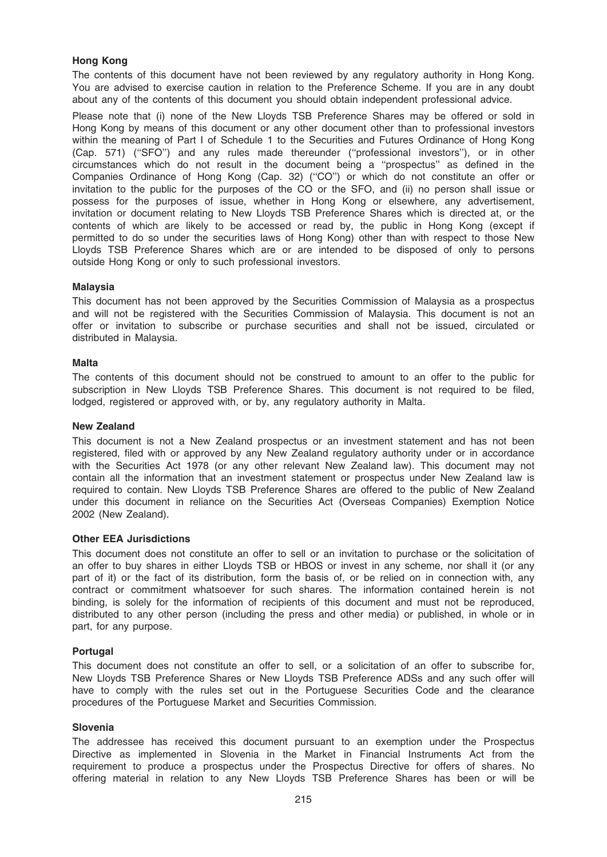## Hong Kong

The contents of this document have not been reviewed by any regulatory authority in Hong Kong. You are advised to exercise caution in relation to the Preference Scheme. If you are in any doubt about any of the contents of this document you should obtain independent professional advice.

Please note that (i) none of the New Lloyds TSB Preference Shares may be offered or sold in Hong Kong by means of this document or any other document other than to professional investors within the meaning of Part I of Schedule 1 to the Securities and Futures Ordinance of Hong Kong (Cap. 571) (''SFO'') and any rules made thereunder (''professional investors''), or in other circumstances which do not result in the document being a ''prospectus'' as defined in the Companies Ordinance of Hong Kong (Cap. 32) (''CO'') or which do not constitute an offer or invitation to the public for the purposes of the CO or the SFO, and (ii) no person shall issue or possess for the purposes of issue, whether in Hong Kong or elsewhere, any advertisement, invitation or document relating to New Lloyds TSB Preference Shares which is directed at, or the contents of which are likely to be accessed or read by, the public in Hong Kong (except if permitted to do so under the securities laws of Hong Kong) other than with respect to those New Lloyds TSB Preference Shares which are or are intended to be disposed of only to persons outside Hong Kong or only to such professional investors.

## Malaysia

This document has not been approved by the Securities Commission of Malaysia as a prospectus and will not be registered with the Securities Commission of Malaysia. This document is not an offer or invitation to subscribe or purchase securities and shall not be issued, circulated or distributed in Malaysia.

## **Malta**

The contents of this document should not be construed to amount to an offer to the public for subscription in New Lloyds TSB Preference Shares. This document is not required to be filed, lodged, registered or approved with, or by, any regulatory authority in Malta.

### New Zealand

This document is not a New Zealand prospectus or an investment statement and has not been registered, filed with or approved by any New Zealand regulatory authority under or in accordance with the Securities Act 1978 (or any other relevant New Zealand law). This document may not contain all the information that an investment statement or prospectus under New Zealand law is required to contain. New Lloyds TSB Preference Shares are offered to the public of New Zealand under this document in reliance on the Securities Act (Overseas Companies) Exemption Notice 2002 (New Zealand).

### Other EEA Jurisdictions

This document does not constitute an offer to sell or an invitation to purchase or the solicitation of an offer to buy shares in either Lloyds TSB or HBOS or invest in any scheme, nor shall it (or any part of it) or the fact of its distribution, form the basis of, or be relied on in connection with, any contract or commitment whatsoever for such shares. The information contained herein is not binding, is solely for the information of recipients of this document and must not be reproduced, distributed to any other person (including the press and other media) or published, in whole or in part, for any purpose.

### Portugal

This document does not constitute an offer to sell, or a solicitation of an offer to subscribe for, New Lloyds TSB Preference Shares or New Lloyds TSB Preference ADSs and any such offer will have to comply with the rules set out in the Portuguese Securities Code and the clearance procedures of the Portuguese Market and Securities Commission.

### Slovenia

The addressee has received this document pursuant to an exemption under the Prospectus Directive as implemented in Slovenia in the Market in Financial Instruments Act from the requirement to produce a prospectus under the Prospectus Directive for offers of shares. No offering material in relation to any New Lloyds TSB Preference Shares has been or will be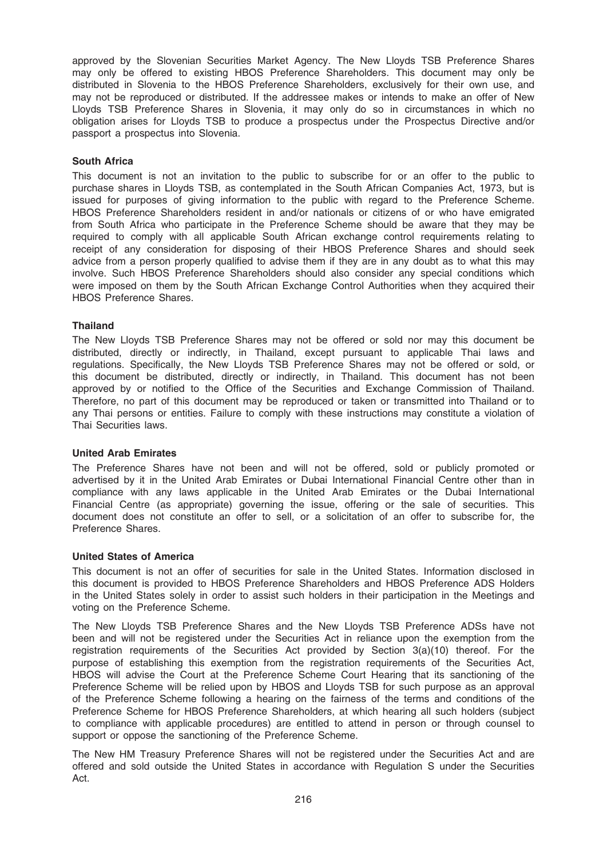approved by the Slovenian Securities Market Agency. The New Lloyds TSB Preference Shares may only be offered to existing HBOS Preference Shareholders. This document may only be distributed in Slovenia to the HBOS Preference Shareholders, exclusively for their own use, and may not be reproduced or distributed. If the addressee makes or intends to make an offer of New Lloyds TSB Preference Shares in Slovenia, it may only do so in circumstances in which no obligation arises for Lloyds TSB to produce a prospectus under the Prospectus Directive and/or passport a prospectus into Slovenia.

## South Africa

This document is not an invitation to the public to subscribe for or an offer to the public to purchase shares in Lloyds TSB, as contemplated in the South African Companies Act, 1973, but is issued for purposes of giving information to the public with regard to the Preference Scheme. HBOS Preference Shareholders resident in and/or nationals or citizens of or who have emigrated from South Africa who participate in the Preference Scheme should be aware that they may be required to comply with all applicable South African exchange control requirements relating to receipt of any consideration for disposing of their HBOS Preference Shares and should seek advice from a person properly qualified to advise them if they are in any doubt as to what this may involve. Such HBOS Preference Shareholders should also consider any special conditions which were imposed on them by the South African Exchange Control Authorities when they acquired their HBOS Preference Shares.

## Thailand

The New Lloyds TSB Preference Shares may not be offered or sold nor may this document be distributed, directly or indirectly, in Thailand, except pursuant to applicable Thai laws and regulations. Specifically, the New Lloyds TSB Preference Shares may not be offered or sold, or this document be distributed, directly or indirectly, in Thailand. This document has not been approved by or notified to the Office of the Securities and Exchange Commission of Thailand. Therefore, no part of this document may be reproduced or taken or transmitted into Thailand or to any Thai persons or entities. Failure to comply with these instructions may constitute a violation of Thai Securities laws.

### United Arab Emirates

The Preference Shares have not been and will not be offered, sold or publicly promoted or advertised by it in the United Arab Emirates or Dubai International Financial Centre other than in compliance with any laws applicable in the United Arab Emirates or the Dubai International Financial Centre (as appropriate) governing the issue, offering or the sale of securities. This document does not constitute an offer to sell, or a solicitation of an offer to subscribe for, the Preference Shares.

### United States of America

This document is not an offer of securities for sale in the United States. Information disclosed in this document is provided to HBOS Preference Shareholders and HBOS Preference ADS Holders in the United States solely in order to assist such holders in their participation in the Meetings and voting on the Preference Scheme.

The New Lloyds TSB Preference Shares and the New Lloyds TSB Preference ADSs have not been and will not be registered under the Securities Act in reliance upon the exemption from the registration requirements of the Securities Act provided by Section 3(a)(10) thereof. For the purpose of establishing this exemption from the registration requirements of the Securities Act, HBOS will advise the Court at the Preference Scheme Court Hearing that its sanctioning of the Preference Scheme will be relied upon by HBOS and Lloyds TSB for such purpose as an approval of the Preference Scheme following a hearing on the fairness of the terms and conditions of the Preference Scheme for HBOS Preference Shareholders, at which hearing all such holders (subject to compliance with applicable procedures) are entitled to attend in person or through counsel to support or oppose the sanctioning of the Preference Scheme.

The New HM Treasury Preference Shares will not be registered under the Securities Act and are offered and sold outside the United States in accordance with Regulation S under the Securities Act.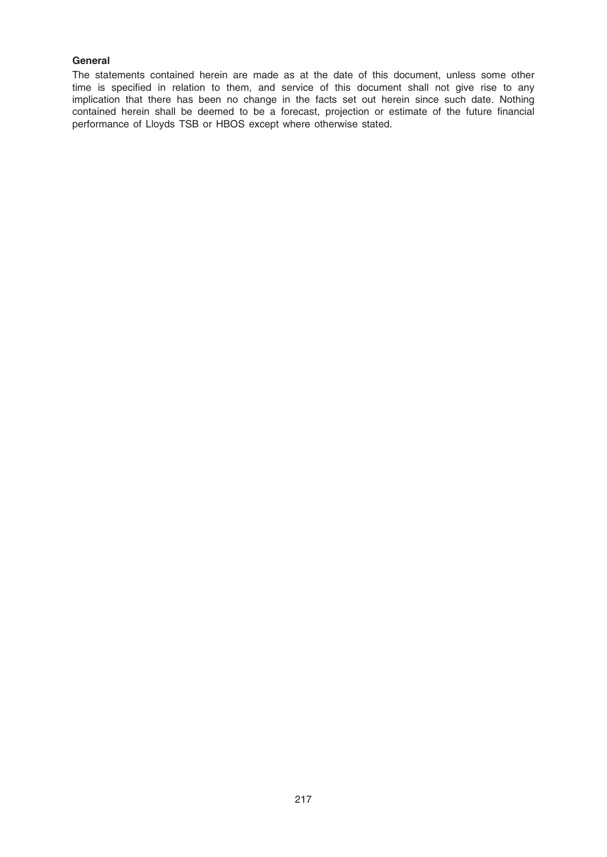## General

The statements contained herein are made as at the date of this document, unless some other time is specified in relation to them, and service of this document shall not give rise to any implication that there has been no change in the facts set out herein since such date. Nothing contained herein shall be deemed to be a forecast, projection or estimate of the future financial performance of Lloyds TSB or HBOS except where otherwise stated.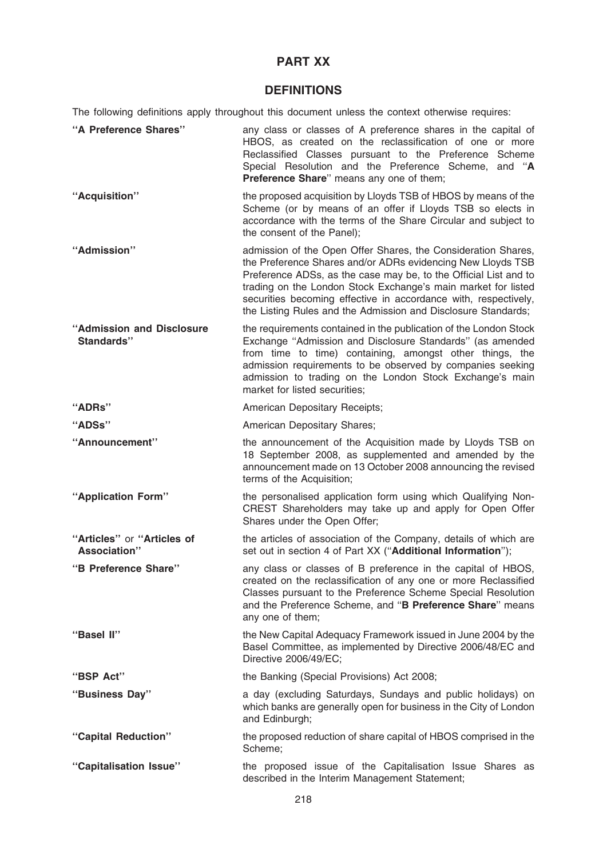# PART XX

## **DEFINITIONS**

The following definitions apply throughout this document unless the context otherwise requires:

| "A Preference Shares"                      | any class or classes of A preference shares in the capital of<br>HBOS, as created on the reclassification of one or more<br>Reclassified Classes pursuant to the Preference Scheme<br>Special Resolution and the Preference Scheme, and "A<br>Preference Share" means any one of them;                                                                                                                |
|--------------------------------------------|-------------------------------------------------------------------------------------------------------------------------------------------------------------------------------------------------------------------------------------------------------------------------------------------------------------------------------------------------------------------------------------------------------|
| "Acquisition"                              | the proposed acquisition by Lloyds TSB of HBOS by means of the<br>Scheme (or by means of an offer if Lloyds TSB so elects in<br>accordance with the terms of the Share Circular and subject to<br>the consent of the Panel);                                                                                                                                                                          |
| "Admission"                                | admission of the Open Offer Shares, the Consideration Shares,<br>the Preference Shares and/or ADRs evidencing New Lloyds TSB<br>Preference ADSs, as the case may be, to the Official List and to<br>trading on the London Stock Exchange's main market for listed<br>securities becoming effective in accordance with, respectively,<br>the Listing Rules and the Admission and Disclosure Standards; |
| "Admission and Disclosure<br>Standards"    | the requirements contained in the publication of the London Stock<br>Exchange "Admission and Disclosure Standards" (as amended<br>from time to time) containing, amongst other things, the<br>admission requirements to be observed by companies seeking<br>admission to trading on the London Stock Exchange's main<br>market for listed securities;                                                 |
| "ADRs"                                     | American Depositary Receipts;                                                                                                                                                                                                                                                                                                                                                                         |
| "ADSs"                                     | American Depositary Shares;                                                                                                                                                                                                                                                                                                                                                                           |
| "Announcement"                             | the announcement of the Acquisition made by Lloyds TSB on<br>18 September 2008, as supplemented and amended by the<br>announcement made on 13 October 2008 announcing the revised<br>terms of the Acquisition;                                                                                                                                                                                        |
| "Application Form"                         | the personalised application form using which Qualifying Non-<br>CREST Shareholders may take up and apply for Open Offer<br>Shares under the Open Offer;                                                                                                                                                                                                                                              |
| "Articles" or "Articles of<br>Association" | the articles of association of the Company, details of which are<br>set out in section 4 of Part XX ("Additional Information");                                                                                                                                                                                                                                                                       |
| "B Preference Share"                       | any class or classes of B preference in the capital of HBOS,<br>created on the reclassification of any one or more Reclassified<br>Classes pursuant to the Preference Scheme Special Resolution<br>and the Preference Scheme, and "B Preference Share" means<br>any one of them;                                                                                                                      |
| "Basel II"                                 | the New Capital Adequacy Framework issued in June 2004 by the<br>Basel Committee, as implemented by Directive 2006/48/EC and<br>Directive 2006/49/EC;                                                                                                                                                                                                                                                 |
| "BSP Act"                                  | the Banking (Special Provisions) Act 2008;                                                                                                                                                                                                                                                                                                                                                            |
| "Business Day"                             | a day (excluding Saturdays, Sundays and public holidays) on<br>which banks are generally open for business in the City of London<br>and Edinburgh;                                                                                                                                                                                                                                                    |
| "Capital Reduction"                        | the proposed reduction of share capital of HBOS comprised in the<br>Scheme;                                                                                                                                                                                                                                                                                                                           |
| "Capitalisation Issue"                     | the proposed issue of the Capitalisation Issue Shares as<br>described in the Interim Management Statement;                                                                                                                                                                                                                                                                                            |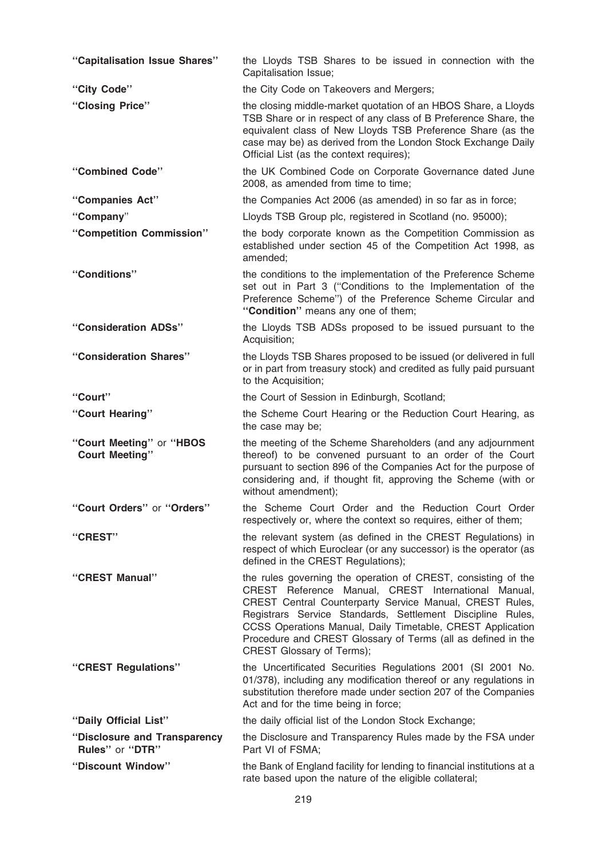| "Capitalisation Issue Shares"                     | the Lloyds TSB Shares to be issued in connection with the<br>Capitalisation Issue;                                                                                                                                                                                                                                                                                                                       |
|---------------------------------------------------|----------------------------------------------------------------------------------------------------------------------------------------------------------------------------------------------------------------------------------------------------------------------------------------------------------------------------------------------------------------------------------------------------------|
| "City Code"                                       | the City Code on Takeovers and Mergers;                                                                                                                                                                                                                                                                                                                                                                  |
| "Closing Price"                                   | the closing middle-market quotation of an HBOS Share, a Lloyds<br>TSB Share or in respect of any class of B Preference Share, the<br>equivalent class of New Lloyds TSB Preference Share (as the<br>case may be) as derived from the London Stock Exchange Daily<br>Official List (as the context requires);                                                                                             |
| "Combined Code"                                   | the UK Combined Code on Corporate Governance dated June<br>2008, as amended from time to time;                                                                                                                                                                                                                                                                                                           |
| "Companies Act"                                   | the Companies Act 2006 (as amended) in so far as in force;                                                                                                                                                                                                                                                                                                                                               |
| "Company"                                         | Lloyds TSB Group plc, registered in Scotland (no. 95000);                                                                                                                                                                                                                                                                                                                                                |
| "Competition Commission"                          | the body corporate known as the Competition Commission as<br>established under section 45 of the Competition Act 1998, as<br>amended;                                                                                                                                                                                                                                                                    |
| "Conditions"                                      | the conditions to the implementation of the Preference Scheme<br>set out in Part 3 ("Conditions to the Implementation of the<br>Preference Scheme") of the Preference Scheme Circular and<br>"Condition" means any one of them;                                                                                                                                                                          |
| "Consideration ADSs"                              | the Lloyds TSB ADSs proposed to be issued pursuant to the<br>Acquisition;                                                                                                                                                                                                                                                                                                                                |
| "Consideration Shares"                            | the Lloyds TSB Shares proposed to be issued (or delivered in full<br>or in part from treasury stock) and credited as fully paid pursuant<br>to the Acquisition;                                                                                                                                                                                                                                          |
| "Court"                                           | the Court of Session in Edinburgh, Scotland;                                                                                                                                                                                                                                                                                                                                                             |
| "Court Hearing"                                   | the Scheme Court Hearing or the Reduction Court Hearing, as<br>the case may be;                                                                                                                                                                                                                                                                                                                          |
| "Court Meeting" or "HBOS<br><b>Court Meeting"</b> | the meeting of the Scheme Shareholders (and any adjournment<br>thereof) to be convened pursuant to an order of the Court<br>pursuant to section 896 of the Companies Act for the purpose of<br>considering and, if thought fit, approving the Scheme (with or<br>without amendment);                                                                                                                     |
| "Court Orders" or "Orders"                        | the Scheme Court Order and the Reduction Court Order<br>respectively or, where the context so requires, either of them;                                                                                                                                                                                                                                                                                  |
| "CREST"                                           | the relevant system (as defined in the CREST Regulations) in<br>respect of which Euroclear (or any successor) is the operator (as<br>defined in the CREST Regulations);                                                                                                                                                                                                                                  |
| "CREST Manual"                                    | the rules governing the operation of CREST, consisting of the<br>CREST Reference Manual, CREST International Manual,<br>CREST Central Counterparty Service Manual, CREST Rules,<br>Registrars Service Standards, Settlement Discipline Rules,<br>CCSS Operations Manual, Daily Timetable, CREST Application<br>Procedure and CREST Glossary of Terms (all as defined in the<br>CREST Glossary of Terms); |
| "CREST Regulations"                               | the Uncertificated Securities Regulations 2001 (SI 2001 No.<br>01/378), including any modification thereof or any regulations in<br>substitution therefore made under section 207 of the Companies<br>Act and for the time being in force;                                                                                                                                                               |
| "Daily Official List"                             | the daily official list of the London Stock Exchange;                                                                                                                                                                                                                                                                                                                                                    |
| "Disclosure and Transparency<br>Rules" or "DTR"   | the Disclosure and Transparency Rules made by the FSA under<br>Part VI of FSMA;                                                                                                                                                                                                                                                                                                                          |
| "Discount Window"                                 | the Bank of England facility for lending to financial institutions at a<br>rate based upon the nature of the eligible collateral;                                                                                                                                                                                                                                                                        |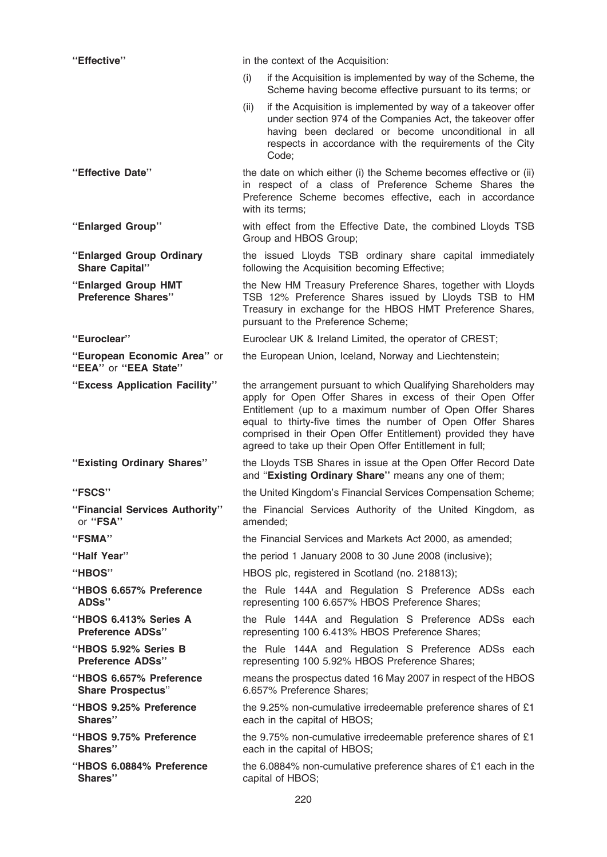| "Effective"                                         |      | in the context of the Acquisition:                                                                                                                                                                                                                                                                                                                                               |
|-----------------------------------------------------|------|----------------------------------------------------------------------------------------------------------------------------------------------------------------------------------------------------------------------------------------------------------------------------------------------------------------------------------------------------------------------------------|
|                                                     | (i)  | if the Acquisition is implemented by way of the Scheme, the<br>Scheme having become effective pursuant to its terms; or                                                                                                                                                                                                                                                          |
|                                                     | (ii) | if the Acquisition is implemented by way of a takeover offer<br>under section 974 of the Companies Act, the takeover offer<br>having been declared or become unconditional in all<br>respects in accordance with the requirements of the City<br>Code;                                                                                                                           |
| "Effective Date"                                    |      | the date on which either (i) the Scheme becomes effective or (ii)<br>in respect of a class of Preference Scheme Shares the<br>Preference Scheme becomes effective, each in accordance<br>with its terms;                                                                                                                                                                         |
| "Enlarged Group"                                    |      | with effect from the Effective Date, the combined Lloyds TSB<br>Group and HBOS Group;                                                                                                                                                                                                                                                                                            |
| "Enlarged Group Ordinary<br><b>Share Capital"</b>   |      | the issued Lloyds TSB ordinary share capital immediately<br>following the Acquisition becoming Effective;                                                                                                                                                                                                                                                                        |
| "Enlarged Group HMT<br><b>Preference Shares"</b>    |      | the New HM Treasury Preference Shares, together with Lloyds<br>TSB 12% Preference Shares issued by Lloyds TSB to HM<br>Treasury in exchange for the HBOS HMT Preference Shares,<br>pursuant to the Preference Scheme;                                                                                                                                                            |
| "Euroclear"                                         |      | Euroclear UK & Ireland Limited, the operator of CREST;                                                                                                                                                                                                                                                                                                                           |
| "European Economic Area" or<br>"EEA" or "EEA State" |      | the European Union, Iceland, Norway and Liechtenstein;                                                                                                                                                                                                                                                                                                                           |
| "Excess Application Facility"                       |      | the arrangement pursuant to which Qualifying Shareholders may<br>apply for Open Offer Shares in excess of their Open Offer<br>Entitlement (up to a maximum number of Open Offer Shares<br>equal to thirty-five times the number of Open Offer Shares<br>comprised in their Open Offer Entitlement) provided they have<br>agreed to take up their Open Offer Entitlement in full; |
| "Existing Ordinary Shares"                          |      | the Lloyds TSB Shares in issue at the Open Offer Record Date<br>and "Existing Ordinary Share" means any one of them;                                                                                                                                                                                                                                                             |
| "FSCS"                                              |      | the United Kingdom's Financial Services Compensation Scheme;                                                                                                                                                                                                                                                                                                                     |
| "Financial Services Authority"<br>or "FSA"          |      | the Financial Services Authority of the United Kingdom, as<br>amended;                                                                                                                                                                                                                                                                                                           |
| "FSMA"                                              |      | the Financial Services and Markets Act 2000, as amended;                                                                                                                                                                                                                                                                                                                         |
| "Half Year"                                         |      | the period 1 January 2008 to 30 June 2008 (inclusive);                                                                                                                                                                                                                                                                                                                           |
| "HBOS"                                              |      | HBOS plc, registered in Scotland (no. 218813);                                                                                                                                                                                                                                                                                                                                   |
| "HBOS 6.657% Preference<br>ADSs"                    |      | the Rule 144A and Regulation S Preference ADSs each<br>representing 100 6.657% HBOS Preference Shares;                                                                                                                                                                                                                                                                           |
| "HBOS 6.413% Series A<br><b>Preference ADSs"</b>    |      | the Rule 144A and Regulation S Preference ADSs each<br>representing 100 6.413% HBOS Preference Shares;                                                                                                                                                                                                                                                                           |
| "HBOS 5.92% Series B<br><b>Preference ADSs"</b>     |      | the Rule 144A and Regulation S Preference ADSs each<br>representing 100 5.92% HBOS Preference Shares;                                                                                                                                                                                                                                                                            |
| "HBOS 6.657% Preference<br><b>Share Prospectus"</b> |      | means the prospectus dated 16 May 2007 in respect of the HBOS<br>6.657% Preference Shares;                                                                                                                                                                                                                                                                                       |
| "HBOS 9.25% Preference<br>Shares"                   |      | the 9.25% non-cumulative irredeemable preference shares of £1<br>each in the capital of HBOS;                                                                                                                                                                                                                                                                                    |
| "HBOS 9.75% Preference<br>Shares"                   |      | the 9.75% non-cumulative irredeemable preference shares of £1<br>each in the capital of HBOS;                                                                                                                                                                                                                                                                                    |
| "HBOS 6.0884% Preference<br>Shares"                 |      | the 6.0884% non-cumulative preference shares of £1 each in the<br>capital of HBOS;                                                                                                                                                                                                                                                                                               |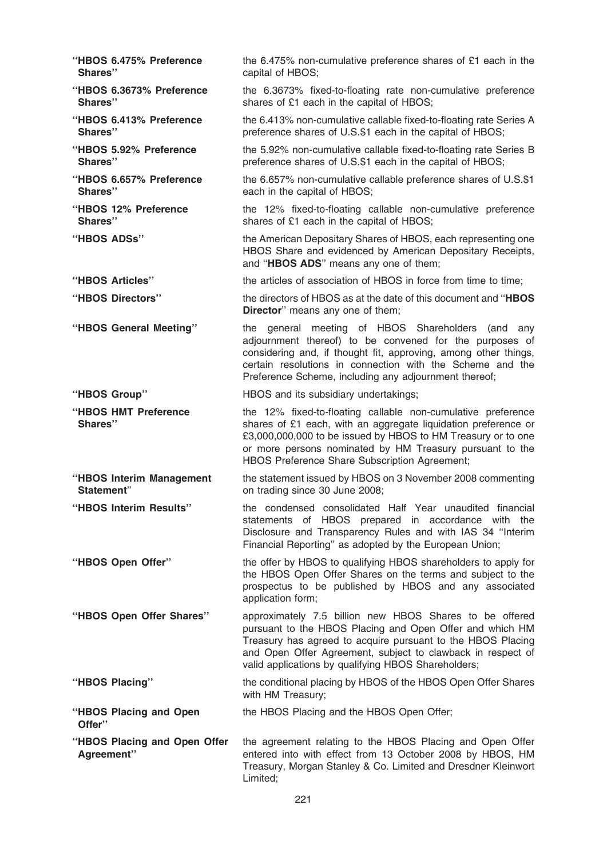| "HBOS 6.475% Preference<br>Shares"         | the 6.475% non-cumulative preference shares of £1 each in the<br>capital of HBOS;                                                                                                                                                                                                                           |
|--------------------------------------------|-------------------------------------------------------------------------------------------------------------------------------------------------------------------------------------------------------------------------------------------------------------------------------------------------------------|
| "HBOS 6.3673% Preference<br>Shares"        | the 6.3673% fixed-to-floating rate non-cumulative preference<br>shares of £1 each in the capital of HBOS;                                                                                                                                                                                                   |
| "HBOS 6.413% Preference<br>Shares"         | the 6.413% non-cumulative callable fixed-to-floating rate Series A<br>preference shares of U.S.\$1 each in the capital of HBOS;                                                                                                                                                                             |
| "HBOS 5.92% Preference<br>Shares"          | the 5.92% non-cumulative callable fixed-to-floating rate Series B<br>preference shares of U.S.\$1 each in the capital of HBOS;                                                                                                                                                                              |
| "HBOS 6.657% Preference<br>Shares"         | the 6.657% non-cumulative callable preference shares of U.S.\$1<br>each in the capital of HBOS;                                                                                                                                                                                                             |
| "HBOS 12% Preference<br>Shares"            | the 12% fixed-to-floating callable non-cumulative preference<br>shares of £1 each in the capital of HBOS;                                                                                                                                                                                                   |
| "HBOS ADSs"                                | the American Depositary Shares of HBOS, each representing one<br>HBOS Share and evidenced by American Depositary Receipts,<br>and "HBOS ADS" means any one of them;                                                                                                                                         |
| "HBOS Articles"                            | the articles of association of HBOS in force from time to time;                                                                                                                                                                                                                                             |
| "HBOS Directors"                           | the directors of HBOS as at the date of this document and "HBOS<br>Director" means any one of them;                                                                                                                                                                                                         |
| "HBOS General Meeting"                     | general meeting of HBOS Shareholders (and<br>the<br>any<br>adjournment thereof) to be convened for the purposes of<br>considering and, if thought fit, approving, among other things,<br>certain resolutions in connection with the Scheme and the<br>Preference Scheme, including any adjournment thereof; |
| "HBOS Group"                               | HBOS and its subsidiary undertakings;                                                                                                                                                                                                                                                                       |
| "HBOS HMT Preference<br>Shares"            | the 12% fixed-to-floating callable non-cumulative preference<br>shares of £1 each, with an aggregate liquidation preference or<br>£3,000,000,000 to be issued by HBOS to HM Treasury or to one<br>or more persons nominated by HM Treasury pursuant to the<br>HBOS Preference Share Subscription Agreement; |
| "HBOS Interim Management<br>Statement"     | the statement issued by HBOS on 3 November 2008 commenting<br>on trading since 30 June 2008;                                                                                                                                                                                                                |
| "HBOS Interim Results"                     | the condensed consolidated Half Year unaudited financial<br>statements of HBOS prepared in accordance with the<br>Disclosure and Transparency Rules and with IAS 34 "Interim<br>Financial Reporting" as adopted by the European Union;                                                                      |
| "HBOS Open Offer"                          | the offer by HBOS to qualifying HBOS shareholders to apply for<br>the HBOS Open Offer Shares on the terms and subject to the<br>prospectus to be published by HBOS and any associated<br>application form;                                                                                                  |
| "HBOS Open Offer Shares"                   | approximately 7.5 billion new HBOS Shares to be offered<br>pursuant to the HBOS Placing and Open Offer and which HM<br>Treasury has agreed to acquire pursuant to the HBOS Placing<br>and Open Offer Agreement, subject to clawback in respect of<br>valid applications by qualifying HBOS Shareholders;    |
| "HBOS Placing"                             | the conditional placing by HBOS of the HBOS Open Offer Shares<br>with HM Treasury;                                                                                                                                                                                                                          |
| "HBOS Placing and Open<br>Offer"           | the HBOS Placing and the HBOS Open Offer;                                                                                                                                                                                                                                                                   |
| "HBOS Placing and Open Offer<br>Agreement" | the agreement relating to the HBOS Placing and Open Offer<br>entered into with effect from 13 October 2008 by HBOS, HM<br>Treasury, Morgan Stanley & Co. Limited and Dresdner Kleinwort<br>Limited;                                                                                                         |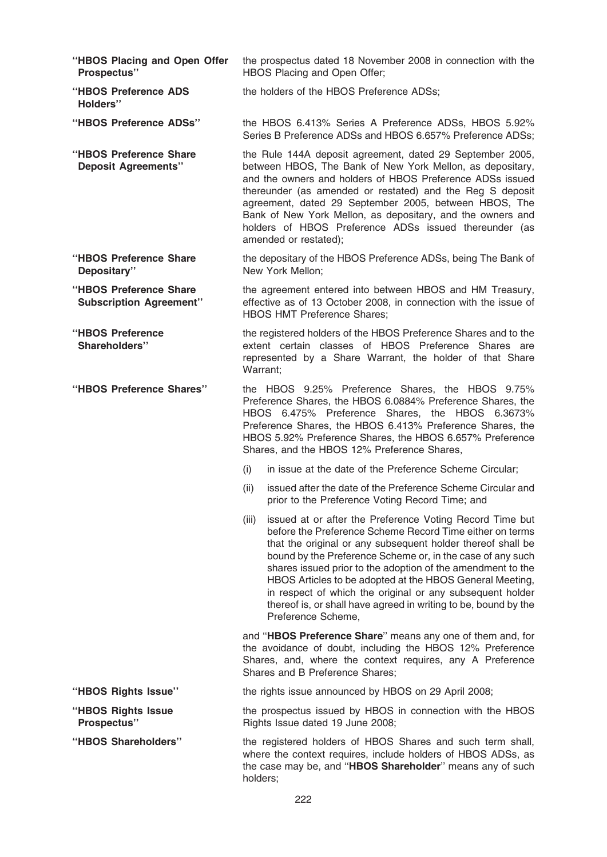- ''HBOS Placing and Open Offer Prospectus'' the prospectus dated 18 November 2008 in connection with the HBOS Placing and Open Offer; ''HBOS Preference ADS the holders of the HBOS Preference ADSs;
- ''HBOS Preference ADSs'' the HBOS 6.413% Series A Preference ADSs, HBOS 5.92% Series B Preference ADSs and HBOS 6.657% Preference ADSs;
- ''HBOS Preference Share Deposit Agreements'' the Rule 144A deposit agreement, dated 29 September 2005, between HBOS, The Bank of New York Mellon, as depositary, and the owners and holders of HBOS Preference ADSs issued thereunder (as amended or restated) and the Reg S deposit agreement, dated 29 September 2005, between HBOS, The Bank of New York Mellon, as depositary, and the owners and holders of HBOS Preference ADSs issued thereunder (as amended or restated);
- ''HBOS Preference Share Depositary'' the depositary of the HBOS Preference ADSs, being The Bank of New York Mellon;
- ''HBOS Preference Share Subscription Agreement'' the agreement entered into between HBOS and HM Treasury, effective as of 13 October 2008, in connection with the issue of HBOS HMT Preference Shares;

''HBOS Preference Shareholders'' the registered holders of the HBOS Preference Shares and to the extent certain classes of HBOS Preference Shares are represented by a Share Warrant, the holder of that Share Warrant;

- ''HBOS Preference Shares'' the HBOS 9.25% Preference Shares, the HBOS 9.75% Preference Shares, the HBOS 6.0884% Preference Shares, the HBOS 6.475% Preference Shares, the HBOS 6.3673% Preference Shares, the HBOS 6.413% Preference Shares, the HBOS 5.92% Preference Shares, the HBOS 6.657% Preference Shares, and the HBOS 12% Preference Shares,
	- (i) in issue at the date of the Preference Scheme Circular;
	- (ii) issued after the date of the Preference Scheme Circular and prior to the Preference Voting Record Time; and
	- (iii) issued at or after the Preference Voting Record Time but before the Preference Scheme Record Time either on terms that the original or any subsequent holder thereof shall be bound by the Preference Scheme or, in the case of any such shares issued prior to the adoption of the amendment to the HBOS Articles to be adopted at the HBOS General Meeting, in respect of which the original or any subsequent holder thereof is, or shall have agreed in writing to be, bound by the Preference Scheme,

and ''HBOS Preference Share'' means any one of them and, for the avoidance of doubt, including the HBOS 12% Preference Shares, and, where the context requires, any A Preference Shares and B Preference Shares;

''HBOS Rights Issue'' the rights issue announced by HBOS on 29 April 2008;

the prospectus issued by HBOS in connection with the HBOS Rights Issue dated 19 June 2008;

''HBOS Shareholders'' the registered holders of HBOS Shares and such term shall, where the context requires, include holders of HBOS ADSs, as the case may be, and "HBOS Shareholder" means any of such holders;

Holders''

- ''HBOS Rights Issue Prospectus''
-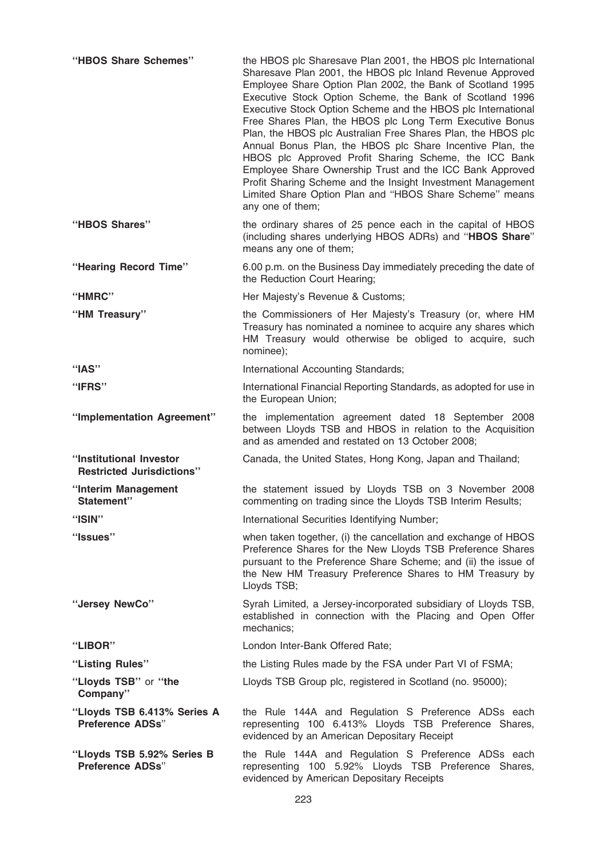| "HBOS Share Schemes"                                        | the HBOS plc Sharesave Plan 2001, the HBOS plc International<br>Sharesave Plan 2001, the HBOS plc Inland Revenue Approved<br>Employee Share Option Plan 2002, the Bank of Scotland 1995<br>Executive Stock Option Scheme, the Bank of Scotland 1996<br>Executive Stock Option Scheme and the HBOS plc International<br>Free Shares Plan, the HBOS plc Long Term Executive Bonus<br>Plan, the HBOS plc Australian Free Shares Plan, the HBOS plc<br>Annual Bonus Plan, the HBOS plc Share Incentive Plan, the<br>HBOS plc Approved Profit Sharing Scheme, the ICC Bank<br>Employee Share Ownership Trust and the ICC Bank Approved<br>Profit Sharing Scheme and the Insight Investment Management<br>Limited Share Option Plan and "HBOS Share Scheme" means<br>any one of them; |
|-------------------------------------------------------------|---------------------------------------------------------------------------------------------------------------------------------------------------------------------------------------------------------------------------------------------------------------------------------------------------------------------------------------------------------------------------------------------------------------------------------------------------------------------------------------------------------------------------------------------------------------------------------------------------------------------------------------------------------------------------------------------------------------------------------------------------------------------------------|
| "HBOS Shares"                                               | the ordinary shares of 25 pence each in the capital of HBOS<br>(including shares underlying HBOS ADRs) and "HBOS Share"<br>means any one of them;                                                                                                                                                                                                                                                                                                                                                                                                                                                                                                                                                                                                                               |
| "Hearing Record Time"                                       | 6.00 p.m. on the Business Day immediately preceding the date of<br>the Reduction Court Hearing;                                                                                                                                                                                                                                                                                                                                                                                                                                                                                                                                                                                                                                                                                 |
| "HMRC"                                                      | Her Majesty's Revenue & Customs;                                                                                                                                                                                                                                                                                                                                                                                                                                                                                                                                                                                                                                                                                                                                                |
| "HM Treasury"                                               | the Commissioners of Her Majesty's Treasury (or, where HM<br>Treasury has nominated a nominee to acquire any shares which<br>HM Treasury would otherwise be obliged to acquire, such<br>nominee);                                                                                                                                                                                                                                                                                                                                                                                                                                                                                                                                                                               |
| "IAS"                                                       | International Accounting Standards;                                                                                                                                                                                                                                                                                                                                                                                                                                                                                                                                                                                                                                                                                                                                             |
| "IFRS"                                                      | International Financial Reporting Standards, as adopted for use in<br>the European Union;                                                                                                                                                                                                                                                                                                                                                                                                                                                                                                                                                                                                                                                                                       |
| "Implementation Agreement"                                  | the implementation agreement dated 18 September 2008<br>between Lloyds TSB and HBOS in relation to the Acquisition<br>and as amended and restated on 13 October 2008;                                                                                                                                                                                                                                                                                                                                                                                                                                                                                                                                                                                                           |
| "Institutional Investor<br><b>Restricted Jurisdictions"</b> | Canada, the United States, Hong Kong, Japan and Thailand;                                                                                                                                                                                                                                                                                                                                                                                                                                                                                                                                                                                                                                                                                                                       |
| "Interim Management<br>Statement"                           | the statement issued by Lloyds TSB on 3 November 2008<br>commenting on trading since the Lloyds TSB Interim Results;                                                                                                                                                                                                                                                                                                                                                                                                                                                                                                                                                                                                                                                            |
| "ISIN"                                                      | International Securities Identifying Number;                                                                                                                                                                                                                                                                                                                                                                                                                                                                                                                                                                                                                                                                                                                                    |
| "Issues"                                                    | when taken together, (i) the cancellation and exchange of HBOS<br>Preference Shares for the New Lloyds TSB Preference Shares<br>pursuant to the Preference Share Scheme; and (ii) the issue of<br>the New HM Treasury Preference Shares to HM Treasury by<br>Lloyds TSB;                                                                                                                                                                                                                                                                                                                                                                                                                                                                                                        |
| "Jersey NewCo"                                              | Syrah Limited, a Jersey-incorporated subsidiary of Lloyds TSB,<br>established in connection with the Placing and Open Offer<br>mechanics;                                                                                                                                                                                                                                                                                                                                                                                                                                                                                                                                                                                                                                       |
| "LIBOR"                                                     | London Inter-Bank Offered Rate;                                                                                                                                                                                                                                                                                                                                                                                                                                                                                                                                                                                                                                                                                                                                                 |
| "Listing Rules"                                             | the Listing Rules made by the FSA under Part VI of FSMA;                                                                                                                                                                                                                                                                                                                                                                                                                                                                                                                                                                                                                                                                                                                        |
| "Lloyds TSB" or "the<br>Company"                            | Lloyds TSB Group plc, registered in Scotland (no. 95000);                                                                                                                                                                                                                                                                                                                                                                                                                                                                                                                                                                                                                                                                                                                       |
| "Lloyds TSB 6.413% Series A<br><b>Preference ADSs"</b>      | the Rule 144A and Regulation S Preference ADSs each<br>representing 100 6.413% Lloyds TSB Preference Shares,<br>evidenced by an American Depositary Receipt                                                                                                                                                                                                                                                                                                                                                                                                                                                                                                                                                                                                                     |
| "Lloyds TSB 5.92% Series B<br><b>Preference ADSs"</b>       | the Rule 144A and Regulation S Preference ADSs each<br>representing 100 5.92% Lloyds TSB Preference Shares,<br>evidenced by American Depositary Receipts                                                                                                                                                                                                                                                                                                                                                                                                                                                                                                                                                                                                                        |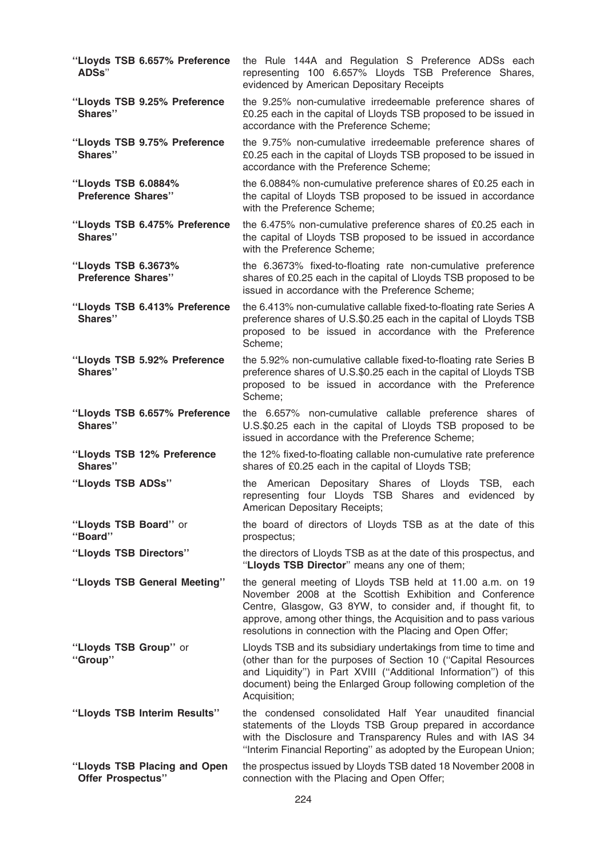| "Lloyds TSB 6.657% Preference<br>ADSs"                   | the Rule 144A and Regulation S Preference ADSs each<br>representing 100 6.657% Lloyds TSB Preference Shares,<br>evidenced by American Depositary Receipts                                                                                                                                                               |
|----------------------------------------------------------|-------------------------------------------------------------------------------------------------------------------------------------------------------------------------------------------------------------------------------------------------------------------------------------------------------------------------|
| "Lloyds TSB 9.25% Preference<br>Shares"                  | the 9.25% non-cumulative irredeemable preference shares of<br>£0.25 each in the capital of Lloyds TSB proposed to be issued in<br>accordance with the Preference Scheme;                                                                                                                                                |
| "Lloyds TSB 9.75% Preference<br>Shares"                  | the 9.75% non-cumulative irredeemable preference shares of<br>£0.25 each in the capital of Lloyds TSB proposed to be issued in<br>accordance with the Preference Scheme;                                                                                                                                                |
| "Lloyds TSB 6.0884%<br><b>Preference Shares"</b>         | the 6.0884% non-cumulative preference shares of £0.25 each in<br>the capital of Lloyds TSB proposed to be issued in accordance<br>with the Preference Scheme;                                                                                                                                                           |
| "Lloyds TSB 6.475% Preference<br>Shares"                 | the 6.475% non-cumulative preference shares of £0.25 each in<br>the capital of Lloyds TSB proposed to be issued in accordance<br>with the Preference Scheme;                                                                                                                                                            |
| "Lloyds TSB 6.3673%<br><b>Preference Shares"</b>         | the 6.3673% fixed-to-floating rate non-cumulative preference<br>shares of £0.25 each in the capital of Lloyds TSB proposed to be<br>issued in accordance with the Preference Scheme;                                                                                                                                    |
| "Lloyds TSB 6.413% Preference<br>Shares"                 | the 6.413% non-cumulative callable fixed-to-floating rate Series A<br>preference shares of U.S.\$0.25 each in the capital of Lloyds TSB<br>proposed to be issued in accordance with the Preference<br>Scheme;                                                                                                           |
| "Lloyds TSB 5.92% Preference<br>Shares"                  | the 5.92% non-cumulative callable fixed-to-floating rate Series B<br>preference shares of U.S.\$0.25 each in the capital of Lloyds TSB<br>proposed to be issued in accordance with the Preference<br>Scheme;                                                                                                            |
| "Lloyds TSB 6.657% Preference<br>Shares"                 | the 6.657% non-cumulative callable preference shares of<br>U.S.\$0.25 each in the capital of Lloyds TSB proposed to be<br>issued in accordance with the Preference Scheme;                                                                                                                                              |
| "Lloyds TSB 12% Preference<br>Shares"                    | the 12% fixed-to-floating callable non-cumulative rate preference<br>shares of £0.25 each in the capital of Lloyds TSB;                                                                                                                                                                                                 |
| "Lloyds TSB ADSs"                                        | the American Depositary Shares of Lloyds TSB, each<br>representing four Lloyds TSB Shares and evidenced by<br>American Depositary Receipts;                                                                                                                                                                             |
| "Lloyds TSB Board" or<br>"Board"                         | the board of directors of Lloyds TSB as at the date of this<br>prospectus;                                                                                                                                                                                                                                              |
| "Lloyds TSB Directors"                                   | the directors of Lloyds TSB as at the date of this prospectus, and<br>"Lloyds TSB Director" means any one of them;                                                                                                                                                                                                      |
| "Lloyds TSB General Meeting"                             | the general meeting of Lloyds TSB held at 11.00 a.m. on 19<br>November 2008 at the Scottish Exhibition and Conference<br>Centre, Glasgow, G3 8YW, to consider and, if thought fit, to<br>approve, among other things, the Acquisition and to pass various<br>resolutions in connection with the Placing and Open Offer; |
| "Lloyds TSB Group" or<br>"Group"                         | Lloyds TSB and its subsidiary undertakings from time to time and<br>(other than for the purposes of Section 10 ("Capital Resources<br>and Liquidity") in Part XVIII ("Additional Information") of this<br>document) being the Enlarged Group following completion of the<br>Acquisition;                                |
| "Lloyds TSB Interim Results"                             | the condensed consolidated Half Year unaudited financial<br>statements of the Lloyds TSB Group prepared in accordance<br>with the Disclosure and Transparency Rules and with IAS 34<br>"Interim Financial Reporting" as adopted by the European Union;                                                                  |
| "Lloyds TSB Placing and Open<br><b>Offer Prospectus"</b> | the prospectus issued by Lloyds TSB dated 18 November 2008 in<br>connection with the Placing and Open Offer;                                                                                                                                                                                                            |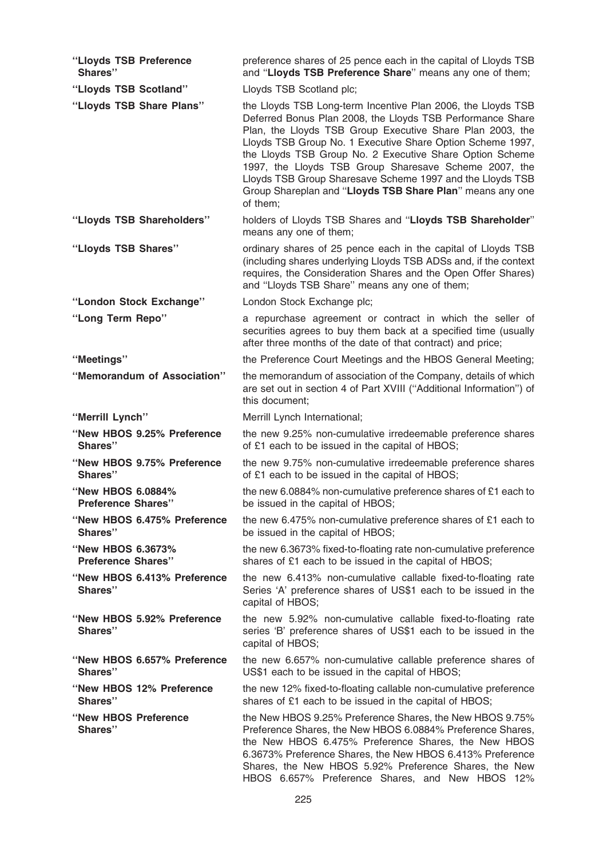| "Lloyds TSB Preference<br>Shares"              | preference shares of 25 pence each in the capital of Lloyds TSB<br>and "Lloyds TSB Preference Share" means any one of them;                                                                                                                                                                                                                                                                                                                                                                                      |
|------------------------------------------------|------------------------------------------------------------------------------------------------------------------------------------------------------------------------------------------------------------------------------------------------------------------------------------------------------------------------------------------------------------------------------------------------------------------------------------------------------------------------------------------------------------------|
| "Lloyds TSB Scotland"                          | Lloyds TSB Scotland plc;                                                                                                                                                                                                                                                                                                                                                                                                                                                                                         |
| "Lloyds TSB Share Plans"                       | the Lloyds TSB Long-term Incentive Plan 2006, the Lloyds TSB<br>Deferred Bonus Plan 2008, the Lloyds TSB Performance Share<br>Plan, the Lloyds TSB Group Executive Share Plan 2003, the<br>Lloyds TSB Group No. 1 Executive Share Option Scheme 1997,<br>the Lloyds TSB Group No. 2 Executive Share Option Scheme<br>1997, the Lloyds TSB Group Sharesave Scheme 2007, the<br>Lloyds TSB Group Sharesave Scheme 1997 and the Lloyds TSB<br>Group Shareplan and "Lloyds TSB Share Plan" means any one<br>of them; |
| "Lloyds TSB Shareholders"                      | holders of Lloyds TSB Shares and "Lloyds TSB Shareholder"<br>means any one of them;                                                                                                                                                                                                                                                                                                                                                                                                                              |
| "Lloyds TSB Shares"                            | ordinary shares of 25 pence each in the capital of Lloyds TSB<br>(including shares underlying Lloyds TSB ADSs and, if the context<br>requires, the Consideration Shares and the Open Offer Shares)<br>and "Lloyds TSB Share" means any one of them;                                                                                                                                                                                                                                                              |
| "London Stock Exchange"                        | London Stock Exchange plc;                                                                                                                                                                                                                                                                                                                                                                                                                                                                                       |
| "Long Term Repo"                               | a repurchase agreement or contract in which the seller of<br>securities agrees to buy them back at a specified time (usually<br>after three months of the date of that contract) and price;                                                                                                                                                                                                                                                                                                                      |
| "Meetings"                                     | the Preference Court Meetings and the HBOS General Meeting;                                                                                                                                                                                                                                                                                                                                                                                                                                                      |
| "Memorandum of Association"                    | the memorandum of association of the Company, details of which<br>are set out in section 4 of Part XVIII ("Additional Information") of<br>this document;                                                                                                                                                                                                                                                                                                                                                         |
| "Merrill Lynch"                                | Merrill Lynch International;                                                                                                                                                                                                                                                                                                                                                                                                                                                                                     |
| "New HBOS 9.25% Preference<br>Shares"          | the new 9.25% non-cumulative irredeemable preference shares<br>of £1 each to be issued in the capital of HBOS;                                                                                                                                                                                                                                                                                                                                                                                                   |
| "New HBOS 9.75% Preference<br>Shares"          | the new 9.75% non-cumulative irredeemable preference shares<br>of £1 each to be issued in the capital of HBOS;                                                                                                                                                                                                                                                                                                                                                                                                   |
| "New HBOS 6.0884%<br><b>Preference Shares"</b> | the new 6.0884% non-cumulative preference shares of £1 each to<br>be issued in the capital of HBOS;                                                                                                                                                                                                                                                                                                                                                                                                              |
| "New HBOS 6.475% Preference<br>Shares"         | the new 6.475% non-cumulative preference shares of £1 each to<br>be issued in the capital of HBOS;                                                                                                                                                                                                                                                                                                                                                                                                               |
| "New HBOS 6.3673%<br><b>Preference Shares"</b> | the new 6.3673% fixed-to-floating rate non-cumulative preference<br>shares of £1 each to be issued in the capital of HBOS;                                                                                                                                                                                                                                                                                                                                                                                       |
| "New HBOS 6.413% Preference<br>Shares"         | the new 6.413% non-cumulative callable fixed-to-floating rate<br>Series 'A' preference shares of US\$1 each to be issued in the<br>capital of HBOS;                                                                                                                                                                                                                                                                                                                                                              |
| "New HBOS 5.92% Preference<br>Shares"          | the new 5.92% non-cumulative callable fixed-to-floating rate<br>series 'B' preference shares of US\$1 each to be issued in the<br>capital of HBOS;                                                                                                                                                                                                                                                                                                                                                               |
| "New HBOS 6.657% Preference<br>Shares"         | the new 6.657% non-cumulative callable preference shares of<br>US\$1 each to be issued in the capital of HBOS;                                                                                                                                                                                                                                                                                                                                                                                                   |
| "New HBOS 12% Preference<br>Shares"            | the new 12% fixed-to-floating callable non-cumulative preference<br>shares of £1 each to be issued in the capital of HBOS;                                                                                                                                                                                                                                                                                                                                                                                       |
| "New HBOS Preference<br>Shares"                | the New HBOS 9.25% Preference Shares, the New HBOS 9.75%<br>Preference Shares, the New HBOS 6.0884% Preference Shares,<br>the New HBOS 6.475% Preference Shares, the New HBOS<br>6.3673% Preference Shares, the New HBOS 6.413% Preference<br>Shares, the New HBOS 5.92% Preference Shares, the New<br>HBOS 6.657% Preference Shares, and New HBOS 12%                                                                                                                                                           |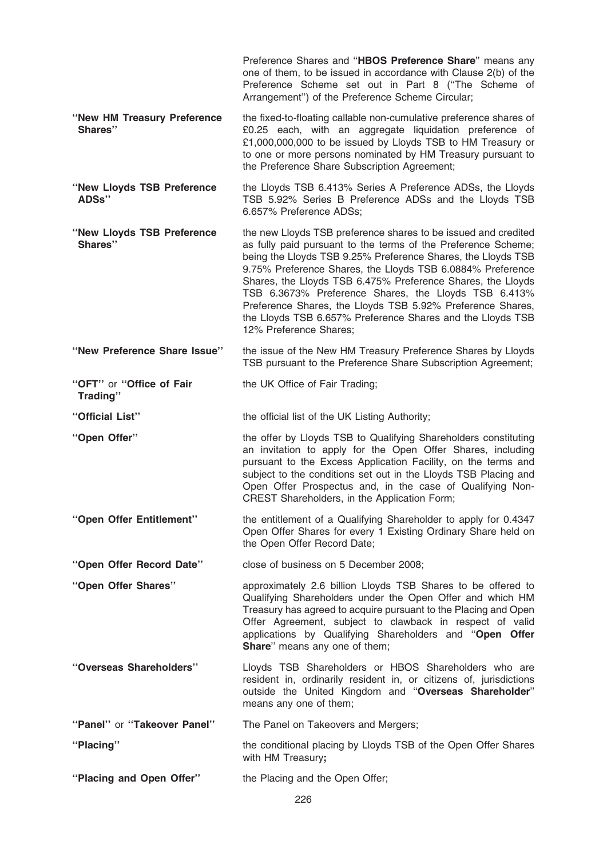|                                        | Preference Shares and "HBOS Preference Share" means any<br>one of them, to be issued in accordance with Clause 2(b) of the<br>Preference Scheme set out in Part 8 ("The Scheme of<br>Arrangement") of the Preference Scheme Circular;                                                                                                                                                                                                                                                                                                      |
|----------------------------------------|--------------------------------------------------------------------------------------------------------------------------------------------------------------------------------------------------------------------------------------------------------------------------------------------------------------------------------------------------------------------------------------------------------------------------------------------------------------------------------------------------------------------------------------------|
| "New HM Treasury Preference<br>Shares" | the fixed-to-floating callable non-cumulative preference shares of<br>£0.25 each, with an aggregate liquidation preference of<br>£1,000,000,000 to be issued by Lloyds TSB to HM Treasury or<br>to one or more persons nominated by HM Treasury pursuant to<br>the Preference Share Subscription Agreement;                                                                                                                                                                                                                                |
| "New Lloyds TSB Preference<br>ADSs"    | the Lloyds TSB 6.413% Series A Preference ADSs, the Lloyds<br>TSB 5.92% Series B Preference ADSs and the Lloyds TSB<br>6.657% Preference ADSs;                                                                                                                                                                                                                                                                                                                                                                                             |
| "New Lloyds TSB Preference<br>Shares"  | the new Lloyds TSB preference shares to be issued and credited<br>as fully paid pursuant to the terms of the Preference Scheme;<br>being the Lloyds TSB 9.25% Preference Shares, the Lloyds TSB<br>9.75% Preference Shares, the Lloyds TSB 6.0884% Preference<br>Shares, the Lloyds TSB 6.475% Preference Shares, the Lloyds<br>TSB 6.3673% Preference Shares, the Lloyds TSB 6.413%<br>Preference Shares, the Lloyds TSB 5.92% Preference Shares,<br>the Lloyds TSB 6.657% Preference Shares and the Lloyds TSB<br>12% Preference Shares: |
| "New Preference Share Issue"           | the issue of the New HM Treasury Preference Shares by Lloyds<br>TSB pursuant to the Preference Share Subscription Agreement;                                                                                                                                                                                                                                                                                                                                                                                                               |
| "OFT" or "Office of Fair<br>Trading"   | the UK Office of Fair Trading;                                                                                                                                                                                                                                                                                                                                                                                                                                                                                                             |
| "Official List"                        | the official list of the UK Listing Authority;                                                                                                                                                                                                                                                                                                                                                                                                                                                                                             |
| "Open Offer"                           | the offer by Lloyds TSB to Qualifying Shareholders constituting<br>an invitation to apply for the Open Offer Shares, including<br>pursuant to the Excess Application Facility, on the terms and<br>subject to the conditions set out in the Lloyds TSB Placing and<br>Open Offer Prospectus and, in the case of Qualifying Non-<br>CREST Shareholders, in the Application Form;                                                                                                                                                            |
| "Open Offer Entitlement"               | the entitlement of a Qualifying Shareholder to apply for 0.4347<br>Open Offer Shares for every 1 Existing Ordinary Share held on<br>the Open Offer Record Date;                                                                                                                                                                                                                                                                                                                                                                            |
| "Open Offer Record Date"               | close of business on 5 December 2008;                                                                                                                                                                                                                                                                                                                                                                                                                                                                                                      |
| "Open Offer Shares"                    | approximately 2.6 billion Lloyds TSB Shares to be offered to<br>Qualifying Shareholders under the Open Offer and which HM<br>Treasury has agreed to acquire pursuant to the Placing and Open<br>Offer Agreement, subject to clawback in respect of valid<br>applications by Qualifying Shareholders and "Open Offer<br>Share" means any one of them;                                                                                                                                                                                       |
| "Overseas Shareholders"                | Lloyds TSB Shareholders or HBOS Shareholders who are<br>resident in, ordinarily resident in, or citizens of, jurisdictions<br>outside the United Kingdom and "Overseas Shareholder"<br>means any one of them;                                                                                                                                                                                                                                                                                                                              |
| "Panel" or "Takeover Panel"            | The Panel on Takeovers and Mergers;                                                                                                                                                                                                                                                                                                                                                                                                                                                                                                        |
| "Placing"                              | the conditional placing by Lloyds TSB of the Open Offer Shares<br>with HM Treasury;                                                                                                                                                                                                                                                                                                                                                                                                                                                        |
| "Placing and Open Offer"               | the Placing and the Open Offer;                                                                                                                                                                                                                                                                                                                                                                                                                                                                                                            |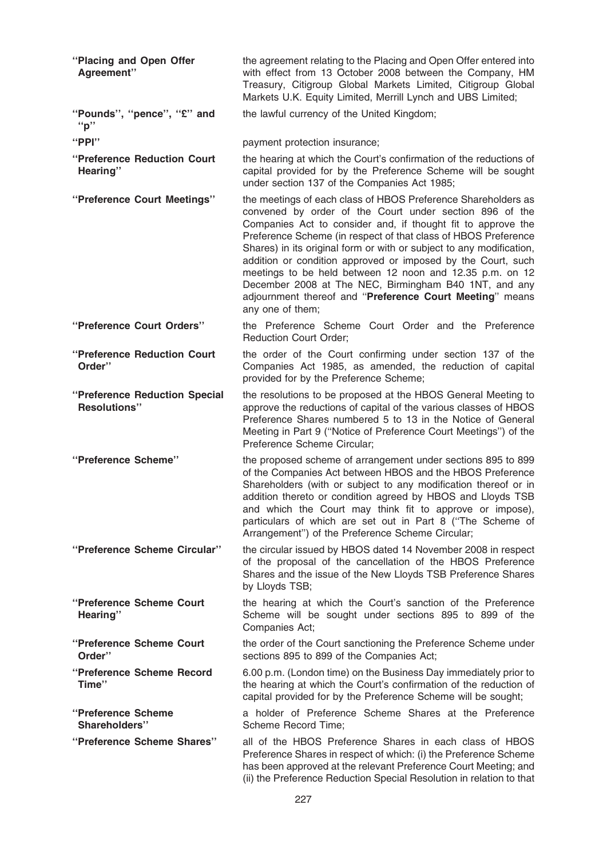| "Placing and Open Offer<br>Agreement"                | the agreement relating to the Placing and Open Offer entered into<br>with effect from 13 October 2008 between the Company, HM<br>Treasury, Citigroup Global Markets Limited, Citigroup Global<br>Markets U.K. Equity Limited, Merrill Lynch and UBS Limited;                                                                                                                                                                                                                                                                                                                                            |
|------------------------------------------------------|---------------------------------------------------------------------------------------------------------------------------------------------------------------------------------------------------------------------------------------------------------------------------------------------------------------------------------------------------------------------------------------------------------------------------------------------------------------------------------------------------------------------------------------------------------------------------------------------------------|
| "Pounds", "pence", "£" and<br>"p"                    | the lawful currency of the United Kingdom;                                                                                                                                                                                                                                                                                                                                                                                                                                                                                                                                                              |
| " $PPI"$                                             | payment protection insurance;                                                                                                                                                                                                                                                                                                                                                                                                                                                                                                                                                                           |
| "Preference Reduction Court<br>Hearing"              | the hearing at which the Court's confirmation of the reductions of<br>capital provided for by the Preference Scheme will be sought<br>under section 137 of the Companies Act 1985;                                                                                                                                                                                                                                                                                                                                                                                                                      |
| "Preference Court Meetings"                          | the meetings of each class of HBOS Preference Shareholders as<br>convened by order of the Court under section 896 of the<br>Companies Act to consider and, if thought fit to approve the<br>Preference Scheme (in respect of that class of HBOS Preference<br>Shares) in its original form or with or subject to any modification,<br>addition or condition approved or imposed by the Court, such<br>meetings to be held between 12 noon and 12.35 p.m. on 12<br>December 2008 at The NEC, Birmingham B40 1NT, and any<br>adjournment thereof and "Preference Court Meeting" means<br>any one of them; |
| "Preference Court Orders"                            | the Preference Scheme Court Order and the Preference<br><b>Reduction Court Order;</b>                                                                                                                                                                                                                                                                                                                                                                                                                                                                                                                   |
| "Preference Reduction Court"<br>Order"               | the order of the Court confirming under section 137 of the<br>Companies Act 1985, as amended, the reduction of capital<br>provided for by the Preference Scheme;                                                                                                                                                                                                                                                                                                                                                                                                                                        |
| "Preference Reduction Special<br><b>Resolutions"</b> | the resolutions to be proposed at the HBOS General Meeting to<br>approve the reductions of capital of the various classes of HBOS<br>Preference Shares numbered 5 to 13 in the Notice of General<br>Meeting in Part 9 ("Notice of Preference Court Meetings") of the<br>Preference Scheme Circular;                                                                                                                                                                                                                                                                                                     |
| "Preference Scheme"                                  | the proposed scheme of arrangement under sections 895 to 899<br>of the Companies Act between HBOS and the HBOS Preference<br>Shareholders (with or subject to any modification thereof or in<br>addition thereto or condition agreed by HBOS and Lloyds TSB<br>and which the Court may think fit to approve or impose),<br>particulars of which are set out in Part 8 ("The Scheme of<br>Arrangement") of the Preference Scheme Circular;                                                                                                                                                               |
| "Preference Scheme Circular"                         | the circular issued by HBOS dated 14 November 2008 in respect<br>of the proposal of the cancellation of the HBOS Preference<br>Shares and the issue of the New Lloyds TSB Preference Shares<br>by Lloyds TSB;                                                                                                                                                                                                                                                                                                                                                                                           |
| "Preference Scheme Court<br>Hearing"                 | the hearing at which the Court's sanction of the Preference<br>Scheme will be sought under sections 895 to 899 of the<br>Companies Act;                                                                                                                                                                                                                                                                                                                                                                                                                                                                 |
| "Preference Scheme Court<br>Order"                   | the order of the Court sanctioning the Preference Scheme under<br>sections 895 to 899 of the Companies Act;                                                                                                                                                                                                                                                                                                                                                                                                                                                                                             |
| "Preference Scheme Record<br>Time"                   | 6.00 p.m. (London time) on the Business Day immediately prior to<br>the hearing at which the Court's confirmation of the reduction of<br>capital provided for by the Preference Scheme will be sought;                                                                                                                                                                                                                                                                                                                                                                                                  |
| "Preference Scheme<br>Shareholders"                  | a holder of Preference Scheme Shares at the Preference<br>Scheme Record Time;                                                                                                                                                                                                                                                                                                                                                                                                                                                                                                                           |
| "Preference Scheme Shares"                           | all of the HBOS Preference Shares in each class of HBOS<br>Preference Shares in respect of which: (i) the Preference Scheme<br>has been approved at the relevant Preference Court Meeting; and<br>(ii) the Preference Reduction Special Resolution in relation to that                                                                                                                                                                                                                                                                                                                                  |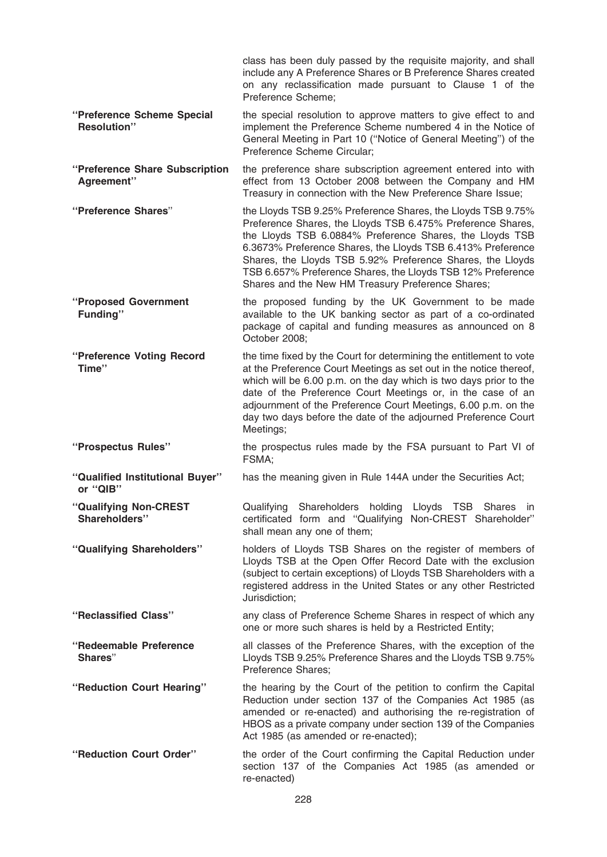|                                                  | class has been duly passed by the requisite majority, and shall<br>include any A Preference Shares or B Preference Shares created<br>on any reclassification made pursuant to Clause 1 of the<br>Preference Scheme;                                                                                                                                                                                                                      |
|--------------------------------------------------|------------------------------------------------------------------------------------------------------------------------------------------------------------------------------------------------------------------------------------------------------------------------------------------------------------------------------------------------------------------------------------------------------------------------------------------|
| "Preference Scheme Special<br><b>Resolution"</b> | the special resolution to approve matters to give effect to and<br>implement the Preference Scheme numbered 4 in the Notice of<br>General Meeting in Part 10 ("Notice of General Meeting") of the<br>Preference Scheme Circular;                                                                                                                                                                                                         |
| "Preference Share Subscription<br>Agreement"     | the preference share subscription agreement entered into with<br>effect from 13 October 2008 between the Company and HM<br>Treasury in connection with the New Preference Share Issue;                                                                                                                                                                                                                                                   |
| "Preference Shares"                              | the Lloyds TSB 9.25% Preference Shares, the Lloyds TSB 9.75%<br>Preference Shares, the Lloyds TSB 6.475% Preference Shares,<br>the Lloyds TSB 6.0884% Preference Shares, the Lloyds TSB<br>6.3673% Preference Shares, the Lloyds TSB 6.413% Preference<br>Shares, the Lloyds TSB 5.92% Preference Shares, the Lloyds<br>TSB 6.657% Preference Shares, the Lloyds TSB 12% Preference<br>Shares and the New HM Treasury Preference Shares; |
| "Proposed Government<br>Funding"                 | the proposed funding by the UK Government to be made<br>available to the UK banking sector as part of a co-ordinated<br>package of capital and funding measures as announced on 8<br>October 2008;                                                                                                                                                                                                                                       |
| "Preference Voting Record<br>Time"               | the time fixed by the Court for determining the entitlement to vote<br>at the Preference Court Meetings as set out in the notice thereof,<br>which will be 6.00 p.m. on the day which is two days prior to the<br>date of the Preference Court Meetings or, in the case of an<br>adjournment of the Preference Court Meetings, 6.00 p.m. on the<br>day two days before the date of the adjourned Preference Court<br>Meetings;           |
| "Prospectus Rules"                               | the prospectus rules made by the FSA pursuant to Part VI of<br>FSMA;                                                                                                                                                                                                                                                                                                                                                                     |
| "Qualified Institutional Buyer"<br>or "QIB"      | has the meaning given in Rule 144A under the Securities Act;                                                                                                                                                                                                                                                                                                                                                                             |
| "Qualifying Non-CREST<br>Shareholders"           | Qualifying Shareholders holding Lloyds TSB Shares in<br>certificated form and "Qualifying Non-CREST Shareholder"<br>shall mean any one of them;                                                                                                                                                                                                                                                                                          |
| "Qualifying Shareholders"                        | holders of Lloyds TSB Shares on the register of members of<br>Lloyds TSB at the Open Offer Record Date with the exclusion<br>(subject to certain exceptions) of Lloyds TSB Shareholders with a<br>registered address in the United States or any other Restricted<br>Jurisdiction;                                                                                                                                                       |
| "Reclassified Class"                             | any class of Preference Scheme Shares in respect of which any<br>one or more such shares is held by a Restricted Entity;                                                                                                                                                                                                                                                                                                                 |
| "Redeemable Preference<br>Shares"                | all classes of the Preference Shares, with the exception of the<br>Lloyds TSB 9.25% Preference Shares and the Lloyds TSB 9.75%<br><b>Preference Shares:</b>                                                                                                                                                                                                                                                                              |
| "Reduction Court Hearing"                        | the hearing by the Court of the petition to confirm the Capital<br>Reduction under section 137 of the Companies Act 1985 (as<br>amended or re-enacted) and authorising the re-registration of<br>HBOS as a private company under section 139 of the Companies<br>Act 1985 (as amended or re-enacted);                                                                                                                                    |
| "Reduction Court Order"                          | the order of the Court confirming the Capital Reduction under<br>section 137 of the Companies Act 1985 (as amended or<br>re-enacted)                                                                                                                                                                                                                                                                                                     |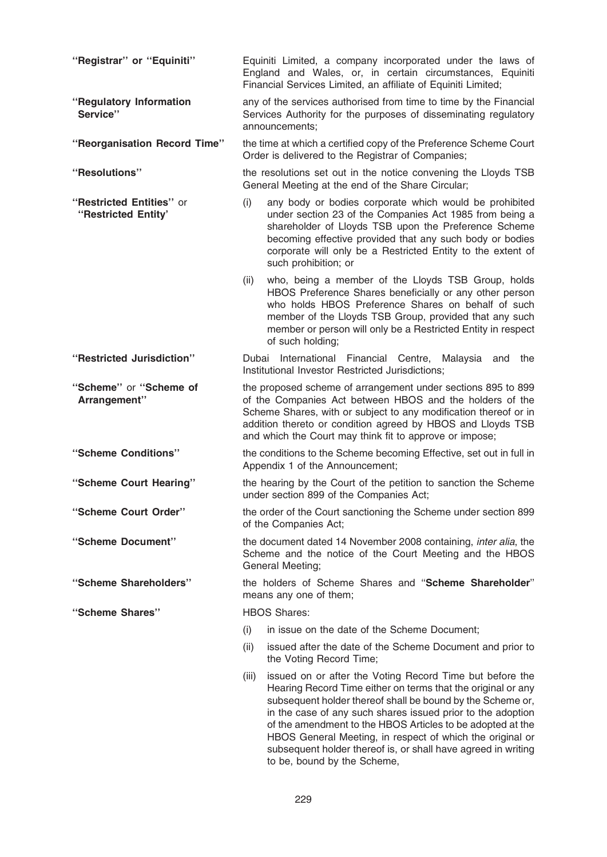| "Registrar" or "Equiniti"                       | Equiniti Limited, a company incorporated under the laws of<br>England and Wales, or, in certain circumstances, Equiniti<br>Financial Services Limited, an affiliate of Equiniti Limited;                                                                                                                                                                                                                                                                                                  |
|-------------------------------------------------|-------------------------------------------------------------------------------------------------------------------------------------------------------------------------------------------------------------------------------------------------------------------------------------------------------------------------------------------------------------------------------------------------------------------------------------------------------------------------------------------|
| "Regulatory Information<br>Service"             | any of the services authorised from time to time by the Financial<br>Services Authority for the purposes of disseminating regulatory<br>announcements;                                                                                                                                                                                                                                                                                                                                    |
| "Reorganisation Record Time"                    | the time at which a certified copy of the Preference Scheme Court<br>Order is delivered to the Registrar of Companies;                                                                                                                                                                                                                                                                                                                                                                    |
| "Resolutions"                                   | the resolutions set out in the notice convening the Lloyds TSB<br>General Meeting at the end of the Share Circular;                                                                                                                                                                                                                                                                                                                                                                       |
| "Restricted Entities" or<br>"Restricted Entity" | (i)<br>any body or bodies corporate which would be prohibited<br>under section 23 of the Companies Act 1985 from being a<br>shareholder of Lloyds TSB upon the Preference Scheme<br>becoming effective provided that any such body or bodies<br>corporate will only be a Restricted Entity to the extent of<br>such prohibition; or                                                                                                                                                       |
|                                                 | who, being a member of the Lloyds TSB Group, holds<br>(ii)<br>HBOS Preference Shares beneficially or any other person<br>who holds HBOS Preference Shares on behalf of such<br>member of the Lloyds TSB Group, provided that any such<br>member or person will only be a Restricted Entity in respect<br>of such holding;                                                                                                                                                                 |
| "Restricted Jurisdiction"                       | Dubai International Financial Centre,<br>Malaysia and<br>the<br>Institutional Investor Restricted Jurisdictions;                                                                                                                                                                                                                                                                                                                                                                          |
| "Scheme" or "Scheme of<br>Arrangement"          | the proposed scheme of arrangement under sections 895 to 899<br>of the Companies Act between HBOS and the holders of the<br>Scheme Shares, with or subject to any modification thereof or in<br>addition thereto or condition agreed by HBOS and Lloyds TSB<br>and which the Court may think fit to approve or impose;                                                                                                                                                                    |
| "Scheme Conditions"                             | the conditions to the Scheme becoming Effective, set out in full in<br>Appendix 1 of the Announcement;                                                                                                                                                                                                                                                                                                                                                                                    |
| "Scheme Court Hearing"                          | the hearing by the Court of the petition to sanction the Scheme<br>under section 899 of the Companies Act;                                                                                                                                                                                                                                                                                                                                                                                |
| "Scheme Court Order"                            | the order of the Court sanctioning the Scheme under section 899<br>of the Companies Act;                                                                                                                                                                                                                                                                                                                                                                                                  |
| "Scheme Document"                               | the document dated 14 November 2008 containing, inter alia, the<br>Scheme and the notice of the Court Meeting and the HBOS<br>General Meeting;                                                                                                                                                                                                                                                                                                                                            |
| "Scheme Shareholders"                           | the holders of Scheme Shares and "Scheme Shareholder"<br>means any one of them;                                                                                                                                                                                                                                                                                                                                                                                                           |
| "Scheme Shares"                                 | <b>HBOS Shares:</b>                                                                                                                                                                                                                                                                                                                                                                                                                                                                       |
|                                                 | (i)<br>in issue on the date of the Scheme Document;                                                                                                                                                                                                                                                                                                                                                                                                                                       |
|                                                 | (ii)<br>issued after the date of the Scheme Document and prior to<br>the Voting Record Time;                                                                                                                                                                                                                                                                                                                                                                                              |
|                                                 | issued on or after the Voting Record Time but before the<br>(iii)<br>Hearing Record Time either on terms that the original or any<br>subsequent holder thereof shall be bound by the Scheme or,<br>in the case of any such shares issued prior to the adoption<br>of the amendment to the HBOS Articles to be adopted at the<br>HBOS General Meeting, in respect of which the original or<br>subsequent holder thereof is, or shall have agreed in writing<br>to be, bound by the Scheme, |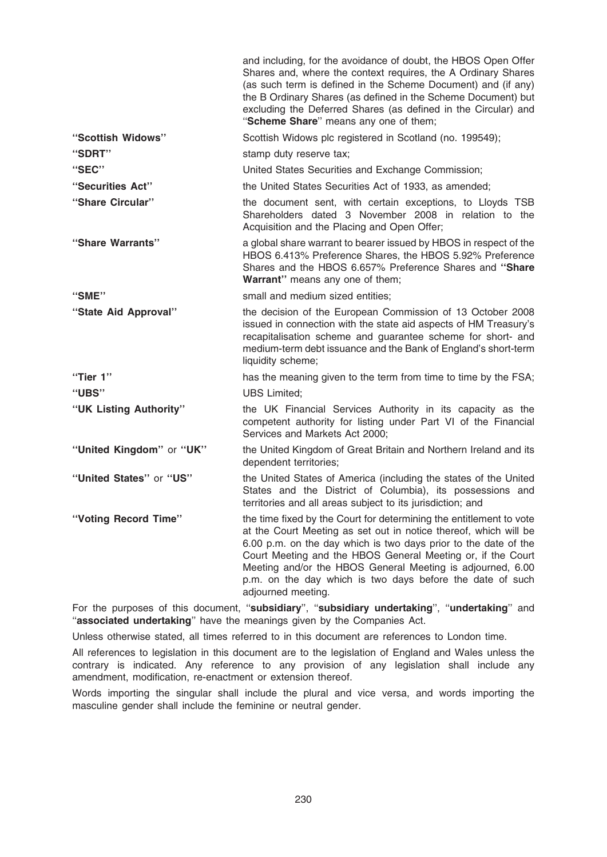|                          | and including, for the avoidance of doubt, the HBOS Open Offer<br>Shares and, where the context requires, the A Ordinary Shares<br>(as such term is defined in the Scheme Document) and (if any)<br>the B Ordinary Shares (as defined in the Scheme Document) but<br>excluding the Deferred Shares (as defined in the Circular) and<br>"Scheme Share" means any one of them;                                               |
|--------------------------|----------------------------------------------------------------------------------------------------------------------------------------------------------------------------------------------------------------------------------------------------------------------------------------------------------------------------------------------------------------------------------------------------------------------------|
| "Scottish Widows"        | Scottish Widows plc registered in Scotland (no. 199549);                                                                                                                                                                                                                                                                                                                                                                   |
| "SDRT"                   | stamp duty reserve tax;                                                                                                                                                                                                                                                                                                                                                                                                    |
| "SEC"                    | United States Securities and Exchange Commission;                                                                                                                                                                                                                                                                                                                                                                          |
| "Securities Act"         | the United States Securities Act of 1933, as amended;                                                                                                                                                                                                                                                                                                                                                                      |
| "Share Circular"         | the document sent, with certain exceptions, to Lloyds TSB<br>Shareholders dated 3 November 2008 in relation to the<br>Acquisition and the Placing and Open Offer;                                                                                                                                                                                                                                                          |
| "Share Warrants"         | a global share warrant to bearer issued by HBOS in respect of the<br>HBOS 6.413% Preference Shares, the HBOS 5.92% Preference<br>Shares and the HBOS 6.657% Preference Shares and "Share<br>Warrant" means any one of them;                                                                                                                                                                                                |
| "SME"                    | small and medium sized entities;                                                                                                                                                                                                                                                                                                                                                                                           |
| "State Aid Approval"     | the decision of the European Commission of 13 October 2008<br>issued in connection with the state aid aspects of HM Treasury's<br>recapitalisation scheme and guarantee scheme for short- and<br>medium-term debt issuance and the Bank of England's short-term<br>liquidity scheme;                                                                                                                                       |
| "Tier 1"                 | has the meaning given to the term from time to time by the FSA;                                                                                                                                                                                                                                                                                                                                                            |
| "UBS"                    | <b>UBS Limited;</b>                                                                                                                                                                                                                                                                                                                                                                                                        |
| "UK Listing Authority"   | the UK Financial Services Authority in its capacity as the<br>competent authority for listing under Part VI of the Financial<br>Services and Markets Act 2000;                                                                                                                                                                                                                                                             |
| "United Kingdom" or "UK" | the United Kingdom of Great Britain and Northern Ireland and its<br>dependent territories;                                                                                                                                                                                                                                                                                                                                 |
| "United States" or "US"  | the United States of America (including the states of the United<br>States and the District of Columbia), its possessions and<br>territories and all areas subject to its jurisdiction; and                                                                                                                                                                                                                                |
| "Voting Record Time"     | the time fixed by the Court for determining the entitlement to vote<br>at the Court Meeting as set out in notice thereof, which will be<br>6.00 p.m. on the day which is two days prior to the date of the<br>Court Meeting and the HBOS General Meeting or, if the Court<br>Meeting and/or the HBOS General Meeting is adjourned, 6.00<br>p.m. on the day which is two days before the date of such<br>adjourned meeting. |
|                          |                                                                                                                                                                                                                                                                                                                                                                                                                            |

For the purposes of this document, "subsidiary", "subsidiary undertaking", "undertaking" and "associated undertaking" have the meanings given by the Companies Act.

Unless otherwise stated, all times referred to in this document are references to London time.

All references to legislation in this document are to the legislation of England and Wales unless the contrary is indicated. Any reference to any provision of any legislation shall include any amendment, modification, re-enactment or extension thereof.

Words importing the singular shall include the plural and vice versa, and words importing the masculine gender shall include the feminine or neutral gender.